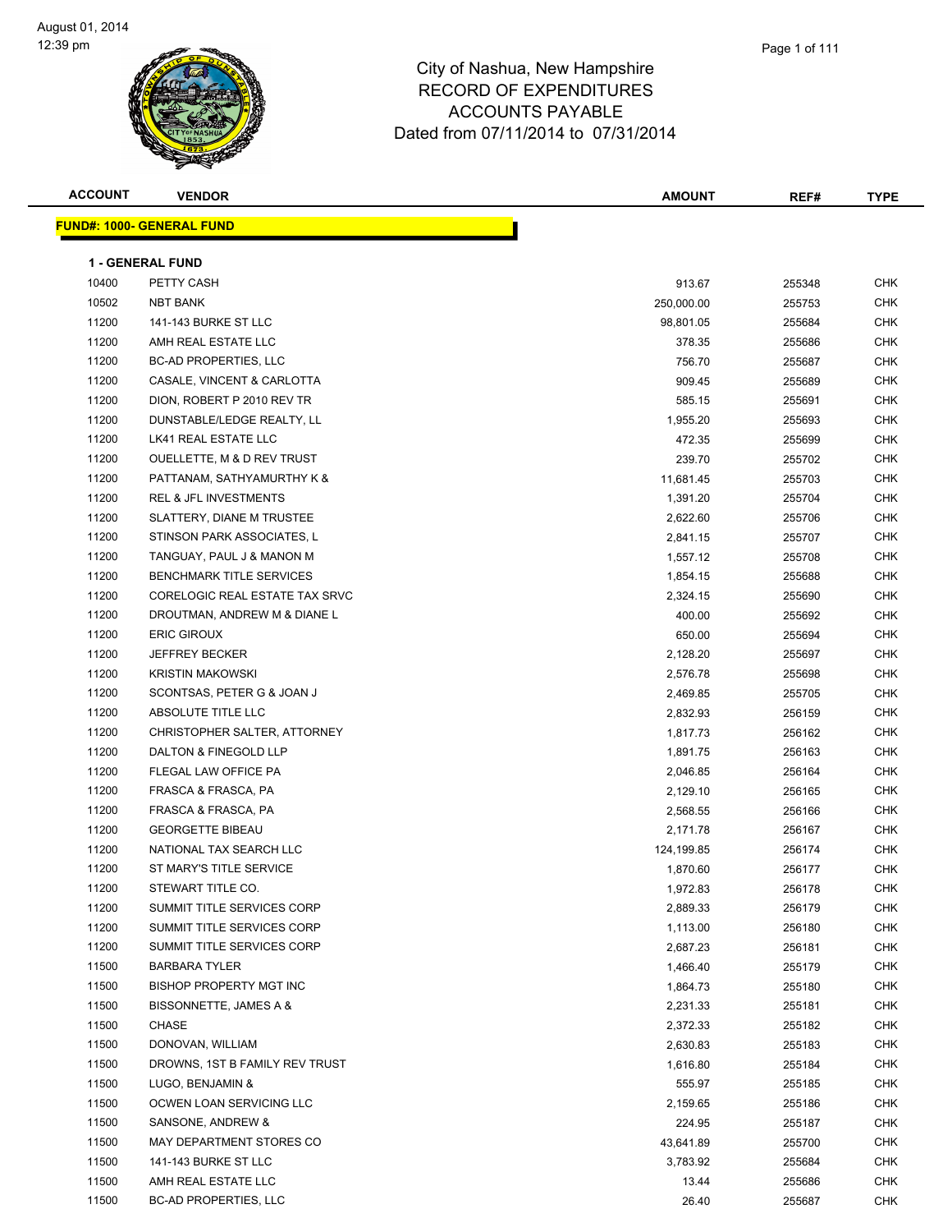| <b>ACCOUNT</b> | <b>VENDOR</b>                    | AMOUNT     | REF#   | <b>TYPE</b> |
|----------------|----------------------------------|------------|--------|-------------|
|                | <b>FUND#: 1000- GENERAL FUND</b> |            |        |             |
|                |                                  |            |        |             |
|                | <b>1 - GENERAL FUND</b>          |            |        |             |
| 10400          | PETTY CASH                       | 913.67     | 255348 | CHK         |
| 10502          | <b>NBT BANK</b>                  | 250,000.00 | 255753 | CHK         |
| 11200          | 141-143 BURKE ST LLC             | 98,801.05  | 255684 | <b>CHK</b>  |
| 11200          | AMH REAL ESTATE LLC              | 378.35     | 255686 | <b>CHK</b>  |
| 11200          | <b>BC-AD PROPERTIES, LLC</b>     | 756.70     | 255687 | <b>CHK</b>  |
| 11200          | CASALE, VINCENT & CARLOTTA       | 909.45     | 255689 | <b>CHK</b>  |
| 11200          | DION, ROBERT P 2010 REV TR       | 585.15     | 255691 | CHK         |
| 11200          | DUNSTABLE/LEDGE REALTY, LL       | 1,955.20   | 255693 | <b>CHK</b>  |
| 11200          | LK41 REAL ESTATE LLC             | 472.35     | 255699 | <b>CHK</b>  |
| 11200          | OUELLETTE, M & D REV TRUST       | 239.70     | 255702 | CHK         |
| 11200          | PATTANAM, SATHYAMURTHY K &       | 11,681.45  | 255703 | CHK         |
| 11200          | <b>REL &amp; JFL INVESTMENTS</b> | 1,391.20   | 255704 | CHK         |
| 11200          | SLATTERY, DIANE M TRUSTEE        | 2,622.60   | 255706 | CHK         |
| 11200          | STINSON PARK ASSOCIATES, L       | 2,841.15   | 255707 | <b>CHK</b>  |
| 11200          | TANGUAY, PAUL J & MANON M        | 1,557.12   | 255708 | CHK         |
| 11200          | <b>BENCHMARK TITLE SERVICES</b>  | 1,854.15   | 255688 | <b>CHK</b>  |
| 11200          | CORELOGIC REAL ESTATE TAX SRVC   | 2,324.15   | 255690 | <b>CHK</b>  |
| 11200          | DROUTMAN, ANDREW M & DIANE L     | 400.00     | 255692 | <b>CHK</b>  |
| 11200          | <b>ERIC GIROUX</b>               | 650.00     | 255694 | <b>CHK</b>  |
| 11200          | <b>JEFFREY BECKER</b>            | 2,128.20   | 255697 | <b>CHK</b>  |
| 11200          | <b>KRISTIN MAKOWSKI</b>          | 2,576.78   | 255698 | <b>CHK</b>  |
| 11200          | SCONTSAS, PETER G & JOAN J       | 2,469.85   | 255705 | <b>CHK</b>  |
| 11200          | ABSOLUTE TITLE LLC               | 2,832.93   | 256159 | CHK         |
| 11200          | CHRISTOPHER SALTER, ATTORNEY     | 1,817.73   | 256162 | CHK         |
| 11200          | DALTON & FINEGOLD LLP            | 1,891.75   | 256163 | <b>CHK</b>  |
| 11200          | FLEGAL LAW OFFICE PA             | 2,046.85   | 256164 | <b>CHK</b>  |
| 11200          | FRASCA & FRASCA, PA              | 2,129.10   | 256165 | <b>CHK</b>  |
| 11200          | FRASCA & FRASCA, PA              | 2,568.55   | 256166 | <b>CHK</b>  |
| 11200          | <b>GEORGETTE BIBEAU</b>          | 2,171.78   | 256167 | CHK         |
| 11200          | NATIONAL TAX SEARCH LLC          | 124,199.85 | 256174 | CHK         |
| 11200          | ST MARY'S TITLE SERVICE          |            |        | <b>CHK</b>  |
|                |                                  | 1,870.60   | 256177 |             |
| 11200          | STEWART TITLE CO.                | 1,972.83   | 256178 | CHK         |
| 11200          | SUMMIT TITLE SERVICES CORP       | 2,889.33   | 256179 | <b>CHK</b>  |
| 11200          | SUMMIT TITLE SERVICES CORP       | 1,113.00   | 256180 | CHK         |
| 11200          | SUMMIT TITLE SERVICES CORP       | 2,687.23   | 256181 | CHK         |
| 11500          | <b>BARBARA TYLER</b>             | 1,466.40   | 255179 | <b>CHK</b>  |
| 11500          | <b>BISHOP PROPERTY MGT INC</b>   | 1,864.73   | 255180 | <b>CHK</b>  |
| 11500          | BISSONNETTE, JAMES A &           | 2,231.33   | 255181 | <b>CHK</b>  |
| 11500          | CHASE                            | 2,372.33   | 255182 | <b>CHK</b>  |
| 11500          | DONOVAN, WILLIAM                 | 2,630.83   | 255183 | CHK         |
| 11500          | DROWNS, 1ST B FAMILY REV TRUST   | 1,616.80   | 255184 | <b>CHK</b>  |
| 11500          | LUGO, BENJAMIN &                 | 555.97     | 255185 | <b>CHK</b>  |
| 11500          | OCWEN LOAN SERVICING LLC         | 2,159.65   | 255186 | CHK         |
| 11500          | SANSONE, ANDREW &                | 224.95     | 255187 | CHK         |
| 11500          | MAY DEPARTMENT STORES CO         | 43,641.89  | 255700 | CHK         |
| 11500          | 141-143 BURKE ST LLC             | 3,783.92   | 255684 | CHK         |
| 11500          | AMH REAL ESTATE LLC              | 13.44      | 255686 | CHK         |
| 11500          | BC-AD PROPERTIES, LLC            | 26.40      | 255687 | CHK         |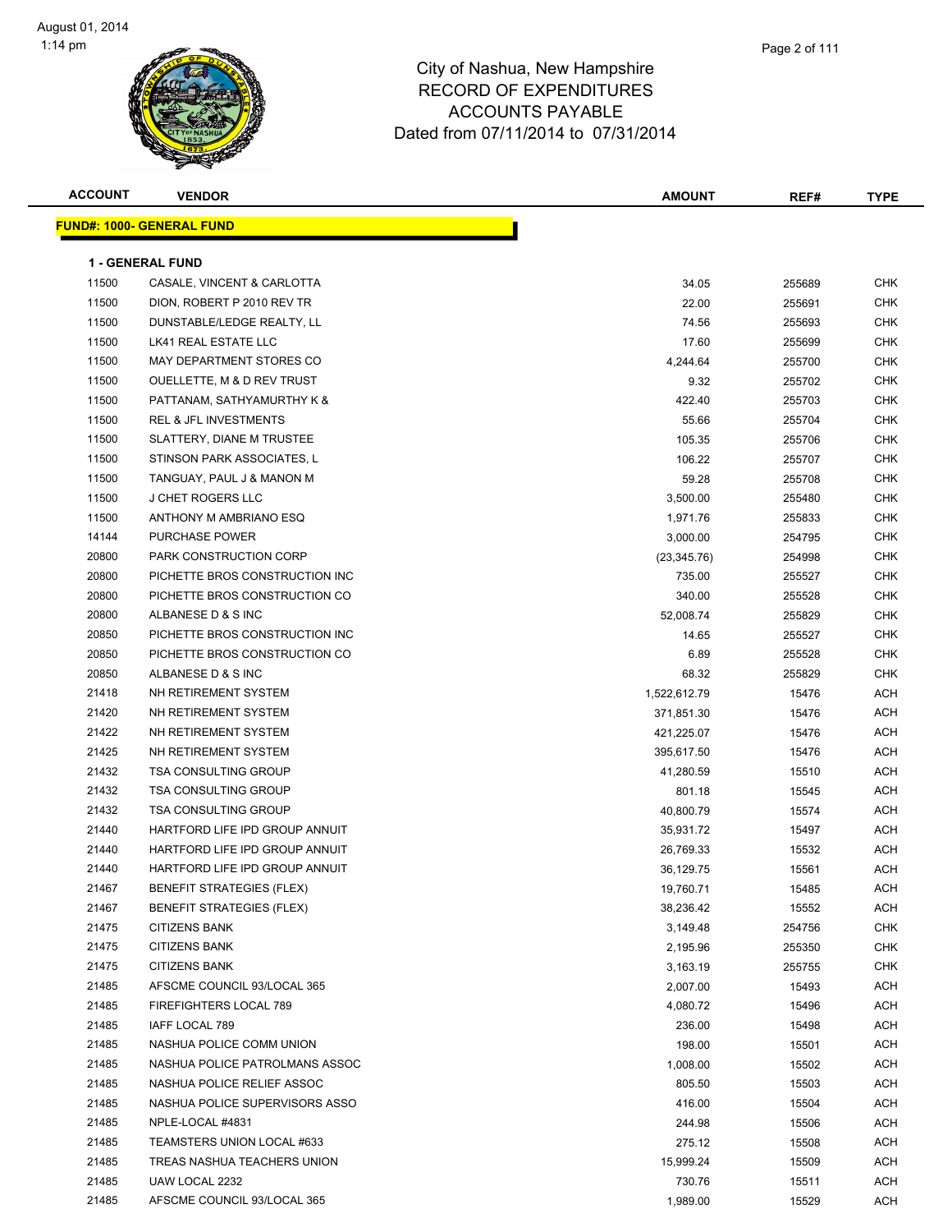

| <b>ACCOUNT</b> | <b>VENDOR</b>                     | <b>AMOUNT</b> | REF#   | <b>TYPE</b> |
|----------------|-----------------------------------|---------------|--------|-------------|
|                | <u> FUND#: 1000- GENERAL FUND</u> |               |        |             |
|                |                                   |               |        |             |
|                | <b>1 - GENERAL FUND</b>           |               |        |             |
| 11500          | CASALE, VINCENT & CARLOTTA        | 34.05         | 255689 | <b>CHK</b>  |
| 11500          | DION, ROBERT P 2010 REV TR        | 22.00         | 255691 | <b>CHK</b>  |
| 11500          | DUNSTABLE/LEDGE REALTY, LL        | 74.56         | 255693 | CHK         |
| 11500          | LK41 REAL ESTATE LLC              | 17.60         | 255699 | CHK         |
| 11500          | MAY DEPARTMENT STORES CO          | 4,244.64      | 255700 | <b>CHK</b>  |
| 11500          | OUELLETTE, M & D REV TRUST        | 9.32          | 255702 | <b>CHK</b>  |
| 11500          | PATTANAM, SATHYAMURTHY K &        | 422.40        | 255703 | <b>CHK</b>  |
| 11500          | <b>REL &amp; JFL INVESTMENTS</b>  | 55.66         | 255704 | <b>CHK</b>  |
| 11500          | SLATTERY, DIANE M TRUSTEE         | 105.35        | 255706 | <b>CHK</b>  |
| 11500          | STINSON PARK ASSOCIATES, L        | 106.22        | 255707 | <b>CHK</b>  |
| 11500          | TANGUAY, PAUL J & MANON M         | 59.28         | 255708 | <b>CHK</b>  |
| 11500          | <b>J CHET ROGERS LLC</b>          | 3,500.00      | 255480 | <b>CHK</b>  |
| 11500          | ANTHONY M AMBRIANO ESQ            | 1,971.76      | 255833 | <b>CHK</b>  |
| 14144          | <b>PURCHASE POWER</b>             | 3,000.00      | 254795 | <b>CHK</b>  |
| 20800          | PARK CONSTRUCTION CORP            | (23, 345.76)  | 254998 | CHK         |
| 20800          | PICHETTE BROS CONSTRUCTION INC    | 735.00        | 255527 | CHK         |
| 20800          | PICHETTE BROS CONSTRUCTION CO     | 340.00        | 255528 | CHK         |
| 20800          | ALBANESE D & S INC                | 52,008.74     | 255829 | CHK         |
| 20850          | PICHETTE BROS CONSTRUCTION INC    | 14.65         | 255527 | <b>CHK</b>  |
| 20850          | PICHETTE BROS CONSTRUCTION CO     | 6.89          | 255528 | <b>CHK</b>  |
| 20850          | ALBANESE D & S INC                | 68.32         | 255829 | CHK         |
| 21418          | NH RETIREMENT SYSTEM              | 1,522,612.79  | 15476  | <b>ACH</b>  |
| 21420          | NH RETIREMENT SYSTEM              | 371,851.30    | 15476  | <b>ACH</b>  |
| 21422          | NH RETIREMENT SYSTEM              | 421,225.07    | 15476  | ACH         |
| 21425          | NH RETIREMENT SYSTEM              | 395,617.50    | 15476  | ACH         |
| 21432          | <b>TSA CONSULTING GROUP</b>       | 41,280.59     | 15510  | ACH         |
| 21432          | <b>TSA CONSULTING GROUP</b>       | 801.18        | 15545  | ACH         |
| 21432          | <b>TSA CONSULTING GROUP</b>       | 40,800.79     | 15574  | ACH         |
| 21440          | HARTFORD LIFE IPD GROUP ANNUIT    | 35,931.72     | 15497  | ACH         |
| 21440          | HARTFORD LIFE IPD GROUP ANNUIT    | 26,769.33     | 15532  | ACH         |
| 21440          | HARTFORD LIFE IPD GROUP ANNUIT    | 36,129.75     | 15561  | <b>ACH</b>  |
| 21467          | <b>BENEFIT STRATEGIES (FLEX)</b>  | 19,760.71     | 15485  | <b>ACH</b>  |
| 21467          | <b>BENEFIT STRATEGIES (FLEX)</b>  | 38,236.42     | 15552  | <b>ACH</b>  |
| 21475          | <b>CITIZENS BANK</b>              | 3,149.48      | 254756 | <b>CHK</b>  |
| 21475          | <b>CITIZENS BANK</b>              | 2,195.96      | 255350 | <b>CHK</b>  |
| 21475          | <b>CITIZENS BANK</b>              | 3,163.19      | 255755 | <b>CHK</b>  |
| 21485          | AFSCME COUNCIL 93/LOCAL 365       | 2,007.00      | 15493  | ACH         |
| 21485          | FIREFIGHTERS LOCAL 789            | 4,080.72      | 15496  | ACH         |
| 21485          | IAFF LOCAL 789                    | 236.00        | 15498  | ACH         |
| 21485          | NASHUA POLICE COMM UNION          | 198.00        | 15501  | ACH         |
| 21485          | NASHUA POLICE PATROLMANS ASSOC    | 1,008.00      | 15502  | ACH         |
| 21485          | NASHUA POLICE RELIEF ASSOC        | 805.50        | 15503  | ACH         |
| 21485          | NASHUA POLICE SUPERVISORS ASSO    | 416.00        | 15504  | ACH         |
| 21485          | NPLE-LOCAL #4831                  | 244.98        | 15506  | ACH         |
| 21485          | TEAMSTERS UNION LOCAL #633        | 275.12        | 15508  | ACH         |
| 21485          | TREAS NASHUA TEACHERS UNION       | 15,999.24     | 15509  | ACH         |
| 21485          | UAW LOCAL 2232                    | 730.76        | 15511  | ACH         |
| 21485          | AFSCME COUNCIL 93/LOCAL 365       | 1,989.00      | 15529  | ACH         |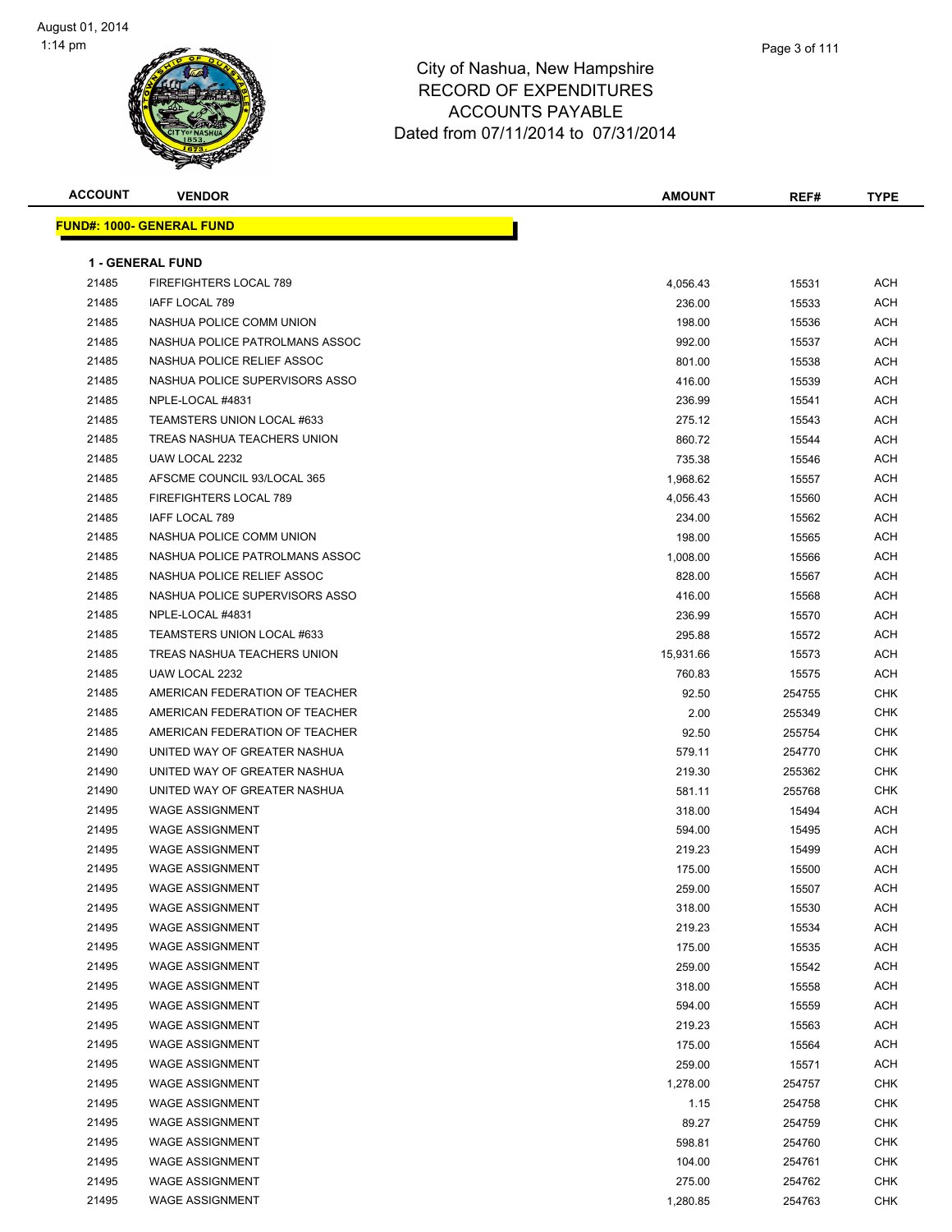| <b>ACCOUNT</b> | <b>VENDOR</b>                    | <b>AMOUNT</b> | REF#   | <b>TYPE</b> |
|----------------|----------------------------------|---------------|--------|-------------|
|                | <b>FUND#: 1000- GENERAL FUND</b> |               |        |             |
|                |                                  |               |        |             |
|                | <b>1 - GENERAL FUND</b>          |               |        |             |
| 21485          | FIREFIGHTERS LOCAL 789           | 4,056.43      | 15531  | ACH         |
| 21485          | IAFF LOCAL 789                   | 236.00        | 15533  | ACH         |
| 21485          | NASHUA POLICE COMM UNION         | 198.00        | 15536  | ACH         |
| 21485          | NASHUA POLICE PATROLMANS ASSOC   | 992.00        | 15537  | ACH         |
| 21485          | NASHUA POLICE RELIEF ASSOC       | 801.00        | 15538  | ACH         |
| 21485          | NASHUA POLICE SUPERVISORS ASSO   | 416.00        | 15539  | ACH         |
| 21485          | NPLE-LOCAL #4831                 | 236.99        | 15541  | ACH         |
| 21485          | TEAMSTERS UNION LOCAL #633       | 275.12        | 15543  | ACH         |
| 21485          | TREAS NASHUA TEACHERS UNION      | 860.72        | 15544  | ACH         |
| 21485          | UAW LOCAL 2232                   | 735.38        | 15546  | ACH         |
| 21485          | AFSCME COUNCIL 93/LOCAL 365      | 1,968.62      | 15557  | ACH         |
| 21485          | FIREFIGHTERS LOCAL 789           | 4,056.43      | 15560  | ACH         |
| 21485          | IAFF LOCAL 789                   | 234.00        | 15562  | ACH         |
| 21485          | NASHUA POLICE COMM UNION         | 198.00        | 15565  | ACH         |
| 21485          | NASHUA POLICE PATROLMANS ASSOC   | 1,008.00      | 15566  | ACH         |
| 21485          | NASHUA POLICE RELIEF ASSOC       | 828.00        | 15567  | ACH         |
| 21485          | NASHUA POLICE SUPERVISORS ASSO   | 416.00        | 15568  | ACH         |
| 21485          | NPLE-LOCAL #4831                 | 236.99        | 15570  | ACH         |
| 21485          | TEAMSTERS UNION LOCAL #633       | 295.88        | 15572  | ACH         |
| 21485          | TREAS NASHUA TEACHERS UNION      | 15,931.66     | 15573  | ACH         |
| 21485          | UAW LOCAL 2232                   | 760.83        | 15575  | ACH         |
| 21485          | AMERICAN FEDERATION OF TEACHER   | 92.50         | 254755 | CHK         |
| 21485          | AMERICAN FEDERATION OF TEACHER   | 2.00          | 255349 | CHK         |
| 21485          | AMERICAN FEDERATION OF TEACHER   | 92.50         | 255754 | CHK         |
| 21490          | UNITED WAY OF GREATER NASHUA     | 579.11        | 254770 | CHK         |
| 21490          | UNITED WAY OF GREATER NASHUA     | 219.30        | 255362 | CHK         |
| 21490          | UNITED WAY OF GREATER NASHUA     | 581.11        | 255768 | CHK         |
| 21495          | <b>WAGE ASSIGNMENT</b>           | 318.00        | 15494  | ACH         |
| 21495          | <b>WAGE ASSIGNMENT</b>           | 594.00        | 15495  | ACH         |
| 21495          | <b>WAGE ASSIGNMENT</b>           | 219.23        | 15499  | ACH         |
| 21495          | <b>WAGE ASSIGNMENT</b>           | 175.00        | 15500  | ACH         |
| 21495          | <b>WAGE ASSIGNMENT</b>           | 259.00        | 15507  | <b>ACH</b>  |
| 21495          | <b>WAGE ASSIGNMENT</b>           | 318.00        | 15530  | <b>ACH</b>  |
| 21495          | <b>WAGE ASSIGNMENT</b>           | 219.23        | 15534  | <b>ACH</b>  |
| 21495          | <b>WAGE ASSIGNMENT</b>           | 175.00        | 15535  | <b>ACH</b>  |
| 21495          | <b>WAGE ASSIGNMENT</b>           | 259.00        | 15542  | <b>ACH</b>  |
| 21495          | <b>WAGE ASSIGNMENT</b>           | 318.00        | 15558  | <b>ACH</b>  |
| 21495          | <b>WAGE ASSIGNMENT</b>           | 594.00        | 15559  | <b>ACH</b>  |
| 21495          | <b>WAGE ASSIGNMENT</b>           | 219.23        | 15563  | <b>ACH</b>  |
| 21495          | <b>WAGE ASSIGNMENT</b>           | 175.00        | 15564  | <b>ACH</b>  |
| 21495          | <b>WAGE ASSIGNMENT</b>           | 259.00        | 15571  | <b>ACH</b>  |
| 21495          | <b>WAGE ASSIGNMENT</b>           | 1,278.00      | 254757 | <b>CHK</b>  |
| 21495          | <b>WAGE ASSIGNMENT</b>           | 1.15          | 254758 | CHK         |
| 21495          | <b>WAGE ASSIGNMENT</b>           | 89.27         | 254759 | <b>CHK</b>  |
| 21495          | <b>WAGE ASSIGNMENT</b>           | 598.81        | 254760 | CHK         |
| 21495          | <b>WAGE ASSIGNMENT</b>           | 104.00        | 254761 | CHK         |
| 21495          | <b>WAGE ASSIGNMENT</b>           | 275.00        | 254762 | CHK         |
| 21495          | <b>WAGE ASSIGNMENT</b>           | 1,280.85      | 254763 | <b>CHK</b>  |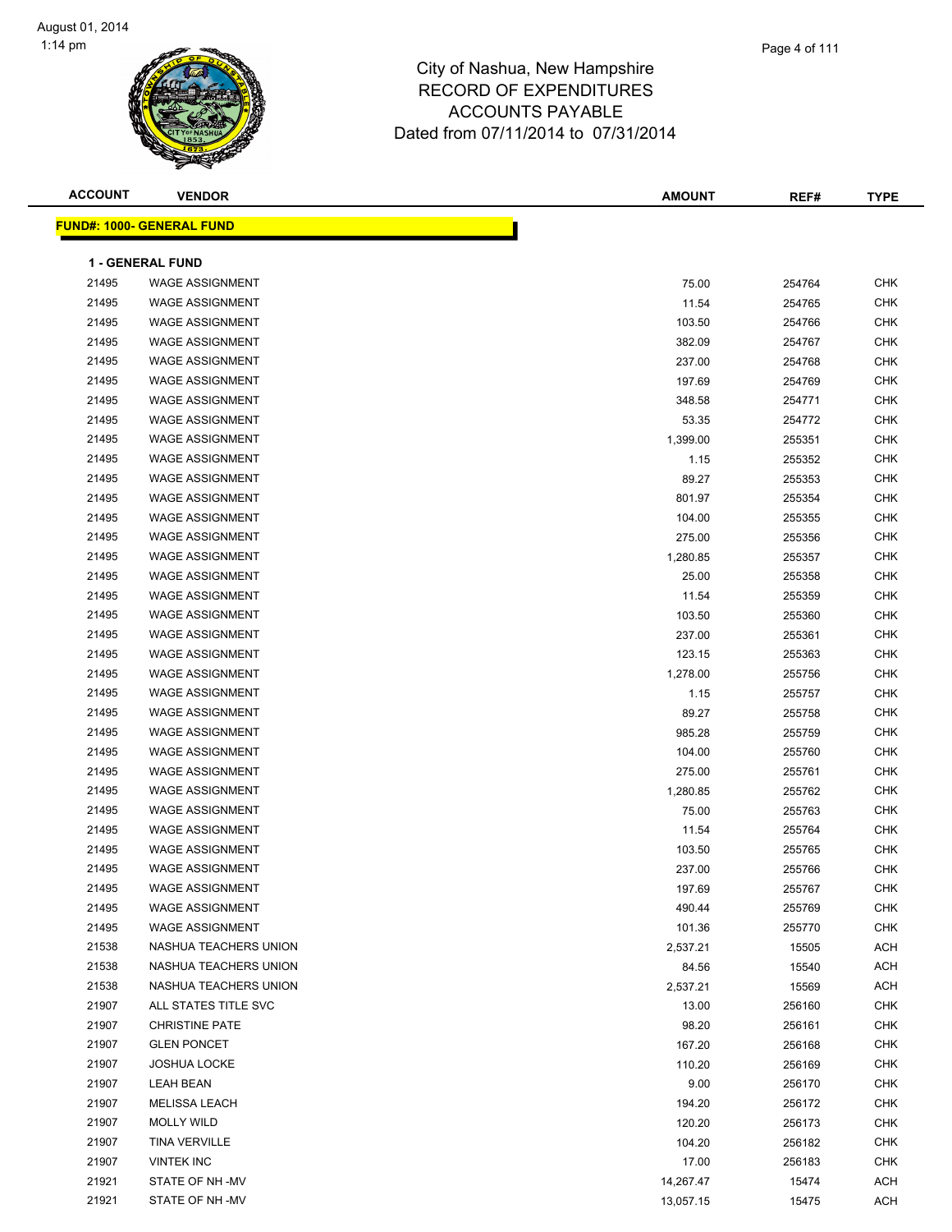

## City of Nashua, New Hampshire RECORD OF EXPENDITURES AC<sub>C</sub> Dated from

|                |                                  | <b>ACCOUNTS PAYABLE</b><br>Dated from 07/11/2014 to 07/31/2014 |               |        |               |
|----------------|----------------------------------|----------------------------------------------------------------|---------------|--------|---------------|
| <b>ACCOUNT</b> | <b>VENDOR</b>                    |                                                                | <b>AMOUNT</b> | REF#   | <b>TYPE</b>   |
|                | <u> IND#: 1000- GENERAL FUND</u> |                                                                |               |        |               |
|                | <b>1 - GENERAL FUND</b>          |                                                                |               |        |               |
| 21495          | <b>WAGE ASSIGNMENT</b>           |                                                                | 75.00         | 254764 | <b>CHK</b>    |
| 21495          | <b>WAGE ASSIGNMENT</b>           |                                                                | 11.54         | 254765 | <b>CHK</b>    |
| 21495          | <b>WAGE ASSIGNMENT</b>           |                                                                | 103.50        | 254766 | <b>CHK</b>    |
| 21495          | <b>WAGE ASSIGNMENT</b>           |                                                                | 382.09        | 254767 | CHK           |
| 21495          | <b>WAGE ASSIGNMENT</b>           |                                                                | 237.00        | 254768 | <b>CHK</b>    |
| 21495          | <b>WAGE ASSIGNMENT</b>           |                                                                | 197.69        | 254769 | <b>CHK</b>    |
| 21495          | <b>WAGE ASSIGNMENT</b>           |                                                                | 348.58        | 254771 | <b>CHK</b>    |
| 21495          | <b>WAGE ASSIGNMENT</b>           |                                                                | 53.35         | 254772 | <b>CHK</b>    |
| 21495          | <b>WAGE ASSIGNMENT</b>           |                                                                | 1,399.00      | 255351 | <b>CHK</b>    |
| 21495          | <b>WAGE ASSIGNMENT</b>           |                                                                | 1.15          | 255352 | <b>CHK</b>    |
| $\sim$         | $1111.05$ $101.01$               |                                                                |               |        | $\sim$ $\sim$ |

| JNTS PAYABLE          |  |
|-----------------------|--|
| 11/2014 to 07/31/2014 |  |

|       | <u> FUND#: 1000- GENERAL FUND</u> |           |        |            |
|-------|-----------------------------------|-----------|--------|------------|
|       | <b>1 - GENERAL FUND</b>           |           |        |            |
| 21495 | <b>WAGE ASSIGNMENT</b>            | 75.00     | 254764 | <b>CHK</b> |
| 21495 | <b>WAGE ASSIGNMENT</b>            | 11.54     | 254765 | <b>CHK</b> |
| 21495 | <b>WAGE ASSIGNMENT</b>            | 103.50    | 254766 | <b>CHK</b> |
| 21495 | <b>WAGE ASSIGNMENT</b>            | 382.09    | 254767 | <b>CHK</b> |
| 21495 | <b>WAGE ASSIGNMENT</b>            | 237.00    | 254768 | CHK        |
| 21495 | <b>WAGE ASSIGNMENT</b>            | 197.69    | 254769 | <b>CHK</b> |
| 21495 | <b>WAGE ASSIGNMENT</b>            | 348.58    | 254771 | <b>CHK</b> |
| 21495 | <b>WAGE ASSIGNMENT</b>            | 53.35     | 254772 | <b>CHK</b> |
| 21495 | <b>WAGE ASSIGNMENT</b>            | 1,399.00  | 255351 | <b>CHK</b> |
| 21495 | <b>WAGE ASSIGNMENT</b>            | 1.15      | 255352 | <b>CHK</b> |
| 21495 | <b>WAGE ASSIGNMENT</b>            | 89.27     | 255353 | <b>CHK</b> |
| 21495 | <b>WAGE ASSIGNMENT</b>            | 801.97    | 255354 | <b>CHK</b> |
| 21495 | <b>WAGE ASSIGNMENT</b>            | 104.00    | 255355 | <b>CHK</b> |
| 21495 | <b>WAGE ASSIGNMENT</b>            | 275.00    | 255356 | <b>CHK</b> |
| 21495 | <b>WAGE ASSIGNMENT</b>            | 1,280.85  | 255357 | <b>CHK</b> |
| 21495 | <b>WAGE ASSIGNMENT</b>            | 25.00     | 255358 | CHK        |
| 21495 | <b>WAGE ASSIGNMENT</b>            | 11.54     | 255359 | <b>CHK</b> |
| 21495 | <b>WAGE ASSIGNMENT</b>            | 103.50    | 255360 | <b>CHK</b> |
| 21495 | <b>WAGE ASSIGNMENT</b>            | 237.00    | 255361 | <b>CHK</b> |
| 21495 | <b>WAGE ASSIGNMENT</b>            | 123.15    | 255363 | <b>CHK</b> |
| 21495 | <b>WAGE ASSIGNMENT</b>            | 1,278.00  | 255756 | <b>CHK</b> |
| 21495 | <b>WAGE ASSIGNMENT</b>            | 1.15      | 255757 | <b>CHK</b> |
| 21495 | <b>WAGE ASSIGNMENT</b>            | 89.27     | 255758 | <b>CHK</b> |
| 21495 | <b>WAGE ASSIGNMENT</b>            | 985.28    | 255759 | <b>CHK</b> |
| 21495 | <b>WAGE ASSIGNMENT</b>            | 104.00    | 255760 | <b>CHK</b> |
| 21495 | <b>WAGE ASSIGNMENT</b>            | 275.00    | 255761 | <b>CHK</b> |
| 21495 | <b>WAGE ASSIGNMENT</b>            | 1,280.85  | 255762 | <b>CHK</b> |
| 21495 | <b>WAGE ASSIGNMENT</b>            | 75.00     | 255763 | <b>CHK</b> |
| 21495 | <b>WAGE ASSIGNMENT</b>            | 11.54     | 255764 | <b>CHK</b> |
| 21495 | <b>WAGE ASSIGNMENT</b>            | 103.50    | 255765 | <b>CHK</b> |
| 21495 | <b>WAGE ASSIGNMENT</b>            | 237.00    | 255766 | <b>CHK</b> |
| 21495 | <b>WAGE ASSIGNMENT</b>            | 197.69    | 255767 | <b>CHK</b> |
| 21495 | <b>WAGE ASSIGNMENT</b>            | 490.44    | 255769 | <b>CHK</b> |
| 21495 | <b>WAGE ASSIGNMENT</b>            | 101.36    | 255770 | <b>CHK</b> |
| 21538 | NASHUA TEACHERS UNION             | 2,537.21  | 15505  | <b>ACH</b> |
| 21538 | NASHUA TEACHERS UNION             | 84.56     | 15540  | ACH        |
| 21538 | NASHUA TEACHERS UNION             | 2,537.21  | 15569  | <b>ACH</b> |
| 21907 | ALL STATES TITLE SVC              | 13.00     | 256160 | <b>CHK</b> |
| 21907 | <b>CHRISTINE PATE</b>             | 98.20     | 256161 | <b>CHK</b> |
| 21907 | <b>GLEN PONCET</b>                | 167.20    | 256168 | <b>CHK</b> |
| 21907 | <b>JOSHUA LOCKE</b>               | 110.20    | 256169 | <b>CHK</b> |
| 21907 | <b>LEAH BEAN</b>                  | 9.00      | 256170 | <b>CHK</b> |
| 21907 | <b>MELISSA LEACH</b>              | 194.20    | 256172 | <b>CHK</b> |
| 21907 | <b>MOLLY WILD</b>                 | 120.20    | 256173 | <b>CHK</b> |
| 21907 | <b>TINA VERVILLE</b>              | 104.20    | 256182 | <b>CHK</b> |
| 21907 | <b>VINTEK INC</b>                 | 17.00     | 256183 | CHK        |
| 21921 | STATE OF NH-MV                    | 14,267.47 | 15474  | ACH        |
| 21921 | STATE OF NH -MV                   | 13,057.15 | 15475  | <b>ACH</b> |

-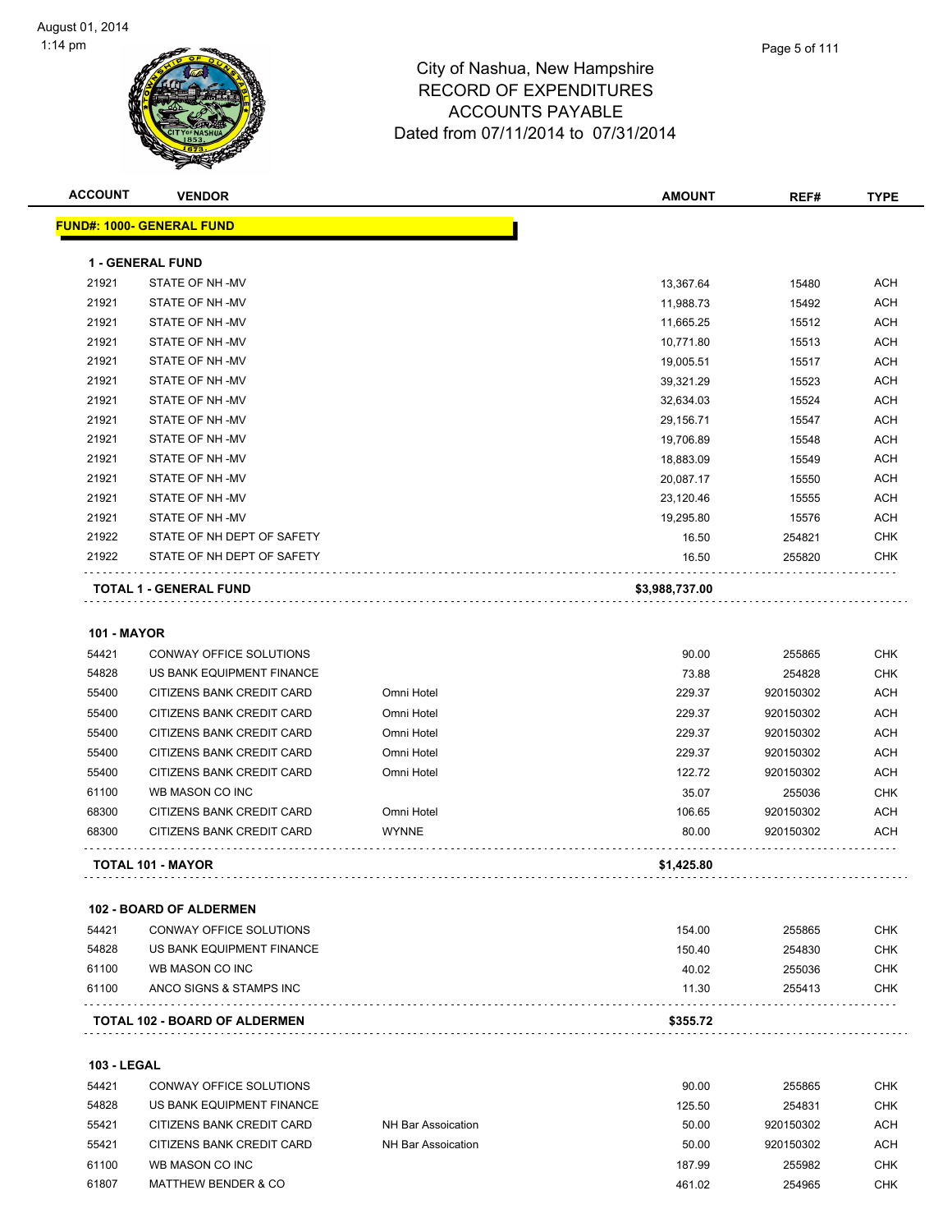

|                    | <b>VENDOR</b>                                          |                            | <b>AMOUNT</b>   | REF#                   |                                                                                                                                                               |
|--------------------|--------------------------------------------------------|----------------------------|-----------------|------------------------|---------------------------------------------------------------------------------------------------------------------------------------------------------------|
|                    | FUND#: 1000- GENERAL FUND                              |                            |                 |                        |                                                                                                                                                               |
|                    | <b>1 - GENERAL FUND</b>                                |                            |                 |                        |                                                                                                                                                               |
| 21921              | STATE OF NH-MV                                         |                            | 13,367.64       | 15480                  | <b>ACH</b>                                                                                                                                                    |
| 21921              | STATE OF NH-MV                                         |                            | 11,988.73       | 15492                  | <b>ACH</b>                                                                                                                                                    |
| 21921              | STATE OF NH-MV                                         |                            | 11,665.25       | 15512                  | <b>ACH</b>                                                                                                                                                    |
| 21921              | STATE OF NH-MV                                         |                            | 10,771.80       | 15513                  | ACH                                                                                                                                                           |
| 21921              | STATE OF NH-MV                                         |                            | 19,005.51       | 15517                  | ACH                                                                                                                                                           |
| 21921              | STATE OF NH-MV                                         |                            | 39,321.29       | 15523                  | <b>ACH</b>                                                                                                                                                    |
| 21921              | STATE OF NH-MV                                         |                            | 32,634.03       | 15524                  | ACH                                                                                                                                                           |
| 21921              | STATE OF NH-MV                                         |                            | 29,156.71       | 15547                  | ACH                                                                                                                                                           |
| 21921              | STATE OF NH-MV                                         |                            | 19,706.89       | 15548                  | ACH                                                                                                                                                           |
| 21921              | STATE OF NH-MV                                         |                            | 18,883.09       | 15549                  | <b>ACH</b>                                                                                                                                                    |
| 21921              | STATE OF NH-MV                                         |                            | 20,087.17       | 15550                  | <b>ACH</b>                                                                                                                                                    |
| 21921              | STATE OF NH-MV                                         |                            | 23,120.46       | 15555                  | ACH                                                                                                                                                           |
| 21921              | STATE OF NH-MV                                         |                            | 19,295.80       | 15576                  | ACH                                                                                                                                                           |
| 21922              | STATE OF NH DEPT OF SAFETY                             |                            | 16.50           | 254821                 | <b>CHK</b>                                                                                                                                                    |
| 21922              | STATE OF NH DEPT OF SAFETY                             |                            | 16.50           | 255820                 | <b>CHK</b>                                                                                                                                                    |
|                    |                                                        |                            |                 |                        |                                                                                                                                                               |
|                    | <b>TOTAL 1 - GENERAL FUND</b>                          |                            | \$3,988,737.00  |                        |                                                                                                                                                               |
| <b>101 - MAYOR</b> |                                                        |                            |                 |                        |                                                                                                                                                               |
| 54421              | CONWAY OFFICE SOLUTIONS                                |                            | 90.00           | 255865                 |                                                                                                                                                               |
| 54828              | US BANK EQUIPMENT FINANCE                              | Omni Hotel                 | 73.88           | 254828<br>920150302    |                                                                                                                                                               |
| 55400              | CITIZENS BANK CREDIT CARD                              |                            | 229.37          |                        |                                                                                                                                                               |
| 55400              | CITIZENS BANK CREDIT CARD                              | Omni Hotel                 | 229.37          | 920150302              |                                                                                                                                                               |
| 55400              | CITIZENS BANK CREDIT CARD                              | Omni Hotel                 | 229.37          | 920150302              |                                                                                                                                                               |
| 55400              | CITIZENS BANK CREDIT CARD                              | Omni Hotel                 | 229.37          | 920150302              |                                                                                                                                                               |
| 55400              | CITIZENS BANK CREDIT CARD                              | Omni Hotel                 | 122.72          | 920150302              |                                                                                                                                                               |
| 61100              | WB MASON CO INC                                        |                            | 35.07           | 255036                 |                                                                                                                                                               |
| 68300<br>68300     | CITIZENS BANK CREDIT CARD<br>CITIZENS BANK CREDIT CARD | Omni Hotel<br><b>WYNNE</b> | 106.65<br>80.00 | 920150302<br>920150302 |                                                                                                                                                               |
|                    | <b>TOTAL 101 - MAYOR</b>                               |                            | \$1,425.80      |                        |                                                                                                                                                               |
|                    |                                                        |                            |                 |                        |                                                                                                                                                               |
|                    | <b>102 - BOARD OF ALDERMEN</b>                         |                            |                 |                        |                                                                                                                                                               |
| 54421              | CONWAY OFFICE SOLUTIONS                                |                            | 154.00          | 255865                 |                                                                                                                                                               |
| 54828              | US BANK EQUIPMENT FINANCE                              |                            | 150.40          | 254830                 |                                                                                                                                                               |
| 61100              | WB MASON CO INC                                        |                            | 40.02           | 255036                 |                                                                                                                                                               |
| 61100              | ANCO SIGNS & STAMPS INC                                |                            | 11.30           | 255413                 | <b>CHK</b><br><b>CHK</b><br><b>ACH</b><br>ACH<br>ACH<br>ACH<br><b>ACH</b><br><b>CHK</b><br>ACH<br>ACH<br><b>CHK</b><br><b>CHK</b><br><b>CHK</b><br><b>CHK</b> |

| 54421 | CONWAY OFFICE SOLUTIONS   |                    | 90.00  | 255865    | <b>CHK</b> |
|-------|---------------------------|--------------------|--------|-----------|------------|
| 54828 | US BANK EQUIPMENT FINANCE |                    | 125.50 | 254831    | CHK        |
| 55421 | CITIZENS BANK CREDIT CARD | NH Bar Assoication | 50.00  | 920150302 | ACH        |
| 55421 | CITIZENS BANK CREDIT CARD | NH Bar Assoication | 50.00  | 920150302 | ACH        |
| 61100 | WB MASON CO INC           |                    | 187.99 | 255982    | <b>CHK</b> |
| 61807 | MATTHEW BENDER & CO       |                    | 461.02 | 254965    | CHK        |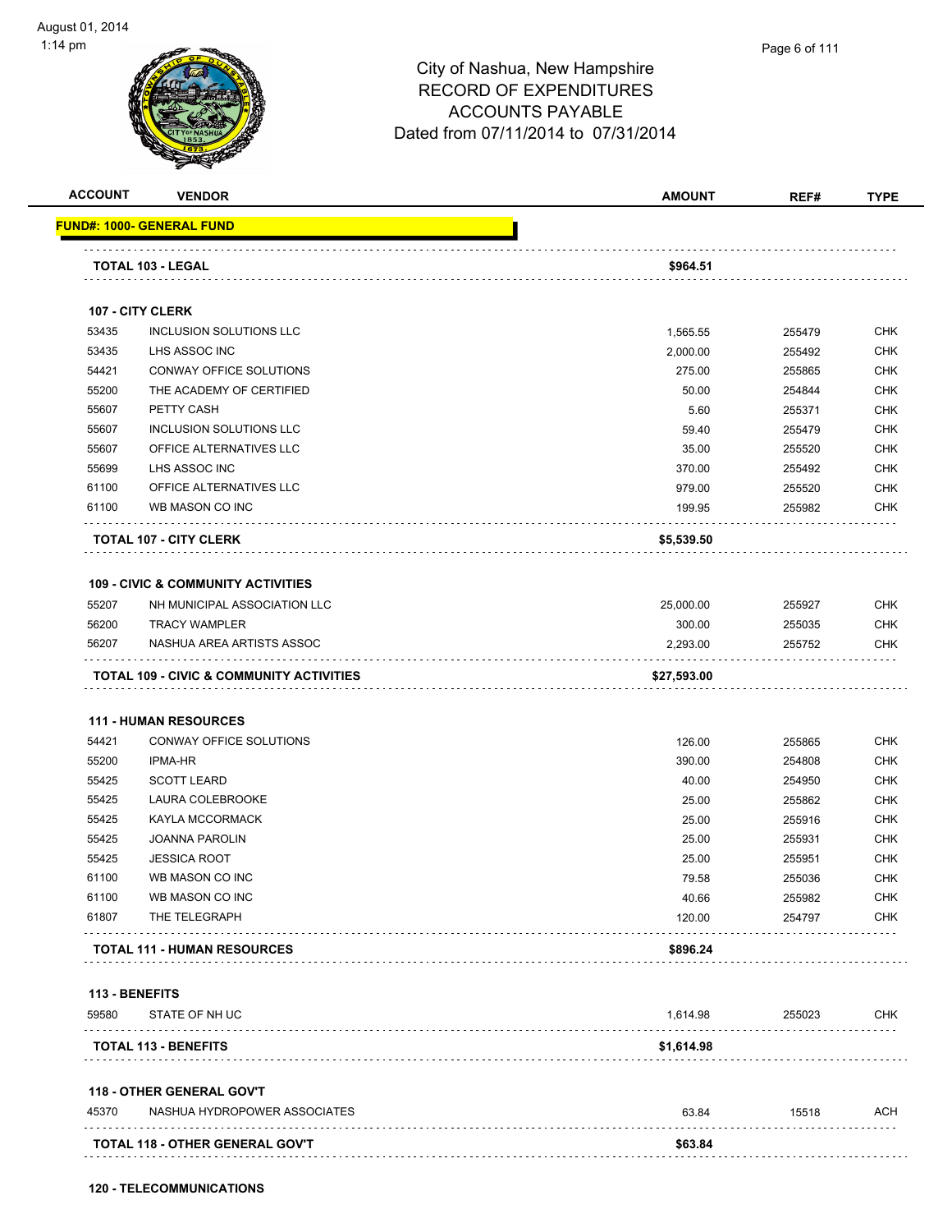|       | <b>VENDOR</b>                                       | <b>AMOUNT</b> | REF#   | <b>TYPE</b>                                                                                           |
|-------|-----------------------------------------------------|---------------|--------|-------------------------------------------------------------------------------------------------------|
|       | <u> FUND#: 1000- GENERAL FUND</u>                   |               |        |                                                                                                       |
|       | TOTAL 103 - LEGAL                                   | \$964.51      |        |                                                                                                       |
|       |                                                     |               |        |                                                                                                       |
|       | 107 - CITY CLERK                                    |               |        |                                                                                                       |
| 53435 | <b>INCLUSION SOLUTIONS LLC</b>                      | 1,565.55      | 255479 | <b>CHK</b>                                                                                            |
| 53435 | LHS ASSOC INC                                       | 2,000.00      | 255492 | <b>CHK</b>                                                                                            |
| 54421 | CONWAY OFFICE SOLUTIONS                             | 275.00        | 255865 | <b>CHK</b>                                                                                            |
| 55200 | THE ACADEMY OF CERTIFIED                            | 50.00         | 254844 | CHK                                                                                                   |
| 55607 | PETTY CASH                                          | 5.60          | 255371 | <b>CHK</b>                                                                                            |
| 55607 | INCLUSION SOLUTIONS LLC                             | 59.40         | 255479 | <b>CHK</b>                                                                                            |
| 55607 | OFFICE ALTERNATIVES LLC                             | 35.00         | 255520 | <b>CHK</b>                                                                                            |
| 55699 | LHS ASSOC INC                                       | 370.00        | 255492 | <b>CHK</b>                                                                                            |
| 61100 | OFFICE ALTERNATIVES LLC                             | 979.00        | 255520 | <b>CHK</b>                                                                                            |
| 61100 | WB MASON CO INC                                     | 199.95        | 255982 | CHK                                                                                                   |
|       | <b>TOTAL 107 - CITY CLERK</b>                       | \$5,539.50    |        |                                                                                                       |
|       | <b>109 - CIVIC &amp; COMMUNITY ACTIVITIES</b>       |               |        |                                                                                                       |
| 55207 | NH MUNICIPAL ASSOCIATION LLC                        | 25,000.00     | 255927 | CHK                                                                                                   |
| 56200 | <b>TRACY WAMPLER</b>                                | 300.00        | 255035 | <b>CHK</b>                                                                                            |
| 56207 | NASHUA AREA ARTISTS ASSOC                           | 2,293.00      | 255752 | CHK                                                                                                   |
|       | <b>TOTAL 109 - CIVIC &amp; COMMUNITY ACTIVITIES</b> | \$27,593.00   |        |                                                                                                       |
|       |                                                     |               |        |                                                                                                       |
|       | <b>111 - HUMAN RESOURCES</b>                        |               |        |                                                                                                       |
| 54421 | CONWAY OFFICE SOLUTIONS                             | 126.00        | 255865 | <b>CHK</b>                                                                                            |
|       | <b>IPMA-HR</b>                                      | 390.00        | 254808 | <b>CHK</b>                                                                                            |
| 55200 | <b>SCOTT LEARD</b>                                  |               |        |                                                                                                       |
| 55425 |                                                     | 40.00         | 254950 |                                                                                                       |
| 55425 | LAURA COLEBROOKE                                    | 25.00         | 255862 |                                                                                                       |
| 55425 | <b>KAYLA MCCORMACK</b>                              | 25.00         | 255916 |                                                                                                       |
| 55425 | <b>JOANNA PAROLIN</b>                               | 25.00         | 255931 |                                                                                                       |
| 55425 | <b>JESSICA ROOT</b>                                 | 25.00         | 255951 |                                                                                                       |
| 61100 | WB MASON CO INC                                     | 79.58         | 255036 |                                                                                                       |
| 61100 | WB MASON CO INC                                     | 40.66         | 255982 |                                                                                                       |
| 61807 | THE TELEGRAPH                                       | 120.00        | 254797 |                                                                                                       |
|       | <b>TOTAL 111 - HUMAN RESOURCES</b>                  | \$896.24      |        |                                                                                                       |
|       |                                                     |               |        |                                                                                                       |
| 59580 | 113 - BENEFITS<br>STATE OF NH UC                    | 1,614.98      | 255023 |                                                                                                       |
|       | <b>TOTAL 113 - BENEFITS</b>                         | \$1,614.98    |        |                                                                                                       |
|       |                                                     |               |        |                                                                                                       |
|       | 118 - OTHER GENERAL GOV'T                           |               |        |                                                                                                       |
| 45370 | NASHUA HYDROPOWER ASSOCIATES                        | 63.84         | 15518  | <b>CHK</b><br><b>CHK</b><br>CHK<br>CHK<br><b>CHK</b><br>CHK<br><b>CHK</b><br>CHK<br><b>CHK</b><br>ACH |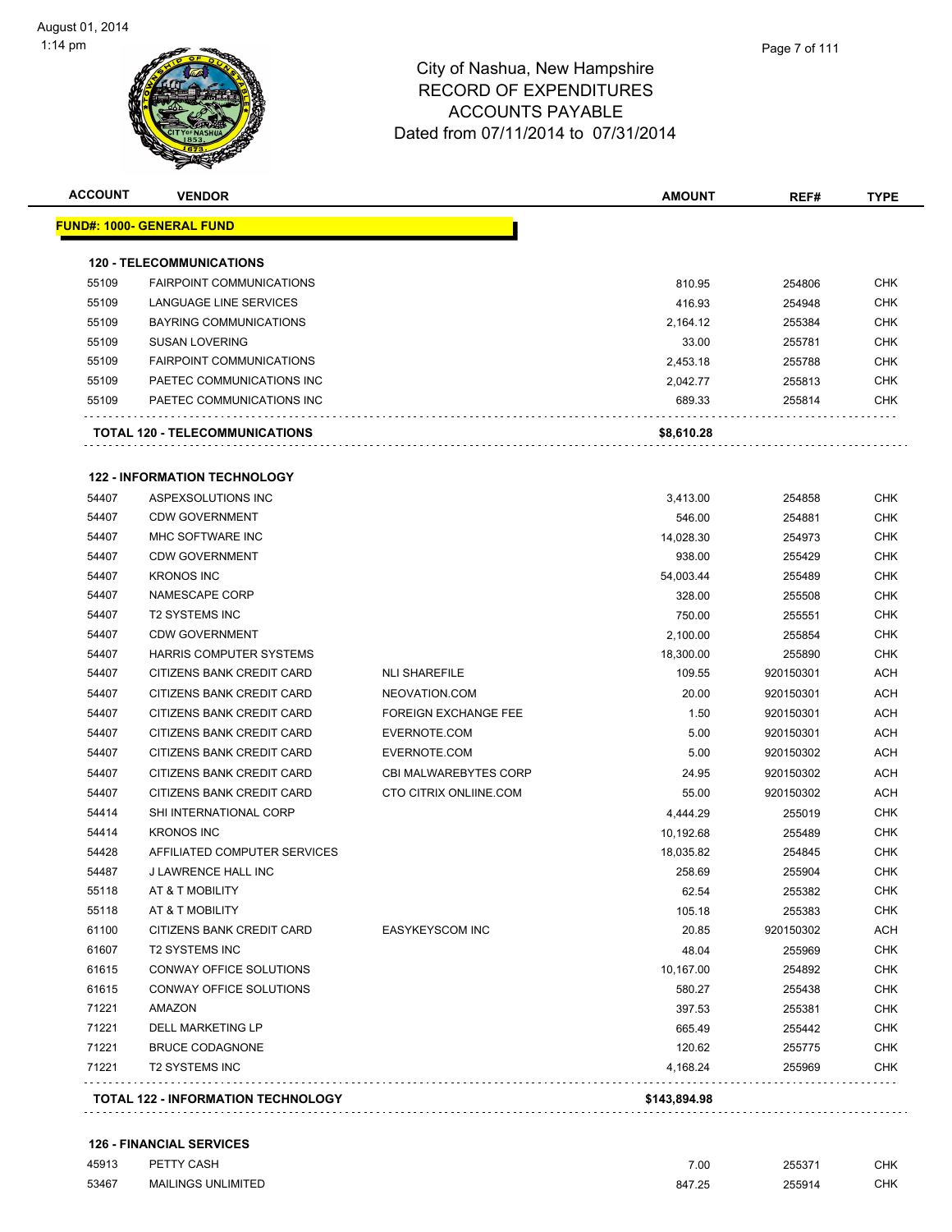| <b>ACCOUNT</b> | <b>VENDOR</b>                             |                              | <b>AMOUNT</b> | REF#      | <b>TYPE</b> |
|----------------|-------------------------------------------|------------------------------|---------------|-----------|-------------|
|                | <u> FUND#: 1000- GENERAL FUND</u>         |                              |               |           |             |
|                | <b>120 - TELECOMMUNICATIONS</b>           |                              |               |           |             |
| 55109          | <b>FAIRPOINT COMMUNICATIONS</b>           |                              | 810.95        | 254806    | <b>CHK</b>  |
| 55109          | LANGUAGE LINE SERVICES                    |                              | 416.93        | 254948    | CHK         |
| 55109          | <b>BAYRING COMMUNICATIONS</b>             |                              | 2,164.12      | 255384    | <b>CHK</b>  |
| 55109          | <b>SUSAN LOVERING</b>                     |                              | 33.00         | 255781    | CHK         |
| 55109          | <b>FAIRPOINT COMMUNICATIONS</b>           |                              | 2,453.18      | 255788    | <b>CHK</b>  |
| 55109          | PAETEC COMMUNICATIONS INC                 |                              | 2,042.77      | 255813    | <b>CHK</b>  |
| 55109          | PAETEC COMMUNICATIONS INC                 |                              | 689.33        | 255814    | CHK         |
|                | <b>TOTAL 120 - TELECOMMUNICATIONS</b>     |                              | \$8,610.28    |           |             |
|                | <b>122 - INFORMATION TECHNOLOGY</b>       |                              |               |           |             |
| 54407          | ASPEXSOLUTIONS INC                        |                              | 3,413.00      | 254858    | CHK         |
| 54407          | <b>CDW GOVERNMENT</b>                     |                              | 546.00        | 254881    | CHK         |
| 54407          | MHC SOFTWARE INC                          |                              | 14,028.30     | 254973    | <b>CHK</b>  |
| 54407          | <b>CDW GOVERNMENT</b>                     |                              | 938.00        | 255429    | CHK         |
| 54407          | <b>KRONOS INC</b>                         |                              | 54,003.44     | 255489    | <b>CHK</b>  |
| 54407          | NAMESCAPE CORP                            |                              | 328.00        | 255508    | <b>CHK</b>  |
| 54407          | <b>T2 SYSTEMS INC</b>                     |                              | 750.00        | 255551    | CHK         |
| 54407          | <b>CDW GOVERNMENT</b>                     |                              | 2,100.00      | 255854    | CHK         |
| 54407          | HARRIS COMPUTER SYSTEMS                   |                              | 18,300.00     | 255890    | CHK         |
| 54407          | CITIZENS BANK CREDIT CARD                 | <b>NLI SHAREFILE</b>         | 109.55        | 920150301 | ACH         |
| 54407          | CITIZENS BANK CREDIT CARD                 | NEOVATION.COM                | 20.00         | 920150301 | ACH         |
| 54407          | CITIZENS BANK CREDIT CARD                 | <b>FOREIGN EXCHANGE FEE</b>  | 1.50          | 920150301 | ACH         |
| 54407          | CITIZENS BANK CREDIT CARD                 | EVERNOTE.COM                 | 5.00          | 920150301 | <b>ACH</b>  |
| 54407          | CITIZENS BANK CREDIT CARD                 | EVERNOTE.COM                 | 5.00          | 920150302 | ACH         |
| 54407          | CITIZENS BANK CREDIT CARD                 | <b>CBI MALWAREBYTES CORP</b> | 24.95         | 920150302 | <b>ACH</b>  |
| 54407          | CITIZENS BANK CREDIT CARD                 | CTO CITRIX ONLIINE.COM       | 55.00         | 920150302 | ACH         |
| 54414          | SHI INTERNATIONAL CORP                    |                              | 4,444.29      | 255019    | CHK         |
| 54414          | <b>KRONOS INC</b>                         |                              | 10,192.68     | 255489    | CHK         |
| 54428          | AFFILIATED COMPUTER SERVICES              |                              | 18,035.82     | 254845    | <b>CHK</b>  |
| 54487          | J LAWRENCE HALL INC                       |                              | 258.69        | 255904    | <b>CHK</b>  |
| 55118          | AT & T MOBILITY                           |                              | 62.54         | 255382    | CHK         |
| 55118          | AT & T MOBILITY                           |                              | 105.18        | 255383    | <b>CHK</b>  |
| 61100          | CITIZENS BANK CREDIT CARD                 | EASYKEYSCOM INC              | 20.85         | 920150302 | ACH         |
| 61607          | <b>T2 SYSTEMS INC</b>                     |                              | 48.04         | 255969    | <b>CHK</b>  |
| 61615          | CONWAY OFFICE SOLUTIONS                   |                              | 10,167.00     | 254892    | <b>CHK</b>  |
| 61615          | CONWAY OFFICE SOLUTIONS                   |                              | 580.27        | 255438    | <b>CHK</b>  |
| 71221          | <b>AMAZON</b>                             |                              | 397.53        | 255381    | <b>CHK</b>  |
| 71221          | DELL MARKETING LP                         |                              | 665.49        | 255442    | CHK         |
| 71221          | <b>BRUCE CODAGNONE</b>                    |                              | 120.62        | 255775    | <b>CHK</b>  |
| 71221          | <b>T2 SYSTEMS INC</b>                     |                              | 4,168.24      | 255969    | <b>CHK</b>  |
|                | <b>TOTAL 122 - INFORMATION TECHNOLOGY</b> |                              | \$143,894.98  |           |             |
|                |                                           |                              |               |           |             |

#### **126 - FINANCIAL SERVICES**

| 45913 | PETTY CASH                | 7.00                                  | 255371      | CHK |
|-------|---------------------------|---------------------------------------|-------------|-----|
| 53467 | <b>MAILINGS UNLIMITED</b> | 847.25<br>$\sim$ $\sim$ $\sim$ $\sim$ | 255914<br>. | CHK |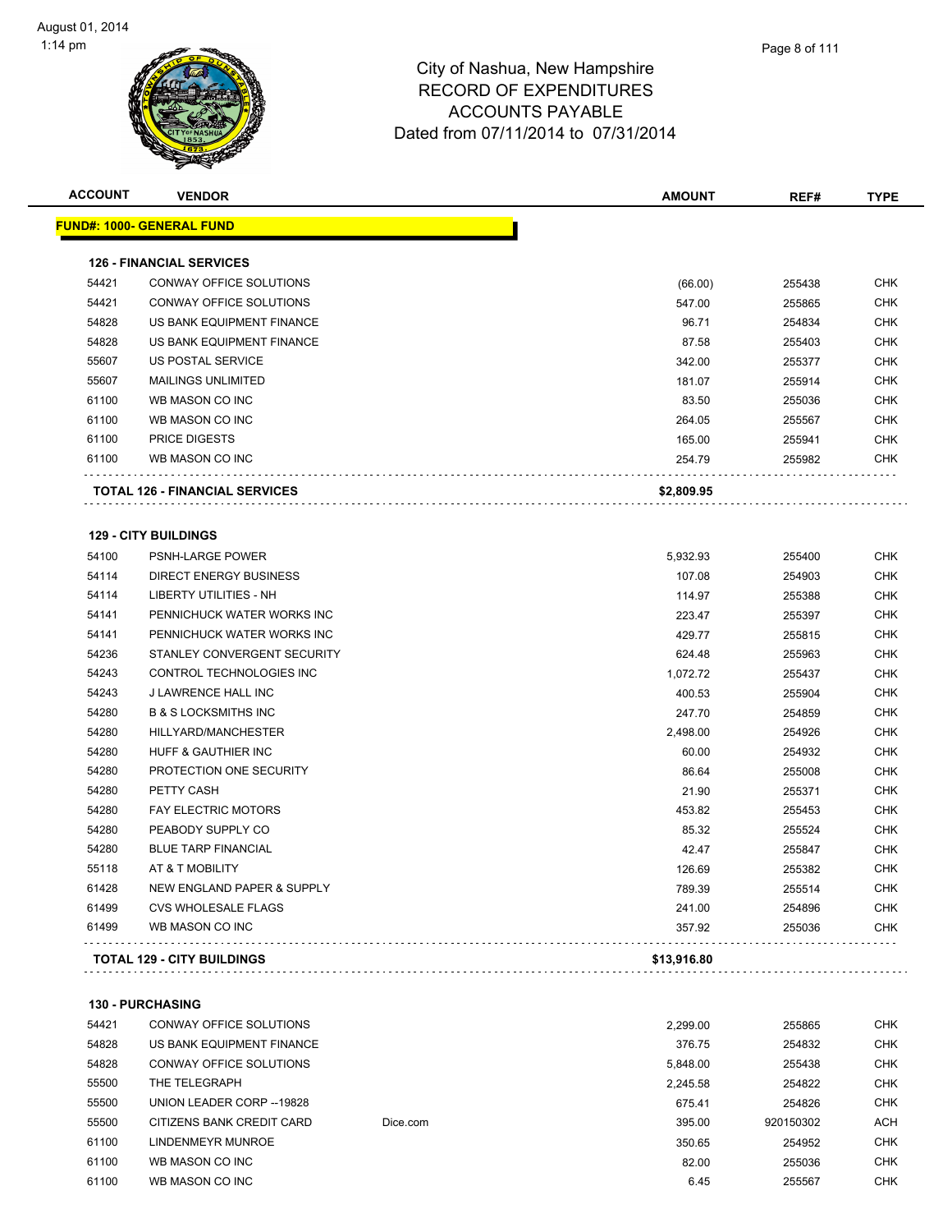| <b>ACCOUNT</b> | <b>VENDOR</b>                         | <b>AMOUNT</b>      | REF#             | <b>TYPE</b>  |
|----------------|---------------------------------------|--------------------|------------------|--------------|
|                | <u> FUND#: 1000- GENERAL FUND</u>     |                    |                  |              |
|                |                                       |                    |                  |              |
|                | <b>126 - FINANCIAL SERVICES</b>       |                    |                  |              |
| 54421          | CONWAY OFFICE SOLUTIONS               | (66.00)            | 255438           | <b>CHK</b>   |
| 54421          | CONWAY OFFICE SOLUTIONS               | 547.00             | 255865           | <b>CHK</b>   |
| 54828          | US BANK EQUIPMENT FINANCE             | 96.71              | 254834           | CHK          |
| 54828          | US BANK EQUIPMENT FINANCE             | 87.58              | 255403           | CHK          |
| 55607          | US POSTAL SERVICE                     | 342.00             | 255377           | CHK          |
| 55607          | <b>MAILINGS UNLIMITED</b>             | 181.07             | 255914           | CHK          |
| 61100          | WB MASON CO INC                       | 83.50              | 255036           | <b>CHK</b>   |
| 61100          | WB MASON CO INC                       | 264.05             | 255567           | CHK          |
| 61100          | <b>PRICE DIGESTS</b>                  | 165.00             | 255941           | CHK          |
| 61100          | WB MASON CO INC                       | 254.79             | 255982           | CHK          |
|                | <b>TOTAL 126 - FINANCIAL SERVICES</b> | \$2,809.95         |                  |              |
|                | <b>129 - CITY BUILDINGS</b>           |                    |                  |              |
| 54100          | PSNH-LARGE POWER                      | 5,932.93           | 255400           | CHK          |
| 54114          | <b>DIRECT ENERGY BUSINESS</b>         | 107.08             | 254903           | CHK          |
| 54114          | LIBERTY UTILITIES - NH                | 114.97             | 255388           | CHK          |
| 54141          | PENNICHUCK WATER WORKS INC            | 223.47             | 255397           | CHK          |
| 54141          | PENNICHUCK WATER WORKS INC            | 429.77             | 255815           | CHK          |
| 54236          | STANLEY CONVERGENT SECURITY           | 624.48             | 255963           | CHK          |
| 54243          | CONTROL TECHNOLOGIES INC              | 1,072.72           | 255437           | <b>CHK</b>   |
| 54243          | J LAWRENCE HALL INC                   | 400.53             | 255904           | CHK          |
| 54280          | <b>B &amp; S LOCKSMITHS INC</b>       | 247.70             | 254859           | CHK          |
| 54280          | HILLYARD/MANCHESTER                   | 2,498.00           | 254926           | CHK          |
| 54280          | HUFF & GAUTHIER INC                   | 60.00              | 254932           | CHK          |
| 54280          | PROTECTION ONE SECURITY               | 86.64              | 255008           | CHK          |
| 54280          | PETTY CASH                            | 21.90              | 255371           | CHK          |
| 54280          | <b>FAY ELECTRIC MOTORS</b>            | 453.82             | 255453           | CHK          |
| 54280          | PEABODY SUPPLY CO                     | 85.32              | 255524           | <b>CHK</b>   |
| 54280          | <b>BLUE TARP FINANCIAL</b>            | 42.47              | 255847           | CHK          |
| 55118          | AT & T MOBILITY                       | 126.69             | 255382           | <b>CHK</b>   |
| 61428          | NEW ENGLAND PAPER & SUPPLY            | 789.39             | 255514           | CHK          |
| 61499          | <b>CVS WHOLESALE FLAGS</b>            | 241.00             | 254896           | <b>CHK</b>   |
| 61499          | WB MASON CO INC                       | 357.92             | 255036           | CHK          |
|                | <b>TOTAL 129 - CITY BUILDINGS</b>     | \$13,916.80        |                  |              |
|                | 130 - PURCHASING                      |                    |                  |              |
| 54421          | CONWAY OFFICE SOLUTIONS               |                    |                  | <b>CHK</b>   |
| 54828          | US BANK EQUIPMENT FINANCE             | 2,299.00<br>376.75 | 255865<br>254832 | CHK          |
| 54828          | CONWAY OFFICE SOLUTIONS               | 5,848.00           | 255438           | CHK          |
| FFRO           | TUE TELEODADU                         |                    | $-100$           | $\sim$ $\mu$ |

| 54828 | CONWAY OFFICE SOLUTIONS   |          | 5.848.00 | 255438    | <b>CHK</b> |
|-------|---------------------------|----------|----------|-----------|------------|
| 55500 | THE TELEGRAPH             |          | 2.245.58 | 254822    | <b>CHK</b> |
| 55500 | UNION LEADER CORP --19828 |          | 675.41   | 254826    | <b>CHK</b> |
| 55500 | CITIZENS BANK CREDIT CARD | Dice.com | 395.00   | 920150302 | <b>ACH</b> |
| 61100 | LINDENMEYR MUNROE         |          | 350.65   | 254952    | <b>CHK</b> |
| 61100 | WB MASON CO INC           |          | 82.00    | 255036    | <b>CHK</b> |
| 61100 | WB MASON CO INC           |          | 6.45     | 255567    | <b>CHK</b> |
|       |                           |          |          |           |            |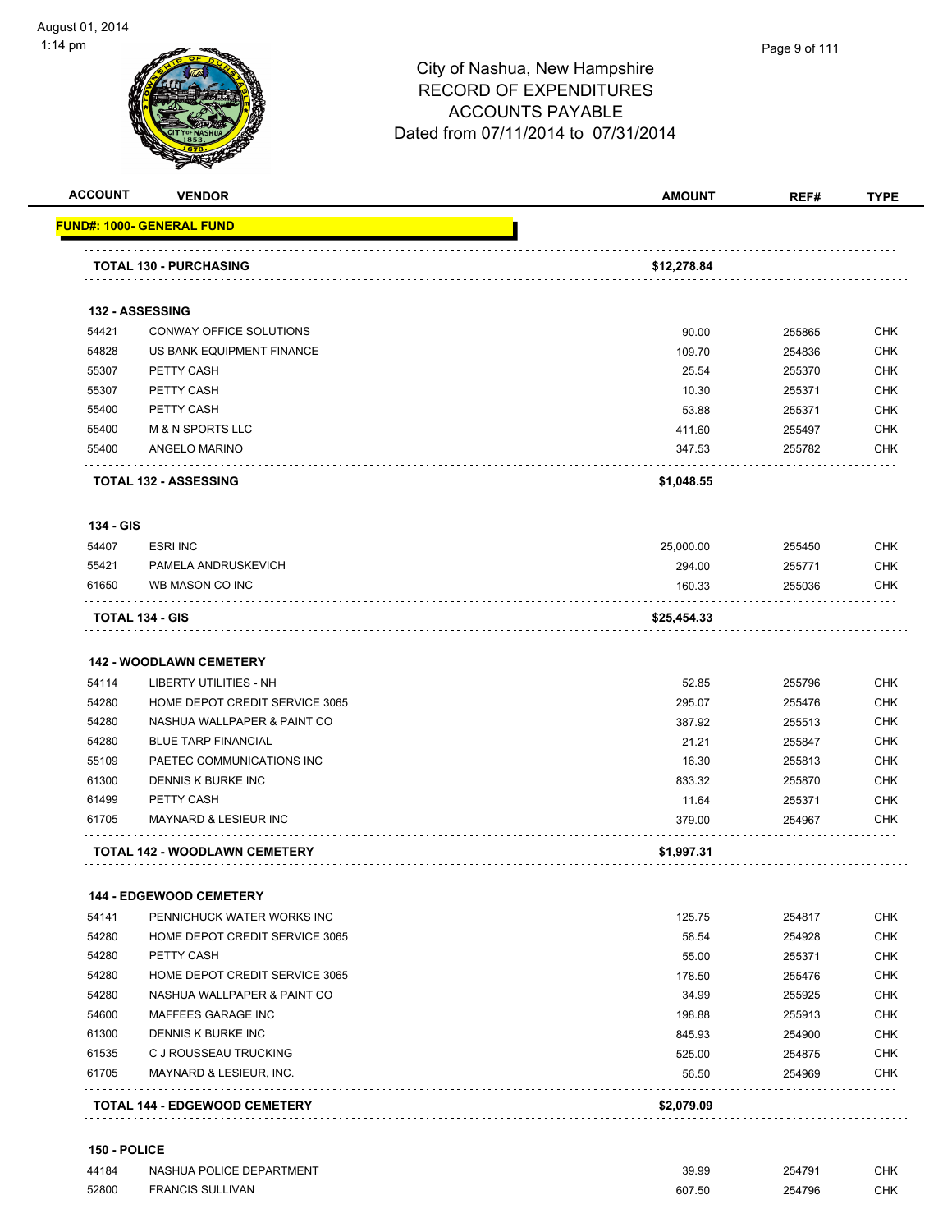



|                                                                               | <b>VENDOR</b>                                            | <b>AMOUNT</b> | REF#   | <b>TYPE</b>                                                                                                                       |
|-------------------------------------------------------------------------------|----------------------------------------------------------|---------------|--------|-----------------------------------------------------------------------------------------------------------------------------------|
|                                                                               | FUND#: 1000- GENERAL FUND                                |               |        |                                                                                                                                   |
|                                                                               | <b>TOTAL 130 - PURCHASING</b>                            | \$12,278.84   |        |                                                                                                                                   |
|                                                                               |                                                          |               |        |                                                                                                                                   |
|                                                                               | 132 - ASSESSING                                          |               |        |                                                                                                                                   |
| 54421                                                                         | CONWAY OFFICE SOLUTIONS                                  | 90.00         | 255865 | <b>CHK</b>                                                                                                                        |
| 54828                                                                         | US BANK EQUIPMENT FINANCE                                | 109.70        | 254836 | <b>CHK</b>                                                                                                                        |
| 55307                                                                         | PETTY CASH                                               | 25.54         | 255370 | <b>CHK</b>                                                                                                                        |
| 55307                                                                         | PETTY CASH                                               | 10.30         | 255371 | <b>CHK</b>                                                                                                                        |
| 55400                                                                         | PETTY CASH                                               | 53.88         | 255371 | <b>CHK</b>                                                                                                                        |
| 55400                                                                         | <b>M &amp; N SPORTS LLC</b>                              | 411.60        | 255497 | <b>CHK</b>                                                                                                                        |
| 55400                                                                         | ANGELO MARINO                                            | 347.53        | 255782 | <b>CHK</b>                                                                                                                        |
|                                                                               | <b>TOTAL 132 - ASSESSING</b>                             | \$1,048.55    |        |                                                                                                                                   |
| 134 - GIS                                                                     |                                                          |               |        |                                                                                                                                   |
| 54407                                                                         | <b>ESRI INC</b>                                          | 25,000.00     | 255450 | <b>CHK</b>                                                                                                                        |
| 55421                                                                         | PAMELA ANDRUSKEVICH                                      | 294.00        | 255771 | <b>CHK</b>                                                                                                                        |
| 61650                                                                         | WB MASON CO INC                                          | 160.33        | 255036 | <b>CHK</b>                                                                                                                        |
|                                                                               | TOTAL 134 - GIS                                          | \$25,454.33   |        |                                                                                                                                   |
| 54114                                                                         | <b>142 - WOODLAWN CEMETERY</b><br>LIBERTY UTILITIES - NH | 52.85         | 255796 | <b>CHK</b>                                                                                                                        |
| 54280                                                                         | HOME DEPOT CREDIT SERVICE 3065                           | 295.07        | 255476 | <b>CHK</b>                                                                                                                        |
| 54280                                                                         | NASHUA WALLPAPER & PAINT CO                              | 387.92        | 255513 | <b>CHK</b>                                                                                                                        |
| 54280                                                                         | <b>BLUE TARP FINANCIAL</b>                               | 21.21         | 255847 | <b>CHK</b>                                                                                                                        |
| 55109                                                                         | PAETEC COMMUNICATIONS INC                                | 16.30         | 255813 | <b>CHK</b>                                                                                                                        |
| 61300                                                                         | DENNIS K BURKE INC                                       | 833.32        | 255870 | <b>CHK</b>                                                                                                                        |
|                                                                               | PETTY CASH                                               |               |        |                                                                                                                                   |
|                                                                               |                                                          | 11.64         | 255371 |                                                                                                                                   |
|                                                                               | <b>MAYNARD &amp; LESIEUR INC</b>                         | 379.00        | 254967 |                                                                                                                                   |
| 61499<br>61705                                                                | .<br>TOTAL 142 - WOODLAWN CEMETERY                       | \$1,997.31    |        |                                                                                                                                   |
|                                                                               | <b>144 - EDGEWOOD CEMETERY</b>                           |               |        |                                                                                                                                   |
|                                                                               | PENNICHUCK WATER WORKS INC                               | 125.75        | 254817 |                                                                                                                                   |
|                                                                               | HOME DEPOT CREDIT SERVICE 3065                           | 58.54         | 254928 |                                                                                                                                   |
|                                                                               | PETTY CASH                                               | 55.00         | 255371 |                                                                                                                                   |
|                                                                               | HOME DEPOT CREDIT SERVICE 3065                           | 178.50        | 255476 |                                                                                                                                   |
|                                                                               | NASHUA WALLPAPER & PAINT CO                              | 34.99         | 255925 |                                                                                                                                   |
|                                                                               | MAFFEES GARAGE INC                                       | 198.88        | 255913 |                                                                                                                                   |
|                                                                               | DENNIS K BURKE INC                                       | 845.93        | 254900 |                                                                                                                                   |
|                                                                               | C J ROUSSEAU TRUCKING                                    | 525.00        | 254875 |                                                                                                                                   |
| 54141<br>54280<br>54280<br>54280<br>54280<br>54600<br>61300<br>61535<br>61705 | MAYNARD & LESIEUR, INC.                                  | 56.50         | 254969 | <b>CHK</b><br><b>CHK</b><br><b>CHK</b><br><b>CHK</b><br><b>CHK</b><br>CHK<br><b>CHK</b><br><b>CHK</b><br><b>CHK</b><br>CHK<br>CHK |

 NASHUA POLICE DEPARTMENT 39.99 254791 CHK FRANCIS SULLIVAN 607.50 254796 CHK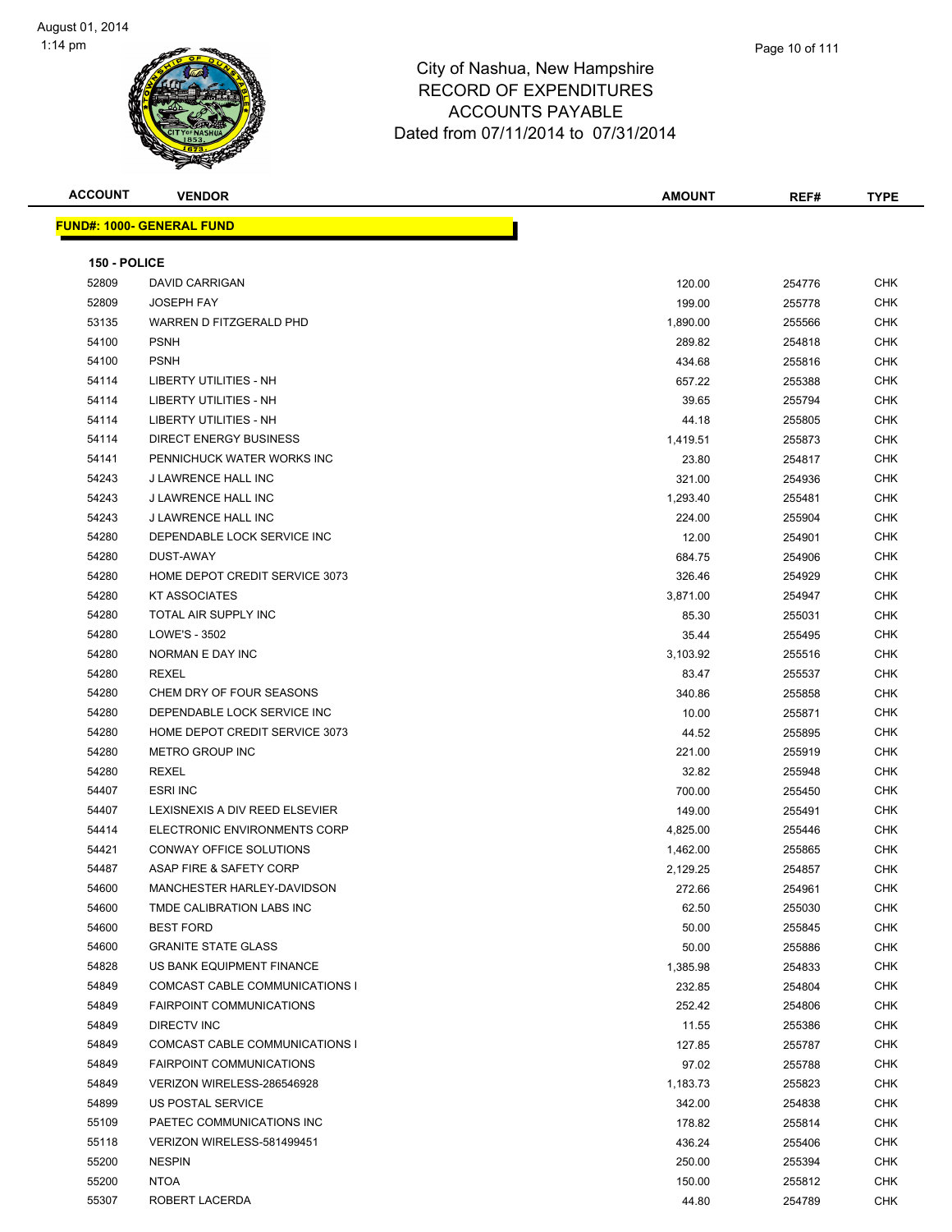

| <b>ACCOUNT</b> | <b>VENDOR</b>                    | AMOUNT   | REF#   | <b>TYPE</b> |
|----------------|----------------------------------|----------|--------|-------------|
|                | <b>FUND#: 1000- GENERAL FUND</b> |          |        |             |
|                |                                  |          |        |             |
| 150 - POLICE   |                                  |          |        |             |
| 52809          | <b>DAVID CARRIGAN</b>            | 120.00   | 254776 | <b>CHK</b>  |
| 52809          | <b>JOSEPH FAY</b>                | 199.00   | 255778 | <b>CHK</b>  |
| 53135          | WARREN D FITZGERALD PHD          | 1,890.00 | 255566 | <b>CHK</b>  |
| 54100          | <b>PSNH</b>                      | 289.82   | 254818 | <b>CHK</b>  |
| 54100          | <b>PSNH</b>                      | 434.68   | 255816 | <b>CHK</b>  |
| 54114          | <b>LIBERTY UTILITIES - NH</b>    | 657.22   | 255388 | <b>CHK</b>  |
| 54114          | LIBERTY UTILITIES - NH           | 39.65    | 255794 | <b>CHK</b>  |
| 54114          | LIBERTY UTILITIES - NH           | 44.18    | 255805 | <b>CHK</b>  |
| 54114          | <b>DIRECT ENERGY BUSINESS</b>    | 1,419.51 | 255873 | <b>CHK</b>  |
| 54141          | PENNICHUCK WATER WORKS INC       | 23.80    | 254817 | <b>CHK</b>  |
| 54243          | J LAWRENCE HALL INC              | 321.00   | 254936 | <b>CHK</b>  |
| 54243          | J LAWRENCE HALL INC              | 1,293.40 | 255481 | <b>CHK</b>  |
| 54243          | J LAWRENCE HALL INC              | 224.00   | 255904 | <b>CHK</b>  |
| 54280          | DEPENDABLE LOCK SERVICE INC      | 12.00    | 254901 | <b>CHK</b>  |
| 54280          | DUST-AWAY                        | 684.75   | 254906 | <b>CHK</b>  |
| 54280          | HOME DEPOT CREDIT SERVICE 3073   | 326.46   | 254929 | <b>CHK</b>  |
| 54280          | <b>KT ASSOCIATES</b>             | 3,871.00 | 254947 | <b>CHK</b>  |
| 54280          | TOTAL AIR SUPPLY INC             | 85.30    | 255031 | <b>CHK</b>  |
| 54280          | LOWE'S - 3502                    | 35.44    | 255495 | <b>CHK</b>  |
| 54280          | NORMAN E DAY INC                 | 3,103.92 | 255516 | <b>CHK</b>  |
| 54280          | <b>REXEL</b>                     | 83.47    | 255537 | <b>CHK</b>  |
| 54280          | CHEM DRY OF FOUR SEASONS         | 340.86   | 255858 | <b>CHK</b>  |
| 54280          | DEPENDABLE LOCK SERVICE INC      | 10.00    | 255871 | <b>CHK</b>  |
| 54280          | HOME DEPOT CREDIT SERVICE 3073   | 44.52    | 255895 | <b>CHK</b>  |
| 54280          | METRO GROUP INC                  | 221.00   | 255919 | <b>CHK</b>  |
| 54280          | <b>REXEL</b>                     | 32.82    | 255948 | <b>CHK</b>  |
| 54407          | <b>ESRI INC</b>                  | 700.00   | 255450 | <b>CHK</b>  |
| 54407          | LEXISNEXIS A DIV REED ELSEVIER   | 149.00   | 255491 | <b>CHK</b>  |
| 54414          | ELECTRONIC ENVIRONMENTS CORP     | 4,825.00 | 255446 | <b>CHK</b>  |
| 54421          | CONWAY OFFICE SOLUTIONS          | 1,462.00 | 255865 | <b>CHK</b>  |
| 54487          | ASAP FIRE & SAFETY CORP          | 2,129.25 | 254857 | <b>CHK</b>  |
| 54600          | MANCHESTER HARLEY-DAVIDSON       | 272.66   | 254961 | CHK         |
| 54600          | TMDE CALIBRATION LABS INC        | 62.50    | 255030 | <b>CHK</b>  |
| 54600          | <b>BEST FORD</b>                 | 50.00    | 255845 | CHK         |
| 54600          | <b>GRANITE STATE GLASS</b>       | 50.00    | 255886 | CHK         |
| 54828          | US BANK EQUIPMENT FINANCE        | 1,385.98 | 254833 | <b>CHK</b>  |
| 54849          | COMCAST CABLE COMMUNICATIONS I   | 232.85   | 254804 | <b>CHK</b>  |
| 54849          | <b>FAIRPOINT COMMUNICATIONS</b>  | 252.42   | 254806 | <b>CHK</b>  |
| 54849          | DIRECTV INC                      | 11.55    | 255386 | <b>CHK</b>  |
| 54849          | COMCAST CABLE COMMUNICATIONS I   | 127.85   | 255787 | CHK         |
| 54849          | <b>FAIRPOINT COMMUNICATIONS</b>  | 97.02    | 255788 | CHK         |
| 54849          | VERIZON WIRELESS-286546928       | 1,183.73 | 255823 | CHK         |
| 54899          | US POSTAL SERVICE                | 342.00   | 254838 | CHK         |
| 55109          | PAETEC COMMUNICATIONS INC        | 178.82   | 255814 | <b>CHK</b>  |
| 55118          | VERIZON WIRELESS-581499451       | 436.24   | 255406 | CHK         |
| 55200          | <b>NESPIN</b>                    | 250.00   | 255394 | CHK         |
| 55200          | <b>NTOA</b>                      | 150.00   | 255812 | CHK         |
| 55307          | ROBERT LACERDA                   | 44.80    | 254789 | CHK         |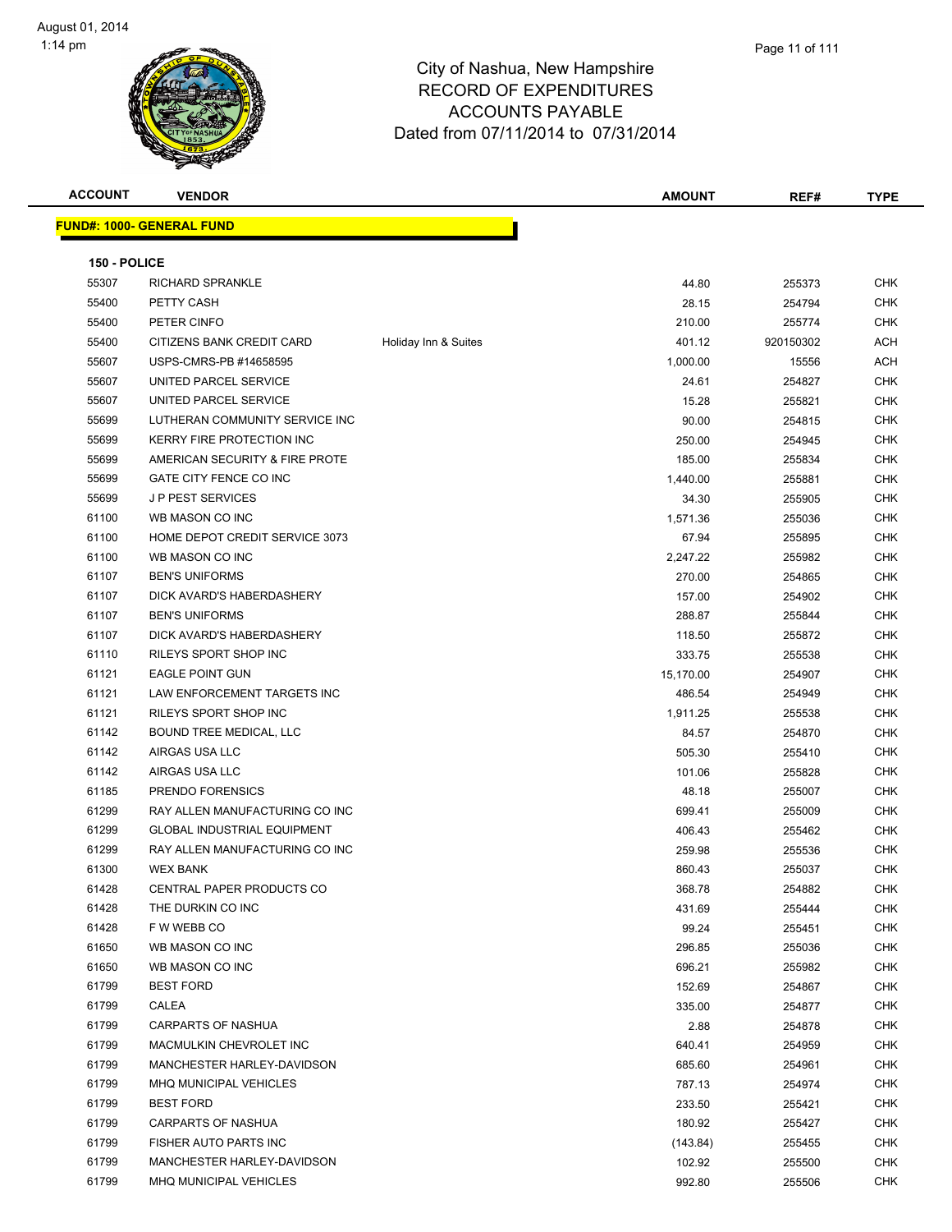

**ACCOUNT VENDOR AMOUNT REF# TYPE FUND#: 1000- GENERAL FUND 150 - POLICE** RICHARD SPRANKLE 44.80 255373 CHK PETTY CASH 28.15 254794 CHK PETER CINFO 210.00 255774 CHK 55400 CITIZENS BANK CREDIT CARD Holiday Inn & Suites 401.12 920150302 ACH USPS-CMRS-PB #14658595 1,000.00 15556 ACH UNITED PARCEL SERVICE 24.61 254827 CHK 55607 UNITED PARCEL SERVICE 15.28 255821 CHK LUTHERAN COMMUNITY SERVICE INC 90.00 254815 CHK KERRY FIRE PROTECTION INC 250.00 254945 CHK AMERICAN SECURITY & FIRE PROTE 185.00 255834 CHK GATE CITY FENCE CO INC 1,440.00 255881 CHK J P PEST SERVICES 34.30 255905 CHK WB MASON CO INC 1,571.36 255036 CHK 61100 HOME DEPOT CREDIT SERVICE 3073 67.94 67.94 255895 CHK WB MASON CO INC 2,247.22 255982 CHK BEN'S UNIFORMS 270.00 254865 CHK DICK AVARD'S HABERDASHERY 157.00 254902 CHK BEN'S UNIFORMS 288.87 255844 CHK DICK AVARD'S HABERDASHERY 118.50 255872 CHK 61110 RILEYS SPORT SHOP INC 255538 CHK EAGLE POINT GUN 15,170.00 254907 CHK LAW ENFORCEMENT TARGETS INC 486.54 254949 CHK RILEYS SPORT SHOP INC 1,911.25 255538 CHK eddie bound tree medical, LLC and the control of the control of the control of the control of the control of the control of the control of the control of the control of the control of the control of the control of the cont AIRGAS USA LLC 505.30 255410 CHK er and the state of the state of the state of the state of the state of the state of the state of the state of the state of the state of the state of the state of the state of the state of the state of the state of the sta PRENDO FORENSICS 48.18 255007 CHK RAY ALLEN MANUFACTURING CO INC 699.41 255009 CHK GLOBAL INDUSTRIAL EQUIPMENT 406.43 255462 CHK RAY ALLEN MANUFACTURING CO INC 259.98 255536 CHK WEX BANK 860.43 255037 CHK er and the Second CENTRAL PAPER PRODUCTS CO 368.78 368.78 254882 CHK THE DURKIN CO INC 431.69 255444 CHK F W WEBB CO 99.24 255451 CHK WB MASON CO INC 296.85 255036 CHK WB MASON CO INC 696.21 255982 CHK BEST FORD 152.69 254867 CHK CALEA 335.00 254877 CHK CARPARTS OF NASHUA 2.88 254878 CHK er 61799 MACMULKIN CHEVROLET INC No. 1999 September 2004 120 September 2004 121 April 254959 6640.41 MANCHESTER HARLEY-DAVIDSON 685.60 254961 CHK MHQ MUNICIPAL VEHICLES 787.13 254974 CHK BEST FORD 233.50 255421 CHK CARPARTS OF NASHUA 180.92 255427 CHK FISHER AUTO PARTS INC (143.84) 255455 CHK MANCHESTER HARLEY-DAVIDSON 102.92 255500 CHK MHQ MUNICIPAL VEHICLES 992.80 255506 CHK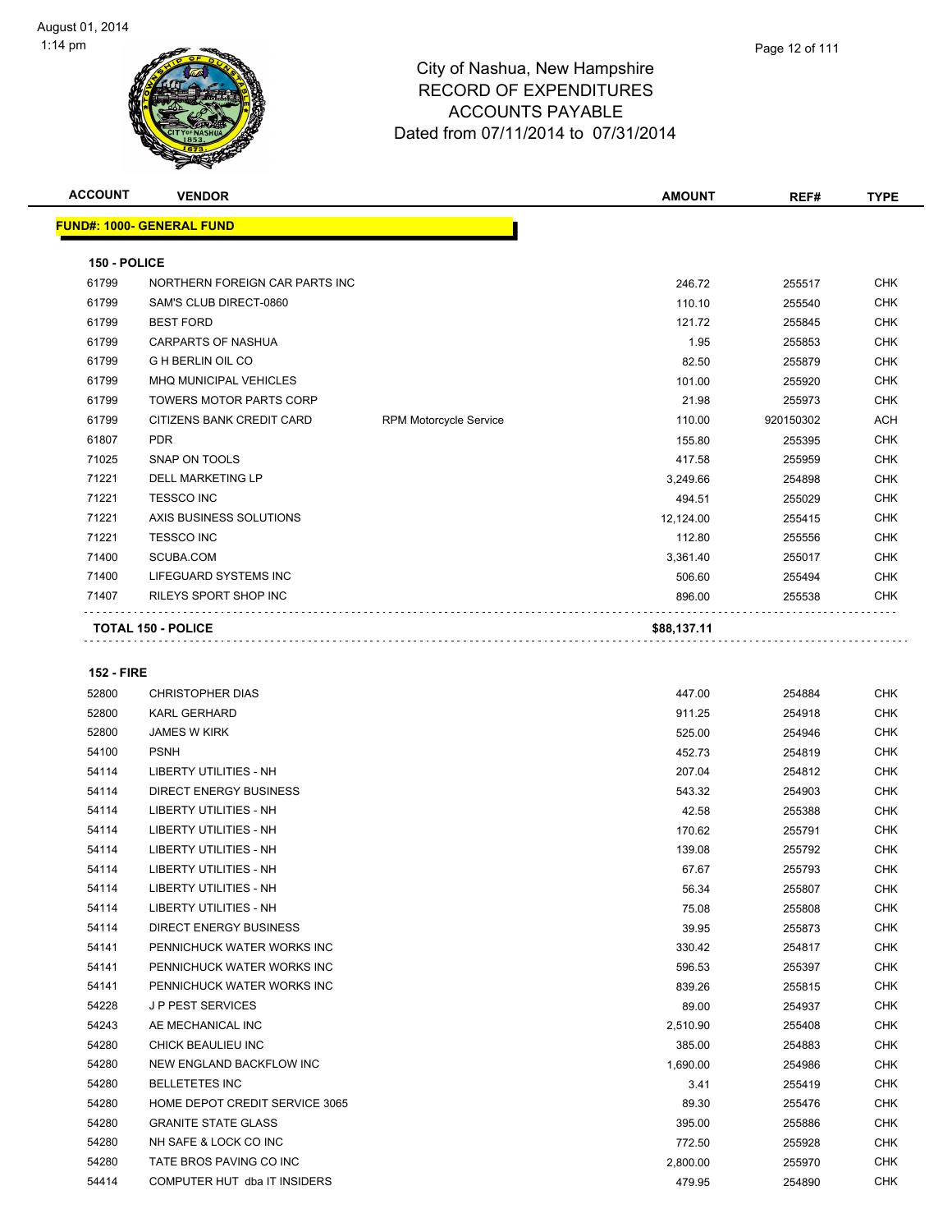| <b>ACCOUNT</b> | <b>VENDOR</b>                    |                               | <b>AMOUNT</b> | REF#      | <b>TYPE</b> |
|----------------|----------------------------------|-------------------------------|---------------|-----------|-------------|
|                | <b>FUND#: 1000- GENERAL FUND</b> |                               |               |           |             |
| 150 - POLICE   |                                  |                               |               |           |             |
| 61799          | NORTHERN FOREIGN CAR PARTS INC   |                               | 246.72        | 255517    | <b>CHK</b>  |
| 61799          | SAM'S CLUB DIRECT-0860           |                               | 110.10        | 255540    | <b>CHK</b>  |
| 61799          | <b>BEST FORD</b>                 |                               | 121.72        | 255845    | <b>CHK</b>  |
| 61799          | <b>CARPARTS OF NASHUA</b>        |                               | 1.95          | 255853    | <b>CHK</b>  |
| 61799          | <b>G H BERLIN OIL CO</b>         |                               | 82.50         | 255879    | <b>CHK</b>  |
| 61799          | <b>MHQ MUNICIPAL VEHICLES</b>    |                               | 101.00        | 255920    | <b>CHK</b>  |
| 61799          | <b>TOWERS MOTOR PARTS CORP</b>   |                               | 21.98         | 255973    | <b>CHK</b>  |
| 61799          | CITIZENS BANK CREDIT CARD        | <b>RPM Motorcycle Service</b> | 110.00        | 920150302 | <b>ACH</b>  |
| 61807          | <b>PDR</b>                       |                               | 155.80        | 255395    | <b>CHK</b>  |
| 71025          | <b>SNAP ON TOOLS</b>             |                               | 417.58        | 255959    | <b>CHK</b>  |
| 71221          | <b>DELL MARKETING LP</b>         |                               | 3,249.66      | 254898    | <b>CHK</b>  |
| 71221          | <b>TESSCO INC</b>                |                               | 494.51        | 255029    | <b>CHK</b>  |
| 71221          | AXIS BUSINESS SOLUTIONS          |                               | 12,124.00     | 255415    | <b>CHK</b>  |
| 71221          | <b>TESSCO INC</b>                |                               | 112.80        | 255556    | <b>CHK</b>  |
| 71400          | SCUBA.COM                        |                               | 3,361.40      | 255017    | <b>CHK</b>  |
| 71400          | LIFEGUARD SYSTEMS INC            |                               | 506.60        | 255494    | <b>CHK</b>  |
| 71407          | <b>RILEYS SPORT SHOP INC</b>     |                               | 896.00        | 255538    | <b>CHK</b>  |
|                | <b>TOTAL 150 - POLICE</b>        |                               | \$88,137.11   |           |             |

#### **152 - FIRE**

| 52800 | <b>CHRISTOPHER DIAS</b>        | 447.00   | 254884 | <b>CHK</b> |
|-------|--------------------------------|----------|--------|------------|
| 52800 | <b>KARL GERHARD</b>            | 911.25   | 254918 | <b>CHK</b> |
| 52800 | <b>JAMES W KIRK</b>            | 525.00   | 254946 | <b>CHK</b> |
| 54100 | <b>PSNH</b>                    | 452.73   | 254819 | <b>CHK</b> |
| 54114 | <b>LIBERTY UTILITIES - NH</b>  | 207.04   | 254812 | <b>CHK</b> |
| 54114 | <b>DIRECT ENERGY BUSINESS</b>  | 543.32   | 254903 | <b>CHK</b> |
| 54114 | <b>LIBERTY UTILITIES - NH</b>  | 42.58    | 255388 | <b>CHK</b> |
| 54114 | LIBERTY UTILITIES - NH         | 170.62   | 255791 | <b>CHK</b> |
| 54114 | <b>LIBERTY UTILITIES - NH</b>  | 139.08   | 255792 | <b>CHK</b> |
| 54114 | <b>LIBERTY UTILITIES - NH</b>  | 67.67    | 255793 | <b>CHK</b> |
| 54114 | <b>LIBERTY UTILITIES - NH</b>  | 56.34    | 255807 | <b>CHK</b> |
| 54114 | <b>LIBERTY UTILITIES - NH</b>  | 75.08    | 255808 | <b>CHK</b> |
| 54114 | <b>DIRECT ENERGY BUSINESS</b>  | 39.95    | 255873 | <b>CHK</b> |
| 54141 | PENNICHUCK WATER WORKS INC     | 330.42   | 254817 | <b>CHK</b> |
| 54141 | PENNICHUCK WATER WORKS INC     | 596.53   | 255397 | <b>CHK</b> |
| 54141 | PENNICHUCK WATER WORKS INC     | 839.26   | 255815 | <b>CHK</b> |
| 54228 | <b>JP PEST SERVICES</b>        | 89.00    | 254937 | <b>CHK</b> |
| 54243 | AE MECHANICAL INC              | 2,510.90 | 255408 | <b>CHK</b> |
| 54280 | CHICK BEAULIEU INC             | 385.00   | 254883 | <b>CHK</b> |
| 54280 | NEW ENGLAND BACKFLOW INC       | 1,690.00 | 254986 | <b>CHK</b> |
| 54280 | <b>BELLETETES INC</b>          | 3.41     | 255419 | <b>CHK</b> |
| 54280 | HOME DEPOT CREDIT SERVICE 3065 | 89.30    | 255476 | <b>CHK</b> |
| 54280 | <b>GRANITE STATE GLASS</b>     | 395.00   | 255886 | <b>CHK</b> |
| 54280 | NH SAFE & LOCK CO INC          | 772.50   | 255928 | <b>CHK</b> |
| 54280 | TATE BROS PAVING CO INC        | 2,800.00 | 255970 | <b>CHK</b> |
| 54414 | COMPUTER HUT dba IT INSIDERS   | 479.95   | 254890 | <b>CHK</b> |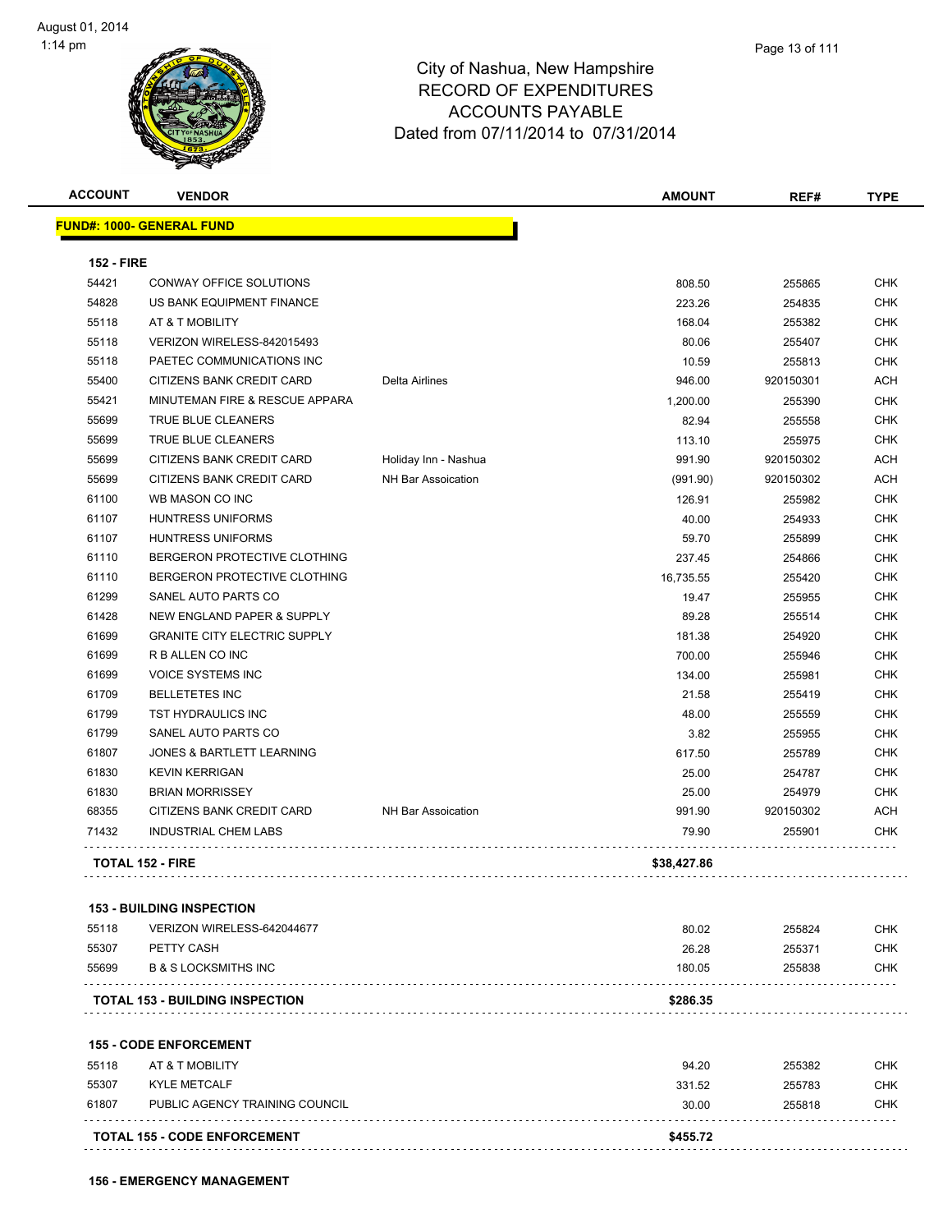

| <b>ACCOUNT</b>    | <b>VENDOR</b>                          |                           | <b>AMOUNT</b> | REF#      | <b>TYPE</b> |
|-------------------|----------------------------------------|---------------------------|---------------|-----------|-------------|
|                   | <b>FUND#: 1000- GENERAL FUND</b>       |                           |               |           |             |
| <b>152 - FIRE</b> |                                        |                           |               |           |             |
| 54421             | CONWAY OFFICE SOLUTIONS                |                           | 808.50        | 255865    | <b>CHK</b>  |
| 54828             | US BANK EQUIPMENT FINANCE              |                           | 223.26        | 254835    | CHK         |
| 55118             | AT & T MOBILITY                        |                           | 168.04        | 255382    | <b>CHK</b>  |
| 55118             | VERIZON WIRELESS-842015493             |                           | 80.06         | 255407    | <b>CHK</b>  |
| 55118             | PAETEC COMMUNICATIONS INC              |                           | 10.59         | 255813    | <b>CHK</b>  |
| 55400             | CITIZENS BANK CREDIT CARD              | <b>Delta Airlines</b>     | 946.00        | 920150301 | <b>ACH</b>  |
| 55421             | MINUTEMAN FIRE & RESCUE APPARA         |                           | 1,200.00      | 255390    | <b>CHK</b>  |
| 55699             | TRUE BLUE CLEANERS                     |                           | 82.94         | 255558    | <b>CHK</b>  |
| 55699             | TRUE BLUE CLEANERS                     |                           | 113.10        | 255975    | <b>CHK</b>  |
| 55699             | CITIZENS BANK CREDIT CARD              | Holiday Inn - Nashua      | 991.90        | 920150302 | ACH         |
| 55699             | CITIZENS BANK CREDIT CARD              | NH Bar Assoication        | (991.90)      | 920150302 | <b>ACH</b>  |
| 61100             | WB MASON CO INC                        |                           | 126.91        | 255982    | <b>CHK</b>  |
| 61107             | <b>HUNTRESS UNIFORMS</b>               |                           | 40.00         | 254933    | <b>CHK</b>  |
| 61107             | <b>HUNTRESS UNIFORMS</b>               |                           | 59.70         | 255899    | <b>CHK</b>  |
| 61110             | BERGERON PROTECTIVE CLOTHING           |                           | 237.45        | 254866    | <b>CHK</b>  |
| 61110             | BERGERON PROTECTIVE CLOTHING           |                           | 16,735.55     | 255420    | <b>CHK</b>  |
| 61299             | SANEL AUTO PARTS CO                    |                           | 19.47         | 255955    | <b>CHK</b>  |
| 61428             | NEW ENGLAND PAPER & SUPPLY             |                           | 89.28         | 255514    | <b>CHK</b>  |
| 61699             | <b>GRANITE CITY ELECTRIC SUPPLY</b>    |                           | 181.38        | 254920    | CHK         |
| 61699             | R B ALLEN CO INC                       |                           | 700.00        | 255946    | CHK         |
| 61699             | <b>VOICE SYSTEMS INC</b>               |                           | 134.00        | 255981    | <b>CHK</b>  |
| 61709             | <b>BELLETETES INC</b>                  |                           | 21.58         | 255419    | <b>CHK</b>  |
| 61799             | TST HYDRAULICS INC                     |                           | 48.00         | 255559    | <b>CHK</b>  |
| 61799             | SANEL AUTO PARTS CO                    |                           | 3.82          | 255955    | <b>CHK</b>  |
| 61807             | JONES & BARTLETT LEARNING              |                           | 617.50        | 255789    | <b>CHK</b>  |
| 61830             | <b>KEVIN KERRIGAN</b>                  |                           | 25.00         | 254787    | <b>CHK</b>  |
| 61830             | <b>BRIAN MORRISSEY</b>                 |                           | 25.00         | 254979    | <b>CHK</b>  |
| 68355             | CITIZENS BANK CREDIT CARD              | <b>NH Bar Assoication</b> | 991.90        | 920150302 | <b>ACH</b>  |
| 71432             | <b>INDUSTRIAL CHEM LABS</b>            |                           | 79.90         | 255901    | CHK         |
|                   | <b>TOTAL 152 - FIRE</b>                |                           | \$38,427.86   |           |             |
|                   |                                        |                           |               |           |             |
|                   | <b>153 - BUILDING INSPECTION</b>       |                           |               |           |             |
| 55118             | VERIZON WIRELESS-642044677             |                           | 80.02         | 255824    | <b>CHK</b>  |
| 55307             | PETTY CASH                             |                           | 26.28         | 255371    | <b>CHK</b>  |
| 55699             | <b>B &amp; S LOCKSMITHS INC</b>        |                           | 180.05        | 255838    | <b>CHK</b>  |
|                   | <b>TOTAL 153 - BUILDING INSPECTION</b> |                           | \$286.35      |           |             |
|                   | <b>155 - CODE ENFORCEMENT</b>          |                           |               |           |             |
| 55118             | AT & T MOBILITY                        |                           | 94.20         | 255382    | CHK         |
| <b>EE207</b>      | <b>IOU EMETOME</b>                     |                           | 224E2         | 255702    | <b>CHK</b>  |

|                | <b>TOTAL 155 - CODE ENFORCEMENT</b> | \$455.72 |        |     |
|----------------|-------------------------------------|----------|--------|-----|
|                |                                     |          |        |     |
| 61807          | PUBLIC AGENCY TRAINING COUNCIL      | 30.00    | 255818 | СНК |
| 55307          | KYLE METCALF                        | 331.52   | 255783 | СНК |
| <b>55 I IO</b> | AI & I MUDILII I                    | 94.ZU    | 200002 | ∪⊓N |

**156 - EMERGENCY MANAGEMENT**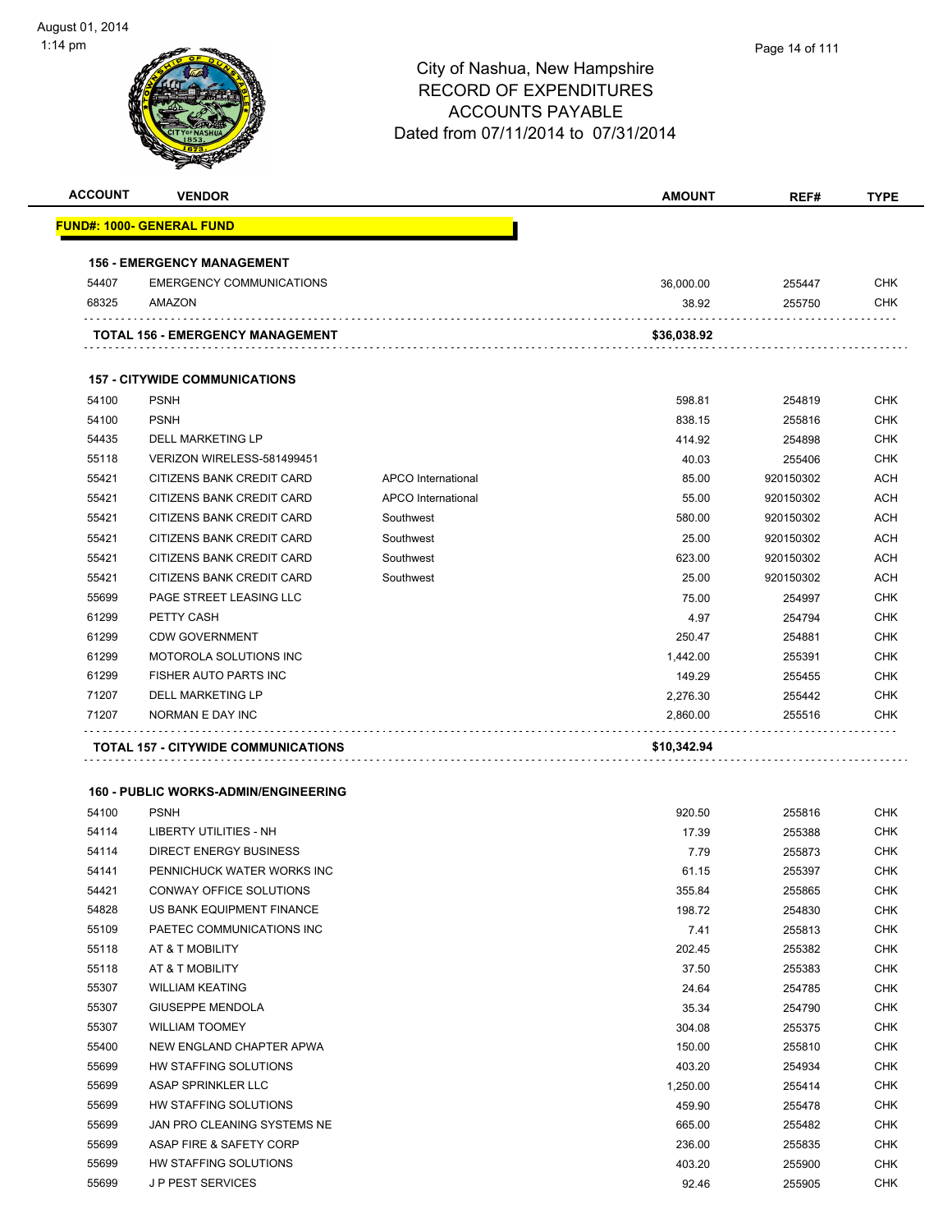| <b>ACCOUNT</b> | <b>VENDOR</b>                               |                    | <b>AMOUNT</b> | REF#      | <b>TYPE</b> |
|----------------|---------------------------------------------|--------------------|---------------|-----------|-------------|
|                | <u> FUND#: 1000- GENERAL FUND</u>           |                    |               |           |             |
|                | <b>156 - EMERGENCY MANAGEMENT</b>           |                    |               |           |             |
| 54407          | <b>EMERGENCY COMMUNICATIONS</b>             |                    | 36,000.00     | 255447    | <b>CHK</b>  |
| 68325          | AMAZON                                      |                    | 38.92         | 255750    | <b>CHK</b>  |
|                | TOTAL 156 - EMERGENCY MANAGEMENT            |                    | \$36,038.92   |           |             |
|                | <b>157 - CITYWIDE COMMUNICATIONS</b>        |                    |               |           |             |
| 54100          | <b>PSNH</b>                                 |                    | 598.81        | 254819    | <b>CHK</b>  |
| 54100          | <b>PSNH</b>                                 |                    | 838.15        | 255816    | <b>CHK</b>  |
| 54435          | DELL MARKETING LP                           |                    | 414.92        | 254898    | <b>CHK</b>  |
| 55118          | VERIZON WIRELESS-581499451                  |                    | 40.03         | 255406    | <b>CHK</b>  |
| 55421          | CITIZENS BANK CREDIT CARD                   | APCO International | 85.00         | 920150302 | <b>ACH</b>  |
| 55421          | CITIZENS BANK CREDIT CARD                   | APCO International | 55.00         | 920150302 | <b>ACH</b>  |
| 55421          | <b>CITIZENS BANK CREDIT CARD</b>            | Southwest          | 580.00        | 920150302 | <b>ACH</b>  |
| 55421          | CITIZENS BANK CREDIT CARD                   | Southwest          | 25.00         | 920150302 | <b>ACH</b>  |
| 55421          | CITIZENS BANK CREDIT CARD                   | Southwest          | 623.00        | 920150302 | <b>ACH</b>  |
| 55421          | CITIZENS BANK CREDIT CARD                   | Southwest          | 25.00         | 920150302 | <b>ACH</b>  |
| 55699          | PAGE STREET LEASING LLC                     |                    | 75.00         | 254997    | <b>CHK</b>  |
| 61299          | PETTY CASH                                  |                    | 4.97          | 254794    | <b>CHK</b>  |
| 61299          | <b>CDW GOVERNMENT</b>                       |                    | 250.47        | 254881    | <b>CHK</b>  |
| 61299          | MOTOROLA SOLUTIONS INC                      |                    | 1,442.00      | 255391    | <b>CHK</b>  |
| 61299          | <b>FISHER AUTO PARTS INC</b>                |                    | 149.29        | 255455    | <b>CHK</b>  |
| 71207          | <b>DELL MARKETING LP</b>                    |                    | 2,276.30      | 255442    | <b>CHK</b>  |
| 71207          | NORMAN E DAY INC                            |                    | 2,860.00      | 255516    | <b>CHK</b>  |
|                | TOTAL 157 - CITYWIDE COMMUNICATIONS         |                    | \$10,342.94   |           |             |
|                | <b>160 - PUBLIC WORKS-ADMIN/ENGINEERING</b> |                    |               |           |             |
| 54100          | <b>PSNH</b>                                 |                    | 920.50        | 255816    | <b>CHK</b>  |
| 54114          | LIBERTY UTILITIES - NH                      |                    | 17.39         | 255388    | <b>CHK</b>  |
| 54114          | <b>DIRECT ENERGY BUSINESS</b>               |                    | 7.79          | 255873    | <b>CHK</b>  |
| 54141          | PENNICHUCK WATER WORKS INC                  |                    | 61.15         | 255397    | CHK         |
| 54421          | CONWAY OFFICE SOLUTIONS                     |                    | 355.84        | 255865    | CHK         |
| 54828          | US BANK EQUIPMENT FINANCE                   |                    | 198.72        | 254830    | <b>CHK</b>  |
| 55109          | PAETEC COMMUNICATIONS INC                   |                    | 7.41          | 255813    | <b>CHK</b>  |
| 55118          | AT & T MOBILITY                             |                    | 202.45        | 255382    | <b>CHK</b>  |
| 55118          | AT & T MOBILITY                             |                    | 37.50         | 255383    | <b>CHK</b>  |
| 55307          | <b>WILLIAM KEATING</b>                      |                    | 24.64         | 254785    | <b>CHK</b>  |
| 55307          | <b>GIUSEPPE MENDOLA</b>                     |                    | 35.34         | 254790    | <b>CHK</b>  |
| 55307          | <b>WILLIAM TOOMEY</b>                       |                    | 304.08        | 255375    | <b>CHK</b>  |
| 55400          | NEW ENGLAND CHAPTER APWA                    |                    | 150.00        | 255810    | <b>CHK</b>  |
| 55699          | HW STAFFING SOLUTIONS                       |                    | 403.20        | 254934    | <b>CHK</b>  |
| 55699          | ASAP SPRINKLER LLC                          |                    | 1,250.00      | 255414    | <b>CHK</b>  |
| 55699          | HW STAFFING SOLUTIONS                       |                    | 459.90        | 255478    | <b>CHK</b>  |
| 55699          | JAN PRO CLEANING SYSTEMS NE                 |                    | 665.00        | 255482    | <b>CHK</b>  |
| 55699          | ASAP FIRE & SAFETY CORP                     |                    | 236.00        | 255835    | <b>CHK</b>  |
| 55699          | HW STAFFING SOLUTIONS                       |                    | 403.20        | 255900    | <b>CHK</b>  |
| 55699          | <b>JP PEST SERVICES</b>                     |                    | 92.46         | 255905    | <b>CHK</b>  |
|                |                                             |                    |               |           |             |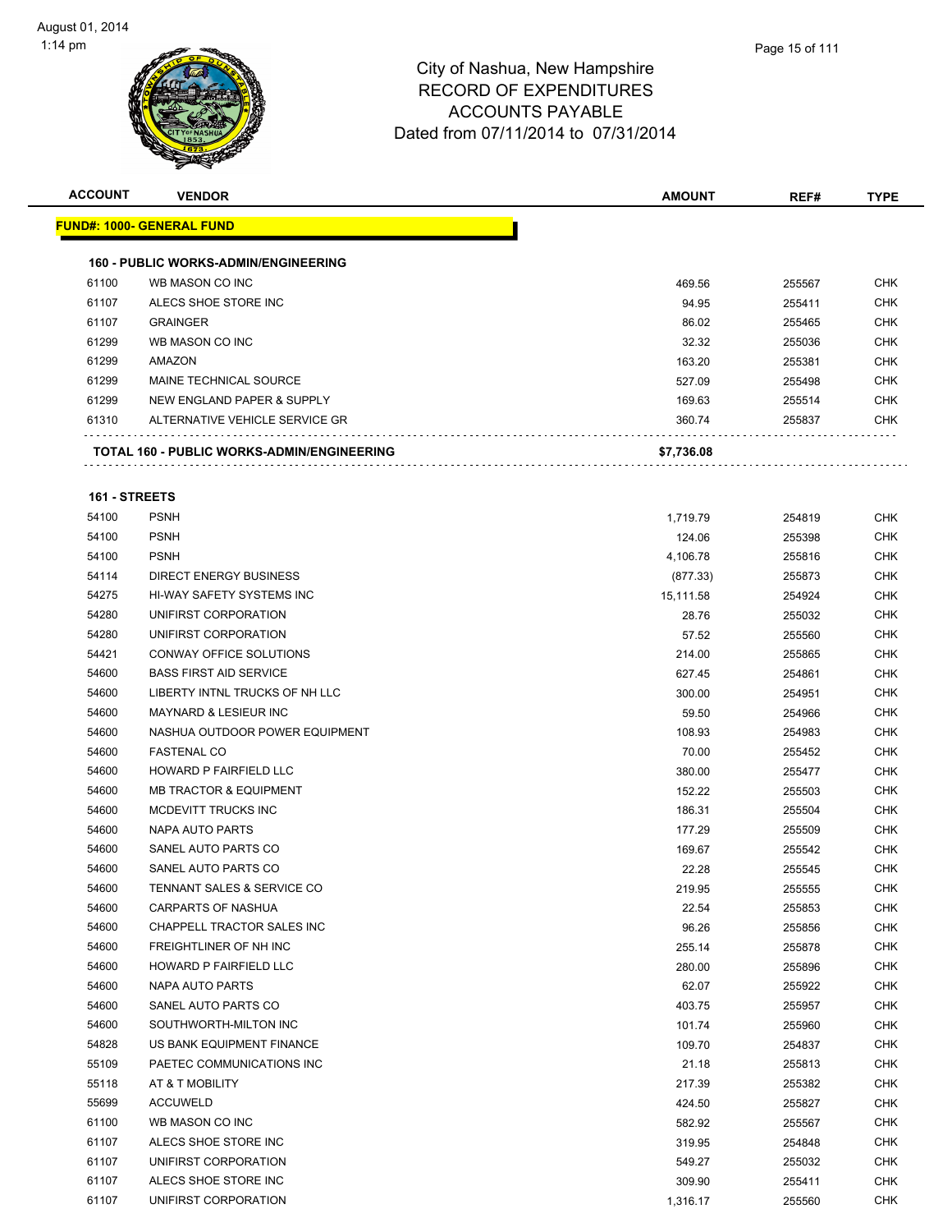| <b>ACCOUNT</b> | <b>VENDOR</b>                                     | <b>AMOUNT</b> | REF#   | <b>TYPE</b> |
|----------------|---------------------------------------------------|---------------|--------|-------------|
|                | <b>FUND#: 1000- GENERAL FUND</b>                  |               |        |             |
|                | <b>160 - PUBLIC WORKS-ADMIN/ENGINEERING</b>       |               |        |             |
| 61100          | WB MASON CO INC                                   | 469.56        | 255567 | <b>CHK</b>  |
| 61107          | ALECS SHOE STORE INC                              | 94.95         | 255411 | <b>CHK</b>  |
| 61107          | <b>GRAINGER</b>                                   | 86.02         | 255465 | <b>CHK</b>  |
| 61299          | WB MASON CO INC                                   | 32.32         | 255036 | <b>CHK</b>  |
| 61299          | AMAZON                                            | 163.20        | 255381 | <b>CHK</b>  |
| 61299          | MAINE TECHNICAL SOURCE                            | 527.09        | 255498 | <b>CHK</b>  |
| 61299          | NEW ENGLAND PAPER & SUPPLY                        | 169.63        | 255514 | <b>CHK</b>  |
| 61310          | ALTERNATIVE VEHICLE SERVICE GR                    | 360.74        | 255837 | <b>CHK</b>  |
|                | <b>TOTAL 160 - PUBLIC WORKS-ADMIN/ENGINEERING</b> | \$7,736.08    |        |             |

#### **161 - STREETS**

| 54100 | <b>PSNH</b>                       | 1,719.79  | 254819 | CHK        |
|-------|-----------------------------------|-----------|--------|------------|
| 54100 | <b>PSNH</b>                       | 124.06    | 255398 | <b>CHK</b> |
| 54100 | <b>PSNH</b>                       | 4,106.78  | 255816 | <b>CHK</b> |
| 54114 | <b>DIRECT ENERGY BUSINESS</b>     | (877.33)  | 255873 | <b>CHK</b> |
| 54275 | HI-WAY SAFETY SYSTEMS INC         | 15,111.58 | 254924 | CHK        |
| 54280 | UNIFIRST CORPORATION              | 28.76     | 255032 | CHK        |
| 54280 | UNIFIRST CORPORATION              | 57.52     | 255560 | <b>CHK</b> |
| 54421 | CONWAY OFFICE SOLUTIONS           | 214.00    | 255865 | <b>CHK</b> |
| 54600 | <b>BASS FIRST AID SERVICE</b>     | 627.45    | 254861 | <b>CHK</b> |
| 54600 | LIBERTY INTNL TRUCKS OF NH LLC    | 300.00    | 254951 | <b>CHK</b> |
| 54600 | <b>MAYNARD &amp; LESIEUR INC</b>  | 59.50     | 254966 | <b>CHK</b> |
| 54600 | NASHUA OUTDOOR POWER EQUIPMENT    | 108.93    | 254983 | <b>CHK</b> |
| 54600 | <b>FASTENAL CO</b>                | 70.00     | 255452 | <b>CHK</b> |
| 54600 | HOWARD P FAIRFIELD LLC            | 380.00    | 255477 | <b>CHK</b> |
| 54600 | <b>MB TRACTOR &amp; EQUIPMENT</b> | 152.22    | 255503 | <b>CHK</b> |
| 54600 | MCDEVITT TRUCKS INC               | 186.31    | 255504 | <b>CHK</b> |
| 54600 | NAPA AUTO PARTS                   | 177.29    | 255509 | <b>CHK</b> |
| 54600 | SANEL AUTO PARTS CO               | 169.67    | 255542 | <b>CHK</b> |
| 54600 | SANEL AUTO PARTS CO               | 22.28     | 255545 | <b>CHK</b> |
| 54600 | TENNANT SALES & SERVICE CO        | 219.95    | 255555 | <b>CHK</b> |
| 54600 | <b>CARPARTS OF NASHUA</b>         | 22.54     | 255853 | <b>CHK</b> |
| 54600 | CHAPPELL TRACTOR SALES INC        | 96.26     | 255856 | <b>CHK</b> |
| 54600 | FREIGHTLINER OF NH INC            | 255.14    | 255878 | <b>CHK</b> |
| 54600 | <b>HOWARD P FAIRFIELD LLC</b>     | 280.00    | 255896 | <b>CHK</b> |
| 54600 | NAPA AUTO PARTS                   | 62.07     | 255922 | <b>CHK</b> |
| 54600 | SANEL AUTO PARTS CO               | 403.75    | 255957 | <b>CHK</b> |
| 54600 | SOUTHWORTH-MILTON INC             | 101.74    | 255960 | <b>CHK</b> |
| 54828 | US BANK EQUIPMENT FINANCE         | 109.70    | 254837 | <b>CHK</b> |
| 55109 | PAETEC COMMUNICATIONS INC         | 21.18     | 255813 | <b>CHK</b> |
| 55118 | AT & T MOBILITY                   | 217.39    | 255382 | <b>CHK</b> |
| 55699 | <b>ACCUWELD</b>                   | 424.50    | 255827 | <b>CHK</b> |
| 61100 | WB MASON CO INC                   | 582.92    | 255567 | <b>CHK</b> |
| 61107 | ALECS SHOE STORE INC              | 319.95    | 254848 | <b>CHK</b> |
| 61107 | UNIFIRST CORPORATION              | 549.27    | 255032 | <b>CHK</b> |
| 61107 | ALECS SHOE STORE INC              | 309.90    | 255411 | <b>CHK</b> |
| 61107 | UNIFIRST CORPORATION              | 1,316.17  | 255560 | <b>CHK</b> |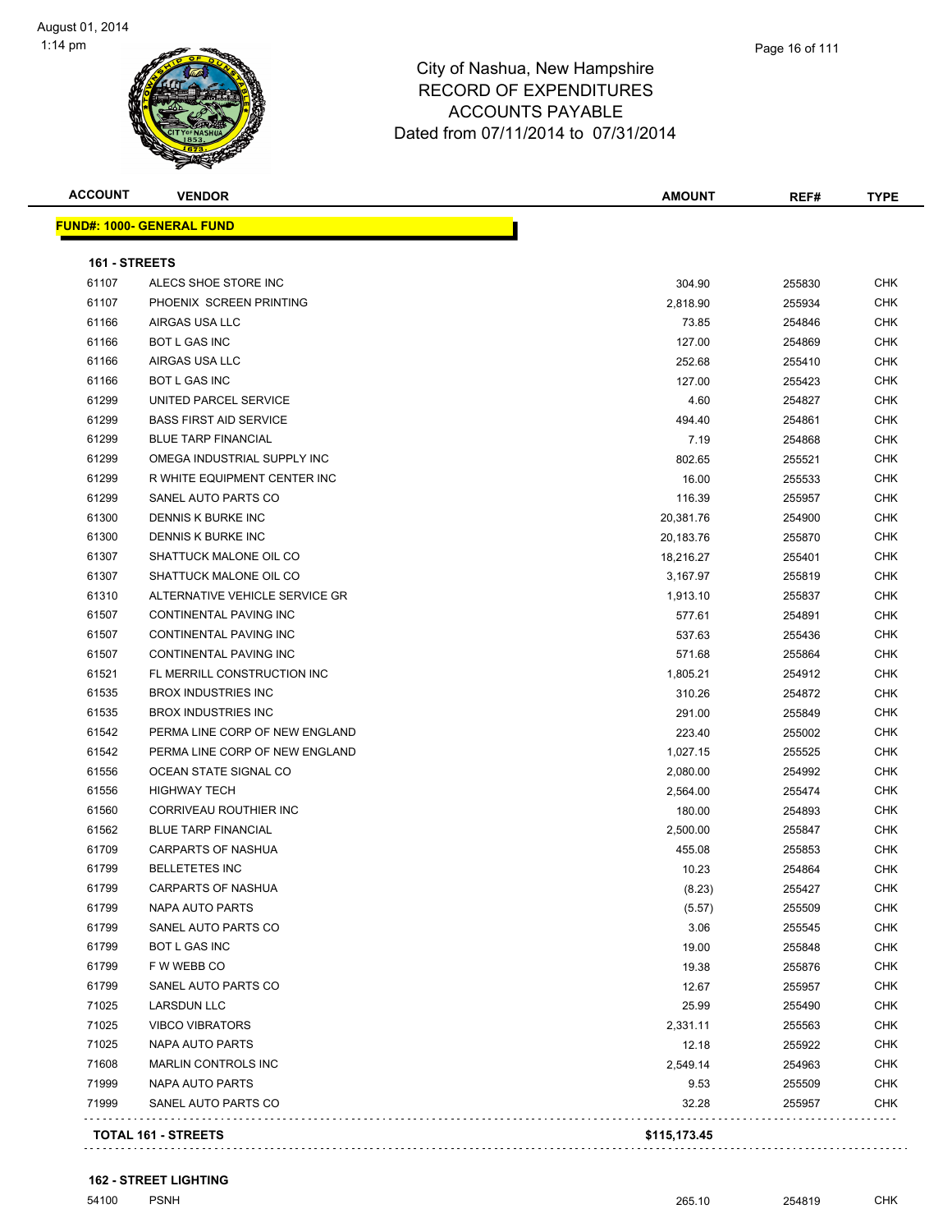

**ACCOUNT VENDOR AMOUNT REF# TYPE FUND#: 1000- GENERAL FUND 161 - STREETS** 61107 ALECS SHOE STORE INC 304.90 255830 CHK PHOENIX SCREEN PRINTING 2,818.90 255934 CHK AIRGAS USA LLC 73.85 254846 CHK BOT L GAS INC 127.00 254869 CHK AIRGAS USA LLC 252.68 255410 CHK BOT L GAS INC 127.00 255423 CHK UNITED PARCEL SERVICE 4.60 254827 CHK er basis of the service of the service of the service of the service of the service of the service of the service of the service of the service of the service of the service of the service of the service of the service of er blue tar and the set of the set of the set of the set of the set of the set of the set of the set of the set of the set of the set of the set of the set of the set of the set of the set of the set of the set of the set OMEGA INDUSTRIAL SUPPLY INC 802.65 255521 CHK R WHITE EQUIPMENT CENTER INC 16.00 255533 CHK er and the state of the state of the state of the state of the state of the state of the state of the state of the state of the state of the state of the state of the state of the state of the state of the state of the sta DENNIS K BURKE INC 20,381.76 254900 CHK DENNIS K BURKE INC 20,183.76 255870 CHK SHATTUCK MALONE OIL CO 18,216.27 255401 CHK SHATTUCK MALONE OIL CO 3,167.97 255819 CHK 61310 ALTERNATIVE VEHICLE SERVICE GR<br>
61310 1913.10 255837 CHK 61507 CONTINENTAL PAVING INC 61507 CONTINENTAL PAVING INC CONTINENTAL PAVING INC 537.63 255436 CHK CONTINENTAL PAVING INC 571.68 255864 CHK FL MERRILL CONSTRUCTION INC 1,805.21 254912 CHK BROX INDUSTRIES INC 310.26 254872 CHK BROX INDUSTRIES INC 291.00 255849 CHK PERMA LINE CORP OF NEW ENGLAND 223.40 255002 CHK PERMA LINE CORP OF NEW ENGLAND 1,027.15 255525 CHK OCEAN STATE SIGNAL CO 2,080.00 254992 CHK HIGHWAY TECH 2,564.00 255474 CHK 61560 CORRIVEAU ROUTHIER INC 254893 CHK BLUE TARP FINANCIAL 2,500.00 255847 CHK CARPARTS OF NASHUA 455.08 255853 CHK BELLETETES INC 10.23 254864 CHK CARPARTS OF NASHUA (8.23) 255427 CHK NAPA AUTO PARTS (5.57) 255509 CHK SANEL AUTO PARTS CO 3.06 255545 CHK BOT L GAS INC 19.00 255848 CHK F W WEBB CO 19.38 255876 CHK SANEL AUTO PARTS CO 12.67 255957 CHK LARSDUN LLC 25.99 255490 CHK VIBCO VIBRATORS 2,331.11 255563 CHK NAPA AUTO PARTS 12.18 255922 CHK MARLIN CONTROLS INC 2,549.14 254963 CHK NAPA AUTO PARTS 9.53 255509 CHK SANEL AUTO PARTS CO 32.28 255957 CHK

. . . . . . . . . . . . . . . . . .

**TOTAL 161 - STREETS \$115,173.45**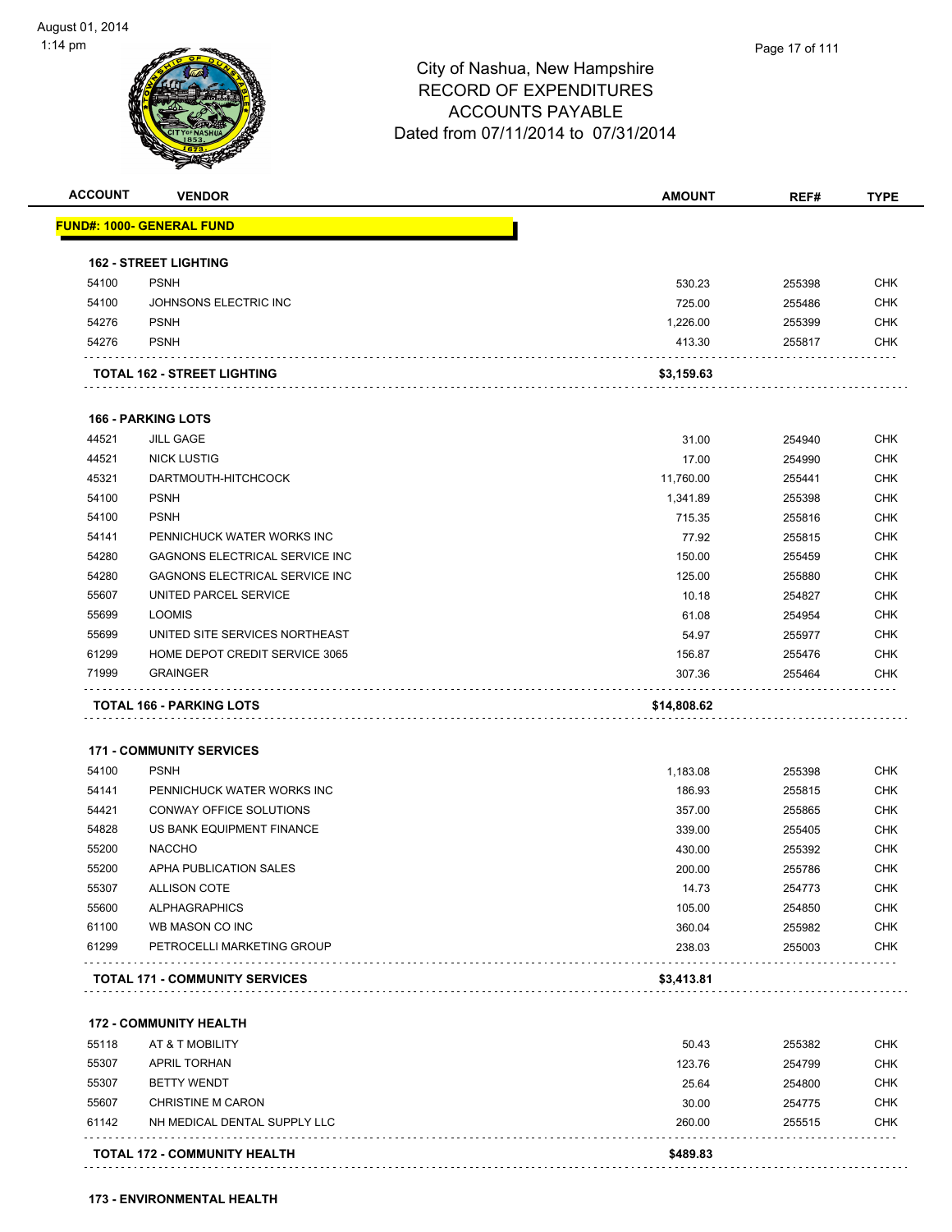

| <b>ACCOUNT</b> | <b>VENDOR</b>                         | <b>AMOUNT</b>  | REF#   | <b>TYPE</b>              |
|----------------|---------------------------------------|----------------|--------|--------------------------|
|                | <u> FUND#: 1000- GENERAL FUND</u>     |                |        |                          |
|                | <b>162 - STREET LIGHTING</b>          |                |        |                          |
| 54100          | <b>PSNH</b>                           | 530.23         | 255398 | CHK                      |
| 54100          | JOHNSONS ELECTRIC INC                 | 725.00         | 255486 | <b>CHK</b>               |
| 54276          | <b>PSNH</b>                           | 1,226.00       | 255399 | <b>CHK</b>               |
| 54276          | <b>PSNH</b>                           | 413.30         | 255817 | CHK                      |
|                | TOTAL 162 - STREET LIGHTING           | \$3,159.63     |        |                          |
|                | <b>166 - PARKING LOTS</b>             |                |        |                          |
| 44521          | <b>JILL GAGE</b>                      | 31.00          | 254940 | <b>CHK</b>               |
| 44521          | <b>NICK LUSTIG</b>                    | 17.00          | 254990 | <b>CHK</b>               |
| 45321          | DARTMOUTH-HITCHCOCK                   | 11,760.00      | 255441 | CHK                      |
| 54100          | <b>PSNH</b>                           | 1,341.89       | 255398 | CHK                      |
| 54100          | <b>PSNH</b>                           | 715.35         | 255816 | <b>CHK</b>               |
| 54141          | PENNICHUCK WATER WORKS INC            | 77.92          | 255815 | CHK                      |
| 54280          | <b>GAGNONS ELECTRICAL SERVICE INC</b> | 150.00         | 255459 | <b>CHK</b>               |
| 54280          | <b>GAGNONS ELECTRICAL SERVICE INC</b> | 125.00         | 255880 | <b>CHK</b>               |
| 55607          | UNITED PARCEL SERVICE                 | 10.18          | 254827 | CHK                      |
| 55699          | <b>LOOMIS</b>                         | 61.08          | 254954 | CHK                      |
| 55699          | UNITED SITE SERVICES NORTHEAST        | 54.97          | 255977 | <b>CHK</b>               |
| 61299          | HOME DEPOT CREDIT SERVICE 3065        | 156.87         | 255476 | CHK                      |
| 71999          | <b>GRAINGER</b>                       | 307.36         | 255464 | <b>CHK</b>               |
|                | TOTAL 166 - PARKING LOTS              | \$14,808.62    |        |                          |
|                | <b>171 - COMMUNITY SERVICES</b>       |                |        |                          |
| 54100          | <b>PSNH</b>                           | 1,183.08       | 255398 | <b>CHK</b>               |
| 54141          | PENNICHUCK WATER WORKS INC            | 186.93         | 255815 | <b>CHK</b>               |
| 54421          | CONWAY OFFICE SOLUTIONS               | 357.00         | 255865 | CHK                      |
| 54828          | US BANK EQUIPMENT FINANCE             | 339.00         | 255405 | <b>CHK</b>               |
| 55200          | <b>NACCHO</b>                         | 430.00         | 255392 | <b>CHK</b>               |
| 55200          | APHA PUBLICATION SALES                | 200.00         | 255786 | CHK                      |
| 55307          | ALLISON COTE                          | 14.73          | 254773 | <b>CHK</b>               |
| 55600          | <b>ALPHAGRAPHICS</b>                  | 105.00         | 254850 | <b>CHK</b>               |
| 61100          | WB MASON CO INC                       | 360.04         | 255982 | <b>CHK</b>               |
| 61299          | PETROCELLI MARKETING GROUP            | 238.03         | 255003 | <b>CHK</b>               |
|                | <b>TOTAL 171 - COMMUNITY SERVICES</b> | \$3,413.81     |        |                          |
|                | <b>172 - COMMUNITY HEALTH</b>         |                |        |                          |
| 55118          | AT & T MOBILITY                       |                |        |                          |
| 55307          | <b>APRIL TORHAN</b>                   | 50.43          | 255382 | <b>CHK</b>               |
|                | <b>BETTY WENDT</b>                    | 123.76         | 254799 | <b>CHK</b>               |
| 55307<br>55607 | <b>CHRISTINE M CARON</b>              | 25.64<br>30.00 | 254800 | <b>CHK</b><br><b>CHK</b> |
|                | NH MEDICAL DENTAL SUPPLY LLC          |                | 254775 | <b>CHK</b>               |
| 61142          |                                       | 260.00         | 255515 |                          |

**TOTAL 172 - COMMUNITY HEALTH \$489.83**

**173 - ENVIRONMENTAL HEALTH**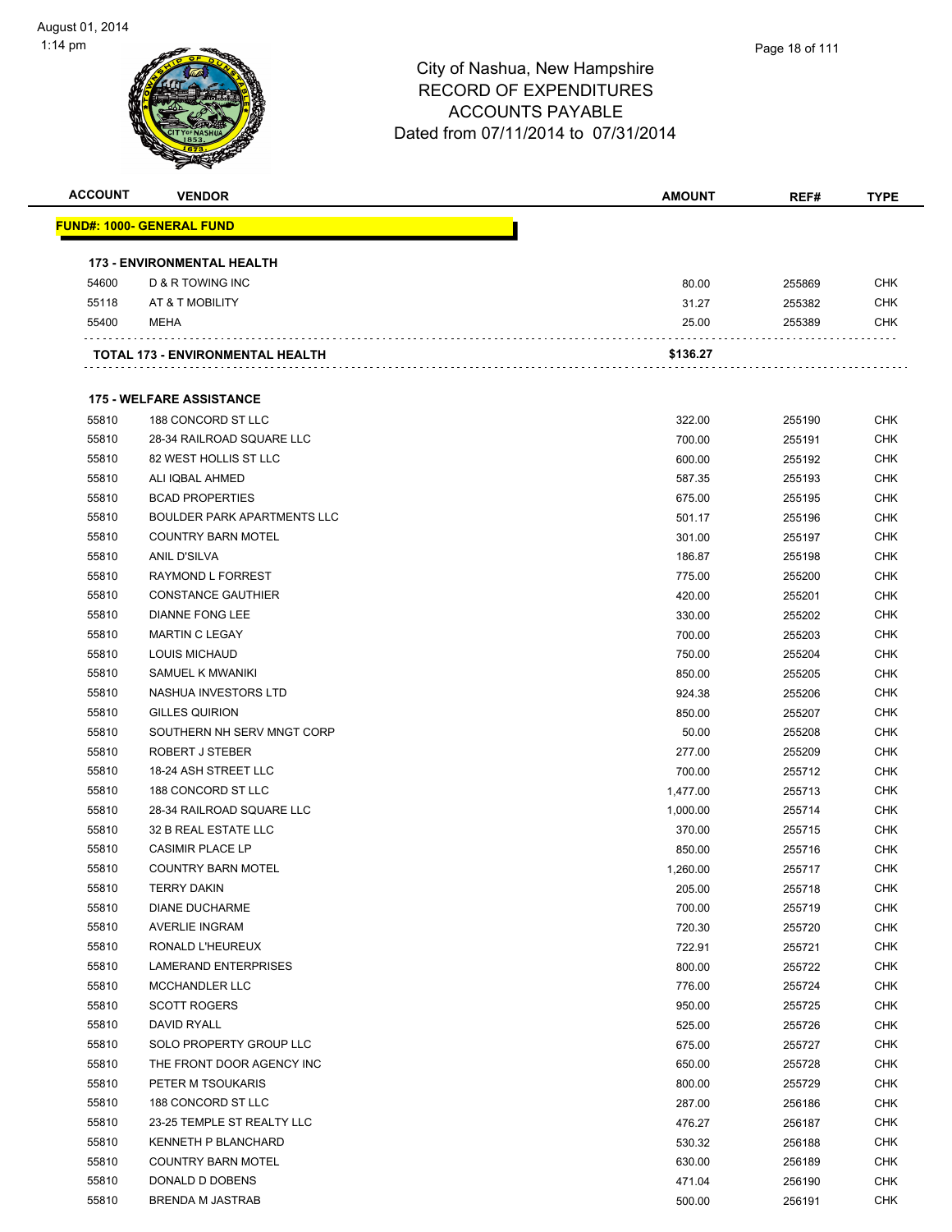

| <b>ACCOUNT</b> | <b>VENDOR</b>                      | <b>AMOUNT</b> | REF#   | <b>TYPE</b> |
|----------------|------------------------------------|---------------|--------|-------------|
|                | <b>FUND#: 1000- GENERAL FUND</b>   |               |        |             |
|                | <b>173 - ENVIRONMENTAL HEALTH</b>  |               |        |             |
| 54600          | D & R TOWING INC                   | 80.00         | 255869 | <b>CHK</b>  |
| 55118          | AT & T MOBILITY                    | 31.27         | 255382 | <b>CHK</b>  |
| 55400          | MEHA                               | 25.00         | 255389 | <b>CHK</b>  |
|                | TOTAL 173 - ENVIRONMENTAL HEALTH   | \$136.27      |        |             |
|                | <b>175 - WELFARE ASSISTANCE</b>    |               |        |             |
| 55810          | 188 CONCORD ST LLC                 | 322.00        | 255190 | <b>CHK</b>  |
| 55810          | 28-34 RAILROAD SQUARE LLC          | 700.00        | 255191 | <b>CHK</b>  |
| 55810          | 82 WEST HOLLIS ST LLC              | 600.00        | 255192 | <b>CHK</b>  |
| 55810          | ALI IQBAL AHMED                    | 587.35        | 255193 | <b>CHK</b>  |
| 55810          | <b>BCAD PROPERTIES</b>             | 675.00        | 255195 | <b>CHK</b>  |
| 55810          | <b>BOULDER PARK APARTMENTS LLC</b> | 501.17        | 255196 | <b>CHK</b>  |
| 55810          | <b>COUNTRY BARN MOTEL</b>          | 301.00        | 255197 | <b>CHK</b>  |
| 55810          | <b>ANIL D'SILVA</b>                | 186.87        | 255198 | <b>CHK</b>  |
| 55810          | RAYMOND L FORREST                  | 775.00        | 255200 | <b>CHK</b>  |
| 55810          | <b>CONSTANCE GAUTHIER</b>          | 420.00        | 255201 | <b>CHK</b>  |
| 55810          | <b>DIANNE FONG LEE</b>             | 330.00        | 255202 | <b>CHK</b>  |
| 55810          | <b>MARTIN C LEGAY</b>              | 700.00        | 255203 | <b>CHK</b>  |
| 55810          | LOUIS MICHAUD                      | 750.00        | 255204 | <b>CHK</b>  |
| 55810          | SAMUEL K MWANIKI                   | 850.00        | 255205 | <b>CHK</b>  |
| 55810          | NASHUA INVESTORS LTD               | 924.38        | 255206 | <b>CHK</b>  |
| 55810          | <b>GILLES QUIRION</b>              | 850.00        | 255207 | <b>CHK</b>  |
| 55810          | SOUTHERN NH SERV MNGT CORP         | 50.00         |        | <b>CHK</b>  |
| 55810          | ROBERT J STEBER                    |               | 255208 | <b>CHK</b>  |
|                |                                    | 277.00        | 255209 |             |
| 55810          | 18-24 ASH STREET LLC               | 700.00        | 255712 | <b>CHK</b>  |
| 55810          | 188 CONCORD ST LLC                 | 1,477.00      | 255713 | <b>CHK</b>  |
| 55810          | 28-34 RAILROAD SQUARE LLC          | 1,000.00      | 255714 | <b>CHK</b>  |
| 55810          | 32 B REAL ESTATE LLC               | 370.00        | 255715 | <b>CHK</b>  |
| 55810          | <b>CASIMIR PLACE LP</b>            | 850.00        | 255716 | <b>CHK</b>  |
| 55810          | <b>COUNTRY BARN MOTEL</b>          | 1,260.00      | 255717 | <b>CHK</b>  |
| 55810          | <b>TERRY DAKIN</b>                 | 205.00        | 255718 | CHK         |
| 55810          | <b>DIANE DUCHARME</b>              | 700.00        | 255719 | <b>CHK</b>  |
| 55810          | <b>AVERLIE INGRAM</b>              | 720.30        | 255720 | <b>CHK</b>  |
| 55810          | RONALD L'HEUREUX                   | 722.91        | 255721 | <b>CHK</b>  |
| 55810          | LAMERAND ENTERPRISES               | 800.00        | 255722 | <b>CHK</b>  |
| 55810          | MCCHANDLER LLC                     | 776.00        | 255724 | <b>CHK</b>  |
| 55810          | <b>SCOTT ROGERS</b>                | 950.00        | 255725 | <b>CHK</b>  |
| 55810          | DAVID RYALL                        | 525.00        | 255726 | <b>CHK</b>  |
| 55810          | SOLO PROPERTY GROUP LLC            | 675.00        | 255727 | <b>CHK</b>  |
| 55810          | THE FRONT DOOR AGENCY INC          | 650.00        | 255728 | <b>CHK</b>  |
| 55810          | PETER M TSOUKARIS                  | 800.00        | 255729 | <b>CHK</b>  |
| 55810          | 188 CONCORD ST LLC                 | 287.00        | 256186 | <b>CHK</b>  |
| 55810          | 23-25 TEMPLE ST REALTY LLC         | 476.27        | 256187 | <b>CHK</b>  |
| 55810          | KENNETH P BLANCHARD                | 530.32        | 256188 | <b>CHK</b>  |
| 55810          | <b>COUNTRY BARN MOTEL</b>          | 630.00        | 256189 | <b>CHK</b>  |
| 55810          | DONALD D DOBENS                    | 471.04        | 256190 | <b>CHK</b>  |
| 55810          | <b>BRENDA M JASTRAB</b>            | 500.00        | 256191 | <b>CHK</b>  |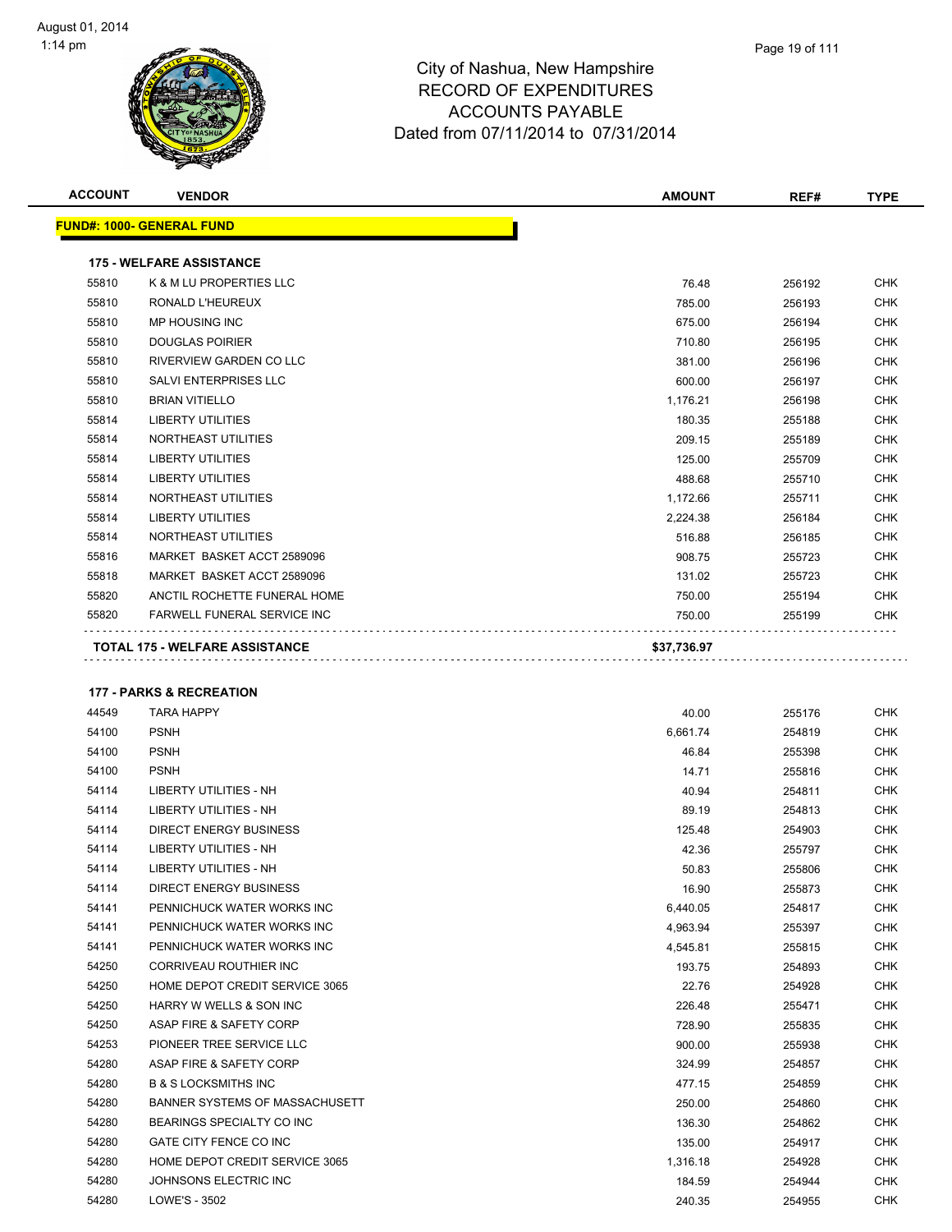

| <b>ACCOUNT</b> | <b>VENDOR</b>                         | <b>AMOUNT</b> | REF#   | <b>TYPE</b> |
|----------------|---------------------------------------|---------------|--------|-------------|
|                | <b>FUND#: 1000- GENERAL FUND</b>      |               |        |             |
|                | <b>175 - WELFARE ASSISTANCE</b>       |               |        |             |
| 55810          | K & M LU PROPERTIES LLC               | 76.48         | 256192 | <b>CHK</b>  |
| 55810          | RONALD L'HEUREUX                      | 785.00        | 256193 | <b>CHK</b>  |
| 55810          | MP HOUSING INC                        | 675.00        | 256194 | <b>CHK</b>  |
| 55810          | <b>DOUGLAS POIRIER</b>                | 710.80        | 256195 | <b>CHK</b>  |
| 55810          | RIVERVIEW GARDEN CO LLC               | 381.00        | 256196 | <b>CHK</b>  |
| 55810          | <b>SALVI ENTERPRISES LLC</b>          | 600.00        | 256197 | <b>CHK</b>  |
| 55810          | <b>BRIAN VITIELLO</b>                 | 1,176.21      | 256198 | <b>CHK</b>  |
| 55814          | <b>LIBERTY UTILITIES</b>              | 180.35        | 255188 | <b>CHK</b>  |
| 55814          | NORTHEAST UTILITIES                   | 209.15        | 255189 | <b>CHK</b>  |
| 55814          | <b>LIBERTY UTILITIES</b>              | 125.00        | 255709 | <b>CHK</b>  |
| 55814          | <b>LIBERTY UTILITIES</b>              | 488.68        | 255710 | <b>CHK</b>  |
| 55814          | NORTHEAST UTILITIES                   | 1,172.66      | 255711 | <b>CHK</b>  |
| 55814          | <b>LIBERTY UTILITIES</b>              | 2,224.38      | 256184 | <b>CHK</b>  |
| 55814          | NORTHEAST UTILITIES                   | 516.88        | 256185 | <b>CHK</b>  |
| 55816          | MARKET BASKET ACCT 2589096            | 908.75        | 255723 | <b>CHK</b>  |
| 55818          | MARKET BASKET ACCT 2589096            | 131.02        | 255723 | <b>CHK</b>  |
| 55820          | ANCTIL ROCHETTE FUNERAL HOME          | 750.00        | 255194 | <b>CHK</b>  |
| 55820          | FARWELL FUNERAL SERVICE INC           | 750.00        | 255199 | <b>CHK</b>  |
|                | <b>TOTAL 175 - WELFARE ASSISTANCE</b> | \$37,736.97   |        |             |

#### **177 - PARKS & RECREATION**

| 44549 | <b>TARA HAPPY</b>               | 40.00    | 255176 | <b>CHK</b> |
|-------|---------------------------------|----------|--------|------------|
| 54100 | <b>PSNH</b>                     | 6,661.74 | 254819 | <b>CHK</b> |
| 54100 | <b>PSNH</b>                     | 46.84    | 255398 | <b>CHK</b> |
| 54100 | <b>PSNH</b>                     | 14.71    | 255816 | <b>CHK</b> |
| 54114 | <b>LIBERTY UTILITIES - NH</b>   | 40.94    | 254811 | <b>CHK</b> |
| 54114 | <b>LIBERTY UTILITIES - NH</b>   | 89.19    | 254813 | <b>CHK</b> |
| 54114 | <b>DIRECT ENERGY BUSINESS</b>   | 125.48   | 254903 | <b>CHK</b> |
| 54114 | <b>LIBERTY UTILITIES - NH</b>   | 42.36    | 255797 | <b>CHK</b> |
| 54114 | <b>LIBERTY UTILITIES - NH</b>   | 50.83    | 255806 | <b>CHK</b> |
| 54114 | <b>DIRECT ENERGY BUSINESS</b>   | 16.90    | 255873 | <b>CHK</b> |
| 54141 | PENNICHUCK WATER WORKS INC      | 6,440.05 | 254817 | <b>CHK</b> |
| 54141 | PENNICHUCK WATER WORKS INC      | 4,963.94 | 255397 | <b>CHK</b> |
| 54141 | PENNICHUCK WATER WORKS INC      | 4,545.81 | 255815 | <b>CHK</b> |
| 54250 | <b>CORRIVEAU ROUTHIER INC</b>   | 193.75   | 254893 | <b>CHK</b> |
| 54250 | HOME DEPOT CREDIT SERVICE 3065  | 22.76    | 254928 | <b>CHK</b> |
| 54250 | HARRY W WELLS & SON INC         | 226.48   | 255471 | <b>CHK</b> |
| 54250 | ASAP FIRE & SAFETY CORP         | 728.90   | 255835 | <b>CHK</b> |
| 54253 | PIONEER TREE SERVICE LLC        | 900.00   | 255938 | <b>CHK</b> |
| 54280 | ASAP FIRE & SAFETY CORP         | 324.99   | 254857 | <b>CHK</b> |
| 54280 | <b>B &amp; S LOCKSMITHS INC</b> | 477.15   | 254859 | <b>CHK</b> |
| 54280 | BANNER SYSTEMS OF MASSACHUSETT  | 250.00   | 254860 | <b>CHK</b> |
| 54280 | BEARINGS SPECIALTY CO INC       | 136.30   | 254862 | <b>CHK</b> |
| 54280 | <b>GATE CITY FENCE CO INC</b>   | 135.00   | 254917 | <b>CHK</b> |
| 54280 | HOME DEPOT CREDIT SERVICE 3065  | 1,316.18 | 254928 | <b>CHK</b> |
| 54280 | JOHNSONS ELECTRIC INC           | 184.59   | 254944 | <b>CHK</b> |
| 54280 | LOWE'S - 3502                   | 240.35   | 254955 | <b>CHK</b> |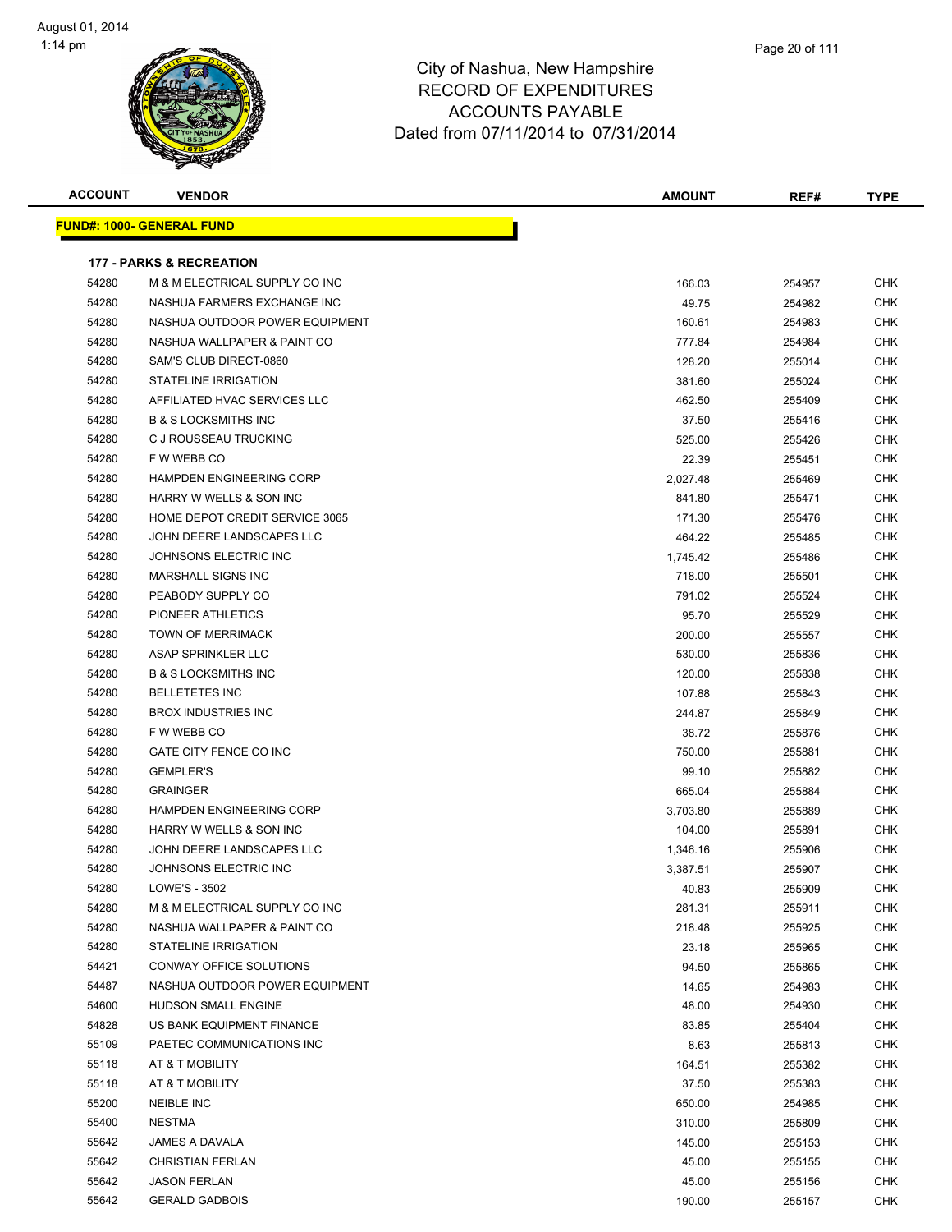| <b>ACCOUNT</b> | <b>VENDOR</b>                       | <b>AMOUNT</b> | REF#   | <b>TYPE</b> |
|----------------|-------------------------------------|---------------|--------|-------------|
|                | <u> FUND#: 1000- GENERAL FUND</u>   |               |        |             |
|                |                                     |               |        |             |
|                | <b>177 - PARKS &amp; RECREATION</b> |               |        |             |
| 54280          | M & M ELECTRICAL SUPPLY CO INC      | 166.03        | 254957 | <b>CHK</b>  |
| 54280          | NASHUA FARMERS EXCHANGE INC         | 49.75         | 254982 | <b>CHK</b>  |
| 54280          | NASHUA OUTDOOR POWER EQUIPMENT      | 160.61        | 254983 | CHK         |
| 54280          | NASHUA WALLPAPER & PAINT CO         | 777.84        | 254984 | CHK         |
| 54280          | SAM'S CLUB DIRECT-0860              | 128.20        | 255014 | CHK         |
| 54280          | <b>STATELINE IRRIGATION</b>         | 381.60        | 255024 | CHK         |
| 54280          | AFFILIATED HVAC SERVICES LLC        | 462.50        | 255409 | CHK         |
| 54280          | <b>B &amp; S LOCKSMITHS INC</b>     | 37.50         | 255416 | CHK         |
| 54280          | C J ROUSSEAU TRUCKING               | 525.00        | 255426 | CHK         |
| 54280          | F W WEBB CO                         | 22.39         | 255451 | <b>CHK</b>  |
| 54280          | <b>HAMPDEN ENGINEERING CORP</b>     | 2,027.48      | 255469 | CHK         |
| 54280          | HARRY W WELLS & SON INC             | 841.80        | 255471 | CHK         |
| 54280          | HOME DEPOT CREDIT SERVICE 3065      | 171.30        | 255476 | <b>CHK</b>  |
| 54280          | JOHN DEERE LANDSCAPES LLC           | 464.22        | 255485 | CHK         |
| 54280          | JOHNSONS ELECTRIC INC               | 1,745.42      | 255486 | CHK         |
| 54280          | MARSHALL SIGNS INC                  | 718.00        | 255501 | CHK         |
| 54280          | PEABODY SUPPLY CO                   | 791.02        | 255524 | CHK         |
| 54280          | PIONEER ATHLETICS                   | 95.70         | 255529 | CHK         |
| 54280          | TOWN OF MERRIMACK                   | 200.00        | 255557 | CHK         |
| 54280          | ASAP SPRINKLER LLC                  | 530.00        | 255836 | CHK         |
| 54280          | <b>B &amp; S LOCKSMITHS INC</b>     | 120.00        | 255838 | CHK         |
| 54280          | <b>BELLETETES INC</b>               | 107.88        | 255843 | CHK         |
| 54280          | <b>BROX INDUSTRIES INC</b>          | 244.87        | 255849 | CHK         |
| 54280          | F W WEBB CO                         | 38.72         | 255876 | CHK         |
| 54280          | GATE CITY FENCE CO INC              | 750.00        | 255881 | CHK         |
| 54280          | <b>GEMPLER'S</b>                    | 99.10         | 255882 | CHK         |
| 54280          | <b>GRAINGER</b>                     | 665.04        | 255884 | CHK         |
| 54280          | HAMPDEN ENGINEERING CORP            | 3,703.80      | 255889 | CHK         |
| 54280          | HARRY W WELLS & SON INC             | 104.00        | 255891 | CHK         |
| 54280          | JOHN DEERE LANDSCAPES LLC           | 1,346.16      | 255906 | CHK         |
| 54280          | JOHNSONS ELECTRIC INC               | 3,387.51      | 255907 | <b>CHK</b>  |
| 54280          | LOWE'S - 3502                       | 40.83         | 255909 | <b>CHK</b>  |
| 54280          | M & M ELECTRICAL SUPPLY CO INC      | 281.31        | 255911 | <b>CHK</b>  |
| 54280          | NASHUA WALLPAPER & PAINT CO         | 218.48        | 255925 | <b>CHK</b>  |
| 54280          | <b>STATELINE IRRIGATION</b>         | 23.18         | 255965 | <b>CHK</b>  |
| 54421          | CONWAY OFFICE SOLUTIONS             | 94.50         | 255865 | CHK         |
| 54487          | NASHUA OUTDOOR POWER EQUIPMENT      | 14.65         | 254983 | <b>CHK</b>  |
| 54600          | HUDSON SMALL ENGINE                 | 48.00         | 254930 | CHK         |
| 54828          | US BANK EQUIPMENT FINANCE           | 83.85         | 255404 | CHK         |
| 55109          | PAETEC COMMUNICATIONS INC           | 8.63          | 255813 | <b>CHK</b>  |
| 55118          | AT & T MOBILITY                     | 164.51        | 255382 | <b>CHK</b>  |
| 55118          | AT & T MOBILITY                     | 37.50         | 255383 | <b>CHK</b>  |
| 55200          | <b>NEIBLE INC</b>                   | 650.00        | 254985 | <b>CHK</b>  |
| 55400          | <b>NESTMA</b>                       | 310.00        | 255809 | <b>CHK</b>  |
| 55642          | JAMES A DAVALA                      | 145.00        | 255153 | <b>CHK</b>  |
| 55642          | <b>CHRISTIAN FERLAN</b>             | 45.00         | 255155 | <b>CHK</b>  |
| 55642          | <b>JASON FERLAN</b>                 | 45.00         | 255156 | <b>CHK</b>  |
| 55642          | <b>GERALD GADBOIS</b>               | 190.00        | 255157 | <b>CHK</b>  |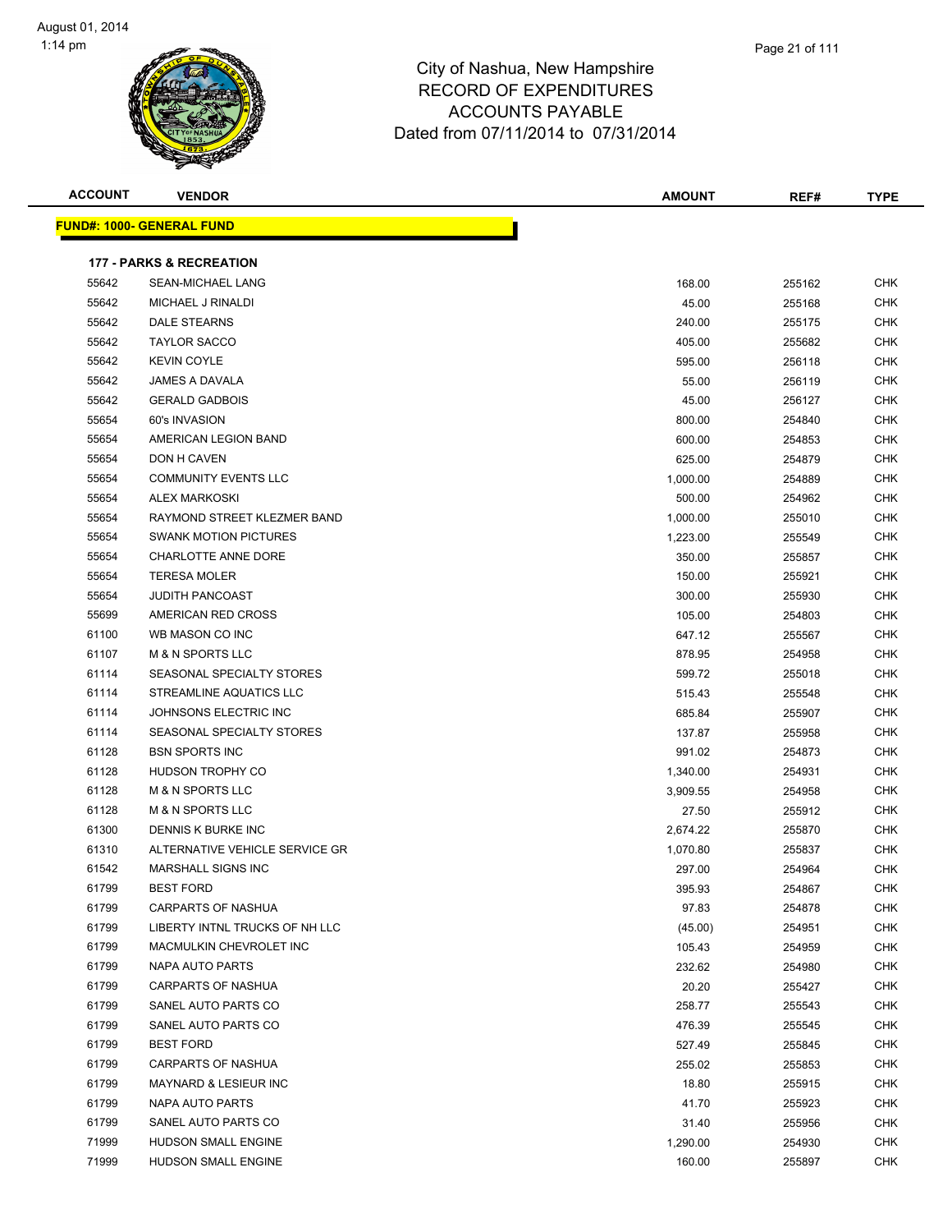

|   | Page 21 of 111 |  |
|---|----------------|--|
| € |                |  |
|   |                |  |

| <b>ACCOUNT</b> | <b>VENDOR</b>                       | <b>AMOUNT</b> | REF#   | <b>TYPE</b> |
|----------------|-------------------------------------|---------------|--------|-------------|
|                | <b>FUND#: 1000- GENERAL FUND</b>    |               |        |             |
|                | <b>177 - PARKS &amp; RECREATION</b> |               |        |             |
| 55642          | <b>SEAN-MICHAEL LANG</b>            | 168.00        | 255162 | <b>CHK</b>  |
| 55642          | MICHAEL J RINALDI                   | 45.00         | 255168 | <b>CHK</b>  |
| 55642          | DALE STEARNS                        | 240.00        | 255175 | <b>CHK</b>  |
| 55642          | <b>TAYLOR SACCO</b>                 | 405.00        | 255682 | <b>CHK</b>  |
| 55642          | <b>KEVIN COYLE</b>                  | 595.00        | 256118 | CHK         |
| 55642          | <b>JAMES A DAVALA</b>               | 55.00         | 256119 | <b>CHK</b>  |
| 55642          | <b>GERALD GADBOIS</b>               | 45.00         | 256127 | CHK         |
| 55654          | 60's INVASION                       | 800.00        | 254840 | CHK         |
| 55654          | AMERICAN LEGION BAND                | 600.00        | 254853 | CHK         |
| 55654          | DON H CAVEN                         | 625.00        | 254879 | <b>CHK</b>  |
| 55654          | <b>COMMUNITY EVENTS LLC</b>         | 1,000.00      | 254889 | <b>CHK</b>  |
| 55654          | <b>ALEX MARKOSKI</b>                | 500.00        | 254962 | <b>CHK</b>  |
| 55654          | RAYMOND STREET KLEZMER BAND         | 1,000.00      | 255010 | CHK         |
| 55654          | <b>SWANK MOTION PICTURES</b>        | 1,223.00      | 255549 | CHK         |
| 55654          | CHARLOTTE ANNE DORE                 | 350.00        | 255857 | CHK         |
| 55654          | <b>TERESA MOLER</b>                 | 150.00        | 255921 | CHK         |
| 55654          | <b>JUDITH PANCOAST</b>              | 300.00        | 255930 | CHK         |
| 55699          | AMERICAN RED CROSS                  | 105.00        | 254803 | <b>CHK</b>  |
| 61100          | WB MASON CO INC                     | 647.12        | 255567 | <b>CHK</b>  |
| 61107          | <b>M &amp; N SPORTS LLC</b>         | 878.95        | 254958 | CHK         |
| 61114          | SEASONAL SPECIALTY STORES           | 599.72        | 255018 | <b>CHK</b>  |
| 61114          | STREAMLINE AQUATICS LLC             | 515.43        | 255548 | <b>CHK</b>  |
| 61114          | JOHNSONS ELECTRIC INC               | 685.84        | 255907 | <b>CHK</b>  |
| 61114          | SEASONAL SPECIALTY STORES           | 137.87        | 255958 | CHK         |
| 61128          | <b>BSN SPORTS INC</b>               | 991.02        | 254873 | <b>CHK</b>  |
| 61128          | <b>HUDSON TROPHY CO</b>             | 1,340.00      | 254931 | <b>CHK</b>  |
| 61128          | <b>M &amp; N SPORTS LLC</b>         | 3,909.55      | 254958 | <b>CHK</b>  |
| 61128          | <b>M &amp; N SPORTS LLC</b>         | 27.50         | 255912 | CHK         |
| 61300          | DENNIS K BURKE INC                  | 2,674.22      | 255870 | <b>CHK</b>  |
| 61310          | ALTERNATIVE VEHICLE SERVICE GR      | 1,070.80      | 255837 | CHK         |
| 61542          | <b>MARSHALL SIGNS INC</b>           | 297.00        | 254964 | CHK         |
| 61799          | <b>BEST FORD</b>                    | 395.93        | 254867 | <b>CHK</b>  |
| 61799          | <b>CARPARTS OF NASHUA</b>           | 97.83         | 254878 | <b>CHK</b>  |
| 61799          | LIBERTY INTNL TRUCKS OF NH LLC      | (45.00)       | 254951 | <b>CHK</b>  |
| 61799          | MACMULKIN CHEVROLET INC             | 105.43        | 254959 | <b>CHK</b>  |
| 61799          | <b>NAPA AUTO PARTS</b>              | 232.62        | 254980 | <b>CHK</b>  |
| 61799          | <b>CARPARTS OF NASHUA</b>           | 20.20         | 255427 | <b>CHK</b>  |
| 61799          | SANEL AUTO PARTS CO                 | 258.77        | 255543 | <b>CHK</b>  |
| 61799          | SANEL AUTO PARTS CO                 | 476.39        | 255545 | <b>CHK</b>  |
| 61799          | <b>BEST FORD</b>                    | 527.49        | 255845 | <b>CHK</b>  |
| 61799          | CARPARTS OF NASHUA                  | 255.02        | 255853 | <b>CHK</b>  |
| 61799          | <b>MAYNARD &amp; LESIEUR INC</b>    | 18.80         | 255915 | <b>CHK</b>  |
| 61799          | NAPA AUTO PARTS                     | 41.70         | 255923 | <b>CHK</b>  |
| 61799          | SANEL AUTO PARTS CO                 | 31.40         | 255956 | <b>CHK</b>  |
| 71999          | <b>HUDSON SMALL ENGINE</b>          | 1,290.00      | 254930 | <b>CHK</b>  |
| 71999          | HUDSON SMALL ENGINE                 | 160.00        | 255897 | CHK         |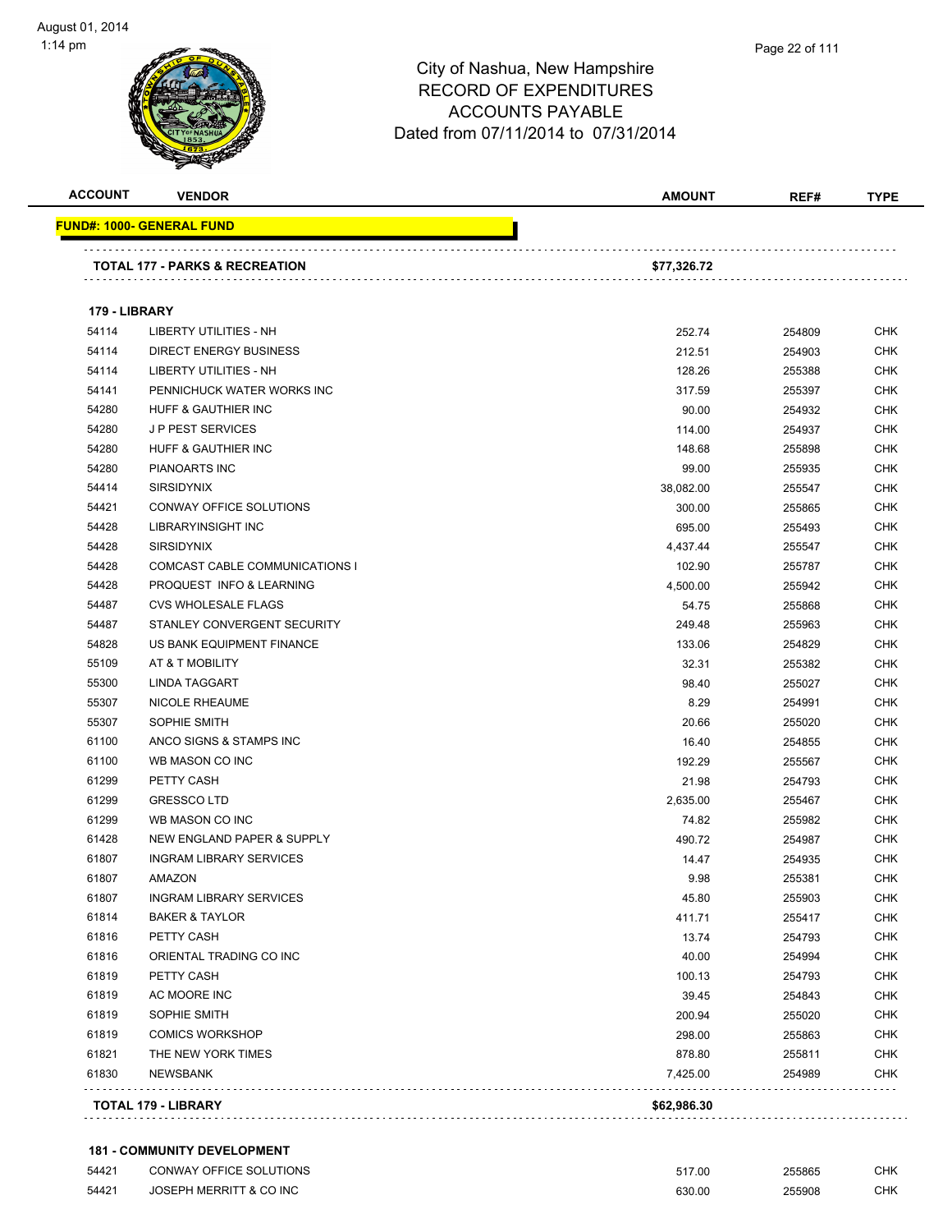| <b>ACCOUNT</b> | <b>VENDOR</b>                             | <b>AMOUNT</b> | REF#   | <b>TYPE</b> |
|----------------|-------------------------------------------|---------------|--------|-------------|
|                | <u> FUND#: 1000- GENERAL FUND</u>         |               |        |             |
|                | <b>TOTAL 177 - PARKS &amp; RECREATION</b> | \$77,326.72   |        |             |
| 179 - LIBRARY  |                                           |               |        |             |
| 54114          | <b>LIBERTY UTILITIES - NH</b>             | 252.74        | 254809 | CHK         |
| 54114          | <b>DIRECT ENERGY BUSINESS</b>             | 212.51        | 254903 | CHK         |
| 54114          | LIBERTY UTILITIES - NH                    | 128.26        | 255388 | CHK         |
| 54141          | PENNICHUCK WATER WORKS INC                | 317.59        | 255397 | CHK         |
| 54280          | <b>HUFF &amp; GAUTHIER INC</b>            | 90.00         | 254932 | CHK         |
| 54280          | <b>JP PEST SERVICES</b>                   | 114.00        | 254937 | <b>CHK</b>  |
| 54280          | HUFF & GAUTHIER INC                       | 148.68        | 255898 | CHK         |
| 54280          | PIANOARTS INC                             | 99.00         | 255935 | <b>CHK</b>  |
| 54414          | <b>SIRSIDYNIX</b>                         | 38,082.00     | 255547 | CHK         |
| 54421          | CONWAY OFFICE SOLUTIONS                   | 300.00        | 255865 | CHK         |
| 54428          | LIBRARYINSIGHT INC                        | 695.00        | 255493 | CHK         |
| 54428          | <b>SIRSIDYNIX</b>                         | 4,437.44      | 255547 | CHK         |
| 54428          | COMCAST CABLE COMMUNICATIONS I            | 102.90        | 255787 | CHK         |
| 54428          | PROQUEST INFO & LEARNING                  | 4,500.00      | 255942 | <b>CHK</b>  |
| 54487          | <b>CVS WHOLESALE FLAGS</b>                | 54.75         | 255868 | CHK         |
| 54487          | STANLEY CONVERGENT SECURITY               | 249.48        | 255963 | CHK         |
| 54828          | US BANK EQUIPMENT FINANCE                 | 133.06        | 254829 | <b>CHK</b>  |
| 55109          | AT & T MOBILITY                           | 32.31         | 255382 | CHK         |
| 55300          | LINDA TAGGART                             | 98.40         | 255027 | CHK         |
| 55307          | <b>NICOLE RHEAUME</b>                     | 8.29          | 254991 | CHK         |
| 55307          | SOPHIE SMITH                              | 20.66         | 255020 | CHK         |
| 61100          | ANCO SIGNS & STAMPS INC                   | 16.40         | 254855 | CHK         |
| 61100          | WB MASON CO INC                           | 192.29        | 255567 | CHK         |
| 61299          | PETTY CASH                                | 21.98         | 254793 | CHK         |
| 61299          | <b>GRESSCOLTD</b>                         | 2,635.00      | 255467 | CHK         |
| 61299          | WB MASON CO INC                           | 74.82         | 255982 | CHK         |
| 61428          | NEW ENGLAND PAPER & SUPPLY                | 490.72        | 254987 | CHK         |
| 61807          | <b>INGRAM LIBRARY SERVICES</b>            | 14.47         | 254935 | <b>CHK</b>  |
| 61807          | AMAZON                                    | 9.98          | 255381 | CHK         |
| 61807          | <b>INGRAM LIBRARY SERVICES</b>            | 45.80         | 255903 | <b>CHK</b>  |
| 61814          | <b>BAKER &amp; TAYLOR</b>                 | 411.71        | 255417 | <b>CHK</b>  |
| 61816          | PETTY CASH                                | 13.74         | 254793 | <b>CHK</b>  |
| 61816          | ORIENTAL TRADING CO INC                   | 40.00         | 254994 | <b>CHK</b>  |
| 61819          | PETTY CASH                                | 100.13        | 254793 | CHK         |
| 61819          | AC MOORE INC                              | 39.45         | 254843 | CHK         |
| 61819          | SOPHIE SMITH                              | 200.94        | 255020 | <b>CHK</b>  |
| 61819          | <b>COMICS WORKSHOP</b>                    | 298.00        | 255863 | CHK         |
| 61821          | THE NEW YORK TIMES                        | 878.80        | 255811 | CHK         |
| 61830          | <b>NEWSBANK</b>                           | 7,425.00      | 254989 | CHK         |
|                | TOTAL 179 - LIBRARY                       | \$62,986.30   |        |             |
|                |                                           |               |        |             |

#### **181 - COMMUNITY DEVELOPMENT**

| 54421 | CONWAY OFFICE SOLUTIONS | 517.00 | 255865 | СНК |
|-------|-------------------------|--------|--------|-----|
| 54421 | JOSEPH MERRITT & CO INC | 630.00 | 255908 | СНК |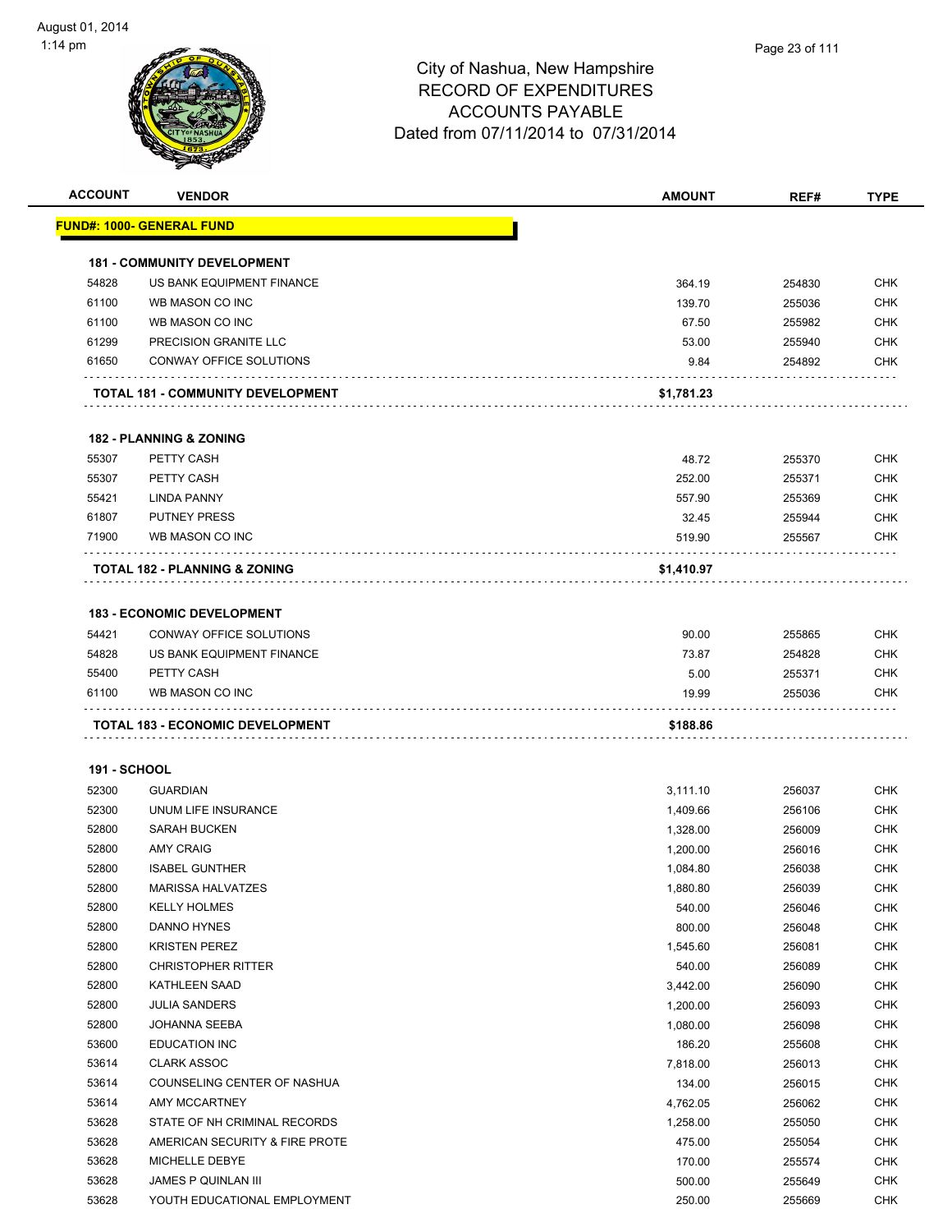|                     |                                                                   | <b>AMOUNT</b>             | REF#             | <b>TYPE</b>                                                                                                                                                                                                                                                                   |
|---------------------|-------------------------------------------------------------------|---------------------------|------------------|-------------------------------------------------------------------------------------------------------------------------------------------------------------------------------------------------------------------------------------------------------------------------------|
|                     | <u> FUND#: 1000- GENERAL FUND</u>                                 |                           |                  |                                                                                                                                                                                                                                                                               |
|                     | <b>181 - COMMUNITY DEVELOPMENT</b>                                |                           |                  |                                                                                                                                                                                                                                                                               |
| 54828               | US BANK EQUIPMENT FINANCE                                         | 364.19                    | 254830           | <b>CHK</b>                                                                                                                                                                                                                                                                    |
| 61100               | WB MASON CO INC                                                   | 139.70                    | 255036           | <b>CHK</b>                                                                                                                                                                                                                                                                    |
| 61100               | WB MASON CO INC                                                   | 67.50                     | 255982           | <b>CHK</b>                                                                                                                                                                                                                                                                    |
| 61299               | PRECISION GRANITE LLC                                             | 53.00                     | 255940           | <b>CHK</b>                                                                                                                                                                                                                                                                    |
| 61650               | CONWAY OFFICE SOLUTIONS                                           | 9.84                      | 254892           | <b>CHK</b>                                                                                                                                                                                                                                                                    |
|                     | <b>TOTAL 181 - COMMUNITY DEVELOPMENT</b>                          | \$1,781.23                |                  |                                                                                                                                                                                                                                                                               |
|                     | <b>182 - PLANNING &amp; ZONING</b>                                |                           |                  |                                                                                                                                                                                                                                                                               |
| 55307               | PETTY CASH                                                        | 48.72                     | 255370           | <b>CHK</b>                                                                                                                                                                                                                                                                    |
| 55307               | PETTY CASH                                                        | 252.00                    | 255371           | <b>CHK</b>                                                                                                                                                                                                                                                                    |
| 55421               | <b>LINDA PANNY</b>                                                | 557.90                    | 255369           | <b>CHK</b>                                                                                                                                                                                                                                                                    |
| 61807               | <b>PUTNEY PRESS</b>                                               | 32.45                     | 255944           | <b>CHK</b>                                                                                                                                                                                                                                                                    |
| 71900               | WB MASON CO INC                                                   | 519.90                    | 255567           | <b>CHK</b>                                                                                                                                                                                                                                                                    |
|                     | <b>TOTAL 182 - PLANNING &amp; ZONING</b>                          | \$1,410.97                |                  |                                                                                                                                                                                                                                                                               |
|                     | <b>183 - ECONOMIC DEVELOPMENT</b>                                 |                           |                  |                                                                                                                                                                                                                                                                               |
| 54421               | CONWAY OFFICE SOLUTIONS                                           | 90.00                     | 255865           | <b>CHK</b>                                                                                                                                                                                                                                                                    |
|                     |                                                                   |                           |                  | <b>CHK</b>                                                                                                                                                                                                                                                                    |
|                     |                                                                   |                           |                  |                                                                                                                                                                                                                                                                               |
| 54828               | US BANK EQUIPMENT FINANCE                                         | 73.87                     | 254828           |                                                                                                                                                                                                                                                                               |
| 55400<br>61100      | PETTY CASH<br>WB MASON CO INC<br>TOTAL 183 - ECONOMIC DEVELOPMENT | 5.00<br>19.99<br>\$188.86 | 255371<br>255036 |                                                                                                                                                                                                                                                                               |
|                     |                                                                   |                           |                  |                                                                                                                                                                                                                                                                               |
| <b>191 - SCHOOL</b> |                                                                   |                           |                  |                                                                                                                                                                                                                                                                               |
| 52300               | <b>GUARDIAN</b>                                                   | 3,111.10                  | 256037           |                                                                                                                                                                                                                                                                               |
| 52300               | UNUM LIFE INSURANCE                                               | 1,409.66                  | 256106           |                                                                                                                                                                                                                                                                               |
| 52800               | <b>SARAH BUCKEN</b>                                               | 1,328.00                  | 256009           |                                                                                                                                                                                                                                                                               |
| 52800               | <b>AMY CRAIG</b>                                                  | 1,200.00                  | 256016           |                                                                                                                                                                                                                                                                               |
| 52800               | <b>ISABEL GUNTHER</b>                                             | 1,084.80                  | 256038           |                                                                                                                                                                                                                                                                               |
| 52800               | MARISSA HALVATZES                                                 | 1,880.80                  | 256039           |                                                                                                                                                                                                                                                                               |
| 52800               | <b>KELLY HOLMES</b>                                               | 540.00                    | 256046           |                                                                                                                                                                                                                                                                               |
| 52800               | DANNO HYNES                                                       | 800.00                    | 256048           |                                                                                                                                                                                                                                                                               |
| 52800               | <b>KRISTEN PEREZ</b>                                              | 1,545.60                  | 256081           |                                                                                                                                                                                                                                                                               |
| 52800               | <b>CHRISTOPHER RITTER</b>                                         | 540.00                    | 256089           |                                                                                                                                                                                                                                                                               |
| 52800               | <b>KATHLEEN SAAD</b>                                              | 3,442.00                  | 256090           |                                                                                                                                                                                                                                                                               |
| 52800               | <b>JULIA SANDERS</b>                                              | 1,200.00                  | 256093           |                                                                                                                                                                                                                                                                               |
| 52800               | JOHANNA SEEBA                                                     | 1,080.00                  | 256098           |                                                                                                                                                                                                                                                                               |
| 53600               | <b>EDUCATION INC</b>                                              | 186.20                    | 255608           |                                                                                                                                                                                                                                                                               |
| 53614               | <b>CLARK ASSOC</b>                                                | 7,818.00                  | 256013           |                                                                                                                                                                                                                                                                               |
| 53614               | COUNSELING CENTER OF NASHUA                                       | 134.00                    | 256015           |                                                                                                                                                                                                                                                                               |
| 53614               | AMY MCCARTNEY                                                     | 4,762.05                  | 256062           |                                                                                                                                                                                                                                                                               |
| 53628               | STATE OF NH CRIMINAL RECORDS                                      | 1,258.00                  | 255050           |                                                                                                                                                                                                                                                                               |
| 53628               | AMERICAN SECURITY & FIRE PROTE                                    | 475.00                    | 255054           | <b>CHK</b><br>CHK<br><b>CHK</b>                                                                                                                                                                                                                                               |
| 53628<br>53628      | MICHELLE DEBYE<br><b>JAMES P QUINLAN III</b>                      | 170.00<br>500.00          | 255574<br>255649 | <b>CHK</b><br><b>CHK</b><br><b>CHK</b><br><b>CHK</b><br><b>CHK</b><br>CHK<br><b>CHK</b><br><b>CHK</b><br><b>CHK</b><br><b>CHK</b><br><b>CHK</b><br><b>CHK</b><br><b>CHK</b><br><b>CHK</b><br><b>CHK</b><br><b>CHK</b><br><b>CHK</b><br><b>CHK</b><br><b>CHK</b><br><b>CHK</b> |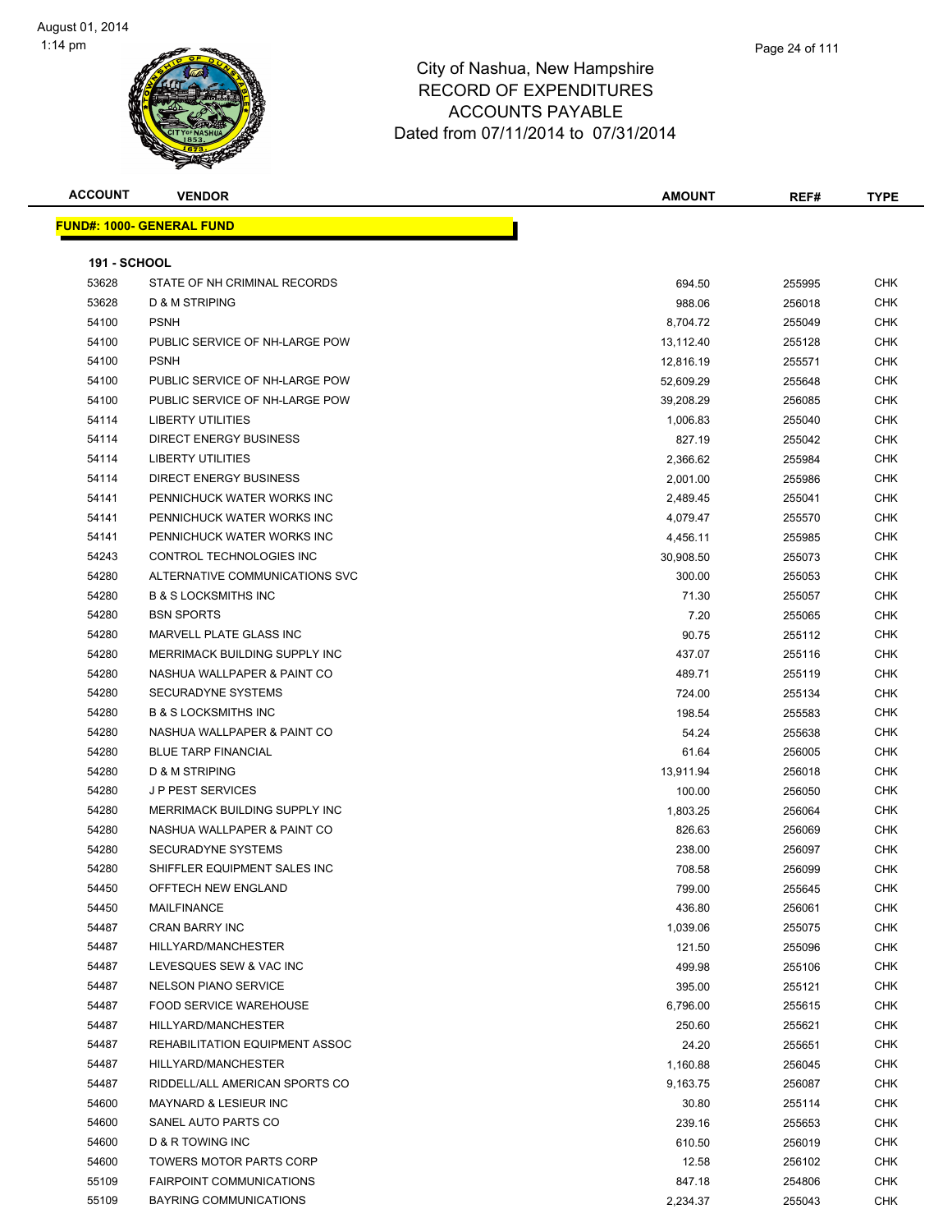| <b>ACCOUNT</b>      | <b>VENDOR</b>                     | <b>AMOUNT</b> | REF#   | <b>TYPE</b> |
|---------------------|-----------------------------------|---------------|--------|-------------|
|                     | <u> FUND#: 1000- GENERAL FUND</u> |               |        |             |
|                     |                                   |               |        |             |
| <b>191 - SCHOOL</b> |                                   |               |        |             |
| 53628               | STATE OF NH CRIMINAL RECORDS      | 694.50        | 255995 | CHK         |
| 53628               | <b>D &amp; M STRIPING</b>         | 988.06        | 256018 | <b>CHK</b>  |
| 54100               | <b>PSNH</b>                       | 8,704.72      | 255049 | CHK         |
| 54100               | PUBLIC SERVICE OF NH-LARGE POW    | 13,112.40     | 255128 | <b>CHK</b>  |
| 54100               | <b>PSNH</b>                       | 12,816.19     | 255571 | CHK         |
| 54100               | PUBLIC SERVICE OF NH-LARGE POW    | 52,609.29     | 255648 | CHK         |
| 54100               | PUBLIC SERVICE OF NH-LARGE POW    | 39,208.29     | 256085 | CHK         |
| 54114               | <b>LIBERTY UTILITIES</b>          | 1,006.83      | 255040 | CHK         |
| 54114               | <b>DIRECT ENERGY BUSINESS</b>     | 827.19        | 255042 | <b>CHK</b>  |
| 54114               | <b>LIBERTY UTILITIES</b>          | 2,366.62      | 255984 | <b>CHK</b>  |
| 54114               | <b>DIRECT ENERGY BUSINESS</b>     | 2,001.00      | 255986 | CHK         |
| 54141               | PENNICHUCK WATER WORKS INC        | 2,489.45      | 255041 | CHK         |
| 54141               | PENNICHUCK WATER WORKS INC        | 4,079.47      | 255570 | CHK         |
| 54141               | PENNICHUCK WATER WORKS INC        | 4,456.11      | 255985 | CHK         |
| 54243               | CONTROL TECHNOLOGIES INC          | 30,908.50     | 255073 | CHK         |
| 54280               | ALTERNATIVE COMMUNICATIONS SVC    | 300.00        | 255053 | CHK         |
| 54280               | <b>B &amp; S LOCKSMITHS INC</b>   | 71.30         | 255057 | CHK         |
| 54280               | <b>BSN SPORTS</b>                 | 7.20          | 255065 | CHK         |
| 54280               | MARVELL PLATE GLASS INC           | 90.75         | 255112 | <b>CHK</b>  |
| 54280               | MERRIMACK BUILDING SUPPLY INC     | 437.07        | 255116 | <b>CHK</b>  |
| 54280               | NASHUA WALLPAPER & PAINT CO       | 489.71        | 255119 | <b>CHK</b>  |
| 54280               | SECURADYNE SYSTEMS                | 724.00        | 255134 | <b>CHK</b>  |
| 54280               | <b>B &amp; S LOCKSMITHS INC</b>   | 198.54        | 255583 | <b>CHK</b>  |
| 54280               | NASHUA WALLPAPER & PAINT CO       | 54.24         | 255638 | <b>CHK</b>  |
| 54280               | <b>BLUE TARP FINANCIAL</b>        | 61.64         | 256005 | <b>CHK</b>  |
| 54280               | <b>D &amp; M STRIPING</b>         | 13,911.94     | 256018 | <b>CHK</b>  |
| 54280               | <b>JP PEST SERVICES</b>           | 100.00        | 256050 | <b>CHK</b>  |
| 54280               | MERRIMACK BUILDING SUPPLY INC     | 1,803.25      | 256064 | <b>CHK</b>  |
| 54280               | NASHUA WALLPAPER & PAINT CO       | 826.63        | 256069 | <b>CHK</b>  |
| 54280               | SECURADYNE SYSTEMS                | 238.00        | 256097 | <b>CHK</b>  |
| 54280               | SHIFFLER EQUIPMENT SALES INC      | 708.58        | 256099 | <b>CHK</b>  |
| 54450               | OFFTECH NEW ENGLAND               | 799.00        | 255645 | <b>CHK</b>  |
| 54450               | MAILFINANCE                       | 436.80        | 256061 | CHK         |
| 54487               | <b>CRAN BARRY INC</b>             | 1,039.06      | 255075 | CHK         |
| 54487               | HILLYARD/MANCHESTER               | 121.50        | 255096 | CHK         |
| 54487               | LEVESQUES SEW & VAC INC           | 499.98        | 255106 | CHK         |
| 54487               | <b>NELSON PIANO SERVICE</b>       | 395.00        | 255121 | CHK         |
| 54487               | <b>FOOD SERVICE WAREHOUSE</b>     | 6,796.00      | 255615 | CHK         |
| 54487               | HILLYARD/MANCHESTER               | 250.60        | 255621 | CHK         |
| 54487               | REHABILITATION EQUIPMENT ASSOC    | 24.20         | 255651 | CHK         |
| 54487               | HILLYARD/MANCHESTER               | 1,160.88      | 256045 | CHK         |
| 54487               | RIDDELL/ALL AMERICAN SPORTS CO    | 9,163.75      | 256087 | <b>CHK</b>  |
| 54600               | <b>MAYNARD &amp; LESIEUR INC</b>  | 30.80         | 255114 | CHK         |
| 54600               | SANEL AUTO PARTS CO               | 239.16        | 255653 | CHK         |
| 54600               | D & R TOWING INC                  | 610.50        | 256019 | CHK         |
| 54600               | <b>TOWERS MOTOR PARTS CORP</b>    | 12.58         | 256102 | CHK         |
| 55109               | <b>FAIRPOINT COMMUNICATIONS</b>   | 847.18        | 254806 | CHK         |
| 55109               | BAYRING COMMUNICATIONS            | 2,234.37      | 255043 | <b>CHK</b>  |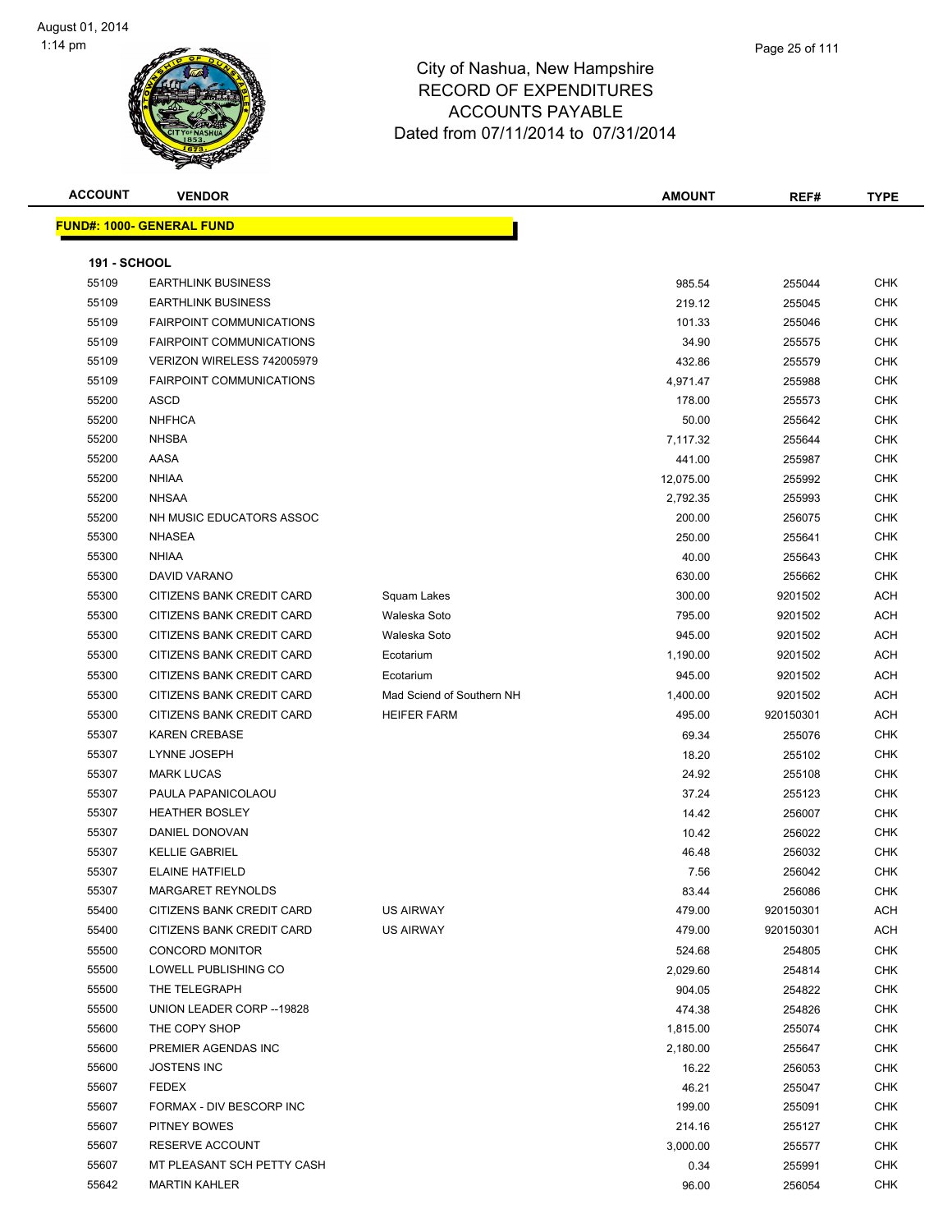

| Page 25 of 111 |  |
|----------------|--|
|                |  |

| <b>ACCOUNT</b>      | <b>VENDOR</b>                     |                           | <b>AMOUNT</b> | REF#      | <b>TYPE</b> |
|---------------------|-----------------------------------|---------------------------|---------------|-----------|-------------|
|                     | <u> FUND#: 1000- GENERAL FUND</u> |                           |               |           |             |
|                     |                                   |                           |               |           |             |
| <b>191 - SCHOOL</b> |                                   |                           |               |           |             |
| 55109               | <b>EARTHLINK BUSINESS</b>         |                           | 985.54        | 255044    | <b>CHK</b>  |
| 55109               | <b>EARTHLINK BUSINESS</b>         |                           | 219.12        | 255045    | <b>CHK</b>  |
| 55109               | <b>FAIRPOINT COMMUNICATIONS</b>   |                           | 101.33        | 255046    | <b>CHK</b>  |
| 55109               | <b>FAIRPOINT COMMUNICATIONS</b>   |                           | 34.90         | 255575    | <b>CHK</b>  |
| 55109               | VERIZON WIRELESS 742005979        |                           | 432.86        | 255579    | <b>CHK</b>  |
| 55109               | <b>FAIRPOINT COMMUNICATIONS</b>   |                           | 4,971.47      | 255988    | <b>CHK</b>  |
| 55200               | <b>ASCD</b>                       |                           | 178.00        | 255573    | <b>CHK</b>  |
| 55200               | <b>NHFHCA</b>                     |                           | 50.00         | 255642    | <b>CHK</b>  |
| 55200               | <b>NHSBA</b>                      |                           | 7,117.32      | 255644    | <b>CHK</b>  |
| 55200               | AASA                              |                           | 441.00        | 255987    | <b>CHK</b>  |
| 55200               | <b>NHIAA</b>                      |                           | 12,075.00     | 255992    | <b>CHK</b>  |
| 55200               | <b>NHSAA</b>                      |                           | 2,792.35      | 255993    | <b>CHK</b>  |
| 55200               | NH MUSIC EDUCATORS ASSOC          |                           | 200.00        | 256075    | <b>CHK</b>  |
| 55300               | <b>NHASEA</b>                     |                           | 250.00        | 255641    | <b>CHK</b>  |
| 55300               | <b>NHIAA</b>                      |                           | 40.00         | 255643    | <b>CHK</b>  |
| 55300               | <b>DAVID VARANO</b>               |                           | 630.00        | 255662    | CHK         |
| 55300               | CITIZENS BANK CREDIT CARD         | Squam Lakes               | 300.00        | 9201502   | <b>ACH</b>  |
| 55300               | CITIZENS BANK CREDIT CARD         | Waleska Soto              | 795.00        | 9201502   | ACH         |
| 55300               | CITIZENS BANK CREDIT CARD         | Waleska Soto              | 945.00        | 9201502   | <b>ACH</b>  |
| 55300               | CITIZENS BANK CREDIT CARD         | Ecotarium                 | 1,190.00      | 9201502   | ACH         |
| 55300               | CITIZENS BANK CREDIT CARD         | Ecotarium                 | 945.00        | 9201502   | ACH         |
| 55300               | CITIZENS BANK CREDIT CARD         | Mad Sciend of Southern NH | 1,400.00      | 9201502   | ACH         |
| 55300               | CITIZENS BANK CREDIT CARD         | <b>HEIFER FARM</b>        | 495.00        | 920150301 | <b>ACH</b>  |
| 55307               | KAREN CREBASE                     |                           | 69.34         | 255076    | CHK         |
| 55307               | LYNNE JOSEPH                      |                           | 18.20         | 255102    | <b>CHK</b>  |
| 55307               | <b>MARK LUCAS</b>                 |                           | 24.92         | 255108    | <b>CHK</b>  |
| 55307               | PAULA PAPANICOLAOU                |                           | 37.24         | 255123    | <b>CHK</b>  |
| 55307               | <b>HEATHER BOSLEY</b>             |                           | 14.42         | 256007    | CHK         |
| 55307               | DANIEL DONOVAN                    |                           | 10.42         | 256022    | CHK         |
| 55307               | <b>KELLIE GABRIEL</b>             |                           | 46.48         | 256032    | <b>CHK</b>  |
| 55307               | <b>ELAINE HATFIELD</b>            |                           | 7.56          | 256042    | <b>CHK</b>  |
| 55307               | MARGARET REYNOLDS                 |                           | 83.44         | 256086    | CHK         |
| 55400               | CITIZENS BANK CREDIT CARD         | US AIRWAY                 | 479.00        | 920150301 | ACH         |
| 55400               | CITIZENS BANK CREDIT CARD         | US AIRWAY                 | 479.00        | 920150301 | ACH         |
| 55500               | <b>CONCORD MONITOR</b>            |                           | 524.68        | 254805    | <b>CHK</b>  |
| 55500               | LOWELL PUBLISHING CO              |                           | 2,029.60      | 254814    | CHK         |
| 55500               | THE TELEGRAPH                     |                           | 904.05        | 254822    | <b>CHK</b>  |
| 55500               | UNION LEADER CORP -- 19828        |                           | 474.38        | 254826    | <b>CHK</b>  |
| 55600               | THE COPY SHOP                     |                           | 1,815.00      | 255074    | <b>CHK</b>  |
| 55600               | PREMIER AGENDAS INC               |                           | 2,180.00      | 255647    | <b>CHK</b>  |
| 55600               | <b>JOSTENS INC</b>                |                           | 16.22         | 256053    | CHK         |
| 55607               | <b>FEDEX</b>                      |                           | 46.21         | 255047    | <b>CHK</b>  |
| 55607               | FORMAX - DIV BESCORP INC          |                           | 199.00        | 255091    | <b>CHK</b>  |
| 55607               | PITNEY BOWES                      |                           | 214.16        | 255127    | CHK         |
| 55607               | RESERVE ACCOUNT                   |                           | 3,000.00      | 255577    | CHK         |
| 55607               | MT PLEASANT SCH PETTY CASH        |                           | 0.34          | 255991    | <b>CHK</b>  |
| 55642               | <b>MARTIN KAHLER</b>              |                           | 96.00         | 256054    | <b>CHK</b>  |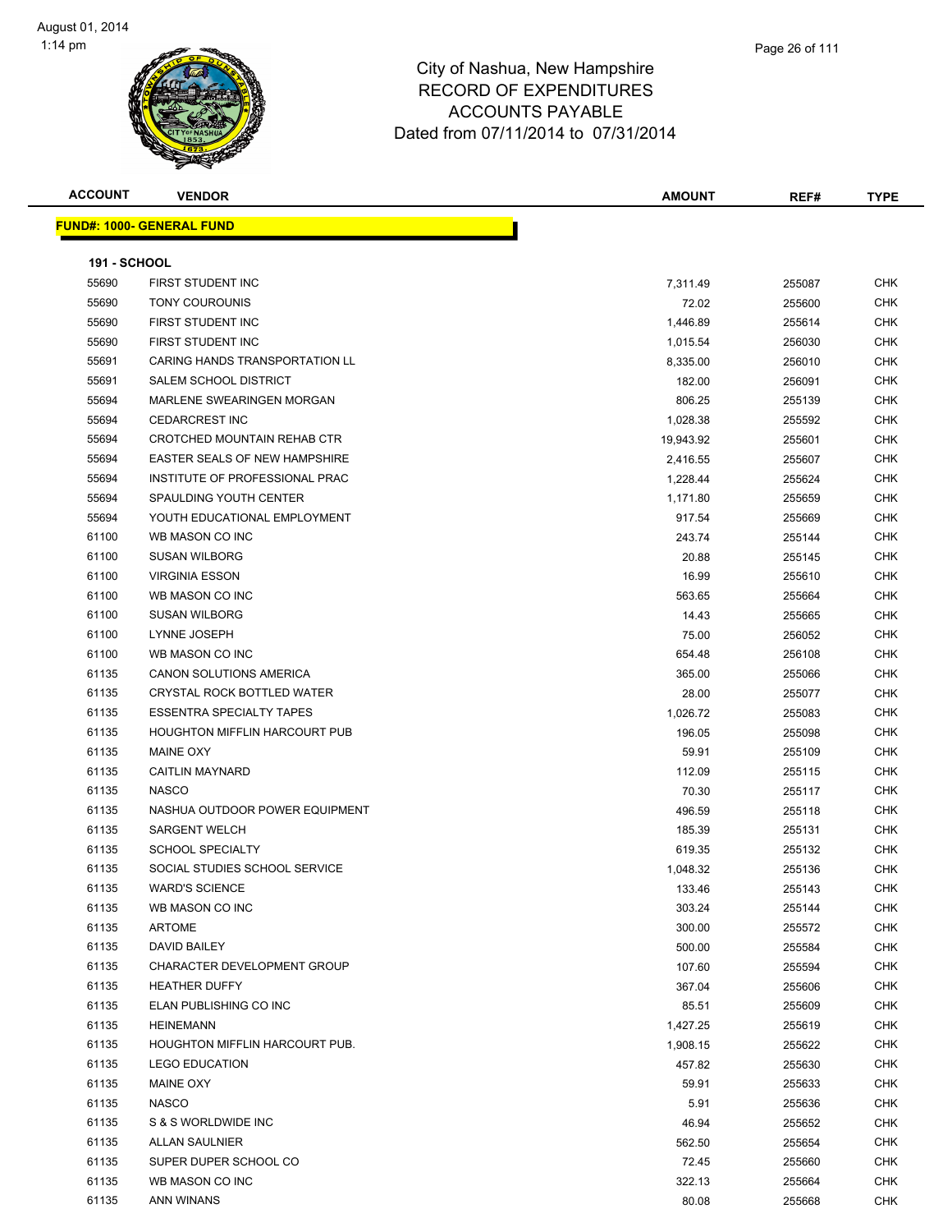

**ACCOUNT VENDOR AMOUNT REF# TYPE FUND#: 1000- GENERAL FUND 191 - SCHOOL** 55690 FIRST STUDENT INC **FIRST STUDENT INC** THE RESERVE TO A RESERVE THE RESERVE TO A RESERVE THE RESERVE THE RESERVE THE RESERVE THE RESERVE THE RESERVE THE RESERVE THE RESERVE THE RESERVE THE RESERVE THE RESERVE THE RESE TONY COUROUNIS 72.02 255600 CHK FIRST STUDENT INC 1,446.89 255614 CHK 55690 FIRST STUDENT INC **1,015.54 256030** CHK 55691 CARING HANDS TRANSPORTATION LL CHANNELL CHANNELL CHANNELL B,335.00 256010 CHK 55691 SALEM SCHOOL DISTRICT AND RELEASED AND RELEASED AT A SECOND METAL OF A SECOND ASSESSMENT OF A SECOND ASSESSMENT OF A SECOND ASSESSMENT OF A SECOND ASSESSMENT OF A SECOND ASSESSMENT OF A SECOND ASSESSMENT OF A SECOND MARLENE SWEARINGEN MORGAN 806.25 255139 CHK CEDARCREST INC 1,028.38 255592 CHK 55694 CROTCHED MOUNTAIN REHAB CTR 19,943.92 255601 CHK EASTER SEALS OF NEW HAMPSHIRE 2,416.55 255607 CHK INSTITUTE OF PROFESSIONAL PRAC 1,228.44 255624 CHK SPAULDING YOUTH CENTER 1,171.80 255659 CHK YOUTH EDUCATIONAL EMPLOYMENT 917.54 255669 CHK WB MASON CO INC 243.74 255144 CHK SUSAN WILBORG 20.88 255145 CHK VIRGINIA ESSON 16.99 255610 CHK WB MASON CO INC 563.65 255664 CHK SUSAN WILBORG 14.43 255665 CHK LYNNE JOSEPH 75.00 256052 CHK WB MASON CO INC 654.48 256108 CHK CANON SOLUTIONS AMERICA 365.00 255066 CHK CRYSTAL ROCK BOTTLED WATER 28.00 255077 CHK er and the SSENTRA SPECIALTY TAPES of the set of the set of the set of the set of the set of the set of the set of the set of the set of the set of the set of the set of the set of the set of the set of the set of the set 61135 HOUGHTON MIFFLIN HARCOURT PUB 196.05 196.05 255098 CHK MAINE OXY 59.91 255109 CHK CAITLIN MAYNARD 112.09 255115 CHK NASCO 70.30 255117 CHK NASHUA OUTDOOR POWER EQUIPMENT 496.59 255118 CHK SARGENT WELCH 185.39 255131 CHK SCHOOL SPECIALTY 619.35 255132 CHK SOCIAL STUDIES SCHOOL SERVICE 1,048.32 255136 CHK WARD'S SCIENCE 133.46 255143 CHK WB MASON CO INC 303.24 255144 CHK ARTOME 300.00 255572 CHK DAVID BAILEY 500.00 255584 CHK er 1135 CHARACTER DEVELOPMENT GROUP 100 100 100 100 100 107.60 255594 CHK HEATHER DUFFY 367.04 255606 CHK ELAN PUBLISHING CO INC 85.51 255609 CHK 61135 HEINEMANN CHK 1,427.25 255619 CHK 61135 HOUGHTON MIFFLIN HARCOURT PUB. 1,908.15 1,908.15 255622 CHK LEGO EDUCATION 457.82 255630 CHK MAINE OXY 59.91 255633 CHK NASCO 5.91 255636 CHK S & S WORLDWIDE INC 46.94 255652 CHK ALLAN SAULNIER 562.50 255654 CHK SUPER DUPER SCHOOL CO 72.45 255660 CHK WB MASON CO INC 322.13 255664 CHK ANN WINANS 80.08 255668 CHK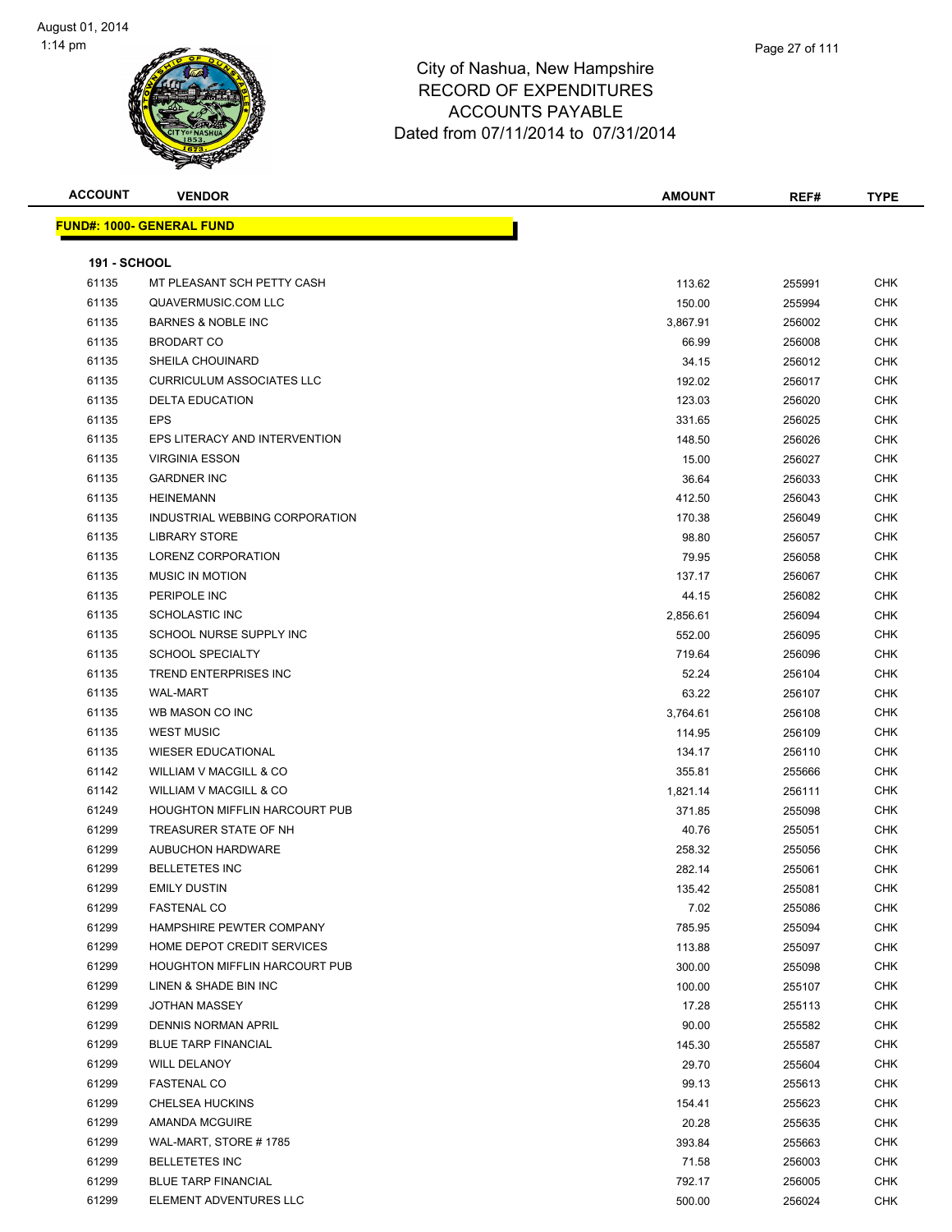

| <b>ACCOUNT</b>      | <b>VENDOR</b>                        | <b>AMOUNT</b> | REF#   | <b>TYPE</b> |
|---------------------|--------------------------------------|---------------|--------|-------------|
|                     | <b>FUND#: 1000- GENERAL FUND</b>     |               |        |             |
|                     |                                      |               |        |             |
| <b>191 - SCHOOL</b> |                                      |               |        |             |
| 61135               | MT PLEASANT SCH PETTY CASH           | 113.62        | 255991 | <b>CHK</b>  |
| 61135               | QUAVERMUSIC.COM LLC                  | 150.00        | 255994 | <b>CHK</b>  |
| 61135               | <b>BARNES &amp; NOBLE INC</b>        | 3,867.91      | 256002 | <b>CHK</b>  |
| 61135               | <b>BRODART CO</b>                    | 66.99         | 256008 | <b>CHK</b>  |
| 61135               | SHEILA CHOUINARD                     | 34.15         | 256012 | CHK         |
| 61135               | <b>CURRICULUM ASSOCIATES LLC</b>     | 192.02        | 256017 | <b>CHK</b>  |
| 61135               | <b>DELTA EDUCATION</b>               | 123.03        | 256020 | <b>CHK</b>  |
| 61135               | <b>EPS</b>                           | 331.65        | 256025 | <b>CHK</b>  |
| 61135               | EPS LITERACY AND INTERVENTION        | 148.50        | 256026 | CHK         |
| 61135               | <b>VIRGINIA ESSON</b>                | 15.00         | 256027 | CHK         |
| 61135               | <b>GARDNER INC</b>                   | 36.64         | 256033 | CHK         |
| 61135               | <b>HEINEMANN</b>                     | 412.50        | 256043 | CHK         |
| 61135               | INDUSTRIAL WEBBING CORPORATION       | 170.38        | 256049 | CHK         |
| 61135               | <b>LIBRARY STORE</b>                 | 98.80         | 256057 | <b>CHK</b>  |
| 61135               | LORENZ CORPORATION                   | 79.95         | 256058 | <b>CHK</b>  |
| 61135               | <b>MUSIC IN MOTION</b>               | 137.17        | 256067 | CHK         |
| 61135               | PERIPOLE INC                         | 44.15         | 256082 | <b>CHK</b>  |
| 61135               | <b>SCHOLASTIC INC</b>                | 2,856.61      | 256094 | <b>CHK</b>  |
| 61135               | SCHOOL NURSE SUPPLY INC              | 552.00        | 256095 | <b>CHK</b>  |
| 61135               | <b>SCHOOL SPECIALTY</b>              | 719.64        | 256096 | CHK         |
| 61135               | TREND ENTERPRISES INC                | 52.24         | 256104 | <b>CHK</b>  |
| 61135               | <b>WAL-MART</b>                      | 63.22         | 256107 | CHK         |
| 61135               | WB MASON CO INC                      | 3,764.61      | 256108 | CHK         |
| 61135               | <b>WEST MUSIC</b>                    | 114.95        | 256109 | <b>CHK</b>  |
| 61135               | <b>WIESER EDUCATIONAL</b>            | 134.17        | 256110 | CHK         |
| 61142               | WILLIAM V MACGILL & CO               | 355.81        | 255666 | <b>CHK</b>  |
| 61142               | <b>WILLIAM V MACGILL &amp; CO</b>    | 1,821.14      | 256111 | CHK         |
| 61249               | <b>HOUGHTON MIFFLIN HARCOURT PUB</b> | 371.85        | 255098 | <b>CHK</b>  |
| 61299               | TREASURER STATE OF NH                | 40.76         | 255051 | CHK         |
| 61299               | <b>AUBUCHON HARDWARE</b>             | 258.32        | 255056 | CHK         |
| 61299               | <b>BELLETETES INC</b>                | 282.14        | 255061 | CHK         |
| 61299               | <b>EMILY DUSTIN</b>                  | 135.42        | 255081 | <b>CHK</b>  |
| 61299               | <b>FASTENAL CO</b>                   | 7.02          | 255086 | <b>CHK</b>  |
| 61299               | HAMPSHIRE PEWTER COMPANY             | 785.95        | 255094 | CHK         |
| 61299               | HOME DEPOT CREDIT SERVICES           | 113.88        | 255097 | <b>CHK</b>  |
| 61299               | <b>HOUGHTON MIFFLIN HARCOURT PUB</b> | 300.00        | 255098 | CHK         |
| 61299               | LINEN & SHADE BIN INC                | 100.00        | 255107 | <b>CHK</b>  |
| 61299               | <b>JOTHAN MASSEY</b>                 | 17.28         | 255113 | <b>CHK</b>  |
| 61299               | DENNIS NORMAN APRIL                  | 90.00         | 255582 | CHK         |
| 61299               | <b>BLUE TARP FINANCIAL</b>           | 145.30        | 255587 | <b>CHK</b>  |
| 61299               | <b>WILL DELANOY</b>                  | 29.70         | 255604 | <b>CHK</b>  |
| 61299               | FASTENAL CO                          | 99.13         | 255613 | CHK         |
| 61299               | <b>CHELSEA HUCKINS</b>               | 154.41        | 255623 | <b>CHK</b>  |
| 61299               | <b>AMANDA MCGUIRE</b>                | 20.28         | 255635 | CHK         |
| 61299               | WAL-MART, STORE #1785                | 393.84        | 255663 | CHK         |
| 61299               | <b>BELLETETES INC</b>                | 71.58         | 256003 | <b>CHK</b>  |
| 61299               | <b>BLUE TARP FINANCIAL</b>           | 792.17        | 256005 | CHK         |
| 61299               | ELEMENT ADVENTURES LLC               | 500.00        | 256024 | CHK         |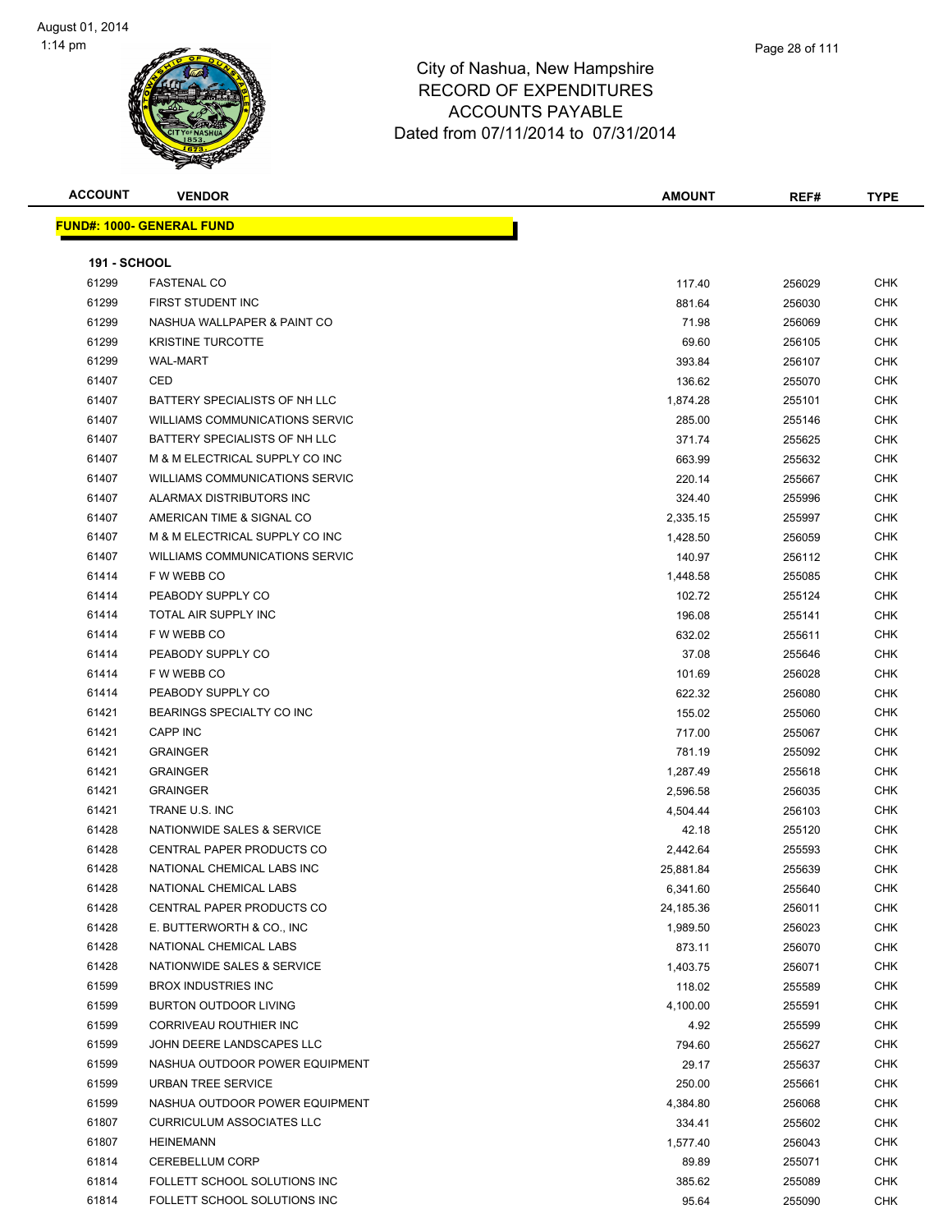

|             | Page 28 of 111 |
|-------------|----------------|
| npshire     |                |
| <b>URES</b> |                |
| . .         |                |

| <b>ACCOUNT</b>      | <b>VENDOR</b>                    | <b>AMOUNT</b> | REF#   | <b>TYPE</b> |
|---------------------|----------------------------------|---------------|--------|-------------|
|                     | <b>FUND#: 1000- GENERAL FUND</b> |               |        |             |
|                     |                                  |               |        |             |
| <b>191 - SCHOOL</b> |                                  |               |        |             |
| 61299               | <b>FASTENAL CO</b>               | 117.40        | 256029 | <b>CHK</b>  |
| 61299               | FIRST STUDENT INC                | 881.64        | 256030 | <b>CHK</b>  |
| 61299               | NASHUA WALLPAPER & PAINT CO      | 71.98         | 256069 | <b>CHK</b>  |
| 61299               | <b>KRISTINE TURCOTTE</b>         | 69.60         | 256105 | <b>CHK</b>  |
| 61299               | <b>WAL-MART</b>                  | 393.84        | 256107 | <b>CHK</b>  |
| 61407               | CED                              | 136.62        | 255070 | <b>CHK</b>  |
| 61407               | BATTERY SPECIALISTS OF NH LLC    | 1,874.28      | 255101 | <b>CHK</b>  |
| 61407               | WILLIAMS COMMUNICATIONS SERVIC   | 285.00        | 255146 | <b>CHK</b>  |
| 61407               | BATTERY SPECIALISTS OF NH LLC    | 371.74        | 255625 | <b>CHK</b>  |
| 61407               | M & M ELECTRICAL SUPPLY CO INC   | 663.99        | 255632 | <b>CHK</b>  |
| 61407               | WILLIAMS COMMUNICATIONS SERVIC   | 220.14        | 255667 | <b>CHK</b>  |
| 61407               | ALARMAX DISTRIBUTORS INC         | 324.40        | 255996 | <b>CHK</b>  |
| 61407               | AMERICAN TIME & SIGNAL CO        | 2,335.15      | 255997 | <b>CHK</b>  |
| 61407               | M & M ELECTRICAL SUPPLY CO INC   | 1,428.50      | 256059 | <b>CHK</b>  |
| 61407               | WILLIAMS COMMUNICATIONS SERVIC   | 140.97        | 256112 | <b>CHK</b>  |
| 61414               | F W WEBB CO                      | 1,448.58      | 255085 | <b>CHK</b>  |
| 61414               | PEABODY SUPPLY CO                | 102.72        | 255124 | <b>CHK</b>  |
| 61414               | TOTAL AIR SUPPLY INC             | 196.08        | 255141 | <b>CHK</b>  |
| 61414               | F W WEBB CO                      | 632.02        | 255611 | <b>CHK</b>  |
| 61414               | PEABODY SUPPLY CO                | 37.08         | 255646 | <b>CHK</b>  |
| 61414               | F W WEBB CO                      | 101.69        | 256028 | <b>CHK</b>  |
| 61414               | PEABODY SUPPLY CO                | 622.32        | 256080 | <b>CHK</b>  |
| 61421               | BEARINGS SPECIALTY CO INC        | 155.02        | 255060 | <b>CHK</b>  |
| 61421               | CAPP INC                         | 717.00        | 255067 | CHK         |
| 61421               | <b>GRAINGER</b>                  | 781.19        | 255092 | <b>CHK</b>  |
| 61421               | <b>GRAINGER</b>                  | 1,287.49      | 255618 | <b>CHK</b>  |
| 61421               | <b>GRAINGER</b>                  | 2,596.58      | 256035 | CHK         |
| 61421               | TRANE U.S. INC                   | 4,504.44      | 256103 | CHK         |
| 61428               | NATIONWIDE SALES & SERVICE       | 42.18         | 255120 | <b>CHK</b>  |
| 61428               | CENTRAL PAPER PRODUCTS CO        | 2,442.64      | 255593 | CHK         |
| 61428               | NATIONAL CHEMICAL LABS INC       | 25,881.84     | 255639 | <b>CHK</b>  |
| 61428               | NATIONAL CHEMICAL LABS           | 6,341.60      | 255640 | <b>CHK</b>  |
| 61428               | CENTRAL PAPER PRODUCTS CO        | 24,185.36     | 256011 | <b>CHK</b>  |
| 61428               | E. BUTTERWORTH & CO., INC.       | 1,989.50      | 256023 | <b>CHK</b>  |
| 61428               | NATIONAL CHEMICAL LABS           | 873.11        | 256070 | <b>CHK</b>  |
| 61428               | NATIONWIDE SALES & SERVICE       | 1,403.75      | 256071 | <b>CHK</b>  |
| 61599               | <b>BROX INDUSTRIES INC</b>       | 118.02        | 255589 | <b>CHK</b>  |
| 61599               | <b>BURTON OUTDOOR LIVING</b>     | 4,100.00      | 255591 | <b>CHK</b>  |
| 61599               | CORRIVEAU ROUTHIER INC           | 4.92          | 255599 | <b>CHK</b>  |
| 61599               | JOHN DEERE LANDSCAPES LLC        | 794.60        | 255627 | <b>CHK</b>  |
| 61599               | NASHUA OUTDOOR POWER EQUIPMENT   | 29.17         | 255637 | <b>CHK</b>  |
| 61599               | URBAN TREE SERVICE               | 250.00        | 255661 | <b>CHK</b>  |
| 61599               | NASHUA OUTDOOR POWER EQUIPMENT   | 4,384.80      | 256068 | <b>CHK</b>  |
| 61807               | <b>CURRICULUM ASSOCIATES LLC</b> | 334.41        | 255602 | <b>CHK</b>  |
| 61807               | <b>HEINEMANN</b>                 | 1,577.40      | 256043 | <b>CHK</b>  |
| 61814               | <b>CEREBELLUM CORP</b>           | 89.89         | 255071 | <b>CHK</b>  |
| 61814               | FOLLETT SCHOOL SOLUTIONS INC     | 385.62        | 255089 | <b>CHK</b>  |
| 61814               | FOLLETT SCHOOL SOLUTIONS INC     | 95.64         | 255090 | <b>CHK</b>  |
|                     |                                  |               |        |             |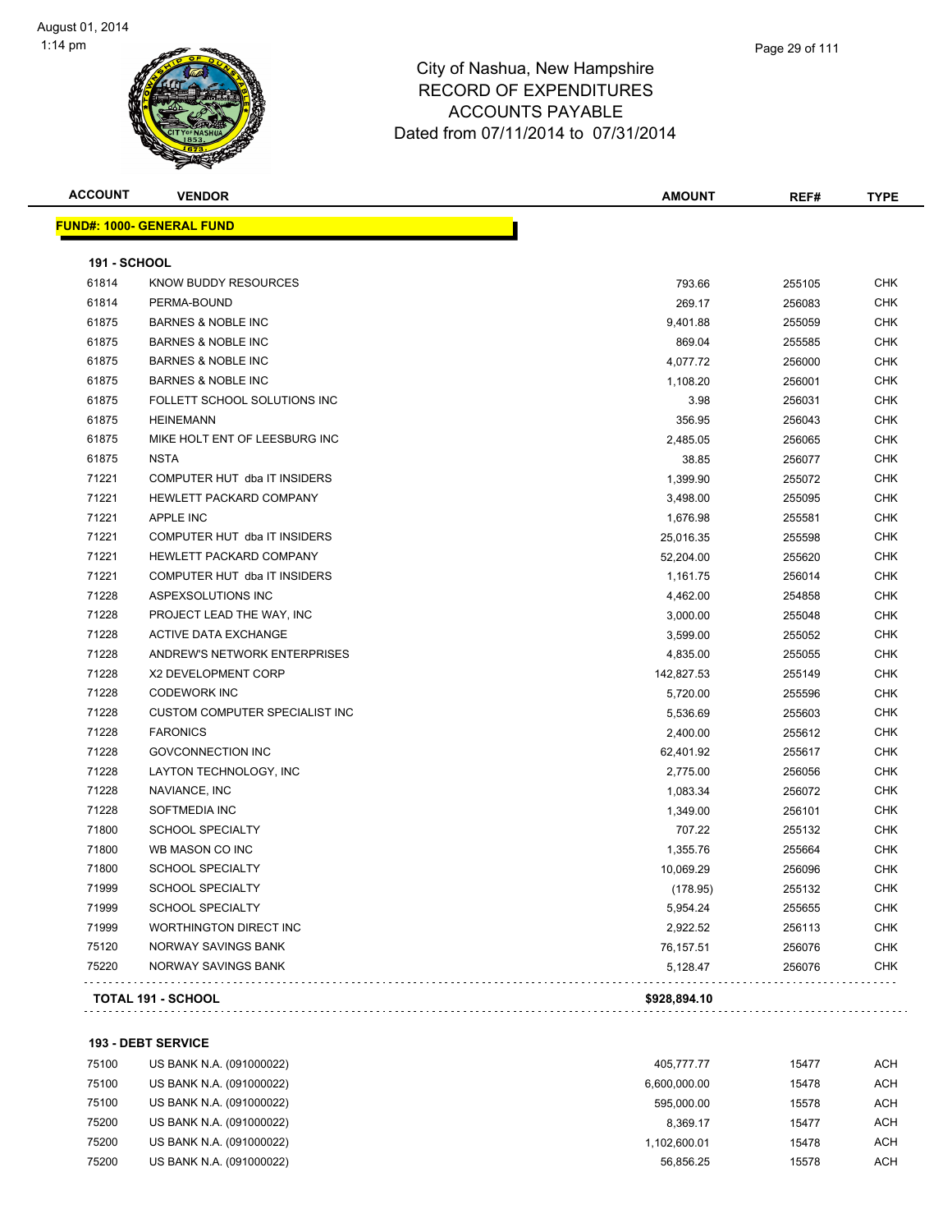

| <b>ACCOUNT</b> | <b>VENDOR</b>                         | <b>AMOUNT</b> | REF#   | <b>TYPE</b> |
|----------------|---------------------------------------|---------------|--------|-------------|
|                | <u> FUND#: 1000- GENERAL FUND</u>     |               |        |             |
| 191 - SCHOOL   |                                       |               |        |             |
| 61814          | KNOW BUDDY RESOURCES                  | 793.66        | 255105 | <b>CHK</b>  |
| 61814          | PERMA-BOUND                           | 269.17        | 256083 | <b>CHK</b>  |
| 61875          | <b>BARNES &amp; NOBLE INC</b>         | 9,401.88      | 255059 | <b>CHK</b>  |
| 61875          | <b>BARNES &amp; NOBLE INC</b>         | 869.04        | 255585 | <b>CHK</b>  |
| 61875          | <b>BARNES &amp; NOBLE INC</b>         | 4,077.72      | 256000 | <b>CHK</b>  |
| 61875          | <b>BARNES &amp; NOBLE INC</b>         | 1,108.20      | 256001 | <b>CHK</b>  |
| 61875          | FOLLETT SCHOOL SOLUTIONS INC          | 3.98          | 256031 | <b>CHK</b>  |
| 61875          | <b>HEINEMANN</b>                      | 356.95        | 256043 | <b>CHK</b>  |
| 61875          | MIKE HOLT ENT OF LEESBURG INC         | 2,485.05      | 256065 | <b>CHK</b>  |
| 61875          | <b>NSTA</b>                           | 38.85         | 256077 | <b>CHK</b>  |
| 71221          | COMPUTER HUT dba IT INSIDERS          | 1,399.90      | 255072 | <b>CHK</b>  |
| 71221          | HEWLETT PACKARD COMPANY               | 3,498.00      | 255095 | <b>CHK</b>  |
| 71221          | <b>APPLE INC</b>                      | 1,676.98      | 255581 | <b>CHK</b>  |
| 71221          | COMPUTER HUT dba IT INSIDERS          | 25,016.35     | 255598 | <b>CHK</b>  |
| 71221          | HEWLETT PACKARD COMPANY               | 52,204.00     | 255620 | <b>CHK</b>  |
| 71221          | COMPUTER HUT dba IT INSIDERS          | 1,161.75      | 256014 | <b>CHK</b>  |
| 71228          | ASPEXSOLUTIONS INC                    | 4,462.00      | 254858 | <b>CHK</b>  |
| 71228          | PROJECT LEAD THE WAY, INC             | 3,000.00      | 255048 | <b>CHK</b>  |
| 71228          | <b>ACTIVE DATA EXCHANGE</b>           | 3,599.00      | 255052 | <b>CHK</b>  |
| 71228          | ANDREW'S NETWORK ENTERPRISES          | 4,835.00      | 255055 | <b>CHK</b>  |
| 71228          | X2 DEVELOPMENT CORP                   | 142,827.53    | 255149 | CHK         |
| 71228          | <b>CODEWORK INC</b>                   | 5,720.00      | 255596 | <b>CHK</b>  |
| 71228          | <b>CUSTOM COMPUTER SPECIALIST INC</b> | 5,536.69      | 255603 | <b>CHK</b>  |
| 71228          | <b>FARONICS</b>                       | 2,400.00      | 255612 | <b>CHK</b>  |
| 71228          | <b>GOVCONNECTION INC</b>              | 62,401.92     | 255617 | <b>CHK</b>  |
| 71228          | LAYTON TECHNOLOGY, INC                | 2,775.00      | 256056 | <b>CHK</b>  |
| 71228          | NAVIANCE, INC                         | 1,083.34      | 256072 | <b>CHK</b>  |
| 71228          | SOFTMEDIA INC                         | 1,349.00      | 256101 | <b>CHK</b>  |
| 71800          | <b>SCHOOL SPECIALTY</b>               | 707.22        | 255132 | <b>CHK</b>  |
| 71800          | WB MASON CO INC                       | 1,355.76      | 255664 | <b>CHK</b>  |
| 71800          | <b>SCHOOL SPECIALTY</b>               | 10,069.29     | 256096 | <b>CHK</b>  |
| 71999          | SCHOOL SPECIALTY                      | (178.95)      | 255132 | CHK         |
| 71999          | <b>SCHOOL SPECIALTY</b>               | 5,954.24      | 255655 | CHK         |
| 71999          | <b>WORTHINGTON DIRECT INC</b>         | 2,922.52      | 256113 | <b>CHK</b>  |
| 75120          | NORWAY SAVINGS BANK                   | 76,157.51     | 256076 | <b>CHK</b>  |
| 75220          | NORWAY SAVINGS BANK                   | 5,128.47      | 256076 | <b>CHK</b>  |
|                |                                       |               |        |             |
|                | <b>TOTAL 191 - SCHOOL</b>             | \$928,894.10  |        |             |

**193 - DEBT SERVICE**

| 75100 | US BANK N.A. (091000022) | 405.777.77   | 15477 | ACH |
|-------|--------------------------|--------------|-------|-----|
| 75100 | US BANK N.A. (091000022) | 6,600,000.00 | 15478 | ACH |
| 75100 | US BANK N.A. (091000022) | 595.000.00   | 15578 | ACH |
| 75200 | US BANK N.A. (091000022) | 8.369.17     | 15477 | ACH |
| 75200 | US BANK N.A. (091000022) | 1.102.600.01 | 15478 | ACH |
| 75200 | US BANK N.A. (091000022) | 56.856.25    | 15578 | ACH |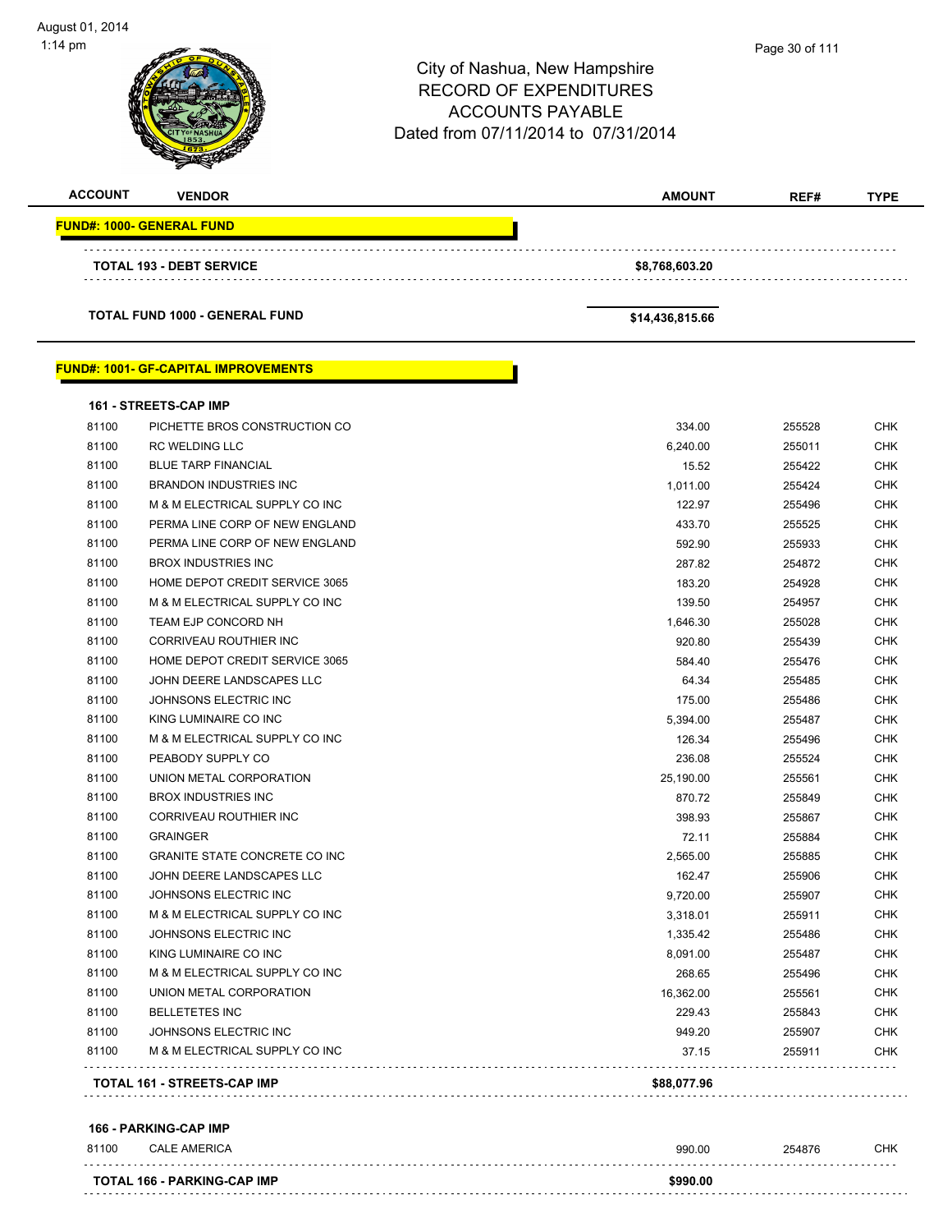| <b>ACCOUNT</b> | <b>VENDOR</b>                                | <b>AMOUNT</b>   | REF#   | <b>TYPE</b> |
|----------------|----------------------------------------------|-----------------|--------|-------------|
|                | <b>FUND#: 1000- GENERAL FUND</b>             |                 |        |             |
|                | TOTAL 193 - DEBT SERVICE                     | \$8,768,603.20  |        |             |
|                | <b>TOTAL FUND 1000 - GENERAL FUND</b>        | \$14,436,815.66 |        |             |
|                | <u> FUND#: 1001- GF-CAPITAL IMPROVEMENTS</u> |                 |        |             |
|                | <b>161 - STREETS-CAP IMP</b>                 |                 |        |             |
| 81100          | PICHETTE BROS CONSTRUCTION CO                | 334.00          | 255528 | <b>CHK</b>  |
| 81100          | <b>RC WELDING LLC</b>                        | 6,240.00        | 255011 | <b>CHK</b>  |
| 81100          | <b>BLUE TARP FINANCIAL</b>                   | 15.52           | 255422 | CHK         |
| 81100          | <b>BRANDON INDUSTRIES INC</b>                | 1,011.00        | 255424 | <b>CHK</b>  |
| 81100          | M & M ELECTRICAL SUPPLY CO INC               | 122.97          | 255496 | CHK         |
| 81100          | PERMA LINE CORP OF NEW ENGLAND               | 433.70          | 255525 | CHK         |
| 81100          | PERMA LINE CORP OF NEW ENGLAND               | 592.90          | 255933 | CHK         |
| 81100          | <b>BROX INDUSTRIES INC</b>                   | 287.82          | 254872 | CHK         |
| 81100          | HOME DEPOT CREDIT SERVICE 3065               | 183.20          | 254928 | <b>CHK</b>  |
| 81100          | M & M ELECTRICAL SUPPLY CO INC               | 139.50          | 254957 | <b>CHK</b>  |
| 81100          | TEAM EJP CONCORD NH                          | 1,646.30        | 255028 | CHK         |
| 81100          | CORRIVEAU ROUTHIER INC                       | 920.80          | 255439 | <b>CHK</b>  |
| 81100          | HOME DEPOT CREDIT SERVICE 3065               | 584.40          | 255476 | CHK         |
| 81100          | JOHN DEERE LANDSCAPES LLC                    | 64.34           | 255485 | <b>CHK</b>  |
| 81100          | JOHNSONS ELECTRIC INC                        | 175.00          | 255486 | <b>CHK</b>  |
| 81100          | KING LUMINAIRE CO INC                        | 5,394.00        | 255487 | CHK         |
| 81100          | M & M ELECTRICAL SUPPLY CO INC               | 126.34          | 255496 | CHK         |
| 81100          | PEABODY SUPPLY CO                            | 236.08          | 255524 | CHK         |
| 81100          | UNION METAL CORPORATION                      | 25,190.00       | 255561 | CHK         |
| 81100          | <b>BROX INDUSTRIES INC</b>                   | 870.72          | 255849 | CHK         |
| 81100          | CORRIVEAU ROUTHIER INC                       | 398.93          | 255867 | CHK         |
| 81100          | <b>GRAINGER</b>                              | 72.11           | 255884 | CHK         |
| 81100          | <b>GRANITE STATE CONCRETE CO INC.</b>        | 2,565.00        | 255885 | CHK         |
| 81100          | JOHN DEERE LANDSCAPES LLC                    | 162.47          | 255906 | CHK         |
| 81100          | JOHNSONS ELECTRIC INC                        | 9,720.00        | 255907 | <b>CHK</b>  |
| 81100          | M & M ELECTRICAL SUPPLY CO INC               | 3,318.01        | 255911 | <b>CHK</b>  |
| 81100          | JOHNSONS ELECTRIC INC                        | 1,335.42        | 255486 | <b>CHK</b>  |
| 81100          | KING LUMINAIRE CO INC                        | 8,091.00        | 255487 | <b>CHK</b>  |
| 81100          | M & M ELECTRICAL SUPPLY CO INC               | 268.65          | 255496 | <b>CHK</b>  |
| 81100          | UNION METAL CORPORATION                      | 16,362.00       | 255561 | <b>CHK</b>  |
| 81100          | <b>BELLETETES INC</b>                        | 229.43          | 255843 | <b>CHK</b>  |
| 81100          | JOHNSONS ELECTRIC INC                        | 949.20          | 255907 | <b>CHK</b>  |
| 81100          | M & M ELECTRICAL SUPPLY CO INC               | 37.15           | 255911 | CHK         |
|                | <b>TOTAL 161 - STREETS-CAP IMP</b>           | \$88,077.96     |        |             |

#### **166 - PARKING-CAP IMP**

| 81100 | <b>CALE AMERICA</b>                | 990.00   | 254876 | СНК |
|-------|------------------------------------|----------|--------|-----|
|       | <b>TOTAL 166 - PARKING-CAP IMP</b> | \$990.00 |        |     |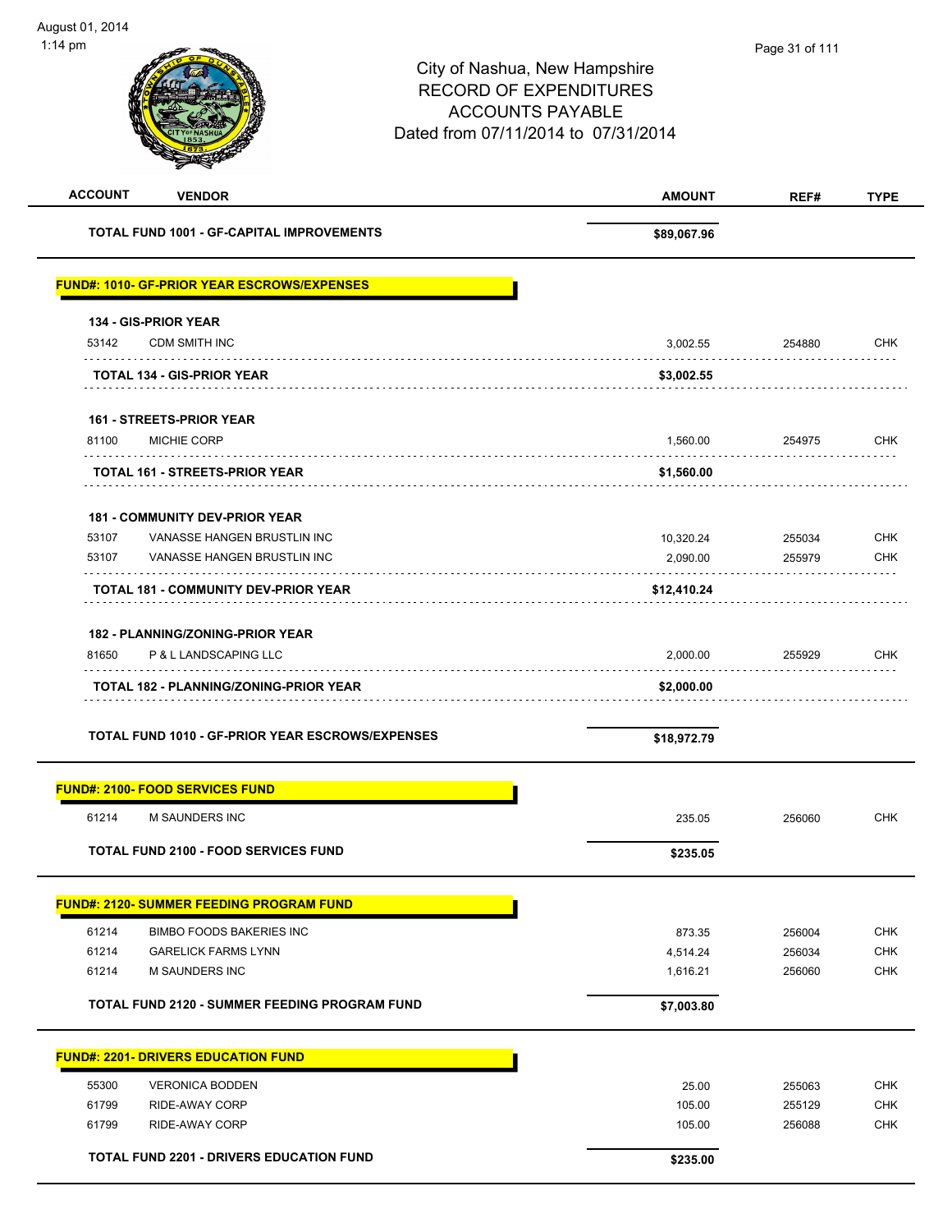| <b>ACCOUNT</b><br><b>VENDOR</b>                         | <b>AMOUNT</b> | REF#   | <b>TYPE</b> |
|---------------------------------------------------------|---------------|--------|-------------|
| <b>TOTAL FUND 1001 - GF-CAPITAL IMPROVEMENTS</b>        | \$89,067.96   |        |             |
| <b>FUND#: 1010- GF-PRIOR YEAR ESCROWS/EXPENSES</b>      |               |        |             |
| 134 - GIS-PRIOR YEAR                                    |               |        |             |
| 53142<br><b>CDM SMITH INC</b>                           | 3,002.55      | 254880 | <b>CHK</b>  |
| <b>TOTAL 134 - GIS-PRIOR YEAR</b>                       | \$3,002.55    |        |             |
| <b>161 - STREETS-PRIOR YEAR</b>                         |               |        |             |
| 81100<br>MICHIE CORP                                    | 1,560.00      | 254975 | <b>CHK</b>  |
| <b>TOTAL 161 - STREETS-PRIOR YEAR</b>                   | \$1,560.00    |        |             |
| <b>181 - COMMUNITY DEV-PRIOR YEAR</b>                   |               |        |             |
| 53107<br>VANASSE HANGEN BRUSTLIN INC                    | 10,320.24     | 255034 | <b>CHK</b>  |
| 53107<br>VANASSE HANGEN BRUSTLIN INC                    | 2,090.00      | 255979 | <b>CHK</b>  |
| <b>TOTAL 181 - COMMUNITY DEV-PRIOR YEAR</b>             | \$12,410.24   |        |             |
| <b>182 - PLANNING/ZONING-PRIOR YEAR</b>                 |               |        |             |
| P & L LANDSCAPING LLC<br>81650                          | 2,000.00      | 255929 | <b>CHK</b>  |
| <b>TOTAL 182 - PLANNING/ZONING-PRIOR YEAR</b>           | \$2,000.00    |        |             |
|                                                         |               |        |             |
| <b>TOTAL FUND 1010 - GF-PRIOR YEAR ESCROWS/EXPENSES</b> | \$18,972.79   |        |             |
| <b>FUND#: 2100- FOOD SERVICES FUND</b>                  |               |        |             |
| 61214<br>M SAUNDERS INC                                 | 235.05        | 256060 | <b>CHK</b>  |
| <b>TOTAL FUND 2100 - FOOD SERVICES FUND</b>             | \$235.05      |        |             |
| <b>FUND#: 2120- SUMMER FEEDING PROGRAM FUND</b>         |               |        |             |
| 61214<br><b>BIMBO FOODS BAKERIES INC</b>                | 873.35        | 256004 | <b>CHK</b>  |
| 61214<br><b>GARELICK FARMS LYNN</b>                     | 4,514.24      | 256034 | CHK         |
| 61214<br>M SAUNDERS INC                                 | 1,616.21      | 256060 | <b>CHK</b>  |
| <b>TOTAL FUND 2120 - SUMMER FEEDING PROGRAM FUND</b>    | \$7,003.80    |        |             |
| <b>FUND#: 2201- DRIVERS EDUCATION FUND</b>              |               |        |             |
| 55300<br><b>VERONICA BODDEN</b>                         | 25.00         | 255063 | <b>CHK</b>  |
| 61799<br>RIDE-AWAY CORP                                 | 105.00        | 255129 | <b>CHK</b>  |
| 61799<br>RIDE-AWAY CORP                                 | 105.00        | 256088 | <b>CHK</b>  |
| <b>TOTAL FUND 2201 - DRIVERS EDUCATION FUND</b>         | \$235.00      |        |             |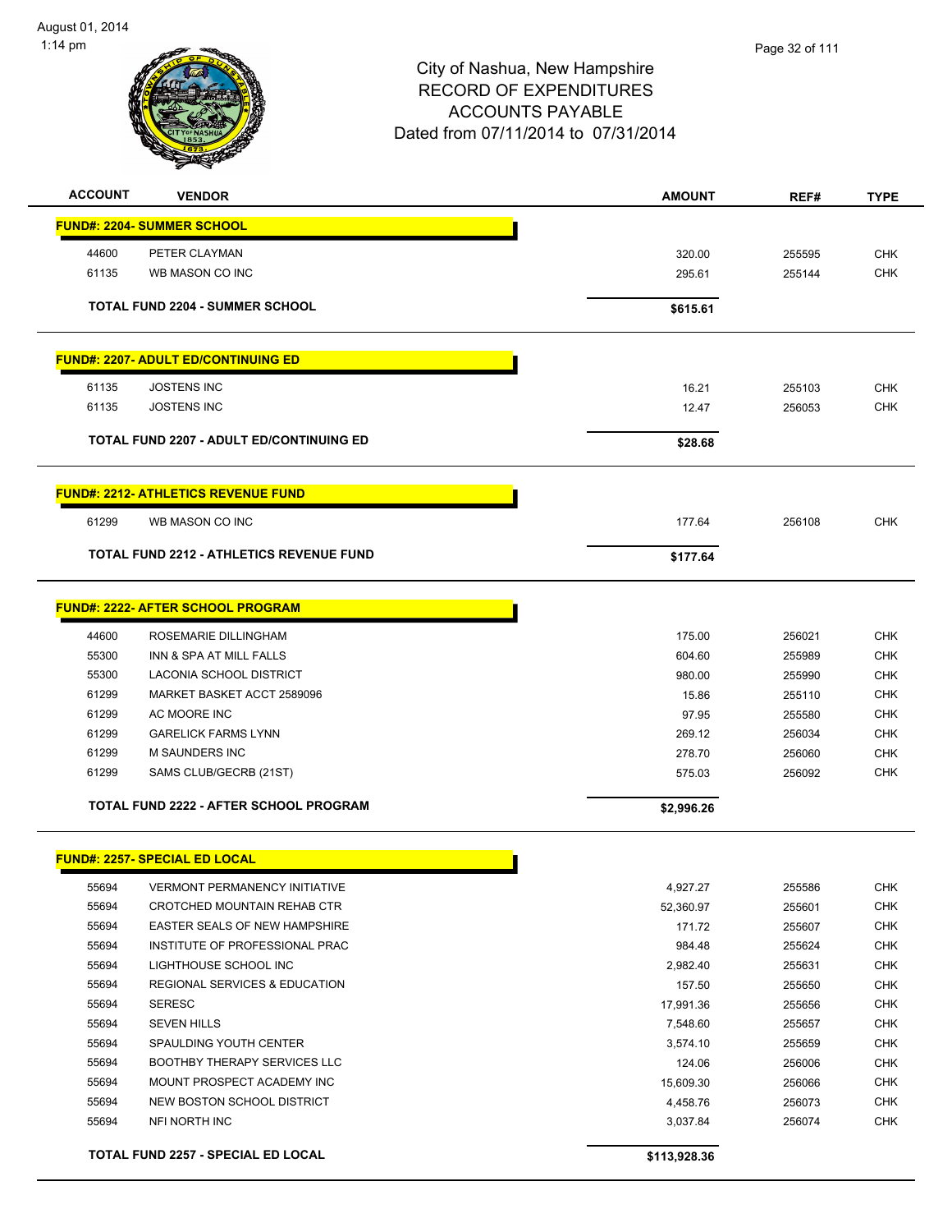

| <b>ACCOUNT</b> | <b>VENDOR</b>                                   | <b>AMOUNT</b> | REF#   | <b>TYPE</b> |
|----------------|-------------------------------------------------|---------------|--------|-------------|
|                | <b>FUND#: 2204- SUMMER SCHOOL</b>               |               |        |             |
|                |                                                 |               |        |             |
| 44600          | PETER CLAYMAN                                   | 320.00        | 255595 | <b>CHK</b>  |
| 61135          | WB MASON CO INC                                 | 295.61        | 255144 | <b>CHK</b>  |
|                | <b>TOTAL FUND 2204 - SUMMER SCHOOL</b>          | \$615.61      |        |             |
|                | <b>FUND#: 2207- ADULT ED/CONTINUING ED</b>      |               |        |             |
| 61135          | <b>JOSTENS INC</b>                              | 16.21         | 255103 | <b>CHK</b>  |
| 61135          | <b>JOSTENS INC</b>                              | 12.47         | 256053 | <b>CHK</b>  |
|                |                                                 |               |        |             |
|                | <b>TOTAL FUND 2207 - ADULT ED/CONTINUING ED</b> | \$28.68       |        |             |
|                | <b>FUND#: 2212- ATHLETICS REVENUE FUND</b>      |               |        |             |
| 61299          | WB MASON CO INC                                 | 177.64        | 256108 | <b>CHK</b>  |
|                | <b>TOTAL FUND 2212 - ATHLETICS REVENUE FUND</b> | \$177.64      |        |             |
|                |                                                 |               |        |             |
|                | <b>FUND#: 2222- AFTER SCHOOL PROGRAM</b>        |               |        |             |
| 44600          | ROSEMARIE DILLINGHAM                            | 175.00        | 256021 | <b>CHK</b>  |
| 55300          | INN & SPA AT MILL FALLS                         | 604.60        | 255989 | <b>CHK</b>  |
| 55300          | LACONIA SCHOOL DISTRICT                         | 980.00        | 255990 | <b>CHK</b>  |
| 61299          | MARKET BASKET ACCT 2589096                      | 15.86         | 255110 | <b>CHK</b>  |
| 61299          | AC MOORE INC                                    | 97.95         | 255580 | <b>CHK</b>  |
| 61299          | <b>GARELICK FARMS LYNN</b>                      | 269.12        | 256034 | <b>CHK</b>  |
| 61299          | <b>M SAUNDERS INC</b>                           | 278.70        | 256060 | <b>CHK</b>  |
| 61299          | SAMS CLUB/GECRB (21ST)                          | 575.03        | 256092 | <b>CHK</b>  |
|                | <b>TOTAL FUND 2222 - AFTER SCHOOL PROGRAM</b>   | \$2,996.26    |        |             |
|                |                                                 |               |        |             |
|                | <b>FUND#: 2257- SPECIAL ED LOCAL</b>            |               |        |             |
| 55694          | <b>VERMONT PERMANENCY INITIATIVE</b>            | 4,927.27      | 255586 | <b>CHK</b>  |
| 55694          | CROTCHED MOUNTAIN REHAB CTR                     | 52,360.97     | 255601 | CHK         |
| 55694          | EASTER SEALS OF NEW HAMPSHIRE                   | 171.72        | 255607 | <b>CHK</b>  |
| 55694          | INSTITUTE OF PROFESSIONAL PRAC                  | 984.48        | 255624 | <b>CHK</b>  |
| 55694          | LIGHTHOUSE SCHOOL INC                           | 2,982.40      | 255631 | <b>CHK</b>  |
| 55694          | <b>REGIONAL SERVICES &amp; EDUCATION</b>        | 157.50        | 255650 | <b>CHK</b>  |
| 55694          | <b>SERESC</b>                                   | 17,991.36     | 255656 | <b>CHK</b>  |
| 55694          | <b>SEVEN HILLS</b>                              | 7,548.60      | 255657 | <b>CHK</b>  |
| 55694          | SPAULDING YOUTH CENTER                          | 3,574.10      | 255659 | <b>CHK</b>  |
| 55694          | <b>BOOTHBY THERAPY SERVICES LLC</b>             | 124.06        | 256006 | <b>CHK</b>  |
| 55694          | MOUNT PROSPECT ACADEMY INC                      | 15,609.30     | 256066 | <b>CHK</b>  |
| 55694          | NEW BOSTON SCHOOL DISTRICT                      | 4,458.76      | 256073 | <b>CHK</b>  |
| 55694          | NFI NORTH INC                                   | 3,037.84      | 256074 | <b>CHK</b>  |
|                | TOTAL FUND 2257 - SPECIAL ED LOCAL              | \$113,928.36  |        |             |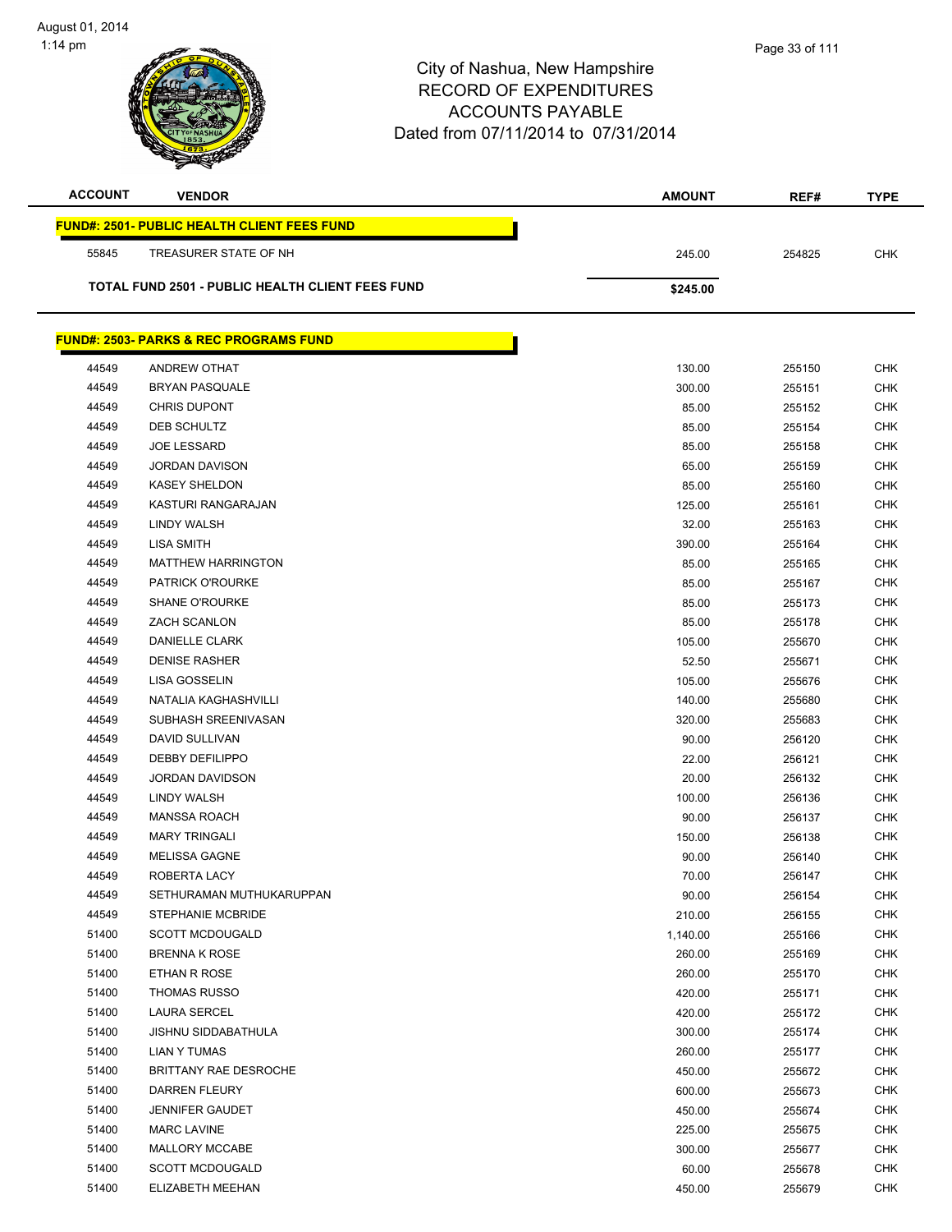| <b>ACCOUNT</b> | <b>VENDOR</b>                                           | <b>AMOUNT</b>  | REF#             | <b>TYPE</b>              |
|----------------|---------------------------------------------------------|----------------|------------------|--------------------------|
|                | <b>FUND#: 2501- PUBLIC HEALTH CLIENT FEES FUND</b>      |                |                  |                          |
| 55845          | TREASURER STATE OF NH                                   | 245.00         | 254825           | <b>CHK</b>               |
|                |                                                         |                |                  |                          |
|                | <b>TOTAL FUND 2501 - PUBLIC HEALTH CLIENT FEES FUND</b> | \$245.00       |                  |                          |
|                | <b>FUND#: 2503- PARKS &amp; REC PROGRAMS FUND</b>       |                |                  |                          |
|                |                                                         |                |                  |                          |
| 44549          | <b>ANDREW OTHAT</b>                                     | 130.00         | 255150           | <b>CHK</b>               |
| 44549<br>44549 | <b>BRYAN PASQUALE</b>                                   | 300.00         | 255151           | <b>CHK</b><br><b>CHK</b> |
| 44549          | <b>CHRIS DUPONT</b><br>DEB SCHULTZ                      | 85.00<br>85.00 | 255152<br>255154 | <b>CHK</b>               |
| 44549          | <b>JOE LESSARD</b>                                      | 85.00          | 255158           | <b>CHK</b>               |
| 44549          | <b>JORDAN DAVISON</b>                                   | 65.00          | 255159           | <b>CHK</b>               |
| 44549          | <b>KASEY SHELDON</b>                                    | 85.00          | 255160           | <b>CHK</b>               |
| 44549          | KASTURI RANGARAJAN                                      | 125.00         | 255161           | <b>CHK</b>               |
| 44549          | LINDY WALSH                                             | 32.00          | 255163           | <b>CHK</b>               |
| 44549          | <b>LISA SMITH</b>                                       | 390.00         | 255164           | <b>CHK</b>               |
| 44549          | <b>MATTHEW HARRINGTON</b>                               | 85.00          | 255165           | <b>CHK</b>               |
| 44549          | <b>PATRICK O'ROURKE</b>                                 | 85.00          | 255167           | <b>CHK</b>               |
| 44549          | <b>SHANE O'ROURKE</b>                                   | 85.00          | 255173           | <b>CHK</b>               |
| 44549          | <b>ZACH SCANLON</b>                                     | 85.00          | 255178           | <b>CHK</b>               |
| 44549          | DANIELLE CLARK                                          | 105.00         | 255670           | <b>CHK</b>               |
| 44549          | <b>DENISE RASHER</b>                                    | 52.50          | 255671           | <b>CHK</b>               |
| 44549          | LISA GOSSELIN                                           | 105.00         | 255676           | <b>CHK</b>               |
| 44549          | NATALIA KAGHASHVILLI                                    | 140.00         | 255680           | CHK                      |
| 44549          | SUBHASH SREENIVASAN                                     | 320.00         | 255683           | <b>CHK</b>               |
| 44549          | DAVID SULLIVAN                                          | 90.00          | 256120           | CHK                      |
| 44549          | <b>DEBBY DEFILIPPO</b>                                  | 22.00          | 256121           | <b>CHK</b>               |
| 44549          | <b>JORDAN DAVIDSON</b>                                  | 20.00          | 256132           | <b>CHK</b>               |
| 44549          | LINDY WALSH                                             | 100.00         | 256136           | <b>CHK</b>               |
| 44549          | <b>MANSSA ROACH</b>                                     | 90.00          | 256137           | <b>CHK</b>               |
| 44549          | <b>MARY TRINGALI</b>                                    | 150.00         | 256138           | CHK                      |
| 44549          | <b>MELISSA GAGNE</b>                                    | 90.00          | 256140           | <b>CHK</b>               |
| 44549          | ROBERTA LACY                                            | 70.00          | 256147           | <b>CHK</b>               |
| 44549          | SETHURAMAN MUTHUKARUPPAN                                | 90.00          | 256154           | <b>CHK</b>               |
| 44549          | <b>STEPHANIE MCBRIDE</b>                                | 210.00         | 256155           | <b>CHK</b>               |
| 51400          | <b>SCOTT MCDOUGALD</b>                                  | 1,140.00       | 255166           | <b>CHK</b>               |
| 51400          | <b>BRENNA K ROSE</b>                                    | 260.00         | 255169           | <b>CHK</b>               |
| 51400          | ETHAN R ROSE                                            | 260.00         | 255170           | <b>CHK</b>               |
| 51400          | <b>THOMAS RUSSO</b>                                     | 420.00         | 255171           | <b>CHK</b>               |
| 51400          | LAURA SERCEL                                            | 420.00         | 255172           | <b>CHK</b>               |
| 51400          | JISHNU SIDDABATHULA                                     | 300.00         | 255174           | <b>CHK</b>               |
| 51400          | LIAN Y TUMAS                                            | 260.00         | 255177           | <b>CHK</b>               |
| 51400          | BRITTANY RAE DESROCHE                                   | 450.00         | 255672           | <b>CHK</b>               |
| 51400          | DARREN FLEURY                                           | 600.00         | 255673           | <b>CHK</b>               |
| 51400          | <b>JENNIFER GAUDET</b>                                  | 450.00         | 255674           | <b>CHK</b>               |
| 51400          | <b>MARC LAVINE</b>                                      | 225.00         | 255675           | <b>CHK</b>               |
| 51400          | MALLORY MCCABE                                          | 300.00         | 255677           | <b>CHK</b>               |
| 51400          | <b>SCOTT MCDOUGALD</b>                                  | 60.00          | 255678           | <b>CHK</b>               |
| 51400          | ELIZABETH MEEHAN                                        | 450.00         | 255679           | <b>CHK</b>               |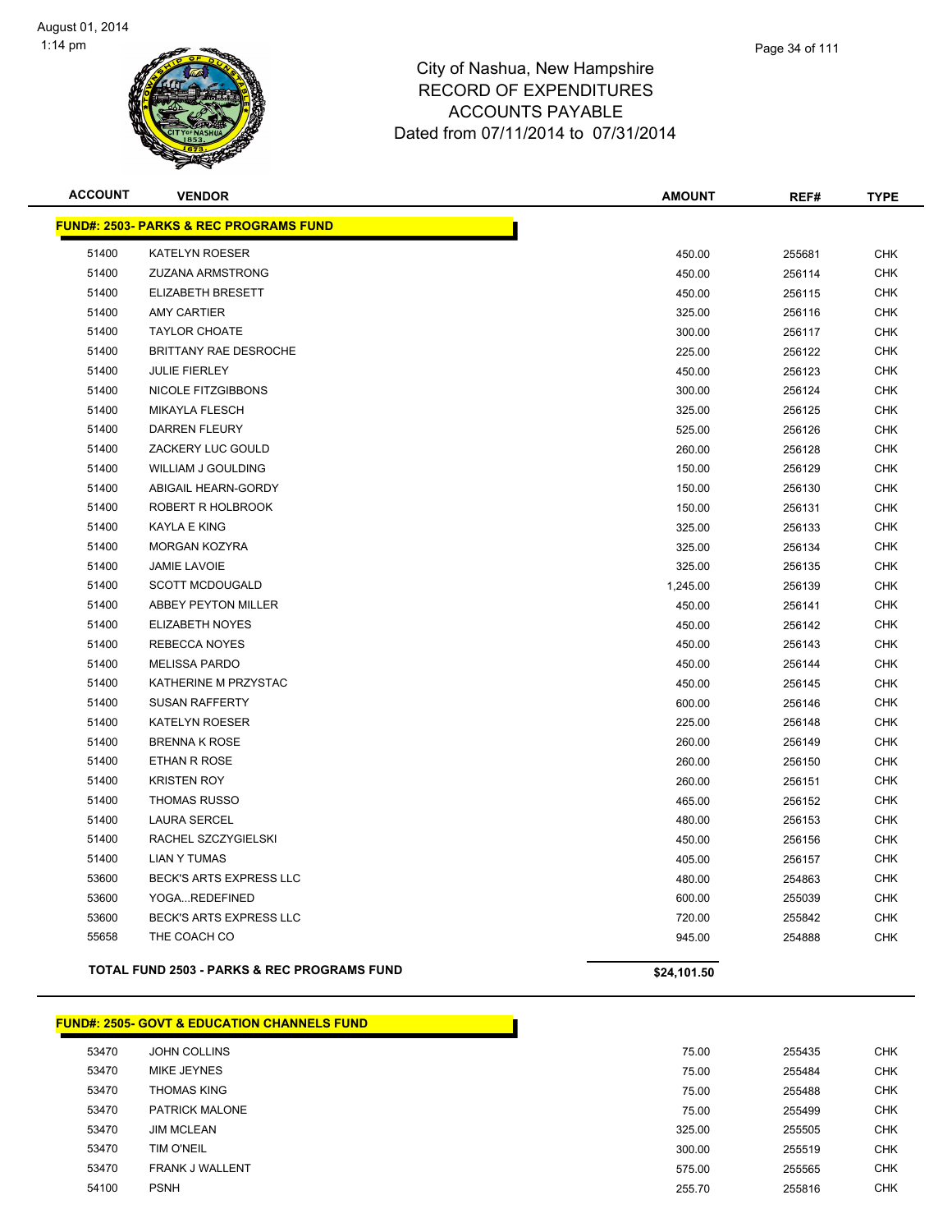

| <b>ACCOUNT</b> | <b>VENDOR</b>                                          | <b>AMOUNT</b> | REF#   | <b>TYPE</b> |
|----------------|--------------------------------------------------------|---------------|--------|-------------|
|                | <u> FUND#: 2503- PARKS &amp; REC PROGRAMS FUND</u>     |               |        |             |
| 51400          | <b>KATELYN ROESER</b>                                  | 450.00        | 255681 | <b>CHK</b>  |
| 51400          | <b>ZUZANA ARMSTRONG</b>                                | 450.00        | 256114 | <b>CHK</b>  |
| 51400          | ELIZABETH BRESETT                                      | 450.00        | 256115 | <b>CHK</b>  |
| 51400          | <b>AMY CARTIER</b>                                     | 325.00        | 256116 | <b>CHK</b>  |
| 51400          | <b>TAYLOR CHOATE</b>                                   | 300.00        | 256117 | <b>CHK</b>  |
| 51400          | BRITTANY RAE DESROCHE                                  | 225.00        | 256122 | <b>CHK</b>  |
| 51400          | <b>JULIE FIERLEY</b>                                   | 450.00        | 256123 | <b>CHK</b>  |
| 51400          | NICOLE FITZGIBBONS                                     | 300.00        | 256124 | <b>CHK</b>  |
| 51400          | <b>MIKAYLA FLESCH</b>                                  | 325.00        | 256125 | <b>CHK</b>  |
| 51400          | <b>DARREN FLEURY</b>                                   | 525.00        | 256126 | <b>CHK</b>  |
| 51400          | ZACKERY LUC GOULD                                      | 260.00        | 256128 | <b>CHK</b>  |
| 51400          | <b>WILLIAM J GOULDING</b>                              | 150.00        | 256129 | <b>CHK</b>  |
| 51400          | ABIGAIL HEARN-GORDY                                    | 150.00        | 256130 | <b>CHK</b>  |
| 51400          | ROBERT R HOLBROOK                                      | 150.00        | 256131 | <b>CHK</b>  |
| 51400          | <b>KAYLA E KING</b>                                    | 325.00        | 256133 | <b>CHK</b>  |
| 51400          | <b>MORGAN KOZYRA</b>                                   | 325.00        | 256134 | <b>CHK</b>  |
| 51400          | <b>JAMIE LAVOIE</b>                                    | 325.00        | 256135 | <b>CHK</b>  |
| 51400          | <b>SCOTT MCDOUGALD</b>                                 | 1,245.00      | 256139 | <b>CHK</b>  |
| 51400          | ABBEY PEYTON MILLER                                    | 450.00        | 256141 | <b>CHK</b>  |
| 51400          | ELIZABETH NOYES                                        | 450.00        | 256142 | <b>CHK</b>  |
| 51400          | REBECCA NOYES                                          | 450.00        | 256143 | <b>CHK</b>  |
| 51400          | <b>MELISSA PARDO</b>                                   | 450.00        | 256144 | <b>CHK</b>  |
| 51400          | KATHERINE M PRZYSTAC                                   | 450.00        | 256145 | <b>CHK</b>  |
| 51400          | <b>SUSAN RAFFERTY</b>                                  | 600.00        | 256146 | <b>CHK</b>  |
| 51400          | <b>KATELYN ROESER</b>                                  | 225.00        | 256148 | <b>CHK</b>  |
| 51400          | <b>BRENNA K ROSE</b>                                   | 260.00        | 256149 | <b>CHK</b>  |
| 51400          | ETHAN R ROSE                                           | 260.00        | 256150 | <b>CHK</b>  |
| 51400          | <b>KRISTEN ROY</b>                                     | 260.00        | 256151 | <b>CHK</b>  |
| 51400          | <b>THOMAS RUSSO</b>                                    | 465.00        | 256152 | <b>CHK</b>  |
| 51400          | <b>LAURA SERCEL</b>                                    | 480.00        | 256153 | <b>CHK</b>  |
| 51400          | RACHEL SZCZYGIELSKI                                    | 450.00        | 256156 | <b>CHK</b>  |
| 51400          | <b>LIAN Y TUMAS</b>                                    | 405.00        | 256157 | <b>CHK</b>  |
| 53600          | BECK'S ARTS EXPRESS LLC                                | 480.00        | 254863 | <b>CHK</b>  |
| 53600          | YOGAREDEFINED                                          | 600.00        | 255039 | <b>CHK</b>  |
| 53600          | BECK'S ARTS EXPRESS LLC                                | 720.00        | 255842 | <b>CHK</b>  |
| 55658          | THE COACH CO                                           | 945.00        | 254888 | <b>CHK</b>  |
|                | <b>TOTAL FUND 2503 - PARKS &amp; REC PROGRAMS FUND</b> | \$24,101.50   |        |             |

#### **FUND#: 2505- GOVT & EDUCATION CHANNELS FUND**

| 53470 | <b>JOHN COLLINS</b>    | 75.00  | 255435 | <b>CHK</b> |
|-------|------------------------|--------|--------|------------|
| 53470 | MIKE JEYNES            | 75.00  | 255484 | <b>CHK</b> |
| 53470 | <b>THOMAS KING</b>     | 75.00  | 255488 | <b>CHK</b> |
| 53470 | <b>PATRICK MALONE</b>  | 75.00  | 255499 | <b>CHK</b> |
| 53470 | <b>JIM MCLEAN</b>      | 325.00 | 255505 | <b>CHK</b> |
| 53470 | <b>TIM O'NEIL</b>      | 300.00 | 255519 | <b>CHK</b> |
| 53470 | <b>FRANK J WALLENT</b> | 575.00 | 255565 | <b>CHK</b> |
| 54100 | <b>PSNH</b>            | 255.70 | 255816 | <b>CHK</b> |
|       |                        |        |        |            |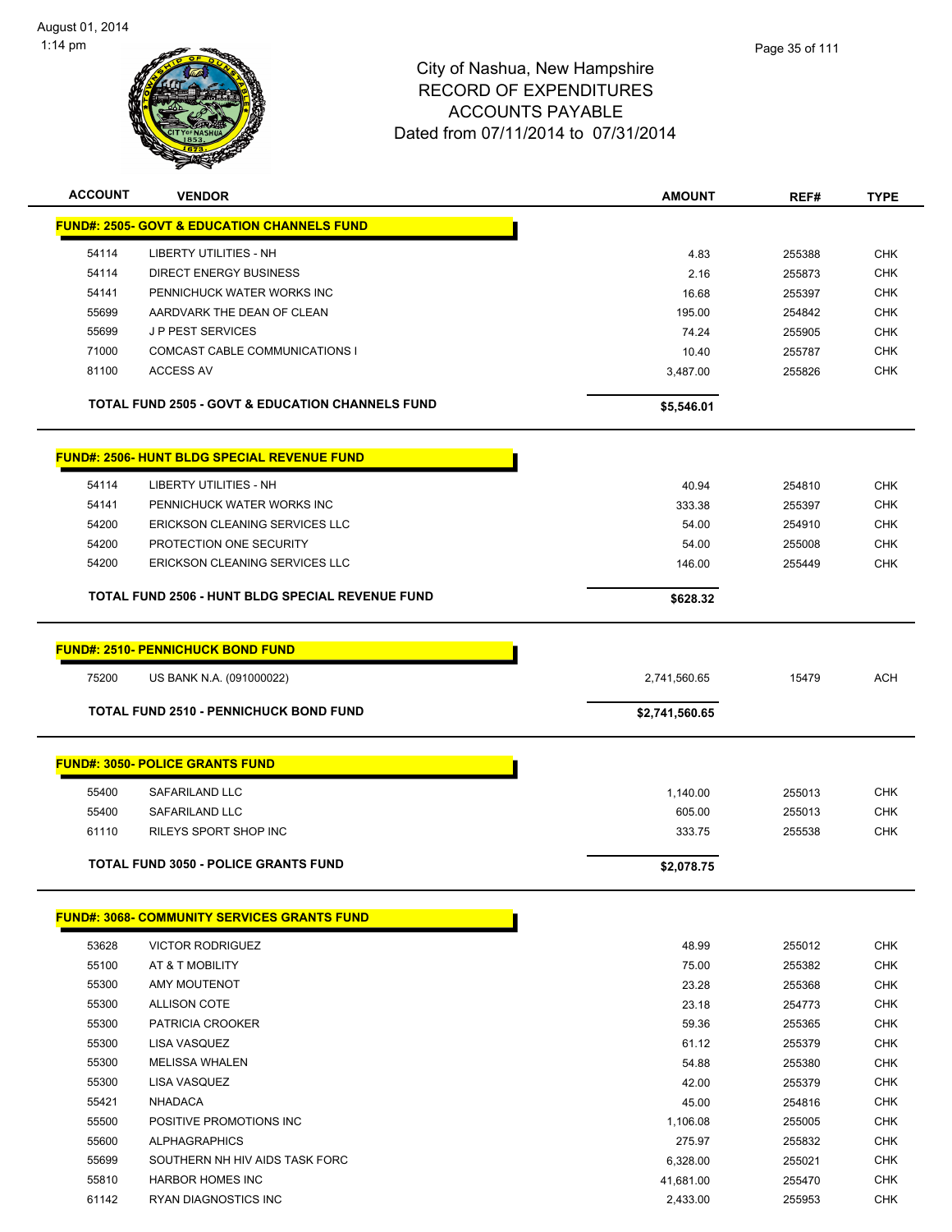

| <b>ACCOUNT</b> | <b>VENDOR</b>                                               | <b>AMOUNT</b>  | REF#   | <b>TYPE</b> |
|----------------|-------------------------------------------------------------|----------------|--------|-------------|
|                | <b>FUND#: 2505- GOVT &amp; EDUCATION CHANNELS FUND</b>      |                |        |             |
| 54114          | LIBERTY UTILITIES - NH                                      | 4.83           | 255388 | <b>CHK</b>  |
| 54114          | <b>DIRECT ENERGY BUSINESS</b>                               | 2.16           | 255873 | <b>CHK</b>  |
| 54141          | PENNICHUCK WATER WORKS INC                                  | 16.68          | 255397 | CHK         |
| 55699          | AARDVARK THE DEAN OF CLEAN                                  | 195.00         | 254842 | <b>CHK</b>  |
| 55699          | J P PEST SERVICES                                           | 74.24          | 255905 | <b>CHK</b>  |
| 71000          | COMCAST CABLE COMMUNICATIONS I                              | 10.40          | 255787 | <b>CHK</b>  |
| 81100          | <b>ACCESS AV</b>                                            | 3,487.00       | 255826 | <b>CHK</b>  |
|                | <b>TOTAL FUND 2505 - GOVT &amp; EDUCATION CHANNELS FUND</b> | \$5,546.01     |        |             |
|                | <b>FUND#: 2506- HUNT BLDG SPECIAL REVENUE FUND</b>          |                |        |             |
| 54114          | <b>LIBERTY UTILITIES - NH</b>                               | 40.94          | 254810 | <b>CHK</b>  |
| 54141          | PENNICHUCK WATER WORKS INC                                  | 333.38         | 255397 | <b>CHK</b>  |
| 54200          | ERICKSON CLEANING SERVICES LLC                              | 54.00          | 254910 | <b>CHK</b>  |
| 54200          | PROTECTION ONE SECURITY                                     | 54.00          | 255008 | <b>CHK</b>  |
| 54200          | ERICKSON CLEANING SERVICES LLC                              | 146.00         | 255449 | <b>CHK</b>  |
|                |                                                             |                |        |             |
|                | <b>TOTAL FUND 2506 - HUNT BLDG SPECIAL REVENUE FUND</b>     | \$628.32       |        |             |
|                | <b>FUND#: 2510- PENNICHUCK BOND FUND</b>                    |                |        |             |
|                |                                                             |                |        |             |
| 75200          | US BANK N.A. (091000022)                                    | 2,741,560.65   | 15479  | <b>ACH</b>  |
|                | <b>TOTAL FUND 2510 - PENNICHUCK BOND FUND</b>               | \$2,741,560.65 |        |             |
|                | <b>FUND#: 3050- POLICE GRANTS FUND</b>                      |                |        |             |
|                |                                                             |                |        |             |
| 55400          | SAFARILAND LLC                                              | 1,140.00       | 255013 | <b>CHK</b>  |
| 55400          | SAFARILAND LLC                                              | 605.00         | 255013 | <b>CHK</b>  |
| 61110          | <b>RILEYS SPORT SHOP INC</b>                                | 333.75         | 255538 | <b>CHK</b>  |
|                | <b>TOTAL FUND 3050 - POLICE GRANTS FUND</b>                 | \$2,078.75     |        |             |
|                | <b>FUND#: 3068- COMMUNITY SERVICES GRANTS FUND</b>          |                |        |             |
|                |                                                             |                |        |             |
| 53628          | <b>VICTOR RODRIGUEZ</b>                                     | 48.99          | 255012 | <b>CHK</b>  |
| 55100          | AT & T MOBILITY                                             | 75.00          | 255382 | <b>CHK</b>  |
| 55300          | AMY MOUTENOT                                                | 23.28          | 255368 | <b>CHK</b>  |
| 55300          | <b>ALLISON COTE</b>                                         | 23.18          | 254773 | <b>CHK</b>  |
| 55300          | PATRICIA CROOKER                                            | 59.36          | 255365 | <b>CHK</b>  |
| 55300          | LISA VASQUEZ                                                | 61.12          | 255379 | <b>CHK</b>  |
| 55300          | <b>MELISSA WHALEN</b>                                       | 54.88          | 255380 | <b>CHK</b>  |
| 55300          | LISA VASQUEZ                                                | 42.00          | 255379 | <b>CHK</b>  |
| 55421          |                                                             |                |        |             |
|                | <b>NHADACA</b>                                              | 45.00          | 254816 | <b>CHK</b>  |
| 55500          | POSITIVE PROMOTIONS INC                                     | 1,106.08       | 255005 | <b>CHK</b>  |
| 55600          | <b>ALPHAGRAPHICS</b>                                        | 275.97         | 255832 | <b>CHK</b>  |
| 55699          | SOUTHERN NH HIV AIDS TASK FORC                              | 6,328.00       | 255021 | CHK         |
| 55810          | <b>HARBOR HOMES INC</b>                                     | 41,681.00      | 255470 | <b>CHK</b>  |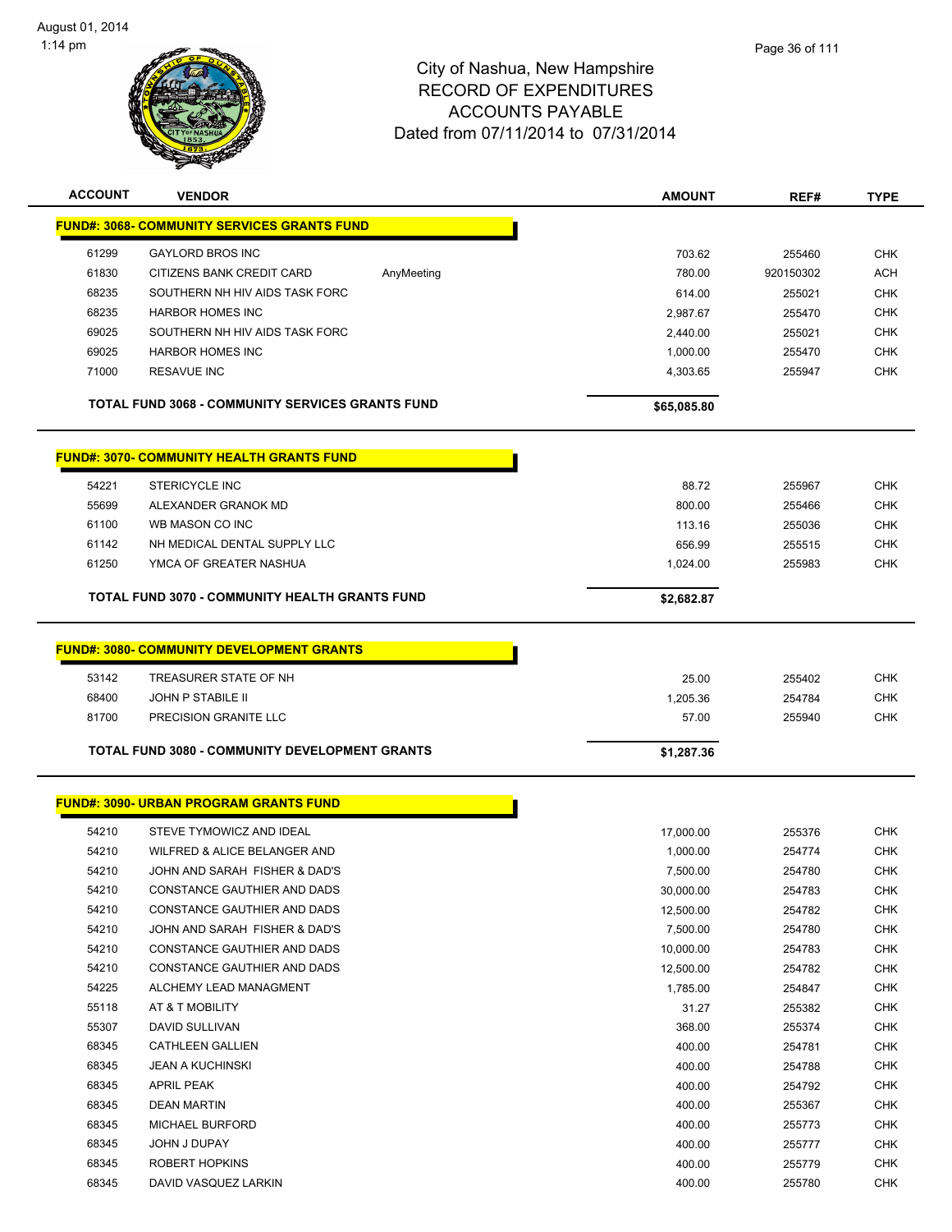

| <b>ACCOUNT</b>                                          | <b>VENDOR</b>                                         |            | <b>AMOUNT</b> | REF#      | <b>TYPE</b> |
|---------------------------------------------------------|-------------------------------------------------------|------------|---------------|-----------|-------------|
| <u> FUND#: 3068- COMMUNITY SERVICES GRANTS FUND</u>     |                                                       |            |               |           |             |
| 61299                                                   | <b>GAYLORD BROS INC</b>                               |            | 703.62        | 255460    | <b>CHK</b>  |
| 61830                                                   | CITIZENS BANK CREDIT CARD                             | AnyMeeting | 780.00        | 920150302 | ACH         |
| 68235                                                   | SOUTHERN NH HIV AIDS TASK FORC                        |            | 614.00        | 255021    | <b>CHK</b>  |
| 68235                                                   | <b>HARBOR HOMES INC</b>                               |            | 2,987.67      | 255470    | <b>CHK</b>  |
| 69025                                                   | SOUTHERN NH HIV AIDS TASK FORC                        |            | 2,440.00      | 255021    | <b>CHK</b>  |
| 69025                                                   | <b>HARBOR HOMES INC</b>                               |            | 1,000.00      | 255470    | <b>CHK</b>  |
| 71000                                                   | <b>RESAVUE INC</b>                                    |            | 4,303.65      | 255947    | <b>CHK</b>  |
| <b>TOTAL FUND 3068 - COMMUNITY SERVICES GRANTS FUND</b> |                                                       |            | \$65,085.80   |           |             |
|                                                         | <b>FUND#: 3070- COMMUNITY HEALTH GRANTS FUND</b>      |            |               |           |             |
| 54221                                                   | <b>STERICYCLE INC</b>                                 |            | 88.72         | 255967    | CHK         |
| 55699                                                   | ALEXANDER GRANOK MD                                   |            | 800.00        | 255466    | <b>CHK</b>  |
| 61100                                                   | WB MASON CO INC                                       |            | 113.16        | 255036    | <b>CHK</b>  |
| 61142                                                   | NH MEDICAL DENTAL SUPPLY LLC                          |            | 656.99        | 255515    | <b>CHK</b>  |
| 61250                                                   | YMCA OF GREATER NASHUA                                |            | 1,024.00      | 255983    | <b>CHK</b>  |
|                                                         | <b>TOTAL FUND 3070 - COMMUNITY HEALTH GRANTS FUND</b> |            | \$2,682.87    |           |             |
|                                                         |                                                       |            |               |           |             |
|                                                         | <b>FUND#: 3080- COMMUNITY DEVELOPMENT GRANTS</b>      |            |               |           |             |
| 53142                                                   | TREASURER STATE OF NH                                 |            | 25.00         | 255402    | <b>CHK</b>  |
| 68400                                                   | <b>JOHN P STABILE II</b>                              |            | 1,205.36      | 254784    | <b>CHK</b>  |
| 81700                                                   | PRECISION GRANITE LLC                                 |            | 57.00         | 255940    | <b>CHK</b>  |
|                                                         | <b>TOTAL FUND 3080 - COMMUNITY DEVELOPMENT GRANTS</b> |            | \$1,287.36    |           |             |
|                                                         | <b>FUND#: 3090- URBAN PROGRAM GRANTS FUND</b>         |            |               |           |             |
| 54210                                                   | STEVE TYMOWICZ AND IDEAL                              |            | 17,000.00     | 255376    | <b>CHK</b>  |
| 54210                                                   | WILFRED & ALICE BELANGER AND                          |            | 1,000.00      | 254774    | <b>CHK</b>  |
| 54210                                                   | JOHN AND SARAH FISHER & DAD'S                         |            | 7,500.00      | 254780    | CHK         |
| 54210                                                   | CONSTANCE GAUTHIER AND DADS                           |            | 30,000.00     | 254783    | <b>CHK</b>  |
| 54210                                                   | CONSTANCE GAUTHIER AND DADS                           |            | 12,500.00     | 254782    | CHK         |
| 54210                                                   | JOHN AND SARAH FISHER & DAD'S                         |            | 7,500.00      | 254780    | <b>CHK</b>  |
| 54210                                                   | CONSTANCE GAUTHIER AND DADS                           |            | 10,000.00     | 254783    | CHK         |
| 54210                                                   | CONSTANCE GAUTHIER AND DADS                           |            | 12,500.00     | 254782    | CHK         |
| 54225                                                   | ALCHEMY LEAD MANAGMENT                                |            | 1,785.00      | 254847    | <b>CHK</b>  |
| 55118                                                   | AT & T MOBILITY                                       |            | 31.27         | 255382    | <b>CHK</b>  |
| 55307                                                   | DAVID SULLIVAN                                        |            | 368.00        | 255374    | <b>CHK</b>  |
| 68345                                                   | <b>CATHLEEN GALLIEN</b>                               |            | 400.00        | 254781    | <b>CHK</b>  |
| 68345                                                   | <b>JEAN A KUCHINSKI</b>                               |            | 400.00        | 254788    | CHK         |
| 68345                                                   | APRIL PEAK                                            |            | 400.00        | 254792    | CHK         |
| 68345                                                   | <b>DEAN MARTIN</b>                                    |            | 400.00        | 255367    | <b>CHK</b>  |
| 68345                                                   | MICHAEL BURFORD                                       |            | 400.00        | 255773    | <b>CHK</b>  |
| 68345                                                   | JOHN J DUPAY                                          |            | 400.00        | 255777    | <b>CHK</b>  |
| 68345                                                   | ROBERT HOPKINS                                        |            | 400.00        | 255779    | <b>CHK</b>  |
| 68345                                                   | DAVID VASQUEZ LARKIN                                  |            | 400.00        | 255780    | <b>CHK</b>  |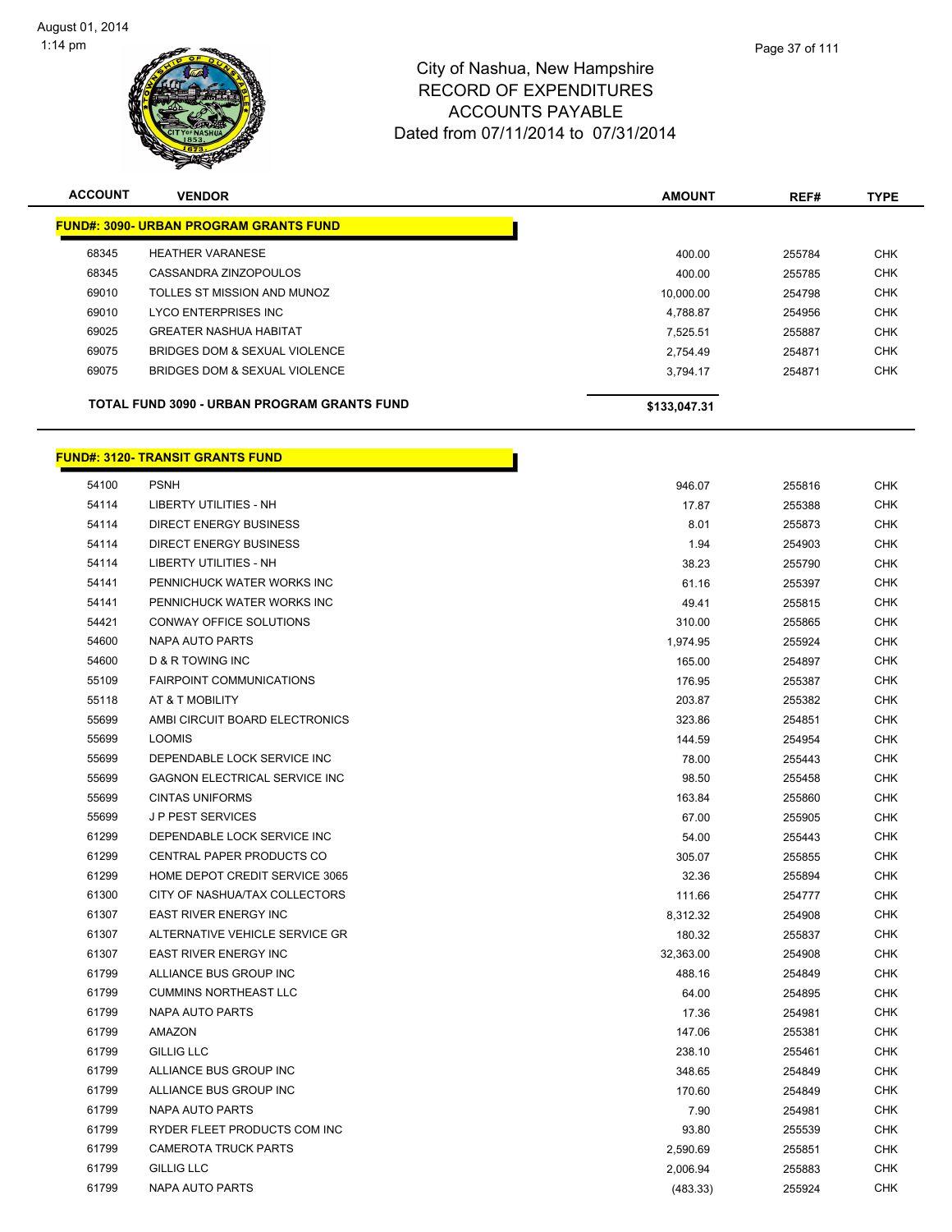

| <b>ACCOUNT</b> | <b>VENDOR</b>                                      | <b>AMOUNT</b> | REF#   | <b>TYPE</b> |
|----------------|----------------------------------------------------|---------------|--------|-------------|
|                | <b>FUND#: 3090- URBAN PROGRAM GRANTS FUND</b>      |               |        |             |
| 68345          | <b>HEATHER VARANESE</b>                            | 400.00        | 255784 | <b>CHK</b>  |
| 68345          | CASSANDRA ZINZOPOULOS                              | 400.00        | 255785 | <b>CHK</b>  |
| 69010          | TOLLES ST MISSION AND MUNOZ                        | 10.000.00     | 254798 | <b>CHK</b>  |
| 69010          | LYCO ENTERPRISES INC                               | 4.788.87      | 254956 | <b>CHK</b>  |
| 69025          | <b>GREATER NASHUA HABITAT</b>                      | 7.525.51      | 255887 | <b>CHK</b>  |
| 69075          | BRIDGES DOM & SEXUAL VIOLENCE                      | 2.754.49      | 254871 | <b>CHK</b>  |
| 69075          | BRIDGES DOM & SEXUAL VIOLENCE                      | 3.794.17      | 254871 | <b>CHK</b>  |
|                | <b>TOTAL FUND 3090 - URBAN PROGRAM GRANTS FUND</b> | \$133,047.31  |        |             |

### **FUND#: 3120- TRANSIT GRANTS FUND**

| 54100 | <b>PSNH</b>                     | 946.07    | 255816 | <b>CHK</b> |
|-------|---------------------------------|-----------|--------|------------|
| 54114 | <b>LIBERTY UTILITIES - NH</b>   | 17.87     | 255388 | <b>CHK</b> |
| 54114 | <b>DIRECT ENERGY BUSINESS</b>   | 8.01      | 255873 | <b>CHK</b> |
| 54114 | <b>DIRECT ENERGY BUSINESS</b>   | 1.94      | 254903 | <b>CHK</b> |
| 54114 | <b>LIBERTY UTILITIES - NH</b>   | 38.23     | 255790 | <b>CHK</b> |
| 54141 | PENNICHUCK WATER WORKS INC      | 61.16     | 255397 | <b>CHK</b> |
| 54141 | PENNICHUCK WATER WORKS INC      | 49.41     | 255815 | <b>CHK</b> |
| 54421 | CONWAY OFFICE SOLUTIONS         | 310.00    | 255865 | <b>CHK</b> |
| 54600 | NAPA AUTO PARTS                 | 1,974.95  | 255924 | <b>CHK</b> |
| 54600 | <b>D &amp; R TOWING INC</b>     | 165.00    | 254897 | <b>CHK</b> |
| 55109 | <b>FAIRPOINT COMMUNICATIONS</b> | 176.95    | 255387 | <b>CHK</b> |
| 55118 | AT & T MOBILITY                 | 203.87    | 255382 | <b>CHK</b> |
| 55699 | AMBI CIRCUIT BOARD ELECTRONICS  | 323.86    | 254851 | <b>CHK</b> |
| 55699 | <b>LOOMIS</b>                   | 144.59    | 254954 | <b>CHK</b> |
| 55699 | DEPENDABLE LOCK SERVICE INC     | 78.00     | 255443 | <b>CHK</b> |
| 55699 | GAGNON ELECTRICAL SERVICE INC   | 98.50     | 255458 | <b>CHK</b> |
| 55699 | <b>CINTAS UNIFORMS</b>          | 163.84    | 255860 | <b>CHK</b> |
| 55699 | <b>JP PEST SERVICES</b>         | 67.00     | 255905 | <b>CHK</b> |
| 61299 | DEPENDABLE LOCK SERVICE INC     | 54.00     | 255443 | CHK        |
| 61299 | CENTRAL PAPER PRODUCTS CO       | 305.07    | 255855 | <b>CHK</b> |
| 61299 | HOME DEPOT CREDIT SERVICE 3065  | 32.36     | 255894 | <b>CHK</b> |
| 61300 | CITY OF NASHUA/TAX COLLECTORS   | 111.66    | 254777 | <b>CHK</b> |
| 61307 | <b>EAST RIVER ENERGY INC</b>    | 8,312.32  | 254908 | <b>CHK</b> |
| 61307 | ALTERNATIVE VEHICLE SERVICE GR  | 180.32    | 255837 | <b>CHK</b> |
| 61307 | <b>EAST RIVER ENERGY INC</b>    | 32,363.00 | 254908 | <b>CHK</b> |
| 61799 | ALLIANCE BUS GROUP INC          | 488.16    | 254849 | <b>CHK</b> |
| 61799 | <b>CUMMINS NORTHEAST LLC</b>    | 64.00     | 254895 | <b>CHK</b> |
| 61799 | <b>NAPA AUTO PARTS</b>          | 17.36     | 254981 | <b>CHK</b> |
| 61799 | AMAZON                          | 147.06    | 255381 | <b>CHK</b> |
| 61799 | <b>GILLIG LLC</b>               | 238.10    | 255461 | <b>CHK</b> |
| 61799 | ALLIANCE BUS GROUP INC          | 348.65    | 254849 | <b>CHK</b> |
| 61799 | ALLIANCE BUS GROUP INC          | 170.60    | 254849 | <b>CHK</b> |
| 61799 | <b>NAPA AUTO PARTS</b>          | 7.90      | 254981 | <b>CHK</b> |
| 61799 | RYDER FLEET PRODUCTS COM INC    | 93.80     | 255539 | <b>CHK</b> |
| 61799 | <b>CAMEROTA TRUCK PARTS</b>     | 2,590.69  | 255851 | <b>CHK</b> |
| 61799 | <b>GILLIG LLC</b>               | 2,006.94  | 255883 | <b>CHK</b> |
| 61799 | <b>NAPA AUTO PARTS</b>          | (483.33)  | 255924 | <b>CHK</b> |
|       |                                 |           |        |            |

<u> 1999 - Jan Barat, politik po</u>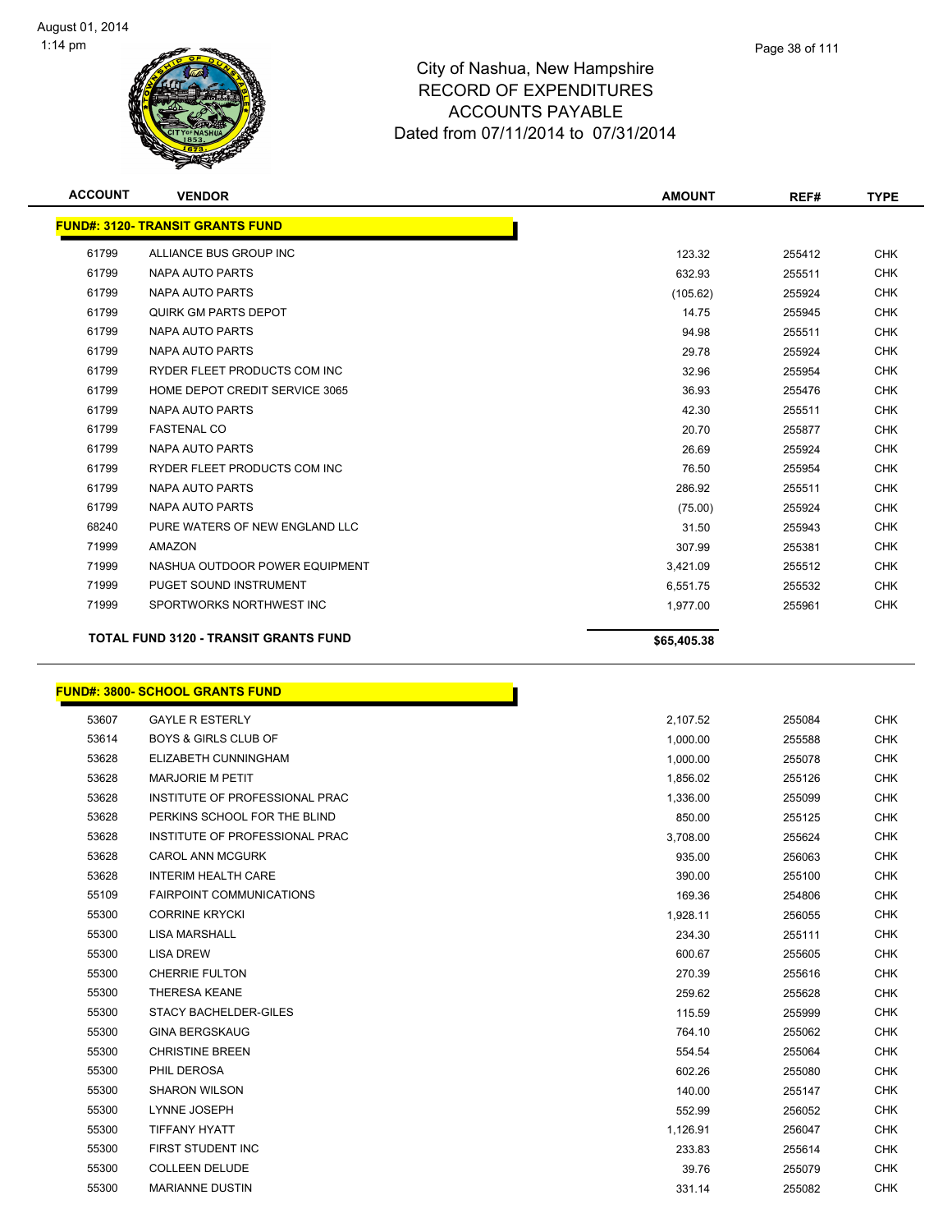

| <b>ACCOUNT</b> | <b>VENDOR</b>                                | <b>AMOUNT</b> | REF#   | <b>TYPE</b> |
|----------------|----------------------------------------------|---------------|--------|-------------|
|                | <b>FUND#: 3120- TRANSIT GRANTS FUND</b>      |               |        |             |
| 61799          | ALLIANCE BUS GROUP INC                       | 123.32        | 255412 | <b>CHK</b>  |
| 61799          | <b>NAPA AUTO PARTS</b>                       | 632.93        | 255511 | <b>CHK</b>  |
| 61799          | <b>NAPA AUTO PARTS</b>                       | (105.62)      | 255924 | <b>CHK</b>  |
| 61799          | QUIRK GM PARTS DEPOT                         | 14.75         | 255945 | <b>CHK</b>  |
| 61799          | <b>NAPA AUTO PARTS</b>                       | 94.98         | 255511 | <b>CHK</b>  |
| 61799          | <b>NAPA AUTO PARTS</b>                       | 29.78         | 255924 | <b>CHK</b>  |
| 61799          | RYDER FLEET PRODUCTS COM INC                 | 32.96         | 255954 | <b>CHK</b>  |
| 61799          | HOME DEPOT CREDIT SERVICE 3065               | 36.93         | 255476 | <b>CHK</b>  |
| 61799          | <b>NAPA AUTO PARTS</b>                       | 42.30         | 255511 | <b>CHK</b>  |
| 61799          | <b>FASTENAL CO</b>                           | 20.70         | 255877 | <b>CHK</b>  |
| 61799          | <b>NAPA AUTO PARTS</b>                       | 26.69         | 255924 | <b>CHK</b>  |
| 61799          | RYDER FLEET PRODUCTS COM INC                 | 76.50         | 255954 | <b>CHK</b>  |
| 61799          | <b>NAPA AUTO PARTS</b>                       | 286.92        | 255511 | <b>CHK</b>  |
| 61799          | <b>NAPA AUTO PARTS</b>                       | (75.00)       | 255924 | <b>CHK</b>  |
| 68240          | PURE WATERS OF NEW ENGLAND LLC               | 31.50         | 255943 | <b>CHK</b>  |
| 71999          | <b>AMAZON</b>                                | 307.99        | 255381 | <b>CHK</b>  |
| 71999          | NASHUA OUTDOOR POWER EQUIPMENT               | 3,421.09      | 255512 | <b>CHK</b>  |
| 71999          | PUGET SOUND INSTRUMENT                       | 6,551.75      | 255532 | <b>CHK</b>  |
| 71999          | SPORTWORKS NORTHWEST INC                     | 1,977.00      | 255961 | <b>CHK</b>  |
|                | <b>TOTAL FUND 3120 - TRANSIT GRANTS FUND</b> | \$65,405.38   |        |             |

## **FUND#: 3800- SCHOOL GRANTS FUND**

| 53607 | <b>GAYLE R ESTERLY</b>          | 2,107.52 | 255084 |  |
|-------|---------------------------------|----------|--------|--|
| 53614 | <b>BOYS &amp; GIRLS CLUB OF</b> | 1,000.00 | 255588 |  |
| 53628 | ELIZABETH CUNNINGHAM            | 1,000.00 | 255078 |  |
| 53628 | <b>MARJORIE M PETIT</b>         | 1,856.02 | 255126 |  |
| 53628 | INSTITUTE OF PROFESSIONAL PRAC  | 1,336.00 | 255099 |  |
| 53628 | PERKINS SCHOOL FOR THE BLIND    | 850.00   | 255125 |  |
| 53628 | INSTITUTE OF PROFESSIONAL PRAC  | 3,708.00 | 255624 |  |
| 53628 | <b>CAROL ANN MCGURK</b>         | 935.00   | 256063 |  |
| 53628 | <b>INTERIM HEALTH CARE</b>      | 390.00   | 255100 |  |
| 55109 | <b>FAIRPOINT COMMUNICATIONS</b> | 169.36   | 254806 |  |
| 55300 | <b>CORRINE KRYCKI</b>           | 1,928.11 | 256055 |  |
| 55300 | <b>LISA MARSHALL</b>            | 234.30   | 255111 |  |
| 55300 | <b>LISA DREW</b>                | 600.67   | 255605 |  |
| 55300 | <b>CHERRIE FULTON</b>           | 270.39   | 255616 |  |
| 55300 | <b>THERESA KEANE</b>            | 259.62   | 255628 |  |
| 55300 | <b>STACY BACHELDER-GILES</b>    | 115.59   | 255999 |  |
| 55300 | <b>GINA BERGSKAUG</b>           | 764.10   | 255062 |  |
| 55300 | <b>CHRISTINE BREEN</b>          | 554.54   | 255064 |  |
| 55300 | PHIL DEROSA                     | 602.26   | 255080 |  |
| 55300 | <b>SHARON WILSON</b>            | 140.00   | 255147 |  |
| 55300 | LYNNE JOSEPH                    | 552.99   | 256052 |  |
| 55300 | <b>TIFFANY HYATT</b>            | 1,126.91 | 256047 |  |
| 55300 | FIRST STUDENT INC               | 233.83   | 255614 |  |
| 55300 | <b>COLLEEN DELUDE</b>           | 39.76    | 255079 |  |
| 55300 | <b>MARIANNE DUSTIN</b>          | 331.14   | 255082 |  |

ħ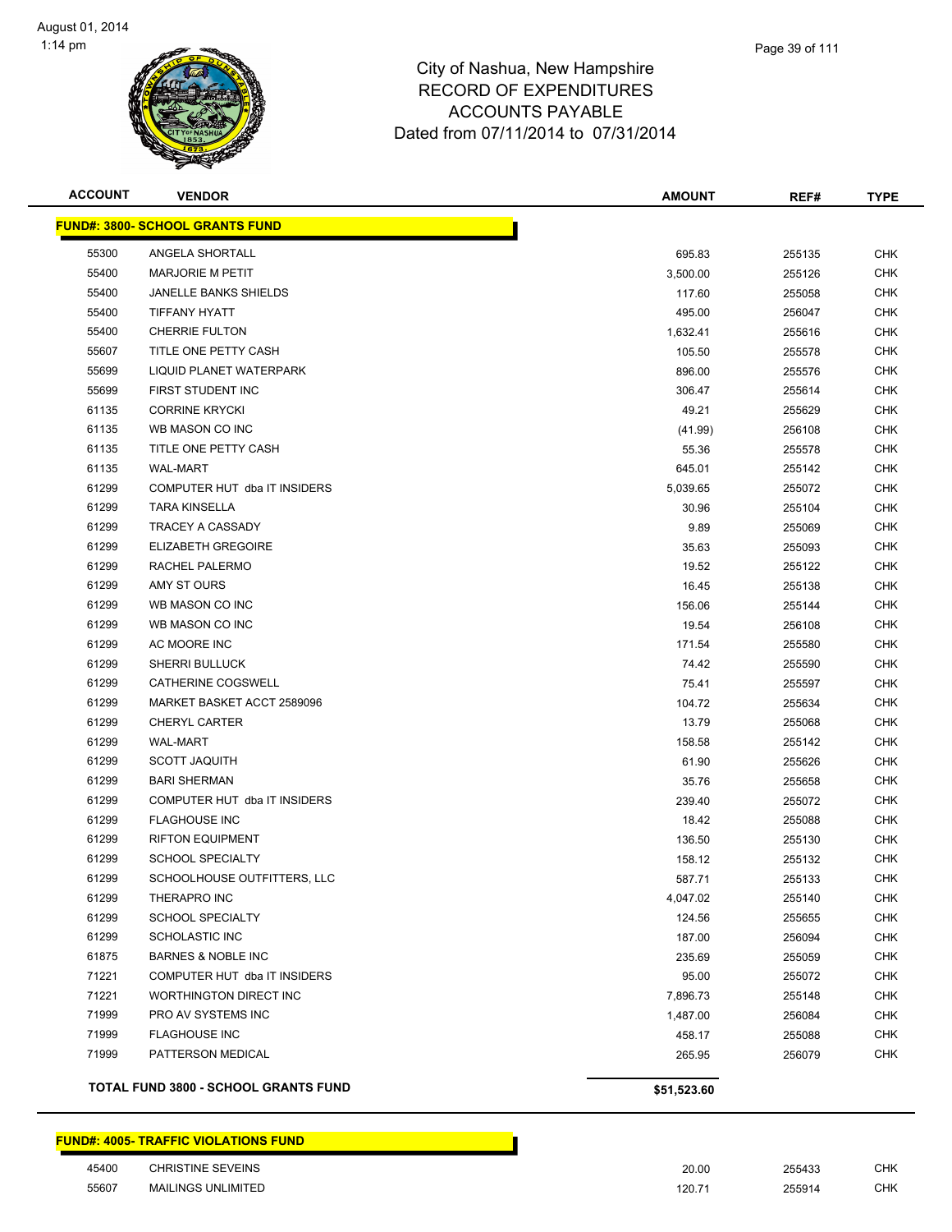

| <b>ACCOUNT</b> | <b>VENDOR</b>                          | <b>AMOUNT</b> | REF#   | <b>TYPE</b> |
|----------------|----------------------------------------|---------------|--------|-------------|
|                | <b>FUND#: 3800- SCHOOL GRANTS FUND</b> |               |        |             |
| 55300          | ANGELA SHORTALL                        | 695.83        | 255135 | <b>CHK</b>  |
| 55400          | <b>MARJORIE M PETIT</b>                | 3,500.00      | 255126 | <b>CHK</b>  |
| 55400          | <b>JANELLE BANKS SHIELDS</b>           | 117.60        | 255058 | <b>CHK</b>  |
| 55400          | <b>TIFFANY HYATT</b>                   | 495.00        | 256047 | <b>CHK</b>  |
| 55400          | <b>CHERRIE FULTON</b>                  | 1,632.41      | 255616 | <b>CHK</b>  |
| 55607          | TITLE ONE PETTY CASH                   | 105.50        | 255578 | CHK         |
| 55699          | <b>LIQUID PLANET WATERPARK</b>         | 896.00        | 255576 | CHK         |
| 55699          | <b>FIRST STUDENT INC</b>               | 306.47        | 255614 | CHK         |
| 61135          | <b>CORRINE KRYCKI</b>                  | 49.21         | 255629 | CHK         |
| 61135          | WB MASON CO INC                        | (41.99)       | 256108 | CHK         |
| 61135          | TITLE ONE PETTY CASH                   | 55.36         | 255578 | CHK         |
| 61135          | <b>WAL-MART</b>                        | 645.01        | 255142 | <b>CHK</b>  |
| 61299          | COMPUTER HUT dba IT INSIDERS           | 5,039.65      | 255072 | CHK         |
| 61299          | <b>TARA KINSELLA</b>                   | 30.96         | 255104 | <b>CHK</b>  |
| 61299          | TRACEY A CASSADY                       | 9.89          | 255069 | <b>CHK</b>  |
| 61299          | <b>ELIZABETH GREGOIRE</b>              | 35.63         | 255093 | <b>CHK</b>  |
| 61299          | <b>RACHEL PALERMO</b>                  | 19.52         | 255122 | <b>CHK</b>  |
| 61299          | AMY ST OURS                            | 16.45         | 255138 | CHK         |
| 61299          | WB MASON CO INC                        | 156.06        | 255144 | CHK         |
| 61299          | WB MASON CO INC                        | 19.54         | 256108 | CHK         |
| 61299          | AC MOORE INC                           | 171.54        | 255580 | <b>CHK</b>  |
| 61299          | <b>SHERRI BULLUCK</b>                  | 74.42         | 255590 | CHK         |
| 61299          | CATHERINE COGSWELL                     | 75.41         | 255597 | <b>CHK</b>  |
| 61299          | MARKET BASKET ACCT 2589096             | 104.72        | 255634 | CHK         |
| 61299          | <b>CHERYL CARTER</b>                   | 13.79         | 255068 | <b>CHK</b>  |
| 61299          | <b>WAL-MART</b>                        | 158.58        | 255142 | <b>CHK</b>  |
| 61299          | <b>SCOTT JAQUITH</b>                   | 61.90         | 255626 | <b>CHK</b>  |
| 61299          | <b>BARI SHERMAN</b>                    | 35.76         | 255658 | CHK         |
| 61299          | COMPUTER HUT dba IT INSIDERS           | 239.40        | 255072 | CHK         |
| 61299          | <b>FLAGHOUSE INC</b>                   | 18.42         | 255088 | CHK         |
| 61299          | <b>RIFTON EQUIPMENT</b>                | 136.50        | 255130 | CHK         |
| 61299          | <b>SCHOOL SPECIALTY</b>                | 158.12        | 255132 | CHK         |
| 61299          | SCHOOLHOUSE OUTFITTERS, LLC            | 587.71        | 255133 | CHK         |
| 61299          | THERAPRO INC                           | 4,047.02      | 255140 | <b>CHK</b>  |
| 61299          | <b>SCHOOL SPECIALTY</b>                | 124.56        | 255655 | <b>CHK</b>  |
| 61299          | <b>SCHOLASTIC INC</b>                  | 187.00        | 256094 | <b>CHK</b>  |
| 61875          | <b>BARNES &amp; NOBLE INC</b>          | 235.69        | 255059 | <b>CHK</b>  |
| 71221          | COMPUTER HUT dba IT INSIDERS           | 95.00         | 255072 | <b>CHK</b>  |
| 71221          | WORTHINGTON DIRECT INC                 | 7,896.73      | 255148 | CHK         |
| 71999          | PRO AV SYSTEMS INC                     | 1,487.00      | 256084 | CHK         |
| 71999          | <b>FLAGHOUSE INC</b>                   | 458.17        | 255088 | <b>CHK</b>  |
| 71999          | PATTERSON MEDICAL                      | 265.95        | 256079 | CHK         |
|                | TOTAL FUND 3800 - SCHOOL GRANTS FUND   | \$51,523.60   |        |             |

| 45400 | <b>CHRISTINE SEVEINS</b> | 20.00  | 255433 | <b>CHK</b> |
|-------|--------------------------|--------|--------|------------|
| 55607 | MAILINGS UNLIMITED       | 120.71 | 255914 | <b>CHK</b> |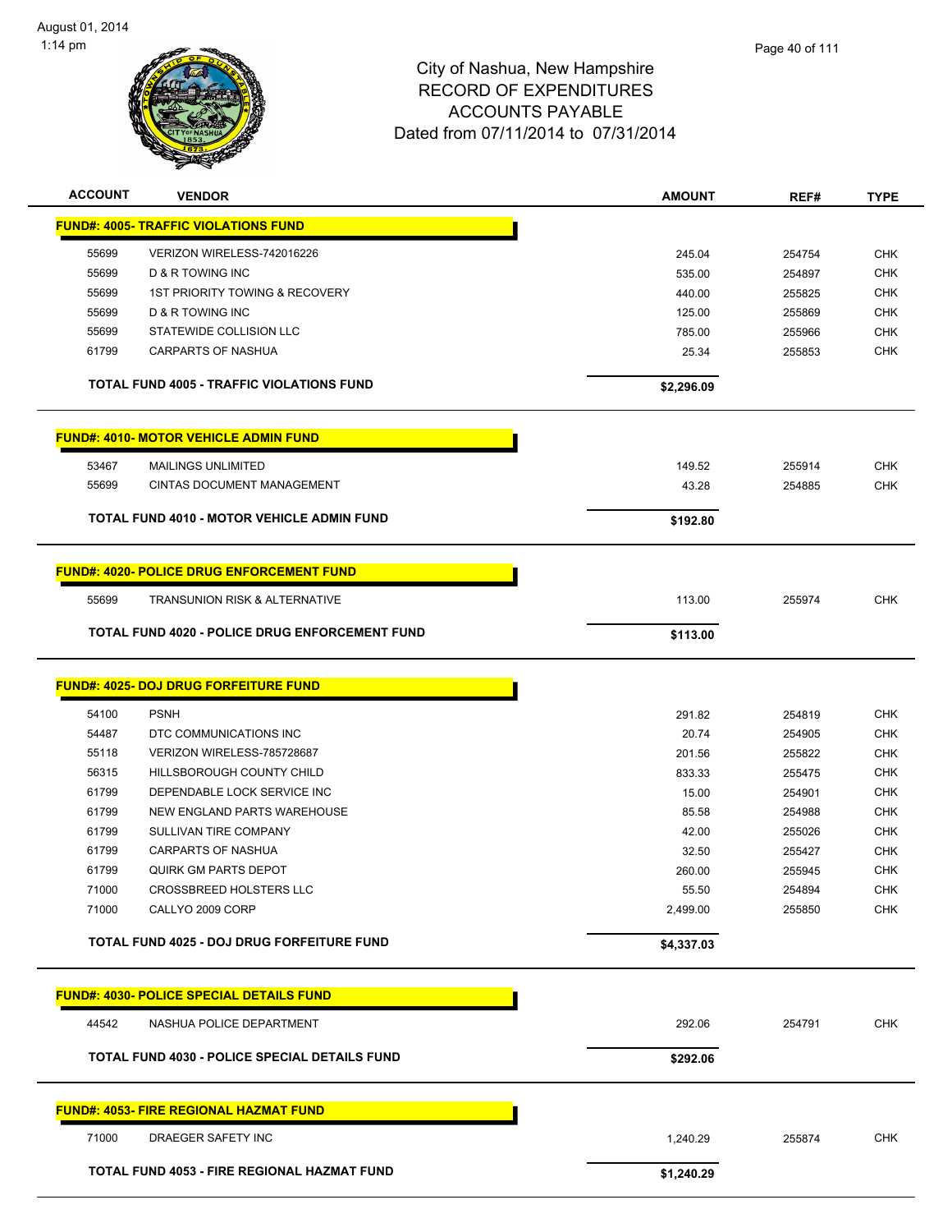

| <b>ACCOUNT</b> | <b>VENDOR</b>                                         | <b>AMOUNT</b> | REF#   | <b>TYPE</b> |
|----------------|-------------------------------------------------------|---------------|--------|-------------|
|                | <b>FUND#: 4005- TRAFFIC VIOLATIONS FUND</b>           |               |        |             |
| 55699          | VERIZON WIRELESS-742016226                            | 245.04        | 254754 | <b>CHK</b>  |
| 55699          | D & R TOWING INC                                      | 535.00        | 254897 | <b>CHK</b>  |
| 55699          | <b>1ST PRIORITY TOWING &amp; RECOVERY</b>             | 440.00        | 255825 | <b>CHK</b>  |
| 55699          | D & R TOWING INC                                      | 125.00        | 255869 | <b>CHK</b>  |
| 55699          | STATEWIDE COLLISION LLC                               | 785.00        | 255966 | <b>CHK</b>  |
| 61799          | <b>CARPARTS OF NASHUA</b>                             | 25.34         | 255853 | <b>CHK</b>  |
|                | <b>TOTAL FUND 4005 - TRAFFIC VIOLATIONS FUND</b>      | \$2,296.09    |        |             |
|                | <b>FUND#: 4010- MOTOR VEHICLE ADMIN FUND</b>          |               |        |             |
| 53467          | <b>MAILINGS UNLIMITED</b>                             | 149.52        | 255914 | <b>CHK</b>  |
| 55699          | <b>CINTAS DOCUMENT MANAGEMENT</b>                     | 43.28         | 254885 | <b>CHK</b>  |
|                | TOTAL FUND 4010 - MOTOR VEHICLE ADMIN FUND            | \$192.80      |        |             |
|                | <b>FUND#: 4020- POLICE DRUG ENFORCEMENT FUND</b>      |               |        |             |
| 55699          | <b>TRANSUNION RISK &amp; ALTERNATIVE</b>              | 113.00        | 255974 | <b>CHK</b>  |
|                | <b>TOTAL FUND 4020 - POLICE DRUG ENFORCEMENT FUND</b> | \$113.00      |        |             |
|                |                                                       |               |        |             |
|                | <b>FUND#: 4025- DOJ DRUG FORFEITURE FUND</b>          |               |        |             |
| 54100          | <b>PSNH</b>                                           | 291.82        | 254819 | <b>CHK</b>  |
| 54487          | DTC COMMUNICATIONS INC                                | 20.74         | 254905 | <b>CHK</b>  |
| 55118          | VERIZON WIRELESS-785728687                            | 201.56        | 255822 | <b>CHK</b>  |
| 56315          | HILLSBOROUGH COUNTY CHILD                             | 833.33        | 255475 | <b>CHK</b>  |
| 61799          | DEPENDABLE LOCK SERVICE INC                           | 15.00         | 254901 | <b>CHK</b>  |
| 61799          | NEW ENGLAND PARTS WAREHOUSE                           | 85.58         | 254988 | <b>CHK</b>  |
| 61799          | SULLIVAN TIRE COMPANY                                 | 42.00         | 255026 | <b>CHK</b>  |
| 61799          | <b>CARPARTS OF NASHUA</b>                             | 32.50         | 255427 | <b>CHK</b>  |
| 61799          | <b>QUIRK GM PARTS DEPOT</b>                           | 260.00        | 255945 | <b>CHK</b>  |
| 71000          | CROSSBREED HOLSTERS LLC                               | 55.50         | 254894 | <b>CHK</b>  |
| 71000          | CALLYO 2009 CORP                                      | 2,499.00      | 255850 | <b>CHK</b>  |
|                | TOTAL FUND 4025 - DOJ DRUG FORFEITURE FUND            | \$4,337.03    |        |             |
|                | <b>FUND#: 4030- POLICE SPECIAL DETAILS FUND</b>       |               |        |             |
| 44542          | NASHUA POLICE DEPARTMENT                              | 292.06        | 254791 | <b>CHK</b>  |
|                | TOTAL FUND 4030 - POLICE SPECIAL DETAILS FUND         | \$292.06      |        |             |
|                | <b>FUND#: 4053- FIRE REGIONAL HAZMAT FUND</b>         |               |        |             |
| 71000          | DRAEGER SAFETY INC                                    | 1,240.29      | 255874 | <b>CHK</b>  |
|                | TOTAL FUND 4053 - FIRE REGIONAL HAZMAT FUND           | \$1,240.29    |        |             |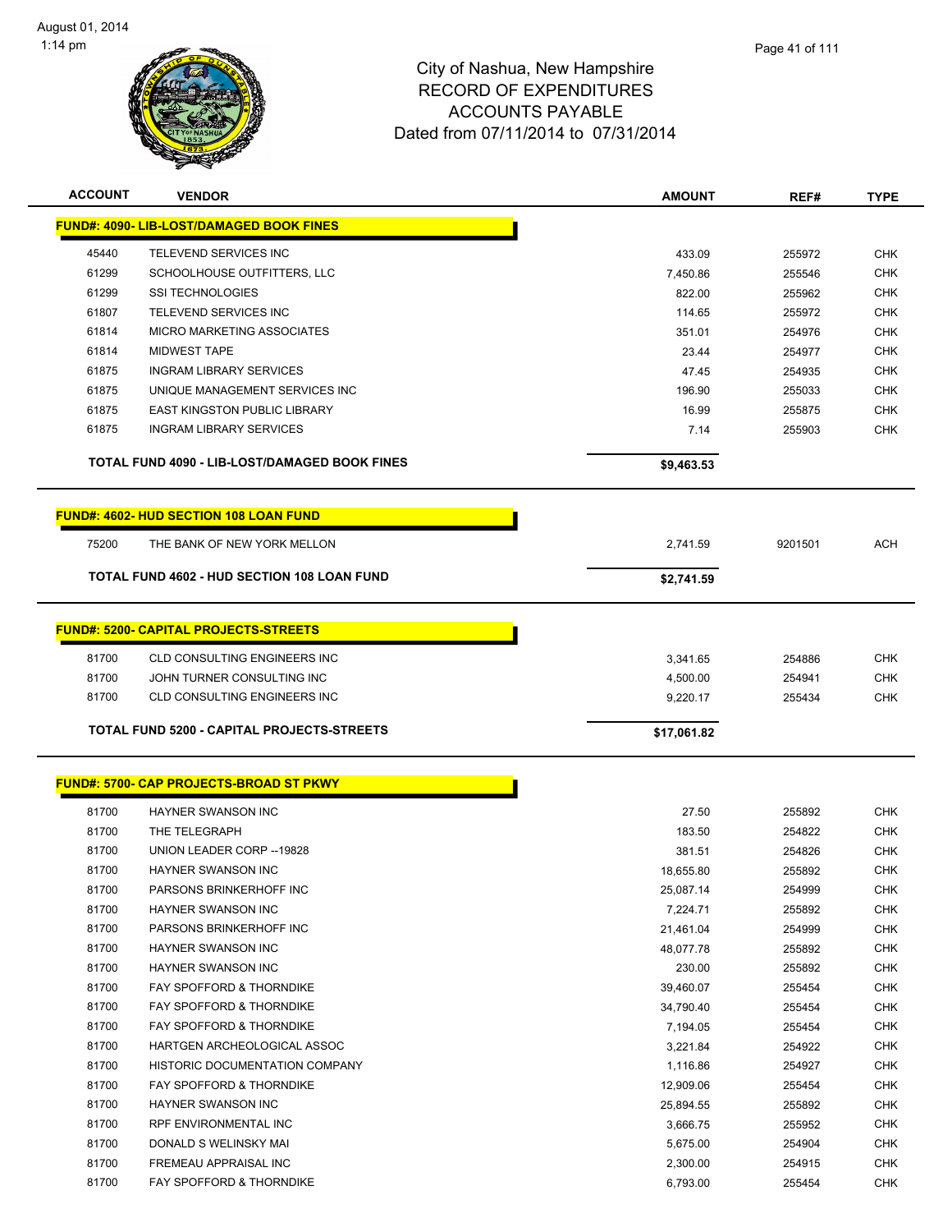

| <b>ACCOUNT</b> | <b>VENDOR</b>                                      | <b>AMOUNT</b> | REF#    | <b>TYPE</b> |
|----------------|----------------------------------------------------|---------------|---------|-------------|
|                | <b>FUND#: 4090- LIB-LOST/DAMAGED BOOK FINES</b>    |               |         |             |
| 45440          | TELEVEND SERVICES INC                              | 433.09        | 255972  | <b>CHK</b>  |
| 61299          | SCHOOLHOUSE OUTFITTERS, LLC                        | 7,450.86      | 255546  | <b>CHK</b>  |
| 61299          | <b>SSI TECHNOLOGIES</b>                            | 822.00        | 255962  | <b>CHK</b>  |
| 61807          | TELEVEND SERVICES INC                              | 114.65        | 255972  | <b>CHK</b>  |
| 61814          | MICRO MARKETING ASSOCIATES                         | 351.01        | 254976  | <b>CHK</b>  |
| 61814          | <b>MIDWEST TAPE</b>                                | 23.44         | 254977  | <b>CHK</b>  |
| 61875          | <b>INGRAM LIBRARY SERVICES</b>                     | 47.45         | 254935  | <b>CHK</b>  |
| 61875          | UNIQUE MANAGEMENT SERVICES INC                     | 196.90        | 255033  | <b>CHK</b>  |
| 61875          | <b>EAST KINGSTON PUBLIC LIBRARY</b>                | 16.99         | 255875  | <b>CHK</b>  |
| 61875          | <b>INGRAM LIBRARY SERVICES</b>                     | 7.14          | 255903  | <b>CHK</b>  |
|                | TOTAL FUND 4090 - LIB-LOST/DAMAGED BOOK FINES      | \$9,463.53    |         |             |
|                | <b>FUND#: 4602- HUD SECTION 108 LOAN FUND</b>      |               |         |             |
| 75200          | THE BANK OF NEW YORK MELLON                        | 2,741.59      | 9201501 | ACH         |
|                |                                                    |               |         |             |
|                | <b>TOTAL FUND 4602 - HUD SECTION 108 LOAN FUND</b> | \$2,741.59    |         |             |
|                | <b>FUND#: 5200- CAPITAL PROJECTS-STREETS</b>       |               |         |             |
|                |                                                    |               |         |             |
| 81700          | <b>CLD CONSULTING ENGINEERS INC</b>                | 3,341.65      | 254886  | <b>CHK</b>  |
| 81700          | JOHN TURNER CONSULTING INC                         | 4,500.00      | 254941  | <b>CHK</b>  |
| 81700          | <b>CLD CONSULTING ENGINEERS INC</b>                | 9,220.17      | 255434  | <b>CHK</b>  |
|                | TOTAL FUND 5200 - CAPITAL PROJECTS-STREETS         | \$17,061.82   |         |             |
|                | <b>FUND#: 5700- CAP PROJECTS-BROAD ST PKWY</b>     |               |         |             |
|                |                                                    |               |         |             |
| 81700          | HAYNER SWANSON INC                                 | 27.50         | 255892  | <b>CHK</b>  |
| 81700          | THE TELEGRAPH                                      | 183.50        | 254822  | <b>CHK</b>  |
| 81700          | UNION LEADER CORP -- 19828                         | 381.51        | 254826  | <b>CHK</b>  |
| 81700          | HAYNER SWANSON INC                                 | 18,655.80     | 255892  | <b>CHK</b>  |
| 81700          | PARSONS BRINKERHOFF INC                            | 25,087.14     | 254999  | <b>CHK</b>  |
| 81700          | HAYNER SWANSON INC                                 | 7,224.71      | 255892  | <b>CHK</b>  |
| 81700          | PARSONS BRINKERHOFF INC                            | 21,461.04     | 254999  | <b>CHK</b>  |
| 81700          | HAYNER SWANSON INC                                 | 48,077.78     | 255892  | <b>CHK</b>  |
| 81700          | HAYNER SWANSON INC                                 | 230.00        | 255892  | <b>CHK</b>  |
| 81700          | FAY SPOFFORD & THORNDIKE                           | 39,460.07     | 255454  | <b>CHK</b>  |
| 81700          | FAY SPOFFORD & THORNDIKE                           | 34,790.40     | 255454  | <b>CHK</b>  |
| 81700          | FAY SPOFFORD & THORNDIKE                           | 7,194.05      | 255454  | <b>CHK</b>  |
| 81700          | HARTGEN ARCHEOLOGICAL ASSOC                        | 3,221.84      | 254922  | <b>CHK</b>  |
| 81700          | HISTORIC DOCUMENTATION COMPANY                     | 1,116.86      | 254927  | <b>CHK</b>  |
| 81700          | FAY SPOFFORD & THORNDIKE                           | 12,909.06     | 255454  | <b>CHK</b>  |
| 81700          | HAYNER SWANSON INC                                 | 25,894.55     | 255892  | <b>CHK</b>  |
| 81700          | RPF ENVIRONMENTAL INC                              | 3,666.75      | 255952  | <b>CHK</b>  |
| 81700          | DONALD S WELINSKY MAI                              | 5,675.00      | 254904  | <b>CHK</b>  |
| 81700          | FREMEAU APPRAISAL INC                              | 2,300.00      | 254915  | <b>CHK</b>  |
| 81700          | FAY SPOFFORD & THORNDIKE                           | 6,793.00      | 255454  | <b>CHK</b>  |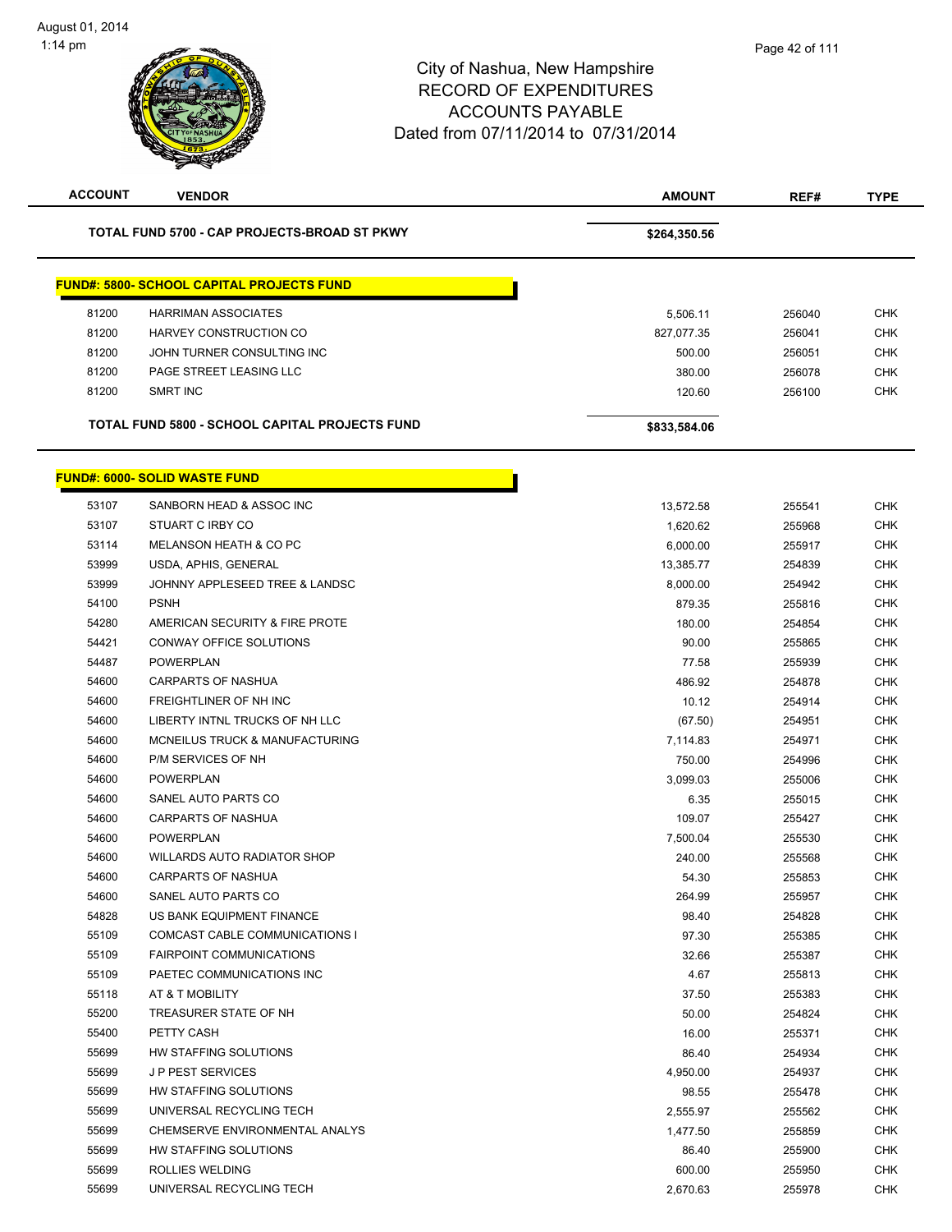# City of Nashua, New Hampshire RECORD OF EXPENDITURES ACCOUNTS PAYABLE Dated from 07/11/2014 to 07/31/2014 1:14 pm **ACCOUNT VENDOR AMOUNT REF# TYPE** TOTAL FUND 5700 - CAP PROJECTS-BROAD ST PKWY **\$264,350.56** \$264,350.56 Page 42 of 111

| <b>FUND#: 5800- SCHOOL CAPITAL PROJECTS FUND</b><br><b>HARRIMAN ASSOCIATES</b><br>5,506.11<br>HARVEY CONSTRUCTION CO<br>827,077.35<br>JOHN TURNER CONSULTING INC<br>500.00 |
|----------------------------------------------------------------------------------------------------------------------------------------------------------------------------|
| 81200                                                                                                                                                                      |
| 81200<br>81200                                                                                                                                                             |
|                                                                                                                                                                            |
|                                                                                                                                                                            |
| 81200<br>380.00<br>PAGE STREET LEASING LLC                                                                                                                                 |
| 81200<br>SMRT INC<br>120.60                                                                                                                                                |

|       | <b>FUND#: 6000- SOLID WASTE FUND</b> |           |        |
|-------|--------------------------------------|-----------|--------|
| 53107 | SANBORN HEAD & ASSOC INC             | 13,572.58 | 255541 |
| 53107 | STUART C IRBY CO                     | 1,620.62  | 255968 |
| 53114 | MELANSON HEATH & CO PC               | 6,000.00  | 255917 |
| 53999 | USDA, APHIS, GENERAL                 | 13,385.77 | 254839 |
| 53999 | JOHNNY APPLESEED TREE & LANDSC       | 8,000.00  | 254942 |
| 54100 | <b>PSNH</b>                          | 879.35    | 255816 |
| 54280 | AMERICAN SECURITY & FIRE PROTE       | 180.00    | 254854 |
| 54421 | <b>CONWAY OFFICE SOLUTIONS</b>       | 90.00     | 255865 |
| 54487 | <b>POWERPLAN</b>                     | 77.58     | 255939 |
| 54600 | <b>CARPARTS OF NASHUA</b>            | 486.92    | 254878 |
| 54600 | FREIGHTLINER OF NH INC               | 10.12     | 254914 |
| 54600 | LIBERTY INTNL TRUCKS OF NH LLC       | (67.50)   | 254951 |
| 54600 | MCNEILUS TRUCK & MANUFACTURING       | 7,114.83  | 254971 |
| 54600 | P/M SERVICES OF NH                   | 750.00    | 254996 |
| 54600 | <b>POWERPLAN</b>                     | 3,099.03  | 255006 |
| 54600 | SANEL AUTO PARTS CO                  | 6.35      | 255015 |
| 54600 | <b>CARPARTS OF NASHUA</b>            | 109.07    | 255427 |
| 54600 | <b>POWERPLAN</b>                     | 7,500.04  | 255530 |
| 54600 | <b>WILLARDS AUTO RADIATOR SHOP</b>   | 240.00    | 255568 |
| 54600 | <b>CARPARTS OF NASHUA</b>            | 54.30     | 255853 |
| 54600 | SANEL AUTO PARTS CO                  | 264.99    | 255957 |
| 54828 | US BANK EQUIPMENT FINANCE            | 98.40     | 254828 |
| 55109 | COMCAST CABLE COMMUNICATIONS I       | 97.30     | 255385 |
| 55109 | <b>FAIRPOINT COMMUNICATIONS</b>      | 32.66     | 255387 |
| 55109 | PAETEC COMMUNICATIONS INC            | 4.67      | 255813 |
| 55118 | AT & T MOBILITY                      | 37.50     | 255383 |
| 55200 | TREASURER STATE OF NH                | 50.00     | 254824 |
| 55400 | PETTY CASH                           | 16.00     | 255371 |
| 55699 | HW STAFFING SOLUTIONS                | 86.40     | 254934 |
| 55699 | <b>JP PEST SERVICES</b>              | 4,950.00  | 254937 |
| 55699 | HW STAFFING SOLUTIONS                | 98.55     | 255478 |
| 55699 | UNIVERSAL RECYCLING TECH             | 2,555.97  | 255562 |
| 55699 | CHEMSERVE ENVIRONMENTAL ANALYS       | 1,477.50  | 255859 |
| 55699 | HW STAFFING SOLUTIONS                | 86.40     | 255900 |
| 55699 | ROLLIES WELDING                      | 600.00    | 255950 |
| 55699 | UNIVERSAL RECYCLING TECH             | 2,670.63  | 255978 |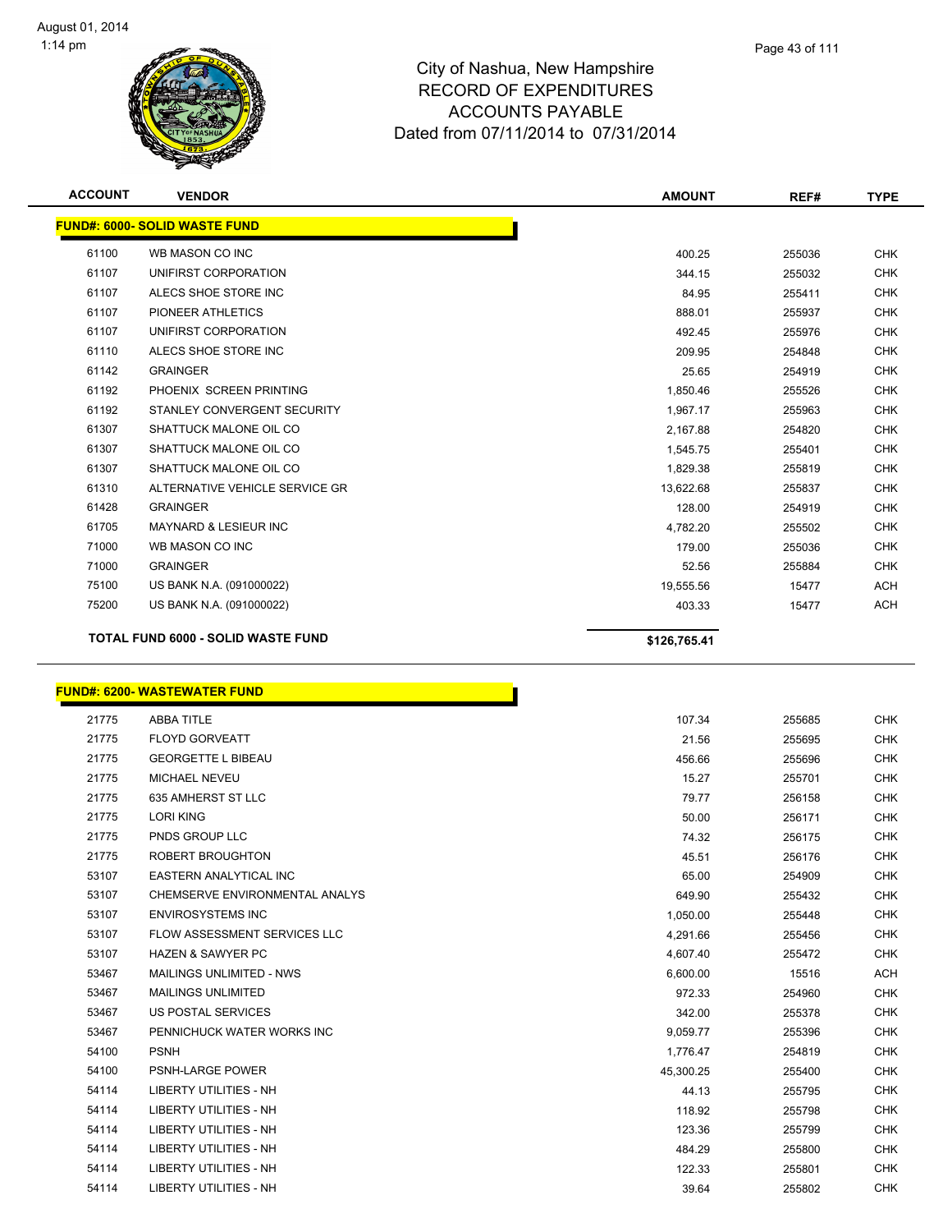

| <b>ACCOUNT</b> | <b>VENDOR</b>                             | <b>AMOUNT</b> | REF#   | <b>TYPE</b> |
|----------------|-------------------------------------------|---------------|--------|-------------|
|                | <b>FUND#: 6000- SOLID WASTE FUND</b>      |               |        |             |
| 61100          | WB MASON CO INC                           | 400.25        | 255036 | <b>CHK</b>  |
| 61107          | UNIFIRST CORPORATION                      | 344.15        | 255032 | <b>CHK</b>  |
| 61107          | ALECS SHOE STORE INC                      | 84.95         | 255411 | <b>CHK</b>  |
| 61107          | PIONEER ATHLETICS                         | 888.01        | 255937 | <b>CHK</b>  |
| 61107          | UNIFIRST CORPORATION                      | 492.45        | 255976 | <b>CHK</b>  |
| 61110          | ALECS SHOE STORE INC                      | 209.95        | 254848 | <b>CHK</b>  |
| 61142          | <b>GRAINGER</b>                           | 25.65         | 254919 | <b>CHK</b>  |
| 61192          | PHOENIX SCREEN PRINTING                   | 1,850.46      | 255526 | <b>CHK</b>  |
| 61192          | STANLEY CONVERGENT SECURITY               | 1,967.17      | 255963 | <b>CHK</b>  |
| 61307          | SHATTUCK MALONE OIL CO                    | 2,167.88      | 254820 | <b>CHK</b>  |
| 61307          | SHATTUCK MALONE OIL CO                    | 1,545.75      | 255401 | <b>CHK</b>  |
| 61307          | SHATTUCK MALONE OIL CO                    | 1,829.38      | 255819 | <b>CHK</b>  |
| 61310          | ALTERNATIVE VEHICLE SERVICE GR            | 13,622.68     | 255837 | <b>CHK</b>  |
| 61428          | <b>GRAINGER</b>                           | 128.00        | 254919 | <b>CHK</b>  |
| 61705          | <b>MAYNARD &amp; LESIEUR INC</b>          | 4,782.20      | 255502 | <b>CHK</b>  |
| 71000          | WB MASON CO INC                           | 179.00        | 255036 | <b>CHK</b>  |
| 71000          | <b>GRAINGER</b>                           | 52.56         | 255884 | <b>CHK</b>  |
| 75100          | US BANK N.A. (091000022)                  | 19,555.56     | 15477  | <b>ACH</b>  |
| 75200          | US BANK N.A. (091000022)                  | 403.33        | 15477  | <b>ACH</b>  |
|                | <b>TOTAL FUND 6000 - SOLID WASTE FUND</b> | \$126,765.41  |        |             |

### **FUND#: 6200- WASTEWATER FUND**

| 21775 | <b>ABBA TITLE</b>                   | 107.34    |
|-------|-------------------------------------|-----------|
| 21775 | <b>FLOYD GORVEATT</b>               | 21.56     |
| 21775 | <b>GEORGETTE L BIBEAU</b>           | 456.66    |
| 21775 | MICHAEL NEVEU                       | 15.27     |
| 21775 | 635 AMHERST ST LLC                  | 79.77     |
| 21775 | <b>LORI KING</b>                    | 50.00     |
| 21775 | <b>PNDS GROUP LLC</b>               | 74.32     |
| 21775 | <b>ROBERT BROUGHTON</b>             | 45.51     |
| 53107 | <b>EASTERN ANALYTICAL INC</b>       | 65.00     |
| 53107 | CHEMSERVE ENVIRONMENTAL ANALYS      | 649.90    |
| 53107 | <b>ENVIROSYSTEMS INC</b>            | 1,050.00  |
| 53107 | <b>FLOW ASSESSMENT SERVICES LLC</b> | 4,291.66  |
| 53107 | <b>HAZEN &amp; SAWYER PC</b>        | 4,607.40  |
| 53467 | MAILINGS UNLIMITED - NWS            | 6,600.00  |
| 53467 | <b>MAILINGS UNLIMITED</b>           | 972.33    |
| 53467 | <b>US POSTAL SERVICES</b>           | 342.00    |
| 53467 | PENNICHUCK WATER WORKS INC          | 9,059.77  |
| 54100 | <b>PSNH</b>                         | 1,776.47  |
| 54100 | PSNH-LARGE POWER                    | 45,300.25 |
| 54114 | <b>LIBERTY UTILITIES - NH</b>       | 44.13     |
| 54114 | LIBERTY UTILITIES - NH              | 118.92    |
| 54114 | <b>LIBERTY UTILITIES - NH</b>       | 123.36    |
| 54114 | LIBERTY UTILITIES - NH              | 484.29    |
| 54114 | <b>LIBERTY UTILITIES - NH</b>       | 122.33    |
| 54114 | <b>LIBERTY UTILITIES - NH</b>       | 39.64     |
|       |                                     |           |

h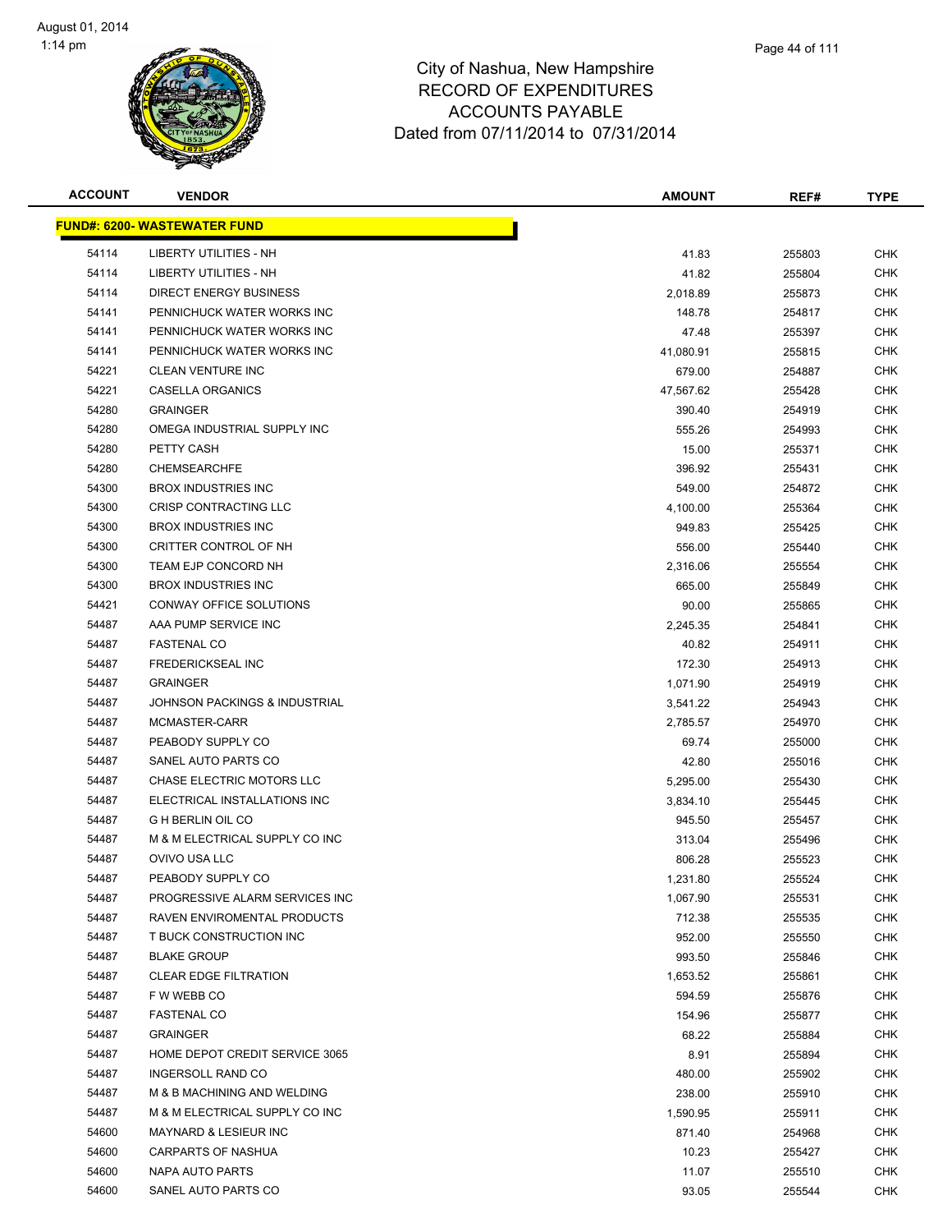

| <b>ACCOUNT</b> | <b>VENDOR</b>                            | AMOUNT    | REF#   | <b>TYPE</b> |
|----------------|------------------------------------------|-----------|--------|-------------|
|                | <u> FUND#: 6200- WASTEWATER FUND</u>     |           |        |             |
| 54114          | LIBERTY UTILITIES - NH                   | 41.83     | 255803 | <b>CHK</b>  |
| 54114          | LIBERTY UTILITIES - NH                   | 41.82     | 255804 | <b>CHK</b>  |
| 54114          | <b>DIRECT ENERGY BUSINESS</b>            | 2,018.89  | 255873 | <b>CHK</b>  |
| 54141          | PENNICHUCK WATER WORKS INC               | 148.78    | 254817 | <b>CHK</b>  |
| 54141          | PENNICHUCK WATER WORKS INC               | 47.48     | 255397 | <b>CHK</b>  |
| 54141          | PENNICHUCK WATER WORKS INC               | 41,080.91 | 255815 | <b>CHK</b>  |
| 54221          | <b>CLEAN VENTURE INC</b>                 | 679.00    | 254887 | <b>CHK</b>  |
| 54221          | CASELLA ORGANICS                         | 47,567.62 | 255428 | <b>CHK</b>  |
| 54280          | <b>GRAINGER</b>                          | 390.40    | 254919 | CHK         |
| 54280          | OMEGA INDUSTRIAL SUPPLY INC              | 555.26    | 254993 | <b>CHK</b>  |
| 54280          | PETTY CASH                               | 15.00     | 255371 | CHK         |
| 54280          | <b>CHEMSEARCHFE</b>                      | 396.92    | 255431 | CHK         |
| 54300          | <b>BROX INDUSTRIES INC</b>               | 549.00    | 254872 | <b>CHK</b>  |
| 54300          | CRISP CONTRACTING LLC                    | 4,100.00  | 255364 | <b>CHK</b>  |
| 54300          | <b>BROX INDUSTRIES INC</b>               | 949.83    | 255425 | <b>CHK</b>  |
| 54300          | CRITTER CONTROL OF NH                    | 556.00    | 255440 | <b>CHK</b>  |
| 54300          | TEAM EJP CONCORD NH                      | 2,316.06  | 255554 | <b>CHK</b>  |
| 54300          | <b>BROX INDUSTRIES INC</b>               | 665.00    | 255849 | <b>CHK</b>  |
| 54421          | CONWAY OFFICE SOLUTIONS                  | 90.00     | 255865 | <b>CHK</b>  |
| 54487          | AAA PUMP SERVICE INC                     | 2,245.35  | 254841 | <b>CHK</b>  |
| 54487          | <b>FASTENAL CO</b>                       | 40.82     | 254911 | <b>CHK</b>  |
| 54487          | FREDERICKSEAL INC                        | 172.30    | 254913 | <b>CHK</b>  |
| 54487          | <b>GRAINGER</b>                          | 1,071.90  | 254919 | <b>CHK</b>  |
| 54487          | <b>JOHNSON PACKINGS &amp; INDUSTRIAL</b> | 3,541.22  | 254943 | <b>CHK</b>  |
| 54487          | MCMASTER-CARR                            | 2,785.57  | 254970 | <b>CHK</b>  |
| 54487          | PEABODY SUPPLY CO                        | 69.74     | 255000 | <b>CHK</b>  |
| 54487          | SANEL AUTO PARTS CO                      | 42.80     | 255016 | <b>CHK</b>  |
| 54487          | CHASE ELECTRIC MOTORS LLC                | 5,295.00  | 255430 | <b>CHK</b>  |
| 54487          | ELECTRICAL INSTALLATIONS INC             | 3,834.10  | 255445 | <b>CHK</b>  |
| 54487          | <b>G H BERLIN OIL CO</b>                 | 945.50    | 255457 | CHK         |
| 54487          | M & M ELECTRICAL SUPPLY CO INC           | 313.04    | 255496 | CHK         |
| 54487          | OVIVO USA LLC                            | 806.28    | 255523 | CHK         |
| 54487          | PEABODY SUPPLY CO                        | 1,231.80  | 255524 | <b>CHK</b>  |
| 54487          | PROGRESSIVE ALARM SERVICES INC           | 1,067.90  | 255531 | <b>CHK</b>  |
| 54487          | RAVEN ENVIROMENTAL PRODUCTS              | 712.38    | 255535 | <b>CHK</b>  |
| 54487          | T BUCK CONSTRUCTION INC                  | 952.00    | 255550 | <b>CHK</b>  |
| 54487          | <b>BLAKE GROUP</b>                       | 993.50    | 255846 | <b>CHK</b>  |
| 54487          | <b>CLEAR EDGE FILTRATION</b>             | 1,653.52  | 255861 | <b>CHK</b>  |
| 54487          | F W WEBB CO                              | 594.59    | 255876 | <b>CHK</b>  |
| 54487          | <b>FASTENAL CO</b>                       | 154.96    | 255877 | <b>CHK</b>  |
| 54487          | <b>GRAINGER</b>                          | 68.22     | 255884 | <b>CHK</b>  |
| 54487          | HOME DEPOT CREDIT SERVICE 3065           | 8.91      | 255894 | CHK         |
| 54487          | <b>INGERSOLL RAND CO</b>                 | 480.00    | 255902 | <b>CHK</b>  |
| 54487          | M & B MACHINING AND WELDING              | 238.00    | 255910 | CHK         |
| 54487          | M & M ELECTRICAL SUPPLY CO INC           | 1,590.95  | 255911 | <b>CHK</b>  |
| 54600          | <b>MAYNARD &amp; LESIEUR INC</b>         | 871.40    | 254968 | <b>CHK</b>  |
| 54600          | <b>CARPARTS OF NASHUA</b>                | 10.23     | 255427 | <b>CHK</b>  |
| 54600          | NAPA AUTO PARTS                          | 11.07     | 255510 | CHK         |
| 54600          | SANEL AUTO PARTS CO                      | 93.05     | 255544 | <b>CHK</b>  |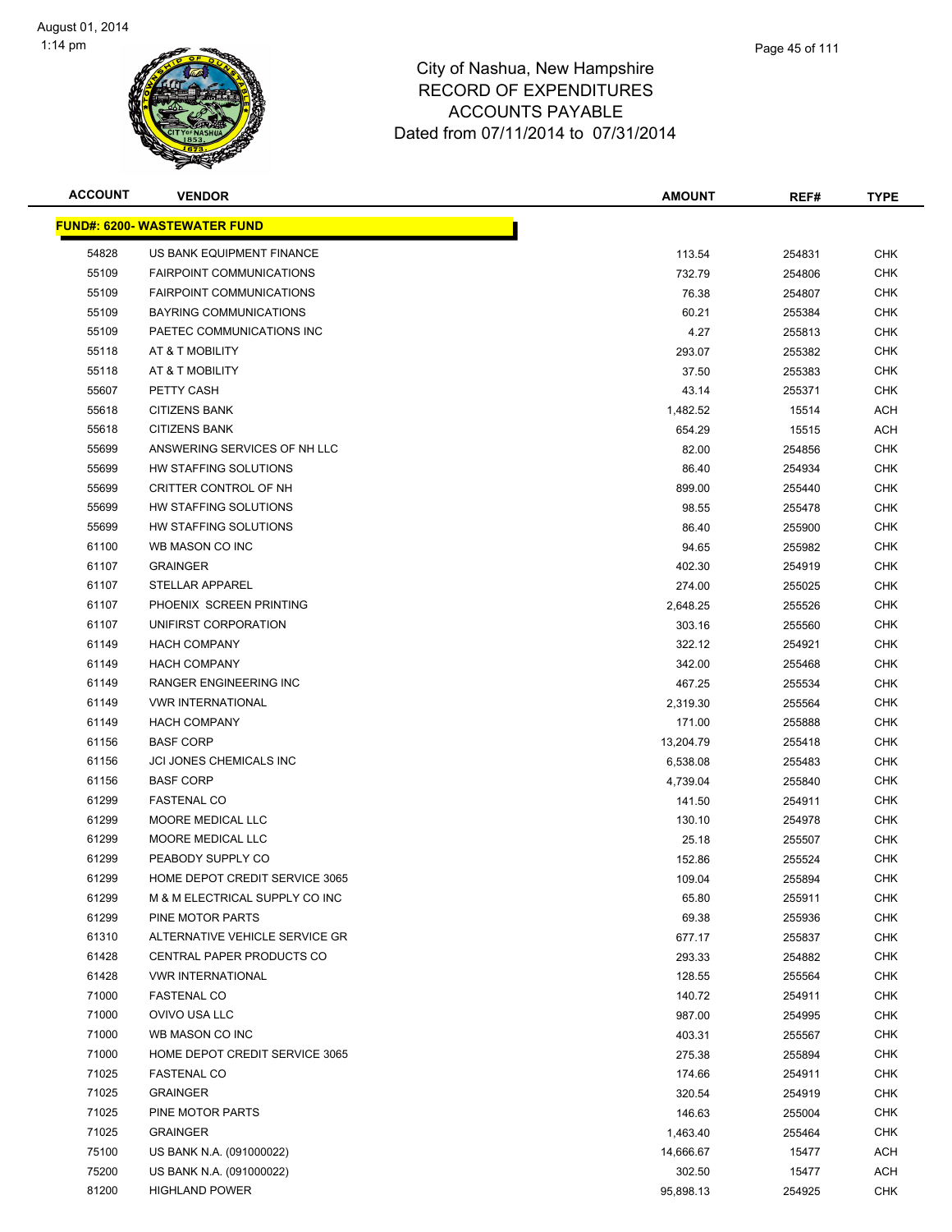| <b>ACCOUNT</b> | <b>VENDOR</b>                        | AMOUNT    | REF#   | <b>TYPE</b> |
|----------------|--------------------------------------|-----------|--------|-------------|
|                | <u> FUND#: 6200- WASTEWATER FUND</u> |           |        |             |
| 54828          | US BANK EQUIPMENT FINANCE            | 113.54    | 254831 | <b>CHK</b>  |
| 55109          | <b>FAIRPOINT COMMUNICATIONS</b>      | 732.79    | 254806 | <b>CHK</b>  |
| 55109          | <b>FAIRPOINT COMMUNICATIONS</b>      | 76.38     | 254807 | <b>CHK</b>  |
| 55109          | <b>BAYRING COMMUNICATIONS</b>        | 60.21     | 255384 | <b>CHK</b>  |
| 55109          | PAETEC COMMUNICATIONS INC            | 4.27      | 255813 | <b>CHK</b>  |
| 55118          | AT & T MOBILITY                      | 293.07    | 255382 | <b>CHK</b>  |
| 55118          | AT & T MOBILITY                      | 37.50     | 255383 | CHK         |
| 55607          | PETTY CASH                           | 43.14     | 255371 | <b>CHK</b>  |
| 55618          | <b>CITIZENS BANK</b>                 | 1,482.52  | 15514  | ACH         |
| 55618          | <b>CITIZENS BANK</b>                 | 654.29    | 15515  | ACH         |
| 55699          | ANSWERING SERVICES OF NH LLC         | 82.00     | 254856 | <b>CHK</b>  |
| 55699          | HW STAFFING SOLUTIONS                | 86.40     | 254934 | CHK         |
| 55699          | CRITTER CONTROL OF NH                | 899.00    | 255440 | <b>CHK</b>  |
| 55699          | HW STAFFING SOLUTIONS                | 98.55     | 255478 | <b>CHK</b>  |
| 55699          | HW STAFFING SOLUTIONS                | 86.40     | 255900 | <b>CHK</b>  |
| 61100          | WB MASON CO INC                      | 94.65     | 255982 | <b>CHK</b>  |
| 61107          | <b>GRAINGER</b>                      | 402.30    | 254919 | <b>CHK</b>  |
| 61107          | STELLAR APPAREL                      | 274.00    | 255025 | <b>CHK</b>  |
| 61107          | PHOENIX SCREEN PRINTING              | 2,648.25  | 255526 | <b>CHK</b>  |
| 61107          | UNIFIRST CORPORATION                 | 303.16    | 255560 | <b>CHK</b>  |
| 61149          | <b>HACH COMPANY</b>                  | 322.12    | 254921 | <b>CHK</b>  |
| 61149          | <b>HACH COMPANY</b>                  | 342.00    | 255468 | <b>CHK</b>  |
| 61149          | RANGER ENGINEERING INC               | 467.25    | 255534 | <b>CHK</b>  |
| 61149          | <b>VWR INTERNATIONAL</b>             | 2,319.30  | 255564 | <b>CHK</b>  |
| 61149          | <b>HACH COMPANY</b>                  | 171.00    | 255888 | <b>CHK</b>  |
| 61156          | <b>BASF CORP</b>                     | 13,204.79 | 255418 | <b>CHK</b>  |
| 61156          | JCI JONES CHEMICALS INC              | 6,538.08  | 255483 | <b>CHK</b>  |
| 61156          | <b>BASF CORP</b>                     | 4,739.04  | 255840 | <b>CHK</b>  |
| 61299          | <b>FASTENAL CO</b>                   | 141.50    | 254911 | <b>CHK</b>  |
| 61299          | MOORE MEDICAL LLC                    | 130.10    | 254978 | <b>CHK</b>  |
| 61299          | MOORE MEDICAL LLC                    | 25.18     | 255507 | CHK         |
| 61299          | PEABODY SUPPLY CO                    | 152.86    | 255524 | <b>CHK</b>  |
| 61299          | HOME DEPOT CREDIT SERVICE 3065       | 109.04    | 255894 | <b>CHK</b>  |
| 61299          | M & M ELECTRICAL SUPPLY CO INC       | 65.80     | 255911 | <b>CHK</b>  |
| 61299          | PINE MOTOR PARTS                     | 69.38     | 255936 | <b>CHK</b>  |
| 61310          | ALTERNATIVE VEHICLE SERVICE GR       | 677.17    | 255837 | <b>CHK</b>  |
| 61428          | CENTRAL PAPER PRODUCTS CO            | 293.33    | 254882 | <b>CHK</b>  |
| 61428          | <b>VWR INTERNATIONAL</b>             | 128.55    | 255564 | <b>CHK</b>  |
| 71000          | <b>FASTENAL CO</b>                   | 140.72    | 254911 | <b>CHK</b>  |
| 71000          | OVIVO USA LLC                        | 987.00    | 254995 | <b>CHK</b>  |
| 71000          | WB MASON CO INC                      | 403.31    | 255567 | <b>CHK</b>  |
| 71000          | HOME DEPOT CREDIT SERVICE 3065       | 275.38    | 255894 | CHK         |
| 71025          | <b>FASTENAL CO</b>                   | 174.66    | 254911 | <b>CHK</b>  |
| 71025          | <b>GRAINGER</b>                      | 320.54    | 254919 | <b>CHK</b>  |
| 71025          | PINE MOTOR PARTS                     | 146.63    | 255004 | <b>CHK</b>  |
| 71025          | <b>GRAINGER</b>                      | 1,463.40  | 255464 | CHK         |
| 75100          | US BANK N.A. (091000022)             | 14,666.67 | 15477  | ACH         |
| 75200          | US BANK N.A. (091000022)             | 302.50    | 15477  | ACH         |
| 81200          | <b>HIGHLAND POWER</b>                | 95,898.13 | 254925 | <b>CHK</b>  |
|                |                                      |           |        |             |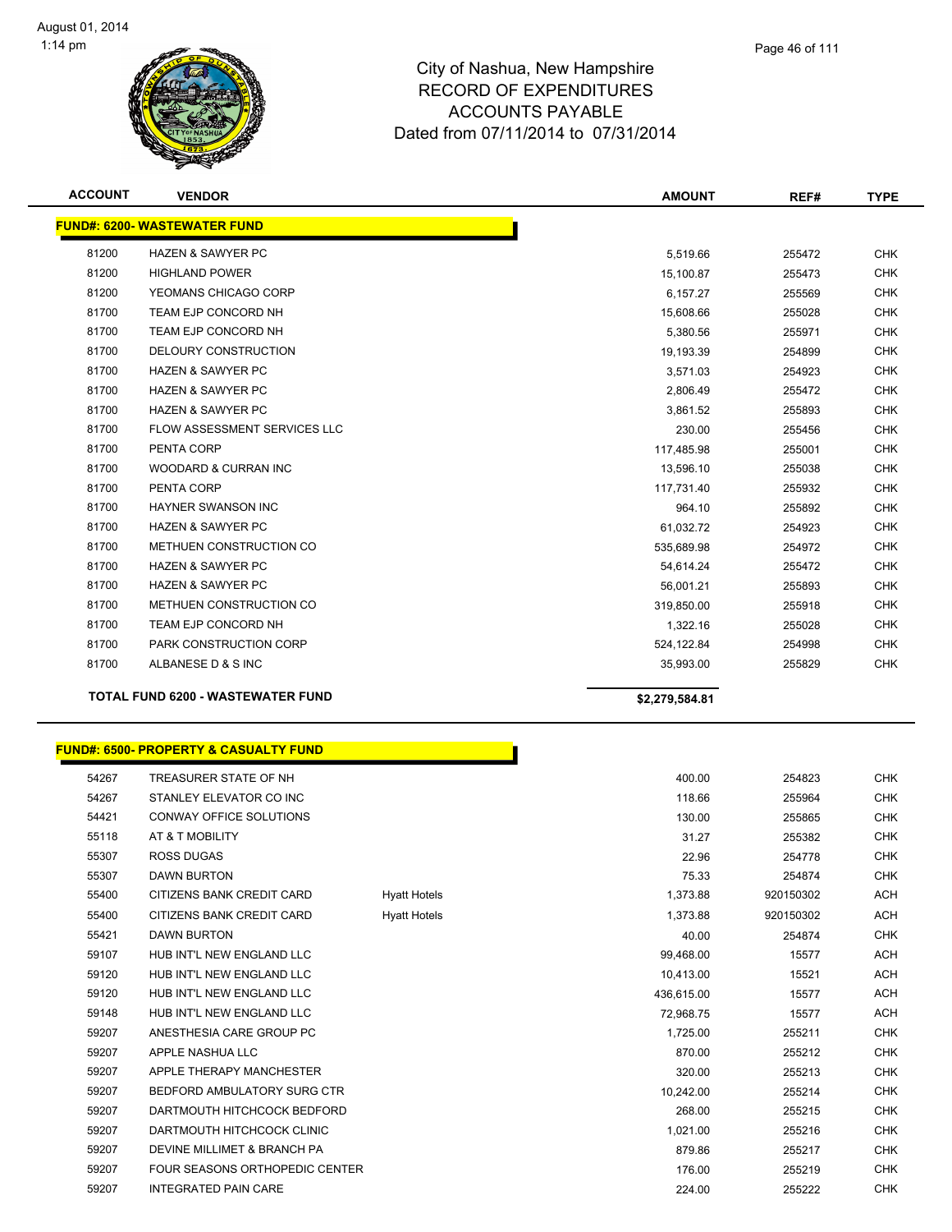

|       |                                          | <b>AMOUNT</b>  | REF#   | <b>TYPE</b> |
|-------|------------------------------------------|----------------|--------|-------------|
|       | <b>FUND#: 6200- WASTEWATER FUND</b>      |                |        |             |
| 81200 | <b>HAZEN &amp; SAWYER PC</b>             | 5,519.66       | 255472 | <b>CHK</b>  |
| 81200 | <b>HIGHLAND POWER</b>                    | 15,100.87      | 255473 | <b>CHK</b>  |
| 81200 | YEOMANS CHICAGO CORP                     | 6,157.27       | 255569 | <b>CHK</b>  |
| 81700 | TEAM EJP CONCORD NH                      | 15,608.66      | 255028 | <b>CHK</b>  |
| 81700 | TEAM EJP CONCORD NH                      | 5,380.56       | 255971 | <b>CHK</b>  |
| 81700 | DELOURY CONSTRUCTION                     | 19,193.39      | 254899 | <b>CHK</b>  |
| 81700 | <b>HAZEN &amp; SAWYER PC</b>             | 3,571.03       | 254923 | <b>CHK</b>  |
| 81700 | <b>HAZEN &amp; SAWYER PC</b>             | 2,806.49       | 255472 | <b>CHK</b>  |
| 81700 | <b>HAZEN &amp; SAWYER PC</b>             | 3,861.52       | 255893 | <b>CHK</b>  |
| 81700 | <b>FLOW ASSESSMENT SERVICES LLC</b>      | 230.00         | 255456 | <b>CHK</b>  |
| 81700 | PENTA CORP                               | 117,485.98     | 255001 | <b>CHK</b>  |
| 81700 | WOODARD & CURRAN INC                     | 13,596.10      | 255038 | <b>CHK</b>  |
| 81700 | PENTA CORP                               | 117,731.40     | 255932 | <b>CHK</b>  |
| 81700 | HAYNER SWANSON INC                       | 964.10         | 255892 | <b>CHK</b>  |
| 81700 | <b>HAZEN &amp; SAWYER PC</b>             | 61,032.72      | 254923 | <b>CHK</b>  |
| 81700 | METHUEN CONSTRUCTION CO                  | 535,689.98     | 254972 | <b>CHK</b>  |
| 81700 | <b>HAZEN &amp; SAWYER PC</b>             | 54,614.24      | 255472 | <b>CHK</b>  |
| 81700 | <b>HAZEN &amp; SAWYER PC</b>             | 56,001.21      | 255893 | <b>CHK</b>  |
| 81700 | METHUEN CONSTRUCTION CO                  | 319,850.00     | 255918 | <b>CHK</b>  |
| 81700 | TEAM EJP CONCORD NH                      | 1,322.16       | 255028 | <b>CHK</b>  |
| 81700 | PARK CONSTRUCTION CORP                   | 524,122.84     | 254998 | <b>CHK</b>  |
| 81700 | ALBANESE D & S INC                       | 35,993.00      | 255829 | <b>CHK</b>  |
|       | <b>TOTAL FUND 6200 - WASTEWATER FUND</b> | \$2,279,584.81 |        |             |

|       | <u> FUND#: 6500- PROPERTY &amp; CASUALTY FUND</u> |                     |            |
|-------|---------------------------------------------------|---------------------|------------|
| 54267 | TREASURER STATE OF NH                             |                     | 400.00     |
| 54267 | STANLEY ELEVATOR CO INC                           |                     | 118.66     |
| 54421 | <b>CONWAY OFFICE SOLUTIONS</b>                    |                     | 130.00     |
| 55118 | AT & T MOBILITY                                   |                     | 31.27      |
| 55307 | <b>ROSS DUGAS</b>                                 |                     | 22.96      |
| 55307 | <b>DAWN BURTON</b>                                |                     | 75.33      |
| 55400 | CITIZENS BANK CREDIT CARD                         | <b>Hyatt Hotels</b> | 1,373.88   |
| 55400 | CITIZENS BANK CREDIT CARD                         | <b>Hyatt Hotels</b> | 1,373.88   |
| 55421 | <b>DAWN BURTON</b>                                |                     | 40.00      |
| 59107 | HUB INT'L NEW ENGLAND LLC                         |                     | 99,468.00  |
| 59120 | HUB INT'L NEW ENGLAND LLC                         |                     | 10,413.00  |
| 59120 | HUB INT'L NEW ENGLAND LLC                         |                     | 436,615.00 |
| 59148 | HUB INT'L NEW ENGLAND LLC                         |                     | 72,968.75  |
| 59207 | ANESTHESIA CARE GROUP PC                          |                     | 1,725.00   |
| 59207 | APPLE NASHUA LLC                                  |                     | 870.00     |
| 59207 | APPLE THERAPY MANCHESTER                          |                     | 320.00     |
| 59207 | BEDFORD AMBULATORY SURG CTR                       |                     | 10,242.00  |
| 59207 | DARTMOUTH HITCHCOCK BEDFORD                       |                     | 268.00     |
| 59207 | DARTMOUTH HITCHCOCK CLINIC                        |                     | 1,021.00   |
| 59207 | DEVINE MILLIMET & BRANCH PA                       |                     | 879.86     |
| 59207 | <b>FOUR SEASONS ORTHOPEDIC CENTER</b>             |                     | 176.00     |
| 59207 | <b>INTEGRATED PAIN CARE</b>                       |                     | 224.00     |
|       |                                                   |                     |            |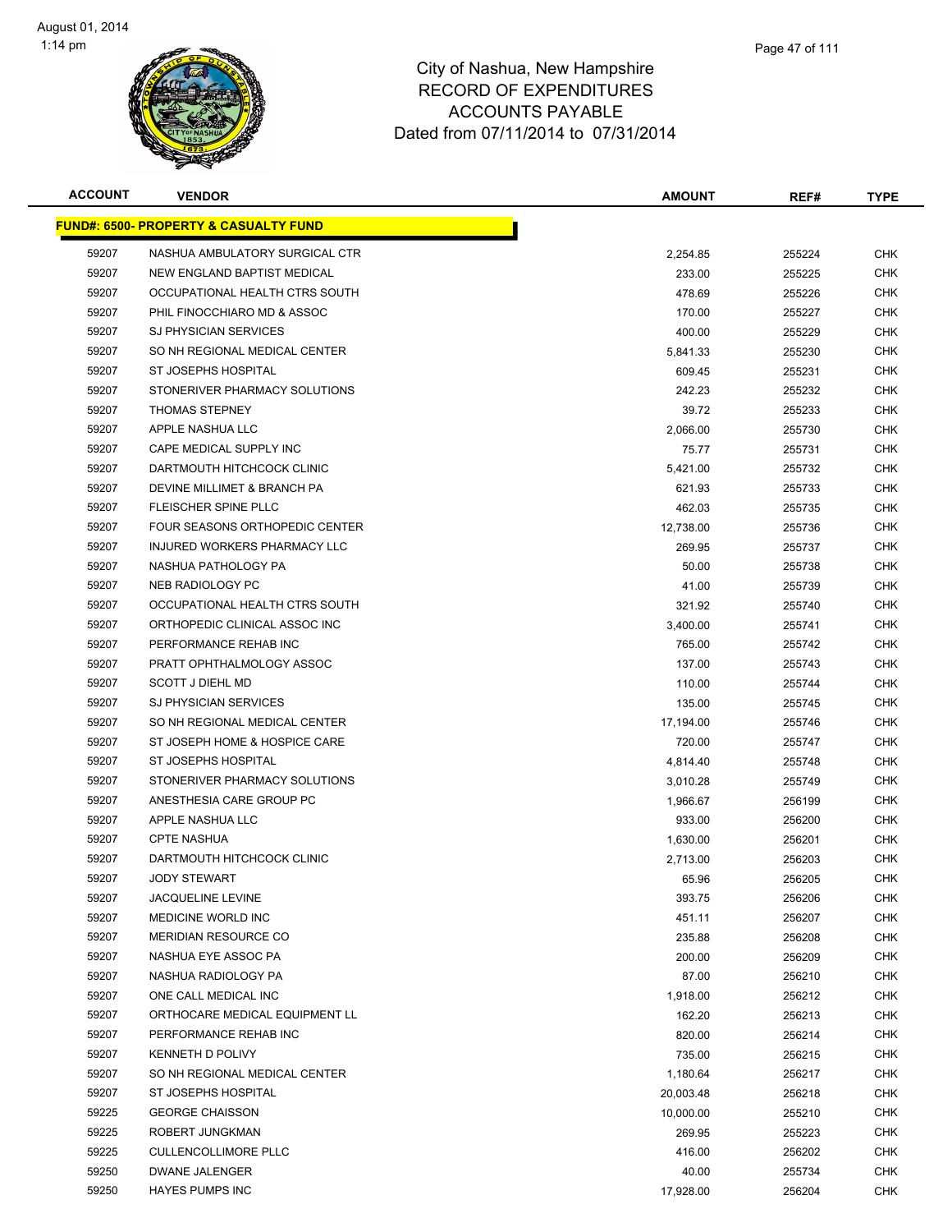

|    | Page 47 of 111 |
|----|----------------|
| €  |                |
| ×. |                |

| <b>ACCOUNT</b> | <b>VENDOR</b>                                    | <b>AMOUNT</b> | REF#   | <b>TYPE</b> |
|----------------|--------------------------------------------------|---------------|--------|-------------|
|                | <b>FUND#: 6500- PROPERTY &amp; CASUALTY FUND</b> |               |        |             |
| 59207          | NASHUA AMBULATORY SURGICAL CTR                   | 2,254.85      | 255224 | <b>CHK</b>  |
| 59207          | NEW ENGLAND BAPTIST MEDICAL                      | 233.00        | 255225 | <b>CHK</b>  |
| 59207          | OCCUPATIONAL HEALTH CTRS SOUTH                   | 478.69        | 255226 | <b>CHK</b>  |
| 59207          | PHIL FINOCCHIARO MD & ASSOC                      | 170.00        | 255227 | <b>CHK</b>  |
| 59207          | <b>SJ PHYSICIAN SERVICES</b>                     | 400.00        | 255229 | <b>CHK</b>  |
| 59207          | SO NH REGIONAL MEDICAL CENTER                    | 5,841.33      | 255230 | <b>CHK</b>  |
| 59207          | ST JOSEPHS HOSPITAL                              | 609.45        | 255231 | <b>CHK</b>  |
| 59207          | STONERIVER PHARMACY SOLUTIONS                    | 242.23        | 255232 | <b>CHK</b>  |
| 59207          | <b>THOMAS STEPNEY</b>                            | 39.72         | 255233 | <b>CHK</b>  |
| 59207          | APPLE NASHUA LLC                                 | 2,066.00      | 255730 | <b>CHK</b>  |
| 59207          | CAPE MEDICAL SUPPLY INC                          | 75.77         | 255731 | <b>CHK</b>  |
| 59207          | DARTMOUTH HITCHCOCK CLINIC                       | 5,421.00      | 255732 | <b>CHK</b>  |
| 59207          | DEVINE MILLIMET & BRANCH PA                      | 621.93        | 255733 | <b>CHK</b>  |
| 59207          | FLEISCHER SPINE PLLC                             | 462.03        | 255735 | <b>CHK</b>  |
| 59207          | FOUR SEASONS ORTHOPEDIC CENTER                   | 12,738.00     | 255736 | <b>CHK</b>  |
| 59207          | INJURED WORKERS PHARMACY LLC                     | 269.95        | 255737 | <b>CHK</b>  |
| 59207          | NASHUA PATHOLOGY PA                              | 50.00         | 255738 | <b>CHK</b>  |
| 59207          | NEB RADIOLOGY PC                                 | 41.00         | 255739 | <b>CHK</b>  |
| 59207          | OCCUPATIONAL HEALTH CTRS SOUTH                   | 321.92        | 255740 | <b>CHK</b>  |
| 59207          | ORTHOPEDIC CLINICAL ASSOC INC                    | 3,400.00      | 255741 | <b>CHK</b>  |
| 59207          | PERFORMANCE REHAB INC                            | 765.00        | 255742 | <b>CHK</b>  |
| 59207          | PRATT OPHTHALMOLOGY ASSOC                        | 137.00        | 255743 | <b>CHK</b>  |
| 59207          | <b>SCOTT J DIEHL MD</b>                          | 110.00        | 255744 | <b>CHK</b>  |
| 59207          | <b>SJ PHYSICIAN SERVICES</b>                     | 135.00        | 255745 | <b>CHK</b>  |
| 59207          | SO NH REGIONAL MEDICAL CENTER                    | 17,194.00     | 255746 | <b>CHK</b>  |
| 59207          | ST JOSEPH HOME & HOSPICE CARE                    | 720.00        | 255747 | <b>CHK</b>  |
| 59207          | ST JOSEPHS HOSPITAL                              | 4,814.40      | 255748 | <b>CHK</b>  |
| 59207          | STONERIVER PHARMACY SOLUTIONS                    | 3,010.28      | 255749 | <b>CHK</b>  |
| 59207          | ANESTHESIA CARE GROUP PC                         | 1,966.67      | 256199 | <b>CHK</b>  |
| 59207          | APPLE NASHUA LLC                                 | 933.00        | 256200 | <b>CHK</b>  |
| 59207          | <b>CPTE NASHUA</b>                               | 1,630.00      | 256201 | CHK         |
| 59207          | DARTMOUTH HITCHCOCK CLINIC                       | 2,713.00      | 256203 | CHK         |
| 59207          | <b>JODY STEWART</b>                              | 65.96         | 256205 | <b>CHK</b>  |
| 59207          | JACQUELINE LEVINE                                | 393.75        | 256206 | <b>CHK</b>  |
| 59207          | <b>MEDICINE WORLD INC</b>                        | 451.11        | 256207 | <b>CHK</b>  |
| 59207          | <b>MERIDIAN RESOURCE CO</b>                      | 235.88        | 256208 | <b>CHK</b>  |
| 59207          | NASHUA EYE ASSOC PA                              | 200.00        | 256209 | <b>CHK</b>  |
| 59207          | NASHUA RADIOLOGY PA                              | 87.00         | 256210 | <b>CHK</b>  |
| 59207          | ONE CALL MEDICAL INC                             | 1,918.00      | 256212 | <b>CHK</b>  |
| 59207          | ORTHOCARE MEDICAL EQUIPMENT LL                   | 162.20        | 256213 | <b>CHK</b>  |
| 59207          | PERFORMANCE REHAB INC                            | 820.00        | 256214 | <b>CHK</b>  |
| 59207          | KENNETH D POLIVY                                 | 735.00        | 256215 | <b>CHK</b>  |
| 59207          | SO NH REGIONAL MEDICAL CENTER                    | 1,180.64      | 256217 | <b>CHK</b>  |
| 59207          | ST JOSEPHS HOSPITAL                              | 20,003.48     | 256218 | <b>CHK</b>  |
| 59225          | <b>GEORGE CHAISSON</b>                           | 10,000.00     | 255210 | <b>CHK</b>  |
| 59225          | ROBERT JUNGKMAN                                  | 269.95        | 255223 | <b>CHK</b>  |
| 59225          | <b>CULLENCOLLIMORE PLLC</b>                      | 416.00        | 256202 | <b>CHK</b>  |
| 59250          | DWANE JALENGER                                   | 40.00         | 255734 | <b>CHK</b>  |
| 59250          | <b>HAYES PUMPS INC</b>                           | 17,928.00     | 256204 | <b>CHK</b>  |
|                |                                                  |               |        |             |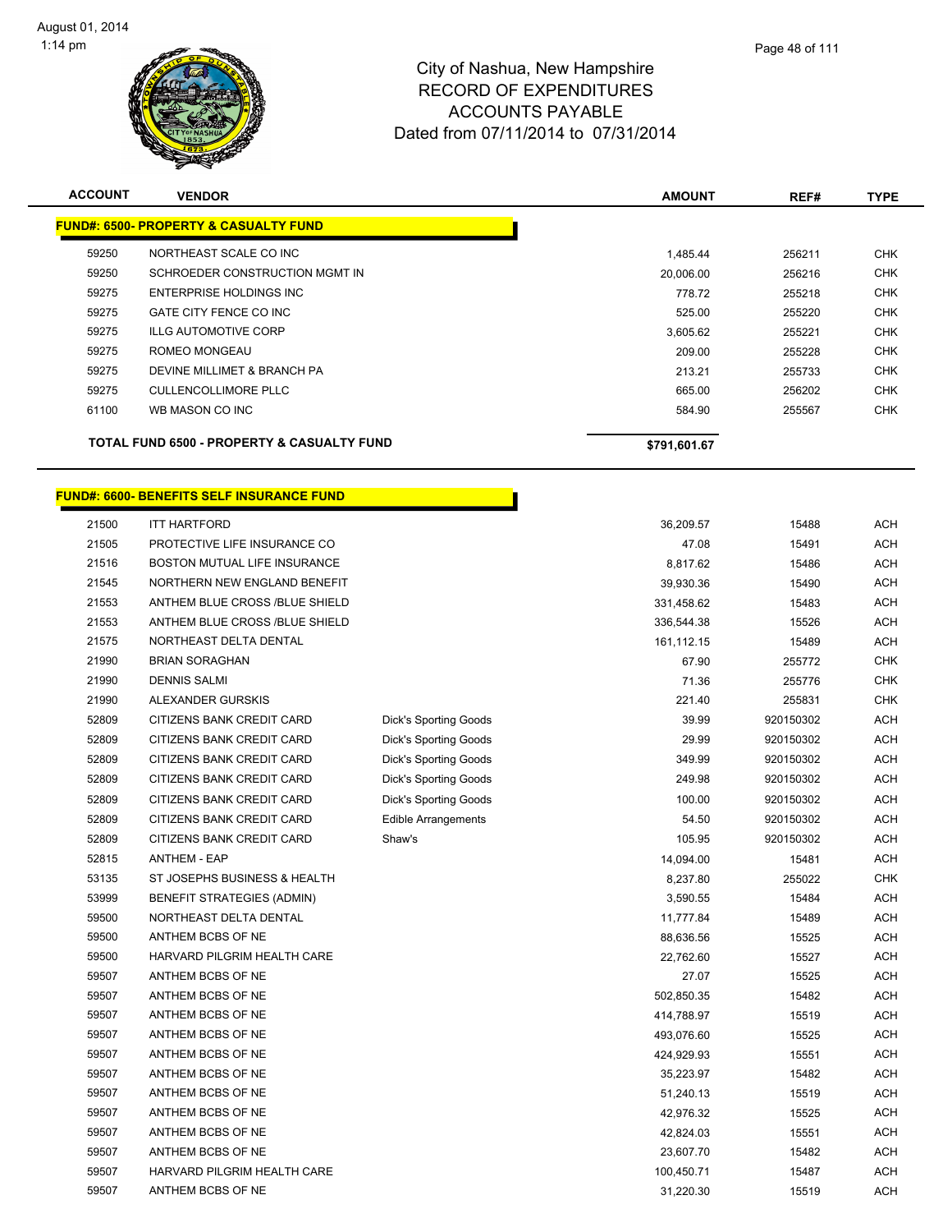

| <b>ACCOUNT</b> | <b>VENDOR</b>                                         | <b>AMOUNT</b> | REF#   | <b>TYPE</b> |
|----------------|-------------------------------------------------------|---------------|--------|-------------|
|                | <b>FUND#: 6500- PROPERTY &amp; CASUALTY FUND</b>      |               |        |             |
| 59250          | NORTHEAST SCALE CO INC                                | 1,485.44      | 256211 | <b>CHK</b>  |
| 59250          | SCHROEDER CONSTRUCTION MGMT IN                        | 20,006.00     | 256216 | <b>CHK</b>  |
| 59275          | ENTERPRISE HOLDINGS INC                               | 778.72        | 255218 | <b>CHK</b>  |
| 59275          | GATE CITY FENCE CO INC                                | 525.00        | 255220 | <b>CHK</b>  |
| 59275          | <b>ILLG AUTOMOTIVE CORP</b>                           | 3,605.62      | 255221 | <b>CHK</b>  |
| 59275          | ROMEO MONGEAU                                         | 209.00        | 255228 | <b>CHK</b>  |
| 59275          | DEVINE MILLIMET & BRANCH PA                           | 213.21        | 255733 | <b>CHK</b>  |
| 59275          | CULLENCOLLIMORE PLLC                                  | 665.00        | 256202 | <b>CHK</b>  |
| 61100          | WB MASON CO INC                                       | 584.90        | 255567 | <b>CHK</b>  |
|                | <b>TOTAL FUND 6500 - PROPERTY &amp; CASUALTY FUND</b> | \$791,601.67  |        |             |

h

# **FUND#: 6600- BENEFITS SELF INSURANCE FUND**

| <b>ITT HARTFORD</b>               |                              | 36,209.57  | 15488     | ACH        |
|-----------------------------------|------------------------------|------------|-----------|------------|
| PROTECTIVE LIFE INSURANCE CO      |                              | 47.08      | 15491     | <b>ACH</b> |
| BOSTON MUTUAL LIFE INSURANCE      |                              | 8,817.62   | 15486     | <b>ACH</b> |
| NORTHERN NEW ENGLAND BENEFIT      |                              | 39,930.36  | 15490     | <b>ACH</b> |
| ANTHEM BLUE CROSS /BLUE SHIELD    |                              | 331,458.62 | 15483     | <b>ACH</b> |
| ANTHEM BLUE CROSS /BLUE SHIELD    |                              | 336,544.38 | 15526     | <b>ACH</b> |
| NORTHEAST DELTA DENTAL            |                              | 161,112.15 | 15489     | <b>ACH</b> |
| <b>BRIAN SORAGHAN</b>             |                              | 67.90      | 255772    | <b>CHK</b> |
| <b>DENNIS SALMI</b>               |                              | 71.36      | 255776    | <b>CHK</b> |
| ALEXANDER GURSKIS                 |                              | 221.40     | 255831    | <b>CHK</b> |
| CITIZENS BANK CREDIT CARD         | <b>Dick's Sporting Goods</b> | 39.99      | 920150302 | <b>ACH</b> |
| CITIZENS BANK CREDIT CARD         | <b>Dick's Sporting Goods</b> | 29.99      | 920150302 | <b>ACH</b> |
| CITIZENS BANK CREDIT CARD         | Dick's Sporting Goods        | 349.99     | 920150302 | <b>ACH</b> |
| CITIZENS BANK CREDIT CARD         | <b>Dick's Sporting Goods</b> | 249.98     | 920150302 | <b>ACH</b> |
| CITIZENS BANK CREDIT CARD         | <b>Dick's Sporting Goods</b> | 100.00     | 920150302 | <b>ACH</b> |
| CITIZENS BANK CREDIT CARD         | <b>Edible Arrangements</b>   | 54.50      | 920150302 | ACH        |
| <b>CITIZENS BANK CREDIT CARD</b>  | Shaw's                       | 105.95     | 920150302 | <b>ACH</b> |
| <b>ANTHEM - EAP</b>               |                              | 14,094.00  | 15481     | ACH        |
| ST JOSEPHS BUSINESS & HEALTH      |                              | 8,237.80   | 255022    | <b>CHK</b> |
| <b>BENEFIT STRATEGIES (ADMIN)</b> |                              | 3,590.55   | 15484     | <b>ACH</b> |
| NORTHEAST DELTA DENTAL            |                              | 11,777.84  | 15489     | <b>ACH</b> |
| ANTHEM BCBS OF NE                 |                              | 88,636.56  | 15525     | <b>ACH</b> |
| HARVARD PILGRIM HEALTH CARE       |                              | 22,762.60  | 15527     | <b>ACH</b> |
| ANTHEM BCBS OF NE                 |                              | 27.07      | 15525     | <b>ACH</b> |
| ANTHEM BCBS OF NE                 |                              | 502,850.35 | 15482     | <b>ACH</b> |
| ANTHEM BCBS OF NE                 |                              | 414,788.97 | 15519     | <b>ACH</b> |
| ANTHEM BCBS OF NE                 |                              | 493,076.60 | 15525     | ACH        |
| ANTHEM BCBS OF NE                 |                              | 424,929.93 | 15551     | ACH        |
| ANTHEM BCBS OF NE                 |                              | 35,223.97  | 15482     | <b>ACH</b> |
| ANTHEM BCBS OF NE                 |                              | 51,240.13  | 15519     | <b>ACH</b> |
| ANTHEM BCBS OF NE                 |                              | 42,976.32  | 15525     | <b>ACH</b> |
| ANTHEM BCBS OF NE                 |                              | 42,824.03  | 15551     | <b>ACH</b> |
| ANTHEM BCBS OF NE                 |                              | 23,607.70  | 15482     | <b>ACH</b> |
| HARVARD PILGRIM HEALTH CARE       |                              | 100,450.71 | 15487     | <b>ACH</b> |
| ANTHEM BCBS OF NE                 |                              | 31,220.30  | 15519     | <b>ACH</b> |
|                                   |                              |            |           |            |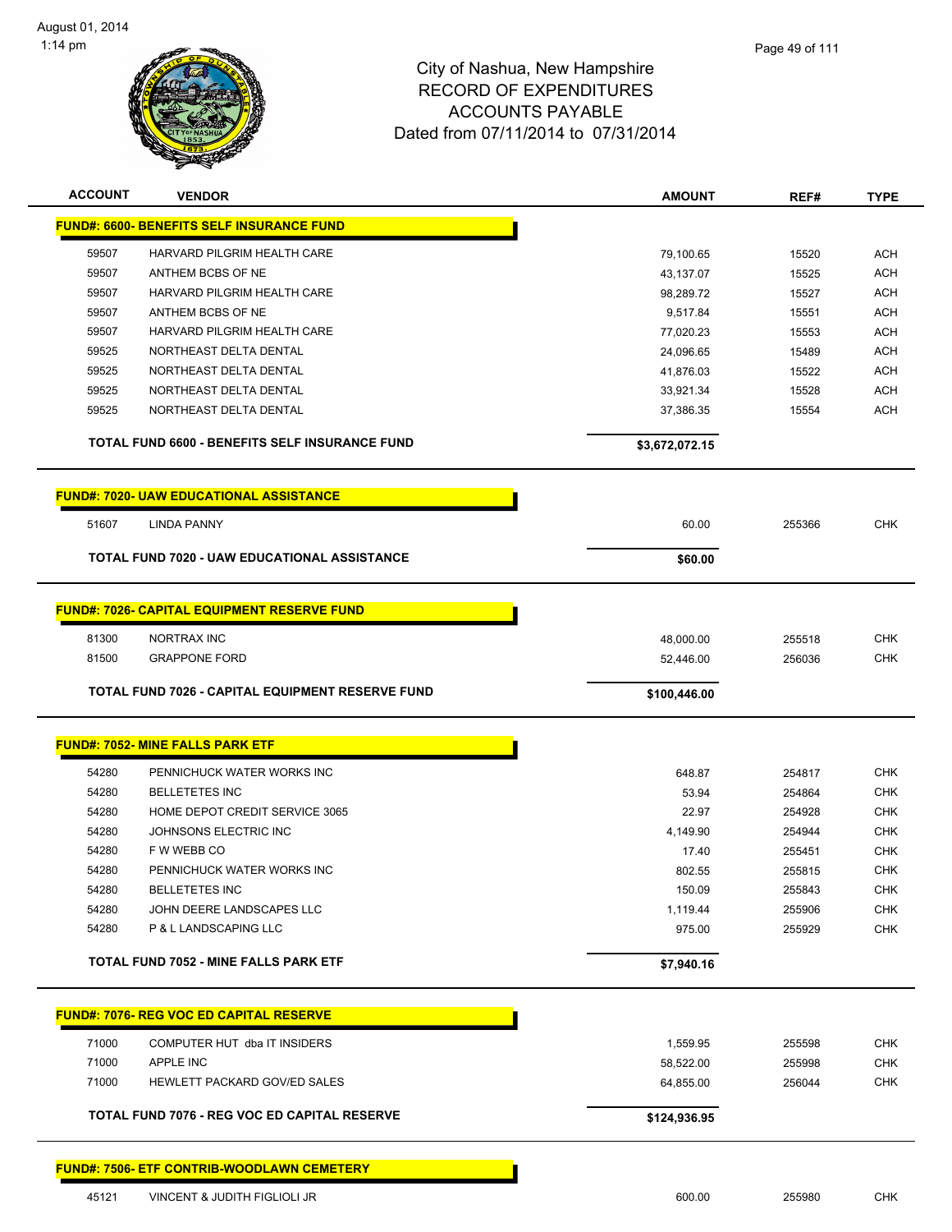

| <b>ACCOUNT</b> | <b>VENDOR</b>                                       | <b>AMOUNT</b>  | REF#   | <b>TYPE</b> |
|----------------|-----------------------------------------------------|----------------|--------|-------------|
|                | <b>FUND#: 6600- BENEFITS SELF INSURANCE FUND</b>    |                |        |             |
| 59507          | HARVARD PILGRIM HEALTH CARE                         | 79,100.65      | 15520  | ACH         |
| 59507          | ANTHEM BCBS OF NE                                   | 43,137.07      | 15525  | <b>ACH</b>  |
| 59507          | HARVARD PILGRIM HEALTH CARE                         | 98,289.72      | 15527  | <b>ACH</b>  |
| 59507          | ANTHEM BCBS OF NE                                   | 9,517.84       | 15551  | <b>ACH</b>  |
| 59507          | HARVARD PILGRIM HEALTH CARE                         | 77,020.23      | 15553  | <b>ACH</b>  |
| 59525          | NORTHEAST DELTA DENTAL                              | 24,096.65      | 15489  | ACH         |
| 59525          | NORTHEAST DELTA DENTAL                              | 41,876.03      | 15522  | ACH         |
| 59525          | NORTHEAST DELTA DENTAL                              | 33,921.34      | 15528  | ACH         |
| 59525          | NORTHEAST DELTA DENTAL                              | 37,386.35      | 15554  | ACH         |
|                | TOTAL FUND 6600 - BENEFITS SELF INSURANCE FUND      | \$3,672,072.15 |        |             |
|                | <b>FUND#: 7020- UAW EDUCATIONAL ASSISTANCE</b>      |                |        |             |
| 51607          | <b>LINDA PANNY</b>                                  | 60.00          | 255366 | <b>CHK</b>  |
|                |                                                     |                |        |             |
|                | <b>TOTAL FUND 7020 - UAW EDUCATIONAL ASSISTANCE</b> | \$60.00        |        |             |
|                | <b>FUND#: 7026- CAPITAL EQUIPMENT RESERVE FUND</b>  |                |        |             |
| 81300          | NORTRAX INC                                         | 48,000.00      | 255518 | <b>CHK</b>  |
| 81500          | <b>GRAPPONE FORD</b>                                | 52,446.00      | 256036 | <b>CHK</b>  |
|                |                                                     |                |        |             |
|                | TOTAL FUND 7026 - CAPITAL EQUIPMENT RESERVE FUND    | \$100,446.00   |        |             |
|                |                                                     |                |        |             |
|                | <b>FUND#: 7052- MINE FALLS PARK ETF</b>             |                |        |             |
| 54280          | PENNICHUCK WATER WORKS INC                          | 648.87         | 254817 | <b>CHK</b>  |
| 54280          | <b>BELLETETES INC</b>                               | 53.94          | 254864 | <b>CHK</b>  |
| 54280          | HOME DEPOT CREDIT SERVICE 3065                      | 22.97          | 254928 | <b>CHK</b>  |
| 54280          | JOHNSONS ELECTRIC INC                               | 4,149.90       | 254944 | <b>CHK</b>  |
| 54280          | F W WEBB CO                                         | 17.40          | 255451 | <b>CHK</b>  |
| 54280          | PENNICHUCK WATER WORKS INC                          | 802.55         | 255815 | <b>CHK</b>  |
| 54280          | BELLETETES INC                                      | 150.09         | 255843 | <b>CHK</b>  |
| 54280          | JOHN DEERE LANDSCAPES LLC                           | 1,119.44       | 255906 | <b>CHK</b>  |
| 54280          | P & L LANDSCAPING LLC                               | 975.00         | 255929 | <b>CHK</b>  |
|                | <b>TOTAL FUND 7052 - MINE FALLS PARK ETF</b>        | \$7,940.16     |        |             |
|                |                                                     |                |        |             |
|                | <b>FUND#: 7076- REG VOC ED CAPITAL RESERVE</b>      |                |        |             |
| 71000          | COMPUTER HUT dba IT INSIDERS                        | 1,559.95       | 255598 | <b>CHK</b>  |
| 71000          | <b>APPLE INC</b>                                    | 58,522.00      | 255998 | <b>CHK</b>  |
| 71000          | HEWLETT PACKARD GOV/ED SALES                        | 64,855.00      | 256044 | <b>CHK</b>  |
|                | TOTAL FUND 7076 - REG VOC ED CAPITAL RESERVE        | \$124,936.95   |        |             |
|                | <b>FUND#: 7506- ETF CONTRIB-WOODLAWN CEMETERY</b>   |                |        |             |
| 45121          | VINCENT & JUDITH FIGLIOLI JR                        | 600.00         | 255980 | <b>CHK</b>  |
|                |                                                     |                |        |             |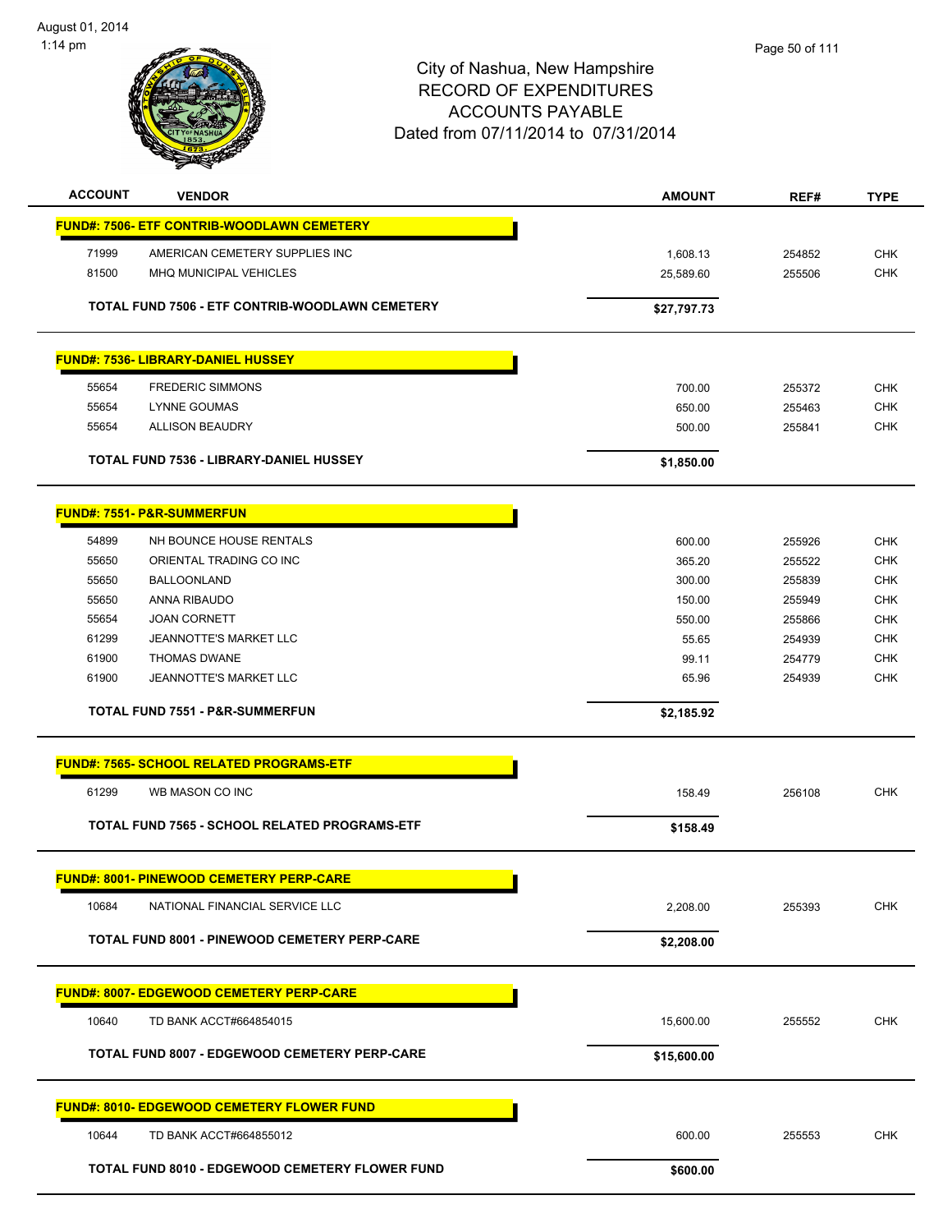

| <b>ACCOUNT</b> | <b>VENDOR</b>                                        | <b>AMOUNT</b> | REF#   | <b>TYPE</b> |
|----------------|------------------------------------------------------|---------------|--------|-------------|
|                | <b>FUND#: 7506- ETF CONTRIB-WOODLAWN CEMETERY</b>    |               |        |             |
|                |                                                      |               |        |             |
| 71999          | AMERICAN CEMETERY SUPPLIES INC                       | 1,608.13      | 254852 | <b>CHK</b>  |
| 81500          | MHQ MUNICIPAL VEHICLES                               | 25,589.60     | 255506 | <b>CHK</b>  |
|                | TOTAL FUND 7506 - ETF CONTRIB-WOODLAWN CEMETERY      | \$27,797.73   |        |             |
|                |                                                      |               |        |             |
|                | <b>FUND#: 7536- LIBRARY-DANIEL HUSSEY</b>            |               |        |             |
| 55654          | <b>FREDERIC SIMMONS</b>                              | 700.00        | 255372 | <b>CHK</b>  |
| 55654          | <b>LYNNE GOUMAS</b>                                  | 650.00        | 255463 | <b>CHK</b>  |
| 55654          | <b>ALLISON BEAUDRY</b>                               | 500.00        | 255841 | <b>CHK</b>  |
|                |                                                      |               |        |             |
|                | TOTAL FUND 7536 - LIBRARY-DANIEL HUSSEY              | \$1,850.00    |        |             |
|                | <b>FUND#: 7551- P&amp;R-SUMMERFUN</b>                |               |        |             |
|                |                                                      |               |        |             |
| 54899          | NH BOUNCE HOUSE RENTALS                              | 600.00        | 255926 | <b>CHK</b>  |
| 55650          | ORIENTAL TRADING CO INC                              | 365.20        | 255522 | <b>CHK</b>  |
| 55650          | <b>BALLOONLAND</b>                                   | 300.00        | 255839 | <b>CHK</b>  |
| 55650          | ANNA RIBAUDO                                         | 150.00        | 255949 | <b>CHK</b>  |
| 55654          | <b>JOAN CORNETT</b>                                  | 550.00        | 255866 | <b>CHK</b>  |
| 61299          | <b>JEANNOTTE'S MARKET LLC</b>                        | 55.65         | 254939 | <b>CHK</b>  |
| 61900          | <b>THOMAS DWANE</b>                                  | 99.11         | 254779 | <b>CHK</b>  |
| 61900          | JEANNOTTE'S MARKET LLC                               | 65.96         | 254939 | <b>CHK</b>  |
|                | <b>TOTAL FUND 7551 - P&amp;R-SUMMERFUN</b>           | \$2,185.92    |        |             |
|                |                                                      |               |        |             |
|                | <b>FUND#: 7565- SCHOOL RELATED PROGRAMS-ETF</b>      |               |        |             |
| 61299          | WB MASON CO INC                                      | 158.49        | 256108 | <b>CHK</b>  |
|                | TOTAL FUND 7565 - SCHOOL RELATED PROGRAMS-ETF        | \$158.49      |        |             |
|                |                                                      |               |        |             |
|                | <b>FUND#: 8001- PINEWOOD CEMETERY PERP-CARE</b>      |               |        |             |
| 10684          | NATIONAL FINANCIAL SERVICE LLC                       | 2,208.00      | 255393 | <b>CHK</b>  |
|                | TOTAL FUND 8001 - PINEWOOD CEMETERY PERP-CARE        | \$2,208.00    |        |             |
|                |                                                      |               |        |             |
|                | <b>FUND#: 8007- EDGEWOOD CEMETERY PERP-CARE</b>      |               |        |             |
| 10640          | TD BANK ACCT#664854015                               | 15,600.00     | 255552 | <b>CHK</b>  |
|                | <b>TOTAL FUND 8007 - EDGEWOOD CEMETERY PERP-CARE</b> | \$15,600.00   |        |             |
|                |                                                      |               |        |             |
|                | <b>FUND#: 8010- EDGEWOOD CEMETERY FLOWER FUND</b>    |               |        |             |
| 10644          | TD BANK ACCT#664855012                               | 600.00        | 255553 | <b>CHK</b>  |
|                | TOTAL FUND 8010 - EDGEWOOD CEMETERY FLOWER FUND      | \$600.00      |        |             |
|                |                                                      |               |        |             |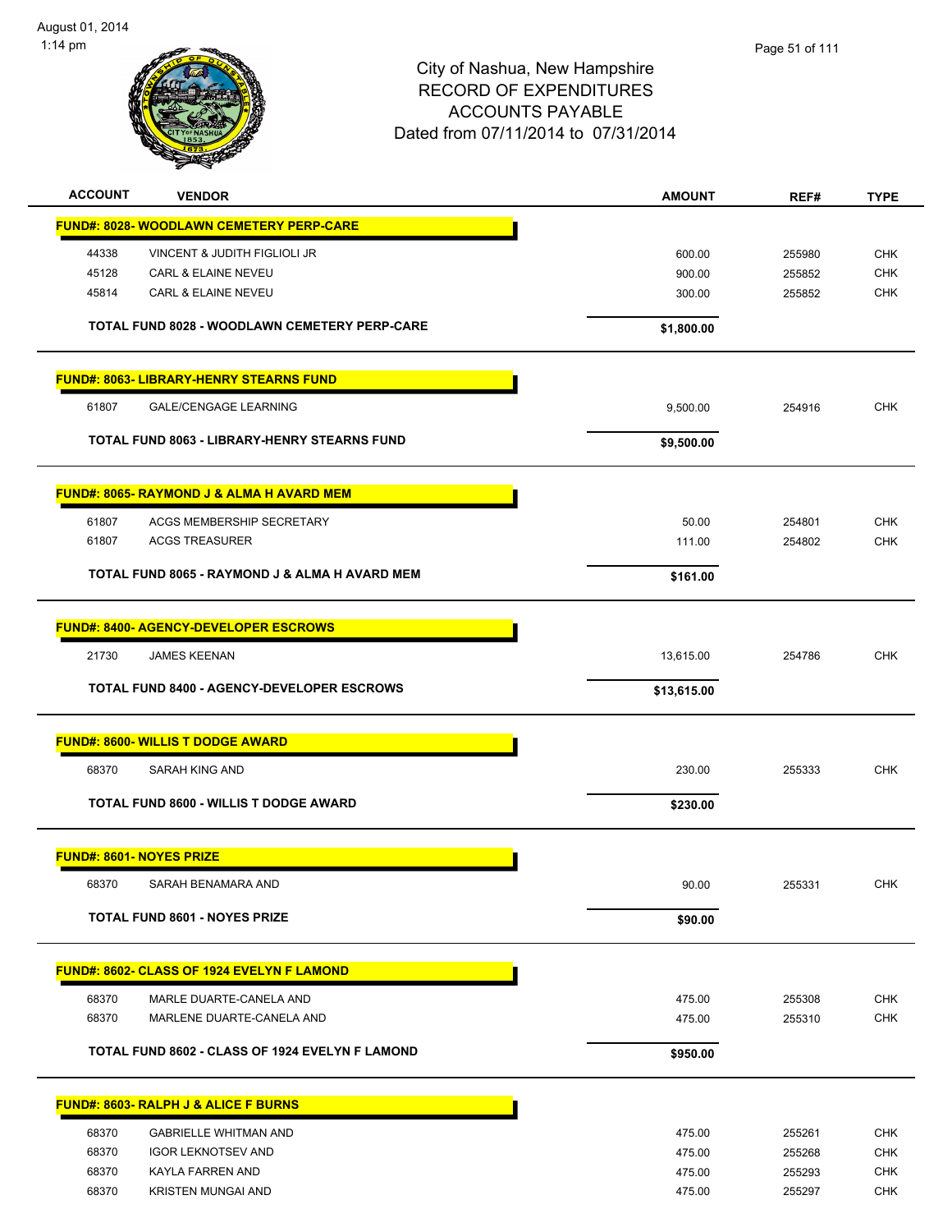

| <b>ACCOUNT</b><br><b>VENDOR</b>                      | <b>AMOUNT</b> | REF#   | <b>TYPE</b> |
|------------------------------------------------------|---------------|--------|-------------|
| <b>FUND#: 8028- WOODLAWN CEMETERY PERP-CARE</b>      |               |        |             |
| 44338<br>VINCENT & JUDITH FIGLIOLI JR                | 600.00        | 255980 | <b>CHK</b>  |
| 45128<br><b>CARL &amp; ELAINE NEVEU</b>              | 900.00        | 255852 | <b>CHK</b>  |
| CARL & ELAINE NEVEU<br>45814                         | 300.00        | 255852 | <b>CHK</b>  |
| TOTAL FUND 8028 - WOODLAWN CEMETERY PERP-CARE        | \$1,800.00    |        |             |
| <b>FUND#: 8063- LIBRARY-HENRY STEARNS FUND</b>       |               |        |             |
| 61807<br><b>GALE/CENGAGE LEARNING</b>                | 9,500.00      | 254916 | <b>CHK</b>  |
| TOTAL FUND 8063 - LIBRARY-HENRY STEARNS FUND         | \$9,500.00    |        |             |
| <b>FUND#: 8065- RAYMOND J &amp; ALMA H AVARD MEM</b> |               |        |             |
| 61807<br>ACGS MEMBERSHIP SECRETARY                   | 50.00         | 254801 | <b>CHK</b>  |
| 61807<br><b>ACGS TREASURER</b>                       | 111.00        | 254802 | <b>CHK</b>  |
| TOTAL FUND 8065 - RAYMOND J & ALMA H AVARD MEM       |               |        |             |
|                                                      | \$161.00      |        |             |
| <b>FUND#: 8400- AGENCY-DEVELOPER ESCROWS</b>         |               |        |             |
| 21730<br><b>JAMES KEENAN</b>                         | 13,615.00     | 254786 | <b>CHK</b>  |
| <b>TOTAL FUND 8400 - AGENCY-DEVELOPER ESCROWS</b>    | \$13,615.00   |        |             |
| <b>FUND#: 8600- WILLIS T DODGE AWARD</b>             |               |        |             |
| 68370<br>SARAH KING AND                              | 230.00        | 255333 | <b>CHK</b>  |
| <b>TOTAL FUND 8600 - WILLIS T DODGE AWARD</b>        | \$230.00      |        |             |
| <b>FUND#: 8601- NOYES PRIZE</b>                      |               |        |             |
| 68370<br>SARAH BENAMARA AND                          | 90.00         | 255331 | <b>CHK</b>  |
| <b>TOTAL FUND 8601 - NOYES PRIZE</b>                 | \$90.00       |        |             |
|                                                      |               |        |             |
| FUND#: 8602- CLASS OF 1924 EVELYN F LAMOND           |               |        |             |
| 68370<br>MARLE DUARTE-CANELA AND                     | 475.00        | 255308 | <b>CHK</b>  |
| 68370<br>MARLENE DUARTE-CANELA AND                   | 475.00        | 255310 | <b>CHK</b>  |
| TOTAL FUND 8602 - CLASS OF 1924 EVELYN F LAMOND      | \$950.00      |        |             |
|                                                      |               |        |             |
| FUND#: 8603- RALPH J & ALICE F BURNS                 |               |        |             |
| 68370<br><b>GABRIELLE WHITMAN AND</b>                | 475.00        | 255261 | <b>CHK</b>  |
| 68370<br><b>IGOR LEKNOTSEV AND</b>                   | 475.00        | 255268 | <b>CHK</b>  |
| 68370<br>KAYLA FARREN AND                            | 475.00        | 255293 | <b>CHK</b>  |
| 68370<br><b>KRISTEN MUNGAI AND</b>                   | 475.00        | 255297 | <b>CHK</b>  |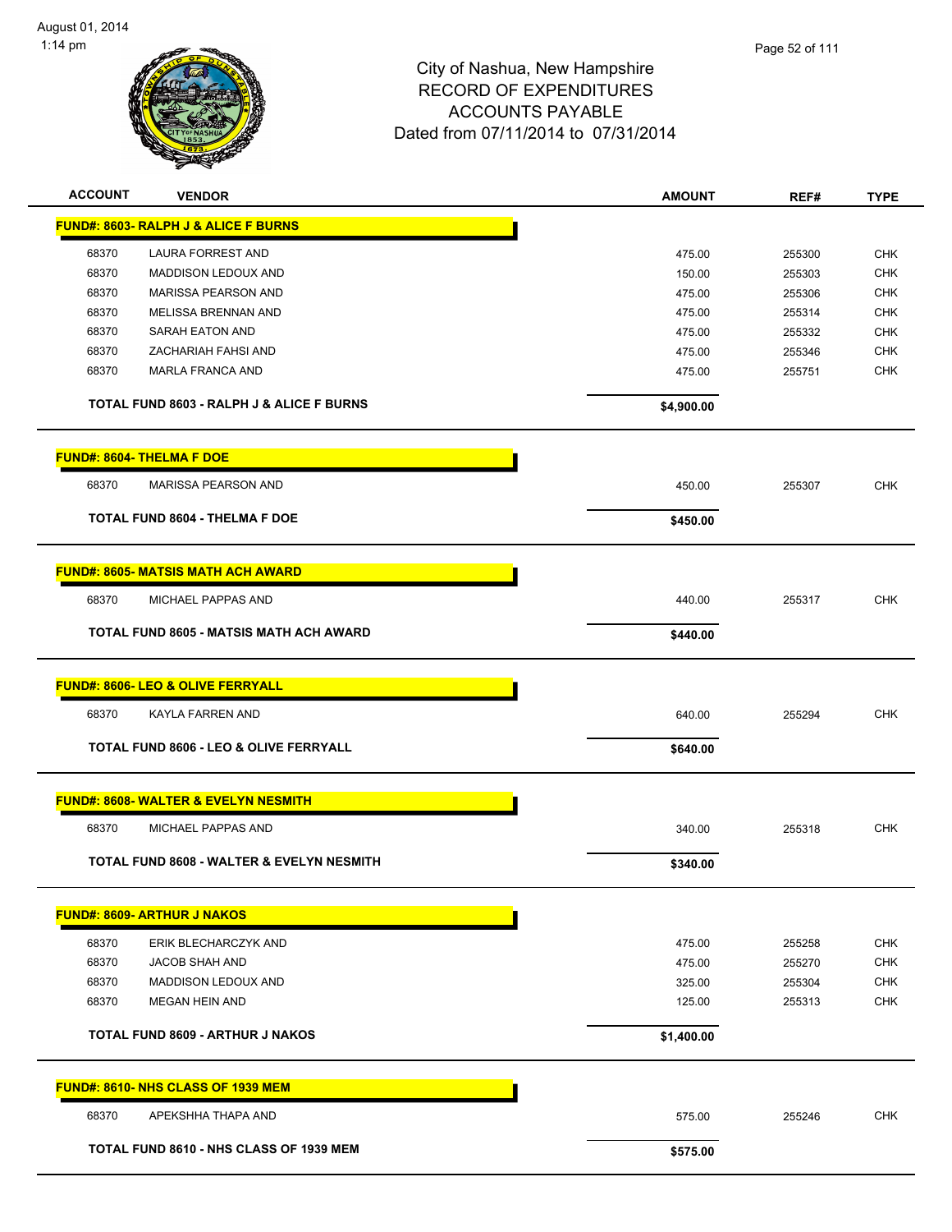

| <b>ACCOUNT</b> | <b>VENDOR</b>                                        | <b>AMOUNT</b> | REF#   | <b>TYPE</b> |
|----------------|------------------------------------------------------|---------------|--------|-------------|
|                | <b>FUND#: 8603- RALPH J &amp; ALICE F BURNS</b>      |               |        |             |
| 68370          | LAURA FORREST AND                                    | 475.00        | 255300 | <b>CHK</b>  |
| 68370          | <b>MADDISON LEDOUX AND</b>                           | 150.00        | 255303 | <b>CHK</b>  |
| 68370          | MARISSA PEARSON AND                                  | 475.00        | 255306 | <b>CHK</b>  |
| 68370          | MELISSA BRENNAN AND                                  | 475.00        | 255314 | CHK         |
| 68370          | SARAH EATON AND                                      | 475.00        | 255332 | CHK         |
| 68370          | ZACHARIAH FAHSI AND                                  | 475.00        | 255346 | <b>CHK</b>  |
| 68370          | MARLA FRANCA AND                                     | 475.00        | 255751 | CHK         |
|                | <b>TOTAL FUND 8603 - RALPH J &amp; ALICE F BURNS</b> | \$4,900.00    |        |             |
|                | <b>FUND#: 8604- THELMA F DOE</b>                     |               |        |             |
| 68370          | <b>MARISSA PEARSON AND</b>                           | 450.00        | 255307 | CHK         |
|                | <b>TOTAL FUND 8604 - THELMA F DOE</b>                | \$450.00      |        |             |
|                | <b>FUND#: 8605- MATSIS MATH ACH AWARD</b>            |               |        |             |
| 68370          | MICHAEL PAPPAS AND                                   | 440.00        | 255317 | <b>CHK</b>  |
|                | <b>TOTAL FUND 8605 - MATSIS MATH ACH AWARD</b>       | \$440.00      |        |             |
|                | <b>FUND#: 8606- LEO &amp; OLIVE FERRYALL</b>         |               |        |             |
| 68370          | KAYLA FARREN AND                                     | 640.00        | 255294 | <b>CHK</b>  |
|                | <b>TOTAL FUND 8606 - LEO &amp; OLIVE FERRYALL</b>    | \$640.00      |        |             |
|                | <b>FUND#: 8608- WALTER &amp; EVELYN NESMITH</b>      |               |        |             |
| 68370          | MICHAEL PAPPAS AND                                   | 340.00        | 255318 | <b>CHK</b>  |
|                | TOTAL FUND 8608 - WALTER & EVELYN NESMITH            | \$340.00      |        |             |
|                | <b>FUND#: 8609- ARTHUR J NAKOS</b>                   |               |        |             |
| 68370          | ERIK BLECHARCZYK AND                                 | 475.00        | 255258 | <b>CHK</b>  |
| 68370          | JACOB SHAH AND                                       | 475.00        | 255270 | <b>CHK</b>  |
| 68370          | <b>MADDISON LEDOUX AND</b>                           | 325.00        | 255304 | <b>CHK</b>  |
| 68370          | <b>MEGAN HEIN AND</b>                                | 125.00        | 255313 | <b>CHK</b>  |
|                |                                                      |               |        |             |
|                | TOTAL FUND 8609 - ARTHUR J NAKOS                     | \$1,400.00    |        |             |
|                | FUND#: 8610- NHS CLASS OF 1939 MEM                   |               |        |             |
| 68370          | APEKSHHA THAPA AND                                   | 575.00        | 255246 | <b>CHK</b>  |
|                | TOTAL FUND 8610 - NHS CLASS OF 1939 MEM              | \$575.00      |        |             |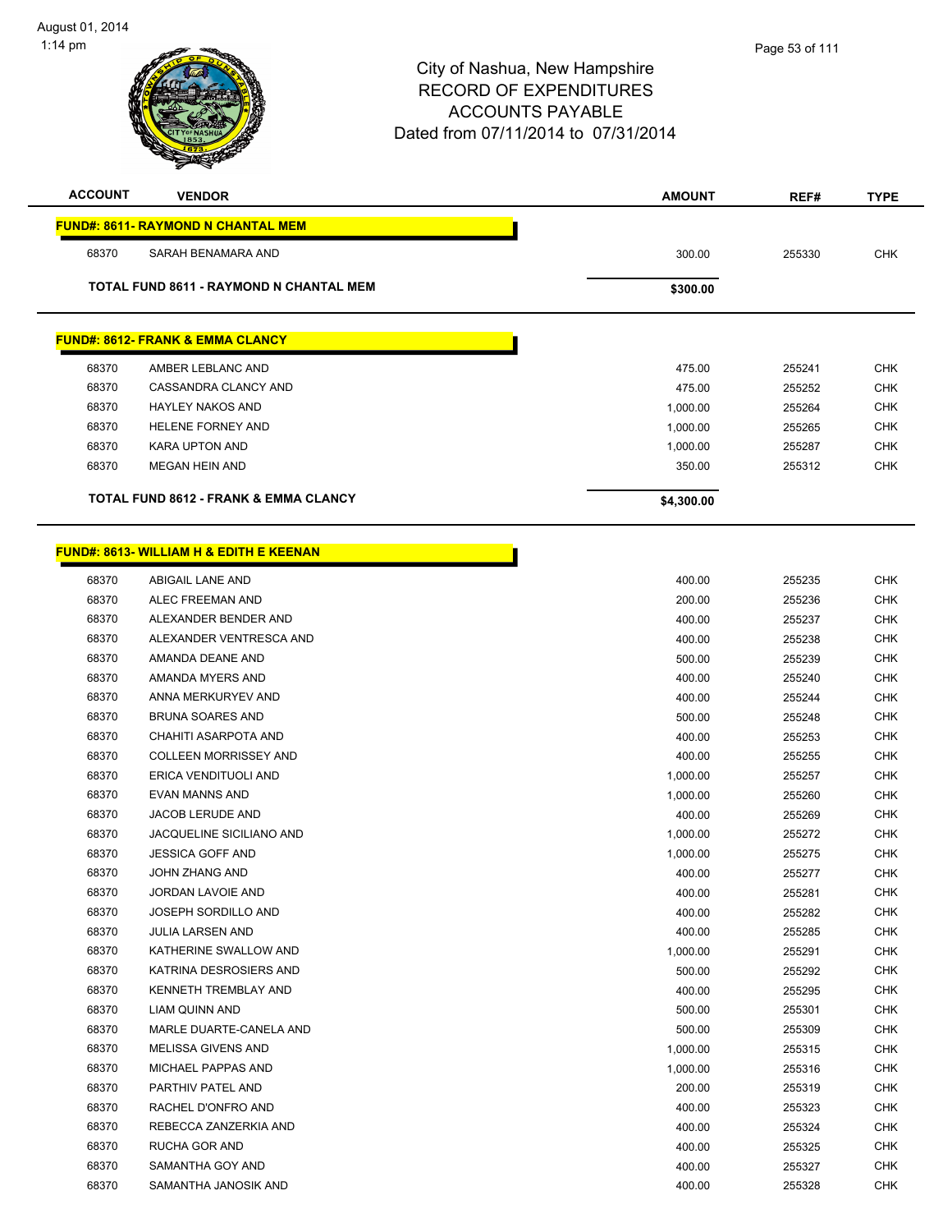| <b>ACCOUNT</b> | <b>VENDOR</b>                                      | <b>AMOUNT</b>      | REF#             | <b>TYPE</b>              |
|----------------|----------------------------------------------------|--------------------|------------------|--------------------------|
|                | <b>FUND#: 8611- RAYMOND N CHANTAL MEM</b>          |                    |                  |                          |
| 68370          | SARAH BENAMARA AND                                 | 300.00             | 255330           | <b>CHK</b>               |
|                | <b>TOTAL FUND 8611 - RAYMOND N CHANTAL MEM</b>     |                    |                  |                          |
|                |                                                    | \$300.00           |                  |                          |
|                | <b>FUND#: 8612- FRANK &amp; EMMA CLANCY</b>        |                    |                  |                          |
|                |                                                    |                    |                  |                          |
| 68370<br>68370 | AMBER LEBLANC AND<br>CASSANDRA CLANCY AND          | 475.00<br>475.00   | 255241<br>255252 | <b>CHK</b><br><b>CHK</b> |
| 68370          | <b>HAYLEY NAKOS AND</b>                            |                    |                  | <b>CHK</b>               |
| 68370          | HELENE FORNEY AND                                  | 1,000.00           | 255264<br>255265 | <b>CHK</b>               |
| 68370          | <b>KARA UPTON AND</b>                              | 1,000.00           | 255287           | <b>CHK</b>               |
| 68370          | <b>MEGAN HEIN AND</b>                              | 1,000.00<br>350.00 | 255312           | <b>CHK</b>               |
|                |                                                    |                    |                  |                          |
|                | <b>TOTAL FUND 8612 - FRANK &amp; EMMA CLANCY</b>   | \$4,300.00         |                  |                          |
|                |                                                    |                    |                  |                          |
|                | <b>FUND#: 8613- WILLIAM H &amp; EDITH E KEENAN</b> |                    |                  |                          |
| 68370          | ABIGAIL LANE AND                                   | 400.00             | 255235           | <b>CHK</b>               |
| 68370          | ALEC FREEMAN AND                                   | 200.00             | 255236           | <b>CHK</b>               |
| 68370          | ALEXANDER BENDER AND                               | 400.00             | 255237           | <b>CHK</b>               |
| 68370          | ALEXANDER VENTRESCA AND                            | 400.00             | 255238           | <b>CHK</b>               |
| 68370          | AMANDA DEANE AND                                   | 500.00             | 255239           | <b>CHK</b>               |
| 68370          | AMANDA MYERS AND                                   | 400.00             | 255240           | <b>CHK</b>               |
| 68370          | ANNA MERKURYEV AND                                 | 400.00             | 255244           | <b>CHK</b>               |
| 68370          | <b>BRUNA SOARES AND</b>                            | 500.00             | 255248           | <b>CHK</b>               |
| 68370          | CHAHITI ASARPOTA AND                               | 400.00             | 255253           | <b>CHK</b>               |
| 68370          | <b>COLLEEN MORRISSEY AND</b>                       | 400.00             | 255255           | <b>CHK</b>               |
| 68370          | ERICA VENDITUOLI AND                               | 1,000.00           | 255257           | <b>CHK</b>               |
| 68370          | EVAN MANNS AND                                     | 1,000.00           | 255260           | <b>CHK</b>               |
| 68370          | <b>JACOB LERUDE AND</b>                            | 400.00             | 255269           | <b>CHK</b>               |
| 68370          | JACQUELINE SICILIANO AND                           | 1,000.00           | 255272           | <b>CHK</b>               |
| 68370          | <b>JESSICA GOFF AND</b>                            | 1,000.00           | 255275           | <b>CHK</b>               |
| 68370          | JOHN ZHANG AND                                     | 400.00             | 255277           | <b>CHK</b>               |
| 68370          | JORDAN LAVOIE AND                                  | 400.00             | 255281           | <b>CHK</b>               |
| 68370          | <b>JOSEPH SORDILLO AND</b>                         | 400.00             | 255282           | <b>CHK</b>               |
| 68370          | <b>JULIA LARSEN AND</b>                            | 400.00             | 255285           | <b>CHK</b>               |
| 68370          | KATHERINE SWALLOW AND                              | 1,000.00           | 255291           | <b>CHK</b>               |
| 68370          | KATRINA DESROSIERS AND                             | 500.00             | 255292           | <b>CHK</b>               |
| 68370          | KENNETH TREMBLAY AND                               | 400.00             | 255295           | <b>CHK</b>               |
| 68370          | LIAM QUINN AND                                     | 500.00             | 255301           | <b>CHK</b>               |
| 68370          | MARLE DUARTE-CANELA AND                            | 500.00             | 255309           | <b>CHK</b>               |
| 68370          | MELISSA GIVENS AND                                 | 1,000.00           | 255315           | <b>CHK</b>               |
| 68370          | MICHAEL PAPPAS AND                                 | 1,000.00           | 255316           | <b>CHK</b>               |
| 68370          | PARTHIV PATEL AND                                  | 200.00             | 255319           | <b>CHK</b>               |
| 68370          | RACHEL D'ONFRO AND                                 | 400.00             | 255323           | <b>CHK</b>               |
| 68370          | REBECCA ZANZERKIA AND                              | 400.00             | 255324           | <b>CHK</b>               |
| 68370          | RUCHA GOR AND                                      | 400.00             | 255325           | <b>CHK</b>               |
| 68370          | SAMANTHA GOY AND                                   | 400.00             | 255327           | <b>CHK</b>               |

SAMANTHA JANOSIK AND 400.00 255328 CHK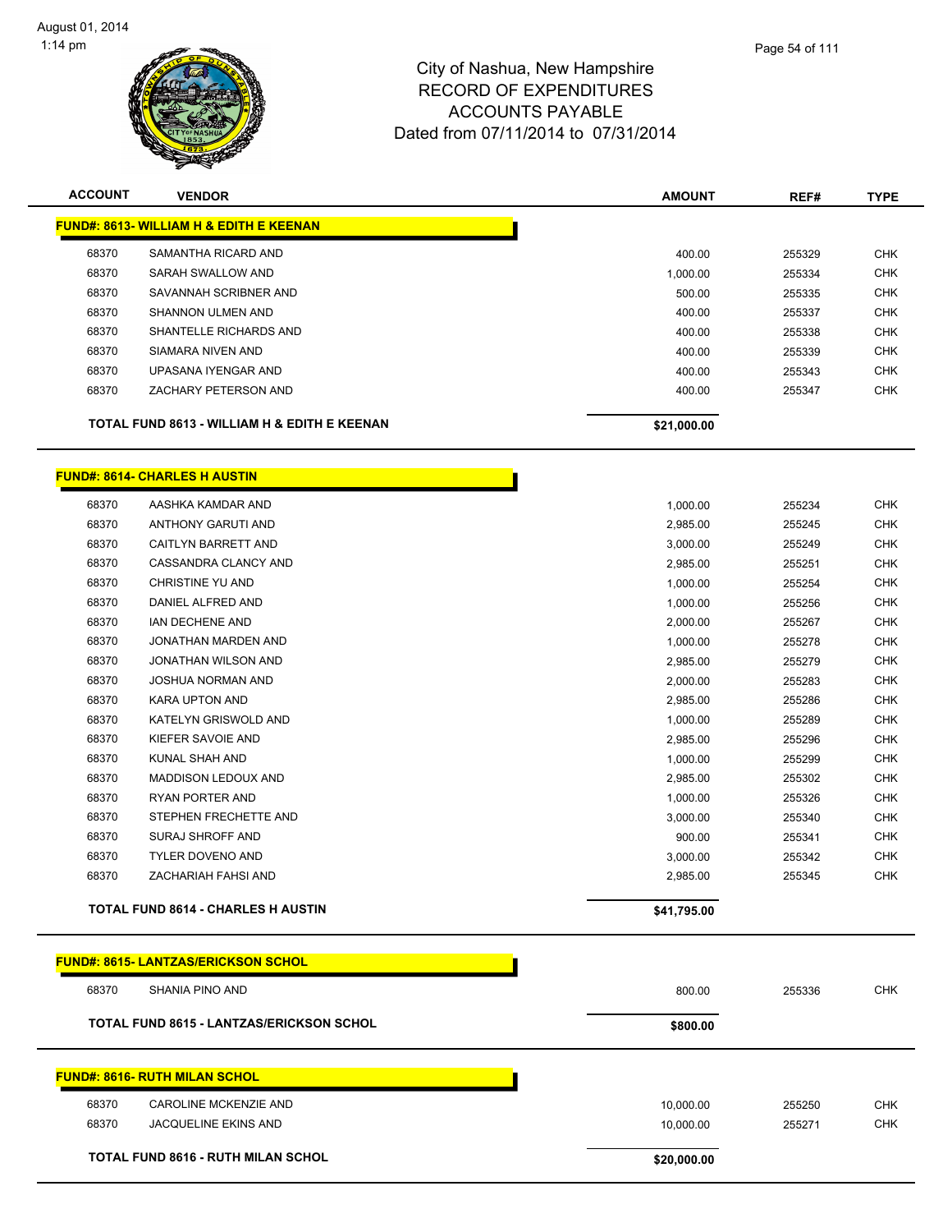| <b>ACCOUNT</b> | <b>VENDOR</b>                                      | <b>AMOUNT</b> | REF#   | <b>TYPE</b> |
|----------------|----------------------------------------------------|---------------|--------|-------------|
|                | <b>FUND#: 8613- WILLIAM H &amp; EDITH E KEENAN</b> |               |        |             |
| 68370          | SAMANTHA RICARD AND                                | 400.00        | 255329 | <b>CHK</b>  |
| 68370          | SARAH SWALLOW AND                                  | 1,000.00      | 255334 | <b>CHK</b>  |
| 68370          | SAVANNAH SCRIBNER AND                              | 500.00        | 255335 | <b>CHK</b>  |
| 68370          | SHANNON ULMEN AND                                  | 400.00        | 255337 | <b>CHK</b>  |
| 68370          | SHANTELLE RICHARDS AND                             | 400.00        | 255338 | <b>CHK</b>  |
| 68370          | SIAMARA NIVEN AND                                  | 400.00        | 255339 | <b>CHK</b>  |
| 68370          | UPASANA IYENGAR AND                                | 400.00        | 255343 | <b>CHK</b>  |
| 68370          | ZACHARY PETERSON AND                               | 400.00        | 255347 | <b>CHK</b>  |
|                | TOTAL FUND 8613 - WILLIAM H & EDITH E KEENAN       | \$21,000.00   |        |             |

#### **FUND#: 8614- CHARLES H AUSTIN**

|       | <b>TOTAL FUND 8614 - CHARLES H AUSTIN</b> | \$41,795.00 |                  |                          |
|-------|-------------------------------------------|-------------|------------------|--------------------------|
| 68370 | <b>ZACHARIAH FAHSI AND</b>                | 2,985.00    | 255345           | <b>CHK</b>               |
| 68370 | <b>TYLER DOVENO AND</b>                   | 3,000.00    | 255342           | <b>CHK</b>               |
| 68370 | SURAJ SHROFF AND                          | 900.00      | 255341           | <b>CHK</b>               |
| 68370 | STEPHEN FRECHETTE AND                     | 3,000.00    | 255340           | <b>CHK</b>               |
|       |                                           | 1,000.00    | 255326           | <b>CHK</b>               |
| 68370 | <b>RYAN PORTER AND</b>                    | 2,985.00    | 255302           |                          |
| 68370 | <b>MADDISON LEDOUX AND</b>                | 1,000.00    | 255299           | <b>CHK</b><br><b>CHK</b> |
| 68370 | <b>KUNAL SHAH AND</b>                     | 2,985.00    | 255296           |                          |
| 68370 | KIEFER SAVOIE AND                         | 1,000.00    |                  | <b>CHK</b>               |
| 68370 | KATELYN GRISWOLD AND                      | 2,985.00    | 255286<br>255289 | <b>CHK</b>               |
| 68370 | <b>KARA UPTON AND</b>                     |             |                  | <b>CHK</b>               |
| 68370 | <b>JOSHUA NORMAN AND</b>                  | 2,000.00    | 255283           | <b>CHK</b>               |
| 68370 | <b>JONATHAN WILSON AND</b>                | 2,985.00    | 255279           | <b>CHK</b>               |
| 68370 | <b>JONATHAN MARDEN AND</b>                | 1,000.00    | 255278           | <b>CHK</b>               |
| 68370 | <b>IAN DECHENE AND</b>                    | 2,000.00    | 255267           | <b>CHK</b>               |
| 68370 | DANIEL ALFRED AND                         | 1,000.00    | 255256           | <b>CHK</b>               |
| 68370 | CHRISTINE YU AND                          | 1,000.00    | 255254           | <b>CHK</b>               |
| 68370 | CASSANDRA CLANCY AND                      | 2,985.00    | 255251           | <b>CHK</b>               |
| 68370 | <b>CAITLYN BARRETT AND</b>                | 3,000.00    | 255249           | <b>CHK</b>               |
| 68370 | <b>ANTHONY GARUTI AND</b>                 | 2,985.00    | 255245           | <b>CHK</b>               |
| 68370 | AASHKA KAMDAR AND                         | 1,000.00    | 255234           | <b>CHK</b>               |

|       | <b>FUND#: 8615- LANTZAS/ERICKSON SCHOL</b>      |           |        |            |
|-------|-------------------------------------------------|-----------|--------|------------|
| 68370 | SHANIA PINO AND                                 | 800.00    | 255336 | <b>CHK</b> |
|       | <b>TOTAL FUND 8615 - LANTZAS/ERICKSON SCHOL</b> | \$800.00  |        |            |
|       |                                                 |           |        |            |
|       | <b>FUND#: 8616- RUTH MILAN SCHOL</b>            |           |        |            |
| 68370 | CAROLINE MCKENZIE AND                           | 10,000.00 | 255250 | <b>CHK</b> |
| 68370 | <b>JACQUELINE EKINS AND</b>                     | 10,000.00 | 255271 | <b>CHK</b> |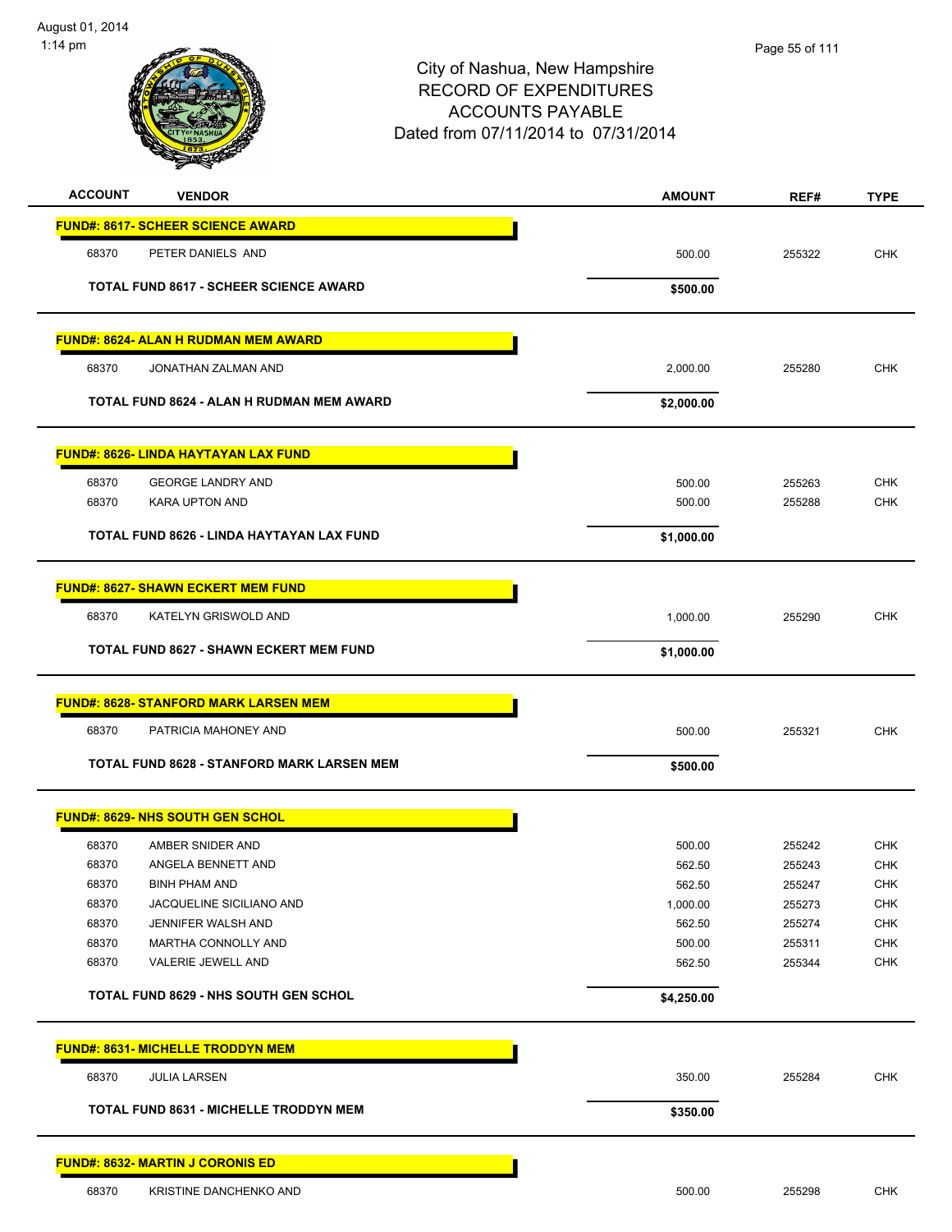

| <b>ACCOUNT</b>                            | <b>VENDOR</b>                                    | <b>AMOUNT</b>    | REF#             | <b>TYPE</b>              |
|-------------------------------------------|--------------------------------------------------|------------------|------------------|--------------------------|
| <b>FUND#: 8617- SCHEER SCIENCE AWARD</b>  |                                                  |                  |                  |                          |
| 68370                                     | PETER DANIELS AND                                | 500.00           | 255322           | <b>CHK</b>               |
|                                           | <b>TOTAL FUND 8617 - SCHEER SCIENCE AWARD</b>    | \$500.00         |                  |                          |
|                                           | <b>FUND#: 8624- ALAN H RUDMAN MEM AWARD</b>      |                  |                  |                          |
| 68370                                     | JONATHAN ZALMAN AND                              | 2,000.00         | 255280           | <b>CHK</b>               |
|                                           | TOTAL FUND 8624 - ALAN H RUDMAN MEM AWARD        | \$2,000.00       |                  |                          |
|                                           | <b>FUND#: 8626- LINDA HAYTAYAN LAX FUND</b>      |                  |                  |                          |
| 68370                                     | <b>GEORGE LANDRY AND</b>                         | 500.00           | 255263           | <b>CHK</b>               |
| 68370                                     | <b>KARA UPTON AND</b>                            | 500.00           | 255288           | <b>CHK</b>               |
|                                           | TOTAL FUND 8626 - LINDA HAYTAYAN LAX FUND        | \$1,000.00       |                  |                          |
| <b>FUND#: 8627- SHAWN ECKERT MEM FUND</b> |                                                  |                  |                  |                          |
| 68370                                     | KATELYN GRISWOLD AND                             | 1,000.00         | 255290           | <b>CHK</b>               |
|                                           | <b>TOTAL FUND 8627 - SHAWN ECKERT MEM FUND</b>   | \$1,000.00       |                  |                          |
|                                           | <b>FUND#: 8628- STANFORD MARK LARSEN MEM</b>     |                  |                  |                          |
| 68370                                     | PATRICIA MAHONEY AND                             | 500.00           | 255321           | <b>CHK</b>               |
|                                           | TOTAL FUND 8628 - STANFORD MARK LARSEN MEM       | \$500.00         |                  |                          |
| <b>FUND#: 8629- NHS SOUTH GEN SCHOL</b>   |                                                  |                  |                  |                          |
| 68370                                     | AMBER SNIDER AND                                 | 500.00           | 255242           | <b>CHK</b>               |
| 68370                                     | ANGELA BENNETT AND                               | 562.50           | 255243           | <b>CHK</b>               |
| 68370                                     | <b>BINH PHAM AND</b>                             | 562.50           | 255247           | CHK                      |
| 68370                                     | JACQUELINE SICILIANO AND                         | 1,000.00         | 255273           | <b>CHK</b>               |
| 68370<br>68370                            | JENNIFER WALSH AND<br><b>MARTHA CONNOLLY AND</b> | 562.50<br>500.00 | 255274<br>255311 | <b>CHK</b><br><b>CHK</b> |
| 68370                                     | VALERIE JEWELL AND                               | 562.50           | 255344           | <b>CHK</b>               |
|                                           | <b>TOTAL FUND 8629 - NHS SOUTH GEN SCHOL</b>     | \$4,250.00       |                  |                          |
| <b>FUND#: 8631- MICHELLE TRODDYN MEM</b>  |                                                  |                  |                  |                          |
| 68370                                     | <b>JULIA LARSEN</b>                              | 350.00           | 255284           | <b>CHK</b>               |
|                                           | <b>TOTAL FUND 8631 - MICHELLE TRODDYN MEM</b>    | \$350.00         |                  |                          |
| <b>FUND#: 8632- MARTIN J CORONIS ED</b>   |                                                  |                  |                  |                          |
| 68370                                     | KRISTINE DANCHENKO AND                           | 500.00           | 255298           | <b>CHK</b>               |
|                                           |                                                  |                  |                  |                          |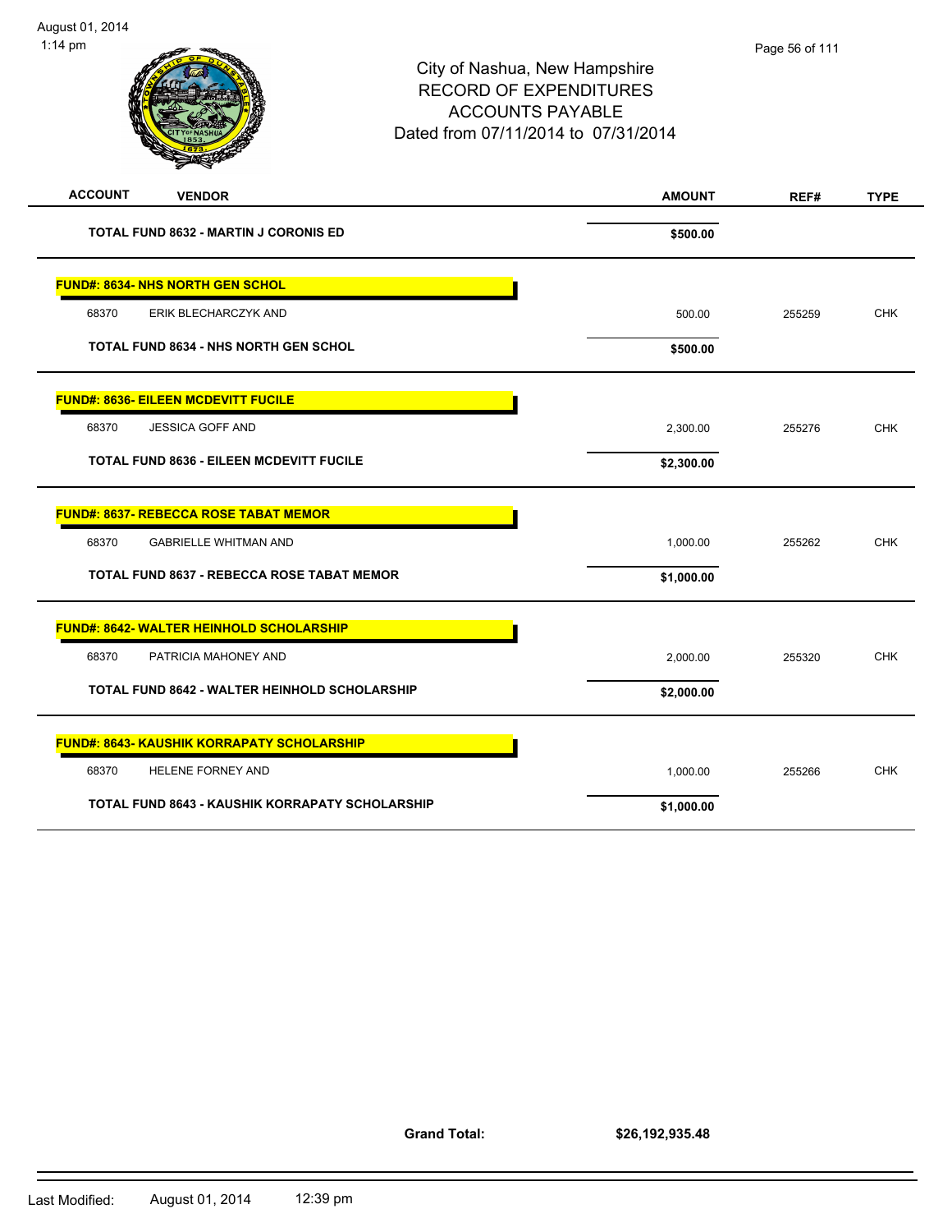| $1:14$ pm      |                                                        | City of Nashua, New Hampshire<br><b>RECORD OF EXPENDITURES</b><br><b>ACCOUNTS PAYABLE</b><br>Dated from 07/11/2014 to 07/31/2014 |               | Page 56 of 111 |             |
|----------------|--------------------------------------------------------|----------------------------------------------------------------------------------------------------------------------------------|---------------|----------------|-------------|
| <b>ACCOUNT</b> | <b>VENDOR</b>                                          |                                                                                                                                  | <b>AMOUNT</b> | REF#           | <b>TYPE</b> |
|                | <b>TOTAL FUND 8632 - MARTIN J CORONIS ED</b>           |                                                                                                                                  | \$500.00      |                |             |
|                | <b>FUND#: 8634- NHS NORTH GEN SCHOL</b>                |                                                                                                                                  |               |                |             |
| 68370          | ERIK BLECHARCZYK AND                                   |                                                                                                                                  | 500.00        | 255259         | <b>CHK</b>  |
|                | TOTAL FUND 8634 - NHS NORTH GEN SCHOL                  |                                                                                                                                  | \$500.00      |                |             |
|                | <b>FUND#: 8636- EILEEN MCDEVITT FUCILE</b>             |                                                                                                                                  |               |                |             |
| 68370          | <b>JESSICA GOFF AND</b>                                |                                                                                                                                  | 2,300.00      | 255276         | <b>CHK</b>  |
|                | <b>TOTAL FUND 8636 - EILEEN MCDEVITT FUCILE</b>        |                                                                                                                                  | \$2,300.00    |                |             |
|                | <b>FUND#: 8637- REBECCA ROSE TABAT MEMOR</b>           |                                                                                                                                  |               |                |             |
| 68370          | <b>GABRIELLE WHITMAN AND</b>                           |                                                                                                                                  | 1,000.00      | 255262         | <b>CHK</b>  |
|                | TOTAL FUND 8637 - REBECCA ROSE TABAT MEMOR             |                                                                                                                                  | \$1,000.00    |                |             |
|                | <b>FUND#: 8642- WALTER HEINHOLD SCHOLARSHIP</b>        |                                                                                                                                  |               |                |             |
| 68370          | PATRICIA MAHONEY AND                                   |                                                                                                                                  | 2,000.00      | 255320         | <b>CHK</b>  |
|                | <b>TOTAL FUND 8642 - WALTER HEINHOLD SCHOLARSHIP</b>   |                                                                                                                                  | \$2,000.00    |                |             |
|                | <u> FUND#: 8643- KAUSHIK KORRAPATY SCHOLARSHIP</u>     |                                                                                                                                  |               |                |             |
| 68370          | HELENE FORNEY AND                                      |                                                                                                                                  | 1,000.00      | 255266         | <b>CHK</b>  |
|                | <b>TOTAL FUND 8643 - KAUSHIK KORRAPATY SCHOLARSHIP</b> |                                                                                                                                  | \$1,000.00    |                |             |

**Grand Total:**

**\$26,192,935.48**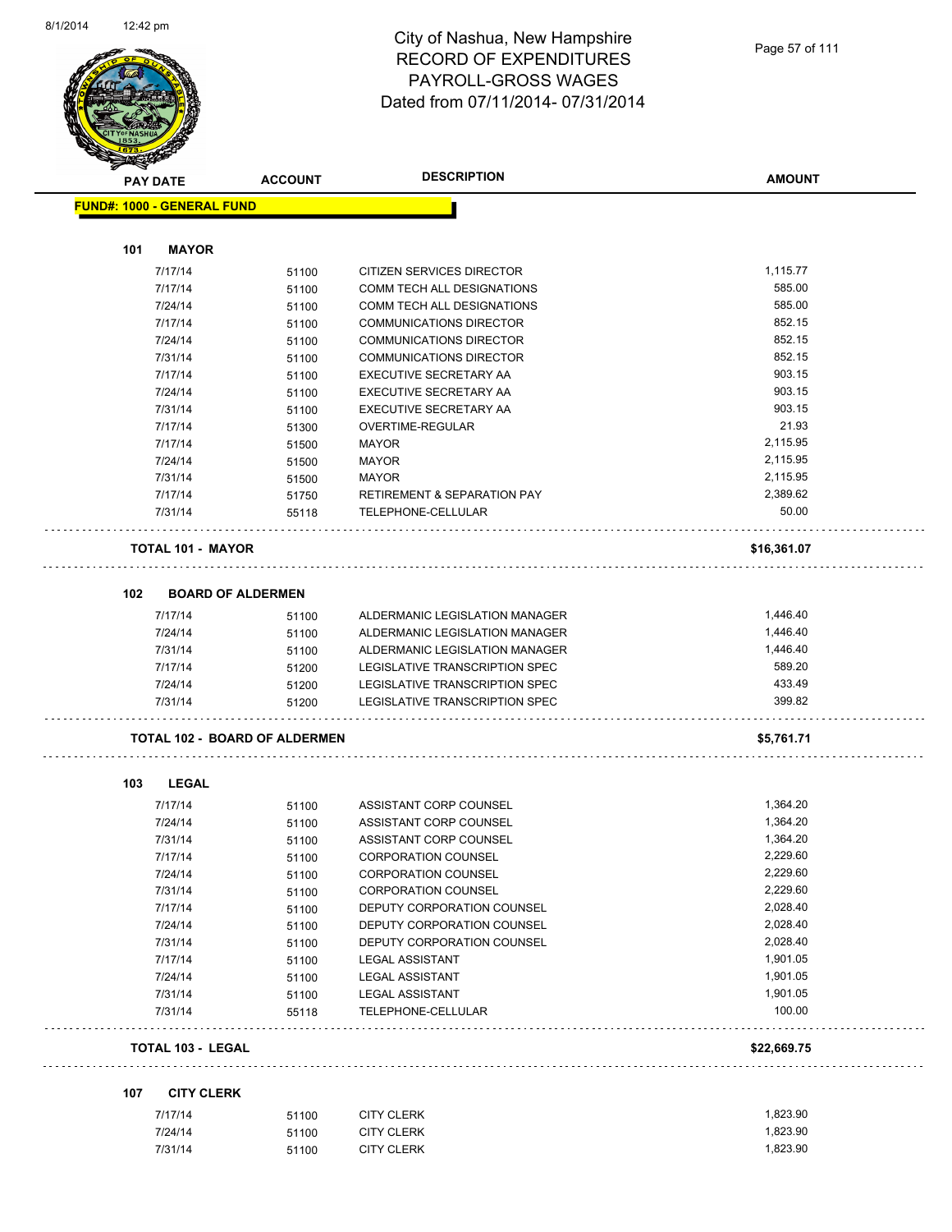

| <b>MERRY</b> |                                      |                |                                        |                      |
|--------------|--------------------------------------|----------------|----------------------------------------|----------------------|
|              | <b>PAY DATE</b>                      | <b>ACCOUNT</b> | <b>DESCRIPTION</b>                     | <b>AMOUNT</b>        |
|              | <b>FUND#: 1000 - GENERAL FUND</b>    |                |                                        |                      |
|              |                                      |                |                                        |                      |
| 101          | <b>MAYOR</b>                         |                |                                        |                      |
|              | 7/17/14                              | 51100          | CITIZEN SERVICES DIRECTOR              | 1,115.77             |
|              | 7/17/14                              | 51100          | COMM TECH ALL DESIGNATIONS             | 585.00               |
|              | 7/24/14                              | 51100          | COMM TECH ALL DESIGNATIONS             | 585.00               |
|              | 7/17/14                              | 51100          | <b>COMMUNICATIONS DIRECTOR</b>         | 852.15               |
|              | 7/24/14                              | 51100          | <b>COMMUNICATIONS DIRECTOR</b>         | 852.15               |
|              | 7/31/14                              | 51100          | <b>COMMUNICATIONS DIRECTOR</b>         | 852.15               |
|              | 7/17/14                              | 51100          | EXECUTIVE SECRETARY AA                 | 903.15               |
|              | 7/24/14                              | 51100          | EXECUTIVE SECRETARY AA                 | 903.15               |
|              | 7/31/14                              | 51100          | EXECUTIVE SECRETARY AA                 | 903.15               |
|              | 7/17/14                              | 51300          | OVERTIME-REGULAR                       | 21.93                |
|              | 7/17/14                              | 51500          | <b>MAYOR</b>                           | 2,115.95             |
|              | 7/24/14                              | 51500          | <b>MAYOR</b>                           | 2,115.95             |
|              | 7/31/14                              | 51500          | <b>MAYOR</b>                           | 2,115.95             |
|              | 7/17/14                              | 51750          | <b>RETIREMENT &amp; SEPARATION PAY</b> | 2,389.62             |
|              | 7/31/14                              | 55118          | TELEPHONE-CELLULAR                     | 50.00                |
|              | TOTAL 101 - MAYOR                    |                |                                        | \$16,361.07          |
| 102          | <b>BOARD OF ALDERMEN</b>             |                |                                        |                      |
|              | 7/17/14                              | 51100          | ALDERMANIC LEGISLATION MANAGER         | 1,446.40             |
|              | 7/24/14                              | 51100          | ALDERMANIC LEGISLATION MANAGER         | 1,446.40             |
|              | 7/31/14                              | 51100          | ALDERMANIC LEGISLATION MANAGER         | 1,446.40             |
|              | 7/17/14                              | 51200          | LEGISLATIVE TRANSCRIPTION SPEC         | 589.20               |
|              | 7/24/14                              | 51200          | LEGISLATIVE TRANSCRIPTION SPEC         | 433.49               |
|              | 7/31/14                              | 51200          | LEGISLATIVE TRANSCRIPTION SPEC         | 399.82               |
|              | <b>TOTAL 102 - BOARD OF ALDERMEN</b> |                |                                        | \$5,761.71           |
| 103          | <b>LEGAL</b>                         |                |                                        |                      |
|              | 7/17/14                              | 51100          | ASSISTANT CORP COUNSEL                 | 1,364.20             |
|              | 7/24/14                              | 51100          | ASSISTANT CORP COUNSEL                 | 1,364.20             |
|              | 7/31/14                              | 51100          | ASSISTANT CORP COUNSEL                 | 1,364.20             |
|              | 7/17/14                              | 51100          | CORPORATION COUNSEL                    | 2,229.60             |
|              | 7/24/14                              | 51100          | <b>CORPORATION COUNSEL</b>             | 2,229.60             |
|              | 7/31/14                              | 51100          | <b>CORPORATION COUNSEL</b>             | 2,229.60             |
|              | 7/17/14                              | 51100          | DEPUTY CORPORATION COUNSEL             | 2,028.40             |
|              | 7/24/14                              | 51100          | DEPUTY CORPORATION COUNSEL             | 2,028.40             |
|              | 7/31/14                              | 51100          | DEPUTY CORPORATION COUNSEL             | 2,028.40             |
|              | 7/17/14                              | 51100          | <b>LEGAL ASSISTANT</b>                 | 1,901.05             |
|              | 7/24/14                              | 51100          | <b>LEGAL ASSISTANT</b>                 | 1,901.05             |
|              |                                      | 51100          | <b>LEGAL ASSISTANT</b>                 | 1,901.05             |
|              |                                      |                |                                        |                      |
|              | 7/31/14<br>7/31/14                   | 55118          | TELEPHONE-CELLULAR                     | 100.00               |
|              | <b>TOTAL 103 - LEGAL</b>             |                |                                        | \$22,669.75          |
|              |                                      |                |                                        |                      |
| 107          | <b>CITY CLERK</b>                    |                |                                        |                      |
|              | 7/17/14<br>7/24/14                   | 51100<br>51100 | <b>CITY CLERK</b><br><b>CITY CLERK</b> | 1,823.90<br>1,823.90 |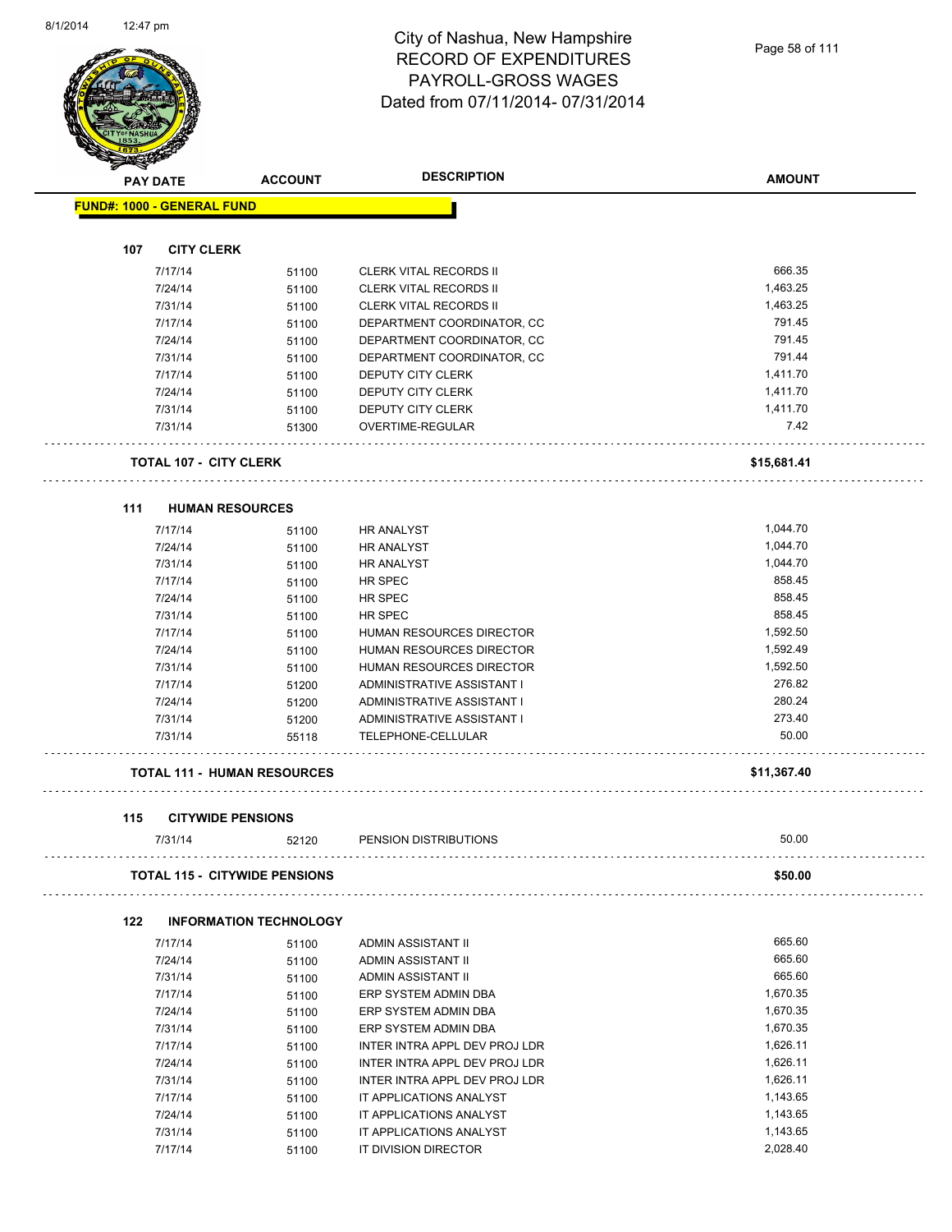$\overline{\phantom{a}}$ 



#### City of Nashua, New Hampshire RECORD OF EXPENDITURES PAYROLL-GROSS WAGES Dated from 07/11/2014- 07/31/2014

| <b>PAY DATE</b>                   | <b>ACCOUNT</b>                       | <b>DESCRIPTION</b>                               | <b>AMOUNT</b>   |
|-----------------------------------|--------------------------------------|--------------------------------------------------|-----------------|
| <b>FUND#: 1000 - GENERAL FUND</b> |                                      |                                                  |                 |
|                                   |                                      |                                                  |                 |
| 107<br><b>CITY CLERK</b>          |                                      |                                                  |                 |
| 7/17/14                           | 51100                                | <b>CLERK VITAL RECORDS II</b>                    | 666.35          |
| 7/24/14                           | 51100                                | <b>CLERK VITAL RECORDS II</b>                    | 1,463.25        |
| 7/31/14                           | 51100                                | <b>CLERK VITAL RECORDS II</b>                    | 1,463.25        |
| 7/17/14                           | 51100                                | DEPARTMENT COORDINATOR, CC                       | 791.45          |
| 7/24/14                           | 51100                                | DEPARTMENT COORDINATOR, CC                       | 791.45          |
| 7/31/14                           | 51100                                | DEPARTMENT COORDINATOR, CC                       | 791.44          |
| 7/17/14                           | 51100                                | <b>DEPUTY CITY CLERK</b>                         | 1,411.70        |
| 7/24/14                           | 51100                                | DEPUTY CITY CLERK                                | 1,411.70        |
| 7/31/14                           | 51100                                | DEPUTY CITY CLERK                                | 1,411.70        |
| 7/31/14                           | 51300                                | OVERTIME-REGULAR                                 | 7.42            |
| <b>TOTAL 107 - CITY CLERK</b>     |                                      |                                                  | \$15,681.41     |
| 111                               | <b>HUMAN RESOURCES</b>               |                                                  |                 |
| 7/17/14                           | 51100                                | <b>HR ANALYST</b>                                | 1,044.70        |
| 7/24/14                           | 51100                                | <b>HR ANALYST</b>                                | 1,044.70        |
| 7/31/14                           |                                      | HR ANALYST                                       | 1,044.70        |
| 7/17/14                           | 51100                                | HR SPEC                                          | 858.45          |
| 7/24/14                           | 51100                                |                                                  | 858.45          |
|                                   | 51100                                | HR SPEC                                          | 858.45          |
| 7/31/14                           | 51100                                | HR SPEC                                          |                 |
| 7/17/14                           | 51100                                | HUMAN RESOURCES DIRECTOR                         | 1,592.50        |
| 7/24/14                           | 51100                                | HUMAN RESOURCES DIRECTOR                         | 1,592.49        |
| 7/31/14                           | 51100                                | HUMAN RESOURCES DIRECTOR                         | 1,592.50        |
| 7/17/14                           | 51200                                | ADMINISTRATIVE ASSISTANT I                       | 276.82          |
| 7/24/14                           | 51200                                | ADMINISTRATIVE ASSISTANT I                       | 280.24          |
| 7/31/14<br>7/31/14                | 51200<br>55118                       | ADMINISTRATIVE ASSISTANT I<br>TELEPHONE-CELLULAR | 273.40<br>50.00 |
|                                   |                                      |                                                  |                 |
|                                   | <b>TOTAL 111 - HUMAN RESOURCES</b>   |                                                  | \$11,367.40     |
| 115                               | <b>CITYWIDE PENSIONS</b>             |                                                  |                 |
| 7/31/14                           | 52120                                | PENSION DISTRIBUTIONS                            | 50.00           |
|                                   | <b>TOTAL 115 - CITYWIDE PENSIONS</b> |                                                  | \$50.00         |
| 122                               | <b>INFORMATION TECHNOLOGY</b>        |                                                  |                 |
| 7/17/14                           | 51100                                | ADMIN ASSISTANT II                               | 665.60          |
| 7/24/14                           | 51100                                | ADMIN ASSISTANT II                               | 665.60          |
| 7/31/14                           | 51100                                | ADMIN ASSISTANT II                               | 665.60          |
| 7/17/14                           | 51100                                | ERP SYSTEM ADMIN DBA                             | 1,670.35        |
| 7/24/14                           | 51100                                | ERP SYSTEM ADMIN DBA                             | 1,670.35        |
| 7/31/14                           |                                      | ERP SYSTEM ADMIN DBA                             | 1,670.35        |
| 7/17/14                           | 51100                                | INTER INTRA APPL DEV PROJ LDR                    | 1,626.11        |
|                                   | 51100                                |                                                  | 1,626.11        |
| 7/24/14                           | 51100                                | INTER INTRA APPL DEV PROJ LDR                    | 1,626.11        |
| 7/31/14                           | 51100                                | INTER INTRA APPL DEV PROJ LDR                    | 1,143.65        |
| 7/17/14                           | 51100                                | IT APPLICATIONS ANALYST                          |                 |
| 7/24/14                           | 51100                                | IT APPLICATIONS ANALYST                          | 1,143.65        |
| 7/31/14                           | 51100                                | IT APPLICATIONS ANALYST                          | 1,143.65        |

7/31/14 51100 IT APPLICATIONS ANALYST 1,143.65

7/17/14 51100 IT DIVISION DIRECTOR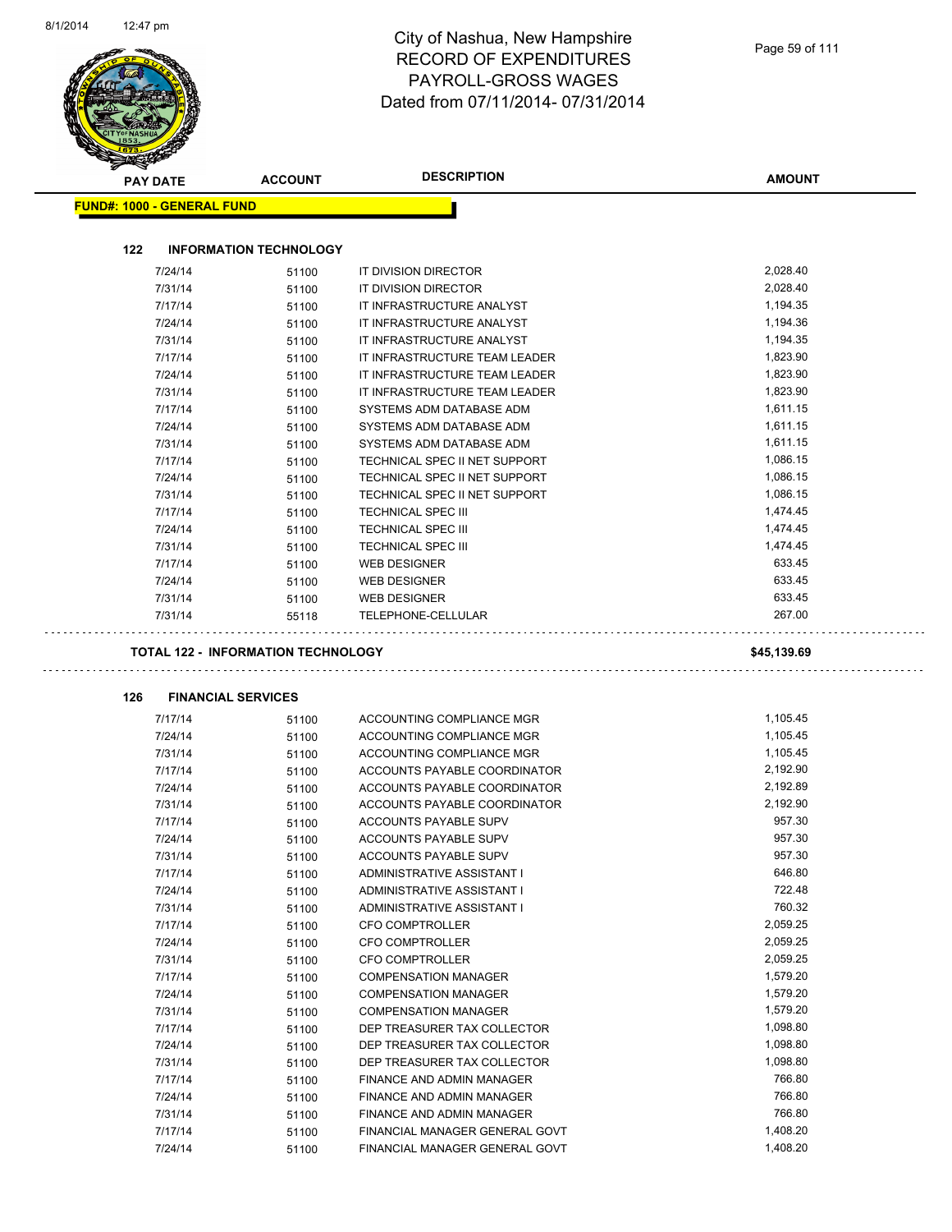|                                   |                                                    | <b>DESCRIPTION</b>                                               |                       |  |  |
|-----------------------------------|----------------------------------------------------|------------------------------------------------------------------|-----------------------|--|--|
| PAY DATE                          | <b>ACCOUNT</b>                                     |                                                                  | <b>AMOUNT</b>         |  |  |
| <b>FUND#: 1000 - GENERAL FUND</b> |                                                    |                                                                  |                       |  |  |
| 122                               | <b>INFORMATION TECHNOLOGY</b>                      |                                                                  |                       |  |  |
| 7/24/14                           | 51100                                              | IT DIVISION DIRECTOR                                             | 2,028.40              |  |  |
| 7/31/14                           | 51100                                              | IT DIVISION DIRECTOR                                             | 2,028.40              |  |  |
| 7/17/14                           | 51100                                              | IT INFRASTRUCTURE ANALYST                                        | 1,194.35              |  |  |
| 7/24/14                           | 51100                                              | IT INFRASTRUCTURE ANALYST                                        | 1,194.36              |  |  |
| 7/31/14                           | 51100                                              | IT INFRASTRUCTURE ANALYST                                        | 1,194.35              |  |  |
| 7/17/14                           | 51100                                              | IT INFRASTRUCTURE TEAM LEADER                                    | 1,823.90              |  |  |
| 7/24/14                           | 51100                                              | IT INFRASTRUCTURE TEAM LEADER                                    | 1,823.90              |  |  |
| 7/31/14                           | 51100                                              | IT INFRASTRUCTURE TEAM LEADER                                    | 1,823.90              |  |  |
| 7/17/14                           | 51100                                              | SYSTEMS ADM DATABASE ADM                                         | 1,611.15              |  |  |
| 7/24/14                           | 51100                                              | SYSTEMS ADM DATABASE ADM                                         | 1,611.15              |  |  |
| 7/31/14                           | 51100                                              | SYSTEMS ADM DATABASE ADM                                         | 1,611.15              |  |  |
| 7/17/14                           | 51100                                              | TECHNICAL SPEC II NET SUPPORT                                    | 1,086.15              |  |  |
| 7/24/14                           | 51100                                              | TECHNICAL SPEC II NET SUPPORT                                    | 1,086.15              |  |  |
| 7/31/14                           | 51100                                              | TECHNICAL SPEC II NET SUPPORT                                    | 1,086.15              |  |  |
| 7/17/14                           | 51100                                              | <b>TECHNICAL SPEC III</b>                                        | 1,474.45              |  |  |
| 7/24/14                           | 51100                                              | <b>TECHNICAL SPEC III</b>                                        | 1,474.45              |  |  |
| 7/31/14                           | 51100                                              | <b>TECHNICAL SPEC III</b>                                        | 1,474.45              |  |  |
| 7/17/14                           | 51100                                              | <b>WEB DESIGNER</b>                                              | 633.45                |  |  |
| 7/24/14                           | 51100                                              | <b>WEB DESIGNER</b>                                              | 633.45                |  |  |
| 7/31/14                           | 51100                                              | <b>WEB DESIGNER</b>                                              | 633.45                |  |  |
|                                   |                                                    |                                                                  |                       |  |  |
| 7/31/14                           | 55118<br><b>TOTAL 122 - INFORMATION TECHNOLOGY</b> | TELEPHONE-CELLULAR                                               | 267.00<br>\$45,139.69 |  |  |
|                                   |                                                    |                                                                  |                       |  |  |
| 126<br>7/17/14                    | <b>FINANCIAL SERVICES</b>                          | ACCOUNTING COMPLIANCE MGR                                        | 1,105.45              |  |  |
|                                   | 51100                                              |                                                                  |                       |  |  |
| 7/24/14                           | 51100                                              | ACCOUNTING COMPLIANCE MGR                                        | 1,105.45              |  |  |
| 7/31/14                           | 51100                                              | ACCOUNTING COMPLIANCE MGR<br><b>ACCOUNTS PAYABLE COORDINATOR</b> | 1,105.45<br>2,192.90  |  |  |
| 7/17/14<br>7/24/14                | 51100                                              | <b>ACCOUNTS PAYABLE COORDINATOR</b>                              | 2,192.89              |  |  |
| 7/31/14                           | 51100                                              |                                                                  | 2,192.90              |  |  |
| 7/17/14                           | 51100<br>51100                                     | ACCOUNTS PAYABLE COORDINATOR<br>ACCOUNTS PAYABLE SUPV            | 957.30                |  |  |
| 7/24/14                           | 51100                                              | ACCOUNTS PAYABLE SUPV                                            | 957.30                |  |  |
| 7/31/14                           | 51100                                              | ACCOUNTS PAYABLE SUPV                                            | 957.30                |  |  |
| 7/17/14                           | 51100                                              | ADMINISTRATIVE ASSISTANT I                                       | 646.80                |  |  |
| 7/24/14                           | 51100                                              | ADMINISTRATIVE ASSISTANT I                                       | 722.48                |  |  |
| 7/31/14                           | 51100                                              | ADMINISTRATIVE ASSISTANT I                                       | 760.32                |  |  |
| 7/17/14                           | 51100                                              | CFO COMPTROLLER                                                  | 2,059.25              |  |  |
| 7/24/14                           | 51100                                              | CFO COMPTROLLER                                                  | 2,059.25              |  |  |
| 7/31/14                           | 51100                                              | CFO COMPTROLLER                                                  | 2,059.25              |  |  |
| 7/17/14                           | 51100                                              | <b>COMPENSATION MANAGER</b>                                      | 1,579.20              |  |  |
| 7/24/14                           | 51100                                              | <b>COMPENSATION MANAGER</b>                                      | 1,579.20              |  |  |
| 7/31/14                           | 51100                                              | <b>COMPENSATION MANAGER</b>                                      | 1,579.20              |  |  |
| 7/17/14                           | 51100                                              | DEP TREASURER TAX COLLECTOR                                      | 1,098.80              |  |  |
| 7/24/14                           | 51100                                              | DEP TREASURER TAX COLLECTOR                                      | 1,098.80              |  |  |
| 7/31/14                           | 51100                                              | DEP TREASURER TAX COLLECTOR                                      | 1,098.80              |  |  |
| 7/17/14                           | 51100                                              | FINANCE AND ADMIN MANAGER                                        | 766.80                |  |  |
| 7/24/14                           | 51100                                              | FINANCE AND ADMIN MANAGER                                        | 766.80                |  |  |
| 7/31/14                           | 51100                                              | FINANCE AND ADMIN MANAGER                                        | 766.80                |  |  |
| 7/17/14                           | 51100                                              | FINANCIAL MANAGER GENERAL GOVT                                   | 1,408.20              |  |  |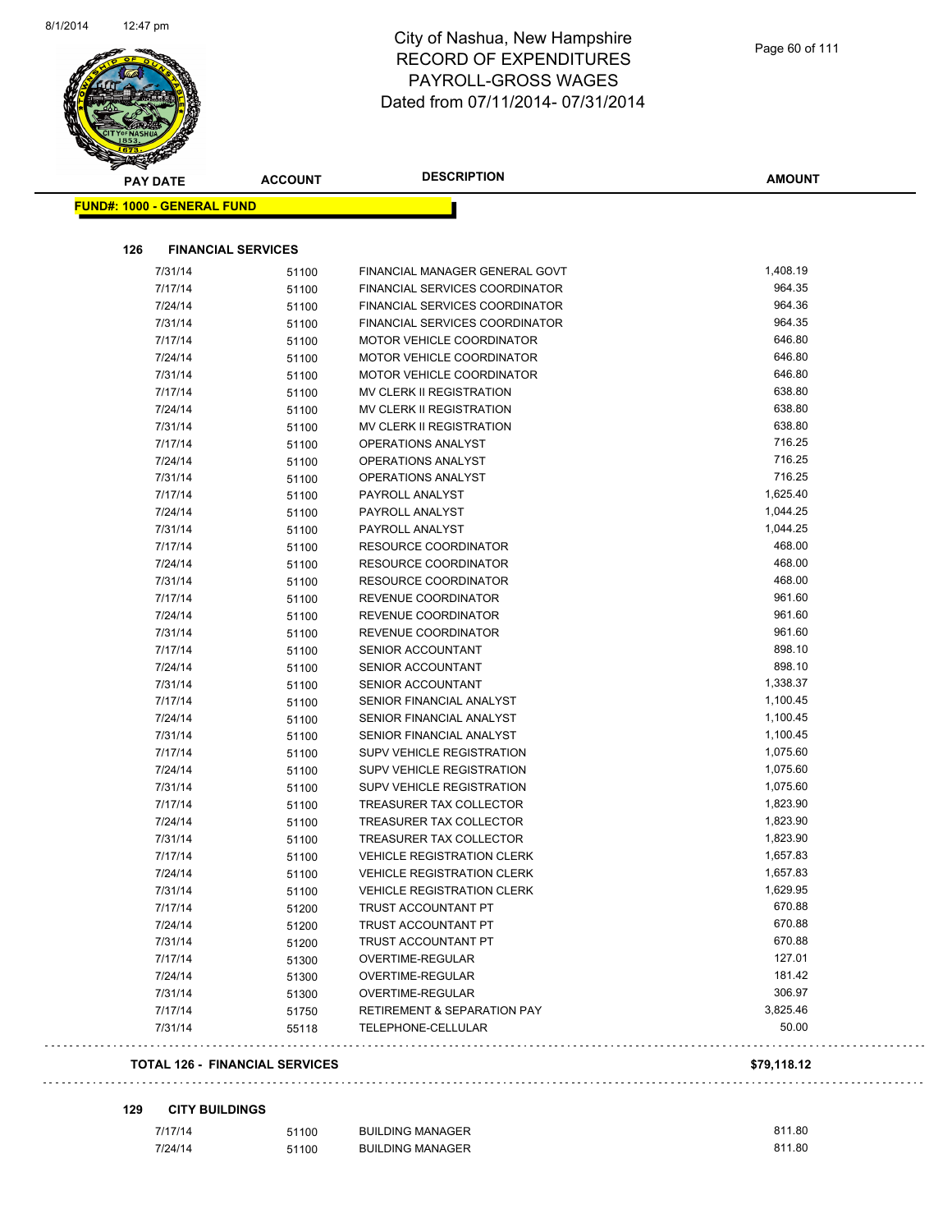

| <b>PAY DATE</b>                   | <b>ACCOUNT</b>                        | <b>DESCRIPTION</b>                     | <b>AMOUNT</b> |
|-----------------------------------|---------------------------------------|----------------------------------------|---------------|
| <b>FUND#: 1000 - GENERAL FUND</b> |                                       |                                        |               |
| 126                               | <b>FINANCIAL SERVICES</b>             |                                        |               |
| 7/31/14                           | 51100                                 | FINANCIAL MANAGER GENERAL GOVT         | 1,408.19      |
| 7/17/14                           | 51100                                 | FINANCIAL SERVICES COORDINATOR         | 964.35        |
| 7/24/14                           | 51100                                 | FINANCIAL SERVICES COORDINATOR         | 964.36        |
| 7/31/14                           | 51100                                 | <b>FINANCIAL SERVICES COORDINATOR</b>  | 964.35        |
| 7/17/14                           | 51100                                 | MOTOR VEHICLE COORDINATOR              | 646.80        |
| 7/24/14                           | 51100                                 | MOTOR VEHICLE COORDINATOR              | 646.80        |
| 7/31/14                           | 51100                                 | MOTOR VEHICLE COORDINATOR              | 646.80        |
| 7/17/14                           | 51100                                 | MV CLERK II REGISTRATION               | 638.80        |
| 7/24/14                           | 51100                                 | MV CLERK II REGISTRATION               | 638.80        |
| 7/31/14                           | 51100                                 | MV CLERK II REGISTRATION               | 638.80        |
| 7/17/14                           | 51100                                 | OPERATIONS ANALYST                     | 716.25        |
| 7/24/14                           | 51100                                 | <b>OPERATIONS ANALYST</b>              | 716.25        |
| 7/31/14                           | 51100                                 | <b>OPERATIONS ANALYST</b>              | 716.25        |
| 7/17/14                           | 51100                                 | PAYROLL ANALYST                        | 1,625.40      |
| 7/24/14                           | 51100                                 | PAYROLL ANALYST                        | 1,044.25      |
| 7/31/14                           | 51100                                 | PAYROLL ANALYST                        | 1,044.25      |
| 7/17/14                           | 51100                                 | <b>RESOURCE COORDINATOR</b>            | 468.00        |
| 7/24/14                           | 51100                                 | <b>RESOURCE COORDINATOR</b>            | 468.00        |
| 7/31/14                           | 51100                                 | <b>RESOURCE COORDINATOR</b>            | 468.00        |
| 7/17/14                           | 51100                                 | REVENUE COORDINATOR                    | 961.60        |
| 7/24/14                           | 51100                                 | REVENUE COORDINATOR                    | 961.60        |
| 7/31/14                           | 51100                                 | REVENUE COORDINATOR                    | 961.60        |
| 7/17/14                           | 51100                                 | <b>SENIOR ACCOUNTANT</b>               | 898.10        |
| 7/24/14                           | 51100                                 | SENIOR ACCOUNTANT                      | 898.10        |
| 7/31/14                           | 51100                                 | SENIOR ACCOUNTANT                      | 1,338.37      |
| 7/17/14                           | 51100                                 | SENIOR FINANCIAL ANALYST               | 1,100.45      |
| 7/24/14                           | 51100                                 | SENIOR FINANCIAL ANALYST               | 1,100.45      |
| 7/31/14                           | 51100                                 | SENIOR FINANCIAL ANALYST               | 1,100.45      |
| 7/17/14                           | 51100                                 | <b>SUPV VEHICLE REGISTRATION</b>       | 1,075.60      |
| 7/24/14                           | 51100                                 | <b>SUPV VEHICLE REGISTRATION</b>       | 1,075.60      |
| 7/31/14                           | 51100                                 | SUPV VEHICLE REGISTRATION              | 1,075.60      |
| 7/17/14                           | 51100                                 | TREASURER TAX COLLECTOR                | 1,823.90      |
| 7/24/14                           | 51100                                 | TREASURER TAX COLLECTOR                | 1,823.90      |
| 7/31/14                           | 51100                                 | <b>TREASURER TAX COLLECTOR</b>         | 1,823.90      |
| 7/17/14                           | 51100                                 | <b>VEHICLE REGISTRATION CLERK</b>      | 1,657.83      |
| 7/24/14                           | 51100                                 | <b>VEHICLE REGISTRATION CLERK</b>      | 1,657.83      |
| 7/31/14                           | 51100                                 | <b>VEHICLE REGISTRATION CLERK</b>      | 1,629.95      |
| 7/17/14                           | 51200                                 | TRUST ACCOUNTANT PT                    | 670.88        |
| 7/24/14                           | 51200                                 | TRUST ACCOUNTANT PT                    | 670.88        |
| 7/31/14                           | 51200                                 | TRUST ACCOUNTANT PT                    | 670.88        |
| 7/17/14                           | 51300                                 | OVERTIME-REGULAR                       | 127.01        |
| 7/24/14                           | 51300                                 | OVERTIME-REGULAR                       | 181.42        |
| 7/31/14                           | 51300                                 | OVERTIME-REGULAR                       | 306.97        |
| 7/17/14                           | 51750                                 | <b>RETIREMENT &amp; SEPARATION PAY</b> | 3,825.46      |
| 7/31/14                           | 55118                                 | TELEPHONE-CELLULAR                     | 50.00         |
|                                   | <b>TOTAL 126 - FINANCIAL SERVICES</b> |                                        | \$79,118.12   |

| 7/17/14 | 51100 | <b>BUILDING MANAGER</b> | 811.80 |
|---------|-------|-------------------------|--------|
| 7/24/14 | 51100 | BUILDING MANAGER        | 811.80 |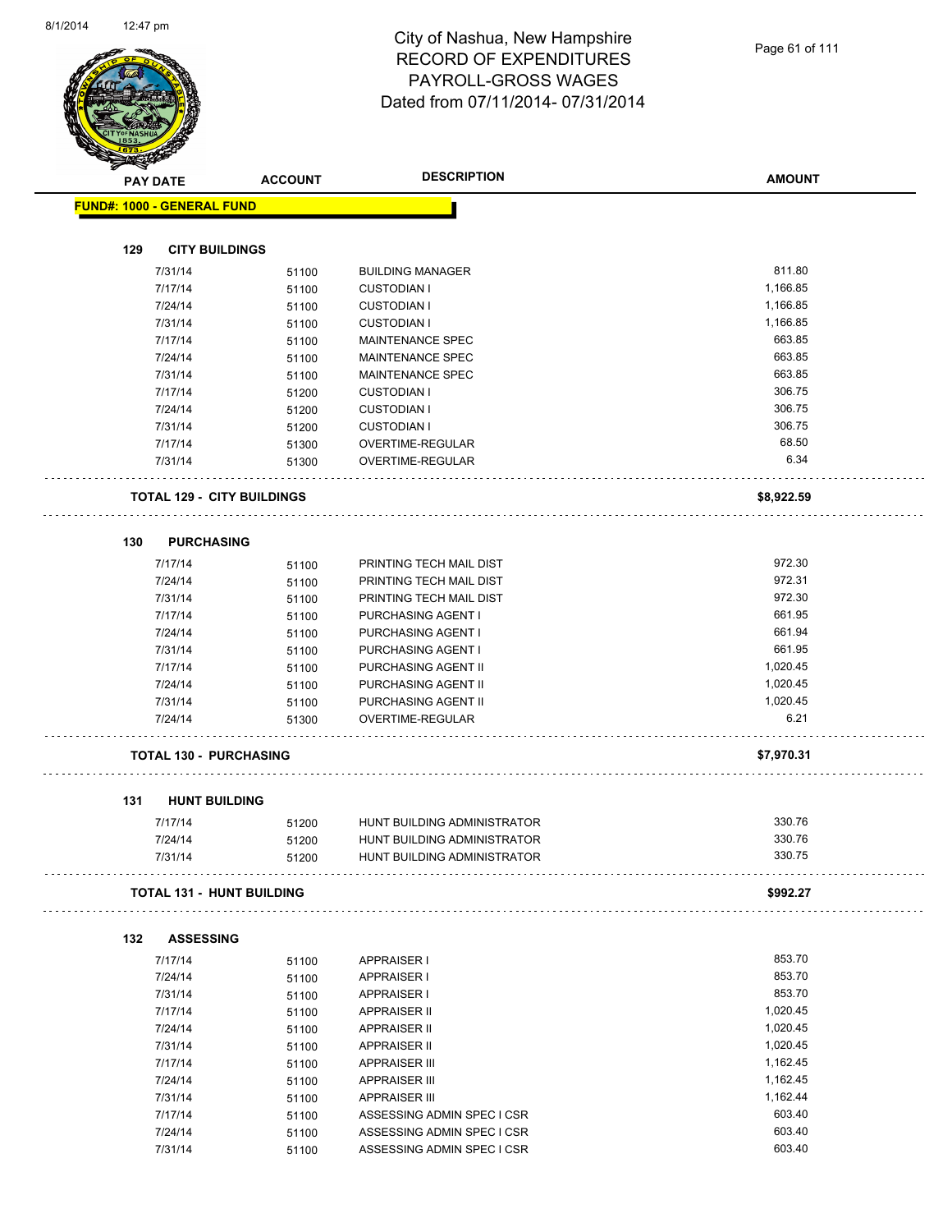| <b>PAY DATE</b>                   | <b>ACCOUNT</b> | <b>DESCRIPTION</b>          | <b>AMOUNT</b> |
|-----------------------------------|----------------|-----------------------------|---------------|
| <b>FUND#: 1000 - GENERAL FUND</b> |                |                             |               |
|                                   |                |                             |               |
| 129<br><b>CITY BUILDINGS</b>      |                |                             |               |
| 7/31/14                           | 51100          | <b>BUILDING MANAGER</b>     | 811.80        |
| 7/17/14                           | 51100          | <b>CUSTODIAN I</b>          | 1,166.85      |
| 7/24/14                           | 51100          | <b>CUSTODIAN I</b>          | 1,166.85      |
| 7/31/14                           | 51100          | <b>CUSTODIAN I</b>          | 1,166.85      |
| 7/17/14                           | 51100          | <b>MAINTENANCE SPEC</b>     | 663.85        |
| 7/24/14                           | 51100          | MAINTENANCE SPEC            | 663.85        |
| 7/31/14                           | 51100          | <b>MAINTENANCE SPEC</b>     | 663.85        |
| 7/17/14                           | 51200          | <b>CUSTODIAN I</b>          | 306.75        |
| 7/24/14                           | 51200          | <b>CUSTODIAN I</b>          | 306.75        |
| 7/31/14                           | 51200          | <b>CUSTODIAN I</b>          | 306.75        |
| 7/17/14                           | 51300          | OVERTIME-REGULAR            | 68.50         |
| 7/31/14                           | 51300          | OVERTIME-REGULAR            | 6.34          |
| <b>TOTAL 129 - CITY BUILDINGS</b> |                |                             | \$8,922.59    |
| 130<br><b>PURCHASING</b>          |                |                             |               |
| 7/17/14                           | 51100          | PRINTING TECH MAIL DIST     | 972.30        |
| 7/24/14                           | 51100          | PRINTING TECH MAIL DIST     | 972.31        |
| 7/31/14                           | 51100          | PRINTING TECH MAIL DIST     | 972.30        |
| 7/17/14                           | 51100          | PURCHASING AGENT I          | 661.95        |
| 7/24/14                           | 51100          | PURCHASING AGENT I          | 661.94        |
| 7/31/14                           | 51100          | PURCHASING AGENT I          | 661.95        |
| 7/17/14                           | 51100          | PURCHASING AGENT II         | 1,020.45      |
| 7/24/14                           | 51100          | PURCHASING AGENT II         | 1,020.45      |
| 7/31/14                           | 51100          | PURCHASING AGENT II         | 1,020.45      |
| 7/24/14                           | 51300          | OVERTIME-REGULAR            | 6.21          |
| <b>TOTAL 130 - PURCHASING</b>     |                |                             | \$7,970.31    |
| <b>HUNT BUILDING</b><br>131       |                |                             |               |
| 7/17/14                           | 51200          | HUNT BUILDING ADMINISTRATOR | 330.76        |
| 7/24/14                           | 51200          | HUNT BUILDING ADMINISTRATOR | 330.76        |
| 7/31/14                           | 51200          | HUNT BUILDING ADMINISTRATOR | 330.75        |
| <b>TOTAL 131 - HUNT BUILDING</b>  |                |                             | \$992.27      |
| <b>ASSESSING</b><br>132           |                |                             |               |
| 7/17/14                           | 51100          | <b>APPRAISER I</b>          | 853.70        |
| 7/24/14                           | 51100          | <b>APPRAISER I</b>          | 853.70        |
| 7/31/14                           | 51100          | <b>APPRAISER I</b>          | 853.70        |
| 7/17/14                           | 51100          | <b>APPRAISER II</b>         | 1,020.45      |
| 7/24/14                           | 51100          | <b>APPRAISER II</b>         | 1,020.45      |
| 7/31/14                           | 51100          | <b>APPRAISER II</b>         | 1,020.45      |
| 7/17/14                           | 51100          | <b>APPRAISER III</b>        | 1,162.45      |
|                                   | 51100          | <b>APPRAISER III</b>        | 1,162.45      |
| 7/24/14                           |                |                             |               |
| 7/31/14                           | 51100          | <b>APPRAISER III</b>        | 1,162.44      |
| 7/17/14                           | 51100          | ASSESSING ADMIN SPEC I CSR  | 603.40        |
| 7/24/14                           | 51100          | ASSESSING ADMIN SPEC I CSR  | 603.40        |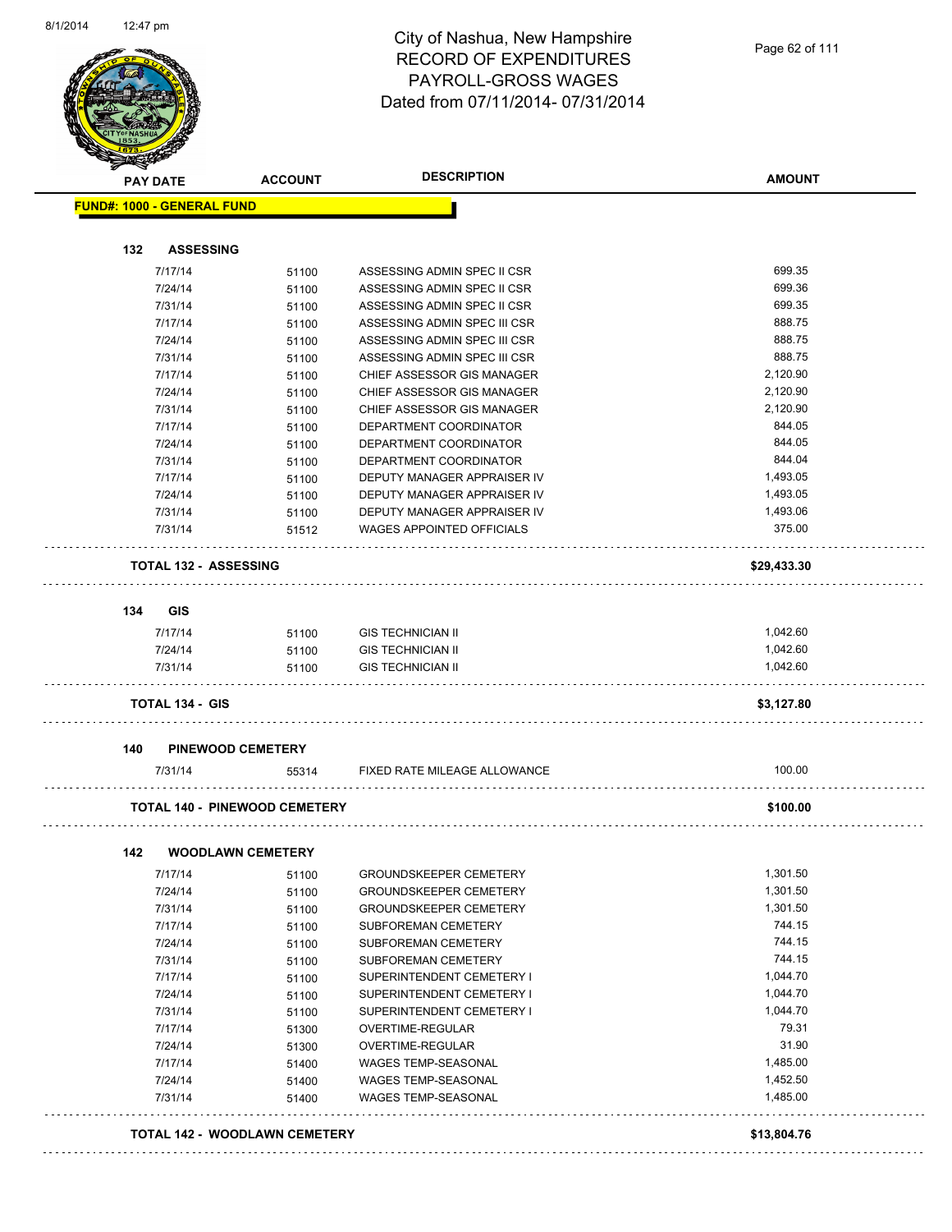

| <b>PAY DATE</b>                   | <b>ACCOUNT</b>                       | <b>DESCRIPTION</b>                                   | <b>AMOUNT</b>        |
|-----------------------------------|--------------------------------------|------------------------------------------------------|----------------------|
| <b>FUND#: 1000 - GENERAL FUND</b> |                                      |                                                      |                      |
| 132<br><b>ASSESSING</b>           |                                      |                                                      |                      |
| 7/17/14                           | 51100                                | ASSESSING ADMIN SPEC II CSR                          | 699.35               |
| 7/24/14                           | 51100                                | ASSESSING ADMIN SPEC II CSR                          | 699.36               |
| 7/31/14                           | 51100                                | ASSESSING ADMIN SPEC II CSR                          | 699.35               |
| 7/17/14                           | 51100                                | ASSESSING ADMIN SPEC III CSR                         | 888.75               |
| 7/24/14                           | 51100                                | ASSESSING ADMIN SPEC III CSR                         | 888.75               |
| 7/31/14                           | 51100                                | ASSESSING ADMIN SPEC III CSR                         | 888.75               |
| 7/17/14                           | 51100                                | CHIEF ASSESSOR GIS MANAGER                           | 2,120.90             |
| 7/24/14                           | 51100                                | CHIEF ASSESSOR GIS MANAGER                           | 2,120.90             |
| 7/31/14                           | 51100                                | CHIEF ASSESSOR GIS MANAGER                           | 2,120.90             |
| 7/17/14                           | 51100                                | DEPARTMENT COORDINATOR                               | 844.05               |
| 7/24/14                           | 51100                                | DEPARTMENT COORDINATOR                               | 844.05               |
| 7/31/14                           | 51100                                | DEPARTMENT COORDINATOR                               | 844.04               |
| 7/17/14                           | 51100                                | DEPUTY MANAGER APPRAISER IV                          | 1,493.05             |
| 7/24/14                           | 51100                                | DEPUTY MANAGER APPRAISER IV                          | 1,493.05             |
| 7/31/14                           | 51100                                | DEPUTY MANAGER APPRAISER IV                          | 1,493.06             |
| 7/31/14                           | 51512                                | <b>WAGES APPOINTED OFFICIALS</b>                     | 375.00               |
| <b>TOTAL 132 - ASSESSING</b>      |                                      |                                                      | \$29,433.30          |
| 134<br><b>GIS</b>                 |                                      |                                                      |                      |
|                                   |                                      |                                                      |                      |
| 7/17/14                           | 51100                                | <b>GIS TECHNICIAN II</b>                             | 1,042.60<br>1,042.60 |
| 7/24/14<br>7/31/14                | 51100<br>51100                       | <b>GIS TECHNICIAN II</b><br><b>GIS TECHNICIAN II</b> | 1,042.60             |
| <b>TOTAL 134 - GIS</b>            |                                      |                                                      | \$3,127.80           |
|                                   |                                      |                                                      |                      |
| 140<br>7/31/14                    | <b>PINEWOOD CEMETERY</b><br>55314    | FIXED RATE MILEAGE ALLOWANCE                         | 100.00               |
|                                   |                                      |                                                      |                      |
|                                   | <b>TOTAL 140 - PINEWOOD CEMETERY</b> |                                                      | \$100.00             |
| 142                               | <b>WOODLAWN CEMETERY</b>             |                                                      |                      |
| 7/17/14                           | 51100                                | <b>GROUNDSKEEPER CEMETERY</b>                        | 1,301.50             |
| 7/24/14                           | 51100                                | <b>GROUNDSKEEPER CEMETERY</b>                        | 1,301.50             |
| 7/31/14                           | 51100                                | <b>GROUNDSKEEPER CEMETERY</b>                        | 1,301.50             |
| 7/17/14                           | 51100                                | SUBFOREMAN CEMETERY                                  | 744.15               |
| 7/24/14                           | 51100                                | SUBFOREMAN CEMETERY                                  | 744.15               |
| 7/31/14                           | 51100                                | SUBFOREMAN CEMETERY                                  | 744.15               |
| 7/17/14                           | 51100                                | SUPERINTENDENT CEMETERY I                            | 1,044.70             |
| 7/24/14                           | 51100                                | SUPERINTENDENT CEMETERY I                            | 1,044.70             |
| 7/31/14                           | 51100                                | SUPERINTENDENT CEMETERY I                            | 1,044.70             |
| 7/17/14                           | 51300                                | OVERTIME-REGULAR                                     | 79.31                |
| 7/24/14                           | 51300                                | OVERTIME-REGULAR                                     | 31.90                |
| 7/17/14                           | 51400                                | WAGES TEMP-SEASONAL                                  | 1,485.00             |
| 7/24/14                           | 51400                                | WAGES TEMP-SEASONAL                                  | 1,452.50             |
| 7/31/14                           | 51400                                | <b>WAGES TEMP-SEASONAL</b>                           | 1,485.00             |
|                                   | TOTAL 142 - WOODLAWN CEMETERY        |                                                      | \$13,804.76          |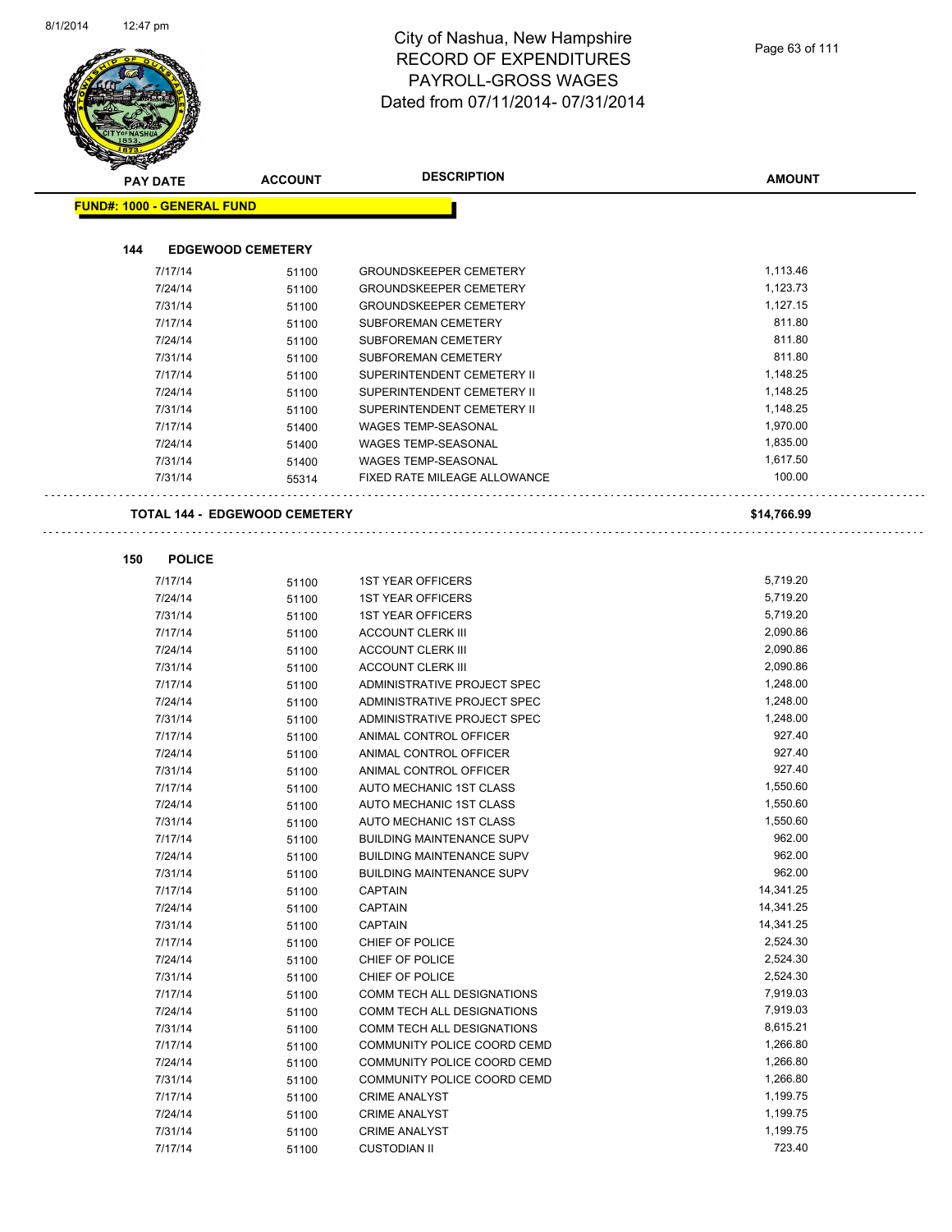| <b>PAY DATE</b>                   | <b>ACCOUNT</b>                       | <b>DESCRIPTION</b>                                       | <b>AMOUNT</b>      |
|-----------------------------------|--------------------------------------|----------------------------------------------------------|--------------------|
| <b>FUND#: 1000 - GENERAL FUND</b> |                                      |                                                          |                    |
|                                   |                                      |                                                          |                    |
| 144                               | <b>EDGEWOOD CEMETERY</b>             |                                                          |                    |
| 7/17/14                           | 51100                                | <b>GROUNDSKEEPER CEMETERY</b>                            | 1,113.46           |
| 7/24/14                           | 51100                                | <b>GROUNDSKEEPER CEMETERY</b>                            | 1,123.73           |
| 7/31/14                           | 51100                                | <b>GROUNDSKEEPER CEMETERY</b>                            | 1,127.15           |
| 7/17/14                           | 51100                                | SUBFOREMAN CEMETERY                                      | 811.80<br>811.80   |
| 7/24/14<br>7/31/14                | 51100                                | SUBFOREMAN CEMETERY                                      | 811.80             |
| 7/17/14                           | 51100                                | SUBFOREMAN CEMETERY                                      | 1,148.25           |
| 7/24/14                           | 51100                                | SUPERINTENDENT CEMETERY II<br>SUPERINTENDENT CEMETERY II | 1,148.25           |
| 7/31/14                           | 51100<br>51100                       | SUPERINTENDENT CEMETERY II                               | 1,148.25           |
| 7/17/14                           | 51400                                | WAGES TEMP-SEASONAL                                      | 1,970.00           |
| 7/24/14                           | 51400                                | <b>WAGES TEMP-SEASONAL</b>                               | 1,835.00           |
| 7/31/14                           | 51400                                | WAGES TEMP-SEASONAL                                      | 1,617.50           |
| 7/31/14                           | 55314                                | <b>FIXED RATE MILEAGE ALLOWANCE</b>                      | 100.00             |
|                                   | <b>TOTAL 144 - EDGEWOOD CEMETERY</b> |                                                          | \$14,766.99        |
|                                   |                                      |                                                          |                    |
| 150<br><b>POLICE</b>              |                                      |                                                          |                    |
| 7/17/14                           | 51100                                | <b>1ST YEAR OFFICERS</b>                                 | 5,719.20           |
| 7/24/14                           | 51100                                | <b>1ST YEAR OFFICERS</b>                                 | 5,719.20           |
| 7/31/14                           | 51100                                | <b>1ST YEAR OFFICERS</b>                                 | 5,719.20           |
| 7/17/14                           | 51100                                | <b>ACCOUNT CLERK III</b>                                 | 2,090.86           |
| 7/24/14                           | 51100                                | <b>ACCOUNT CLERK III</b>                                 | 2,090.86           |
| 7/31/14                           | 51100                                | <b>ACCOUNT CLERK III</b>                                 | 2,090.86           |
| 7/17/14                           | 51100                                | ADMINISTRATIVE PROJECT SPEC                              | 1,248.00           |
| 7/24/14                           | 51100                                | ADMINISTRATIVE PROJECT SPEC                              | 1,248.00           |
| 7/31/14                           | 51100                                | ADMINISTRATIVE PROJECT SPEC                              | 1,248.00           |
| 7/17/14                           | 51100                                | ANIMAL CONTROL OFFICER                                   | 927.40             |
| 7/24/14                           | 51100                                | ANIMAL CONTROL OFFICER                                   | 927.40             |
| 7/31/14                           | 51100                                | ANIMAL CONTROL OFFICER                                   | 927.40<br>1,550.60 |
| 7/17/14<br>7/24/14                | 51100<br>51100                       | AUTO MECHANIC 1ST CLASS<br>AUTO MECHANIC 1ST CLASS       | 1,550.60           |
| 7/31/14                           |                                      | AUTO MECHANIC 1ST CLASS                                  | 1,550.60           |
| 7/17/14                           | 51100<br>51100                       | <b>BUILDING MAINTENANCE SUPV</b>                         | 962.00             |
| 7/24/14                           | 51100                                | <b>BUILDING MAINTENANCE SUPV</b>                         | 962.00             |
| 7/31/14                           | 51100                                | <b>BUILDING MAINTENANCE SUPV</b>                         | 962.00             |
| 7/17/14                           | 51100                                | <b>CAPTAIN</b>                                           | 14,341.25          |
| 7/24/14                           | 51100                                | <b>CAPTAIN</b>                                           | 14,341.25          |
| 7/31/14                           | 51100                                | <b>CAPTAIN</b>                                           | 14,341.25          |
| 7/17/14                           | 51100                                | CHIEF OF POLICE                                          | 2,524.30           |
| 7/24/14                           | 51100                                | CHIEF OF POLICE                                          | 2,524.30           |
| 7/31/14                           | 51100                                | CHIEF OF POLICE                                          | 2,524.30           |
| 7/17/14                           | 51100                                | COMM TECH ALL DESIGNATIONS                               | 7,919.03           |
| 7/24/14                           | 51100                                | COMM TECH ALL DESIGNATIONS                               | 7,919.03           |
| 7/31/14                           | 51100                                | COMM TECH ALL DESIGNATIONS                               | 8,615.21           |
| 7/17/14                           | 51100                                | COMMUNITY POLICE COORD CEMD                              | 1,266.80           |
| 7/24/14                           | 51100                                | COMMUNITY POLICE COORD CEMD                              | 1,266.80           |
| 7/31/14                           | 51100                                | COMMUNITY POLICE COORD CEMD                              | 1,266.80           |
| 7/17/14                           | 51100                                | <b>CRIME ANALYST</b>                                     | 1,199.75           |
| 7/24/14                           | 51100                                | <b>CRIME ANALYST</b>                                     | 1,199.75           |
| 7/31/14                           | 51100                                | <b>CRIME ANALYST</b>                                     | 1,199.75           |
| 7/17/14                           | 51100                                | <b>CUSTODIAN II</b>                                      | 723.40             |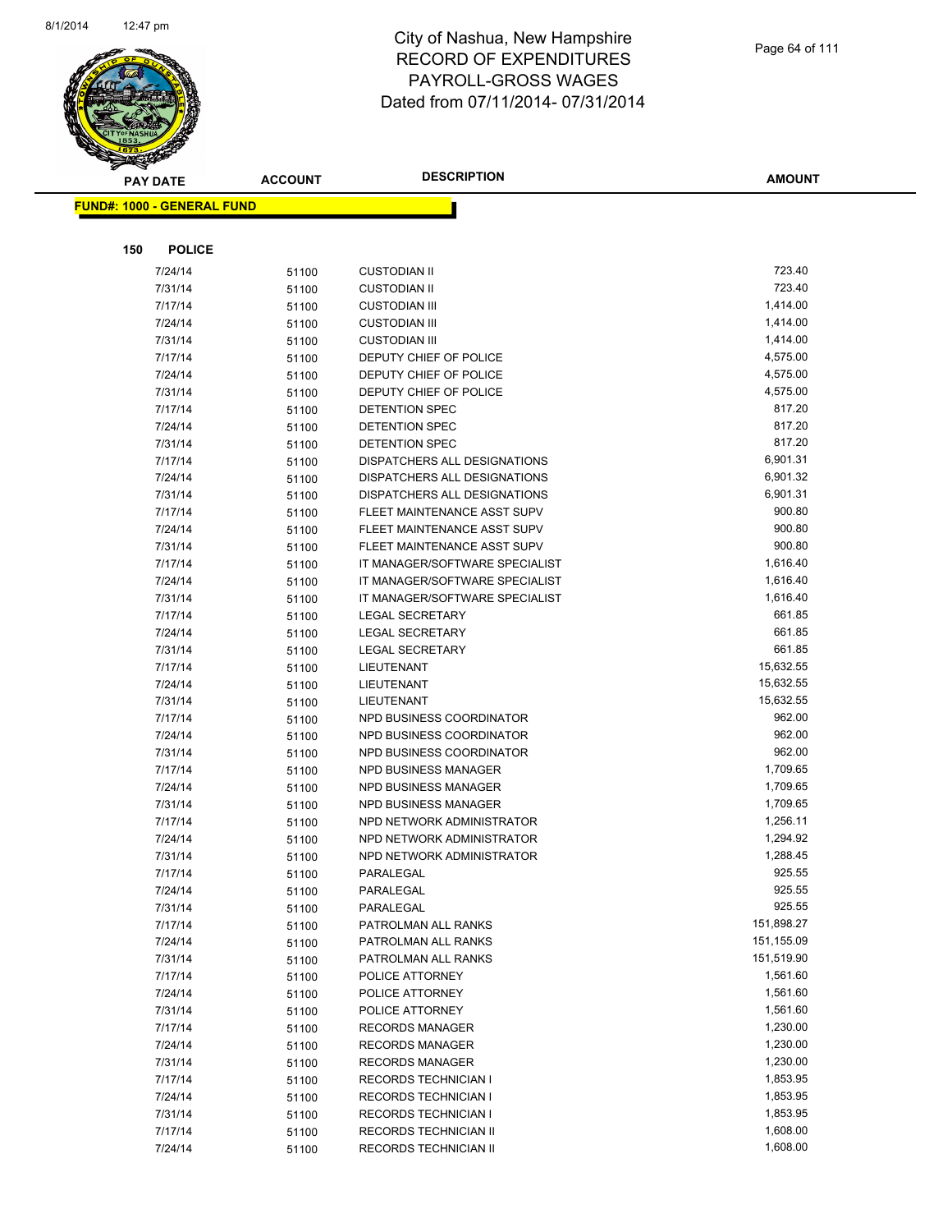

| <b>PAY DATE</b>                   | <b>ACCOUNT</b> | <b>DESCRIPTION</b>             | <b>AMOUNT</b> |
|-----------------------------------|----------------|--------------------------------|---------------|
| <b>FUND#: 1000 - GENERAL FUND</b> |                |                                |               |
|                                   |                |                                |               |
|                                   |                |                                |               |
| 150<br><b>POLICE</b>              |                |                                |               |
| 7/24/14                           | 51100          | <b>CUSTODIAN II</b>            | 723.40        |
| 7/31/14                           | 51100          | <b>CUSTODIAN II</b>            | 723.40        |
| 7/17/14                           | 51100          | <b>CUSTODIAN III</b>           | 1,414.00      |
| 7/24/14                           | 51100          | <b>CUSTODIAN III</b>           | 1,414.00      |
| 7/31/14                           | 51100          | <b>CUSTODIAN III</b>           | 1,414.00      |
| 7/17/14                           | 51100          | DEPUTY CHIEF OF POLICE         | 4,575.00      |
| 7/24/14                           | 51100          | DEPUTY CHIEF OF POLICE         | 4,575.00      |
| 7/31/14                           | 51100          | DEPUTY CHIEF OF POLICE         | 4,575.00      |
| 7/17/14                           | 51100          | DETENTION SPEC                 | 817.20        |
| 7/24/14                           | 51100          | DETENTION SPEC                 | 817.20        |
| 7/31/14                           | 51100          | DETENTION SPEC                 | 817.20        |
| 7/17/14                           | 51100          | DISPATCHERS ALL DESIGNATIONS   | 6,901.31      |
| 7/24/14                           | 51100          | DISPATCHERS ALL DESIGNATIONS   | 6,901.32      |
| 7/31/14                           | 51100          | DISPATCHERS ALL DESIGNATIONS   | 6,901.31      |
| 7/17/14                           | 51100          | FLEET MAINTENANCE ASST SUPV    | 900.80        |
| 7/24/14                           | 51100          | FLEET MAINTENANCE ASST SUPV    | 900.80        |
| 7/31/14                           | 51100          | FLEET MAINTENANCE ASST SUPV    | 900.80        |
| 7/17/14                           | 51100          | IT MANAGER/SOFTWARE SPECIALIST | 1,616.40      |
| 7/24/14                           | 51100          | IT MANAGER/SOFTWARE SPECIALIST | 1,616.40      |
| 7/31/14                           | 51100          | IT MANAGER/SOFTWARE SPECIALIST | 1,616.40      |
| 7/17/14                           | 51100          | <b>LEGAL SECRETARY</b>         | 661.85        |
| 7/24/14                           | 51100          | <b>LEGAL SECRETARY</b>         | 661.85        |
| 7/31/14                           | 51100          | <b>LEGAL SECRETARY</b>         | 661.85        |
| 7/17/14                           | 51100          | LIEUTENANT                     | 15,632.55     |
| 7/24/14                           | 51100          | LIEUTENANT                     | 15,632.55     |
| 7/31/14                           | 51100          | LIEUTENANT                     | 15,632.55     |
| 7/17/14                           | 51100          | NPD BUSINESS COORDINATOR       | 962.00        |
| 7/24/14                           | 51100          | NPD BUSINESS COORDINATOR       | 962.00        |
| 7/31/14                           | 51100          | NPD BUSINESS COORDINATOR       | 962.00        |
| 7/17/14                           | 51100          | NPD BUSINESS MANAGER           | 1,709.65      |
| 7/24/14                           | 51100          | NPD BUSINESS MANAGER           | 1,709.65      |
| 7/31/14                           | 51100          | NPD BUSINESS MANAGER           | 1,709.65      |
| 7/17/14                           | 51100          | NPD NETWORK ADMINISTRATOR      | 1,256.11      |
| 7/24/14                           | 51100          | NPD NETWORK ADMINISTRATOR      | 1,294.92      |
| 7/31/14                           | 51100          | NPD NETWORK ADMINISTRATOR      | 1,288.45      |
| 7/17/14                           | 51100          | PARALEGAL                      | 925.55        |
| 7/24/14                           | 51100          | PARALEGAL                      | 925.55        |
| 7/31/14                           | 51100          | PARALEGAL                      | 925.55        |
| 7/17/14                           | 51100          | PATROLMAN ALL RANKS            | 151,898.27    |
| 7/24/14                           | 51100          | PATROLMAN ALL RANKS            | 151,155.09    |
| 7/31/14                           | 51100          | PATROLMAN ALL RANKS            | 151,519.90    |
| 7/17/14                           | 51100          | POLICE ATTORNEY                | 1,561.60      |
| 7/24/14                           | 51100          | POLICE ATTORNEY                | 1,561.60      |
| 7/31/14                           | 51100          | POLICE ATTORNEY                | 1,561.60      |
| 7/17/14                           | 51100          | <b>RECORDS MANAGER</b>         | 1,230.00      |
| 7/24/14                           | 51100          | <b>RECORDS MANAGER</b>         | 1,230.00      |
| 7/31/14                           | 51100          | <b>RECORDS MANAGER</b>         | 1,230.00      |
| 7/17/14                           | 51100          | <b>RECORDS TECHNICIAN I</b>    | 1,853.95      |
| 7/24/14                           | 51100          | <b>RECORDS TECHNICIAN I</b>    | 1,853.95      |
| 7/31/14                           | 51100          | <b>RECORDS TECHNICIAN I</b>    | 1,853.95      |
| 7/17/14                           | 51100          | <b>RECORDS TECHNICIAN II</b>   | 1,608.00      |
| 7/24/14                           | 51100          | RECORDS TECHNICIAN II          | 1,608.00      |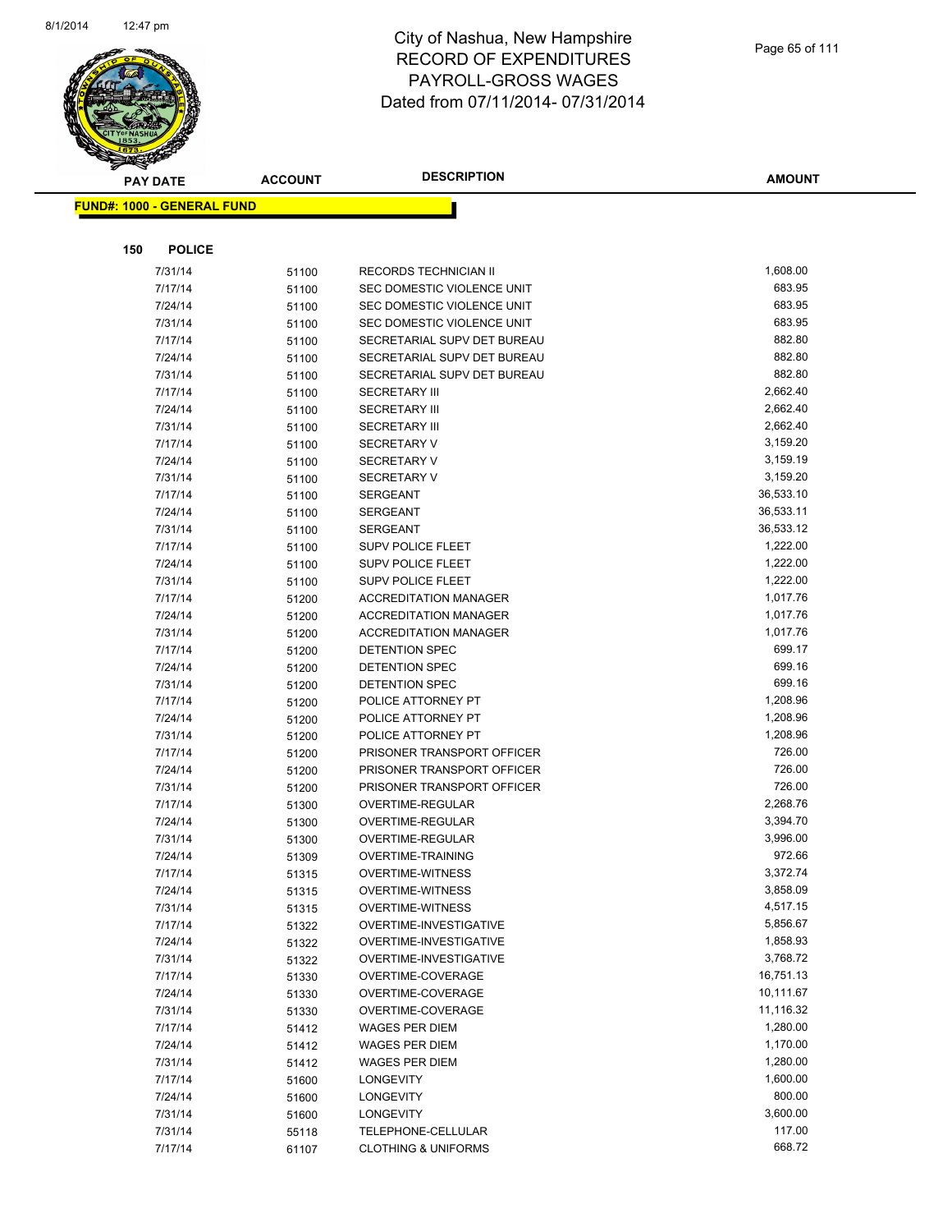

|     | <b>PAY DATE</b>                    | <b>ACCOUNT</b> | <b>DESCRIPTION</b>                                           | <b>AMOUNT</b>        |
|-----|------------------------------------|----------------|--------------------------------------------------------------|----------------------|
|     | <u> FUND#: 1000 - GENERAL FUND</u> |                |                                                              |                      |
|     |                                    |                |                                                              |                      |
|     |                                    |                |                                                              |                      |
| 150 | <b>POLICE</b>                      |                |                                                              |                      |
|     | 7/31/14                            | 51100          | RECORDS TECHNICIAN II                                        | 1,608.00             |
|     | 7/17/14                            | 51100          | SEC DOMESTIC VIOLENCE UNIT                                   | 683.95               |
|     | 7/24/14                            | 51100          | SEC DOMESTIC VIOLENCE UNIT                                   | 683.95               |
|     | 7/31/14                            | 51100          | SEC DOMESTIC VIOLENCE UNIT                                   | 683.95               |
|     | 7/17/14                            | 51100          | SECRETARIAL SUPV DET BUREAU                                  | 882.80               |
|     | 7/24/14                            | 51100          | SECRETARIAL SUPV DET BUREAU                                  | 882.80               |
|     | 7/31/14                            | 51100          | SECRETARIAL SUPV DET BUREAU                                  | 882.80               |
|     | 7/17/14                            | 51100          | <b>SECRETARY III</b>                                         | 2,662.40             |
|     | 7/24/14                            | 51100          | <b>SECRETARY III</b>                                         | 2,662.40             |
|     | 7/31/14                            | 51100          | <b>SECRETARY III</b>                                         | 2,662.40             |
|     | 7/17/14                            | 51100          | <b>SECRETARY V</b>                                           | 3,159.20             |
|     | 7/24/14                            | 51100          | <b>SECRETARY V</b>                                           | 3,159.19             |
|     | 7/31/14                            | 51100          | <b>SECRETARY V</b>                                           | 3,159.20             |
|     | 7/17/14                            | 51100          | <b>SERGEANT</b>                                              | 36,533.10            |
|     | 7/24/14                            | 51100          | <b>SERGEANT</b>                                              | 36,533.11            |
|     | 7/31/14                            | 51100          | <b>SERGEANT</b>                                              | 36,533.12            |
|     | 7/17/14                            | 51100          | <b>SUPV POLICE FLEET</b>                                     | 1,222.00             |
|     | 7/24/14                            | 51100          | <b>SUPV POLICE FLEET</b>                                     | 1,222.00             |
|     | 7/31/14                            | 51100          | <b>SUPV POLICE FLEET</b>                                     | 1,222.00             |
|     | 7/17/14                            | 51200          | <b>ACCREDITATION MANAGER</b><br><b>ACCREDITATION MANAGER</b> | 1,017.76<br>1,017.76 |
|     | 7/24/14                            | 51200          |                                                              | 1,017.76             |
|     | 7/31/14<br>7/17/14                 | 51200          | <b>ACCREDITATION MANAGER</b><br>DETENTION SPEC               | 699.17               |
|     | 7/24/14                            | 51200          | DETENTION SPEC                                               | 699.16               |
|     | 7/31/14                            | 51200          | DETENTION SPEC                                               | 699.16               |
|     | 7/17/14                            | 51200          | POLICE ATTORNEY PT                                           | 1,208.96             |
|     | 7/24/14                            | 51200          | POLICE ATTORNEY PT                                           | 1,208.96             |
|     | 7/31/14                            | 51200<br>51200 | POLICE ATTORNEY PT                                           | 1,208.96             |
|     | 7/17/14                            | 51200          | PRISONER TRANSPORT OFFICER                                   | 726.00               |
|     | 7/24/14                            | 51200          | PRISONER TRANSPORT OFFICER                                   | 726.00               |
|     | 7/31/14                            | 51200          | PRISONER TRANSPORT OFFICER                                   | 726.00               |
|     | 7/17/14                            | 51300          | OVERTIME-REGULAR                                             | 2,268.76             |
|     | 7/24/14                            | 51300          | OVERTIME-REGULAR                                             | 3,394.70             |
|     | 7/31/14                            | 51300          | OVERTIME-REGULAR                                             | 3,996.00             |
|     | 7/24/14                            | 51309          | OVERTIME-TRAINING                                            | 972.66               |
|     | 7/17/14                            | 51315          | <b>OVERTIME-WITNESS</b>                                      | 3,372.74             |
|     | 7/24/14                            | 51315          | <b>OVERTIME-WITNESS</b>                                      | 3,858.09             |
|     | 7/31/14                            | 51315          | <b>OVERTIME-WITNESS</b>                                      | 4,517.15             |
|     | 7/17/14                            | 51322          | OVERTIME-INVESTIGATIVE                                       | 5,856.67             |
|     | 7/24/14                            | 51322          | OVERTIME-INVESTIGATIVE                                       | 1,858.93             |
|     | 7/31/14                            | 51322          | OVERTIME-INVESTIGATIVE                                       | 3,768.72             |
|     | 7/17/14                            | 51330          | OVERTIME-COVERAGE                                            | 16,751.13            |
|     | 7/24/14                            | 51330          | OVERTIME-COVERAGE                                            | 10,111.67            |
|     | 7/31/14                            | 51330          | OVERTIME-COVERAGE                                            | 11,116.32            |
|     | 7/17/14                            | 51412          | WAGES PER DIEM                                               | 1,280.00             |
|     | 7/24/14                            | 51412          | <b>WAGES PER DIEM</b>                                        | 1,170.00             |
|     | 7/31/14                            | 51412          | <b>WAGES PER DIEM</b>                                        | 1,280.00             |
|     | 7/17/14                            | 51600          | <b>LONGEVITY</b>                                             | 1,600.00             |
|     | 7/24/14                            | 51600          | <b>LONGEVITY</b>                                             | 800.00               |
|     | 7/31/14                            | 51600          | <b>LONGEVITY</b>                                             | 3,600.00             |
|     | 7/31/14                            | 55118          | TELEPHONE-CELLULAR                                           | 117.00               |
|     | 7/17/14                            | 61107          | <b>CLOTHING &amp; UNIFORMS</b>                               | 668.72               |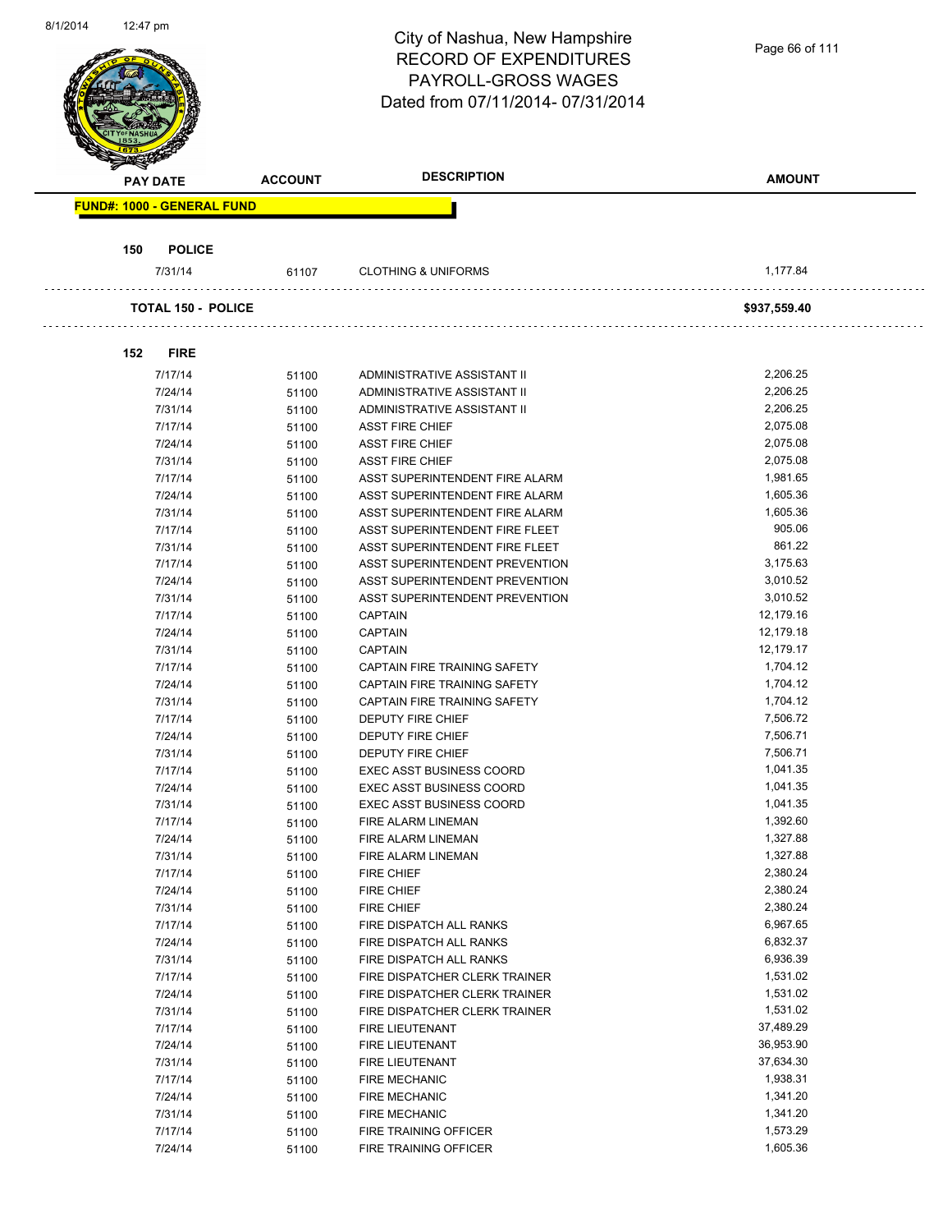|                 |                                   |                | City of Nashua, New Hampshire                                  |                      |
|-----------------|-----------------------------------|----------------|----------------------------------------------------------------|----------------------|
|                 |                                   |                | <b>RECORD OF EXPENDITURES</b>                                  | Page 66 of 111       |
|                 |                                   |                | <b>PAYROLL-GROSS WAGES</b>                                     |                      |
|                 |                                   |                | Dated from 07/11/2014-07/31/2014                               |                      |
|                 |                                   |                |                                                                |                      |
|                 |                                   |                |                                                                |                      |
|                 |                                   |                |                                                                |                      |
| <b>PAY DATE</b> |                                   | <b>ACCOUNT</b> | <b>DESCRIPTION</b>                                             | <b>AMOUNT</b>        |
|                 | <b>FUND#: 1000 - GENERAL FUND</b> |                |                                                                |                      |
|                 |                                   |                |                                                                |                      |
| 150             | <b>POLICE</b>                     |                |                                                                |                      |
|                 | 7/31/14                           | 61107          | <b>CLOTHING &amp; UNIFORMS</b>                                 | 1,177.84             |
|                 |                                   |                |                                                                |                      |
|                 | <b>TOTAL 150 - POLICE</b>         |                |                                                                | \$937,559.40         |
|                 |                                   |                |                                                                |                      |
| 152             | <b>FIRE</b>                       |                |                                                                |                      |
|                 | 7/17/14                           | 51100          | ADMINISTRATIVE ASSISTANT II                                    | 2,206.25             |
|                 | 7/24/14                           | 51100          | ADMINISTRATIVE ASSISTANT II                                    | 2,206.25             |
|                 | 7/31/14                           | 51100          | ADMINISTRATIVE ASSISTANT II                                    | 2,206.25             |
|                 | 7/17/14                           | 51100          | <b>ASST FIRE CHIEF</b>                                         | 2,075.08             |
|                 | 7/24/14                           | 51100          | <b>ASST FIRE CHIEF</b>                                         | 2,075.08             |
|                 | 7/31/14                           | 51100          | <b>ASST FIRE CHIEF</b>                                         | 2,075.08             |
|                 | 7/17/14                           | 51100          | ASST SUPERINTENDENT FIRE ALARM                                 | 1,981.65             |
|                 | 7/24/14                           | 51100          | ASST SUPERINTENDENT FIRE ALARM                                 | 1,605.36             |
|                 | 7/31/14                           | 51100          | ASST SUPERINTENDENT FIRE ALARM                                 | 1,605.36             |
|                 | 7/17/14                           | 51100          | ASST SUPERINTENDENT FIRE FLEET                                 | 905.06               |
|                 | 7/31/14                           | 51100          | ASST SUPERINTENDENT FIRE FLEET                                 | 861.22               |
|                 | 7/17/14                           | 51100          | ASST SUPERINTENDENT PREVENTION                                 | 3,175.63             |
|                 | 7/24/14                           | 51100          | ASST SUPERINTENDENT PREVENTION                                 | 3,010.52             |
|                 | 7/31/14                           | 51100          | ASST SUPERINTENDENT PREVENTION                                 | 3,010.52             |
|                 | 7/17/14                           | 51100          | <b>CAPTAIN</b>                                                 | 12,179.16            |
|                 | 7/24/14                           | 51100          | <b>CAPTAIN</b>                                                 | 12,179.18            |
|                 | 7/31/14                           | 51100          | <b>CAPTAIN</b>                                                 | 12,179.17            |
|                 | 7/17/14                           | 51100          | CAPTAIN FIRE TRAINING SAFETY                                   | 1,704.12             |
|                 | 7/24/14                           | 51100          | CAPTAIN FIRE TRAINING SAFETY                                   | 1,704.12             |
|                 | 7/31/14                           | 51100          | CAPTAIN FIRE TRAINING SAFETY                                   | 1,704.12             |
|                 | 7/17/14                           | 51100          | DEPUTY FIRE CHIEF                                              | 7,506.72             |
|                 | 7/24/14                           | 51100          | DEPUTY FIRE CHIEF                                              | 7,506.71             |
|                 | 7/31/14                           | 51100          | DEPUTY FIRE CHIEF                                              | 7,506.71             |
|                 | 7/17/14                           | 51100          | <b>EXEC ASST BUSINESS COORD</b>                                | 1,041.35             |
|                 | 7/24/14                           | 51100          | EXEC ASST BUSINESS COORD                                       | 1,041.35             |
|                 | 7/31/14                           | 51100          | EXEC ASST BUSINESS COORD                                       | 1,041.35             |
|                 | 7/17/14                           | 51100          | FIRE ALARM LINEMAN                                             | 1,392.60             |
|                 | 7/24/14                           | 51100          | FIRE ALARM LINEMAN                                             | 1,327.88             |
|                 | 7/31/14                           |                | FIRE ALARM LINEMAN                                             | 1,327.88             |
|                 | 7/17/14                           | 51100          | <b>FIRE CHIEF</b>                                              | 2,380.24             |
|                 | 7/24/14                           | 51100          | <b>FIRE CHIEF</b>                                              | 2,380.24             |
|                 | 7/31/14                           | 51100          | <b>FIRE CHIEF</b>                                              | 2,380.24             |
|                 | 7/17/14                           | 51100          | FIRE DISPATCH ALL RANKS                                        | 6,967.65             |
|                 |                                   | 51100          |                                                                | 6,832.37             |
|                 | 7/24/14                           | 51100          | FIRE DISPATCH ALL RANKS<br>FIRE DISPATCH ALL RANKS             | 6,936.39             |
|                 | 7/31/14<br>7/17/14                | 51100          |                                                                | 1,531.02             |
|                 |                                   | 51100          | FIRE DISPATCHER CLERK TRAINER                                  |                      |
|                 | 7/24/14<br>7/31/14                | 51100          | FIRE DISPATCHER CLERK TRAINER<br>FIRE DISPATCHER CLERK TRAINER | 1,531.02<br>1,531.02 |
|                 |                                   | 51100          |                                                                | 37,489.29            |
|                 | 7/17/14                           | 51100          | FIRE LIEUTENANT                                                |                      |
|                 | 7/24/14                           | 51100          | FIRE LIEUTENANT                                                | 36,953.90            |
|                 | 7/31/14                           | 51100          | FIRE LIEUTENANT                                                | 37,634.30            |
|                 | 7/17/14                           | 51100          | <b>FIRE MECHANIC</b>                                           | 1,938.31             |
|                 | 7/24/14                           | 51100          | <b>FIRE MECHANIC</b>                                           | 1,341.20             |
|                 | 7/31/14                           | 51100          | <b>FIRE MECHANIC</b>                                           | 1,341.20             |
|                 | 7/17/14                           | 51100          | FIRE TRAINING OFFICER                                          | 1,573.29             |
|                 | 7/24/14                           | 51100          | FIRE TRAINING OFFICER                                          | 1,605.36             |

8/1/2014 12:47 pm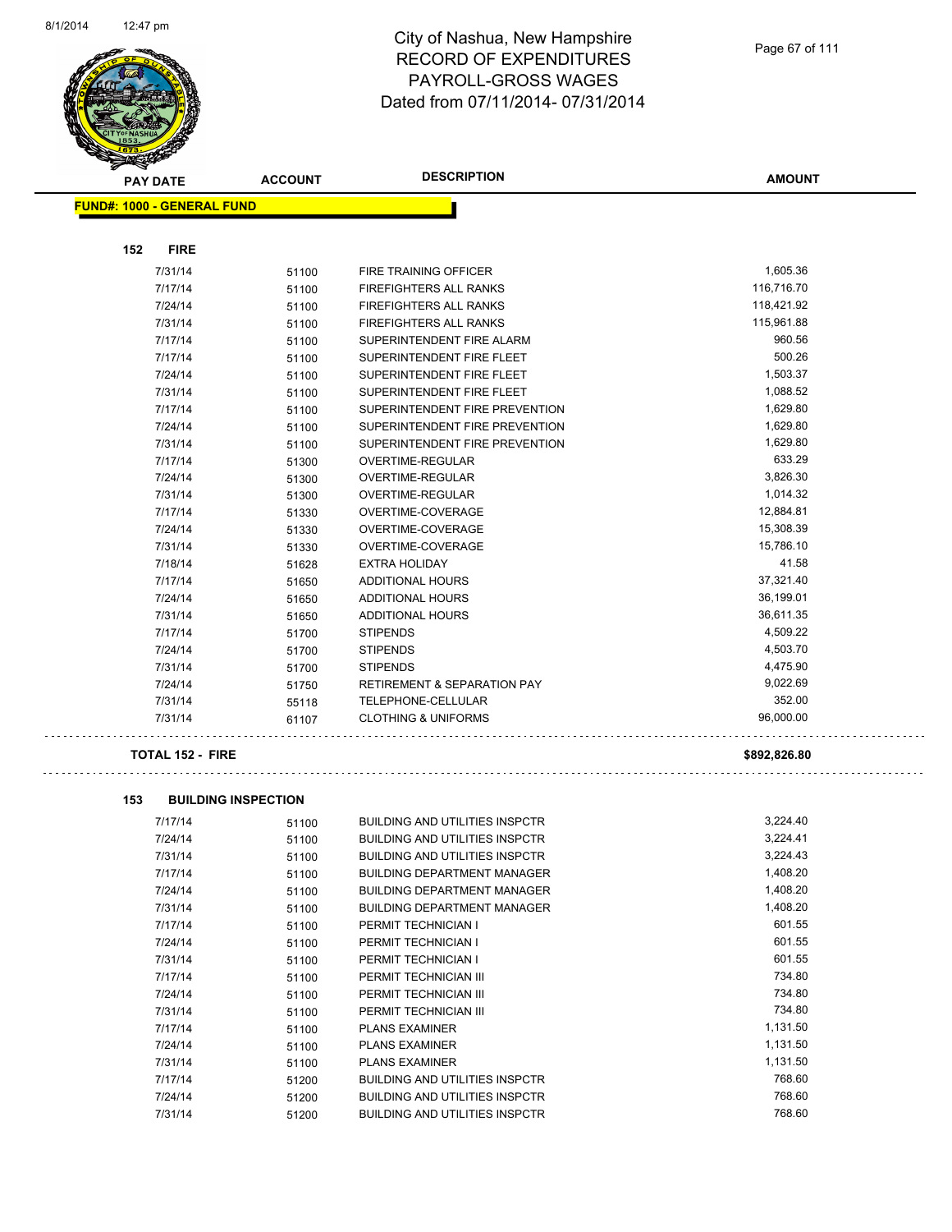

| <b>PAY DATE</b>                   | <b>ACCOUNT</b> | <b>DESCRIPTION</b>                     | <b>AMOUNT</b> |
|-----------------------------------|----------------|----------------------------------------|---------------|
| <b>FUND#: 1000 - GENERAL FUND</b> |                |                                        |               |
|                                   |                |                                        |               |
| 152<br><b>FIRE</b>                |                |                                        |               |
| 7/31/14                           | 51100          | FIRE TRAINING OFFICER                  | 1,605.36      |
| 7/17/14                           | 51100          | <b>FIREFIGHTERS ALL RANKS</b>          | 116,716.70    |
| 7/24/14                           | 51100          | <b>FIREFIGHTERS ALL RANKS</b>          | 118,421.92    |
| 7/31/14                           | 51100          | FIREFIGHTERS ALL RANKS                 | 115,961.88    |
| 7/17/14                           | 51100          | SUPERINTENDENT FIRE ALARM              | 960.56        |
| 7/17/14                           | 51100          | SUPERINTENDENT FIRE FLEET              | 500.26        |
| 7/24/14                           | 51100          | SUPERINTENDENT FIRE FLEET              | 1,503.37      |
| 7/31/14                           | 51100          | SUPERINTENDENT FIRE FLEET              | 1,088.52      |
| 7/17/14                           | 51100          | SUPERINTENDENT FIRE PREVENTION         | 1,629.80      |
| 7/24/14                           | 51100          | SUPERINTENDENT FIRE PREVENTION         | 1,629.80      |
| 7/31/14                           | 51100          | SUPERINTENDENT FIRE PREVENTION         | 1,629.80      |
| 7/17/14                           | 51300          | OVERTIME-REGULAR                       | 633.29        |
| 7/24/14                           | 51300          | <b>OVERTIME-REGULAR</b>                | 3,826.30      |
| 7/31/14                           | 51300          | OVERTIME-REGULAR                       | 1,014.32      |
| 7/17/14                           | 51330          | OVERTIME-COVERAGE                      | 12,884.81     |
| 7/24/14                           | 51330          | OVERTIME-COVERAGE                      | 15,308.39     |
| 7/31/14                           | 51330          | OVERTIME-COVERAGE                      | 15,786.10     |
| 7/18/14                           | 51628          | <b>EXTRA HOLIDAY</b>                   | 41.58         |
| 7/17/14                           | 51650          | ADDITIONAL HOURS                       | 37,321.40     |
| 7/24/14                           | 51650          | ADDITIONAL HOURS                       | 36,199.01     |
| 7/31/14                           | 51650          | ADDITIONAL HOURS                       | 36,611.35     |
| 7/17/14                           | 51700          | <b>STIPENDS</b>                        | 4,509.22      |
| 7/24/14                           | 51700          | <b>STIPENDS</b>                        | 4,503.70      |
| 7/31/14                           | 51700          | <b>STIPENDS</b>                        | 4,475.90      |
| 7/24/14                           | 51750          | <b>RETIREMENT &amp; SEPARATION PAY</b> | 9,022.69      |
| 7/31/14                           | 55118          | TELEPHONE-CELLULAR                     | 352.00        |
| 7/31/14                           | 61107          | <b>CLOTHING &amp; UNIFORMS</b>         | 96,000.00     |
| <b>TOTAL 152 - FIRE</b>           |                |                                        | \$892,826.80  |

| 153 | <b>BUILDING INSPECTION</b> |       |                                       |          |
|-----|----------------------------|-------|---------------------------------------|----------|
|     | 7/17/14                    | 51100 | <b>BUILDING AND UTILITIES INSPCTR</b> | 3,224.40 |
|     | 7/24/14                    | 51100 | <b>BUILDING AND UTILITIES INSPCTR</b> | 3,224.41 |
|     | 7/31/14                    | 51100 | <b>BUILDING AND UTILITIES INSPCTR</b> | 3,224.43 |
|     | 7/17/14                    | 51100 | <b>BUILDING DEPARTMENT MANAGER</b>    | 1,408.20 |
|     | 7/24/14                    | 51100 | <b>BUILDING DEPARTMENT MANAGER</b>    | 1,408.20 |
|     | 7/31/14                    | 51100 | <b>BUILDING DEPARTMENT MANAGER</b>    | 1,408.20 |
|     | 7/17/14                    | 51100 | PERMIT TECHNICIAN I                   | 601.55   |
|     | 7/24/14                    | 51100 | PERMIT TECHNICIAN I                   | 601.55   |
|     | 7/31/14                    | 51100 | PERMIT TECHNICIAN I                   | 601.55   |
|     | 7/17/14                    | 51100 | PERMIT TECHNICIAN III                 | 734.80   |
|     | 7/24/14                    | 51100 | PERMIT TECHNICIAN III                 | 734.80   |
|     | 7/31/14                    | 51100 | PERMIT TECHNICIAN III                 | 734.80   |
|     | 7/17/14                    | 51100 | <b>PLANS EXAMINER</b>                 | 1,131.50 |
|     | 7/24/14                    | 51100 | <b>PLANS EXAMINER</b>                 | 1,131.50 |
|     | 7/31/14                    | 51100 | <b>PLANS EXAMINER</b>                 | 1,131.50 |
|     | 7/17/14                    | 51200 | <b>BUILDING AND UTILITIES INSPCTR</b> | 768.60   |
|     | 7/24/14                    | 51200 | <b>BUILDING AND UTILITIES INSPCTR</b> | 768.60   |
|     | 7/31/14                    | 51200 | <b>BUILDING AND UTILITIES INSPCTR</b> | 768.60   |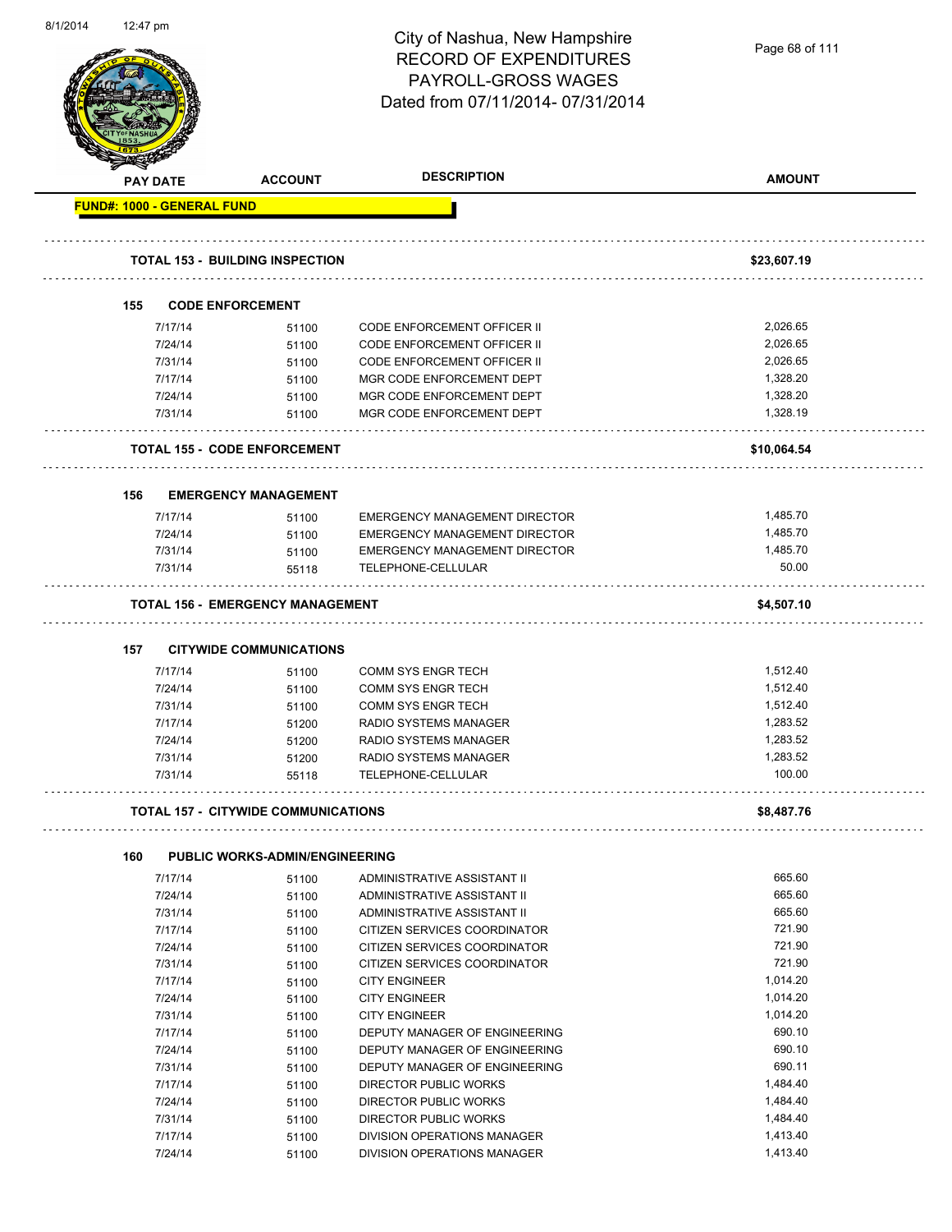| 8/1/2014 | 12:47 pm                          |         |                                            | City of Nashua, New Hampshire<br><b>RECORD OF EXPENDITURES</b><br><b>PAYROLL-GROSS WAGES</b><br>Dated from 07/11/2014-07/31/2014 | Page 68 of 111 |
|----------|-----------------------------------|---------|--------------------------------------------|----------------------------------------------------------------------------------------------------------------------------------|----------------|
|          | <b>PAY DATE</b>                   |         | <b>ACCOUNT</b>                             | <b>DESCRIPTION</b>                                                                                                               | <b>AMOUNT</b>  |
|          | <b>FUND#: 1000 - GENERAL FUND</b> |         |                                            |                                                                                                                                  |                |
|          |                                   |         | <b>TOTAL 153 - BUILDING INSPECTION</b>     |                                                                                                                                  | \$23,607.19    |
|          | 155                               |         | <b>CODE ENFORCEMENT</b>                    |                                                                                                                                  |                |
|          |                                   | 7/17/14 | 51100                                      | <b>CODE ENFORCEMENT OFFICER II</b>                                                                                               | 2,026.65       |
|          |                                   | 7/24/14 | 51100                                      | CODE ENFORCEMENT OFFICER II                                                                                                      | 2,026.65       |
|          |                                   | 7/31/14 | 51100                                      | <b>CODE ENFORCEMENT OFFICER II</b>                                                                                               | 2,026.65       |
|          |                                   | 7/17/14 | 51100                                      | MGR CODE ENFORCEMENT DEPT                                                                                                        | 1,328.20       |
|          |                                   | 7/24/14 |                                            | MGR CODE ENFORCEMENT DEPT                                                                                                        | 1,328.20       |
|          |                                   |         | 51100                                      |                                                                                                                                  | 1,328.19       |
|          |                                   | 7/31/14 | 51100                                      | MGR CODE ENFORCEMENT DEPT                                                                                                        |                |
|          |                                   |         | <b>TOTAL 155 - CODE ENFORCEMENT</b>        |                                                                                                                                  | \$10,064.54    |
|          | 156                               |         | <b>EMERGENCY MANAGEMENT</b>                |                                                                                                                                  |                |
|          |                                   |         |                                            |                                                                                                                                  |                |
|          |                                   | 7/17/14 | 51100                                      | EMERGENCY MANAGEMENT DIRECTOR                                                                                                    | 1,485.70       |
|          |                                   | 7/24/14 | 51100                                      | EMERGENCY MANAGEMENT DIRECTOR                                                                                                    | 1,485.70       |
|          |                                   | 7/31/14 | 51100                                      | EMERGENCY MANAGEMENT DIRECTOR                                                                                                    | 1,485.70       |
|          |                                   | 7/31/14 | 55118                                      | TELEPHONE-CELLULAR                                                                                                               | 50.00          |
|          |                                   |         | <b>TOTAL 156 - EMERGENCY MANAGEMENT</b>    |                                                                                                                                  | \$4,507.10     |
|          | 157                               |         | <b>CITYWIDE COMMUNICATIONS</b>             |                                                                                                                                  |                |
|          |                                   |         |                                            |                                                                                                                                  |                |
|          |                                   | 7/17/14 | 51100                                      | <b>COMM SYS ENGR TECH</b>                                                                                                        | 1,512.40       |
|          |                                   | 7/24/14 | 51100                                      | <b>COMM SYS ENGR TECH</b>                                                                                                        | 1,512.40       |
|          |                                   | 7/31/14 | 51100                                      | <b>COMM SYS ENGR TECH</b>                                                                                                        | 1,512.40       |
|          |                                   | 7/17/14 | 51200                                      | RADIO SYSTEMS MANAGER                                                                                                            | 1,283.52       |
|          |                                   | 7/24/14 | 51200                                      | <b>RADIO SYSTEMS MANAGER</b>                                                                                                     | 1,283.52       |
|          |                                   | 7/31/14 | 51200                                      | RADIO SYSTEMS MANAGER                                                                                                            | 1,283.52       |
|          |                                   | 7/31/14 | 55118                                      | TELEPHONE-CELLULAR                                                                                                               | 100.00         |
|          |                                   |         | <b>TOTAL 157 - CITYWIDE COMMUNICATIONS</b> |                                                                                                                                  | \$8,487.76     |
|          | 160                               |         | <b>PUBLIC WORKS-ADMIN/ENGINEERING</b>      |                                                                                                                                  |                |
|          |                                   |         |                                            |                                                                                                                                  | 665.60         |
|          |                                   | 7/17/14 | 51100                                      | ADMINISTRATIVE ASSISTANT II                                                                                                      |                |
|          |                                   | 7/24/14 | 51100                                      | ADMINISTRATIVE ASSISTANT II                                                                                                      | 665.60         |
|          |                                   | 7/31/14 | 51100                                      | ADMINISTRATIVE ASSISTANT II                                                                                                      | 665.60         |
|          |                                   | 7/17/14 | 51100                                      | CITIZEN SERVICES COORDINATOR                                                                                                     | 721.90         |
|          |                                   | 7/24/14 | 51100                                      | CITIZEN SERVICES COORDINATOR                                                                                                     | 721.90         |
|          |                                   | 7/31/14 | 51100                                      | CITIZEN SERVICES COORDINATOR                                                                                                     | 721.90         |
|          |                                   | 7/17/14 | 51100                                      | <b>CITY ENGINEER</b>                                                                                                             | 1,014.20       |
|          |                                   | 7/24/14 | 51100                                      | <b>CITY ENGINEER</b>                                                                                                             | 1,014.20       |
|          |                                   | 7/31/14 | 51100                                      | <b>CITY ENGINEER</b>                                                                                                             | 1,014.20       |
|          |                                   | 7/17/14 | 51100                                      | DEPUTY MANAGER OF ENGINEERING                                                                                                    | 690.10         |
|          |                                   | 7/24/14 | 51100                                      | DEPUTY MANAGER OF ENGINEERING                                                                                                    | 690.10         |
|          |                                   | 7/31/14 | 51100                                      | DEPUTY MANAGER OF ENGINEERING                                                                                                    | 690.11         |
|          |                                   | 7/17/14 | 51100                                      | DIRECTOR PUBLIC WORKS                                                                                                            | 1,484.40       |
|          |                                   | 7/24/14 | 51100                                      | <b>DIRECTOR PUBLIC WORKS</b>                                                                                                     | 1,484.40       |
|          |                                   | 7/31/14 | 51100                                      | <b>DIRECTOR PUBLIC WORKS</b>                                                                                                     | 1,484.40       |
|          |                                   | 7/17/14 | 51100                                      | DIVISION OPERATIONS MANAGER                                                                                                      | 1,413.40       |
|          |                                   | 7/24/14 |                                            | DIVISION OPERATIONS MANAGER                                                                                                      | 1,413.40       |
|          |                                   |         | 51100                                      |                                                                                                                                  |                |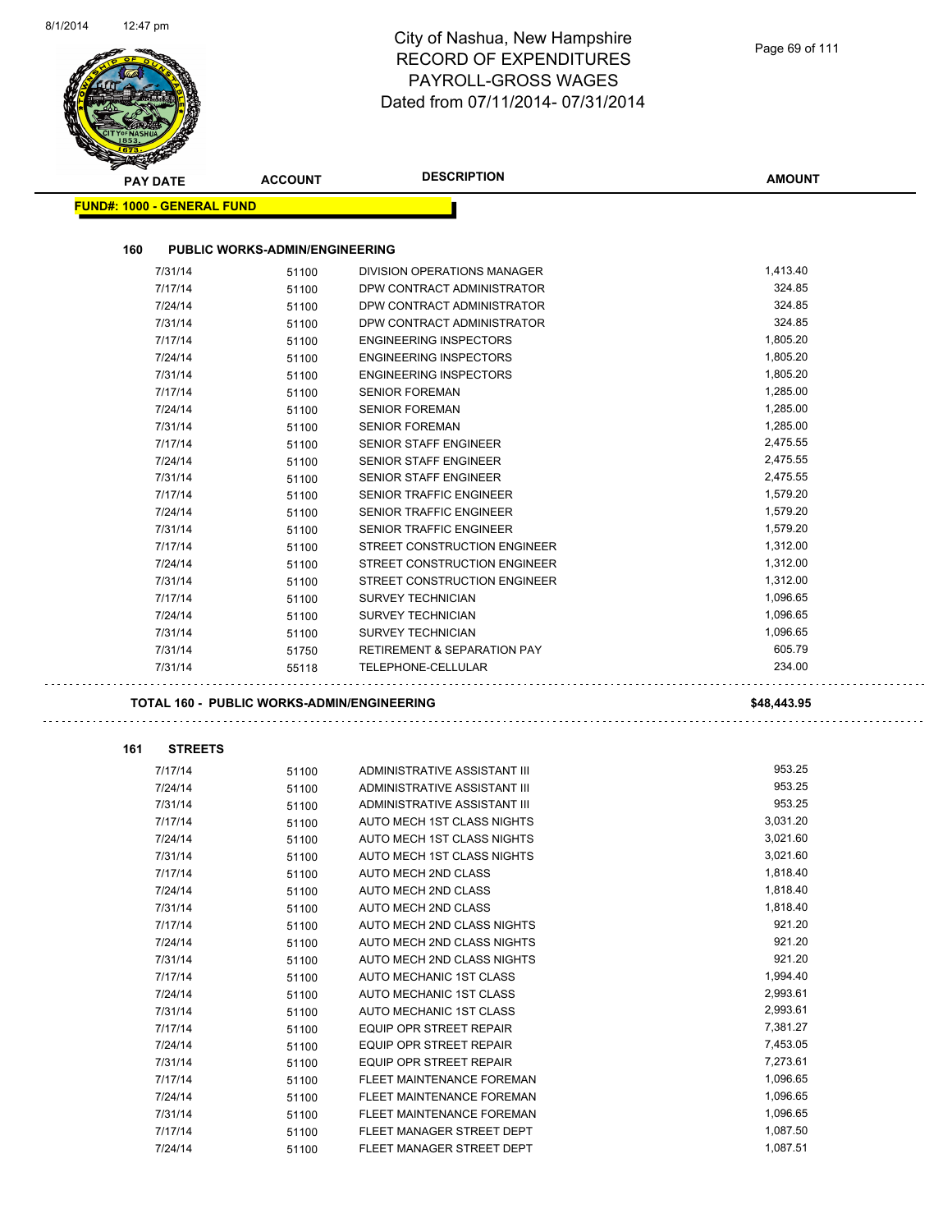| <b>DESCRIPTION</b><br><b>AMOUNT</b><br><b>ACCOUNT</b><br><b>PAY DATE</b><br><b>FUND#: 1000 - GENERAL FUND</b><br>160<br><b>PUBLIC WORKS-ADMIN/ENGINEERING</b><br>1,413.40<br>7/31/14<br>DIVISION OPERATIONS MANAGER<br>51100<br>7/17/14<br>324.85<br>DPW CONTRACT ADMINISTRATOR<br>51100<br>324.85<br>7/24/14<br>51100<br>DPW CONTRACT ADMINISTRATOR<br>324.85<br>7/31/14<br>DPW CONTRACT ADMINISTRATOR<br>51100<br>1,805.20<br>7/17/14<br><b>ENGINEERING INSPECTORS</b><br>51100<br>1,805.20<br>7/24/14<br><b>ENGINEERING INSPECTORS</b><br>51100<br>1,805.20<br>7/31/14<br><b>ENGINEERING INSPECTORS</b><br>51100<br>1,285.00<br>7/17/14<br><b>SENIOR FOREMAN</b><br>51100<br>1,285.00<br><b>SENIOR FOREMAN</b><br>7/24/14<br>51100<br>1,285.00<br>7/31/14<br><b>SENIOR FOREMAN</b><br>51100<br>2,475.55<br>7/17/14<br><b>SENIOR STAFF ENGINEER</b><br>51100<br>2,475.55<br>7/24/14<br><b>SENIOR STAFF ENGINEER</b><br>51100<br>2,475.55<br>7/31/14<br><b>SENIOR STAFF ENGINEER</b><br>51100<br>1,579.20<br>7/17/14<br>SENIOR TRAFFIC ENGINEER<br>51100 |
|-----------------------------------------------------------------------------------------------------------------------------------------------------------------------------------------------------------------------------------------------------------------------------------------------------------------------------------------------------------------------------------------------------------------------------------------------------------------------------------------------------------------------------------------------------------------------------------------------------------------------------------------------------------------------------------------------------------------------------------------------------------------------------------------------------------------------------------------------------------------------------------------------------------------------------------------------------------------------------------------------------------------------------------------------------------|
|                                                                                                                                                                                                                                                                                                                                                                                                                                                                                                                                                                                                                                                                                                                                                                                                                                                                                                                                                                                                                                                           |
|                                                                                                                                                                                                                                                                                                                                                                                                                                                                                                                                                                                                                                                                                                                                                                                                                                                                                                                                                                                                                                                           |
|                                                                                                                                                                                                                                                                                                                                                                                                                                                                                                                                                                                                                                                                                                                                                                                                                                                                                                                                                                                                                                                           |
|                                                                                                                                                                                                                                                                                                                                                                                                                                                                                                                                                                                                                                                                                                                                                                                                                                                                                                                                                                                                                                                           |
|                                                                                                                                                                                                                                                                                                                                                                                                                                                                                                                                                                                                                                                                                                                                                                                                                                                                                                                                                                                                                                                           |
|                                                                                                                                                                                                                                                                                                                                                                                                                                                                                                                                                                                                                                                                                                                                                                                                                                                                                                                                                                                                                                                           |
|                                                                                                                                                                                                                                                                                                                                                                                                                                                                                                                                                                                                                                                                                                                                                                                                                                                                                                                                                                                                                                                           |
|                                                                                                                                                                                                                                                                                                                                                                                                                                                                                                                                                                                                                                                                                                                                                                                                                                                                                                                                                                                                                                                           |
|                                                                                                                                                                                                                                                                                                                                                                                                                                                                                                                                                                                                                                                                                                                                                                                                                                                                                                                                                                                                                                                           |
|                                                                                                                                                                                                                                                                                                                                                                                                                                                                                                                                                                                                                                                                                                                                                                                                                                                                                                                                                                                                                                                           |
|                                                                                                                                                                                                                                                                                                                                                                                                                                                                                                                                                                                                                                                                                                                                                                                                                                                                                                                                                                                                                                                           |
|                                                                                                                                                                                                                                                                                                                                                                                                                                                                                                                                                                                                                                                                                                                                                                                                                                                                                                                                                                                                                                                           |
|                                                                                                                                                                                                                                                                                                                                                                                                                                                                                                                                                                                                                                                                                                                                                                                                                                                                                                                                                                                                                                                           |
|                                                                                                                                                                                                                                                                                                                                                                                                                                                                                                                                                                                                                                                                                                                                                                                                                                                                                                                                                                                                                                                           |
|                                                                                                                                                                                                                                                                                                                                                                                                                                                                                                                                                                                                                                                                                                                                                                                                                                                                                                                                                                                                                                                           |
|                                                                                                                                                                                                                                                                                                                                                                                                                                                                                                                                                                                                                                                                                                                                                                                                                                                                                                                                                                                                                                                           |
|                                                                                                                                                                                                                                                                                                                                                                                                                                                                                                                                                                                                                                                                                                                                                                                                                                                                                                                                                                                                                                                           |
|                                                                                                                                                                                                                                                                                                                                                                                                                                                                                                                                                                                                                                                                                                                                                                                                                                                                                                                                                                                                                                                           |
| 1,579.20<br>7/24/14<br>SENIOR TRAFFIC ENGINEER<br>51100                                                                                                                                                                                                                                                                                                                                                                                                                                                                                                                                                                                                                                                                                                                                                                                                                                                                                                                                                                                                   |
| 1,579.20<br>7/31/14<br><b>SENIOR TRAFFIC ENGINEER</b><br>51100                                                                                                                                                                                                                                                                                                                                                                                                                                                                                                                                                                                                                                                                                                                                                                                                                                                                                                                                                                                            |
| 7/17/14<br>STREET CONSTRUCTION ENGINEER<br>1,312.00<br>51100                                                                                                                                                                                                                                                                                                                                                                                                                                                                                                                                                                                                                                                                                                                                                                                                                                                                                                                                                                                              |
| 1,312.00<br>7/24/14<br>STREET CONSTRUCTION ENGINEER<br>51100                                                                                                                                                                                                                                                                                                                                                                                                                                                                                                                                                                                                                                                                                                                                                                                                                                                                                                                                                                                              |
| 7/31/14<br>STREET CONSTRUCTION ENGINEER<br>1,312.00<br>51100                                                                                                                                                                                                                                                                                                                                                                                                                                                                                                                                                                                                                                                                                                                                                                                                                                                                                                                                                                                              |
| 1,096.65<br>7/17/14<br><b>SURVEY TECHNICIAN</b><br>51100                                                                                                                                                                                                                                                                                                                                                                                                                                                                                                                                                                                                                                                                                                                                                                                                                                                                                                                                                                                                  |
| 1,096.65<br>7/24/14<br><b>SURVEY TECHNICIAN</b><br>51100                                                                                                                                                                                                                                                                                                                                                                                                                                                                                                                                                                                                                                                                                                                                                                                                                                                                                                                                                                                                  |
| 1,096.65<br>7/31/14<br>51100<br><b>SURVEY TECHNICIAN</b>                                                                                                                                                                                                                                                                                                                                                                                                                                                                                                                                                                                                                                                                                                                                                                                                                                                                                                                                                                                                  |
| 605.79<br>7/31/14<br><b>RETIREMENT &amp; SEPARATION PAY</b><br>51750                                                                                                                                                                                                                                                                                                                                                                                                                                                                                                                                                                                                                                                                                                                                                                                                                                                                                                                                                                                      |
| 234.00<br>7/31/14<br>TELEPHONE-CELLULAR<br>55118                                                                                                                                                                                                                                                                                                                                                                                                                                                                                                                                                                                                                                                                                                                                                                                                                                                                                                                                                                                                          |
| \$48,443.95<br><b>TOTAL 160 - PUBLIC WORKS-ADMIN/ENGINEERING</b>                                                                                                                                                                                                                                                                                                                                                                                                                                                                                                                                                                                                                                                                                                                                                                                                                                                                                                                                                                                          |
| 161<br><b>STREETS</b>                                                                                                                                                                                                                                                                                                                                                                                                                                                                                                                                                                                                                                                                                                                                                                                                                                                                                                                                                                                                                                     |
| 953.25<br>7/17/14<br>ADMINISTRATIVE ASSISTANT III<br>51100                                                                                                                                                                                                                                                                                                                                                                                                                                                                                                                                                                                                                                                                                                                                                                                                                                                                                                                                                                                                |
| 953.25<br>7/24/14<br>ADMINISTRATIVE ASSISTANT III<br>51100                                                                                                                                                                                                                                                                                                                                                                                                                                                                                                                                                                                                                                                                                                                                                                                                                                                                                                                                                                                                |
| 953.25<br>7/31/14<br>ADMINISTRATIVE ASSISTANT III<br>51100                                                                                                                                                                                                                                                                                                                                                                                                                                                                                                                                                                                                                                                                                                                                                                                                                                                                                                                                                                                                |
| 7/17/14<br>3,031.20<br>AUTO MECH 1ST CLASS NIGHTS<br>51100                                                                                                                                                                                                                                                                                                                                                                                                                                                                                                                                                                                                                                                                                                                                                                                                                                                                                                                                                                                                |
| 3,021.60<br>7/24/14<br>51100<br>AUTO MECH 1ST CLASS NIGHTS                                                                                                                                                                                                                                                                                                                                                                                                                                                                                                                                                                                                                                                                                                                                                                                                                                                                                                                                                                                                |
| 3,021.60<br>7/31/14<br>AUTO MECH 1ST CLASS NIGHTS<br>51100                                                                                                                                                                                                                                                                                                                                                                                                                                                                                                                                                                                                                                                                                                                                                                                                                                                                                                                                                                                                |
| 1,818.40<br>7/17/14<br>AUTO MECH 2ND CLASS<br>51100                                                                                                                                                                                                                                                                                                                                                                                                                                                                                                                                                                                                                                                                                                                                                                                                                                                                                                                                                                                                       |
| 1,818.40<br>7/24/14<br>AUTO MECH 2ND CLASS<br>51100                                                                                                                                                                                                                                                                                                                                                                                                                                                                                                                                                                                                                                                                                                                                                                                                                                                                                                                                                                                                       |
| 1,818.40<br>7/31/14<br>51100<br>AUTO MECH 2ND CLASS                                                                                                                                                                                                                                                                                                                                                                                                                                                                                                                                                                                                                                                                                                                                                                                                                                                                                                                                                                                                       |
|                                                                                                                                                                                                                                                                                                                                                                                                                                                                                                                                                                                                                                                                                                                                                                                                                                                                                                                                                                                                                                                           |
| 921.20<br>7/17/14<br>AUTO MECH 2ND CLASS NIGHTS                                                                                                                                                                                                                                                                                                                                                                                                                                                                                                                                                                                                                                                                                                                                                                                                                                                                                                                                                                                                           |
| 51100<br>921.20<br>7/24/14<br>AUTO MECH 2ND CLASS NIGHTS                                                                                                                                                                                                                                                                                                                                                                                                                                                                                                                                                                                                                                                                                                                                                                                                                                                                                                                                                                                                  |
| 51100<br>921.20<br>7/31/14<br>AUTO MECH 2ND CLASS NIGHTS<br>51100                                                                                                                                                                                                                                                                                                                                                                                                                                                                                                                                                                                                                                                                                                                                                                                                                                                                                                                                                                                         |
| 1,994.40<br>7/17/14<br>AUTO MECHANIC 1ST CLASS<br>51100                                                                                                                                                                                                                                                                                                                                                                                                                                                                                                                                                                                                                                                                                                                                                                                                                                                                                                                                                                                                   |
| 2,993.61<br>7/24/14<br>AUTO MECHANIC 1ST CLASS<br>51100                                                                                                                                                                                                                                                                                                                                                                                                                                                                                                                                                                                                                                                                                                                                                                                                                                                                                                                                                                                                   |
| 2,993.61<br>7/31/14<br>AUTO MECHANIC 1ST CLASS<br>51100                                                                                                                                                                                                                                                                                                                                                                                                                                                                                                                                                                                                                                                                                                                                                                                                                                                                                                                                                                                                   |
| 7,381.27<br>7/17/14<br>EQUIP OPR STREET REPAIR                                                                                                                                                                                                                                                                                                                                                                                                                                                                                                                                                                                                                                                                                                                                                                                                                                                                                                                                                                                                            |
| 51100<br>7,453.05<br>7/24/14<br>EQUIP OPR STREET REPAIR                                                                                                                                                                                                                                                                                                                                                                                                                                                                                                                                                                                                                                                                                                                                                                                                                                                                                                                                                                                                   |
| 51100<br>7,273.61<br>7/31/14<br>EQUIP OPR STREET REPAIR                                                                                                                                                                                                                                                                                                                                                                                                                                                                                                                                                                                                                                                                                                                                                                                                                                                                                                                                                                                                   |
| 51100<br>1,096.65<br>7/17/14<br>FLEET MAINTENANCE FOREMAN                                                                                                                                                                                                                                                                                                                                                                                                                                                                                                                                                                                                                                                                                                                                                                                                                                                                                                                                                                                                 |
| 51100<br>1,096.65<br>7/24/14<br>FLEET MAINTENANCE FOREMAN<br>51100                                                                                                                                                                                                                                                                                                                                                                                                                                                                                                                                                                                                                                                                                                                                                                                                                                                                                                                                                                                        |
| 1,096.65<br>7/31/14<br>FLEET MAINTENANCE FOREMAN<br>51100                                                                                                                                                                                                                                                                                                                                                                                                                                                                                                                                                                                                                                                                                                                                                                                                                                                                                                                                                                                                 |
| 1,087.50<br>7/17/14<br>FLEET MANAGER STREET DEPT<br>51100                                                                                                                                                                                                                                                                                                                                                                                                                                                                                                                                                                                                                                                                                                                                                                                                                                                                                                                                                                                                 |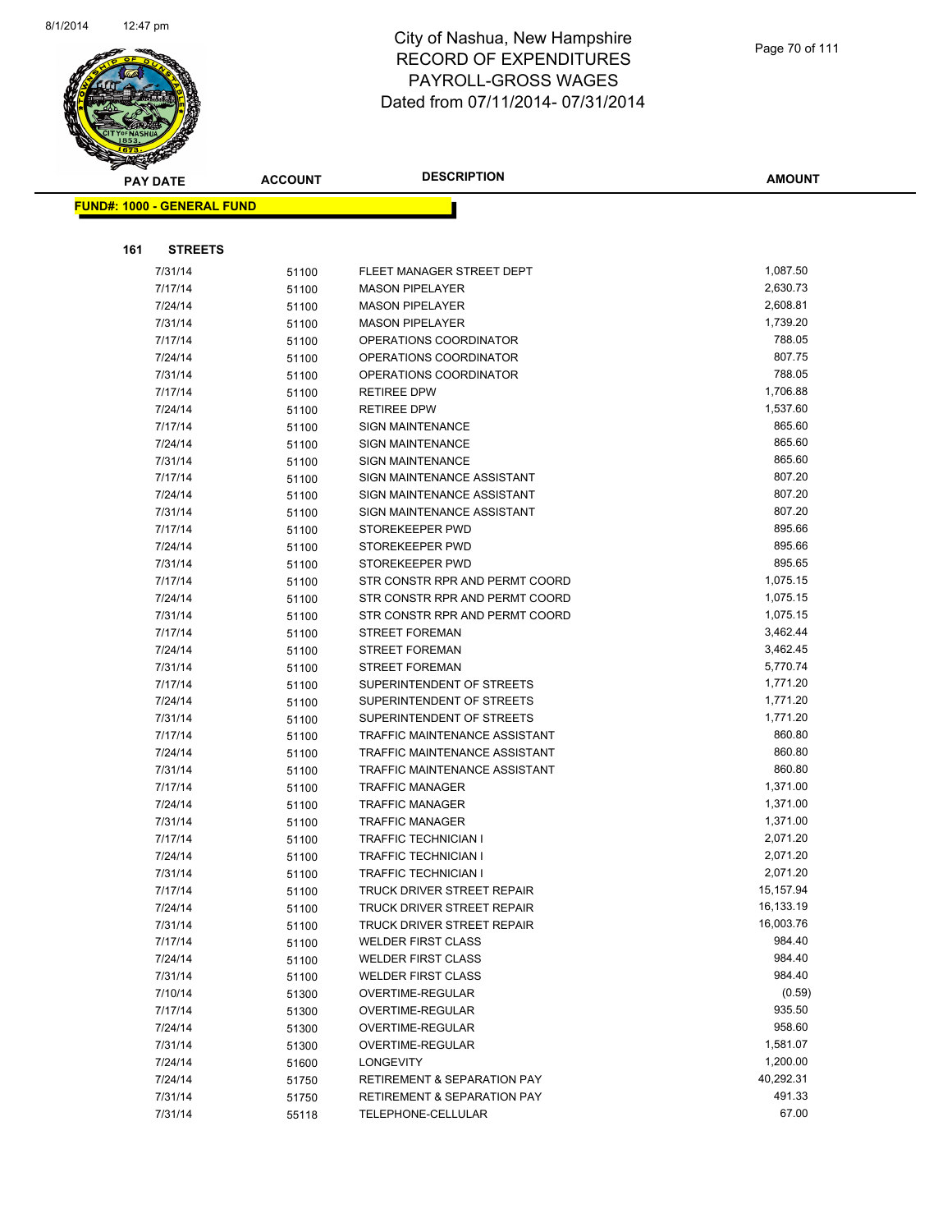

| <b>PAY DATE</b>                   | <b>ACCOUNT</b> | <b>DESCRIPTION</b>                     | <b>AMOUNT</b> |
|-----------------------------------|----------------|----------------------------------------|---------------|
| <b>FUND#: 1000 - GENERAL FUND</b> |                |                                        |               |
|                                   |                |                                        |               |
|                                   |                |                                        |               |
| 161<br><b>STREETS</b>             |                |                                        |               |
| 7/31/14                           | 51100          | FLEET MANAGER STREET DEPT              | 1,087.50      |
| 7/17/14                           | 51100          | <b>MASON PIPELAYER</b>                 | 2,630.73      |
| 7/24/14                           | 51100          | <b>MASON PIPELAYER</b>                 | 2,608.81      |
| 7/31/14                           | 51100          | <b>MASON PIPELAYER</b>                 | 1,739.20      |
| 7/17/14                           | 51100          | OPERATIONS COORDINATOR                 | 788.05        |
| 7/24/14                           | 51100          | OPERATIONS COORDINATOR                 | 807.75        |
| 7/31/14                           | 51100          | OPERATIONS COORDINATOR                 | 788.05        |
| 7/17/14                           | 51100          | <b>RETIREE DPW</b>                     | 1,706.88      |
| 7/24/14                           | 51100          | <b>RETIREE DPW</b>                     | 1,537.60      |
| 7/17/14                           | 51100          | <b>SIGN MAINTENANCE</b>                | 865.60        |
| 7/24/14                           | 51100          | <b>SIGN MAINTENANCE</b>                | 865.60        |
| 7/31/14                           | 51100          | <b>SIGN MAINTENANCE</b>                | 865.60        |
| 7/17/14                           | 51100          | SIGN MAINTENANCE ASSISTANT             | 807.20        |
| 7/24/14                           | 51100          | SIGN MAINTENANCE ASSISTANT             | 807.20        |
| 7/31/14                           | 51100          | SIGN MAINTENANCE ASSISTANT             | 807.20        |
| 7/17/14                           | 51100          | STOREKEEPER PWD                        | 895.66        |
| 7/24/14                           | 51100          | STOREKEEPER PWD                        | 895.66        |
| 7/31/14                           | 51100          | STOREKEEPER PWD                        | 895.65        |
| 7/17/14                           | 51100          | STR CONSTR RPR AND PERMT COORD         | 1,075.15      |
| 7/24/14                           | 51100          | STR CONSTR RPR AND PERMT COORD         | 1,075.15      |
| 7/31/14                           | 51100          | STR CONSTR RPR AND PERMT COORD         | 1,075.15      |
| 7/17/14                           | 51100          | STREET FOREMAN                         | 3,462.44      |
| 7/24/14                           | 51100          | <b>STREET FOREMAN</b>                  | 3,462.45      |
| 7/31/14                           | 51100          | <b>STREET FOREMAN</b>                  | 5,770.74      |
| 7/17/14                           | 51100          | SUPERINTENDENT OF STREETS              | 1,771.20      |
| 7/24/14                           | 51100          | SUPERINTENDENT OF STREETS              | 1,771.20      |
| 7/31/14                           | 51100          | SUPERINTENDENT OF STREETS              | 1,771.20      |
| 7/17/14                           | 51100          | TRAFFIC MAINTENANCE ASSISTANT          | 860.80        |
| 7/24/14                           | 51100          | TRAFFIC MAINTENANCE ASSISTANT          | 860.80        |
| 7/31/14                           | 51100          | TRAFFIC MAINTENANCE ASSISTANT          | 860.80        |
| 7/17/14                           | 51100          | <b>TRAFFIC MANAGER</b>                 | 1,371.00      |
| 7/24/14                           | 51100          | <b>TRAFFIC MANAGER</b>                 | 1,371.00      |
| 7/31/14                           | 51100          | <b>TRAFFIC MANAGER</b>                 | 1,371.00      |
| 7/17/14                           | 51100          | <b>TRAFFIC TECHNICIAN I</b>            | 2,071.20      |
| 7/24/14                           | 51100          | <b>TRAFFIC TECHNICIAN I</b>            | 2,071.20      |
| 7/31/14                           | 51100          | TRAFFIC TECHNICIAN I                   | 2,071.20      |
| 7/17/14                           | 51100          | TRUCK DRIVER STREET REPAIR             | 15,157.94     |
| 7/24/14                           | 51100          | TRUCK DRIVER STREET REPAIR             | 16,133.19     |
| 7/31/14                           | 51100          | TRUCK DRIVER STREET REPAIR             | 16,003.76     |
| 7/17/14                           | 51100          | <b>WELDER FIRST CLASS</b>              | 984.40        |
| 7/24/14                           | 51100          | <b>WELDER FIRST CLASS</b>              | 984.40        |
| 7/31/14                           | 51100          | <b>WELDER FIRST CLASS</b>              | 984.40        |
| 7/10/14                           | 51300          | OVERTIME-REGULAR                       | (0.59)        |
| 7/17/14                           | 51300          | <b>OVERTIME-REGULAR</b>                | 935.50        |
| 7/24/14                           | 51300          | OVERTIME-REGULAR                       | 958.60        |
| 7/31/14                           | 51300          | <b>OVERTIME-REGULAR</b>                | 1,581.07      |
| 7/24/14                           | 51600          | <b>LONGEVITY</b>                       | 1,200.00      |
| 7/24/14                           | 51750          | RETIREMENT & SEPARATION PAY            | 40,292.31     |
| 7/31/14                           | 51750          | <b>RETIREMENT &amp; SEPARATION PAY</b> | 491.33        |
| 7/31/14                           | 55118          | TELEPHONE-CELLULAR                     | 67.00         |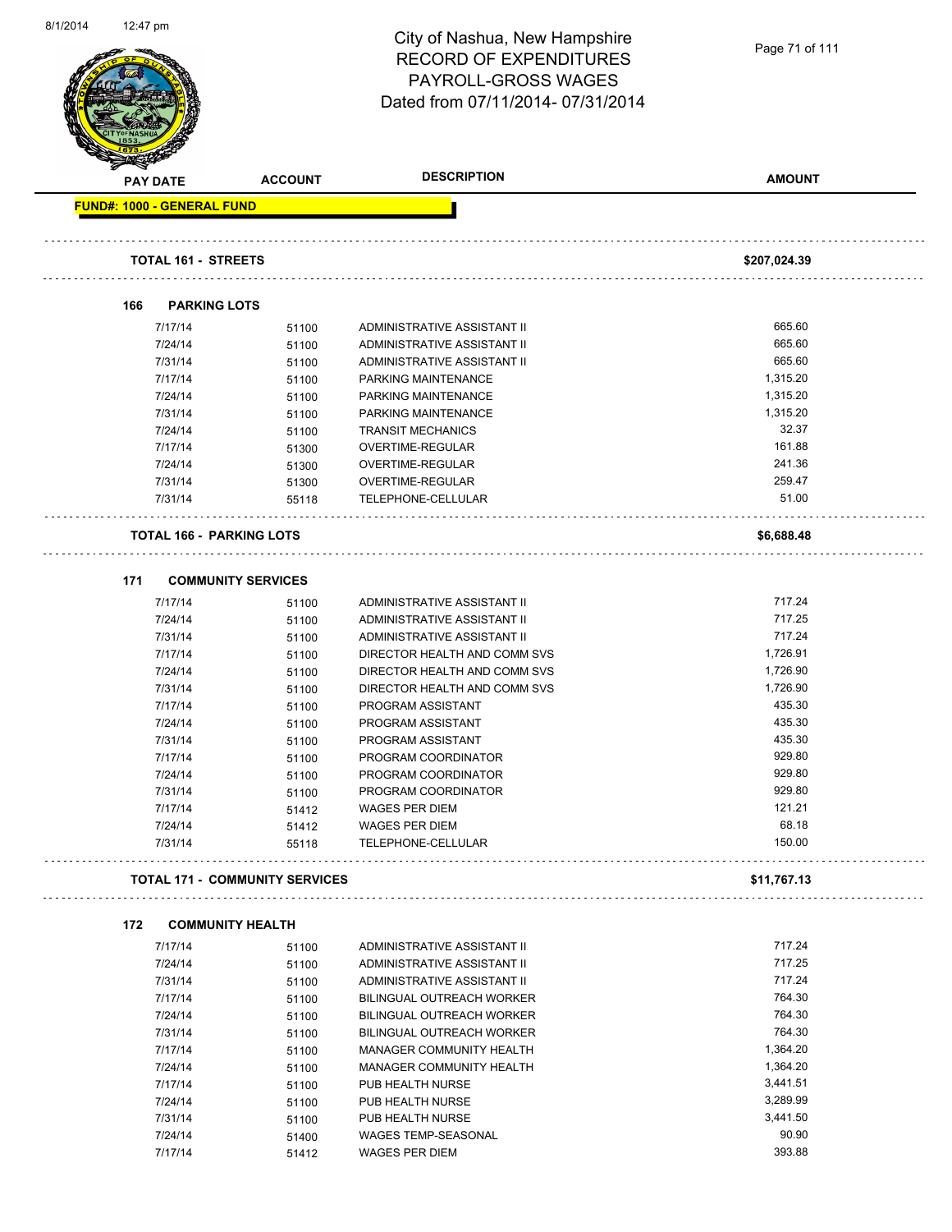Page 71 of 111

|     | <b>PAY DATE</b>                   | <b>ACCOUNT</b>                        | <b>DESCRIPTION</b>           | <b>AMOUNT</b> |
|-----|-----------------------------------|---------------------------------------|------------------------------|---------------|
|     | <b>FUND#: 1000 - GENERAL FUND</b> |                                       |                              |               |
|     | <b>TOTAL 161 - STREETS</b>        |                                       |                              | \$207,024.39  |
|     |                                   |                                       |                              |               |
| 166 | <b>PARKING LOTS</b>               |                                       |                              |               |
|     | 7/17/14                           | 51100                                 | ADMINISTRATIVE ASSISTANT II  | 665.60        |
|     | 7/24/14                           | 51100                                 | ADMINISTRATIVE ASSISTANT II  | 665.60        |
|     | 7/31/14                           | 51100                                 | ADMINISTRATIVE ASSISTANT II  | 665.60        |
|     | 7/17/14                           | 51100                                 | PARKING MAINTENANCE          | 1,315.20      |
|     | 7/24/14                           | 51100                                 | PARKING MAINTENANCE          | 1,315.20      |
|     | 7/31/14                           | 51100                                 | PARKING MAINTENANCE          | 1,315.20      |
|     | 7/24/14                           | 51100                                 | <b>TRANSIT MECHANICS</b>     | 32.37         |
|     | 7/17/14                           | 51300                                 | <b>OVERTIME-REGULAR</b>      | 161.88        |
|     | 7/24/14                           | 51300                                 | OVERTIME-REGULAR             | 241.36        |
|     | 7/31/14                           | 51300                                 | OVERTIME-REGULAR             | 259.47        |
|     | 7/31/14                           | 55118                                 | TELEPHONE-CELLULAR           | 51.00         |
|     | <b>TOTAL 166 - PARKING LOTS</b>   |                                       |                              | \$6,688.48    |
| 171 |                                   | <b>COMMUNITY SERVICES</b>             |                              |               |
|     | 7/17/14                           | 51100                                 | ADMINISTRATIVE ASSISTANT II  | 717.24        |
|     | 7/24/14                           | 51100                                 | ADMINISTRATIVE ASSISTANT II  | 717.25        |
|     | 7/31/14                           | 51100                                 | ADMINISTRATIVE ASSISTANT II  | 717.24        |
|     | 7/17/14                           | 51100                                 | DIRECTOR HEALTH AND COMM SVS | 1,726.91      |
|     | 7/24/14                           | 51100                                 | DIRECTOR HEALTH AND COMM SVS | 1,726.90      |
|     | 7/31/14                           | 51100                                 | DIRECTOR HEALTH AND COMM SVS | 1,726.90      |
|     | 7/17/14                           | 51100                                 | PROGRAM ASSISTANT            | 435.30        |
|     | 7/24/14                           | 51100                                 | PROGRAM ASSISTANT            | 435.30        |
|     | 7/31/14                           | 51100                                 | PROGRAM ASSISTANT            | 435.30        |
|     | 7/17/14                           | 51100                                 | PROGRAM COORDINATOR          | 929.80        |
|     | 7/24/14                           | 51100                                 | PROGRAM COORDINATOR          | 929.80        |
|     | 7/31/14                           | 51100                                 | PROGRAM COORDINATOR          | 929.80        |
|     | 7/17/14                           | 51412                                 | <b>WAGES PER DIEM</b>        | 121.21        |
|     | 7/24/14                           | 51412                                 | WAGES PER DIEM               | 68.18         |
|     | 7/31/14                           | 55118                                 | TELEPHONE-CELLULAR           | 150.00        |
|     |                                   | <b>TOTAL 171 - COMMUNITY SERVICES</b> |                              | \$11,767.13   |
| 172 |                                   | <b>COMMUNITY HEALTH</b>               |                              |               |
|     | 7/17/14                           | 51100                                 | ADMINISTRATIVE ASSISTANT II  | 717.24        |
|     | 7/24/14                           | 51100                                 | ADMINISTRATIVE ASSISTANT II  | 717.25        |
|     | 7/31/14                           | 51100                                 | ADMINISTRATIVE ASSISTANT II  | 717.24        |
|     | 7/17/14                           | 51100                                 | BILINGUAL OUTREACH WORKER    | 764.30        |
|     | 7/24/14                           | 51100                                 | BILINGUAL OUTREACH WORKER    | 764.30        |
|     | 7/31/14                           | 51100                                 | BILINGUAL OUTREACH WORKER    | 764.30        |
|     | 7/17/14                           | 51100                                 | MANAGER COMMUNITY HEALTH     | 1,364.20      |
|     | 7/24/14                           | 51100                                 | MANAGER COMMUNITY HEALTH     | 1,364.20      |
|     | 7/17/14                           | 51100                                 | PUB HEALTH NURSE             | 3,441.51      |
|     | 7/24/14                           | 51100                                 | PUB HEALTH NURSE             | 3,289.99      |
|     | 7/31/14                           | 51100                                 | PUB HEALTH NURSE             | 3,441.50      |
|     | 7/24/14                           | 51400                                 | WAGES TEMP-SEASONAL          | 90.90         |
|     |                                   |                                       |                              | 393.88        |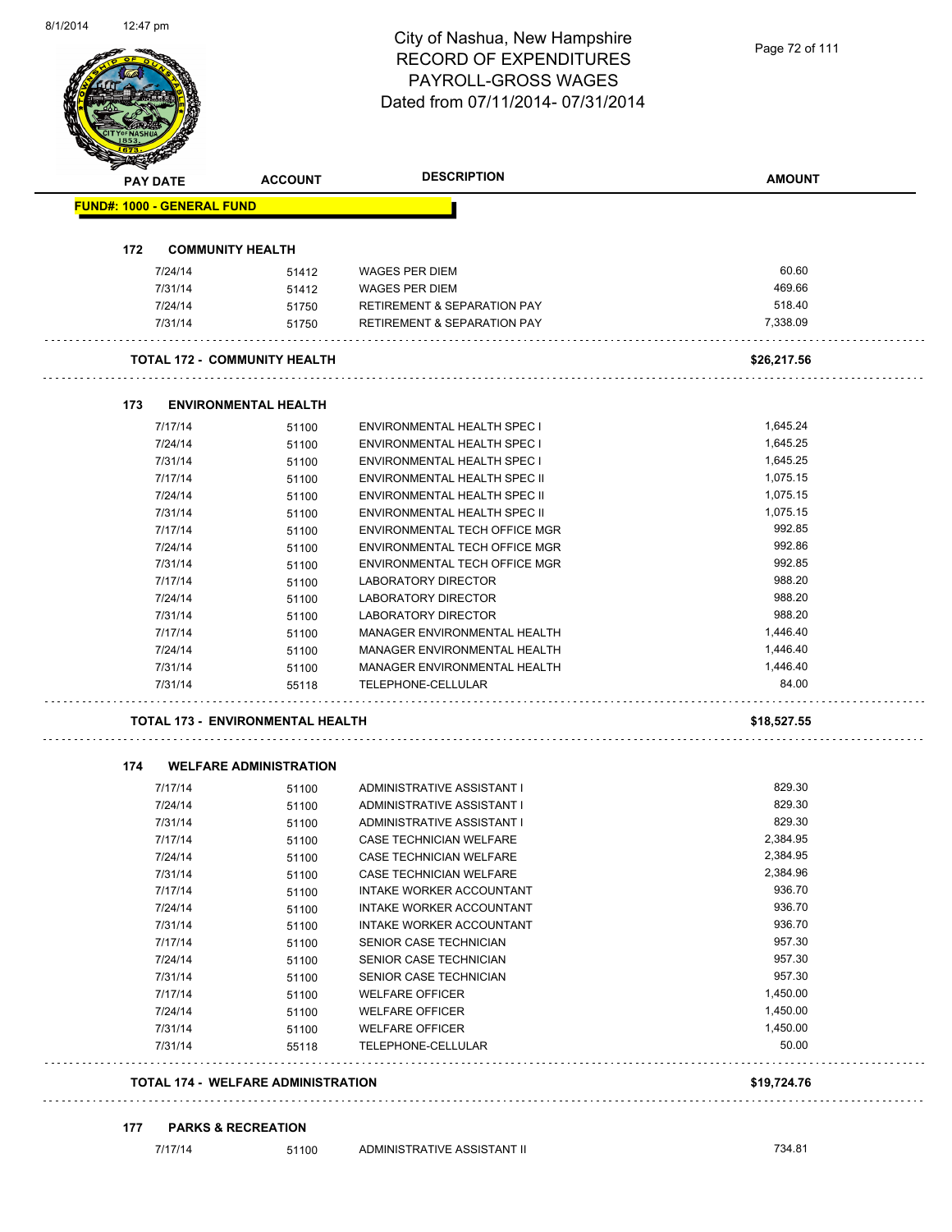| 01 1120 14 | 12.47 pm |                    |                                           | City of Nashua, New Hampshire                                                    | Page 72 of 111       |
|------------|----------|--------------------|-------------------------------------------|----------------------------------------------------------------------------------|----------------------|
|            |          |                    |                                           | <b>RECORD OF EXPENDITURES</b>                                                    |                      |
|            |          |                    |                                           | PAYROLL-GROSS WAGES                                                              |                      |
|            |          |                    |                                           | Dated from 07/11/2014-07/31/2014                                                 |                      |
|            |          |                    |                                           |                                                                                  |                      |
|            |          |                    |                                           |                                                                                  |                      |
|            |          |                    |                                           |                                                                                  |                      |
|            |          | <b>PAY DATE</b>    | <b>ACCOUNT</b>                            | <b>DESCRIPTION</b>                                                               | <b>AMOUNT</b>        |
|            |          |                    | <b>FUND#: 1000 - GENERAL FUND</b>         |                                                                                  |                      |
|            | 172      |                    | <b>COMMUNITY HEALTH</b>                   |                                                                                  |                      |
|            |          |                    |                                           |                                                                                  |                      |
|            |          | 7/24/14            | 51412                                     | <b>WAGES PER DIEM</b>                                                            | 60.60                |
|            |          | 7/31/14            | 51412                                     | <b>WAGES PER DIEM</b>                                                            | 469.66               |
|            |          | 7/24/14<br>7/31/14 | 51750                                     | <b>RETIREMENT &amp; SEPARATION PAY</b><br><b>RETIREMENT &amp; SEPARATION PAY</b> | 518.40<br>7,338.09   |
|            |          |                    | 51750                                     |                                                                                  |                      |
|            |          |                    | <b>TOTAL 172 - COMMUNITY HEALTH</b>       |                                                                                  | \$26,217.56          |
|            |          |                    |                                           |                                                                                  |                      |
|            | 173      |                    | <b>ENVIRONMENTAL HEALTH</b>               |                                                                                  | 1,645.24             |
|            |          | 7/17/14<br>7/24/14 | 51100                                     | ENVIRONMENTAL HEALTH SPEC I                                                      | 1,645.25             |
|            |          | 7/31/14            | 51100<br>51100                            | ENVIRONMENTAL HEALTH SPEC I<br><b>ENVIRONMENTAL HEALTH SPEC I</b>                | 1,645.25             |
|            |          | 7/17/14            | 51100                                     | <b>ENVIRONMENTAL HEALTH SPEC II</b>                                              | 1,075.15             |
|            |          | 7/24/14            | 51100                                     | ENVIRONMENTAL HEALTH SPEC II                                                     | 1,075.15             |
|            |          | 7/31/14            | 51100                                     | ENVIRONMENTAL HEALTH SPEC II                                                     | 1,075.15             |
|            |          | 7/17/14            | 51100                                     | ENVIRONMENTAL TECH OFFICE MGR                                                    | 992.85               |
|            |          | 7/24/14            | 51100                                     | ENVIRONMENTAL TECH OFFICE MGR                                                    | 992.86               |
|            |          | 7/31/14            | 51100                                     | ENVIRONMENTAL TECH OFFICE MGR                                                    | 992.85               |
|            |          | 7/17/14            | 51100                                     | LABORATORY DIRECTOR                                                              | 988.20               |
|            |          | 7/24/14            | 51100                                     | LABORATORY DIRECTOR                                                              | 988.20               |
|            |          | 7/31/14            | 51100                                     | LABORATORY DIRECTOR                                                              | 988.20               |
|            |          | 7/17/14            | 51100                                     | MANAGER ENVIRONMENTAL HEALTH                                                     | 1,446.40             |
|            |          | 7/24/14            | 51100                                     | MANAGER ENVIRONMENTAL HEALTH                                                     | 1,446.40             |
|            |          | 7/31/14            | 51100                                     | MANAGER ENVIRONMENTAL HEALTH                                                     | 1,446.40             |
|            |          | 7/31/14            | 55118                                     | TELEPHONE-CELLULAR                                                               | 84.00                |
|            |          |                    | TOTAL 173 - ENVIRONMENTAL HEALTH          |                                                                                  | \$18,527.55          |
|            |          |                    |                                           |                                                                                  |                      |
|            | 174      |                    | <b>WELFARE ADMINISTRATION</b>             |                                                                                  |                      |
|            |          | 7/17/14            | 51100                                     | ADMINISTRATIVE ASSISTANT I                                                       | 829.30               |
|            |          | 7/24/14            | 51100                                     | ADMINISTRATIVE ASSISTANT I                                                       | 829.30               |
|            |          | 7/31/14            | 51100                                     | ADMINISTRATIVE ASSISTANT I                                                       | 829.30               |
|            |          | 7/17/14            | 51100                                     | CASE TECHNICIAN WELFARE                                                          | 2,384.95<br>2,384.95 |
|            |          | 7/24/14<br>7/31/14 | 51100                                     | CASE TECHNICIAN WELFARE<br>CASE TECHNICIAN WELFARE                               | 2,384.96             |
|            |          | 7/17/14            | 51100                                     |                                                                                  | 936.70               |
|            |          | 7/24/14            | 51100<br>51100                            | INTAKE WORKER ACCOUNTANT<br>INTAKE WORKER ACCOUNTANT                             | 936.70               |
|            |          | 7/31/14            | 51100                                     | <b>INTAKE WORKER ACCOUNTANT</b>                                                  | 936.70               |
|            |          | 7/17/14            | 51100                                     | SENIOR CASE TECHNICIAN                                                           | 957.30               |
|            |          | 7/24/14            | 51100                                     | SENIOR CASE TECHNICIAN                                                           | 957.30               |
|            |          | 7/31/14            | 51100                                     | SENIOR CASE TECHNICIAN                                                           | 957.30               |
|            |          | 7/17/14            | 51100                                     | <b>WELFARE OFFICER</b>                                                           | 1,450.00             |
|            |          | 7/24/14            | 51100                                     | <b>WELFARE OFFICER</b>                                                           | 1,450.00             |
|            |          | 7/31/14            | 51100                                     | <b>WELFARE OFFICER</b>                                                           | 1,450.00             |
|            |          | 7/31/14            | 55118                                     | TELEPHONE-CELLULAR                                                               | 50.00                |
|            |          |                    | <b>TOTAL 174 - WELFARE ADMINISTRATION</b> |                                                                                  | \$19,724.76          |
|            |          |                    |                                           |                                                                                  |                      |
|            | 177      |                    | <b>PARKS &amp; RECREATION</b>             |                                                                                  |                      |
|            |          | 7/17/14            | 51100                                     | ADMINISTRATIVE ASSISTANT II                                                      | 734.81               |

8/1/2014 12:47 pm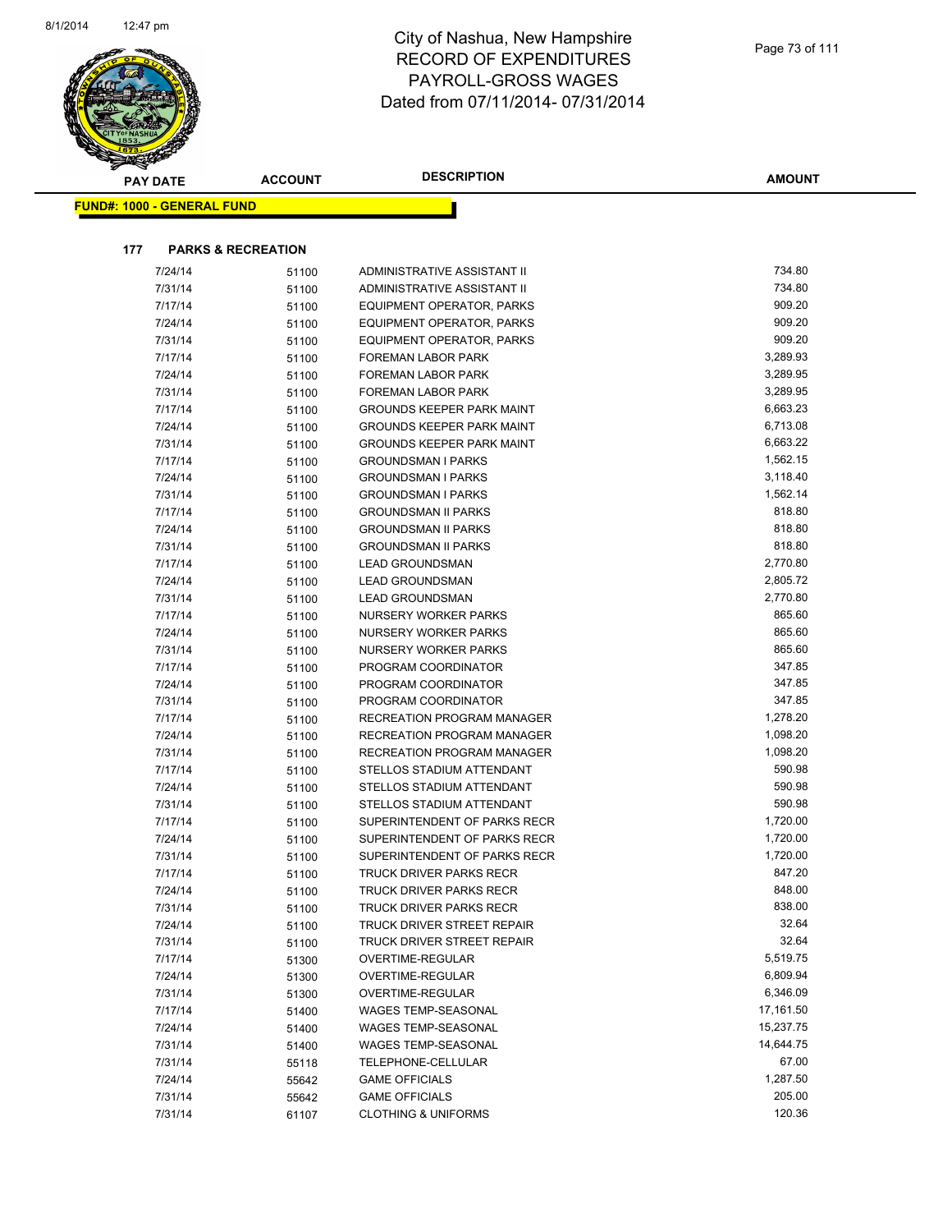

| <b>PAY DATE</b>                   | <b>ACCOUNT</b>                | <b>DESCRIPTION</b>                                     | <b>AMOUNT</b>      |
|-----------------------------------|-------------------------------|--------------------------------------------------------|--------------------|
| <b>FUND#: 1000 - GENERAL FUND</b> |                               |                                                        |                    |
|                                   |                               |                                                        |                    |
| 177                               | <b>PARKS &amp; RECREATION</b> |                                                        |                    |
| 7/24/14                           | 51100                         | ADMINISTRATIVE ASSISTANT II                            | 734.80             |
| 7/31/14                           | 51100                         | ADMINISTRATIVE ASSISTANT II                            | 734.80             |
| 7/17/14                           | 51100                         | EQUIPMENT OPERATOR, PARKS                              | 909.20             |
| 7/24/14                           | 51100                         | EQUIPMENT OPERATOR, PARKS                              | 909.20             |
| 7/31/14                           | 51100                         | <b>EQUIPMENT OPERATOR, PARKS</b>                       | 909.20             |
| 7/17/14                           | 51100                         | <b>FOREMAN LABOR PARK</b>                              | 3,289.93           |
| 7/24/14                           | 51100                         | FOREMAN LABOR PARK                                     | 3,289.95           |
| 7/31/14                           | 51100                         | FOREMAN LABOR PARK                                     | 3,289.95           |
| 7/17/14                           | 51100                         | <b>GROUNDS KEEPER PARK MAINT</b>                       | 6,663.23           |
| 7/24/14                           | 51100                         | <b>GROUNDS KEEPER PARK MAINT</b>                       | 6,713.08           |
| 7/31/14                           | 51100                         | <b>GROUNDS KEEPER PARK MAINT</b>                       | 6,663.22           |
| 7/17/14                           | 51100                         | <b>GROUNDSMAN I PARKS</b>                              | 1,562.15           |
| 7/24/14                           | 51100                         | <b>GROUNDSMAN I PARKS</b>                              | 3,118.40           |
| 7/31/14                           | 51100                         | <b>GROUNDSMAN I PARKS</b>                              | 1,562.14           |
| 7/17/14                           | 51100                         | <b>GROUNDSMAN II PARKS</b>                             | 818.80             |
| 7/24/14                           | 51100                         | <b>GROUNDSMAN II PARKS</b>                             | 818.80             |
| 7/31/14                           | 51100                         | <b>GROUNDSMAN II PARKS</b>                             | 818.80             |
| 7/17/14                           | 51100                         | <b>LEAD GROUNDSMAN</b>                                 | 2,770.80           |
| 7/24/14                           | 51100                         | <b>LEAD GROUNDSMAN</b>                                 | 2,805.72           |
| 7/31/14                           | 51100                         | <b>LEAD GROUNDSMAN</b>                                 | 2,770.80           |
| 7/17/14                           | 51100                         | NURSERY WORKER PARKS                                   | 865.60             |
| 7/24/14                           | 51100                         | NURSERY WORKER PARKS                                   | 865.60             |
| 7/31/14                           | 51100                         | NURSERY WORKER PARKS                                   | 865.60             |
| 7/17/14                           | 51100                         | PROGRAM COORDINATOR                                    | 347.85             |
| 7/24/14                           | 51100                         | PROGRAM COORDINATOR                                    | 347.85             |
| 7/31/14                           | 51100                         | PROGRAM COORDINATOR                                    | 347.85             |
| 7/17/14                           | 51100                         | RECREATION PROGRAM MANAGER                             | 1,278.20           |
| 7/24/14                           | 51100                         | RECREATION PROGRAM MANAGER                             | 1,098.20           |
| 7/31/14                           | 51100                         | RECREATION PROGRAM MANAGER                             | 1,098.20<br>590.98 |
| 7/17/14                           | 51100                         | STELLOS STADIUM ATTENDANT                              | 590.98             |
| 7/24/14<br>7/31/14                | 51100                         | STELLOS STADIUM ATTENDANT<br>STELLOS STADIUM ATTENDANT | 590.98             |
| 7/17/14                           | 51100<br>51100                | SUPERINTENDENT OF PARKS RECR                           | 1,720.00           |
| 7/24/14                           | 51100                         | SUPERINTENDENT OF PARKS RECR                           | 1,720.00           |
| 7/31/14                           | 51100                         | SUPERINTENDENT OF PARKS RECR                           | 1,720.00           |
| 7/17/14                           | 51100                         | TRUCK DRIVER PARKS RECR                                | 847.20             |
| 7/24/14                           | 51100                         | TRUCK DRIVER PARKS RECR                                | 848.00             |
| 7/31/14                           | 51100                         | TRUCK DRIVER PARKS RECR                                | 838.00             |
| 7/24/14                           | 51100                         | TRUCK DRIVER STREET REPAIR                             | 32.64              |
| 7/31/14                           | 51100                         | TRUCK DRIVER STREET REPAIR                             | 32.64              |
| 7/17/14                           | 51300                         | OVERTIME-REGULAR                                       | 5,519.75           |
| 7/24/14                           | 51300                         | OVERTIME-REGULAR                                       | 6,809.94           |
| 7/31/14                           | 51300                         | OVERTIME-REGULAR                                       | 6,346.09           |
| 7/17/14                           | 51400                         | <b>WAGES TEMP-SEASONAL</b>                             | 17,161.50          |
| 7/24/14                           | 51400                         | <b>WAGES TEMP-SEASONAL</b>                             | 15,237.75          |
| 7/31/14                           | 51400                         | WAGES TEMP-SEASONAL                                    | 14,644.75          |
| 7/31/14                           | 55118                         | TELEPHONE-CELLULAR                                     | 67.00              |
| 7/24/14                           | 55642                         | <b>GAME OFFICIALS</b>                                  | 1,287.50           |
| 7/31/14                           | 55642                         | <b>GAME OFFICIALS</b>                                  | 205.00             |
| 7/31/14                           | 61107                         | <b>CLOTHING &amp; UNIFORMS</b>                         | 120.36             |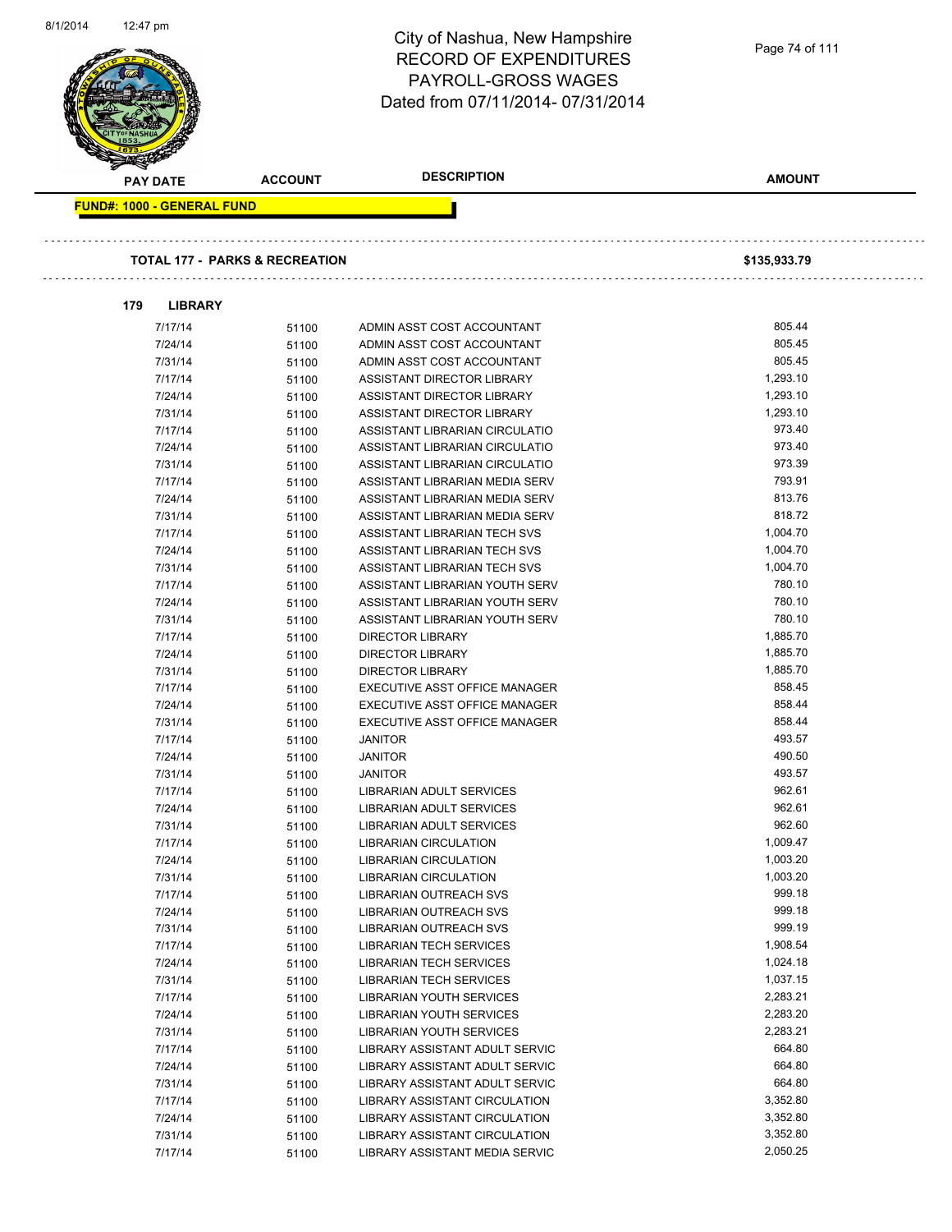| <b>RECORD OF EXPENDITURES</b><br>PAYROLL-GROSS WAGES<br>Dated from 07/11/2014-07/31/2014<br><b>DESCRIPTION</b><br><b>AMOUNT</b><br><b>ACCOUNT</b><br><b>PAY DATE</b><br><b>FUND#: 1000 - GENERAL FUND</b><br><b>TOTAL 177 - PARKS &amp; RECREATION</b><br>\$135,933.79<br>179<br><b>LIBRARY</b><br>805.44<br>7/17/14<br>ADMIN ASST COST ACCOUNTANT<br>51100<br>805.45<br>7/24/14<br>51100<br>ADMIN ASST COST ACCOUNTANT<br>805.45<br>7/31/14<br>ADMIN ASST COST ACCOUNTANT<br>51100<br>1,293.10<br>7/17/14<br>51100<br>ASSISTANT DIRECTOR LIBRARY<br>1,293.10<br>7/24/14<br>ASSISTANT DIRECTOR LIBRARY<br>51100<br>7/31/14<br>1,293.10<br>ASSISTANT DIRECTOR LIBRARY<br>51100<br>973.40<br>7/17/14<br>ASSISTANT LIBRARIAN CIRCULATIO<br>51100<br>973.40<br>7/24/14<br>ASSISTANT LIBRARIAN CIRCULATIO<br>51100<br>973.39<br>7/31/14<br>ASSISTANT LIBRARIAN CIRCULATIO<br>51100<br>793.91<br>7/17/14<br>ASSISTANT LIBRARIAN MEDIA SERV<br>51100<br>813.76<br>7/24/14<br>51100<br>ASSISTANT LIBRARIAN MEDIA SERV<br>818.72<br>7/31/14<br>ASSISTANT LIBRARIAN MEDIA SERV<br>51100<br>1,004.70<br>7/17/14<br>51100<br>ASSISTANT LIBRARIAN TECH SVS<br>7/24/14<br>1,004.70<br>ASSISTANT LIBRARIAN TECH SVS<br>51100<br>1,004.70<br>7/31/14<br>51100<br>ASSISTANT LIBRARIAN TECH SVS<br>780.10<br>7/17/14<br>ASSISTANT LIBRARIAN YOUTH SERV<br>51100<br>780.10<br>7/24/14<br>ASSISTANT LIBRARIAN YOUTH SERV<br>51100<br>780.10<br>7/31/14<br>ASSISTANT LIBRARIAN YOUTH SERV<br>51100<br>1,885.70<br>7/17/14<br>51100<br><b>DIRECTOR LIBRARY</b><br>1,885.70<br>7/24/14<br><b>DIRECTOR LIBRARY</b><br>51100<br>1,885.70<br>7/31/14<br><b>DIRECTOR LIBRARY</b><br>51100<br>858.45<br>7/17/14<br>EXECUTIVE ASST OFFICE MANAGER<br>51100<br>858.44<br>EXECUTIVE ASST OFFICE MANAGER<br>7/24/14<br>51100<br>858.44<br>7/31/14<br>51100<br>EXECUTIVE ASST OFFICE MANAGER<br>493.57<br>7/17/14<br><b>JANITOR</b><br>51100<br>490.50<br>7/24/14<br>51100<br><b>JANITOR</b><br>493.57<br>7/31/14<br><b>JANITOR</b><br>51100<br>962.61<br>7/17/14<br>51100<br>LIBRARIAN ADULT SERVICES<br>962.61<br>7/24/14<br><b>LIBRARIAN ADULT SERVICES</b><br>51100<br>962.60<br>7/31/14<br>51100<br>LIBRARIAN ADULT SERVICES<br>1,009.47<br>7/17/14<br><b>LIBRARIAN CIRCULATION</b><br>51100<br>1,003.20<br>7/24/14<br>51100<br>LIBRARIAN CIRCULATION<br>1,003.20<br>7/31/14<br>LIBRARIAN CIRCULATION<br>51100<br>999.18<br>7/17/14<br>51100<br>LIBRARIAN OUTREACH SVS<br>999.18<br>7/24/14<br>LIBRARIAN OUTREACH SVS<br>51100<br>999.19<br>7/31/14<br>LIBRARIAN OUTREACH SVS<br>51100<br>1,908.54<br>7/17/14<br><b>LIBRARIAN TECH SERVICES</b><br>51100<br>1,024.18<br>7/24/14<br><b>LIBRARIAN TECH SERVICES</b><br>51100<br>1,037.15<br>7/31/14<br>51100<br><b>LIBRARIAN TECH SERVICES</b><br>2,283.21<br>7/17/14<br>LIBRARIAN YOUTH SERVICES<br>51100<br>2,283.20<br>7/24/14<br>51100<br>LIBRARIAN YOUTH SERVICES<br>7/31/14<br>2,283.21<br>LIBRARIAN YOUTH SERVICES<br>51100<br>664.80<br>7/17/14<br>51100<br>LIBRARY ASSISTANT ADULT SERVIC<br>664.80<br>7/24/14<br>LIBRARY ASSISTANT ADULT SERVIC<br>51100<br>664.80<br>7/31/14<br>51100<br>LIBRARY ASSISTANT ADULT SERVIC<br>3,352.80<br>7/17/14<br>LIBRARY ASSISTANT CIRCULATION<br>51100<br>3,352.80<br>7/24/14<br>51100<br>LIBRARY ASSISTANT CIRCULATION<br>3,352.80<br>7/31/14<br>LIBRARY ASSISTANT CIRCULATION<br>51100<br>2,050.25<br>7/17/14<br>51100<br>LIBRARY ASSISTANT MEDIA SERVIC | 8/1/2014 | 12.47 pm | City of Nashua, New Hampshire |                |
|---------------------------------------------------------------------------------------------------------------------------------------------------------------------------------------------------------------------------------------------------------------------------------------------------------------------------------------------------------------------------------------------------------------------------------------------------------------------------------------------------------------------------------------------------------------------------------------------------------------------------------------------------------------------------------------------------------------------------------------------------------------------------------------------------------------------------------------------------------------------------------------------------------------------------------------------------------------------------------------------------------------------------------------------------------------------------------------------------------------------------------------------------------------------------------------------------------------------------------------------------------------------------------------------------------------------------------------------------------------------------------------------------------------------------------------------------------------------------------------------------------------------------------------------------------------------------------------------------------------------------------------------------------------------------------------------------------------------------------------------------------------------------------------------------------------------------------------------------------------------------------------------------------------------------------------------------------------------------------------------------------------------------------------------------------------------------------------------------------------------------------------------------------------------------------------------------------------------------------------------------------------------------------------------------------------------------------------------------------------------------------------------------------------------------------------------------------------------------------------------------------------------------------------------------------------------------------------------------------------------------------------------------------------------------------------------------------------------------------------------------------------------------------------------------------------------------------------------------------------------------------------------------------------------------------------------------------------------------------------------------------------------------------------------------------------------------------------------------------------------------------------------------------------------------------------------------------------------------------------------------------------------------------------------------------------------------------------------------------------------------------------------------------------------------|----------|----------|-------------------------------|----------------|
|                                                                                                                                                                                                                                                                                                                                                                                                                                                                                                                                                                                                                                                                                                                                                                                                                                                                                                                                                                                                                                                                                                                                                                                                                                                                                                                                                                                                                                                                                                                                                                                                                                                                                                                                                                                                                                                                                                                                                                                                                                                                                                                                                                                                                                                                                                                                                                                                                                                                                                                                                                                                                                                                                                                                                                                                                                                                                                                                                                                                                                                                                                                                                                                                                                                                                                                                                                                                                           |          |          |                               | Page 74 of 111 |
|                                                                                                                                                                                                                                                                                                                                                                                                                                                                                                                                                                                                                                                                                                                                                                                                                                                                                                                                                                                                                                                                                                                                                                                                                                                                                                                                                                                                                                                                                                                                                                                                                                                                                                                                                                                                                                                                                                                                                                                                                                                                                                                                                                                                                                                                                                                                                                                                                                                                                                                                                                                                                                                                                                                                                                                                                                                                                                                                                                                                                                                                                                                                                                                                                                                                                                                                                                                                                           |          |          |                               |                |
|                                                                                                                                                                                                                                                                                                                                                                                                                                                                                                                                                                                                                                                                                                                                                                                                                                                                                                                                                                                                                                                                                                                                                                                                                                                                                                                                                                                                                                                                                                                                                                                                                                                                                                                                                                                                                                                                                                                                                                                                                                                                                                                                                                                                                                                                                                                                                                                                                                                                                                                                                                                                                                                                                                                                                                                                                                                                                                                                                                                                                                                                                                                                                                                                                                                                                                                                                                                                                           |          |          |                               |                |
|                                                                                                                                                                                                                                                                                                                                                                                                                                                                                                                                                                                                                                                                                                                                                                                                                                                                                                                                                                                                                                                                                                                                                                                                                                                                                                                                                                                                                                                                                                                                                                                                                                                                                                                                                                                                                                                                                                                                                                                                                                                                                                                                                                                                                                                                                                                                                                                                                                                                                                                                                                                                                                                                                                                                                                                                                                                                                                                                                                                                                                                                                                                                                                                                                                                                                                                                                                                                                           |          |          |                               |                |
|                                                                                                                                                                                                                                                                                                                                                                                                                                                                                                                                                                                                                                                                                                                                                                                                                                                                                                                                                                                                                                                                                                                                                                                                                                                                                                                                                                                                                                                                                                                                                                                                                                                                                                                                                                                                                                                                                                                                                                                                                                                                                                                                                                                                                                                                                                                                                                                                                                                                                                                                                                                                                                                                                                                                                                                                                                                                                                                                                                                                                                                                                                                                                                                                                                                                                                                                                                                                                           |          |          |                               |                |
|                                                                                                                                                                                                                                                                                                                                                                                                                                                                                                                                                                                                                                                                                                                                                                                                                                                                                                                                                                                                                                                                                                                                                                                                                                                                                                                                                                                                                                                                                                                                                                                                                                                                                                                                                                                                                                                                                                                                                                                                                                                                                                                                                                                                                                                                                                                                                                                                                                                                                                                                                                                                                                                                                                                                                                                                                                                                                                                                                                                                                                                                                                                                                                                                                                                                                                                                                                                                                           |          |          |                               |                |
|                                                                                                                                                                                                                                                                                                                                                                                                                                                                                                                                                                                                                                                                                                                                                                                                                                                                                                                                                                                                                                                                                                                                                                                                                                                                                                                                                                                                                                                                                                                                                                                                                                                                                                                                                                                                                                                                                                                                                                                                                                                                                                                                                                                                                                                                                                                                                                                                                                                                                                                                                                                                                                                                                                                                                                                                                                                                                                                                                                                                                                                                                                                                                                                                                                                                                                                                                                                                                           |          |          |                               |                |
|                                                                                                                                                                                                                                                                                                                                                                                                                                                                                                                                                                                                                                                                                                                                                                                                                                                                                                                                                                                                                                                                                                                                                                                                                                                                                                                                                                                                                                                                                                                                                                                                                                                                                                                                                                                                                                                                                                                                                                                                                                                                                                                                                                                                                                                                                                                                                                                                                                                                                                                                                                                                                                                                                                                                                                                                                                                                                                                                                                                                                                                                                                                                                                                                                                                                                                                                                                                                                           |          |          |                               |                |
|                                                                                                                                                                                                                                                                                                                                                                                                                                                                                                                                                                                                                                                                                                                                                                                                                                                                                                                                                                                                                                                                                                                                                                                                                                                                                                                                                                                                                                                                                                                                                                                                                                                                                                                                                                                                                                                                                                                                                                                                                                                                                                                                                                                                                                                                                                                                                                                                                                                                                                                                                                                                                                                                                                                                                                                                                                                                                                                                                                                                                                                                                                                                                                                                                                                                                                                                                                                                                           |          |          |                               |                |
|                                                                                                                                                                                                                                                                                                                                                                                                                                                                                                                                                                                                                                                                                                                                                                                                                                                                                                                                                                                                                                                                                                                                                                                                                                                                                                                                                                                                                                                                                                                                                                                                                                                                                                                                                                                                                                                                                                                                                                                                                                                                                                                                                                                                                                                                                                                                                                                                                                                                                                                                                                                                                                                                                                                                                                                                                                                                                                                                                                                                                                                                                                                                                                                                                                                                                                                                                                                                                           |          |          |                               |                |
|                                                                                                                                                                                                                                                                                                                                                                                                                                                                                                                                                                                                                                                                                                                                                                                                                                                                                                                                                                                                                                                                                                                                                                                                                                                                                                                                                                                                                                                                                                                                                                                                                                                                                                                                                                                                                                                                                                                                                                                                                                                                                                                                                                                                                                                                                                                                                                                                                                                                                                                                                                                                                                                                                                                                                                                                                                                                                                                                                                                                                                                                                                                                                                                                                                                                                                                                                                                                                           |          |          |                               |                |
|                                                                                                                                                                                                                                                                                                                                                                                                                                                                                                                                                                                                                                                                                                                                                                                                                                                                                                                                                                                                                                                                                                                                                                                                                                                                                                                                                                                                                                                                                                                                                                                                                                                                                                                                                                                                                                                                                                                                                                                                                                                                                                                                                                                                                                                                                                                                                                                                                                                                                                                                                                                                                                                                                                                                                                                                                                                                                                                                                                                                                                                                                                                                                                                                                                                                                                                                                                                                                           |          |          |                               |                |
|                                                                                                                                                                                                                                                                                                                                                                                                                                                                                                                                                                                                                                                                                                                                                                                                                                                                                                                                                                                                                                                                                                                                                                                                                                                                                                                                                                                                                                                                                                                                                                                                                                                                                                                                                                                                                                                                                                                                                                                                                                                                                                                                                                                                                                                                                                                                                                                                                                                                                                                                                                                                                                                                                                                                                                                                                                                                                                                                                                                                                                                                                                                                                                                                                                                                                                                                                                                                                           |          |          |                               |                |
|                                                                                                                                                                                                                                                                                                                                                                                                                                                                                                                                                                                                                                                                                                                                                                                                                                                                                                                                                                                                                                                                                                                                                                                                                                                                                                                                                                                                                                                                                                                                                                                                                                                                                                                                                                                                                                                                                                                                                                                                                                                                                                                                                                                                                                                                                                                                                                                                                                                                                                                                                                                                                                                                                                                                                                                                                                                                                                                                                                                                                                                                                                                                                                                                                                                                                                                                                                                                                           |          |          |                               |                |
|                                                                                                                                                                                                                                                                                                                                                                                                                                                                                                                                                                                                                                                                                                                                                                                                                                                                                                                                                                                                                                                                                                                                                                                                                                                                                                                                                                                                                                                                                                                                                                                                                                                                                                                                                                                                                                                                                                                                                                                                                                                                                                                                                                                                                                                                                                                                                                                                                                                                                                                                                                                                                                                                                                                                                                                                                                                                                                                                                                                                                                                                                                                                                                                                                                                                                                                                                                                                                           |          |          |                               |                |
|                                                                                                                                                                                                                                                                                                                                                                                                                                                                                                                                                                                                                                                                                                                                                                                                                                                                                                                                                                                                                                                                                                                                                                                                                                                                                                                                                                                                                                                                                                                                                                                                                                                                                                                                                                                                                                                                                                                                                                                                                                                                                                                                                                                                                                                                                                                                                                                                                                                                                                                                                                                                                                                                                                                                                                                                                                                                                                                                                                                                                                                                                                                                                                                                                                                                                                                                                                                                                           |          |          |                               |                |
|                                                                                                                                                                                                                                                                                                                                                                                                                                                                                                                                                                                                                                                                                                                                                                                                                                                                                                                                                                                                                                                                                                                                                                                                                                                                                                                                                                                                                                                                                                                                                                                                                                                                                                                                                                                                                                                                                                                                                                                                                                                                                                                                                                                                                                                                                                                                                                                                                                                                                                                                                                                                                                                                                                                                                                                                                                                                                                                                                                                                                                                                                                                                                                                                                                                                                                                                                                                                                           |          |          |                               |                |
|                                                                                                                                                                                                                                                                                                                                                                                                                                                                                                                                                                                                                                                                                                                                                                                                                                                                                                                                                                                                                                                                                                                                                                                                                                                                                                                                                                                                                                                                                                                                                                                                                                                                                                                                                                                                                                                                                                                                                                                                                                                                                                                                                                                                                                                                                                                                                                                                                                                                                                                                                                                                                                                                                                                                                                                                                                                                                                                                                                                                                                                                                                                                                                                                                                                                                                                                                                                                                           |          |          |                               |                |
|                                                                                                                                                                                                                                                                                                                                                                                                                                                                                                                                                                                                                                                                                                                                                                                                                                                                                                                                                                                                                                                                                                                                                                                                                                                                                                                                                                                                                                                                                                                                                                                                                                                                                                                                                                                                                                                                                                                                                                                                                                                                                                                                                                                                                                                                                                                                                                                                                                                                                                                                                                                                                                                                                                                                                                                                                                                                                                                                                                                                                                                                                                                                                                                                                                                                                                                                                                                                                           |          |          |                               |                |
|                                                                                                                                                                                                                                                                                                                                                                                                                                                                                                                                                                                                                                                                                                                                                                                                                                                                                                                                                                                                                                                                                                                                                                                                                                                                                                                                                                                                                                                                                                                                                                                                                                                                                                                                                                                                                                                                                                                                                                                                                                                                                                                                                                                                                                                                                                                                                                                                                                                                                                                                                                                                                                                                                                                                                                                                                                                                                                                                                                                                                                                                                                                                                                                                                                                                                                                                                                                                                           |          |          |                               |                |
|                                                                                                                                                                                                                                                                                                                                                                                                                                                                                                                                                                                                                                                                                                                                                                                                                                                                                                                                                                                                                                                                                                                                                                                                                                                                                                                                                                                                                                                                                                                                                                                                                                                                                                                                                                                                                                                                                                                                                                                                                                                                                                                                                                                                                                                                                                                                                                                                                                                                                                                                                                                                                                                                                                                                                                                                                                                                                                                                                                                                                                                                                                                                                                                                                                                                                                                                                                                                                           |          |          |                               |                |
|                                                                                                                                                                                                                                                                                                                                                                                                                                                                                                                                                                                                                                                                                                                                                                                                                                                                                                                                                                                                                                                                                                                                                                                                                                                                                                                                                                                                                                                                                                                                                                                                                                                                                                                                                                                                                                                                                                                                                                                                                                                                                                                                                                                                                                                                                                                                                                                                                                                                                                                                                                                                                                                                                                                                                                                                                                                                                                                                                                                                                                                                                                                                                                                                                                                                                                                                                                                                                           |          |          |                               |                |
|                                                                                                                                                                                                                                                                                                                                                                                                                                                                                                                                                                                                                                                                                                                                                                                                                                                                                                                                                                                                                                                                                                                                                                                                                                                                                                                                                                                                                                                                                                                                                                                                                                                                                                                                                                                                                                                                                                                                                                                                                                                                                                                                                                                                                                                                                                                                                                                                                                                                                                                                                                                                                                                                                                                                                                                                                                                                                                                                                                                                                                                                                                                                                                                                                                                                                                                                                                                                                           |          |          |                               |                |
|                                                                                                                                                                                                                                                                                                                                                                                                                                                                                                                                                                                                                                                                                                                                                                                                                                                                                                                                                                                                                                                                                                                                                                                                                                                                                                                                                                                                                                                                                                                                                                                                                                                                                                                                                                                                                                                                                                                                                                                                                                                                                                                                                                                                                                                                                                                                                                                                                                                                                                                                                                                                                                                                                                                                                                                                                                                                                                                                                                                                                                                                                                                                                                                                                                                                                                                                                                                                                           |          |          |                               |                |
|                                                                                                                                                                                                                                                                                                                                                                                                                                                                                                                                                                                                                                                                                                                                                                                                                                                                                                                                                                                                                                                                                                                                                                                                                                                                                                                                                                                                                                                                                                                                                                                                                                                                                                                                                                                                                                                                                                                                                                                                                                                                                                                                                                                                                                                                                                                                                                                                                                                                                                                                                                                                                                                                                                                                                                                                                                                                                                                                                                                                                                                                                                                                                                                                                                                                                                                                                                                                                           |          |          |                               |                |
|                                                                                                                                                                                                                                                                                                                                                                                                                                                                                                                                                                                                                                                                                                                                                                                                                                                                                                                                                                                                                                                                                                                                                                                                                                                                                                                                                                                                                                                                                                                                                                                                                                                                                                                                                                                                                                                                                                                                                                                                                                                                                                                                                                                                                                                                                                                                                                                                                                                                                                                                                                                                                                                                                                                                                                                                                                                                                                                                                                                                                                                                                                                                                                                                                                                                                                                                                                                                                           |          |          |                               |                |
|                                                                                                                                                                                                                                                                                                                                                                                                                                                                                                                                                                                                                                                                                                                                                                                                                                                                                                                                                                                                                                                                                                                                                                                                                                                                                                                                                                                                                                                                                                                                                                                                                                                                                                                                                                                                                                                                                                                                                                                                                                                                                                                                                                                                                                                                                                                                                                                                                                                                                                                                                                                                                                                                                                                                                                                                                                                                                                                                                                                                                                                                                                                                                                                                                                                                                                                                                                                                                           |          |          |                               |                |
|                                                                                                                                                                                                                                                                                                                                                                                                                                                                                                                                                                                                                                                                                                                                                                                                                                                                                                                                                                                                                                                                                                                                                                                                                                                                                                                                                                                                                                                                                                                                                                                                                                                                                                                                                                                                                                                                                                                                                                                                                                                                                                                                                                                                                                                                                                                                                                                                                                                                                                                                                                                                                                                                                                                                                                                                                                                                                                                                                                                                                                                                                                                                                                                                                                                                                                                                                                                                                           |          |          |                               |                |
|                                                                                                                                                                                                                                                                                                                                                                                                                                                                                                                                                                                                                                                                                                                                                                                                                                                                                                                                                                                                                                                                                                                                                                                                                                                                                                                                                                                                                                                                                                                                                                                                                                                                                                                                                                                                                                                                                                                                                                                                                                                                                                                                                                                                                                                                                                                                                                                                                                                                                                                                                                                                                                                                                                                                                                                                                                                                                                                                                                                                                                                                                                                                                                                                                                                                                                                                                                                                                           |          |          |                               |                |
|                                                                                                                                                                                                                                                                                                                                                                                                                                                                                                                                                                                                                                                                                                                                                                                                                                                                                                                                                                                                                                                                                                                                                                                                                                                                                                                                                                                                                                                                                                                                                                                                                                                                                                                                                                                                                                                                                                                                                                                                                                                                                                                                                                                                                                                                                                                                                                                                                                                                                                                                                                                                                                                                                                                                                                                                                                                                                                                                                                                                                                                                                                                                                                                                                                                                                                                                                                                                                           |          |          |                               |                |
|                                                                                                                                                                                                                                                                                                                                                                                                                                                                                                                                                                                                                                                                                                                                                                                                                                                                                                                                                                                                                                                                                                                                                                                                                                                                                                                                                                                                                                                                                                                                                                                                                                                                                                                                                                                                                                                                                                                                                                                                                                                                                                                                                                                                                                                                                                                                                                                                                                                                                                                                                                                                                                                                                                                                                                                                                                                                                                                                                                                                                                                                                                                                                                                                                                                                                                                                                                                                                           |          |          |                               |                |
|                                                                                                                                                                                                                                                                                                                                                                                                                                                                                                                                                                                                                                                                                                                                                                                                                                                                                                                                                                                                                                                                                                                                                                                                                                                                                                                                                                                                                                                                                                                                                                                                                                                                                                                                                                                                                                                                                                                                                                                                                                                                                                                                                                                                                                                                                                                                                                                                                                                                                                                                                                                                                                                                                                                                                                                                                                                                                                                                                                                                                                                                                                                                                                                                                                                                                                                                                                                                                           |          |          |                               |                |
|                                                                                                                                                                                                                                                                                                                                                                                                                                                                                                                                                                                                                                                                                                                                                                                                                                                                                                                                                                                                                                                                                                                                                                                                                                                                                                                                                                                                                                                                                                                                                                                                                                                                                                                                                                                                                                                                                                                                                                                                                                                                                                                                                                                                                                                                                                                                                                                                                                                                                                                                                                                                                                                                                                                                                                                                                                                                                                                                                                                                                                                                                                                                                                                                                                                                                                                                                                                                                           |          |          |                               |                |
|                                                                                                                                                                                                                                                                                                                                                                                                                                                                                                                                                                                                                                                                                                                                                                                                                                                                                                                                                                                                                                                                                                                                                                                                                                                                                                                                                                                                                                                                                                                                                                                                                                                                                                                                                                                                                                                                                                                                                                                                                                                                                                                                                                                                                                                                                                                                                                                                                                                                                                                                                                                                                                                                                                                                                                                                                                                                                                                                                                                                                                                                                                                                                                                                                                                                                                                                                                                                                           |          |          |                               |                |
|                                                                                                                                                                                                                                                                                                                                                                                                                                                                                                                                                                                                                                                                                                                                                                                                                                                                                                                                                                                                                                                                                                                                                                                                                                                                                                                                                                                                                                                                                                                                                                                                                                                                                                                                                                                                                                                                                                                                                                                                                                                                                                                                                                                                                                                                                                                                                                                                                                                                                                                                                                                                                                                                                                                                                                                                                                                                                                                                                                                                                                                                                                                                                                                                                                                                                                                                                                                                                           |          |          |                               |                |
|                                                                                                                                                                                                                                                                                                                                                                                                                                                                                                                                                                                                                                                                                                                                                                                                                                                                                                                                                                                                                                                                                                                                                                                                                                                                                                                                                                                                                                                                                                                                                                                                                                                                                                                                                                                                                                                                                                                                                                                                                                                                                                                                                                                                                                                                                                                                                                                                                                                                                                                                                                                                                                                                                                                                                                                                                                                                                                                                                                                                                                                                                                                                                                                                                                                                                                                                                                                                                           |          |          |                               |                |
|                                                                                                                                                                                                                                                                                                                                                                                                                                                                                                                                                                                                                                                                                                                                                                                                                                                                                                                                                                                                                                                                                                                                                                                                                                                                                                                                                                                                                                                                                                                                                                                                                                                                                                                                                                                                                                                                                                                                                                                                                                                                                                                                                                                                                                                                                                                                                                                                                                                                                                                                                                                                                                                                                                                                                                                                                                                                                                                                                                                                                                                                                                                                                                                                                                                                                                                                                                                                                           |          |          |                               |                |
|                                                                                                                                                                                                                                                                                                                                                                                                                                                                                                                                                                                                                                                                                                                                                                                                                                                                                                                                                                                                                                                                                                                                                                                                                                                                                                                                                                                                                                                                                                                                                                                                                                                                                                                                                                                                                                                                                                                                                                                                                                                                                                                                                                                                                                                                                                                                                                                                                                                                                                                                                                                                                                                                                                                                                                                                                                                                                                                                                                                                                                                                                                                                                                                                                                                                                                                                                                                                                           |          |          |                               |                |
|                                                                                                                                                                                                                                                                                                                                                                                                                                                                                                                                                                                                                                                                                                                                                                                                                                                                                                                                                                                                                                                                                                                                                                                                                                                                                                                                                                                                                                                                                                                                                                                                                                                                                                                                                                                                                                                                                                                                                                                                                                                                                                                                                                                                                                                                                                                                                                                                                                                                                                                                                                                                                                                                                                                                                                                                                                                                                                                                                                                                                                                                                                                                                                                                                                                                                                                                                                                                                           |          |          |                               |                |
|                                                                                                                                                                                                                                                                                                                                                                                                                                                                                                                                                                                                                                                                                                                                                                                                                                                                                                                                                                                                                                                                                                                                                                                                                                                                                                                                                                                                                                                                                                                                                                                                                                                                                                                                                                                                                                                                                                                                                                                                                                                                                                                                                                                                                                                                                                                                                                                                                                                                                                                                                                                                                                                                                                                                                                                                                                                                                                                                                                                                                                                                                                                                                                                                                                                                                                                                                                                                                           |          |          |                               |                |
|                                                                                                                                                                                                                                                                                                                                                                                                                                                                                                                                                                                                                                                                                                                                                                                                                                                                                                                                                                                                                                                                                                                                                                                                                                                                                                                                                                                                                                                                                                                                                                                                                                                                                                                                                                                                                                                                                                                                                                                                                                                                                                                                                                                                                                                                                                                                                                                                                                                                                                                                                                                                                                                                                                                                                                                                                                                                                                                                                                                                                                                                                                                                                                                                                                                                                                                                                                                                                           |          |          |                               |                |
|                                                                                                                                                                                                                                                                                                                                                                                                                                                                                                                                                                                                                                                                                                                                                                                                                                                                                                                                                                                                                                                                                                                                                                                                                                                                                                                                                                                                                                                                                                                                                                                                                                                                                                                                                                                                                                                                                                                                                                                                                                                                                                                                                                                                                                                                                                                                                                                                                                                                                                                                                                                                                                                                                                                                                                                                                                                                                                                                                                                                                                                                                                                                                                                                                                                                                                                                                                                                                           |          |          |                               |                |
|                                                                                                                                                                                                                                                                                                                                                                                                                                                                                                                                                                                                                                                                                                                                                                                                                                                                                                                                                                                                                                                                                                                                                                                                                                                                                                                                                                                                                                                                                                                                                                                                                                                                                                                                                                                                                                                                                                                                                                                                                                                                                                                                                                                                                                                                                                                                                                                                                                                                                                                                                                                                                                                                                                                                                                                                                                                                                                                                                                                                                                                                                                                                                                                                                                                                                                                                                                                                                           |          |          |                               |                |
|                                                                                                                                                                                                                                                                                                                                                                                                                                                                                                                                                                                                                                                                                                                                                                                                                                                                                                                                                                                                                                                                                                                                                                                                                                                                                                                                                                                                                                                                                                                                                                                                                                                                                                                                                                                                                                                                                                                                                                                                                                                                                                                                                                                                                                                                                                                                                                                                                                                                                                                                                                                                                                                                                                                                                                                                                                                                                                                                                                                                                                                                                                                                                                                                                                                                                                                                                                                                                           |          |          |                               |                |
|                                                                                                                                                                                                                                                                                                                                                                                                                                                                                                                                                                                                                                                                                                                                                                                                                                                                                                                                                                                                                                                                                                                                                                                                                                                                                                                                                                                                                                                                                                                                                                                                                                                                                                                                                                                                                                                                                                                                                                                                                                                                                                                                                                                                                                                                                                                                                                                                                                                                                                                                                                                                                                                                                                                                                                                                                                                                                                                                                                                                                                                                                                                                                                                                                                                                                                                                                                                                                           |          |          |                               |                |
|                                                                                                                                                                                                                                                                                                                                                                                                                                                                                                                                                                                                                                                                                                                                                                                                                                                                                                                                                                                                                                                                                                                                                                                                                                                                                                                                                                                                                                                                                                                                                                                                                                                                                                                                                                                                                                                                                                                                                                                                                                                                                                                                                                                                                                                                                                                                                                                                                                                                                                                                                                                                                                                                                                                                                                                                                                                                                                                                                                                                                                                                                                                                                                                                                                                                                                                                                                                                                           |          |          |                               |                |
|                                                                                                                                                                                                                                                                                                                                                                                                                                                                                                                                                                                                                                                                                                                                                                                                                                                                                                                                                                                                                                                                                                                                                                                                                                                                                                                                                                                                                                                                                                                                                                                                                                                                                                                                                                                                                                                                                                                                                                                                                                                                                                                                                                                                                                                                                                                                                                                                                                                                                                                                                                                                                                                                                                                                                                                                                                                                                                                                                                                                                                                                                                                                                                                                                                                                                                                                                                                                                           |          |          |                               |                |
|                                                                                                                                                                                                                                                                                                                                                                                                                                                                                                                                                                                                                                                                                                                                                                                                                                                                                                                                                                                                                                                                                                                                                                                                                                                                                                                                                                                                                                                                                                                                                                                                                                                                                                                                                                                                                                                                                                                                                                                                                                                                                                                                                                                                                                                                                                                                                                                                                                                                                                                                                                                                                                                                                                                                                                                                                                                                                                                                                                                                                                                                                                                                                                                                                                                                                                                                                                                                                           |          |          |                               |                |
|                                                                                                                                                                                                                                                                                                                                                                                                                                                                                                                                                                                                                                                                                                                                                                                                                                                                                                                                                                                                                                                                                                                                                                                                                                                                                                                                                                                                                                                                                                                                                                                                                                                                                                                                                                                                                                                                                                                                                                                                                                                                                                                                                                                                                                                                                                                                                                                                                                                                                                                                                                                                                                                                                                                                                                                                                                                                                                                                                                                                                                                                                                                                                                                                                                                                                                                                                                                                                           |          |          |                               |                |
|                                                                                                                                                                                                                                                                                                                                                                                                                                                                                                                                                                                                                                                                                                                                                                                                                                                                                                                                                                                                                                                                                                                                                                                                                                                                                                                                                                                                                                                                                                                                                                                                                                                                                                                                                                                                                                                                                                                                                                                                                                                                                                                                                                                                                                                                                                                                                                                                                                                                                                                                                                                                                                                                                                                                                                                                                                                                                                                                                                                                                                                                                                                                                                                                                                                                                                                                                                                                                           |          |          |                               |                |
|                                                                                                                                                                                                                                                                                                                                                                                                                                                                                                                                                                                                                                                                                                                                                                                                                                                                                                                                                                                                                                                                                                                                                                                                                                                                                                                                                                                                                                                                                                                                                                                                                                                                                                                                                                                                                                                                                                                                                                                                                                                                                                                                                                                                                                                                                                                                                                                                                                                                                                                                                                                                                                                                                                                                                                                                                                                                                                                                                                                                                                                                                                                                                                                                                                                                                                                                                                                                                           |          |          |                               |                |
|                                                                                                                                                                                                                                                                                                                                                                                                                                                                                                                                                                                                                                                                                                                                                                                                                                                                                                                                                                                                                                                                                                                                                                                                                                                                                                                                                                                                                                                                                                                                                                                                                                                                                                                                                                                                                                                                                                                                                                                                                                                                                                                                                                                                                                                                                                                                                                                                                                                                                                                                                                                                                                                                                                                                                                                                                                                                                                                                                                                                                                                                                                                                                                                                                                                                                                                                                                                                                           |          |          |                               |                |
|                                                                                                                                                                                                                                                                                                                                                                                                                                                                                                                                                                                                                                                                                                                                                                                                                                                                                                                                                                                                                                                                                                                                                                                                                                                                                                                                                                                                                                                                                                                                                                                                                                                                                                                                                                                                                                                                                                                                                                                                                                                                                                                                                                                                                                                                                                                                                                                                                                                                                                                                                                                                                                                                                                                                                                                                                                                                                                                                                                                                                                                                                                                                                                                                                                                                                                                                                                                                                           |          |          |                               |                |
|                                                                                                                                                                                                                                                                                                                                                                                                                                                                                                                                                                                                                                                                                                                                                                                                                                                                                                                                                                                                                                                                                                                                                                                                                                                                                                                                                                                                                                                                                                                                                                                                                                                                                                                                                                                                                                                                                                                                                                                                                                                                                                                                                                                                                                                                                                                                                                                                                                                                                                                                                                                                                                                                                                                                                                                                                                                                                                                                                                                                                                                                                                                                                                                                                                                                                                                                                                                                                           |          |          |                               |                |
|                                                                                                                                                                                                                                                                                                                                                                                                                                                                                                                                                                                                                                                                                                                                                                                                                                                                                                                                                                                                                                                                                                                                                                                                                                                                                                                                                                                                                                                                                                                                                                                                                                                                                                                                                                                                                                                                                                                                                                                                                                                                                                                                                                                                                                                                                                                                                                                                                                                                                                                                                                                                                                                                                                                                                                                                                                                                                                                                                                                                                                                                                                                                                                                                                                                                                                                                                                                                                           |          |          |                               |                |
|                                                                                                                                                                                                                                                                                                                                                                                                                                                                                                                                                                                                                                                                                                                                                                                                                                                                                                                                                                                                                                                                                                                                                                                                                                                                                                                                                                                                                                                                                                                                                                                                                                                                                                                                                                                                                                                                                                                                                                                                                                                                                                                                                                                                                                                                                                                                                                                                                                                                                                                                                                                                                                                                                                                                                                                                                                                                                                                                                                                                                                                                                                                                                                                                                                                                                                                                                                                                                           |          |          |                               |                |
|                                                                                                                                                                                                                                                                                                                                                                                                                                                                                                                                                                                                                                                                                                                                                                                                                                                                                                                                                                                                                                                                                                                                                                                                                                                                                                                                                                                                                                                                                                                                                                                                                                                                                                                                                                                                                                                                                                                                                                                                                                                                                                                                                                                                                                                                                                                                                                                                                                                                                                                                                                                                                                                                                                                                                                                                                                                                                                                                                                                                                                                                                                                                                                                                                                                                                                                                                                                                                           |          |          |                               |                |
|                                                                                                                                                                                                                                                                                                                                                                                                                                                                                                                                                                                                                                                                                                                                                                                                                                                                                                                                                                                                                                                                                                                                                                                                                                                                                                                                                                                                                                                                                                                                                                                                                                                                                                                                                                                                                                                                                                                                                                                                                                                                                                                                                                                                                                                                                                                                                                                                                                                                                                                                                                                                                                                                                                                                                                                                                                                                                                                                                                                                                                                                                                                                                                                                                                                                                                                                                                                                                           |          |          |                               |                |
|                                                                                                                                                                                                                                                                                                                                                                                                                                                                                                                                                                                                                                                                                                                                                                                                                                                                                                                                                                                                                                                                                                                                                                                                                                                                                                                                                                                                                                                                                                                                                                                                                                                                                                                                                                                                                                                                                                                                                                                                                                                                                                                                                                                                                                                                                                                                                                                                                                                                                                                                                                                                                                                                                                                                                                                                                                                                                                                                                                                                                                                                                                                                                                                                                                                                                                                                                                                                                           |          |          |                               |                |
|                                                                                                                                                                                                                                                                                                                                                                                                                                                                                                                                                                                                                                                                                                                                                                                                                                                                                                                                                                                                                                                                                                                                                                                                                                                                                                                                                                                                                                                                                                                                                                                                                                                                                                                                                                                                                                                                                                                                                                                                                                                                                                                                                                                                                                                                                                                                                                                                                                                                                                                                                                                                                                                                                                                                                                                                                                                                                                                                                                                                                                                                                                                                                                                                                                                                                                                                                                                                                           |          |          |                               |                |
|                                                                                                                                                                                                                                                                                                                                                                                                                                                                                                                                                                                                                                                                                                                                                                                                                                                                                                                                                                                                                                                                                                                                                                                                                                                                                                                                                                                                                                                                                                                                                                                                                                                                                                                                                                                                                                                                                                                                                                                                                                                                                                                                                                                                                                                                                                                                                                                                                                                                                                                                                                                                                                                                                                                                                                                                                                                                                                                                                                                                                                                                                                                                                                                                                                                                                                                                                                                                                           |          |          |                               |                |

8/1/2014 12:47 pm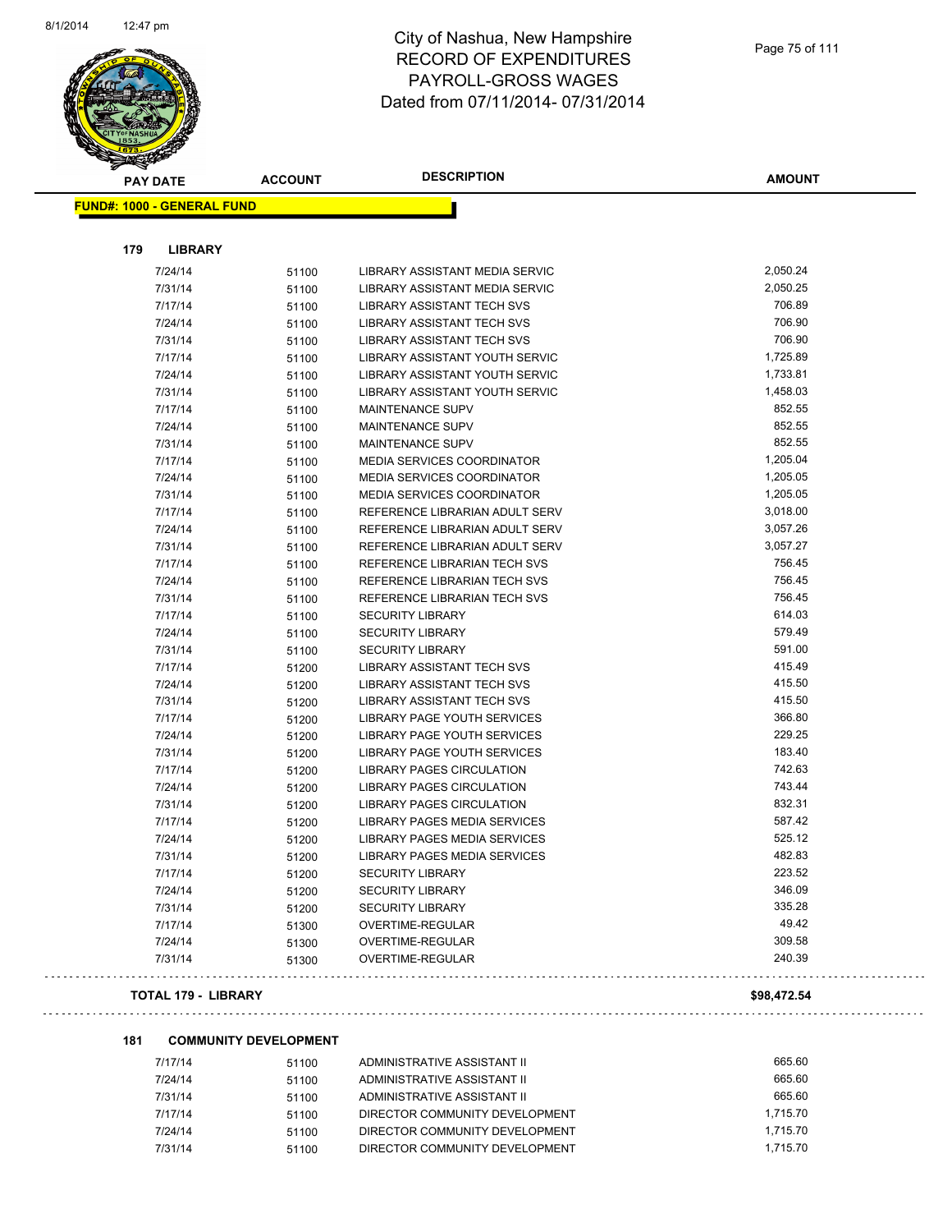

| <b>PAY DATE</b>                   | <b>ACCOUNT</b> | <b>DESCRIPTION</b>                    | <b>AMOUNT</b> |
|-----------------------------------|----------------|---------------------------------------|---------------|
| <b>FUND#: 1000 - GENERAL FUND</b> |                |                                       |               |
| 179                               | <b>LIBRARY</b> |                                       |               |
| 7/24/14                           | 51100          | LIBRARY ASSISTANT MEDIA SERVIC        | 2,050.24      |
| 7/31/14                           | 51100          | LIBRARY ASSISTANT MEDIA SERVIC        | 2,050.25      |
| 7/17/14                           | 51100          | <b>LIBRARY ASSISTANT TECH SVS</b>     | 706.89        |
| 7/24/14                           | 51100          | LIBRARY ASSISTANT TECH SVS            | 706.90        |
| 7/31/14                           | 51100          | <b>LIBRARY ASSISTANT TECH SVS</b>     | 706.90        |
| 7/17/14                           | 51100          | LIBRARY ASSISTANT YOUTH SERVIC        | 1,725.89      |
| 7/24/14                           | 51100          | <b>LIBRARY ASSISTANT YOUTH SERVIC</b> | 1,733.81      |
| 7/31/14                           | 51100          | LIBRARY ASSISTANT YOUTH SERVIC        | 1,458.03      |
| 7/17/14                           | 51100          | MAINTENANCE SUPV                      | 852.55        |
| 7/24/14                           | 51100          | MAINTENANCE SUPV                      | 852.55        |
| 7/31/14                           | 51100          | MAINTENANCE SUPV                      | 852.55        |
| 7/17/14                           | 51100          | <b>MEDIA SERVICES COORDINATOR</b>     | 1,205.04      |
| 7/24/14                           | 51100          | MEDIA SERVICES COORDINATOR            | 1,205.05      |
| 7/31/14                           | 51100          | MEDIA SERVICES COORDINATOR            | 1,205.05      |
| 7/17/14                           | 51100          | REFERENCE LIBRARIAN ADULT SERV        | 3,018.00      |
| 7/24/14                           | 51100          | REFERENCE LIBRARIAN ADULT SERV        | 3,057.26      |
| 7/31/14                           | 51100          | REFERENCE LIBRARIAN ADULT SERV        | 3,057.27      |
| 7/17/14                           | 51100          | REFERENCE LIBRARIAN TECH SVS          | 756.45        |
| 7/24/14                           | 51100          | REFERENCE LIBRARIAN TECH SVS          | 756.45        |
| 7/31/14                           | 51100          | REFERENCE LIBRARIAN TECH SVS          | 756.45        |
| 7/17/14                           | 51100          | <b>SECURITY LIBRARY</b>               | 614.03        |
| 7/24/14                           | 51100          | <b>SECURITY LIBRARY</b>               | 579.49        |
| 7/31/14                           | 51100          | <b>SECURITY LIBRARY</b>               | 591.00        |
| 7/17/14                           | 51200          | <b>LIBRARY ASSISTANT TECH SVS</b>     | 415.49        |
| 7/24/14                           | 51200          | <b>LIBRARY ASSISTANT TECH SVS</b>     | 415.50        |
| 7/31/14                           | 51200          | <b>LIBRARY ASSISTANT TECH SVS</b>     | 415.50        |
| 7/17/14                           | 51200          | <b>LIBRARY PAGE YOUTH SERVICES</b>    | 366.80        |
| 7/24/14                           | 51200          | <b>LIBRARY PAGE YOUTH SERVICES</b>    | 229.25        |
| 7/31/14                           | 51200          | LIBRARY PAGE YOUTH SERVICES           | 183.40        |
| 7/17/14                           | 51200          | <b>LIBRARY PAGES CIRCULATION</b>      | 742.63        |
| 7/24/14                           | 51200          | <b>LIBRARY PAGES CIRCULATION</b>      | 743.44        |
| 7/31/14                           | 51200          | <b>LIBRARY PAGES CIRCULATION</b>      | 832.31        |
| 7/17/14                           | 51200          | <b>LIBRARY PAGES MEDIA SERVICES</b>   | 587.42        |
| 7/24/14                           | 51200          | LIBRARY PAGES MEDIA SERVICES          | 525.12        |
| 7/31/14                           | 51200          | <b>LIBRARY PAGES MEDIA SERVICES</b>   | 482.83        |
| 7/17/14                           | 51200          | <b>SECURITY LIBRARY</b>               | 223.52        |
| 7/24/14                           | 51200          | <b>SECURITY LIBRARY</b>               | 346.09        |
| 7/31/14                           | 51200          | <b>SECURITY LIBRARY</b>               | 335.28        |
| 7/17/14                           | 51300          | OVERTIME-REGULAR                      | 49.42         |
| 7/24/14                           | 51300          | OVERTIME-REGULAR                      | 309.58        |
| 7/31/14                           | 51300          | OVERTIME-REGULAR                      | 240.39        |

#### **TOTAL 179 - LIBRARY \$98,472.54**

 $\mathbb{Z}^2$  .  $\mathbb{Z}^2$ 

ilana a

#### **181 COMMUNITY DEVELOPMENT**

| 7/17/14 | 51100 | ADMINISTRATIVE ASSISTANT II    | 665.60   |
|---------|-------|--------------------------------|----------|
| 7/24/14 | 51100 | ADMINISTRATIVE ASSISTANT II    | 665.60   |
| 7/31/14 | 51100 | ADMINISTRATIVE ASSISTANT II    | 665.60   |
| 7/17/14 | 51100 | DIRECTOR COMMUNITY DEVELOPMENT | 1.715.70 |
| 7/24/14 | 51100 | DIRECTOR COMMUNITY DEVELOPMENT | 1.715.70 |
| 7/31/14 | 51100 | DIRECTOR COMMUNITY DEVELOPMENT | 1.715.70 |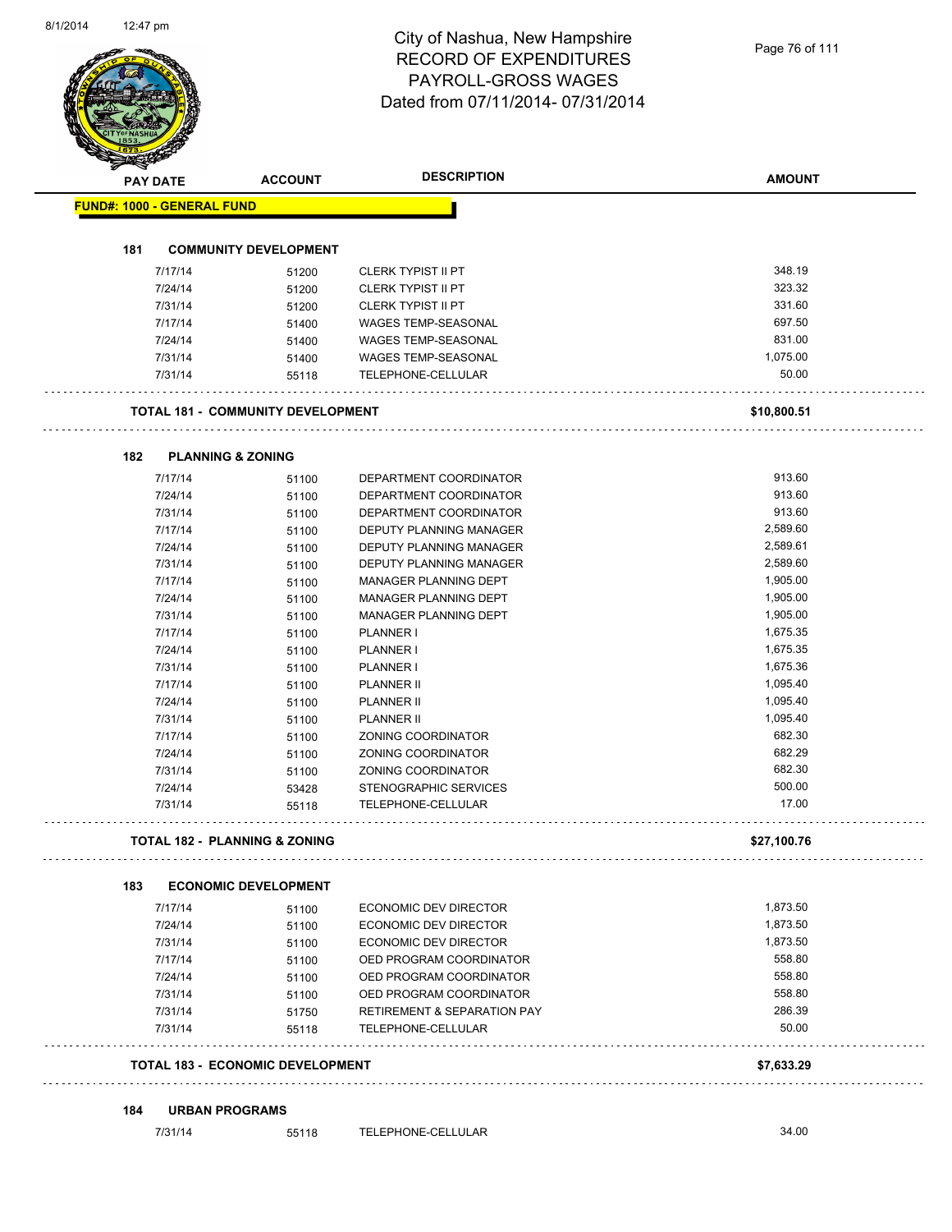# City of Nashua, New Hampshire RECORD OF EXPENDITURES PAYROLL-GROSS WAGES

|                                   |                                          | RECORD OF EXPENDITURES<br>PAYROLL-GROSS WAGES | 1 ayo 70 01 11 1 |
|-----------------------------------|------------------------------------------|-----------------------------------------------|------------------|
|                                   |                                          | Dated from 07/11/2014-07/31/2014              |                  |
|                                   |                                          |                                               |                  |
| PAY DATE                          | <b>ACCOUNT</b>                           | <b>DESCRIPTION</b>                            | <b>AMOUNT</b>    |
| <b>FUND#: 1000 - GENERAL FUND</b> |                                          |                                               |                  |
| 181                               | <b>COMMUNITY DEVELOPMENT</b>             |                                               |                  |
| 7/17/14                           | 51200                                    | <b>CLERK TYPIST II PT</b>                     | 348.19           |
| 7/24/14                           | 51200                                    | <b>CLERK TYPIST II PT</b>                     | 323.32           |
| 7/31/14                           | 51200                                    | <b>CLERK TYPIST II PT</b>                     | 331.60           |
| 7/17/14                           | 51400                                    | WAGES TEMP-SEASONAL                           | 697.50           |
| 7/24/14                           | 51400                                    | WAGES TEMP-SEASONAL                           | 831.00           |
| 7/31/14                           | 51400                                    | <b>WAGES TEMP-SEASONAL</b>                    | 1,075.00         |
| 7/31/14                           | 55118                                    | TELEPHONE-CELLULAR                            | 50.00            |
|                                   | <b>TOTAL 181 - COMMUNITY DEVELOPMENT</b> |                                               | \$10,800.51      |
| 182                               | <b>PLANNING &amp; ZONING</b>             |                                               |                  |
| 7/17/14                           | 51100                                    | DEPARTMENT COORDINATOR                        | 913.60           |
| 7/24/14                           | 51100                                    | DEPARTMENT COORDINATOR                        | 913.60           |
| 7/31/14                           | 51100                                    | DEPARTMENT COORDINATOR                        | 913.60           |
| 7/17/14                           | 51100                                    | DEPUTY PLANNING MANAGER                       | 2,589.60         |
| 7/24/14                           | 51100                                    | DEPUTY PLANNING MANAGER                       | 2,589.61         |
| 7/31/14                           | 51100                                    | DEPUTY PLANNING MANAGER                       | 2,589.60         |
| 7/17/14                           | 51100                                    | MANAGER PLANNING DEPT                         | 1,905.00         |
| 7/24/14                           | 51100                                    | MANAGER PLANNING DEPT                         | 1,905.00         |
| 7/31/14                           | 51100                                    | MANAGER PLANNING DEPT                         | 1,905.00         |
| 7/17/14                           | 51100                                    | <b>PLANNER I</b>                              | 1,675.35         |
| 7/24/14                           | 51100                                    | PLANNER I                                     | 1,675.35         |
| 7/31/14                           | 51100                                    | PLANNER I                                     | 1,675.36         |
| 7/17/14                           | 51100                                    | <b>PLANNER II</b>                             | 1,095.40         |
| 7/24/14                           | 51100                                    | PLANNER II                                    | 1,095.40         |
| 7/31/14                           | 51100                                    | PLANNER II                                    | 1,095.40         |
| 7/17/14                           | 51100                                    | ZONING COORDINATOR                            | 682.30           |
| 7/24/14                           | 51100                                    | ZONING COORDINATOR                            | 682.29           |
| 7/31/14                           | 51100                                    | ZONING COORDINATOR                            | 682.30           |
| 7/24/14                           | 53428                                    | STENOGRAPHIC SERVICES                         | 500.00           |
| 7/31/14                           | 55118                                    | TELEPHONE-CELLULAR<br>.                       | 17.00            |
|                                   | <b>TOTAL 182 - PLANNING &amp; ZONING</b> |                                               | \$27,100.76      |
| 183                               | <b>ECONOMIC DEVELOPMENT</b>              |                                               |                  |
| 7/17/14                           | 51100                                    | ECONOMIC DEV DIRECTOR                         | 1,873.50         |
| 7/24/14                           | 51100                                    | ECONOMIC DEV DIRECTOR                         | 1,873.50         |
| 7/31/14                           | 51100                                    | ECONOMIC DEV DIRECTOR                         | 1,873.50         |
| 7/17/14                           | 51100                                    | OED PROGRAM COORDINATOR                       | 558.80           |
| 7/24/14                           | 51100                                    | OED PROGRAM COORDINATOR                       | 558.80           |
| 7/31/14                           | 51100                                    | OED PROGRAM COORDINATOR                       | 558.80           |
| 7/31/14                           | 51750                                    | <b>RETIREMENT &amp; SEPARATION PAY</b>        | 286.39           |
| 7/31/14                           | 55118                                    | TELEPHONE-CELLULAR                            | 50.00            |
|                                   | TOTAL 183 - ECONOMIC DEVELOPMENT         |                                               | \$7,633.29       |
| 184                               | <b>URBAN PROGRAMS</b>                    |                                               |                  |
| 7/31/14                           | 55118                                    | TELEPHONE-CELLULAR                            | 34.00            |
|                                   |                                          |                                               |                  |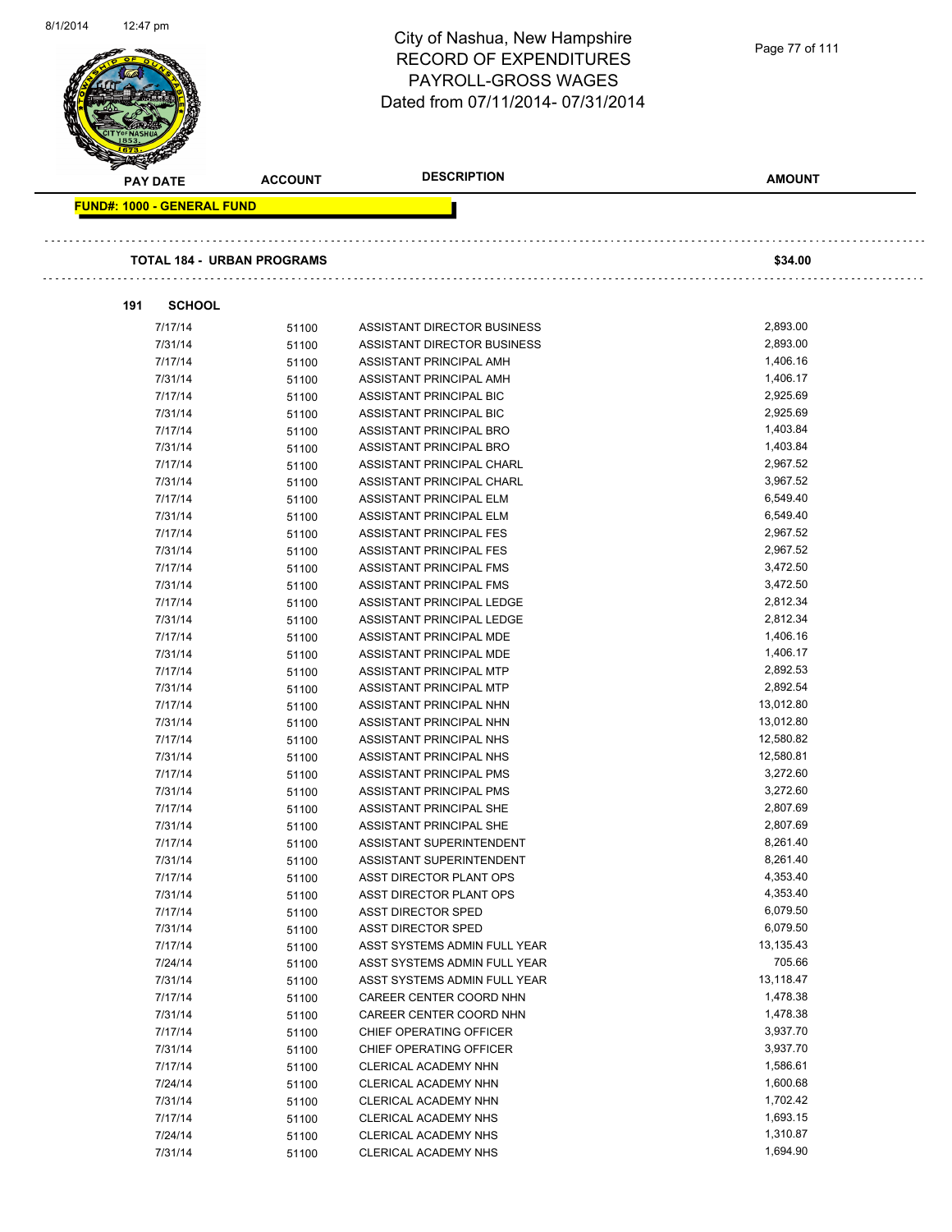|                                   |                                   | City of Nashua, New Hampshire    | Page 77 of 111 |
|-----------------------------------|-----------------------------------|----------------------------------|----------------|
|                                   |                                   | <b>RECORD OF EXPENDITURES</b>    |                |
|                                   |                                   | PAYROLL-GROSS WAGES              |                |
|                                   |                                   | Dated from 07/11/2014-07/31/2014 |                |
|                                   |                                   |                                  |                |
|                                   |                                   |                                  |                |
|                                   |                                   | <b>DESCRIPTION</b>               | <b>AMOUNT</b>  |
| <b>PAY DATE</b>                   | <b>ACCOUNT</b>                    |                                  |                |
| <b>FUND#: 1000 - GENERAL FUND</b> |                                   |                                  |                |
|                                   |                                   |                                  |                |
|                                   | <b>TOTAL 184 - URBAN PROGRAMS</b> |                                  | \$34.00        |
|                                   |                                   |                                  |                |
| <b>SCHOOL</b><br>191              |                                   |                                  |                |
| 7/17/14                           | 51100                             | ASSISTANT DIRECTOR BUSINESS      | 2,893.00       |
| 7/31/14                           | 51100                             | ASSISTANT DIRECTOR BUSINESS      | 2,893.00       |
| 7/17/14                           | 51100                             | ASSISTANT PRINCIPAL AMH          | 1,406.16       |
| 7/31/14                           | 51100                             | ASSISTANT PRINCIPAL AMH          | 1,406.17       |
| 7/17/14                           | 51100                             | ASSISTANT PRINCIPAL BIC          | 2,925.69       |
| 7/31/14                           | 51100                             | ASSISTANT PRINCIPAL BIC          | 2,925.69       |
| 7/17/14                           | 51100                             | ASSISTANT PRINCIPAL BRO          | 1,403.84       |
| 7/31/14                           | 51100                             | ASSISTANT PRINCIPAL BRO          | 1,403.84       |
| 7/17/14                           | 51100                             | ASSISTANT PRINCIPAL CHARL        | 2,967.52       |
| 7/31/14                           | 51100                             | ASSISTANT PRINCIPAL CHARL        | 3,967.52       |
| 7/17/14                           |                                   | ASSISTANT PRINCIPAL ELM          | 6,549.40       |
| 7/31/14                           | 51100                             |                                  | 6,549.40       |
|                                   | 51100                             | ASSISTANT PRINCIPAL ELM          | 2,967.52       |
| 7/17/14                           | 51100                             | ASSISTANT PRINCIPAL FES          |                |
| 7/31/14                           | 51100                             | ASSISTANT PRINCIPAL FES          | 2,967.52       |
| 7/17/14                           | 51100                             | ASSISTANT PRINCIPAL FMS          | 3,472.50       |
| 7/31/14                           | 51100                             | ASSISTANT PRINCIPAL FMS          | 3,472.50       |
| 7/17/14                           | 51100                             | ASSISTANT PRINCIPAL LEDGE        | 2,812.34       |
| 7/31/14                           | 51100                             | ASSISTANT PRINCIPAL LEDGE        | 2,812.34       |
| 7/17/14                           | 51100                             | ASSISTANT PRINCIPAL MDE          | 1,406.16       |
| 7/31/14                           | 51100                             | ASSISTANT PRINCIPAL MDE          | 1,406.17       |
| 7/17/14                           | 51100                             | ASSISTANT PRINCIPAL MTP          | 2,892.53       |
| 7/31/14                           | 51100                             | ASSISTANT PRINCIPAL MTP          | 2,892.54       |
| 7/17/14                           | 51100                             | ASSISTANT PRINCIPAL NHN          | 13,012.80      |
| 7/31/14                           | 51100                             | ASSISTANT PRINCIPAL NHN          | 13,012.80      |
| 7/17/14                           | 51100                             | ASSISTANT PRINCIPAL NHS          | 12,580.82      |
| 7/31/14                           | 51100                             | ASSISTANT PRINCIPAL NHS          | 12,580.81      |
| 7/17/14                           | 51100                             | ASSISTANT PRINCIPAL PMS          | 3,272.60       |
| 7/31/14                           | 51100                             | ASSISTANT PRINCIPAL PMS          | 3,272.60       |
| 7/17/14                           | 51100                             | ASSISTANT PRINCIPAL SHE          | 2,807.69       |
| 7/31/14                           | 51100                             | ASSISTANT PRINCIPAL SHE          | 2,807.69       |
| 7/17/14                           | 51100                             | ASSISTANT SUPERINTENDENT         | 8,261.40       |
| 7/31/14                           | 51100                             | ASSISTANT SUPERINTENDENT         | 8,261.40       |
| 7/17/14                           | 51100                             | ASST DIRECTOR PLANT OPS          | 4,353.40       |
| 7/31/14                           | 51100                             | ASST DIRECTOR PLANT OPS          | 4,353.40       |
| 7/17/14                           | 51100                             | <b>ASST DIRECTOR SPED</b>        | 6,079.50       |
| 7/31/14                           | 51100                             | <b>ASST DIRECTOR SPED</b>        | 6,079.50       |
| 7/17/14                           |                                   | ASST SYSTEMS ADMIN FULL YEAR     | 13,135.43      |
| 7/24/14                           | 51100                             | ASST SYSTEMS ADMIN FULL YEAR     | 705.66         |
| 7/31/14                           | 51100                             |                                  | 13,118.47      |
|                                   | 51100                             | ASST SYSTEMS ADMIN FULL YEAR     |                |
| 7/17/14                           | 51100                             | CAREER CENTER COORD NHN          | 1,478.38       |
| 7/31/14                           | 51100                             | CAREER CENTER COORD NHN          | 1,478.38       |
| 7/17/14                           | 51100                             | CHIEF OPERATING OFFICER          | 3,937.70       |
| 7/31/14                           | 51100                             | CHIEF OPERATING OFFICER          | 3,937.70       |
| 7/17/14                           | 51100                             | CLERICAL ACADEMY NHN             | 1,586.61       |
| 7/24/14                           | 51100                             | CLERICAL ACADEMY NHN             | 1,600.68       |
| 7/31/14                           | 51100                             | CLERICAL ACADEMY NHN             | 1,702.42       |
| 7/17/14                           | 51100                             | CLERICAL ACADEMY NHS             | 1,693.15       |
| 7/24/14                           | 51100                             | CLERICAL ACADEMY NHS             | 1,310.87       |
| 7/31/14                           | 51100                             | CLERICAL ACADEMY NHS             | 1,694.90       |

8/1/2014 12:47 pm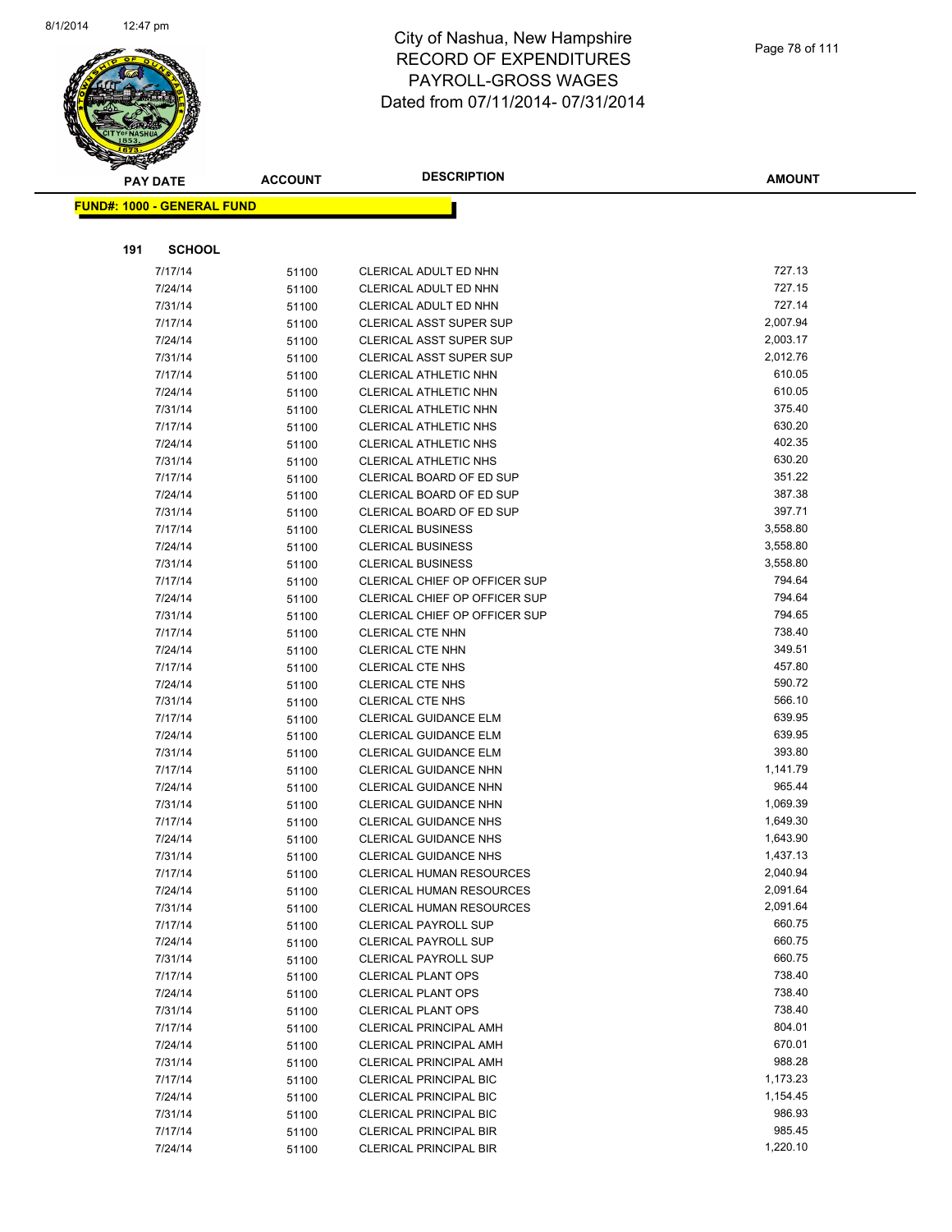

|     | <b>PAY DATE</b>                   | <b>ACCOUNT</b> | <b>DESCRIPTION</b>                                               | <b>AMOUNT</b>      |
|-----|-----------------------------------|----------------|------------------------------------------------------------------|--------------------|
|     | <b>FUND#: 1000 - GENERAL FUND</b> |                |                                                                  |                    |
|     |                                   |                |                                                                  |                    |
| 191 | <b>SCHOOL</b>                     |                |                                                                  |                    |
|     |                                   |                |                                                                  |                    |
|     | 7/17/14                           | 51100          | CLERICAL ADULT ED NHN                                            | 727.13<br>727.15   |
|     | 7/24/14                           | 51100          | CLERICAL ADULT ED NHN                                            | 727.14             |
|     | 7/31/14<br>7/17/14                | 51100          | CLERICAL ADULT ED NHN<br><b>CLERICAL ASST SUPER SUP</b>          | 2,007.94           |
|     |                                   | 51100          |                                                                  | 2,003.17           |
|     | 7/24/14<br>7/31/14                | 51100          | <b>CLERICAL ASST SUPER SUP</b><br><b>CLERICAL ASST SUPER SUP</b> | 2,012.76           |
|     | 7/17/14                           | 51100<br>51100 | <b>CLERICAL ATHLETIC NHN</b>                                     | 610.05             |
|     | 7/24/14                           | 51100          | CLERICAL ATHLETIC NHN                                            | 610.05             |
|     | 7/31/14                           | 51100          | <b>CLERICAL ATHLETIC NHN</b>                                     | 375.40             |
|     | 7/17/14                           | 51100          | <b>CLERICAL ATHLETIC NHS</b>                                     | 630.20             |
|     | 7/24/14                           | 51100          | <b>CLERICAL ATHLETIC NHS</b>                                     | 402.35             |
|     | 7/31/14                           | 51100          | <b>CLERICAL ATHLETIC NHS</b>                                     | 630.20             |
|     | 7/17/14                           | 51100          | CLERICAL BOARD OF ED SUP                                         | 351.22             |
|     | 7/24/14                           | 51100          | CLERICAL BOARD OF ED SUP                                         | 387.38             |
|     | 7/31/14                           | 51100          | CLERICAL BOARD OF ED SUP                                         | 397.71             |
|     | 7/17/14                           | 51100          | <b>CLERICAL BUSINESS</b>                                         | 3,558.80           |
|     | 7/24/14                           | 51100          | <b>CLERICAL BUSINESS</b>                                         | 3,558.80           |
|     | 7/31/14                           | 51100          | <b>CLERICAL BUSINESS</b>                                         | 3,558.80           |
|     | 7/17/14                           | 51100          | CLERICAL CHIEF OP OFFICER SUP                                    | 794.64             |
|     | 7/24/14                           | 51100          | CLERICAL CHIEF OP OFFICER SUP                                    | 794.64             |
|     | 7/31/14                           | 51100          | CLERICAL CHIEF OP OFFICER SUP                                    | 794.65             |
|     | 7/17/14                           | 51100          | <b>CLERICAL CTE NHN</b>                                          | 738.40             |
|     | 7/24/14                           | 51100          | <b>CLERICAL CTE NHN</b>                                          | 349.51             |
|     | 7/17/14                           | 51100          | <b>CLERICAL CTE NHS</b>                                          | 457.80             |
|     | 7/24/14                           | 51100          | <b>CLERICAL CTE NHS</b>                                          | 590.72             |
|     | 7/31/14                           | 51100          | <b>CLERICAL CTE NHS</b>                                          | 566.10             |
|     | 7/17/14                           | 51100          | <b>CLERICAL GUIDANCE ELM</b>                                     | 639.95             |
|     | 7/24/14                           | 51100          | <b>CLERICAL GUIDANCE ELM</b>                                     | 639.95             |
|     | 7/31/14                           | 51100          | CLERICAL GUIDANCE ELM                                            | 393.80             |
|     | 7/17/14                           | 51100          | CLERICAL GUIDANCE NHN                                            | 1,141.79           |
|     | 7/24/14                           | 51100          | <b>CLERICAL GUIDANCE NHN</b>                                     | 965.44             |
|     | 7/31/14                           | 51100          | CLERICAL GUIDANCE NHN                                            | 1,069.39           |
|     | 7/17/14                           | 51100          | <b>CLERICAL GUIDANCE NHS</b>                                     | 1,649.30           |
|     | 7/24/14                           | 51100          | <b>CLERICAL GUIDANCE NHS</b>                                     | 1,643.90           |
|     | 7/31/14                           | 51100          | <b>CLERICAL GUIDANCE NHS</b>                                     | 1,437.13           |
|     | 7/17/14                           | 51100          | <b>CLERICAL HUMAN RESOURCES</b>                                  | 2,040.94           |
|     | 7/24/14                           | 51100          | <b>CLERICAL HUMAN RESOURCES</b>                                  | 2,091.64           |
|     | 7/31/14                           | 51100          | <b>CLERICAL HUMAN RESOURCES</b>                                  | 2,091.64<br>660.75 |
|     | 7/17/14                           | 51100          | CLERICAL PAYROLL SUP                                             | 660.75             |
|     | 7/24/14<br>7/31/14                | 51100          | <b>CLERICAL PAYROLL SUP</b><br><b>CLERICAL PAYROLL SUP</b>       | 660.75             |
|     | 7/17/14                           | 51100          | <b>CLERICAL PLANT OPS</b>                                        | 738.40             |
|     | 7/24/14                           | 51100          | <b>CLERICAL PLANT OPS</b>                                        | 738.40             |
|     | 7/31/14                           | 51100<br>51100 | <b>CLERICAL PLANT OPS</b>                                        | 738.40             |
|     | 7/17/14                           | 51100          | CLERICAL PRINCIPAL AMH                                           | 804.01             |
|     | 7/24/14                           | 51100          | <b>CLERICAL PRINCIPAL AMH</b>                                    | 670.01             |
|     | 7/31/14                           | 51100          | <b>CLERICAL PRINCIPAL AMH</b>                                    | 988.28             |
|     | 7/17/14                           | 51100          | <b>CLERICAL PRINCIPAL BIC</b>                                    | 1,173.23           |
|     | 7/24/14                           | 51100          | <b>CLERICAL PRINCIPAL BIC</b>                                    | 1,154.45           |
|     | 7/31/14                           | 51100          | CLERICAL PRINCIPAL BIC                                           | 986.93             |
|     | 7/17/14                           | 51100          | <b>CLERICAL PRINCIPAL BIR</b>                                    | 985.45             |
|     | 7/24/14                           | 51100          | <b>CLERICAL PRINCIPAL BIR</b>                                    | 1,220.10           |
|     |                                   |                |                                                                  |                    |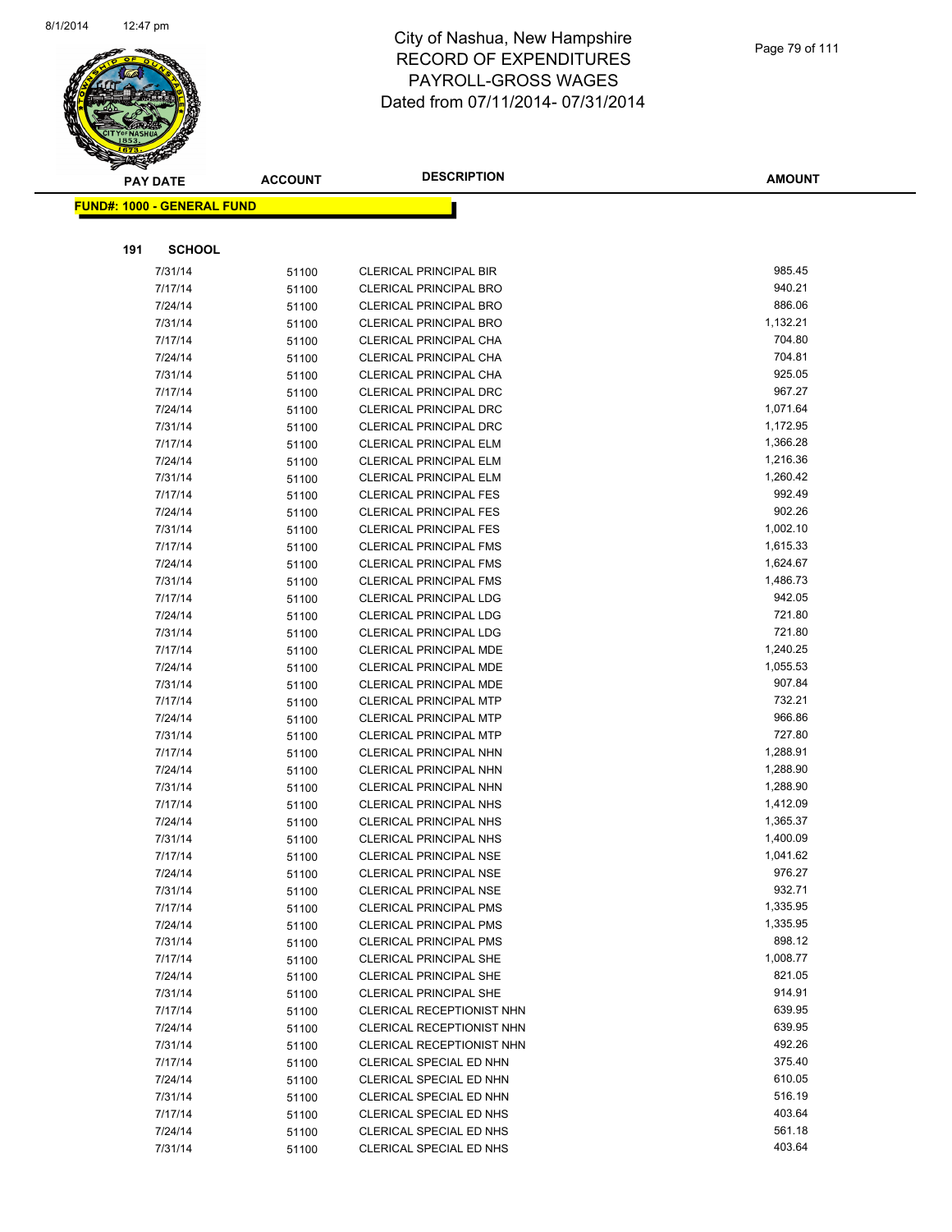

|     | <b>PAY DATE</b>                    | <b>ACCOUNT</b> | <b>DESCRIPTION</b>                                             | <b>AMOUNT</b>      |
|-----|------------------------------------|----------------|----------------------------------------------------------------|--------------------|
|     | <u> FUND#: 1000 - GENERAL FUND</u> |                |                                                                |                    |
|     |                                    |                |                                                                |                    |
|     |                                    |                |                                                                |                    |
| 191 | <b>SCHOOL</b>                      |                |                                                                |                    |
|     | 7/31/14                            | 51100          | <b>CLERICAL PRINCIPAL BIR</b>                                  | 985.45             |
|     | 7/17/14                            | 51100          | <b>CLERICAL PRINCIPAL BRO</b>                                  | 940.21             |
|     | 7/24/14                            | 51100          | <b>CLERICAL PRINCIPAL BRO</b>                                  | 886.06             |
|     | 7/31/14                            | 51100          | <b>CLERICAL PRINCIPAL BRO</b>                                  | 1,132.21           |
|     | 7/17/14                            | 51100          | <b>CLERICAL PRINCIPAL CHA</b>                                  | 704.80             |
|     | 7/24/14                            | 51100          | CLERICAL PRINCIPAL CHA                                         | 704.81             |
|     | 7/31/14                            | 51100          | CLERICAL PRINCIPAL CHA                                         | 925.05             |
|     | 7/17/14                            | 51100          | CLERICAL PRINCIPAL DRC                                         | 967.27             |
|     | 7/24/14                            | 51100          | <b>CLERICAL PRINCIPAL DRC</b>                                  | 1,071.64           |
|     | 7/31/14                            | 51100          | <b>CLERICAL PRINCIPAL DRC</b>                                  | 1,172.95           |
|     | 7/17/14                            | 51100          | <b>CLERICAL PRINCIPAL ELM</b>                                  | 1,366.28           |
|     | 7/24/14                            | 51100          | <b>CLERICAL PRINCIPAL ELM</b>                                  | 1,216.36           |
|     | 7/31/14                            | 51100          | <b>CLERICAL PRINCIPAL ELM</b>                                  | 1,260.42<br>992.49 |
|     | 7/17/14                            | 51100          | <b>CLERICAL PRINCIPAL FES</b>                                  | 902.26             |
|     | 7/24/14                            | 51100          | <b>CLERICAL PRINCIPAL FES</b><br><b>CLERICAL PRINCIPAL FES</b> | 1,002.10           |
|     | 7/31/14<br>7/17/14                 | 51100          | <b>CLERICAL PRINCIPAL FMS</b>                                  | 1,615.33           |
|     | 7/24/14                            | 51100          | <b>CLERICAL PRINCIPAL FMS</b>                                  | 1,624.67           |
|     | 7/31/14                            | 51100          | <b>CLERICAL PRINCIPAL FMS</b>                                  | 1,486.73           |
|     | 7/17/14                            | 51100          | <b>CLERICAL PRINCIPAL LDG</b>                                  | 942.05             |
|     | 7/24/14                            | 51100<br>51100 | <b>CLERICAL PRINCIPAL LDG</b>                                  | 721.80             |
|     | 7/31/14                            | 51100          | CLERICAL PRINCIPAL LDG                                         | 721.80             |
|     | 7/17/14                            | 51100          | CLERICAL PRINCIPAL MDE                                         | 1,240.25           |
|     | 7/24/14                            | 51100          | <b>CLERICAL PRINCIPAL MDE</b>                                  | 1,055.53           |
|     | 7/31/14                            | 51100          | CLERICAL PRINCIPAL MDE                                         | 907.84             |
|     | 7/17/14                            | 51100          | <b>CLERICAL PRINCIPAL MTP</b>                                  | 732.21             |
|     | 7/24/14                            | 51100          | <b>CLERICAL PRINCIPAL MTP</b>                                  | 966.86             |
|     | 7/31/14                            | 51100          | <b>CLERICAL PRINCIPAL MTP</b>                                  | 727.80             |
|     | 7/17/14                            | 51100          | CLERICAL PRINCIPAL NHN                                         | 1,288.91           |
|     | 7/24/14                            | 51100          | CLERICAL PRINCIPAL NHN                                         | 1,288.90           |
|     | 7/31/14                            | 51100          | CLERICAL PRINCIPAL NHN                                         | 1,288.90           |
|     | 7/17/14                            | 51100          | <b>CLERICAL PRINCIPAL NHS</b>                                  | 1,412.09           |
|     | 7/24/14                            | 51100          | <b>CLERICAL PRINCIPAL NHS</b>                                  | 1,365.37           |
|     | 7/31/14                            | 51100          | <b>CLERICAL PRINCIPAL NHS</b>                                  | 1,400.09           |
|     | 7/17/14                            | 51100          | <b>CLERICAL PRINCIPAL NSE</b>                                  | 1,041.62           |
|     | 7/24/14                            | 51100          | CLERICAL PRINCIPAL NSE                                         | 976.27             |
|     | 7/31/14                            | 51100          | <b>CLERICAL PRINCIPAL NSE</b>                                  | 932.71             |
|     | 7/17/14                            | 51100          | <b>CLERICAL PRINCIPAL PMS</b>                                  | 1,335.95           |
|     | 7/24/14                            | 51100          | <b>CLERICAL PRINCIPAL PMS</b>                                  | 1,335.95           |
|     | 7/31/14                            | 51100          | <b>CLERICAL PRINCIPAL PMS</b>                                  | 898.12             |
|     | 7/17/14                            | 51100          | <b>CLERICAL PRINCIPAL SHE</b>                                  | 1,008.77           |
|     | 7/24/14                            | 51100          | <b>CLERICAL PRINCIPAL SHE</b>                                  | 821.05             |
|     | 7/31/14                            | 51100          | <b>CLERICAL PRINCIPAL SHE</b>                                  | 914.91             |
|     | 7/17/14                            | 51100          | <b>CLERICAL RECEPTIONIST NHN</b>                               | 639.95             |
|     | 7/24/14                            | 51100          | CLERICAL RECEPTIONIST NHN                                      | 639.95             |
|     | 7/31/14                            | 51100          | CLERICAL RECEPTIONIST NHN                                      | 492.26             |
|     | 7/17/14                            | 51100          | CLERICAL SPECIAL ED NHN                                        | 375.40             |
|     | 7/24/14                            | 51100          | CLERICAL SPECIAL ED NHN                                        | 610.05             |
|     | 7/31/14                            | 51100          | CLERICAL SPECIAL ED NHN                                        | 516.19             |
|     | 7/17/14                            | 51100          | CLERICAL SPECIAL ED NHS                                        | 403.64             |
|     | 7/24/14                            | 51100          | CLERICAL SPECIAL ED NHS                                        | 561.18             |
|     | 7/31/14                            | 51100          | CLERICAL SPECIAL ED NHS                                        | 403.64             |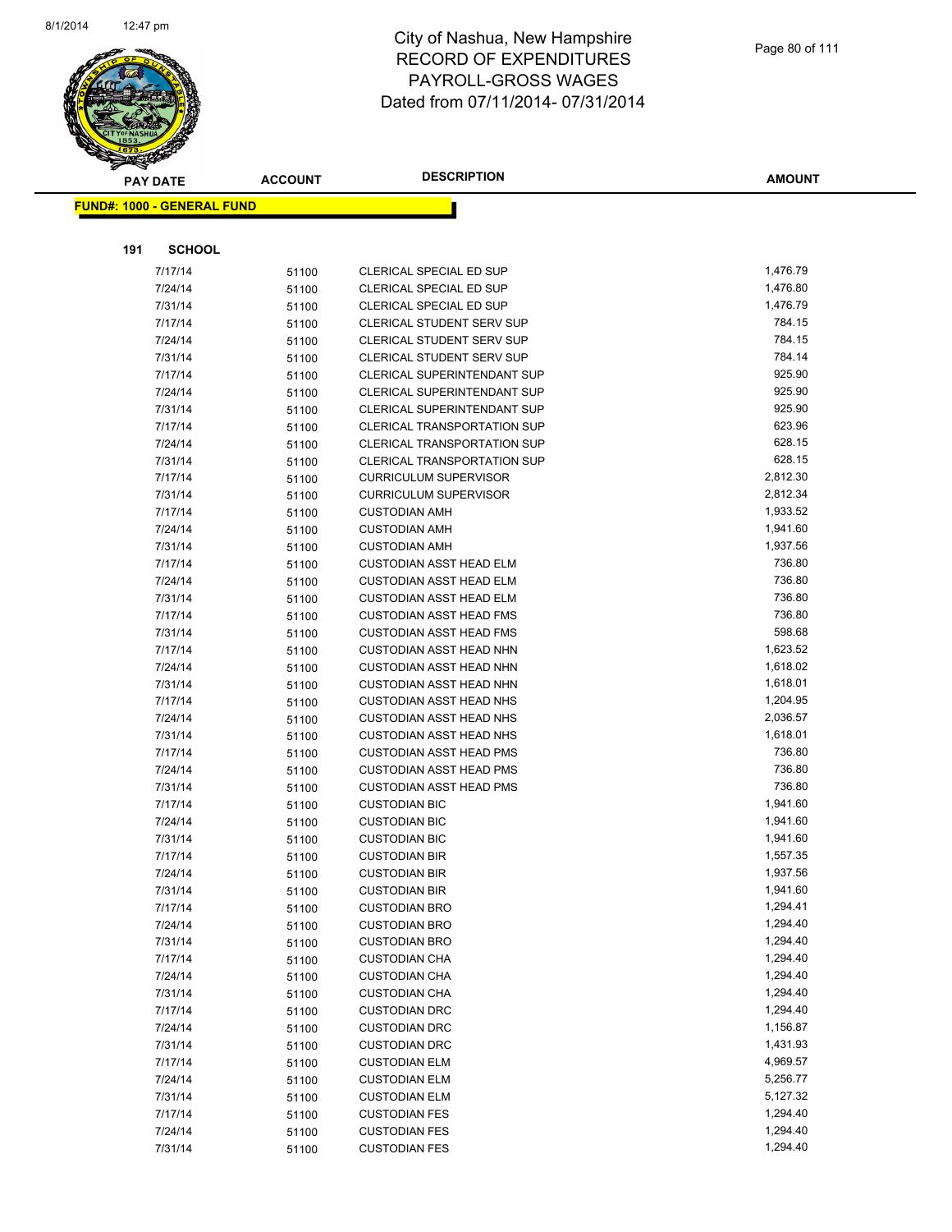

|     | <b>PAY DATE</b>                   | <b>ACCOUNT</b> | <b>DESCRIPTION</b>                                         | <b>AMOUNT</b>    |
|-----|-----------------------------------|----------------|------------------------------------------------------------|------------------|
|     | <b>FUND#: 1000 - GENERAL FUND</b> |                |                                                            |                  |
|     |                                   |                |                                                            |                  |
|     |                                   |                |                                                            |                  |
| 191 | <b>SCHOOL</b>                     |                |                                                            |                  |
|     | 7/17/14                           | 51100          | CLERICAL SPECIAL ED SUP                                    | 1,476.79         |
|     | 7/24/14                           | 51100          | CLERICAL SPECIAL ED SUP                                    | 1,476.80         |
|     | 7/31/14                           | 51100          | CLERICAL SPECIAL ED SUP                                    | 1,476.79         |
|     | 7/17/14                           | 51100          | <b>CLERICAL STUDENT SERV SUP</b>                           | 784.15           |
|     | 7/24/14                           | 51100          | CLERICAL STUDENT SERV SUP                                  | 784.15           |
|     | 7/31/14                           | 51100          | <b>CLERICAL STUDENT SERV SUP</b>                           | 784.14           |
|     | 7/17/14                           | 51100          | CLERICAL SUPERINTENDANT SUP                                | 925.90<br>925.90 |
|     | 7/24/14                           | 51100          | CLERICAL SUPERINTENDANT SUP<br>CLERICAL SUPERINTENDANT SUP | 925.90           |
|     | 7/31/14<br>7/17/14                | 51100          | CLERICAL TRANSPORTATION SUP                                | 623.96           |
|     | 7/24/14                           | 51100          | <b>CLERICAL TRANSPORTATION SUP</b>                         | 628.15           |
|     | 7/31/14                           | 51100          | <b>CLERICAL TRANSPORTATION SUP</b>                         | 628.15           |
|     | 7/17/14                           | 51100<br>51100 | <b>CURRICULUM SUPERVISOR</b>                               | 2,812.30         |
|     | 7/31/14                           | 51100          | <b>CURRICULUM SUPERVISOR</b>                               | 2,812.34         |
|     | 7/17/14                           | 51100          | <b>CUSTODIAN AMH</b>                                       | 1,933.52         |
|     | 7/24/14                           | 51100          | <b>CUSTODIAN AMH</b>                                       | 1,941.60         |
|     | 7/31/14                           | 51100          | <b>CUSTODIAN AMH</b>                                       | 1,937.56         |
|     | 7/17/14                           | 51100          | <b>CUSTODIAN ASST HEAD ELM</b>                             | 736.80           |
|     | 7/24/14                           | 51100          | <b>CUSTODIAN ASST HEAD ELM</b>                             | 736.80           |
|     | 7/31/14                           | 51100          | <b>CUSTODIAN ASST HEAD ELM</b>                             | 736.80           |
|     | 7/17/14                           | 51100          | <b>CUSTODIAN ASST HEAD FMS</b>                             | 736.80           |
|     | 7/31/14                           | 51100          | <b>CUSTODIAN ASST HEAD FMS</b>                             | 598.68           |
|     | 7/17/14                           | 51100          | <b>CUSTODIAN ASST HEAD NHN</b>                             | 1,623.52         |
|     | 7/24/14                           | 51100          | <b>CUSTODIAN ASST HEAD NHN</b>                             | 1,618.02         |
|     | 7/31/14                           | 51100          | <b>CUSTODIAN ASST HEAD NHN</b>                             | 1,618.01         |
|     | 7/17/14                           | 51100          | <b>CUSTODIAN ASST HEAD NHS</b>                             | 1,204.95         |
|     | 7/24/14                           | 51100          | <b>CUSTODIAN ASST HEAD NHS</b>                             | 2,036.57         |
|     | 7/31/14                           | 51100          | <b>CUSTODIAN ASST HEAD NHS</b>                             | 1,618.01         |
|     | 7/17/14                           | 51100          | <b>CUSTODIAN ASST HEAD PMS</b>                             | 736.80           |
|     | 7/24/14                           | 51100          | <b>CUSTODIAN ASST HEAD PMS</b>                             | 736.80           |
|     | 7/31/14                           | 51100          | <b>CUSTODIAN ASST HEAD PMS</b>                             | 736.80           |
|     | 7/17/14                           | 51100          | <b>CUSTODIAN BIC</b>                                       | 1,941.60         |
|     | 7/24/14                           | 51100          | <b>CUSTODIAN BIC</b>                                       | 1,941.60         |
|     | 7/31/14                           | 51100          | <b>CUSTODIAN BIC</b>                                       | 1,941.60         |
|     | 7/17/14                           | 51100          | <b>CUSTODIAN BIR</b>                                       | 1,557.35         |
|     | 7/24/14                           | 51100          | <b>CUSTODIAN BIR</b>                                       | 1,937.56         |
|     | 7/31/14                           | 51100          | <b>CUSTODIAN BIR</b>                                       | 1,941.60         |
|     | 7/17/14                           | 51100          | <b>CUSTODIAN BRO</b>                                       | 1,294.41         |
|     | 7/24/14                           | 51100          | <b>CUSTODIAN BRO</b>                                       | 1,294.40         |
|     | 7/31/14                           | 51100          | <b>CUSTODIAN BRO</b>                                       | 1,294.40         |
|     | 7/17/14                           | 51100          | <b>CUSTODIAN CHA</b>                                       | 1,294.40         |
|     | 7/24/14                           | 51100          | <b>CUSTODIAN CHA</b>                                       | 1,294.40         |
|     | 7/31/14                           | 51100          | <b>CUSTODIAN CHA</b>                                       | 1,294.40         |
|     | 7/17/14                           | 51100          | <b>CUSTODIAN DRC</b>                                       | 1,294.40         |
|     | 7/24/14                           | 51100          | <b>CUSTODIAN DRC</b>                                       | 1,156.87         |
|     | 7/31/14                           | 51100          | <b>CUSTODIAN DRC</b>                                       | 1,431.93         |
|     | 7/17/14                           | 51100          | <b>CUSTODIAN ELM</b>                                       | 4,969.57         |
|     | 7/24/14                           | 51100          | <b>CUSTODIAN ELM</b>                                       | 5,256.77         |
|     | 7/31/14                           | 51100          | <b>CUSTODIAN ELM</b>                                       | 5,127.32         |
|     | 7/17/14                           | 51100          | <b>CUSTODIAN FES</b>                                       | 1,294.40         |
|     | 7/24/14                           | 51100          | <b>CUSTODIAN FES</b>                                       | 1,294.40         |
|     | 7/31/14                           | 51100          | <b>CUSTODIAN FES</b>                                       | 1,294.40         |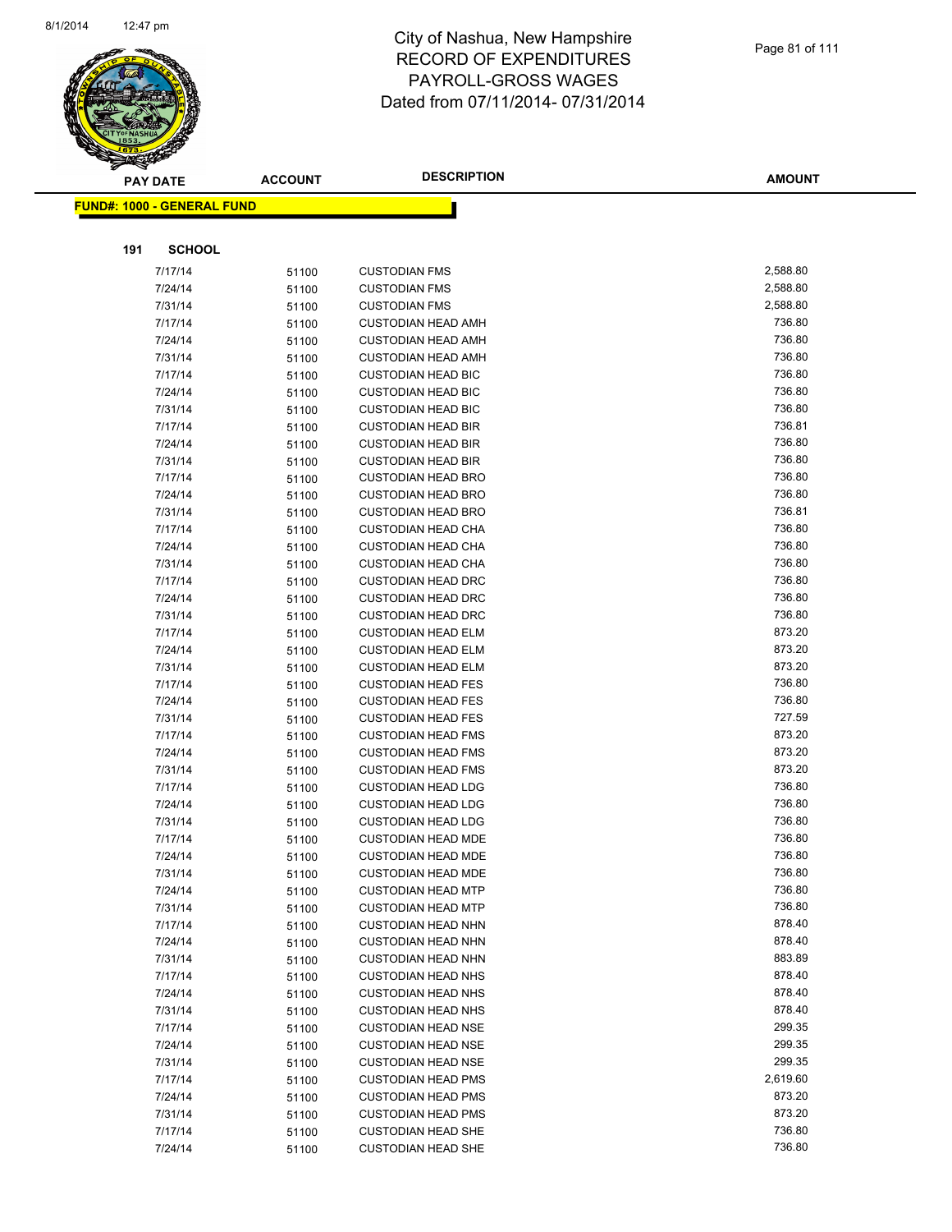

|     | <b>PAY DATE</b>                   | <b>ACCOUNT</b> | <b>DESCRIPTION</b>                                     | <b>AMOUNT</b>    |
|-----|-----------------------------------|----------------|--------------------------------------------------------|------------------|
|     | <b>FUND#: 1000 - GENERAL FUND</b> |                |                                                        |                  |
|     |                                   |                |                                                        |                  |
|     |                                   |                |                                                        |                  |
| 191 | <b>SCHOOL</b>                     |                |                                                        |                  |
|     | 7/17/14                           | 51100          | <b>CUSTODIAN FMS</b>                                   | 2,588.80         |
|     | 7/24/14                           | 51100          | <b>CUSTODIAN FMS</b>                                   | 2,588.80         |
|     | 7/31/14                           | 51100          | <b>CUSTODIAN FMS</b>                                   | 2,588.80         |
|     | 7/17/14                           | 51100          | <b>CUSTODIAN HEAD AMH</b>                              | 736.80           |
|     | 7/24/14                           | 51100          | <b>CUSTODIAN HEAD AMH</b>                              | 736.80           |
|     | 7/31/14                           | 51100          | <b>CUSTODIAN HEAD AMH</b>                              | 736.80           |
|     | 7/17/14                           | 51100          | <b>CUSTODIAN HEAD BIC</b>                              | 736.80           |
|     | 7/24/14                           | 51100          | <b>CUSTODIAN HEAD BIC</b>                              | 736.80           |
|     | 7/31/14                           | 51100          | <b>CUSTODIAN HEAD BIC</b>                              | 736.80           |
|     | 7/17/14                           | 51100          | <b>CUSTODIAN HEAD BIR</b>                              | 736.81           |
|     | 7/24/14                           | 51100          | <b>CUSTODIAN HEAD BIR</b>                              | 736.80           |
|     | 7/31/14                           | 51100          | <b>CUSTODIAN HEAD BIR</b>                              | 736.80           |
|     | 7/17/14                           | 51100          | <b>CUSTODIAN HEAD BRO</b>                              | 736.80           |
|     | 7/24/14                           | 51100          | <b>CUSTODIAN HEAD BRO</b>                              | 736.80           |
|     | 7/31/14                           | 51100          | <b>CUSTODIAN HEAD BRO</b>                              | 736.81           |
|     | 7/17/14                           | 51100          | <b>CUSTODIAN HEAD CHA</b>                              | 736.80           |
|     | 7/24/14                           | 51100          | <b>CUSTODIAN HEAD CHA</b>                              | 736.80           |
|     | 7/31/14                           | 51100          | <b>CUSTODIAN HEAD CHA</b>                              | 736.80           |
|     | 7/17/14                           | 51100          | <b>CUSTODIAN HEAD DRC</b>                              | 736.80           |
|     | 7/24/14                           | 51100          | <b>CUSTODIAN HEAD DRC</b>                              | 736.80           |
|     | 7/31/14                           | 51100          | <b>CUSTODIAN HEAD DRC</b>                              | 736.80           |
|     | 7/17/14                           | 51100          | <b>CUSTODIAN HEAD ELM</b>                              | 873.20           |
|     | 7/24/14                           | 51100          | <b>CUSTODIAN HEAD ELM</b>                              | 873.20           |
|     | 7/31/14                           | 51100          | <b>CUSTODIAN HEAD ELM</b>                              | 873.20           |
|     | 7/17/14                           | 51100          | <b>CUSTODIAN HEAD FES</b>                              | 736.80           |
|     | 7/24/14                           | 51100          | <b>CUSTODIAN HEAD FES</b>                              | 736.80           |
|     | 7/31/14                           | 51100          | <b>CUSTODIAN HEAD FES</b>                              | 727.59           |
|     | 7/17/14                           | 51100          | <b>CUSTODIAN HEAD FMS</b>                              | 873.20<br>873.20 |
|     | 7/24/14                           | 51100          | <b>CUSTODIAN HEAD FMS</b>                              | 873.20           |
|     | 7/31/14                           | 51100          | <b>CUSTODIAN HEAD FMS</b>                              | 736.80           |
|     | 7/17/14<br>7/24/14                | 51100          | <b>CUSTODIAN HEAD LDG</b><br><b>CUSTODIAN HEAD LDG</b> | 736.80           |
|     | 7/31/14                           | 51100          | <b>CUSTODIAN HEAD LDG</b>                              | 736.80           |
|     | 7/17/14                           | 51100          | <b>CUSTODIAN HEAD MDE</b>                              | 736.80           |
|     | 7/24/14                           | 51100<br>51100 | <b>CUSTODIAN HEAD MDE</b>                              | 736.80           |
|     | 7/31/14                           |                | <b>CUSTODIAN HEAD MDE</b>                              | 736.80           |
|     | 7/24/14                           | 51100          | <b>CUSTODIAN HEAD MTP</b>                              | 736.80           |
|     | 7/31/14                           | 51100<br>51100 | <b>CUSTODIAN HEAD MTP</b>                              | 736.80           |
|     | 7/17/14                           | 51100          | <b>CUSTODIAN HEAD NHN</b>                              | 878.40           |
|     | 7/24/14                           | 51100          | <b>CUSTODIAN HEAD NHN</b>                              | 878.40           |
|     | 7/31/14                           | 51100          | <b>CUSTODIAN HEAD NHN</b>                              | 883.89           |
|     | 7/17/14                           | 51100          | <b>CUSTODIAN HEAD NHS</b>                              | 878.40           |
|     | 7/24/14                           | 51100          | <b>CUSTODIAN HEAD NHS</b>                              | 878.40           |
|     | 7/31/14                           | 51100          | <b>CUSTODIAN HEAD NHS</b>                              | 878.40           |
|     | 7/17/14                           | 51100          | <b>CUSTODIAN HEAD NSE</b>                              | 299.35           |
|     | 7/24/14                           | 51100          | <b>CUSTODIAN HEAD NSE</b>                              | 299.35           |
|     | 7/31/14                           | 51100          | <b>CUSTODIAN HEAD NSE</b>                              | 299.35           |
|     | 7/17/14                           | 51100          | <b>CUSTODIAN HEAD PMS</b>                              | 2,619.60         |
|     | 7/24/14                           | 51100          | <b>CUSTODIAN HEAD PMS</b>                              | 873.20           |
|     | 7/31/14                           | 51100          | <b>CUSTODIAN HEAD PMS</b>                              | 873.20           |
|     | 7/17/14                           | 51100          | <b>CUSTODIAN HEAD SHE</b>                              | 736.80           |
|     | 7/24/14                           | 51100          | <b>CUSTODIAN HEAD SHE</b>                              | 736.80           |
|     |                                   |                |                                                        |                  |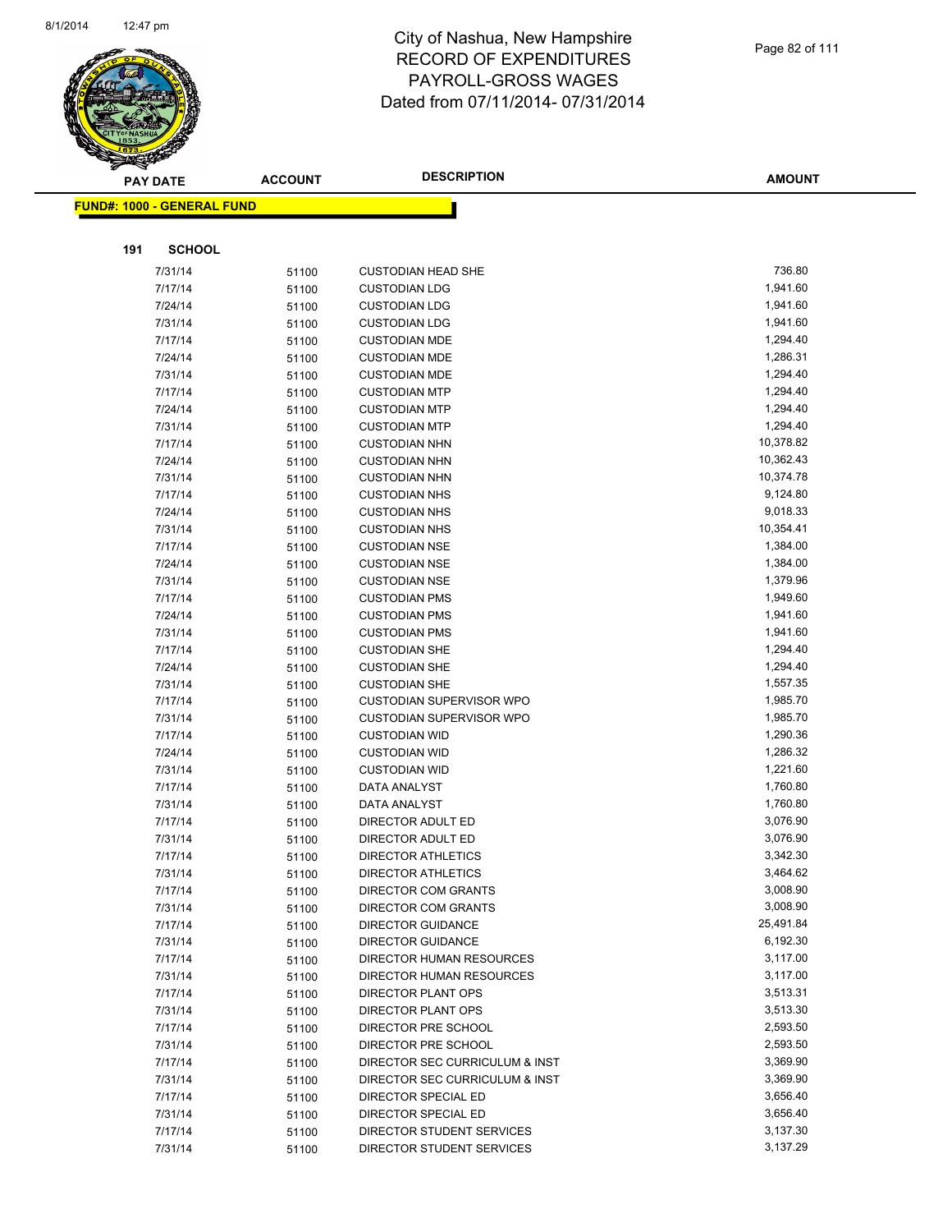

| <b>PAY DATE</b>                   | <b>ACCOUNT</b> | <b>DESCRIPTION</b>                           | <b>AMOUNT</b>        |
|-----------------------------------|----------------|----------------------------------------------|----------------------|
| <b>FUND#: 1000 - GENERAL FUND</b> |                |                                              |                      |
|                                   |                |                                              |                      |
|                                   |                |                                              |                      |
| 191<br><b>SCHOOL</b>              |                |                                              |                      |
| 7/31/14                           | 51100          | <b>CUSTODIAN HEAD SHE</b>                    | 736.80               |
| 7/17/14                           | 51100          | <b>CUSTODIAN LDG</b>                         | 1,941.60             |
| 7/24/14                           | 51100          | <b>CUSTODIAN LDG</b>                         | 1,941.60             |
| 7/31/14                           | 51100          | <b>CUSTODIAN LDG</b>                         | 1,941.60             |
| 7/17/14                           | 51100          | <b>CUSTODIAN MDE</b>                         | 1,294.40             |
| 7/24/14                           | 51100          | <b>CUSTODIAN MDE</b>                         | 1,286.31             |
| 7/31/14                           | 51100          | <b>CUSTODIAN MDE</b>                         | 1,294.40             |
| 7/17/14                           | 51100          | <b>CUSTODIAN MTP</b>                         | 1,294.40             |
| 7/24/14                           | 51100          | <b>CUSTODIAN MTP</b>                         | 1,294.40             |
| 7/31/14                           | 51100          | <b>CUSTODIAN MTP</b>                         | 1,294.40             |
| 7/17/14                           | 51100          | <b>CUSTODIAN NHN</b>                         | 10,378.82            |
| 7/24/14                           | 51100          | <b>CUSTODIAN NHN</b>                         | 10,362.43            |
| 7/31/14                           | 51100          | <b>CUSTODIAN NHN</b>                         | 10,374.78            |
| 7/17/14                           | 51100          | <b>CUSTODIAN NHS</b>                         | 9,124.80             |
| 7/24/14                           | 51100          | <b>CUSTODIAN NHS</b>                         | 9,018.33             |
| 7/31/14                           | 51100          | <b>CUSTODIAN NHS</b>                         | 10,354.41            |
| 7/17/14                           | 51100          | <b>CUSTODIAN NSE</b>                         | 1,384.00             |
| 7/24/14                           | 51100          | <b>CUSTODIAN NSE</b>                         | 1,384.00             |
| 7/31/14                           | 51100          | <b>CUSTODIAN NSE</b>                         | 1,379.96             |
| 7/17/14                           | 51100          | <b>CUSTODIAN PMS</b>                         | 1,949.60             |
| 7/24/14                           | 51100          | <b>CUSTODIAN PMS</b>                         | 1,941.60             |
| 7/31/14                           | 51100          | <b>CUSTODIAN PMS</b>                         | 1,941.60             |
| 7/17/14                           | 51100          | <b>CUSTODIAN SHE</b>                         | 1,294.40             |
| 7/24/14                           | 51100          | <b>CUSTODIAN SHE</b>                         | 1,294.40             |
| 7/31/14                           | 51100          | <b>CUSTODIAN SHE</b>                         | 1,557.35             |
| 7/17/14                           | 51100          | CUSTODIAN SUPERVISOR WPO                     | 1,985.70             |
| 7/31/14                           | 51100          | <b>CUSTODIAN SUPERVISOR WPO</b>              | 1,985.70             |
| 7/17/14                           | 51100          | <b>CUSTODIAN WID</b>                         | 1,290.36<br>1,286.32 |
| 7/24/14                           | 51100          | <b>CUSTODIAN WID</b><br><b>CUSTODIAN WID</b> | 1,221.60             |
| 7/31/14<br>7/17/14                | 51100          | DATA ANALYST                                 | 1,760.80             |
| 7/31/14                           | 51100          | DATA ANALYST                                 | 1,760.80             |
| 7/17/14                           | 51100          | DIRECTOR ADULT ED                            | 3,076.90             |
| 7/31/14                           | 51100<br>51100 | DIRECTOR ADULT ED                            | 3,076.90             |
| 7/17/14                           | 51100          | <b>DIRECTOR ATHLETICS</b>                    | 3,342.30             |
| 7/31/14                           | 51100          | DIRECTOR ATHLETICS                           | 3,464.62             |
| 7/17/14                           | 51100          | DIRECTOR COM GRANTS                          | 3,008.90             |
| 7/31/14                           | 51100          | DIRECTOR COM GRANTS                          | 3,008.90             |
| 7/17/14                           | 51100          | DIRECTOR GUIDANCE                            | 25,491.84            |
| 7/31/14                           | 51100          | DIRECTOR GUIDANCE                            | 6,192.30             |
| 7/17/14                           | 51100          | DIRECTOR HUMAN RESOURCES                     | 3,117.00             |
| 7/31/14                           | 51100          | DIRECTOR HUMAN RESOURCES                     | 3,117.00             |
| 7/17/14                           | 51100          | DIRECTOR PLANT OPS                           | 3,513.31             |
| 7/31/14                           | 51100          | DIRECTOR PLANT OPS                           | 3,513.30             |
| 7/17/14                           | 51100          | DIRECTOR PRE SCHOOL                          | 2,593.50             |
| 7/31/14                           | 51100          | DIRECTOR PRE SCHOOL                          | 2,593.50             |
| 7/17/14                           | 51100          | DIRECTOR SEC CURRICULUM & INST               | 3,369.90             |
| 7/31/14                           | 51100          | DIRECTOR SEC CURRICULUM & INST               | 3,369.90             |
| 7/17/14                           | 51100          | DIRECTOR SPECIAL ED                          | 3,656.40             |
| 7/31/14                           | 51100          | DIRECTOR SPECIAL ED                          | 3,656.40             |
| 7/17/14                           | 51100          | DIRECTOR STUDENT SERVICES                    | 3,137.30             |
| 7/31/14                           | 51100          | DIRECTOR STUDENT SERVICES                    | 3,137.29             |
|                                   |                |                                              |                      |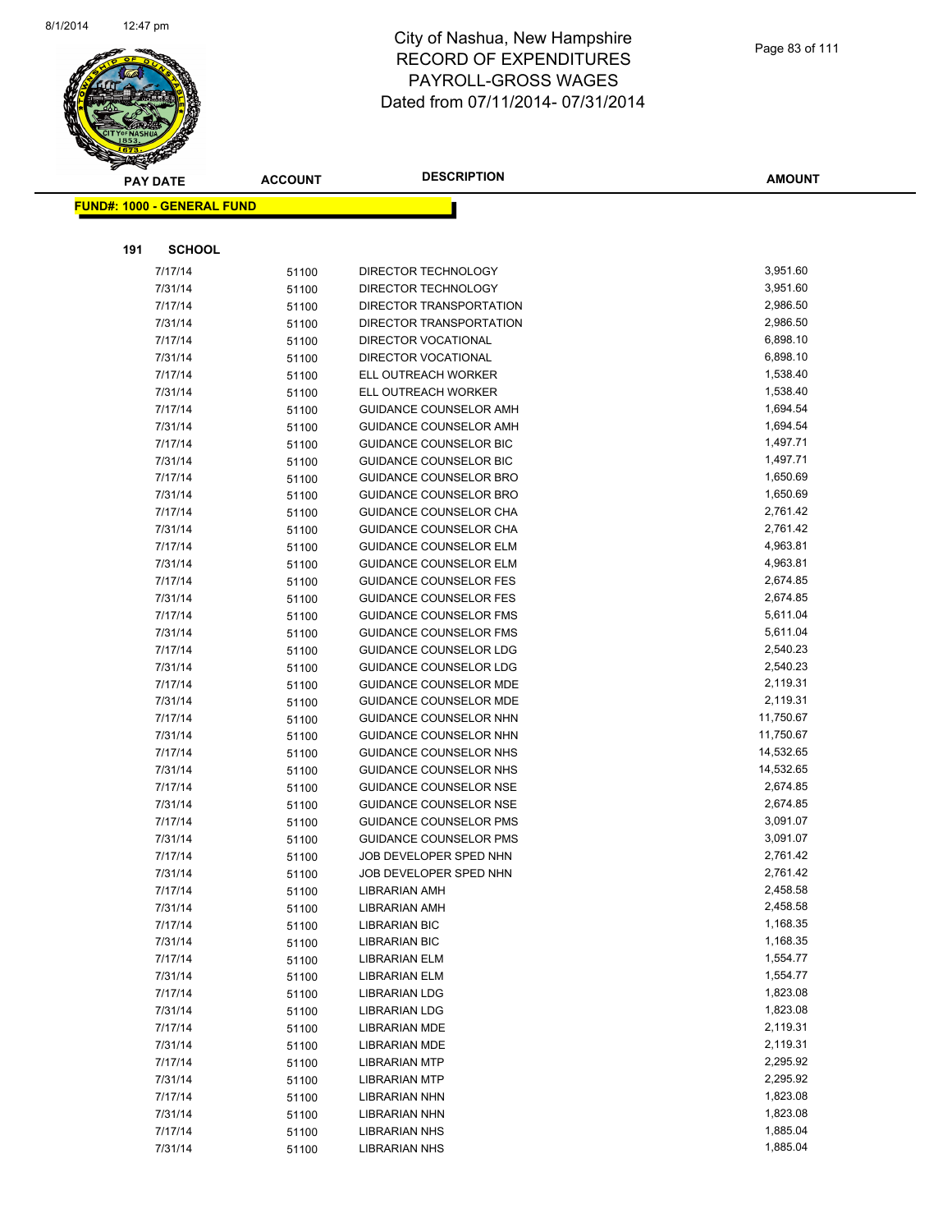

|     | <b>PAY DATE</b>                    | <b>ACCOUNT</b> | <b>DESCRIPTION</b>            | <b>AMOUNT</b> |
|-----|------------------------------------|----------------|-------------------------------|---------------|
|     | <u> FUND#: 1000 - GENERAL FUND</u> |                |                               |               |
|     |                                    |                |                               |               |
|     |                                    |                |                               |               |
| 191 | <b>SCHOOL</b>                      |                |                               |               |
|     | 7/17/14                            | 51100          | DIRECTOR TECHNOLOGY           | 3,951.60      |
|     | 7/31/14                            | 51100          | DIRECTOR TECHNOLOGY           | 3,951.60      |
|     | 7/17/14                            | 51100          | DIRECTOR TRANSPORTATION       | 2,986.50      |
|     | 7/31/14                            | 51100          | DIRECTOR TRANSPORTATION       | 2,986.50      |
|     | 7/17/14                            | 51100          | <b>DIRECTOR VOCATIONAL</b>    | 6,898.10      |
|     | 7/31/14                            | 51100          | DIRECTOR VOCATIONAL           | 6,898.10      |
|     | 7/17/14                            | 51100          | ELL OUTREACH WORKER           | 1,538.40      |
|     | 7/31/14                            | 51100          | ELL OUTREACH WORKER           | 1,538.40      |
|     | 7/17/14                            | 51100          | GUIDANCE COUNSELOR AMH        | 1,694.54      |
|     | 7/31/14                            | 51100          | GUIDANCE COUNSELOR AMH        | 1,694.54      |
|     | 7/17/14                            | 51100          | <b>GUIDANCE COUNSELOR BIC</b> | 1,497.71      |
|     | 7/31/14                            | 51100          | <b>GUIDANCE COUNSELOR BIC</b> | 1,497.71      |
|     | 7/17/14                            | 51100          | <b>GUIDANCE COUNSELOR BRO</b> | 1,650.69      |
|     | 7/31/14                            | 51100          | <b>GUIDANCE COUNSELOR BRO</b> | 1,650.69      |
|     | 7/17/14                            | 51100          | GUIDANCE COUNSELOR CHA        | 2,761.42      |
|     | 7/31/14                            | 51100          | <b>GUIDANCE COUNSELOR CHA</b> | 2,761.42      |
|     | 7/17/14                            | 51100          | <b>GUIDANCE COUNSELOR ELM</b> | 4,963.81      |
|     | 7/31/14                            | 51100          | GUIDANCE COUNSELOR ELM        | 4,963.81      |
|     | 7/17/14                            | 51100          | <b>GUIDANCE COUNSELOR FES</b> | 2,674.85      |
|     | 7/31/14                            | 51100          | GUIDANCE COUNSELOR FES        | 2,674.85      |
|     | 7/17/14                            | 51100          | <b>GUIDANCE COUNSELOR FMS</b> | 5,611.04      |
|     | 7/31/14                            | 51100          | <b>GUIDANCE COUNSELOR FMS</b> | 5,611.04      |
|     | 7/17/14                            | 51100          | GUIDANCE COUNSELOR LDG        | 2,540.23      |
|     | 7/31/14                            | 51100          | <b>GUIDANCE COUNSELOR LDG</b> | 2,540.23      |
|     | 7/17/14                            | 51100          | <b>GUIDANCE COUNSELOR MDE</b> | 2,119.31      |
|     | 7/31/14                            | 51100          | GUIDANCE COUNSELOR MDE        | 2,119.31      |
|     | 7/17/14                            | 51100          | <b>GUIDANCE COUNSELOR NHN</b> | 11,750.67     |
|     | 7/31/14                            | 51100          | GUIDANCE COUNSELOR NHN        | 11,750.67     |
|     | 7/17/14                            | 51100          | GUIDANCE COUNSELOR NHS        | 14,532.65     |
|     | 7/31/14                            | 51100          | GUIDANCE COUNSELOR NHS        | 14,532.65     |
|     | 7/17/14                            | 51100          | <b>GUIDANCE COUNSELOR NSE</b> | 2,674.85      |
|     | 7/31/14                            | 51100          | <b>GUIDANCE COUNSELOR NSE</b> | 2,674.85      |
|     | 7/17/14                            | 51100          | <b>GUIDANCE COUNSELOR PMS</b> | 3,091.07      |
|     | 7/31/14                            | 51100          | <b>GUIDANCE COUNSELOR PMS</b> | 3,091.07      |
|     | 7/17/14                            | 51100          | JOB DEVELOPER SPED NHN        | 2,761.42      |
|     | 7/31/14                            | 51100          | JOB DEVELOPER SPED NHN        | 2,761.42      |
|     | 7/17/14                            | 51100          | <b>LIBRARIAN AMH</b>          | 2,458.58      |
|     | 7/31/14                            | 51100          | <b>LIBRARIAN AMH</b>          | 2,458.58      |
|     | 7/17/14                            | 51100          | <b>LIBRARIAN BIC</b>          | 1,168.35      |
|     | 7/31/14                            | 51100          | <b>LIBRARIAN BIC</b>          | 1,168.35      |
|     | 7/17/14                            | 51100          | <b>LIBRARIAN ELM</b>          | 1,554.77      |
|     | 7/31/14                            | 51100          | <b>LIBRARIAN ELM</b>          | 1,554.77      |
|     | 7/17/14                            | 51100          | <b>LIBRARIAN LDG</b>          | 1,823.08      |
|     | 7/31/14                            | 51100          | <b>LIBRARIAN LDG</b>          | 1,823.08      |
|     | 7/17/14                            | 51100          | <b>LIBRARIAN MDE</b>          | 2,119.31      |
|     | 7/31/14                            | 51100          | <b>LIBRARIAN MDE</b>          | 2,119.31      |
|     | 7/17/14                            | 51100          | <b>LIBRARIAN MTP</b>          | 2,295.92      |
|     | 7/31/14                            | 51100          | <b>LIBRARIAN MTP</b>          | 2,295.92      |
|     | 7/17/14                            | 51100          | <b>LIBRARIAN NHN</b>          | 1,823.08      |
|     | 7/31/14                            | 51100          | <b>LIBRARIAN NHN</b>          | 1,823.08      |
|     | 7/17/14                            | 51100          | <b>LIBRARIAN NHS</b>          | 1,885.04      |
|     | 7/31/14                            | 51100          | <b>LIBRARIAN NHS</b>          | 1,885.04      |
|     |                                    |                |                               |               |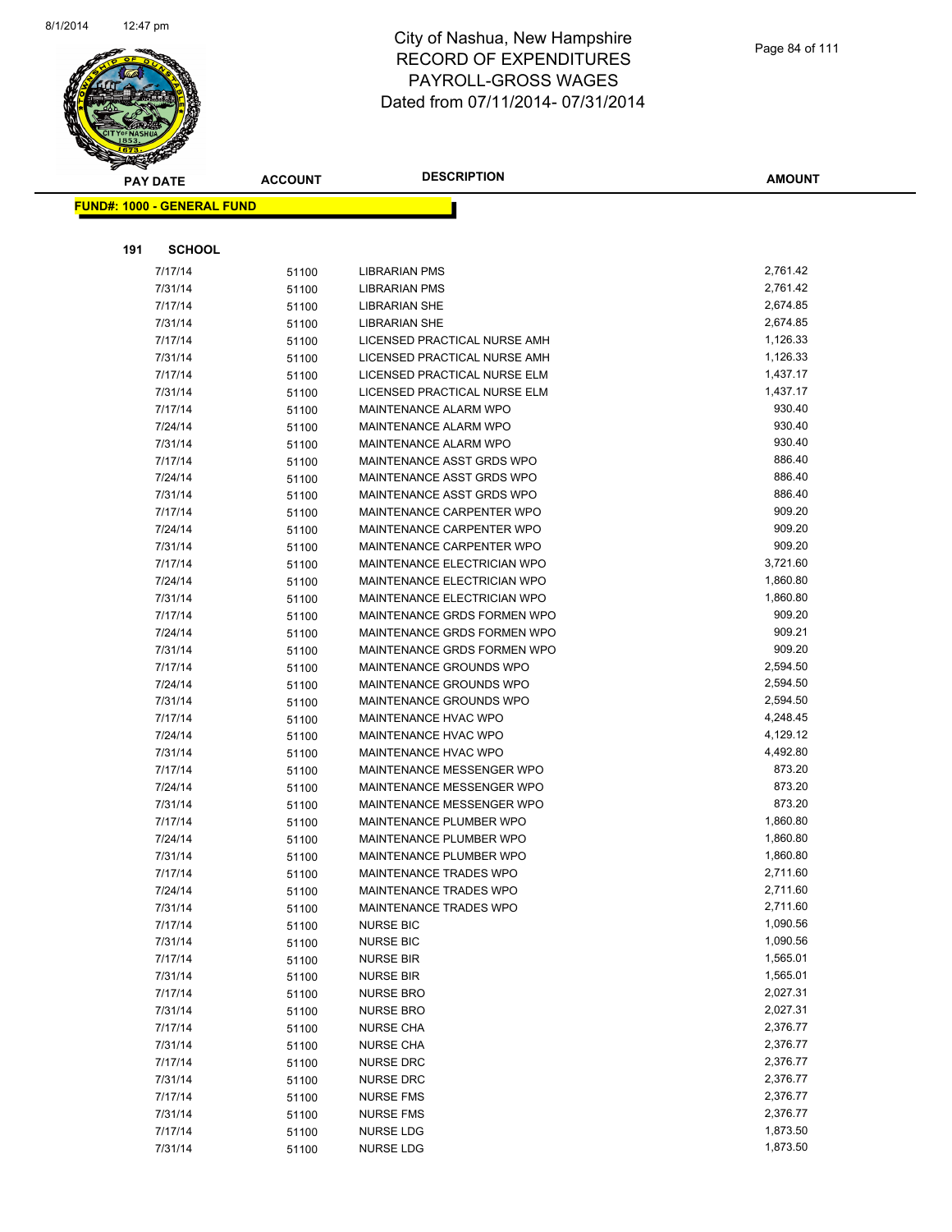

|     | <b>PAY DATE</b>                   | <b>ACCOUNT</b> | <b>DESCRIPTION</b>                                 | <b>AMOUNT</b>        |
|-----|-----------------------------------|----------------|----------------------------------------------------|----------------------|
|     | <b>FUND#: 1000 - GENERAL FUND</b> |                |                                                    |                      |
|     |                                   |                |                                                    |                      |
| 191 | <b>SCHOOL</b>                     |                |                                                    |                      |
|     | 7/17/14                           | 51100          | LIBRARIAN PMS                                      | 2,761.42             |
|     | 7/31/14                           | 51100          | LIBRARIAN PMS                                      | 2,761.42             |
|     | 7/17/14                           | 51100          | <b>LIBRARIAN SHE</b>                               | 2,674.85             |
|     | 7/31/14                           | 51100          | <b>LIBRARIAN SHE</b>                               | 2,674.85             |
|     | 7/17/14                           | 51100          | LICENSED PRACTICAL NURSE AMH                       | 1,126.33             |
|     | 7/31/14                           | 51100          | LICENSED PRACTICAL NURSE AMH                       | 1,126.33             |
|     | 7/17/14                           | 51100          | LICENSED PRACTICAL NURSE ELM                       | 1,437.17             |
|     | 7/31/14                           | 51100          | LICENSED PRACTICAL NURSE ELM                       | 1,437.17             |
|     | 7/17/14                           | 51100          | <b>MAINTENANCE ALARM WPO</b>                       | 930.40               |
|     | 7/24/14                           | 51100          | MAINTENANCE ALARM WPO                              | 930.40               |
|     | 7/31/14                           | 51100          | MAINTENANCE ALARM WPO                              | 930.40               |
|     | 7/17/14                           | 51100          | MAINTENANCE ASST GRDS WPO                          | 886.40               |
|     | 7/24/14                           | 51100          | MAINTENANCE ASST GRDS WPO                          | 886.40               |
|     | 7/31/14                           | 51100          | MAINTENANCE ASST GRDS WPO                          | 886.40               |
|     | 7/17/14                           | 51100          | MAINTENANCE CARPENTER WPO                          | 909.20               |
|     | 7/24/14                           | 51100          | MAINTENANCE CARPENTER WPO                          | 909.20               |
|     | 7/31/14                           | 51100          | MAINTENANCE CARPENTER WPO                          | 909.20               |
|     | 7/17/14                           | 51100          | <b>MAINTENANCE ELECTRICIAN WPO</b>                 | 3,721.60             |
|     | 7/24/14                           | 51100          | <b>MAINTENANCE ELECTRICIAN WPO</b>                 | 1,860.80             |
|     | 7/31/14                           | 51100          | MAINTENANCE ELECTRICIAN WPO                        | 1,860.80             |
|     | 7/17/14                           | 51100          | MAINTENANCE GRDS FORMEN WPO                        | 909.20               |
|     | 7/24/14                           | 51100          | MAINTENANCE GRDS FORMEN WPO                        | 909.21               |
|     | 7/31/14                           | 51100          | MAINTENANCE GRDS FORMEN WPO                        | 909.20               |
|     | 7/17/14                           | 51100          | MAINTENANCE GROUNDS WPO                            | 2,594.50             |
|     | 7/24/14                           | 51100          | MAINTENANCE GROUNDS WPO                            | 2,594.50             |
|     | 7/31/14                           | 51100          | MAINTENANCE GROUNDS WPO                            | 2,594.50             |
|     | 7/17/14                           | 51100          | MAINTENANCE HVAC WPO                               | 4,248.45             |
|     | 7/24/14                           | 51100          | MAINTENANCE HVAC WPO                               | 4,129.12             |
|     | 7/31/14                           | 51100          | <b>MAINTENANCE HVAC WPO</b>                        | 4,492.80             |
|     | 7/17/14                           | 51100          | <b>MAINTENANCE MESSENGER WPO</b>                   | 873.20               |
|     | 7/24/14                           | 51100          | MAINTENANCE MESSENGER WPO                          | 873.20               |
|     | 7/31/14                           | 51100          | MAINTENANCE MESSENGER WPO                          | 873.20               |
|     | 7/17/14                           | 51100          | MAINTENANCE PLUMBER WPO                            | 1,860.80<br>1,860.80 |
|     | 7/24/14<br>7/31/14                | 51100          | MAINTENANCE PLUMBER WPO<br>MAINTENANCE PLUMBER WPO | 1,860.80             |
|     | 7/17/14                           | 51100          | MAINTENANCE TRADES WPO                             | 2,711.60             |
|     | 7/24/14                           | 51100<br>51100 | MAINTENANCE TRADES WPO                             | 2,711.60             |
|     | 7/31/14                           | 51100          | <b>MAINTENANCE TRADES WPO</b>                      | 2,711.60             |
|     | 7/17/14                           | 51100          | <b>NURSE BIC</b>                                   | 1,090.56             |
|     | 7/31/14                           | 51100          | <b>NURSE BIC</b>                                   | 1,090.56             |
|     | 7/17/14                           | 51100          | <b>NURSE BIR</b>                                   | 1,565.01             |
|     | 7/31/14                           | 51100          | <b>NURSE BIR</b>                                   | 1,565.01             |
|     | 7/17/14                           | 51100          | <b>NURSE BRO</b>                                   | 2,027.31             |
|     | 7/31/14                           | 51100          | <b>NURSE BRO</b>                                   | 2,027.31             |
|     | 7/17/14                           | 51100          | <b>NURSE CHA</b>                                   | 2,376.77             |
|     | 7/31/14                           | 51100          | <b>NURSE CHA</b>                                   | 2,376.77             |
|     | 7/17/14                           | 51100          | <b>NURSE DRC</b>                                   | 2,376.77             |
|     | 7/31/14                           | 51100          | <b>NURSE DRC</b>                                   | 2,376.77             |
|     | 7/17/14                           | 51100          | <b>NURSE FMS</b>                                   | 2,376.77             |
|     | 7/31/14                           | 51100          | <b>NURSE FMS</b>                                   | 2,376.77             |
|     | 7/17/14                           | 51100          | <b>NURSE LDG</b>                                   | 1,873.50             |
|     | 7/31/14                           | 51100          | <b>NURSE LDG</b>                                   | 1,873.50             |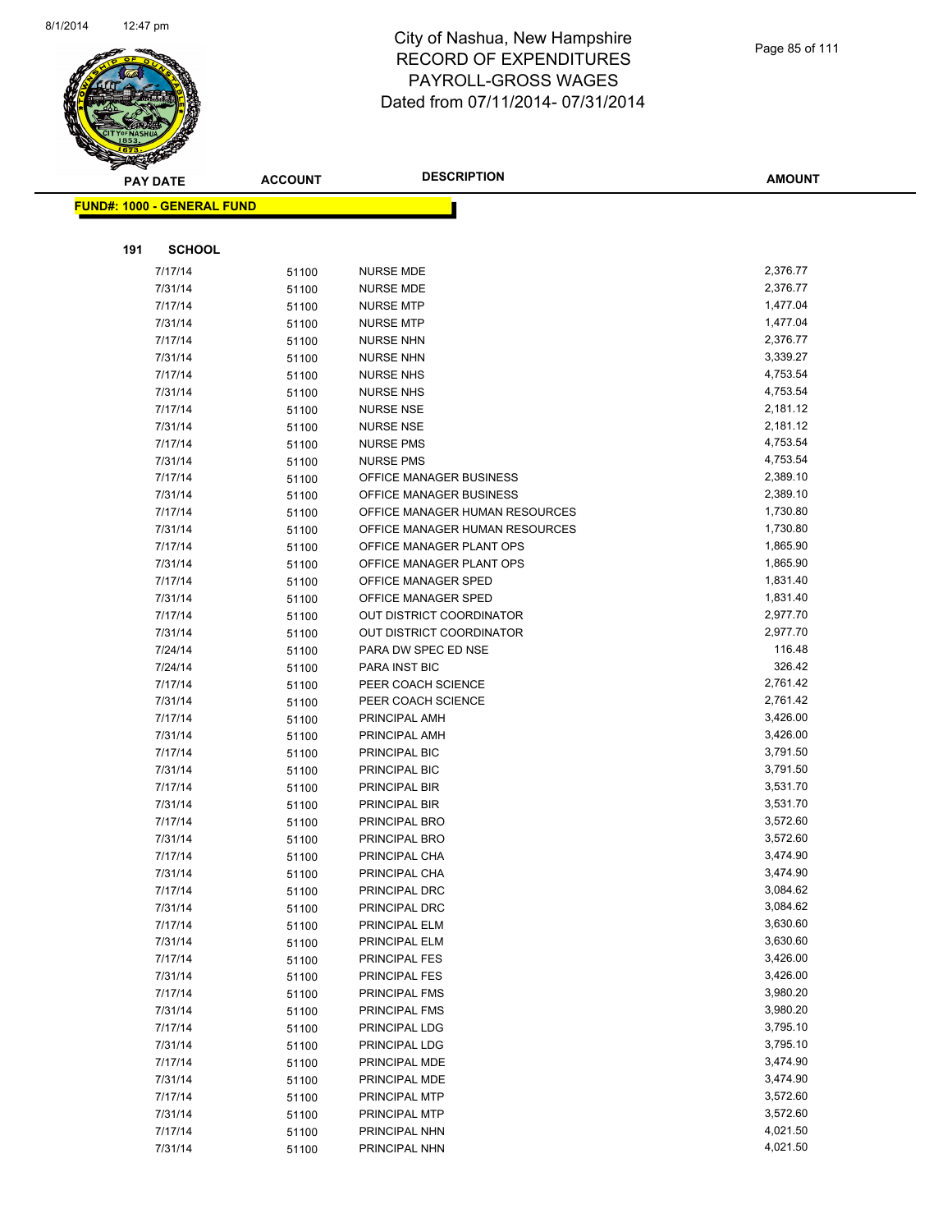

|     | <b>PAY DATE</b>                    | <b>ACCOUNT</b> | <b>DESCRIPTION</b>                          | <b>AMOUNT</b>        |
|-----|------------------------------------|----------------|---------------------------------------------|----------------------|
|     | <u> FUND#: 1000 - GENERAL FUND</u> |                |                                             |                      |
|     |                                    |                |                                             |                      |
| 191 | <b>SCHOOL</b>                      |                |                                             |                      |
|     |                                    |                |                                             |                      |
|     | 7/17/14                            | 51100          | <b>NURSE MDE</b>                            | 2,376.77             |
|     | 7/31/14                            | 51100          | <b>NURSE MDE</b>                            | 2,376.77             |
|     | 7/17/14                            | 51100          | <b>NURSE MTP</b>                            | 1,477.04             |
|     | 7/31/14                            | 51100          | <b>NURSE MTP</b>                            | 1,477.04             |
|     | 7/17/14                            | 51100          | <b>NURSE NHN</b>                            | 2,376.77             |
|     | 7/31/14                            | 51100          | <b>NURSE NHN</b>                            | 3,339.27             |
|     | 7/17/14                            | 51100          | <b>NURSE NHS</b>                            | 4,753.54<br>4,753.54 |
|     | 7/31/14                            | 51100          | <b>NURSE NHS</b>                            |                      |
|     | 7/17/14                            | 51100          | <b>NURSE NSE</b>                            | 2,181.12<br>2,181.12 |
|     | 7/31/14                            | 51100          | <b>NURSE NSE</b>                            |                      |
|     | 7/17/14                            | 51100          | <b>NURSE PMS</b>                            | 4,753.54<br>4,753.54 |
|     | 7/31/14<br>7/17/14                 | 51100          | <b>NURSE PMS</b><br>OFFICE MANAGER BUSINESS | 2,389.10             |
|     | 7/31/14                            | 51100          | OFFICE MANAGER BUSINESS                     | 2,389.10             |
|     | 7/17/14                            | 51100          | OFFICE MANAGER HUMAN RESOURCES              | 1,730.80             |
|     | 7/31/14                            | 51100          | OFFICE MANAGER HUMAN RESOURCES              | 1,730.80             |
|     | 7/17/14                            | 51100          | OFFICE MANAGER PLANT OPS                    | 1,865.90             |
|     | 7/31/14                            | 51100<br>51100 | OFFICE MANAGER PLANT OPS                    | 1,865.90             |
|     | 7/17/14                            | 51100          | OFFICE MANAGER SPED                         | 1,831.40             |
|     | 7/31/14                            | 51100          | OFFICE MANAGER SPED                         | 1,831.40             |
|     | 7/17/14                            | 51100          | <b>OUT DISTRICT COORDINATOR</b>             | 2,977.70             |
|     | 7/31/14                            | 51100          | OUT DISTRICT COORDINATOR                    | 2,977.70             |
|     | 7/24/14                            | 51100          | PARA DW SPEC ED NSE                         | 116.48               |
|     | 7/24/14                            | 51100          | <b>PARA INST BIC</b>                        | 326.42               |
|     | 7/17/14                            | 51100          | PEER COACH SCIENCE                          | 2,761.42             |
|     | 7/31/14                            | 51100          | PEER COACH SCIENCE                          | 2,761.42             |
|     | 7/17/14                            | 51100          | PRINCIPAL AMH                               | 3,426.00             |
|     | 7/31/14                            | 51100          | PRINCIPAL AMH                               | 3,426.00             |
|     | 7/17/14                            | 51100          | PRINCIPAL BIC                               | 3,791.50             |
|     | 7/31/14                            | 51100          | PRINCIPAL BIC                               | 3,791.50             |
|     | 7/17/14                            | 51100          | PRINCIPAL BIR                               | 3,531.70             |
|     | 7/31/14                            | 51100          | PRINCIPAL BIR                               | 3,531.70             |
|     | 7/17/14                            | 51100          | PRINCIPAL BRO                               | 3,572.60             |
|     | 7/31/14                            | 51100          | PRINCIPAL BRO                               | 3,572.60             |
|     | 7/17/14                            | 51100          | PRINCIPAL CHA                               | 3,474.90             |
|     | 7/31/14                            | 51100          | PRINCIPAL CHA                               | 3,474.90             |
|     | 7/17/14                            | 51100          | PRINCIPAL DRC                               | 3,084.62             |
|     | 7/31/14                            | 51100          | PRINCIPAL DRC                               | 3,084.62             |
|     | 7/17/14                            | 51100          | PRINCIPAL ELM                               | 3,630.60             |
|     | 7/31/14                            | 51100          | PRINCIPAL ELM                               | 3,630.60             |
|     | 7/17/14                            | 51100          | PRINCIPAL FES                               | 3,426.00             |
|     | 7/31/14                            | 51100          | PRINCIPAL FES                               | 3,426.00             |
|     | 7/17/14                            | 51100          | PRINCIPAL FMS                               | 3,980.20             |
|     | 7/31/14                            | 51100          | PRINCIPAL FMS                               | 3,980.20             |
|     | 7/17/14                            | 51100          | PRINCIPAL LDG                               | 3,795.10             |
|     | 7/31/14                            | 51100          | PRINCIPAL LDG                               | 3,795.10             |
|     | 7/17/14                            | 51100          | PRINCIPAL MDE                               | 3,474.90             |
|     | 7/31/14                            | 51100          | PRINCIPAL MDE                               | 3,474.90             |
|     | 7/17/14                            | 51100          | PRINCIPAL MTP                               | 3,572.60             |
|     | 7/31/14                            | 51100          | PRINCIPAL MTP                               | 3,572.60             |
|     | 7/17/14                            | 51100          | PRINCIPAL NHN                               | 4,021.50             |
|     | 7/31/14                            | 51100          | PRINCIPAL NHN                               | 4,021.50             |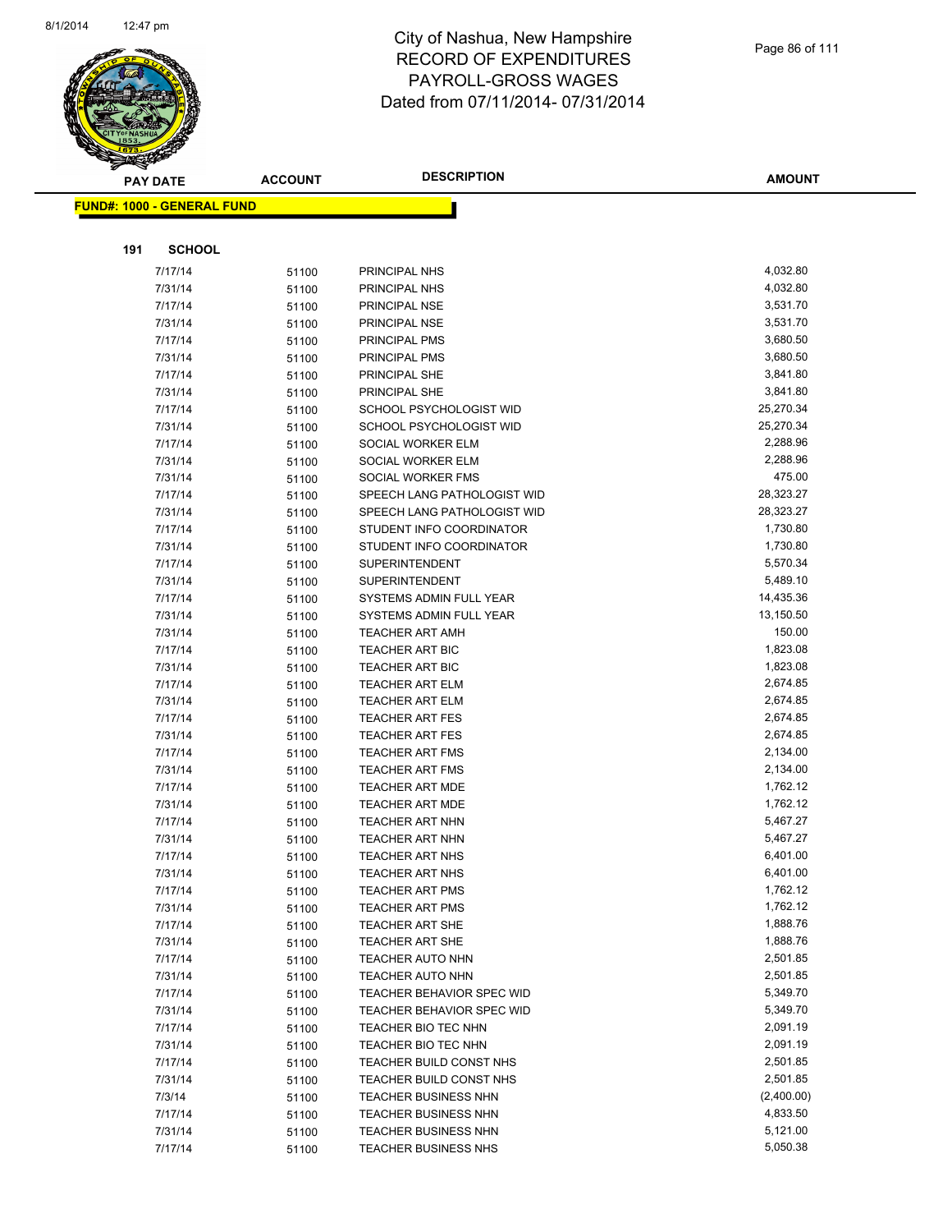

|     | <b>PAY DATE</b>                   | <b>ACCOUNT</b> | <b>DESCRIPTION</b>                               | AMOUNT               |
|-----|-----------------------------------|----------------|--------------------------------------------------|----------------------|
|     | <b>FUND#: 1000 - GENERAL FUND</b> |                |                                                  |                      |
|     |                                   |                |                                                  |                      |
|     |                                   |                |                                                  |                      |
| 191 | <b>SCHOOL</b>                     |                |                                                  |                      |
|     | 7/17/14                           | 51100          | PRINCIPAL NHS                                    | 4,032.80             |
|     | 7/31/14                           | 51100          | PRINCIPAL NHS                                    | 4,032.80             |
|     | 7/17/14                           | 51100          | PRINCIPAL NSE                                    | 3,531.70             |
|     | 7/31/14                           | 51100          | PRINCIPAL NSE                                    | 3,531.70             |
|     | 7/17/14                           | 51100          | PRINCIPAL PMS                                    | 3,680.50             |
|     | 7/31/14                           | 51100          | PRINCIPAL PMS                                    | 3,680.50             |
|     | 7/17/14                           | 51100          | PRINCIPAL SHE                                    | 3,841.80             |
|     | 7/31/14                           | 51100          | PRINCIPAL SHE                                    | 3,841.80             |
|     | 7/17/14                           | 51100          | SCHOOL PSYCHOLOGIST WID                          | 25,270.34            |
|     | 7/31/14                           | 51100          | SCHOOL PSYCHOLOGIST WID                          | 25,270.34            |
|     | 7/17/14                           | 51100          | SOCIAL WORKER ELM                                | 2,288.96<br>2,288.96 |
|     | 7/31/14                           | 51100          | SOCIAL WORKER ELM<br>SOCIAL WORKER FMS           | 475.00               |
|     | 7/31/14                           | 51100          | SPEECH LANG PATHOLOGIST WID                      | 28,323.27            |
|     | 7/17/14<br>7/31/14                | 51100          | SPEECH LANG PATHOLOGIST WID                      | 28,323.27            |
|     | 7/17/14                           | 51100          | STUDENT INFO COORDINATOR                         | 1,730.80             |
|     | 7/31/14                           | 51100          | STUDENT INFO COORDINATOR                         | 1,730.80             |
|     | 7/17/14                           | 51100<br>51100 | <b>SUPERINTENDENT</b>                            | 5,570.34             |
|     | 7/31/14                           |                | <b>SUPERINTENDENT</b>                            | 5,489.10             |
|     | 7/17/14                           | 51100<br>51100 | SYSTEMS ADMIN FULL YEAR                          | 14,435.36            |
|     | 7/31/14                           | 51100          | SYSTEMS ADMIN FULL YEAR                          | 13,150.50            |
|     | 7/31/14                           | 51100          | <b>TEACHER ART AMH</b>                           | 150.00               |
|     | 7/17/14                           | 51100          | <b>TEACHER ART BIC</b>                           | 1,823.08             |
|     | 7/31/14                           | 51100          | <b>TEACHER ART BIC</b>                           | 1,823.08             |
|     | 7/17/14                           | 51100          | <b>TEACHER ART ELM</b>                           | 2,674.85             |
|     | 7/31/14                           | 51100          | <b>TEACHER ART ELM</b>                           | 2,674.85             |
|     | 7/17/14                           | 51100          | <b>TEACHER ART FES</b>                           | 2,674.85             |
|     | 7/31/14                           | 51100          | <b>TEACHER ART FES</b>                           | 2,674.85             |
|     | 7/17/14                           | 51100          | <b>TEACHER ART FMS</b>                           | 2,134.00             |
|     | 7/31/14                           | 51100          | <b>TEACHER ART FMS</b>                           | 2,134.00             |
|     | 7/17/14                           | 51100          | <b>TEACHER ART MDE</b>                           | 1,762.12             |
|     | 7/31/14                           | 51100          | <b>TEACHER ART MDE</b>                           | 1,762.12             |
|     | 7/17/14                           | 51100          | TEACHER ART NHN                                  | 5,467.27             |
|     | 7/31/14                           | 51100          | <b>TEACHER ART NHN</b>                           | 5,467.27             |
|     | 7/17/14                           | 51100          | <b>TEACHER ART NHS</b>                           | 6,401.00             |
|     | 7/31/14                           | 51100          | <b>TEACHER ART NHS</b>                           | 6,401.00             |
|     | 7/17/14                           | 51100          | <b>TEACHER ART PMS</b>                           | 1,762.12             |
|     | 7/31/14                           | 51100          | <b>TEACHER ART PMS</b>                           | 1,762.12             |
|     | 7/17/14                           | 51100          | <b>TEACHER ART SHE</b>                           | 1,888.76             |
|     | 7/31/14                           | 51100          | <b>TEACHER ART SHE</b>                           | 1,888.76             |
|     | 7/17/14                           | 51100          | <b>TEACHER AUTO NHN</b>                          | 2,501.85             |
|     | 7/31/14                           | 51100          | <b>TEACHER AUTO NHN</b>                          | 2,501.85             |
|     | 7/17/14                           | 51100          | <b>TEACHER BEHAVIOR SPEC WID</b>                 | 5,349.70             |
|     | 7/31/14<br>7/17/14                | 51100          | TEACHER BEHAVIOR SPEC WID<br>TEACHER BIO TEC NHN | 5,349.70<br>2,091.19 |
|     |                                   | 51100          |                                                  | 2,091.19             |
|     | 7/31/14<br>7/17/14                | 51100          | TEACHER BIO TEC NHN<br>TEACHER BUILD CONST NHS   | 2,501.85             |
|     | 7/31/14                           | 51100<br>51100 | TEACHER BUILD CONST NHS                          | 2,501.85             |
|     | 7/3/14                            | 51100          | <b>TEACHER BUSINESS NHN</b>                      | (2,400.00)           |
|     | 7/17/14                           | 51100          | TEACHER BUSINESS NHN                             | 4,833.50             |
|     | 7/31/14                           | 51100          | TEACHER BUSINESS NHN                             | 5,121.00             |
|     | 7/17/14                           | 51100          | TEACHER BUSINESS NHS                             | 5,050.38             |
|     |                                   |                |                                                  |                      |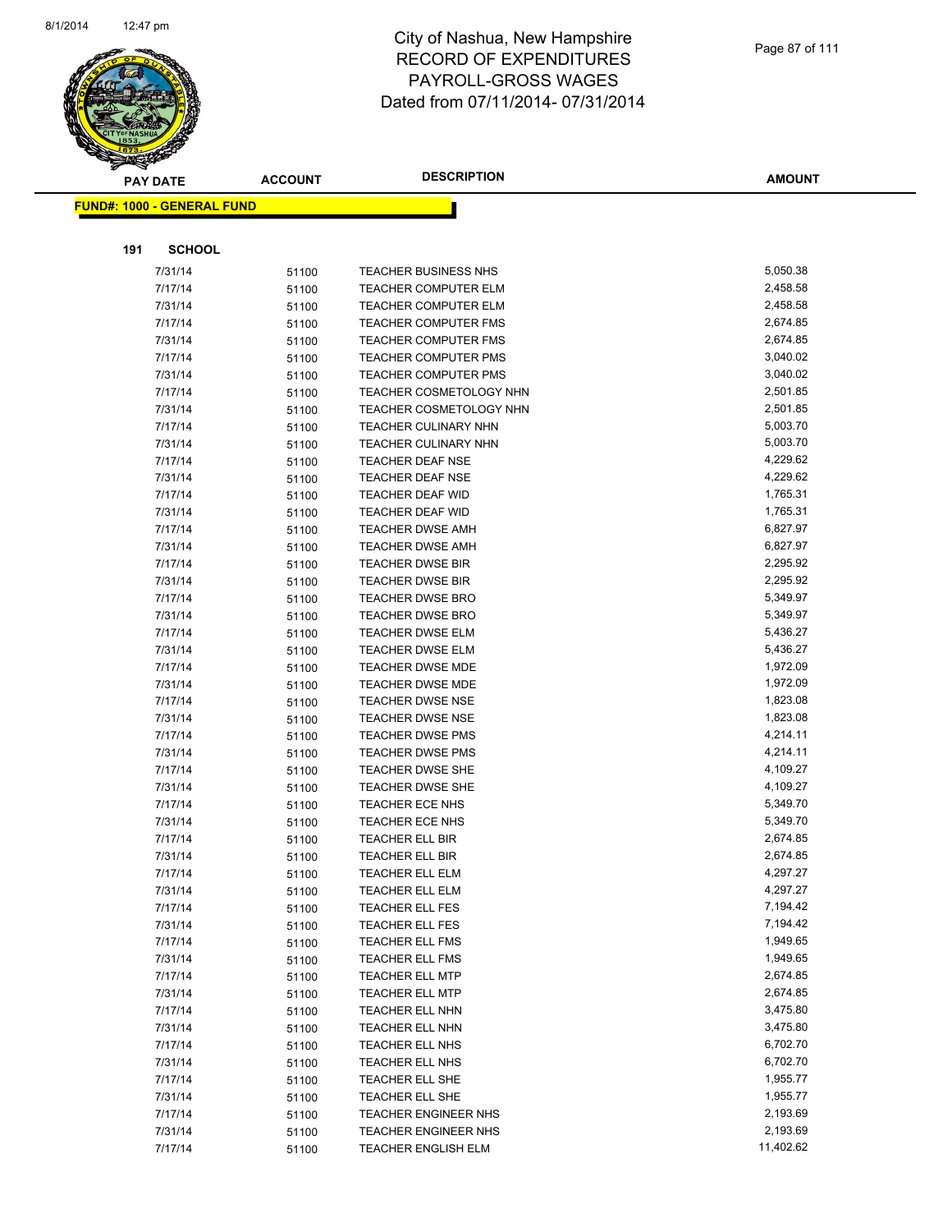

|     | <b>PAY DATE</b>                   | <b>ACCOUNT</b> | <b>DESCRIPTION</b>             | <b>AMOUNT</b> |
|-----|-----------------------------------|----------------|--------------------------------|---------------|
|     | <b>FUND#: 1000 - GENERAL FUND</b> |                |                                |               |
|     |                                   |                |                                |               |
|     |                                   |                |                                |               |
| 191 | <b>SCHOOL</b>                     |                |                                |               |
|     | 7/31/14                           | 51100          | <b>TEACHER BUSINESS NHS</b>    | 5,050.38      |
|     | 7/17/14                           | 51100          | <b>TEACHER COMPUTER ELM</b>    | 2,458.58      |
|     | 7/31/14                           | 51100          | TEACHER COMPUTER ELM           | 2,458.58      |
|     | 7/17/14                           | 51100          | <b>TEACHER COMPUTER FMS</b>    | 2,674.85      |
|     | 7/31/14                           | 51100          | <b>TEACHER COMPUTER FMS</b>    | 2,674.85      |
|     | 7/17/14                           | 51100          | TEACHER COMPUTER PMS           | 3,040.02      |
|     | 7/31/14                           | 51100          | <b>TEACHER COMPUTER PMS</b>    | 3,040.02      |
|     | 7/17/14                           | 51100          | <b>TEACHER COSMETOLOGY NHN</b> | 2,501.85      |
|     | 7/31/14                           | 51100          | TEACHER COSMETOLOGY NHN        | 2,501.85      |
|     | 7/17/14                           | 51100          | TEACHER CULINARY NHN           | 5,003.70      |
|     | 7/31/14                           | 51100          | <b>TEACHER CULINARY NHN</b>    | 5,003.70      |
|     | 7/17/14                           | 51100          | <b>TEACHER DEAF NSE</b>        | 4,229.62      |
|     | 7/31/14                           | 51100          | <b>TEACHER DEAF NSE</b>        | 4,229.62      |
|     | 7/17/14                           | 51100          | <b>TEACHER DEAF WID</b>        | 1,765.31      |
|     | 7/31/14                           | 51100          | TEACHER DEAF WID               | 1,765.31      |
|     | 7/17/14                           | 51100          | <b>TEACHER DWSE AMH</b>        | 6,827.97      |
|     | 7/31/14                           | 51100          | <b>TEACHER DWSE AMH</b>        | 6,827.97      |
|     | 7/17/14                           | 51100          | <b>TEACHER DWSE BIR</b>        | 2,295.92      |
|     | 7/31/14                           | 51100          | <b>TEACHER DWSE BIR</b>        | 2,295.92      |
|     | 7/17/14                           | 51100          | <b>TEACHER DWSE BRO</b>        | 5,349.97      |
|     | 7/31/14                           | 51100          | <b>TEACHER DWSE BRO</b>        | 5,349.97      |
|     | 7/17/14                           | 51100          | <b>TEACHER DWSE ELM</b>        | 5,436.27      |
|     | 7/31/14                           | 51100          | <b>TEACHER DWSE ELM</b>        | 5,436.27      |
|     | 7/17/14                           | 51100          | <b>TEACHER DWSE MDE</b>        | 1,972.09      |
|     | 7/31/14                           | 51100          | TEACHER DWSE MDE               | 1,972.09      |
|     | 7/17/14                           | 51100          | <b>TEACHER DWSE NSE</b>        | 1,823.08      |
|     | 7/31/14                           | 51100          | <b>TEACHER DWSE NSE</b>        | 1,823.08      |
|     | 7/17/14                           | 51100          | <b>TEACHER DWSE PMS</b>        | 4,214.11      |
|     | 7/31/14                           | 51100          | <b>TEACHER DWSE PMS</b>        | 4,214.11      |
|     | 7/17/14                           | 51100          | <b>TEACHER DWSE SHE</b>        | 4,109.27      |
|     | 7/31/14                           | 51100          | <b>TEACHER DWSE SHE</b>        | 4,109.27      |
|     | 7/17/14                           | 51100          | <b>TEACHER ECE NHS</b>         | 5,349.70      |
|     | 7/31/14                           | 51100          | TEACHER ECE NHS                | 5,349.70      |
|     | 7/17/14                           | 51100          | <b>TEACHER ELL BIR</b>         | 2,674.85      |
|     | 7/31/14                           | 51100          | <b>TEACHER ELL BIR</b>         | 2,674.85      |
|     | 7/17/14                           | 51100          | TEACHER ELL ELM                | 4,297.27      |
|     | 7/31/14                           | 51100          | TEACHER ELL ELM                | 4,297.27      |
|     | 7/17/14                           | 51100          | TEACHER ELL FES                | 7,194.42      |
|     | 7/31/14                           | 51100          | <b>TEACHER ELL FES</b>         | 7,194.42      |
|     | 7/17/14                           | 51100          | <b>TEACHER ELL FMS</b>         | 1,949.65      |
|     | 7/31/14                           | 51100          | <b>TEACHER ELL FMS</b>         | 1,949.65      |
|     | 7/17/14                           | 51100          | <b>TEACHER ELL MTP</b>         | 2,674.85      |
|     | 7/31/14                           | 51100          | <b>TEACHER ELL MTP</b>         | 2,674.85      |
|     | 7/17/14                           | 51100          | TEACHER ELL NHN                | 3,475.80      |
|     | 7/31/14                           | 51100          | <b>TEACHER ELL NHN</b>         | 3,475.80      |
|     | 7/17/14                           | 51100          | TEACHER ELL NHS                | 6,702.70      |
|     | 7/31/14                           | 51100          | TEACHER ELL NHS                | 6,702.70      |
|     | 7/17/14                           | 51100          | TEACHER ELL SHE                | 1,955.77      |
|     | 7/31/14                           | 51100          | TEACHER ELL SHE                | 1,955.77      |
|     | 7/17/14                           | 51100          | <b>TEACHER ENGINEER NHS</b>    | 2,193.69      |
|     | 7/31/14                           | 51100          | <b>TEACHER ENGINEER NHS</b>    | 2,193.69      |
|     | 7/17/14                           | 51100          | TEACHER ENGLISH ELM            | 11,402.62     |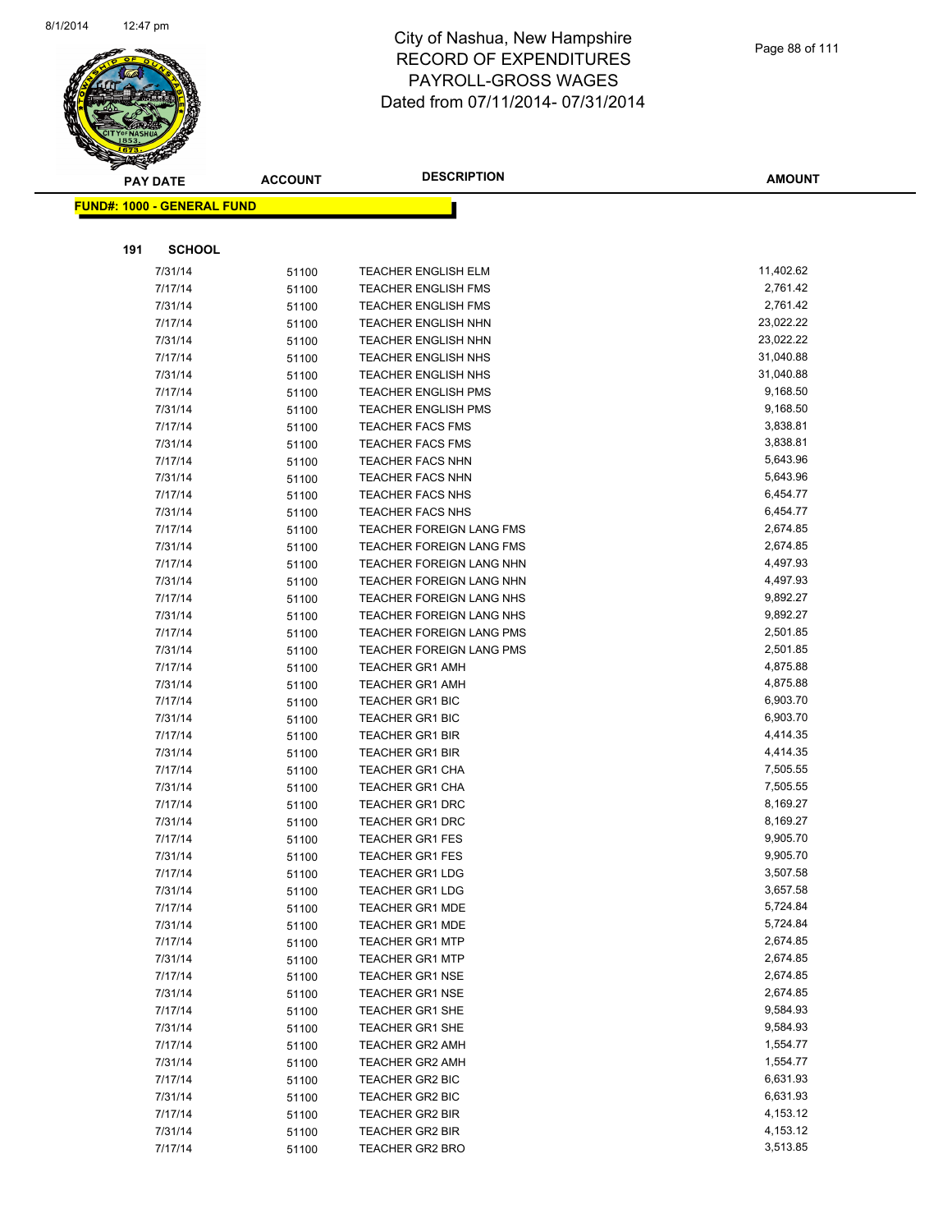

|     | <b>PAY DATE</b>                   | <b>ACCOUNT</b> | <b>DESCRIPTION</b>              | <b>AMOUNT</b> |
|-----|-----------------------------------|----------------|---------------------------------|---------------|
|     | <b>FUND#: 1000 - GENERAL FUND</b> |                |                                 |               |
|     |                                   |                |                                 |               |
|     |                                   |                |                                 |               |
| 191 | <b>SCHOOL</b>                     |                |                                 |               |
|     | 7/31/14                           | 51100          | TEACHER ENGLISH ELM             | 11,402.62     |
|     | 7/17/14                           | 51100          | TEACHER ENGLISH FMS             | 2,761.42      |
|     | 7/31/14                           | 51100          | TEACHER ENGLISH FMS             | 2,761.42      |
|     | 7/17/14                           | 51100          | <b>TEACHER ENGLISH NHN</b>      | 23,022.22     |
|     | 7/31/14                           | 51100          | TEACHER ENGLISH NHN             | 23,022.22     |
|     | 7/17/14                           | 51100          | TEACHER ENGLISH NHS             | 31,040.88     |
|     | 7/31/14                           | 51100          | TEACHER ENGLISH NHS             | 31,040.88     |
|     | 7/17/14                           | 51100          | <b>TEACHER ENGLISH PMS</b>      | 9,168.50      |
|     | 7/31/14                           | 51100          | <b>TEACHER ENGLISH PMS</b>      | 9,168.50      |
|     | 7/17/14                           | 51100          | <b>TEACHER FACS FMS</b>         | 3,838.81      |
|     | 7/31/14                           | 51100          | TEACHER FACS FMS                | 3,838.81      |
|     | 7/17/14                           | 51100          | TEACHER FACS NHN                | 5,643.96      |
|     | 7/31/14                           | 51100          | TEACHER FACS NHN                | 5,643.96      |
|     | 7/17/14                           | 51100          | <b>TEACHER FACS NHS</b>         | 6,454.77      |
|     | 7/31/14                           | 51100          | <b>TEACHER FACS NHS</b>         | 6,454.77      |
|     | 7/17/14                           | 51100          | <b>TEACHER FOREIGN LANG FMS</b> | 2,674.85      |
|     | 7/31/14                           | 51100          | TEACHER FOREIGN LANG FMS        | 2,674.85      |
|     | 7/17/14                           | 51100          | TEACHER FOREIGN LANG NHN        | 4,497.93      |
|     | 7/31/14                           | 51100          | TEACHER FOREIGN LANG NHN        | 4,497.93      |
|     | 7/17/14                           | 51100          | <b>TEACHER FOREIGN LANG NHS</b> | 9,892.27      |
|     | 7/31/14                           | 51100          | TEACHER FOREIGN LANG NHS        | 9,892.27      |
|     | 7/17/14                           | 51100          | TEACHER FOREIGN LANG PMS        | 2,501.85      |
|     | 7/31/14                           | 51100          | TEACHER FOREIGN LANG PMS        | 2,501.85      |
|     | 7/17/14                           | 51100          | TEACHER GR1 AMH                 | 4,875.88      |
|     | 7/31/14                           | 51100          | TEACHER GR1 AMH                 | 4,875.88      |
|     | 7/17/14                           | 51100          | TEACHER GR1 BIC                 | 6,903.70      |
|     | 7/31/14                           | 51100          | TEACHER GR1 BIC                 | 6,903.70      |
|     | 7/17/14                           | 51100          | <b>TEACHER GR1 BIR</b>          | 4,414.35      |
|     | 7/31/14                           | 51100          | <b>TEACHER GR1 BIR</b>          | 4,414.35      |
|     | 7/17/14                           | 51100          | <b>TEACHER GR1 CHA</b>          | 7,505.55      |
|     | 7/31/14                           | 51100          | <b>TEACHER GR1 CHA</b>          | 7,505.55      |
|     | 7/17/14                           | 51100          | <b>TEACHER GR1 DRC</b>          | 8,169.27      |
|     | 7/31/14                           | 51100          | <b>TEACHER GR1 DRC</b>          | 8,169.27      |
|     | 7/17/14                           | 51100          | <b>TEACHER GR1 FES</b>          | 9,905.70      |
|     | 7/31/14                           | 51100          | <b>TEACHER GR1 FES</b>          | 9,905.70      |
|     | 7/17/14                           | 51100          | <b>TEACHER GR1 LDG</b>          | 3,507.58      |
|     | 7/31/14                           | 51100          | <b>TEACHER GR1 LDG</b>          | 3,657.58      |
|     | 7/17/14                           | 51100          | <b>TEACHER GR1 MDE</b>          | 5,724.84      |
|     | 7/31/14                           | 51100          | <b>TEACHER GR1 MDE</b>          | 5,724.84      |
|     | 7/17/14                           | 51100          | <b>TEACHER GR1 MTP</b>          | 2,674.85      |
|     | 7/31/14                           | 51100          | <b>TEACHER GR1 MTP</b>          | 2,674.85      |
|     | 7/17/14                           | 51100          | <b>TEACHER GR1 NSE</b>          | 2,674.85      |
|     | 7/31/14                           | 51100          | <b>TEACHER GR1 NSE</b>          | 2,674.85      |
|     | 7/17/14                           | 51100          | <b>TEACHER GR1 SHE</b>          | 9,584.93      |
|     | 7/31/14                           | 51100          | <b>TEACHER GR1 SHE</b>          | 9,584.93      |
|     | 7/17/14                           | 51100          | <b>TEACHER GR2 AMH</b>          | 1,554.77      |
|     | 7/31/14                           | 51100          | <b>TEACHER GR2 AMH</b>          | 1,554.77      |
|     | 7/17/14                           | 51100          | <b>TEACHER GR2 BIC</b>          | 6,631.93      |
|     | 7/31/14                           | 51100          | <b>TEACHER GR2 BIC</b>          | 6,631.93      |
|     | 7/17/14                           | 51100          | <b>TEACHER GR2 BIR</b>          | 4,153.12      |
|     | 7/31/14                           | 51100          | <b>TEACHER GR2 BIR</b>          | 4,153.12      |
|     | 7/17/14                           | 51100          | <b>TEACHER GR2 BRO</b>          | 3,513.85      |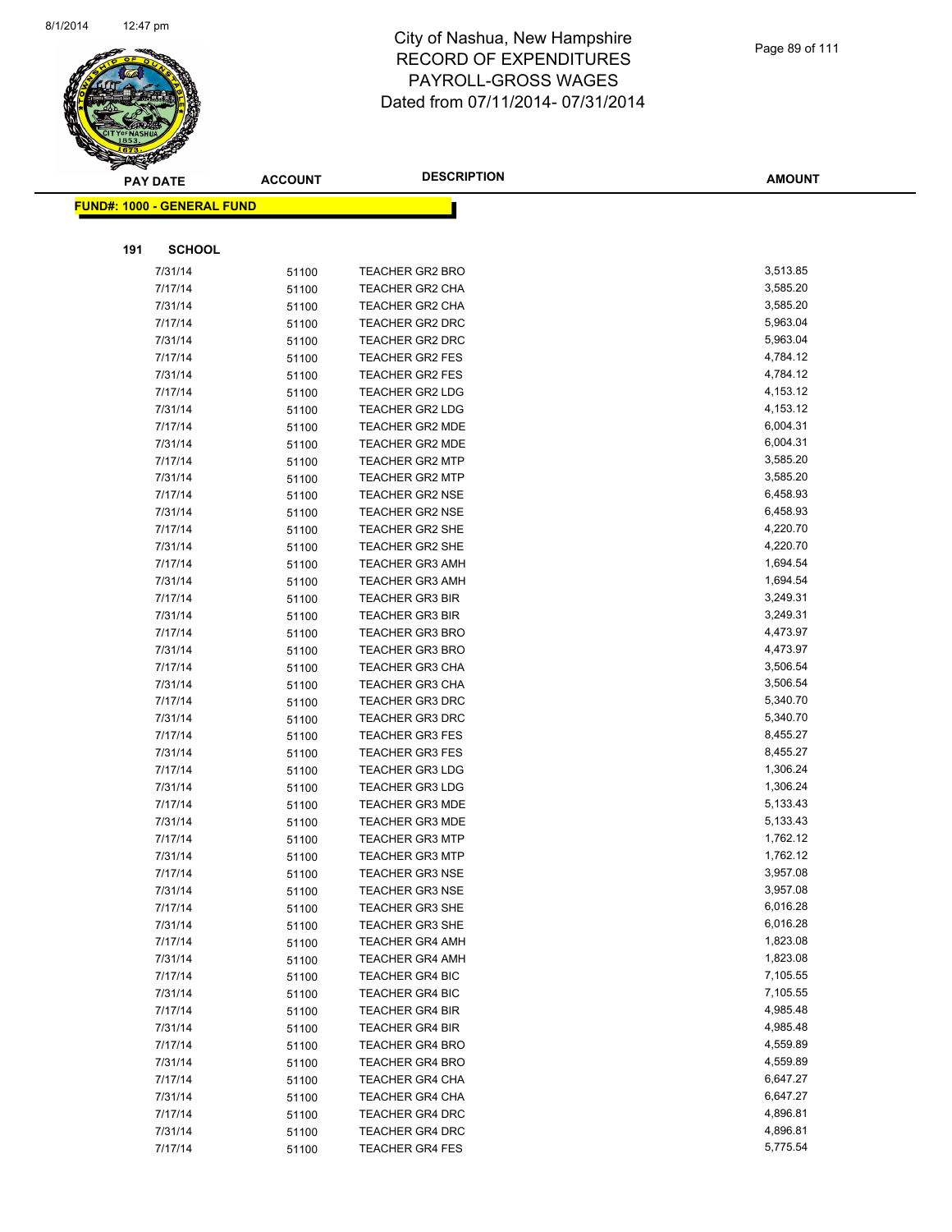

|     | <b>PAY DATE</b>                    | <b>ACCOUNT</b> | <b>DESCRIPTION</b>     | <b>AMOUNT</b> |
|-----|------------------------------------|----------------|------------------------|---------------|
|     | <u> FUND#: 1000 - GENERAL FUND</u> |                |                        |               |
|     |                                    |                |                        |               |
| 191 | <b>SCHOOL</b>                      |                |                        |               |
|     | 7/31/14                            | 51100          | <b>TEACHER GR2 BRO</b> | 3,513.85      |
|     | 7/17/14                            | 51100          | <b>TEACHER GR2 CHA</b> | 3,585.20      |
|     | 7/31/14                            | 51100          | <b>TEACHER GR2 CHA</b> | 3,585.20      |
|     | 7/17/14                            |                | <b>TEACHER GR2 DRC</b> | 5,963.04      |
|     | 7/31/14                            | 51100<br>51100 | TEACHER GR2 DRC        | 5,963.04      |
|     | 7/17/14                            |                | <b>TEACHER GR2 FES</b> | 4,784.12      |
|     | 7/31/14                            | 51100          | <b>TEACHER GR2 FES</b> | 4,784.12      |
|     | 7/17/14                            | 51100          | <b>TEACHER GR2 LDG</b> | 4,153.12      |
|     | 7/31/14                            | 51100<br>51100 | <b>TEACHER GR2 LDG</b> | 4,153.12      |
|     | 7/17/14                            | 51100          | <b>TEACHER GR2 MDE</b> | 6,004.31      |
|     | 7/31/14                            | 51100          | TEACHER GR2 MDE        | 6,004.31      |
|     | 7/17/14                            | 51100          | <b>TEACHER GR2 MTP</b> | 3,585.20      |
|     | 7/31/14                            | 51100          | <b>TEACHER GR2 MTP</b> | 3,585.20      |
|     | 7/17/14                            | 51100          | <b>TEACHER GR2 NSE</b> | 6,458.93      |
|     | 7/31/14                            | 51100          | <b>TEACHER GR2 NSE</b> | 6,458.93      |
|     | 7/17/14                            | 51100          | <b>TEACHER GR2 SHE</b> | 4,220.70      |
|     | 7/31/14                            | 51100          | <b>TEACHER GR2 SHE</b> | 4,220.70      |
|     | 7/17/14                            | 51100          | <b>TEACHER GR3 AMH</b> | 1,694.54      |
|     | 7/31/14                            | 51100          | <b>TEACHER GR3 AMH</b> | 1,694.54      |
|     | 7/17/14                            | 51100          | <b>TEACHER GR3 BIR</b> | 3,249.31      |
|     | 7/31/14                            | 51100          | <b>TEACHER GR3 BIR</b> | 3,249.31      |
|     | 7/17/14                            | 51100          | <b>TEACHER GR3 BRO</b> | 4,473.97      |
|     | 7/31/14                            | 51100          | <b>TEACHER GR3 BRO</b> | 4,473.97      |
|     | 7/17/14                            | 51100          | <b>TEACHER GR3 CHA</b> | 3,506.54      |
|     | 7/31/14                            | 51100          | <b>TEACHER GR3 CHA</b> | 3,506.54      |
|     | 7/17/14                            | 51100          | <b>TEACHER GR3 DRC</b> | 5,340.70      |
|     | 7/31/14                            | 51100          | <b>TEACHER GR3 DRC</b> | 5,340.70      |
|     | 7/17/14                            | 51100          | <b>TEACHER GR3 FES</b> | 8,455.27      |
|     | 7/31/14                            | 51100          | <b>TEACHER GR3 FES</b> | 8,455.27      |
|     | 7/17/14                            | 51100          | <b>TEACHER GR3 LDG</b> | 1,306.24      |
|     | 7/31/14                            | 51100          | <b>TEACHER GR3 LDG</b> | 1,306.24      |
|     | 7/17/14                            | 51100          | <b>TEACHER GR3 MDE</b> | 5,133.43      |
|     | 7/31/14                            | 51100          | <b>TEACHER GR3 MDE</b> | 5,133.43      |
|     | 7/17/14                            | 51100          | <b>TEACHER GR3 MTP</b> | 1,762.12      |
|     | 7/31/14                            | 51100          | <b>TEACHER GR3 MTP</b> | 1,762.12      |
|     | 7/17/14                            | 51100          | TEACHER GR3 NSE        | 3,957.08      |
|     | 7/31/14                            | 51100          | <b>TEACHER GR3 NSE</b> | 3,957.08      |
|     | 7/17/14                            | 51100          | TEACHER GR3 SHE        | 6,016.28      |
|     | 7/31/14                            | 51100          | <b>TEACHER GR3 SHE</b> | 6,016.28      |
|     | 7/17/14                            | 51100          | <b>TEACHER GR4 AMH</b> | 1,823.08      |
|     | 7/31/14                            | 51100          | <b>TEACHER GR4 AMH</b> | 1,823.08      |
|     | 7/17/14                            | 51100          | <b>TEACHER GR4 BIC</b> | 7,105.55      |
|     | 7/31/14                            | 51100          | <b>TEACHER GR4 BIC</b> | 7,105.55      |
|     | 7/17/14                            | 51100          | <b>TEACHER GR4 BIR</b> | 4,985.48      |
|     | 7/31/14                            | 51100          | <b>TEACHER GR4 BIR</b> | 4,985.48      |
|     | 7/17/14                            | 51100          | <b>TEACHER GR4 BRO</b> | 4,559.89      |
|     | 7/31/14                            | 51100          | <b>TEACHER GR4 BRO</b> | 4,559.89      |
|     | 7/17/14                            | 51100          | <b>TEACHER GR4 CHA</b> | 6,647.27      |
|     | 7/31/14                            | 51100          | <b>TEACHER GR4 CHA</b> | 6,647.27      |
|     | 7/17/14                            | 51100          | <b>TEACHER GR4 DRC</b> | 4,896.81      |
|     | 7/31/14                            | 51100          | <b>TEACHER GR4 DRC</b> | 4,896.81      |
|     | 7/17/14                            | 51100          | <b>TEACHER GR4 FES</b> | 5,775.54      |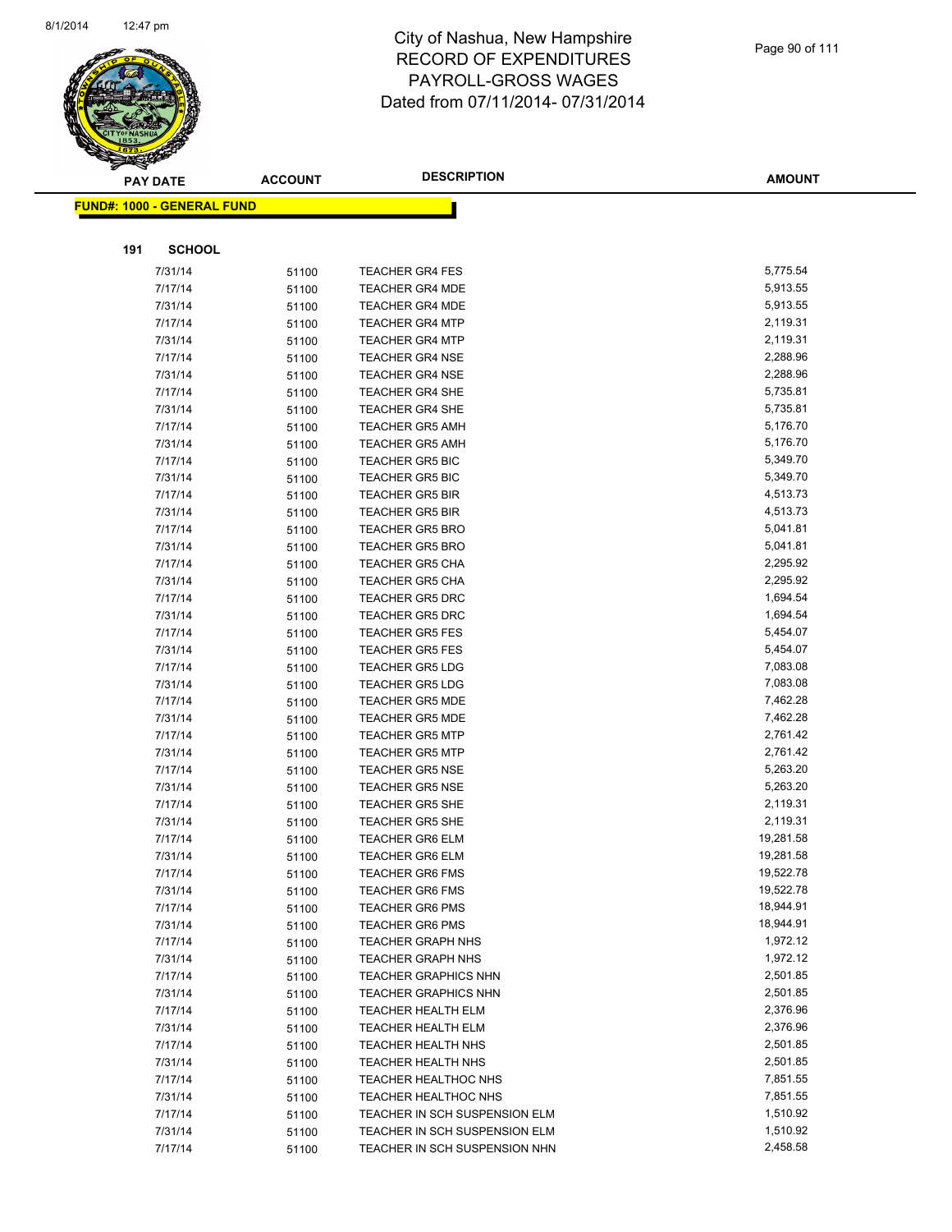

|     | <b>PAY DATE</b>                    | <b>ACCOUNT</b> | <b>DESCRIPTION</b>                        | <b>AMOUNT</b>        |
|-----|------------------------------------|----------------|-------------------------------------------|----------------------|
|     | <u> FUND#: 1000 - GENERAL FUND</u> |                |                                           |                      |
|     |                                    |                |                                           |                      |
|     |                                    |                |                                           |                      |
| 191 | <b>SCHOOL</b>                      |                |                                           |                      |
|     | 7/31/14                            | 51100          | <b>TEACHER GR4 FES</b>                    | 5,775.54             |
|     | 7/17/14                            | 51100          | <b>TEACHER GR4 MDE</b>                    | 5,913.55             |
|     | 7/31/14                            | 51100          | <b>TEACHER GR4 MDE</b>                    | 5,913.55             |
|     | 7/17/14                            | 51100          | <b>TEACHER GR4 MTP</b>                    | 2,119.31             |
|     | 7/31/14                            | 51100          | <b>TEACHER GR4 MTP</b>                    | 2,119.31             |
|     | 7/17/14                            | 51100          | <b>TEACHER GR4 NSE</b>                    | 2,288.96             |
|     | 7/31/14                            | 51100          | <b>TEACHER GR4 NSE</b>                    | 2,288.96             |
|     | 7/17/14                            | 51100          | <b>TEACHER GR4 SHE</b>                    | 5,735.81             |
|     | 7/31/14                            | 51100          | <b>TEACHER GR4 SHE</b>                    | 5,735.81             |
|     | 7/17/14                            | 51100          | <b>TEACHER GR5 AMH</b>                    | 5,176.70             |
|     | 7/31/14                            | 51100          | <b>TEACHER GR5 AMH</b>                    | 5,176.70             |
|     | 7/17/14                            | 51100          | <b>TEACHER GR5 BIC</b>                    | 5,349.70             |
|     | 7/31/14                            | 51100          | <b>TEACHER GR5 BIC</b>                    | 5,349.70             |
|     | 7/17/14                            | 51100          | <b>TEACHER GR5 BIR</b>                    | 4,513.73             |
|     | 7/31/14                            | 51100          | <b>TEACHER GR5 BIR</b>                    | 4,513.73             |
|     | 7/17/14                            | 51100          | <b>TEACHER GR5 BRO</b>                    | 5,041.81             |
|     | 7/31/14                            | 51100          | <b>TEACHER GR5 BRO</b>                    | 5,041.81             |
|     | 7/17/14                            | 51100          | <b>TEACHER GR5 CHA</b>                    | 2,295.92             |
|     | 7/31/14                            | 51100          | <b>TEACHER GR5 CHA</b>                    | 2,295.92             |
|     | 7/17/14                            | 51100          | <b>TEACHER GR5 DRC</b>                    | 1,694.54             |
|     | 7/31/14                            | 51100          | <b>TEACHER GR5 DRC</b>                    | 1,694.54             |
|     | 7/17/14                            | 51100          | <b>TEACHER GR5 FES</b>                    | 5,454.07             |
|     | 7/31/14                            | 51100          | <b>TEACHER GR5 FES</b>                    | 5,454.07             |
|     | 7/17/14                            | 51100          | <b>TEACHER GR5 LDG</b>                    | 7,083.08             |
|     | 7/31/14                            | 51100          | <b>TEACHER GR5 LDG</b>                    | 7,083.08             |
|     | 7/17/14                            | 51100          | <b>TEACHER GR5 MDE</b>                    | 7,462.28<br>7,462.28 |
|     | 7/31/14<br>7/17/14                 | 51100          | TEACHER GR5 MDE<br><b>TEACHER GR5 MTP</b> | 2,761.42             |
|     | 7/31/14                            | 51100<br>51100 | <b>TEACHER GR5 MTP</b>                    | 2,761.42             |
|     | 7/17/14                            | 51100          | <b>TEACHER GR5 NSE</b>                    | 5,263.20             |
|     | 7/31/14                            | 51100          | <b>TEACHER GR5 NSE</b>                    | 5,263.20             |
|     | 7/17/14                            | 51100          | <b>TEACHER GR5 SHE</b>                    | 2,119.31             |
|     | 7/31/14                            | 51100          | <b>TEACHER GR5 SHE</b>                    | 2,119.31             |
|     | 7/17/14                            | 51100          | <b>TEACHER GR6 ELM</b>                    | 19,281.58            |
|     | 7/31/14                            | 51100          | <b>TEACHER GR6 ELM</b>                    | 19,281.58            |
|     | 7/17/14                            | 51100          | TEACHER GR6 FMS                           | 19,522.78            |
|     | 7/31/14                            | 51100          | <b>TEACHER GR6 FMS</b>                    | 19,522.78            |
|     | 7/17/14                            | 51100          | <b>TEACHER GR6 PMS</b>                    | 18,944.91            |
|     | 7/31/14                            | 51100          | <b>TEACHER GR6 PMS</b>                    | 18,944.91            |
|     | 7/17/14                            | 51100          | <b>TEACHER GRAPH NHS</b>                  | 1,972.12             |
|     | 7/31/14                            | 51100          | <b>TEACHER GRAPH NHS</b>                  | 1,972.12             |
|     | 7/17/14                            | 51100          | <b>TEACHER GRAPHICS NHN</b>               | 2,501.85             |
|     | 7/31/14                            | 51100          | <b>TEACHER GRAPHICS NHN</b>               | 2,501.85             |
|     | 7/17/14                            | 51100          | <b>TEACHER HEALTH ELM</b>                 | 2,376.96             |
|     | 7/31/14                            | 51100          | <b>TEACHER HEALTH ELM</b>                 | 2,376.96             |
|     | 7/17/14                            | 51100          | <b>TEACHER HEALTH NHS</b>                 | 2,501.85             |
|     | 7/31/14                            | 51100          | <b>TEACHER HEALTH NHS</b>                 | 2,501.85             |
|     | 7/17/14                            | 51100          | TEACHER HEALTHOC NHS                      | 7,851.55             |
|     | 7/31/14                            | 51100          | TEACHER HEALTHOC NHS                      | 7,851.55             |
|     | 7/17/14                            | 51100          | TEACHER IN SCH SUSPENSION ELM             | 1,510.92             |
|     | 7/31/14                            | 51100          | TEACHER IN SCH SUSPENSION ELM             | 1,510.92             |
|     | 7/17/14                            | 51100          | TEACHER IN SCH SUSPENSION NHN             | 2,458.58             |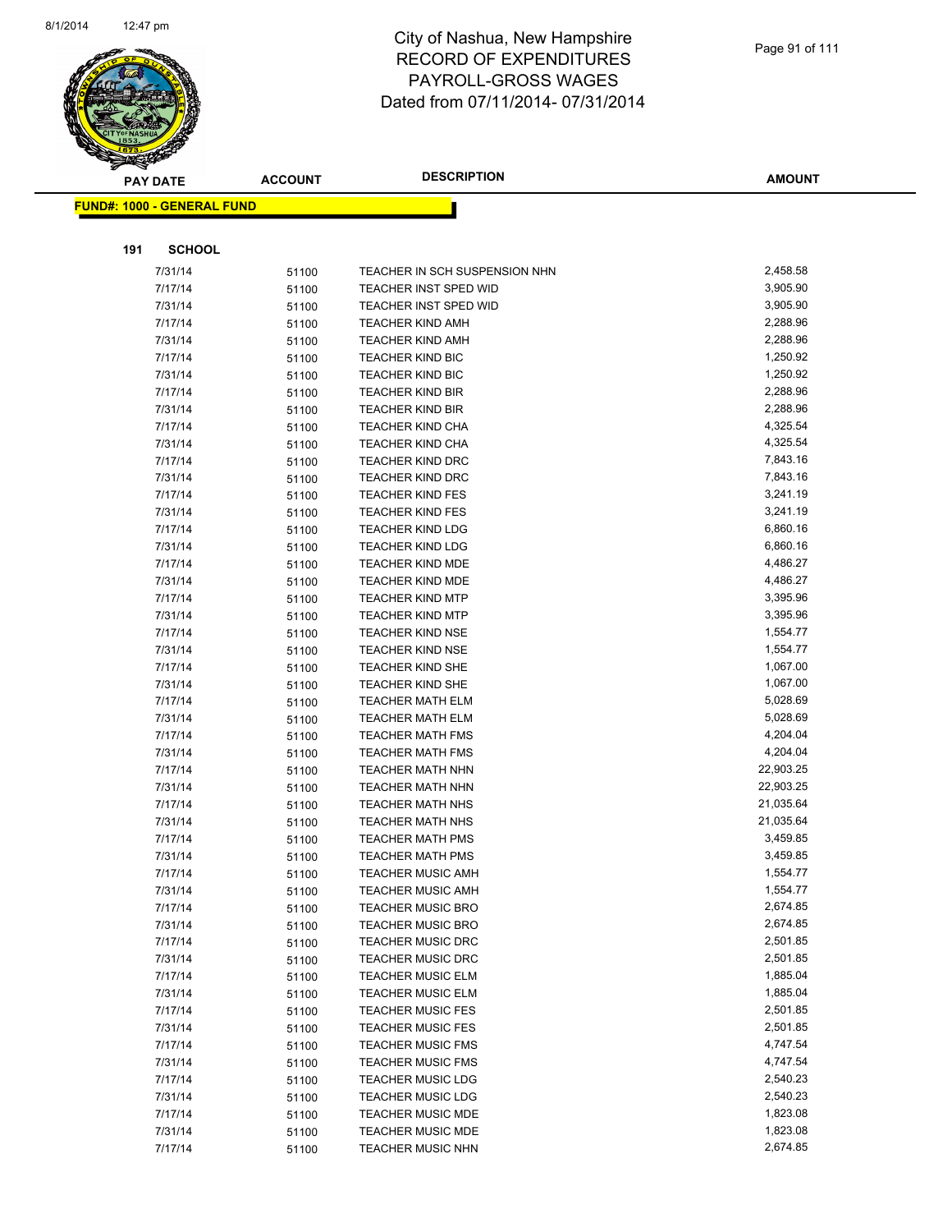

|     | <b>PAY DATE</b>                    | <b>ACCOUNT</b> | <b>DESCRIPTION</b>                                 | <b>AMOUNT</b>        |
|-----|------------------------------------|----------------|----------------------------------------------------|----------------------|
|     | <u> FUND#: 1000 - GENERAL FUND</u> |                |                                                    |                      |
|     |                                    |                |                                                    |                      |
|     |                                    |                |                                                    |                      |
| 191 | <b>SCHOOL</b>                      |                |                                                    |                      |
|     | 7/31/14                            | 51100          | TEACHER IN SCH SUSPENSION NHN                      | 2,458.58             |
|     | 7/17/14                            | 51100          | TEACHER INST SPED WID                              | 3,905.90             |
|     | 7/31/14                            | 51100          | <b>TEACHER INST SPED WID</b>                       | 3,905.90             |
|     | 7/17/14                            | 51100          | <b>TEACHER KIND AMH</b>                            | 2,288.96             |
|     | 7/31/14                            | 51100          | <b>TEACHER KIND AMH</b>                            | 2,288.96             |
|     | 7/17/14                            | 51100          | <b>TEACHER KIND BIC</b>                            | 1,250.92             |
|     | 7/31/14                            | 51100          | <b>TEACHER KIND BIC</b>                            | 1,250.92             |
|     | 7/17/14                            | 51100          | <b>TEACHER KIND BIR</b>                            | 2,288.96             |
|     | 7/31/14                            | 51100          | <b>TEACHER KIND BIR</b>                            | 2,288.96<br>4,325.54 |
|     | 7/17/14                            | 51100          | <b>TEACHER KIND CHA</b>                            | 4,325.54             |
|     | 7/31/14<br>7/17/14                 | 51100          | <b>TEACHER KIND CHA</b><br><b>TEACHER KIND DRC</b> | 7,843.16             |
|     | 7/31/14                            | 51100          | <b>TEACHER KIND DRC</b>                            | 7,843.16             |
|     | 7/17/14                            | 51100          | <b>TEACHER KIND FES</b>                            | 3,241.19             |
|     | 7/31/14                            | 51100          | <b>TEACHER KIND FES</b>                            | 3,241.19             |
|     | 7/17/14                            | 51100          | <b>TEACHER KIND LDG</b>                            | 6,860.16             |
|     | 7/31/14                            | 51100<br>51100 | <b>TEACHER KIND LDG</b>                            | 6,860.16             |
|     | 7/17/14                            | 51100          | <b>TEACHER KIND MDE</b>                            | 4,486.27             |
|     | 7/31/14                            | 51100          | <b>TEACHER KIND MDE</b>                            | 4,486.27             |
|     | 7/17/14                            | 51100          | <b>TEACHER KIND MTP</b>                            | 3,395.96             |
|     | 7/31/14                            | 51100          | <b>TEACHER KIND MTP</b>                            | 3,395.96             |
|     | 7/17/14                            | 51100          | <b>TEACHER KIND NSE</b>                            | 1,554.77             |
|     | 7/31/14                            | 51100          | <b>TEACHER KIND NSE</b>                            | 1,554.77             |
|     | 7/17/14                            | 51100          | <b>TEACHER KIND SHE</b>                            | 1,067.00             |
|     | 7/31/14                            | 51100          | <b>TEACHER KIND SHE</b>                            | 1,067.00             |
|     | 7/17/14                            | 51100          | <b>TEACHER MATH ELM</b>                            | 5,028.69             |
|     | 7/31/14                            | 51100          | <b>TEACHER MATH ELM</b>                            | 5,028.69             |
|     | 7/17/14                            | 51100          | <b>TEACHER MATH FMS</b>                            | 4,204.04             |
|     | 7/31/14                            | 51100          | <b>TEACHER MATH FMS</b>                            | 4,204.04             |
|     | 7/17/14                            | 51100          | <b>TEACHER MATH NHN</b>                            | 22,903.25            |
|     | 7/31/14                            | 51100          | <b>TEACHER MATH NHN</b>                            | 22,903.25            |
|     | 7/17/14                            | 51100          | <b>TEACHER MATH NHS</b>                            | 21,035.64            |
|     | 7/31/14                            | 51100          | <b>TEACHER MATH NHS</b>                            | 21,035.64            |
|     | 7/17/14                            | 51100          | <b>TEACHER MATH PMS</b>                            | 3,459.85             |
|     | 7/31/14                            | 51100          | <b>TEACHER MATH PMS</b>                            | 3,459.85             |
|     | 7/17/14                            | 51100          | <b>TEACHER MUSIC AMH</b>                           | 1,554.77             |
|     | 7/31/14                            | 51100          | <b>TEACHER MUSIC AMH</b>                           | 1,554.77             |
|     | 7/17/14                            | 51100          | <b>TEACHER MUSIC BRO</b>                           | 2,674.85             |
|     | 7/31/14                            | 51100          | <b>TEACHER MUSIC BRO</b>                           | 2,674.85             |
|     | 7/17/14                            | 51100          | <b>TEACHER MUSIC DRC</b>                           | 2,501.85             |
|     | 7/31/14                            | 51100          | <b>TEACHER MUSIC DRC</b>                           | 2,501.85             |
|     | 7/17/14                            | 51100          | <b>TEACHER MUSIC ELM</b>                           | 1,885.04             |
|     | 7/31/14                            | 51100          | <b>TEACHER MUSIC ELM</b>                           | 1,885.04             |
|     | 7/17/14                            | 51100          | <b>TEACHER MUSIC FES</b>                           | 2,501.85             |
|     | 7/31/14                            | 51100          | <b>TEACHER MUSIC FES</b>                           | 2,501.85             |
|     | 7/17/14                            | 51100          | <b>TEACHER MUSIC FMS</b>                           | 4,747.54             |
|     | 7/31/14                            | 51100          | <b>TEACHER MUSIC FMS</b>                           | 4,747.54             |
|     | 7/17/14                            | 51100          | TEACHER MUSIC LDG                                  | 2,540.23             |
|     | 7/31/14                            | 51100          | <b>TEACHER MUSIC LDG</b>                           | 2,540.23             |
|     | 7/17/14                            | 51100          | <b>TEACHER MUSIC MDE</b>                           | 1,823.08             |
|     | 7/31/14                            | 51100          | <b>TEACHER MUSIC MDE</b>                           | 1,823.08             |
|     | 7/17/14                            | 51100          | <b>TEACHER MUSIC NHN</b>                           | 2,674.85             |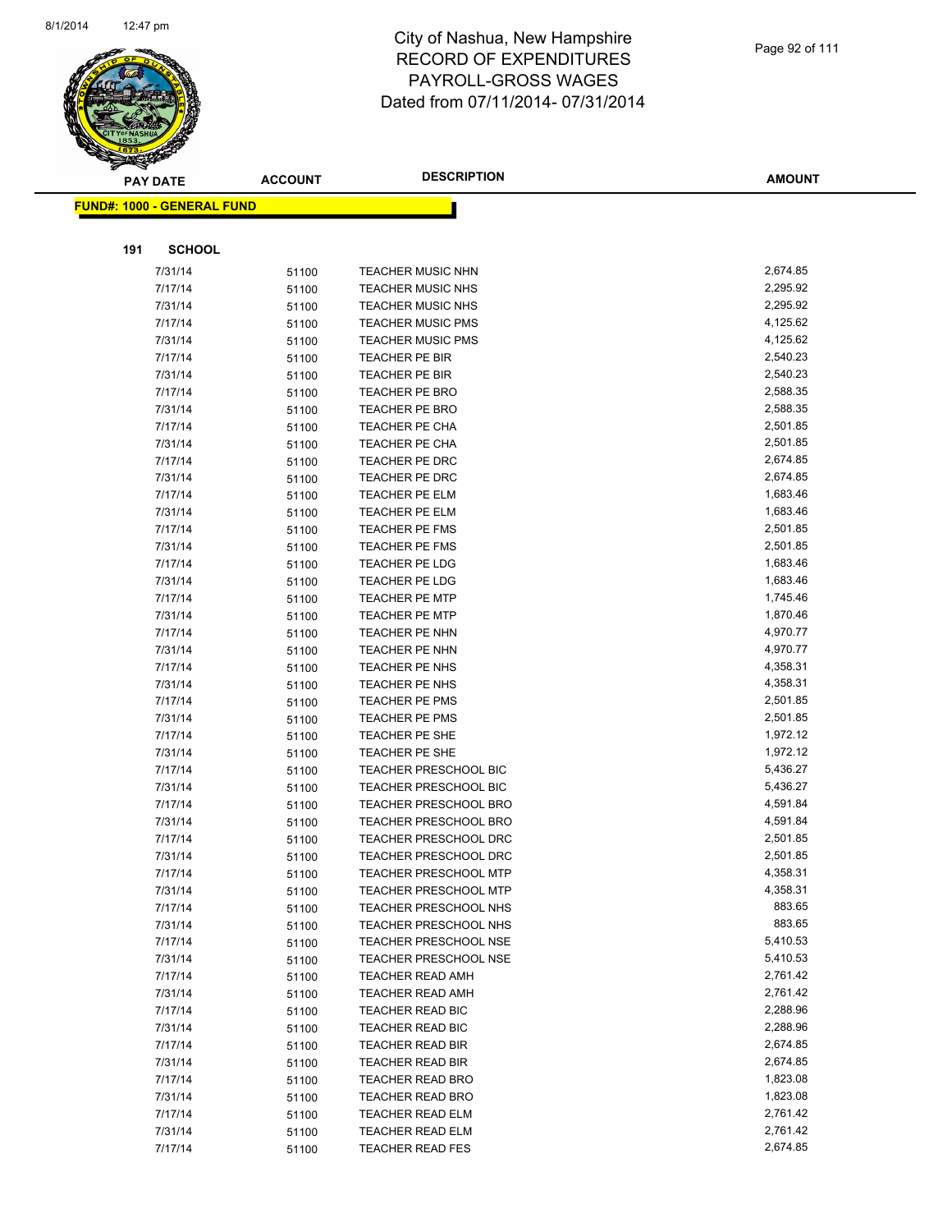

| $\tilde{\phantom{a}}$ | <b>PAY DATE</b>                   | <b>ACCOUNT</b> | <b>DESCRIPTION</b>           | <b>AMOUNT</b> |
|-----------------------|-----------------------------------|----------------|------------------------------|---------------|
|                       | <b>FUND#: 1000 - GENERAL FUND</b> |                |                              |               |
|                       |                                   |                |                              |               |
| 191                   | <b>SCHOOL</b>                     |                |                              |               |
|                       | 7/31/14                           | 51100          | <b>TEACHER MUSIC NHN</b>     | 2,674.85      |
|                       | 7/17/14                           | 51100          | <b>TEACHER MUSIC NHS</b>     | 2,295.92      |
|                       | 7/31/14                           | 51100          | <b>TEACHER MUSIC NHS</b>     | 2,295.92      |
|                       | 7/17/14                           | 51100          | <b>TEACHER MUSIC PMS</b>     | 4,125.62      |
|                       | 7/31/14                           | 51100          | <b>TEACHER MUSIC PMS</b>     | 4,125.62      |
|                       | 7/17/14                           | 51100          | TEACHER PE BIR               | 2,540.23      |
|                       | 7/31/14                           | 51100          | TEACHER PE BIR               | 2,540.23      |
|                       | 7/17/14                           | 51100          | <b>TEACHER PE BRO</b>        | 2,588.35      |
|                       | 7/31/14                           | 51100          | <b>TEACHER PE BRO</b>        | 2,588.35      |
|                       | 7/17/14                           | 51100          | TEACHER PE CHA               | 2,501.85      |
|                       | 7/31/14                           | 51100          | TEACHER PE CHA               | 2,501.85      |
|                       | 7/17/14                           | 51100          | TEACHER PE DRC               | 2,674.85      |
|                       | 7/31/14                           | 51100          | TEACHER PE DRC               | 2,674.85      |
|                       | 7/17/14                           | 51100          | TEACHER PE ELM               | 1,683.46      |
|                       | 7/31/14                           | 51100          | <b>TEACHER PE ELM</b>        | 1,683.46      |
|                       | 7/17/14                           | 51100          | <b>TEACHER PE FMS</b>        | 2,501.85      |
|                       | 7/31/14                           | 51100          | <b>TEACHER PE FMS</b>        | 2,501.85      |
|                       | 7/17/14                           | 51100          | TEACHER PE LDG               | 1,683.46      |
|                       | 7/31/14                           | 51100          | TEACHER PE LDG               | 1,683.46      |
|                       | 7/17/14                           | 51100          | <b>TEACHER PE MTP</b>        | 1,745.46      |
|                       | 7/31/14                           | 51100          | <b>TEACHER PE MTP</b>        | 1,870.46      |
|                       | 7/17/14                           | 51100          | TEACHER PE NHN               | 4,970.77      |
|                       | 7/31/14                           | 51100          | TEACHER PE NHN               | 4,970.77      |
|                       | 7/17/14                           | 51100          | TEACHER PE NHS               | 4,358.31      |
|                       | 7/31/14                           | 51100          | TEACHER PE NHS               | 4,358.31      |
|                       | 7/17/14                           | 51100          | TEACHER PE PMS               | 2,501.85      |
|                       | 7/31/14                           | 51100          | <b>TEACHER PE PMS</b>        | 2,501.85      |
|                       | 7/17/14                           | 51100          | TEACHER PE SHE               | 1,972.12      |
|                       | 7/31/14                           | 51100          | TEACHER PE SHE               | 1,972.12      |
|                       | 7/17/14                           | 51100          | TEACHER PRESCHOOL BIC        | 5,436.27      |
|                       | 7/31/14                           | 51100          | <b>TEACHER PRESCHOOL BIC</b> | 5,436.27      |
|                       | 7/17/14                           | 51100          | <b>TEACHER PRESCHOOL BRO</b> | 4,591.84      |
|                       | 7/31/14                           | 51100          | TEACHER PRESCHOOL BRO        | 4,591.84      |
|                       | 7/17/14                           | 51100          | <b>TEACHER PRESCHOOL DRC</b> | 2,501.85      |
|                       | 7/31/14                           | 51100          | <b>TEACHER PRESCHOOL DRC</b> | 2,501.85      |
|                       | 7/17/14                           | 51100          | <b>TEACHER PRESCHOOL MTP</b> | 4,358.31      |
|                       | 7/31/14                           | 51100          | <b>TEACHER PRESCHOOL MTP</b> | 4,358.31      |
|                       | 7/17/14                           | 51100          | <b>TEACHER PRESCHOOL NHS</b> | 883.65        |
|                       | 7/31/14                           | 51100          | TEACHER PRESCHOOL NHS        | 883.65        |
|                       | 7/17/14                           | 51100          | <b>TEACHER PRESCHOOL NSE</b> | 5,410.53      |
|                       | 7/31/14                           | 51100          | <b>TEACHER PRESCHOOL NSE</b> | 5,410.53      |
|                       | 7/17/14                           | 51100          | <b>TEACHER READ AMH</b>      | 2,761.42      |
|                       | 7/31/14                           | 51100          | <b>TEACHER READ AMH</b>      | 2,761.42      |
|                       | 7/17/14                           | 51100          | TEACHER READ BIC             | 2,288.96      |
|                       | 7/31/14                           | 51100          | <b>TEACHER READ BIC</b>      | 2,288.96      |
|                       | 7/17/14                           | 51100          | TEACHER READ BIR             | 2,674.85      |
|                       | 7/31/14                           | 51100          | TEACHER READ BIR             | 2,674.85      |
|                       | 7/17/14                           | 51100          | <b>TEACHER READ BRO</b>      | 1,823.08      |
|                       | 7/31/14                           | 51100          | <b>TEACHER READ BRO</b>      | 1,823.08      |
|                       | 7/17/14                           | 51100          | <b>TEACHER READ ELM</b>      | 2,761.42      |
|                       | 7/31/14                           | 51100          | <b>TEACHER READ ELM</b>      | 2,761.42      |
|                       | 7/17/14                           | 51100          | <b>TEACHER READ FES</b>      | 2,674.85      |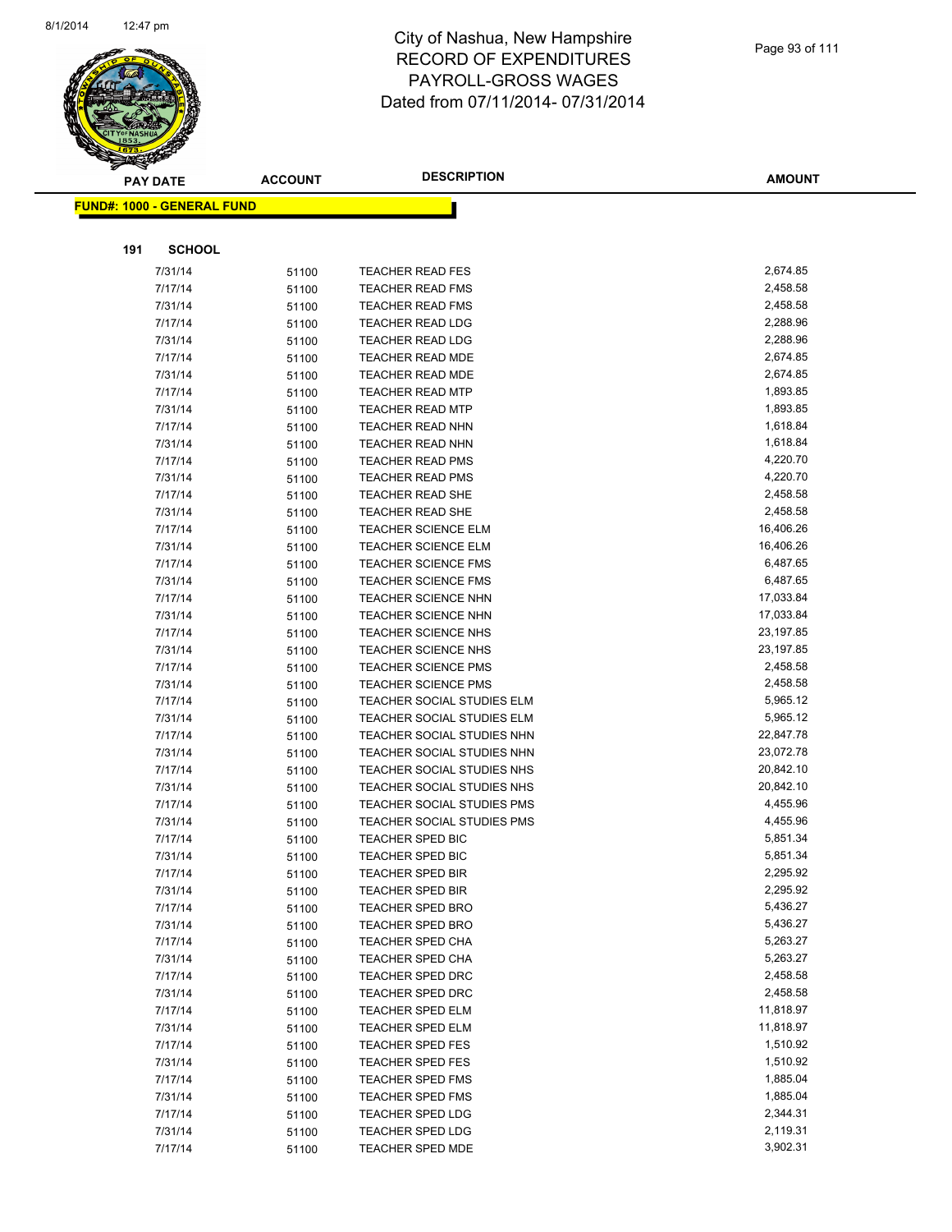

|     | <b>PAY DATE</b>            | <b>ACCOUNT</b> | <b>DESCRIPTION</b>                                       | <b>AMOUNT</b>        |
|-----|----------------------------|----------------|----------------------------------------------------------|----------------------|
|     | FUND#: 1000 - GENERAL FUND |                |                                                          |                      |
|     |                            |                |                                                          |                      |
|     |                            |                |                                                          |                      |
| 191 | <b>SCHOOL</b>              |                |                                                          |                      |
|     | 7/31/14                    | 51100          | <b>TEACHER READ FES</b>                                  | 2,674.85             |
|     | 7/17/14                    | 51100          | <b>TEACHER READ FMS</b>                                  | 2,458.58             |
|     | 7/31/14                    | 51100          | <b>TEACHER READ FMS</b>                                  | 2,458.58             |
|     | 7/17/14                    | 51100          | <b>TEACHER READ LDG</b>                                  | 2,288.96             |
|     | 7/31/14                    | 51100          | <b>TEACHER READ LDG</b>                                  | 2,288.96             |
|     | 7/17/14                    | 51100          | <b>TEACHER READ MDE</b>                                  | 2,674.85             |
|     | 7/31/14                    | 51100          | <b>TEACHER READ MDE</b>                                  | 2,674.85             |
|     | 7/17/14                    | 51100          | <b>TEACHER READ MTP</b>                                  | 1,893.85             |
|     | 7/31/14                    | 51100          | <b>TEACHER READ MTP</b>                                  | 1,893.85             |
|     | 7/17/14                    | 51100          | <b>TEACHER READ NHN</b>                                  | 1,618.84             |
|     | 7/31/14                    | 51100          | <b>TEACHER READ NHN</b>                                  | 1,618.84             |
|     | 7/17/14                    | 51100          | <b>TEACHER READ PMS</b>                                  | 4,220.70             |
|     | 7/31/14                    | 51100          | <b>TEACHER READ PMS</b>                                  | 4,220.70             |
|     | 7/17/14                    | 51100          | <b>TEACHER READ SHE</b>                                  | 2,458.58             |
|     | 7/31/14                    | 51100          | <b>TEACHER READ SHE</b>                                  | 2,458.58             |
|     | 7/17/14                    | 51100          | <b>TEACHER SCIENCE ELM</b>                               | 16,406.26            |
|     | 7/31/14                    | 51100          | <b>TEACHER SCIENCE ELM</b>                               | 16,406.26            |
|     | 7/17/14                    | 51100          | <b>TEACHER SCIENCE FMS</b>                               | 6,487.65             |
|     | 7/31/14                    | 51100          | <b>TEACHER SCIENCE FMS</b>                               | 6,487.65             |
|     | 7/17/14                    | 51100          | <b>TEACHER SCIENCE NHN</b>                               | 17,033.84            |
|     | 7/31/14                    | 51100          | <b>TEACHER SCIENCE NHN</b>                               | 17,033.84            |
|     | 7/17/14                    | 51100          | <b>TEACHER SCIENCE NHS</b>                               | 23,197.85            |
|     | 7/31/14                    | 51100          | <b>TEACHER SCIENCE NHS</b>                               | 23,197.85            |
|     | 7/17/14                    | 51100          | <b>TEACHER SCIENCE PMS</b>                               | 2,458.58             |
|     | 7/31/14                    | 51100          | <b>TEACHER SCIENCE PMS</b>                               | 2,458.58<br>5,965.12 |
|     | 7/17/14                    | 51100          | TEACHER SOCIAL STUDIES ELM<br>TEACHER SOCIAL STUDIES ELM | 5,965.12             |
|     | 7/31/14<br>7/17/14         | 51100          | TEACHER SOCIAL STUDIES NHN                               | 22,847.78            |
|     | 7/31/14                    | 51100<br>51100 | TEACHER SOCIAL STUDIES NHN                               | 23,072.78            |
|     | 7/17/14                    | 51100          | TEACHER SOCIAL STUDIES NHS                               | 20,842.10            |
|     | 7/31/14                    | 51100          | TEACHER SOCIAL STUDIES NHS                               | 20,842.10            |
|     | 7/17/14                    | 51100          | TEACHER SOCIAL STUDIES PMS                               | 4,455.96             |
|     | 7/31/14                    | 51100          | <b>TEACHER SOCIAL STUDIES PMS</b>                        | 4,455.96             |
|     | 7/17/14                    | 51100          | TEACHER SPED BIC                                         | 5,851.34             |
|     | 7/31/14                    | 51100          | <b>TEACHER SPED BIC</b>                                  | 5,851.34             |
|     | 7/17/14                    | 51100          | TEACHER SPED BIR                                         | 2,295.92             |
|     | 7/31/14                    | 51100          | <b>TEACHER SPED BIR</b>                                  | 2,295.92             |
|     | 7/17/14                    | 51100          | <b>TEACHER SPED BRO</b>                                  | 5,436.27             |
|     | 7/31/14                    | 51100          | <b>TEACHER SPED BRO</b>                                  | 5,436.27             |
|     | 7/17/14                    | 51100          | TEACHER SPED CHA                                         | 5,263.27             |
|     | 7/31/14                    | 51100          | TEACHER SPED CHA                                         | 5,263.27             |
|     | 7/17/14                    | 51100          | <b>TEACHER SPED DRC</b>                                  | 2,458.58             |
|     | 7/31/14                    | 51100          | <b>TEACHER SPED DRC</b>                                  | 2,458.58             |
|     | 7/17/14                    | 51100          | TEACHER SPED ELM                                         | 11,818.97            |
|     | 7/31/14                    | 51100          | TEACHER SPED ELM                                         | 11,818.97            |
|     | 7/17/14                    | 51100          | <b>TEACHER SPED FES</b>                                  | 1,510.92             |
|     | 7/31/14                    | 51100          | <b>TEACHER SPED FES</b>                                  | 1,510.92             |
|     | 7/17/14                    | 51100          | <b>TEACHER SPED FMS</b>                                  | 1,885.04             |
|     | 7/31/14                    | 51100          | <b>TEACHER SPED FMS</b>                                  | 1,885.04             |
|     | 7/17/14                    | 51100          | <b>TEACHER SPED LDG</b>                                  | 2,344.31             |
|     | 7/31/14                    | 51100          | <b>TEACHER SPED LDG</b>                                  | 2,119.31             |
|     | 7/17/14                    | 51100          | <b>TEACHER SPED MDE</b>                                  | 3,902.31             |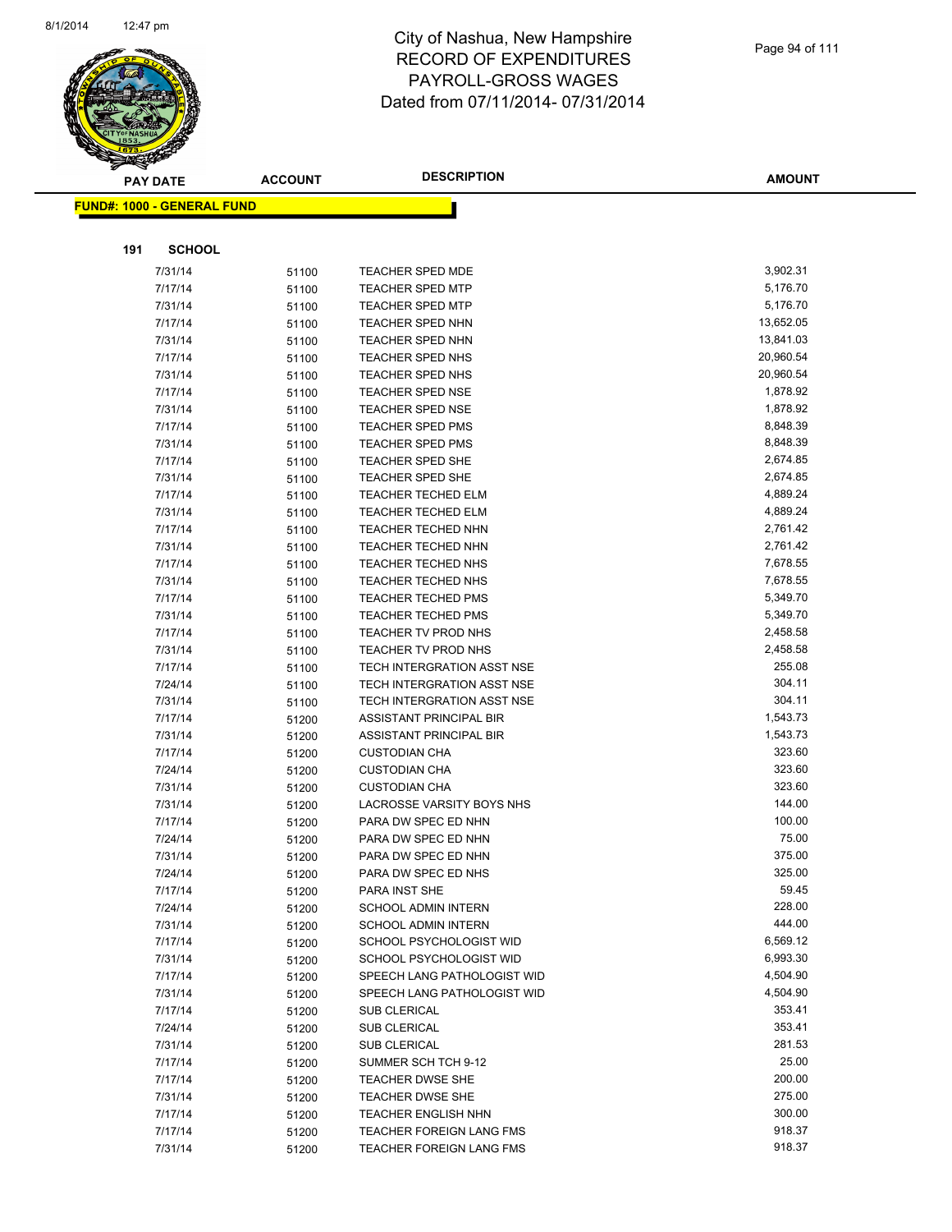

|     | <b>PAY DATE</b>                   | <b>ACCOUNT</b> | <b>DESCRIPTION</b>                          | <b>AMOUNT</b>   |
|-----|-----------------------------------|----------------|---------------------------------------------|-----------------|
|     | <b>FUND#: 1000 - GENERAL FUND</b> |                |                                             |                 |
|     |                                   |                |                                             |                 |
| 191 | <b>SCHOOL</b>                     |                |                                             |                 |
|     | 7/31/14                           | 51100          | <b>TEACHER SPED MDE</b>                     | 3,902.31        |
|     | 7/17/14                           | 51100          | <b>TEACHER SPED MTP</b>                     | 5,176.70        |
|     | 7/31/14                           | 51100          | <b>TEACHER SPED MTP</b>                     | 5,176.70        |
|     | 7/17/14                           | 51100          | <b>TEACHER SPED NHN</b>                     | 13,652.05       |
|     | 7/31/14                           | 51100          | <b>TEACHER SPED NHN</b>                     | 13,841.03       |
|     | 7/17/14                           | 51100          | <b>TEACHER SPED NHS</b>                     | 20,960.54       |
|     | 7/31/14                           | 51100          | TEACHER SPED NHS                            | 20,960.54       |
|     | 7/17/14                           | 51100          | <b>TEACHER SPED NSE</b>                     | 1,878.92        |
|     | 7/31/14                           | 51100          | <b>TEACHER SPED NSE</b>                     | 1,878.92        |
|     | 7/17/14                           | 51100          | <b>TEACHER SPED PMS</b>                     | 8,848.39        |
|     | 7/31/14                           | 51100          | <b>TEACHER SPED PMS</b>                     | 8,848.39        |
|     | 7/17/14                           | 51100          | <b>TEACHER SPED SHE</b>                     | 2,674.85        |
|     | 7/31/14                           | 51100          | <b>TEACHER SPED SHE</b>                     | 2,674.85        |
|     | 7/17/14                           | 51100          | <b>TEACHER TECHED ELM</b>                   | 4,889.24        |
|     | 7/31/14                           | 51100          | <b>TEACHER TECHED ELM</b>                   | 4,889.24        |
|     | 7/17/14                           | 51100          | <b>TEACHER TECHED NHN</b>                   | 2,761.42        |
|     | 7/31/14                           | 51100          | <b>TEACHER TECHED NHN</b>                   | 2,761.42        |
|     | 7/17/14                           | 51100          | <b>TEACHER TECHED NHS</b>                   | 7,678.55        |
|     | 7/31/14                           | 51100          | <b>TEACHER TECHED NHS</b>                   | 7,678.55        |
|     | 7/17/14                           | 51100          | <b>TEACHER TECHED PMS</b>                   | 5,349.70        |
|     | 7/31/14                           | 51100          | <b>TEACHER TECHED PMS</b>                   | 5,349.70        |
|     | 7/17/14                           | 51100          | TEACHER TV PROD NHS                         | 2,458.58        |
|     | 7/31/14                           | 51100          | TEACHER TV PROD NHS                         | 2,458.58        |
|     | 7/17/14                           | 51100          | TECH INTERGRATION ASST NSE                  | 255.08          |
|     | 7/24/14                           | 51100          | TECH INTERGRATION ASST NSE                  | 304.11          |
|     | 7/31/14                           | 51100          | TECH INTERGRATION ASST NSE                  | 304.11          |
|     | 7/17/14                           | 51200          | ASSISTANT PRINCIPAL BIR                     | 1,543.73        |
|     | 7/31/14                           | 51200          | ASSISTANT PRINCIPAL BIR                     | 1,543.73        |
|     | 7/17/14                           | 51200          | <b>CUSTODIAN CHA</b>                        | 323.60          |
|     | 7/24/14                           | 51200          | <b>CUSTODIAN CHA</b>                        | 323.60          |
|     | 7/31/14                           | 51200          | <b>CUSTODIAN CHA</b>                        | 323.60          |
|     | 7/31/14                           | 51200          | LACROSSE VARSITY BOYS NHS                   | 144.00          |
|     | 7/17/14                           | 51200          | PARA DW SPEC ED NHN                         | 100.00          |
|     | 7/24/14                           | 51200          | PARA DW SPEC ED NHN                         | 75.00<br>375.00 |
|     | 7/31/14                           | 51200          | PARA DW SPEC ED NHN<br>PARA DW SPEC ED NHS  | 325.00          |
|     | 7/24/14                           | 51200          |                                             | 59.45           |
|     | 7/17/14<br>7/24/14                | 51200          | PARA INST SHE<br><b>SCHOOL ADMIN INTERN</b> | 228.00          |
|     | 7/31/14                           | 51200          | <b>SCHOOL ADMIN INTERN</b>                  | 444.00          |
|     | 7/17/14                           | 51200          | SCHOOL PSYCHOLOGIST WID                     | 6,569.12        |
|     | 7/31/14                           | 51200<br>51200 | SCHOOL PSYCHOLOGIST WID                     | 6,993.30        |
|     | 7/17/14                           | 51200          | SPEECH LANG PATHOLOGIST WID                 | 4,504.90        |
|     | 7/31/14                           | 51200          | SPEECH LANG PATHOLOGIST WID                 | 4,504.90        |
|     | 7/17/14                           | 51200          | <b>SUB CLERICAL</b>                         | 353.41          |
|     | 7/24/14                           | 51200          | <b>SUB CLERICAL</b>                         | 353.41          |
|     | 7/31/14                           | 51200          | <b>SUB CLERICAL</b>                         | 281.53          |
|     | 7/17/14                           | 51200          | SUMMER SCH TCH 9-12                         | 25.00           |
|     | 7/17/14                           | 51200          | <b>TEACHER DWSE SHE</b>                     | 200.00          |
|     | 7/31/14                           | 51200          | <b>TEACHER DWSE SHE</b>                     | 275.00          |
|     | 7/17/14                           | 51200          | <b>TEACHER ENGLISH NHN</b>                  | 300.00          |
|     | 7/17/14                           | 51200          | TEACHER FOREIGN LANG FMS                    | 918.37          |
|     | 7/31/14                           | 51200          | TEACHER FOREIGN LANG FMS                    | 918.37          |
|     |                                   |                |                                             |                 |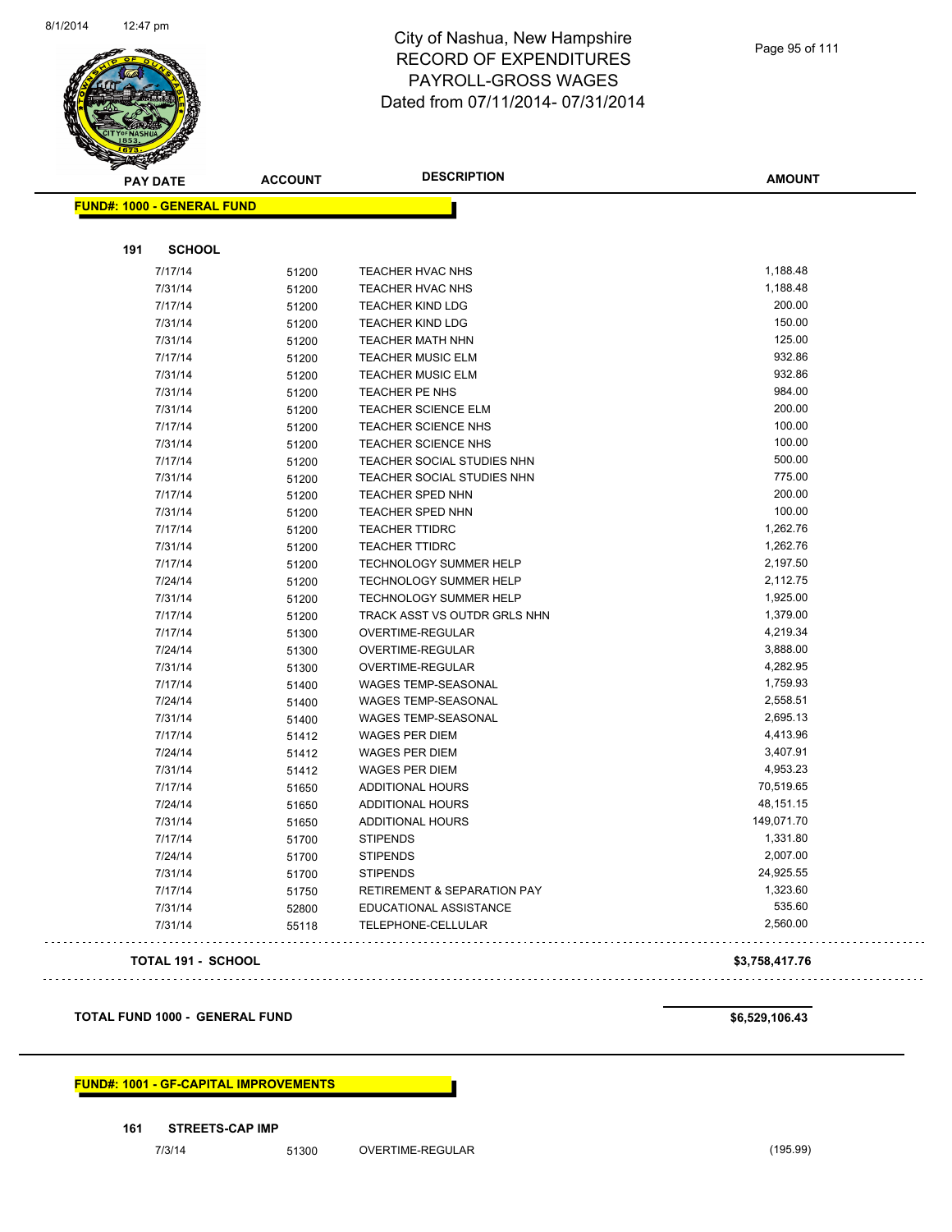

| <b>PAY DATE</b>                   | <b>ACCOUNT</b> | <b>DESCRIPTION</b>                     | <b>AMOUNT</b> |
|-----------------------------------|----------------|----------------------------------------|---------------|
| <b>FUND#: 1000 - GENERAL FUND</b> |                |                                        |               |
|                                   |                |                                        |               |
| 191<br><b>SCHOOL</b>              |                |                                        |               |
| 7/17/14                           | 51200          | TEACHER HVAC NHS                       | 1,188.48      |
| 7/31/14                           | 51200          | <b>TEACHER HVAC NHS</b>                | 1,188.48      |
| 7/17/14                           | 51200          | <b>TEACHER KIND LDG</b>                | 200.00        |
| 7/31/14                           | 51200          | <b>TEACHER KIND LDG</b>                | 150.00        |
| 7/31/14                           | 51200          | <b>TEACHER MATH NHN</b>                | 125.00        |
| 7/17/14                           | 51200          | <b>TEACHER MUSIC ELM</b>               | 932.86        |
| 7/31/14                           | 51200          | <b>TEACHER MUSIC ELM</b>               | 932.86        |
| 7/31/14                           | 51200          | TEACHER PE NHS                         | 984.00        |
| 7/31/14                           | 51200          | TEACHER SCIENCE ELM                    | 200.00        |
| 7/17/14                           | 51200          | TEACHER SCIENCE NHS                    | 100.00        |
| 7/31/14                           | 51200          | TEACHER SCIENCE NHS                    | 100.00        |
| 7/17/14                           | 51200          | TEACHER SOCIAL STUDIES NHN             | 500.00        |
| 7/31/14                           | 51200          | TEACHER SOCIAL STUDIES NHN             | 775.00        |
| 7/17/14                           | 51200          | <b>TEACHER SPED NHN</b>                | 200.00        |
| 7/31/14                           | 51200          | <b>TEACHER SPED NHN</b>                | 100.00        |
| 7/17/14                           | 51200          | <b>TEACHER TTIDRC</b>                  | 1,262.76      |
| 7/31/14                           | 51200          | <b>TEACHER TTIDRC</b>                  | 1,262.76      |
| 7/17/14                           | 51200          | <b>TECHNOLOGY SUMMER HELP</b>          | 2,197.50      |
| 7/24/14                           | 51200          | TECHNOLOGY SUMMER HELP                 | 2,112.75      |
| 7/31/14                           | 51200          | <b>TECHNOLOGY SUMMER HELP</b>          | 1,925.00      |
| 7/17/14                           | 51200          | TRACK ASST VS OUTDR GRLS NHN           | 1,379.00      |
| 7/17/14                           | 51300          | OVERTIME-REGULAR                       | 4,219.34      |
| 7/24/14                           | 51300          | OVERTIME-REGULAR                       | 3,888.00      |
| 7/31/14                           | 51300          | OVERTIME-REGULAR                       | 4,282.95      |
| 7/17/14                           | 51400          | <b>WAGES TEMP-SEASONAL</b>             | 1,759.93      |
| 7/24/14                           | 51400          | <b>WAGES TEMP-SEASONAL</b>             | 2,558.51      |
| 7/31/14                           | 51400          | <b>WAGES TEMP-SEASONAL</b>             | 2,695.13      |
| 7/17/14                           | 51412          | <b>WAGES PER DIEM</b>                  | 4,413.96      |
| 7/24/14                           | 51412          | <b>WAGES PER DIEM</b>                  | 3,407.91      |
| 7/31/14                           | 51412          | <b>WAGES PER DIEM</b>                  | 4,953.23      |
| 7/17/14                           | 51650          | ADDITIONAL HOURS                       | 70,519.65     |
| 7/24/14                           | 51650          | ADDITIONAL HOURS                       | 48,151.15     |
| 7/31/14                           | 51650          | ADDITIONAL HOURS                       | 149,071.70    |
| 7/17/14                           | 51700          | <b>STIPENDS</b>                        | 1,331.80      |
| 7/24/14                           | 51700          | <b>STIPENDS</b>                        | 2,007.00      |
| 7/31/14                           | 51700          | <b>STIPENDS</b>                        | 24,925.55     |
| 7/17/14                           | 51750          | <b>RETIREMENT &amp; SEPARATION PAY</b> | 1,323.60      |
| 7/31/14                           | 52800          | EDUCATIONAL ASSISTANCE                 | 535.60        |
| 7/31/14                           | 55118          | TELEPHONE-CELLULAR                     | 2,560.00      |
|                                   |                |                                        |               |

#### **TOTAL 191 - SCHOOL \$3,758,417.76**

#### **TOTAL FUND 1000 - GENERAL FUND \$6,529,106.43**

#### **FUND#: 1001 - GF-CAPITAL IMPROVEMENTS**

**161 STREETS-CAP IMP**

7/3/14 51300 OVERTIME-REGULAR (195.99)

## 

 $\Box$  .

 $\sim$   $\sim$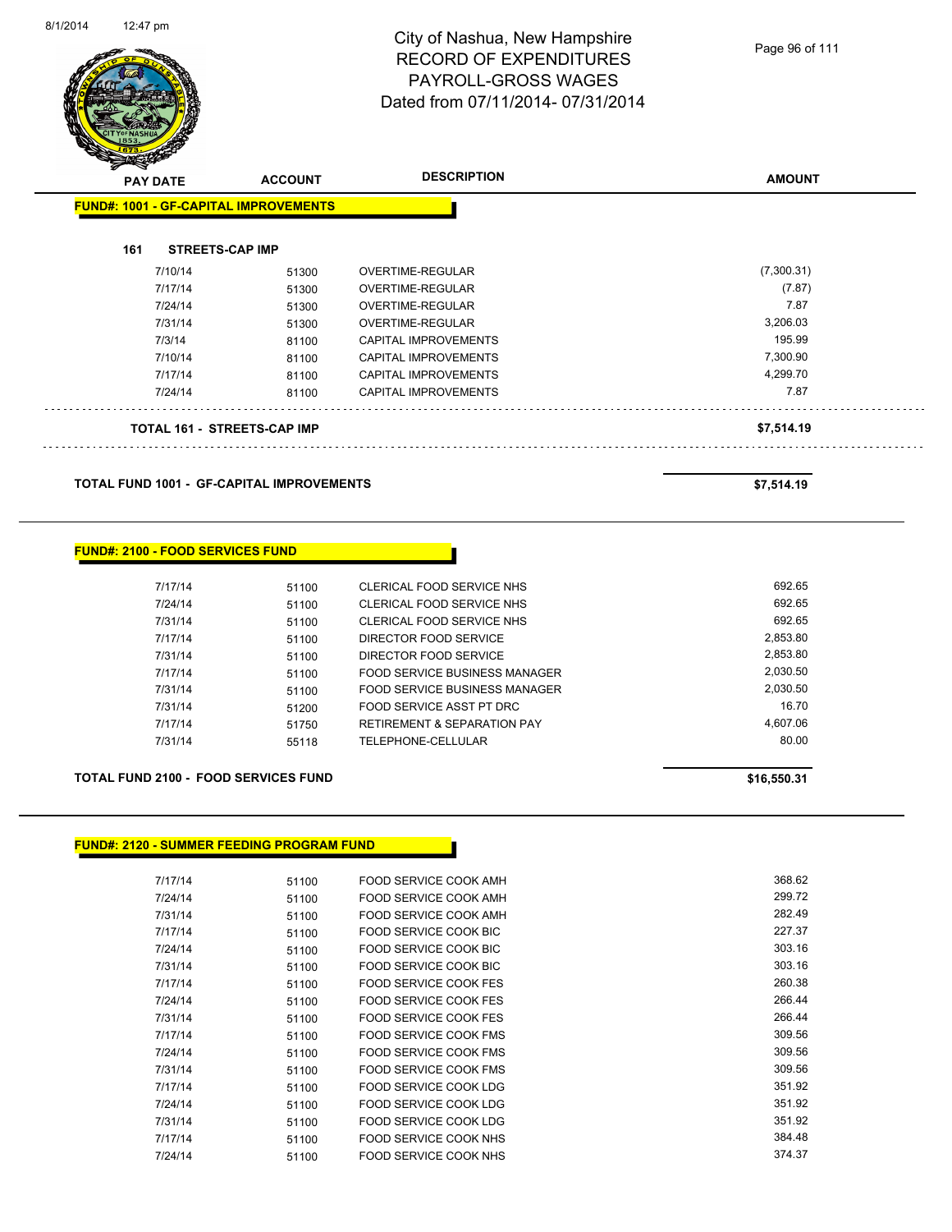

Page 96 of 111

| $\mathscr{D} \mathscr{A}$<br><b>PAY DATE</b> |                                              | <b>ACCOUNT</b> | <b>DESCRIPTION</b>          | <b>AMOUNT</b> |
|----------------------------------------------|----------------------------------------------|----------------|-----------------------------|---------------|
|                                              | <b>FUND#: 1001 - GF-CAPITAL IMPROVEMENTS</b> |                |                             |               |
| 161                                          | <b>STREETS-CAP IMP</b>                       |                |                             |               |
|                                              | 7/10/14                                      | 51300          | OVERTIME-REGULAR            | (7,300.31)    |
|                                              | 7/17/14                                      | 51300          | <b>OVERTIME-REGULAR</b>     | (7.87)        |
|                                              | 7/24/14                                      | 51300          | OVERTIME-REGULAR            | 7.87          |
|                                              | 7/31/14                                      | 51300          | <b>OVERTIME-REGULAR</b>     | 3,206.03      |
|                                              | 7/3/14                                       | 81100          | <b>CAPITAL IMPROVEMENTS</b> | 195.99        |
|                                              | 7/10/14                                      | 81100          | CAPITAL IMPROVEMENTS        | 7,300.90      |
|                                              | 7/17/14                                      | 81100          | CAPITAL IMPROVEMENTS        | 4,299.70      |
|                                              | 7/24/14                                      | 81100          | <b>CAPITAL IMPROVEMENTS</b> | 7.87          |
|                                              | <b>TOTAL 161 - STREETS-CAP IMP</b>           |                |                             | \$7,514.19    |

**TOTAL FUND 1001 - GF-CAPITAL IMPROVEMENTS \$7,514.19** 

#### **FUND#: 2100 - FOOD SERVICES FUND**

| 7/17/14 | 51100 | CLERICAL FOOD SERVICE NHS              | 692.65   |
|---------|-------|----------------------------------------|----------|
| 7/24/14 | 51100 | CLERICAL FOOD SERVICE NHS              | 692.65   |
| 7/31/14 | 51100 | CLERICAL FOOD SERVICE NHS              | 692.65   |
| 7/17/14 | 51100 | DIRECTOR FOOD SERVICE                  | 2.853.80 |
| 7/31/14 | 51100 | DIRECTOR FOOD SERVICE                  | 2,853.80 |
| 7/17/14 | 51100 | FOOD SERVICE BUSINESS MANAGER          | 2.030.50 |
| 7/31/14 | 51100 | FOOD SERVICE BUSINESS MANAGER          | 2,030.50 |
| 7/31/14 | 51200 | FOOD SERVICE ASST PT DRC               | 16.70    |
| 7/17/14 | 51750 | <b>RETIREMENT &amp; SEPARATION PAY</b> | 4.607.06 |
| 7/31/14 | 55118 | TELEPHONE-CELLULAR                     | 80.00    |
|         |       |                                        |          |

#### **TOTAL FUND 2100 - FOOD SERVICES FUND \$16,550.31**

#### **FUND#: 2120 - SUMMER FEEDING PROGRAM FUND**

| 7/17/14 | 51100 | FOOD SERVICE COOK AMH        | 368.62 |
|---------|-------|------------------------------|--------|
| 7/24/14 | 51100 | FOOD SERVICE COOK AMH        | 299.72 |
| 7/31/14 | 51100 | FOOD SERVICE COOK AMH        | 282.49 |
| 7/17/14 | 51100 | FOOD SERVICE COOK BIC        | 227.37 |
| 7/24/14 | 51100 | FOOD SERVICE COOK BIC        | 303.16 |
| 7/31/14 | 51100 | FOOD SERVICE COOK BIC        | 303.16 |
| 7/17/14 | 51100 | FOOD SERVICE COOK FES        | 260.38 |
| 7/24/14 | 51100 | <b>FOOD SERVICE COOK FES</b> | 266.44 |
| 7/31/14 | 51100 | FOOD SERVICE COOK FES        | 266.44 |
| 7/17/14 | 51100 | FOOD SERVICE COOK FMS        | 309.56 |
| 7/24/14 | 51100 | FOOD SERVICE COOK FMS        | 309.56 |
| 7/31/14 | 51100 | FOOD SERVICE COOK FMS        | 309.56 |
| 7/17/14 | 51100 | <b>FOOD SERVICE COOK LDG</b> | 351.92 |
| 7/24/14 | 51100 | FOOD SERVICE COOK LDG        | 351.92 |
| 7/31/14 | 51100 | FOOD SERVICE COOK LDG        | 351.92 |
| 7/17/14 | 51100 | FOOD SERVICE COOK NHS        | 384.48 |
| 7/24/14 | 51100 | FOOD SERVICE COOK NHS        | 374.37 |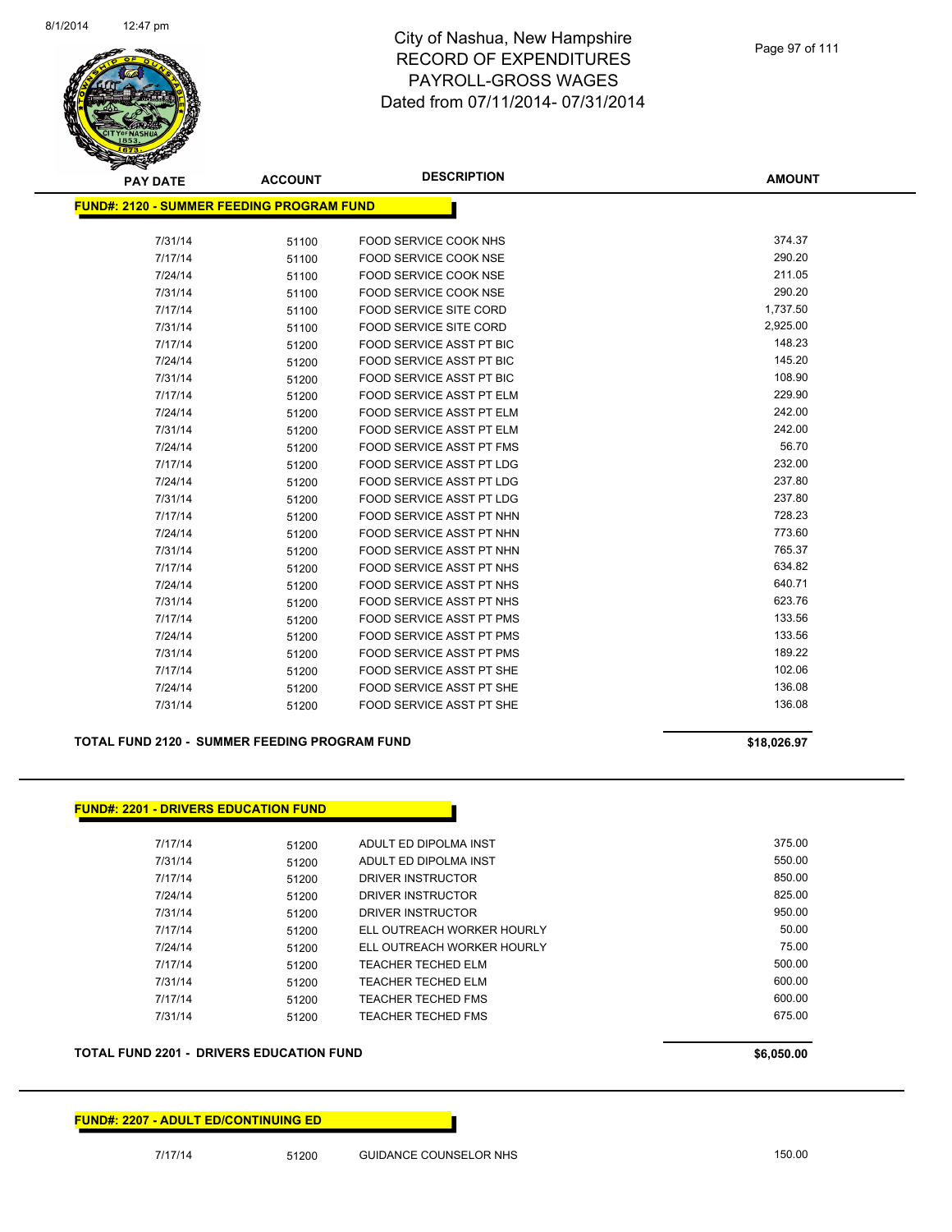

| <b>PAY DATE</b>                           | <b>ACCOUNT</b> | <b>DESCRIPTION</b>              | <b>AMOUNT</b> |
|-------------------------------------------|----------------|---------------------------------|---------------|
| FUND#: 2120 - SUMMER FEEDING PROGRAM FUND |                |                                 |               |
|                                           |                |                                 |               |
| 7/31/14                                   | 51100          | <b>FOOD SERVICE COOK NHS</b>    | 374.37        |
| 7/17/14                                   | 51100          | <b>FOOD SERVICE COOK NSE</b>    | 290.20        |
| 7/24/14                                   | 51100          | <b>FOOD SERVICE COOK NSE</b>    | 211.05        |
| 7/31/14                                   | 51100          | <b>FOOD SERVICE COOK NSE</b>    | 290.20        |
| 7/17/14                                   | 51100          | <b>FOOD SERVICE SITE CORD</b>   | 1,737.50      |
| 7/31/14                                   | 51100          | <b>FOOD SERVICE SITE CORD</b>   | 2,925.00      |
| 7/17/14                                   | 51200          | FOOD SERVICE ASST PT BIC        | 148.23        |
| 7/24/14                                   | 51200          | <b>FOOD SERVICE ASST PT BIC</b> | 145.20        |
| 7/31/14                                   | 51200          | FOOD SERVICE ASST PT BIC        | 108.90        |
| 7/17/14                                   | 51200          | FOOD SERVICE ASST PT ELM        | 229.90        |
| 7/24/14                                   | 51200          | <b>FOOD SERVICE ASST PT ELM</b> | 242.00        |
| 7/31/14                                   | 51200          | <b>FOOD SERVICE ASST PT ELM</b> | 242.00        |
| 7/24/14                                   | 51200          | FOOD SERVICE ASST PT FMS        | 56.70         |
| 7/17/14                                   | 51200          | <b>FOOD SERVICE ASST PT LDG</b> | 232.00        |
| 7/24/14                                   | 51200          | FOOD SERVICE ASST PT LDG        | 237.80        |
| 7/31/14                                   | 51200          | FOOD SERVICE ASST PT LDG        | 237.80        |
| 7/17/14                                   | 51200          | FOOD SERVICE ASST PT NHN        | 728.23        |
| 7/24/14                                   | 51200          | FOOD SERVICE ASST PT NHN        | 773.60        |
| 7/31/14                                   | 51200          | FOOD SERVICE ASST PT NHN        | 765.37        |
| 7/17/14                                   | 51200          | FOOD SERVICE ASST PT NHS        | 634.82        |
| 7/24/14                                   | 51200          | <b>FOOD SERVICE ASST PT NHS</b> | 640.71        |
| 7/31/14                                   | 51200          | FOOD SERVICE ASST PT NHS        | 623.76        |
| 7/17/14                                   | 51200          | <b>FOOD SERVICE ASST PT PMS</b> | 133.56        |
| 7/24/14                                   | 51200          | FOOD SERVICE ASST PT PMS        | 133.56        |
| 7/31/14                                   | 51200          | FOOD SERVICE ASST PT PMS        | 189.22        |
| 7/17/14                                   | 51200          | FOOD SERVICE ASST PT SHE        | 102.06        |
| 7/24/14                                   | 51200          | <b>FOOD SERVICE ASST PT SHE</b> | 136.08        |
| 7/31/14                                   | 51200          | <b>FOOD SERVICE ASST PT SHE</b> | 136.08        |

**TOTAL FUND 2120 - SUMMER FEEDING PROGRAM FUND \$18,026.97** 

**FUND#: 2201 - DRIVERS EDUCATION FUND** 7/17/14 51200 ADULT ED DIPOLMA INST 375.00 7/31/14 51200 ADULT ED DIPOLMA INST 550.00 7/17/14 51200 DRIVER INSTRUCTOR 850.00 7/24/14 51200 DRIVER INSTRUCTOR 825.00 7/31/14 51200 DRIVER INSTRUCTOR 950.00 7/17/14 51200 ELL OUTREACH WORKER HOURLY 50.00 7/24/14 51200 ELL OUTREACH WORKER HOURLY 75.00 7/17/14 51200 TEACHER TECHED ELM 500.00 7/31/14 51200 TEACHER TECHED ELM 600.00 7/17/14 51200 TEACHER TECHED FMS 600.00 7/31/14 51200 TEACHER TECHED FMS 675.00

**TOTAL FUND 2201 - DRIVERS EDUCATION FUND \$6,050.00 \$6,050.00** 

#### **FUND#: 2207 - ADULT ED/CONTINUING ED**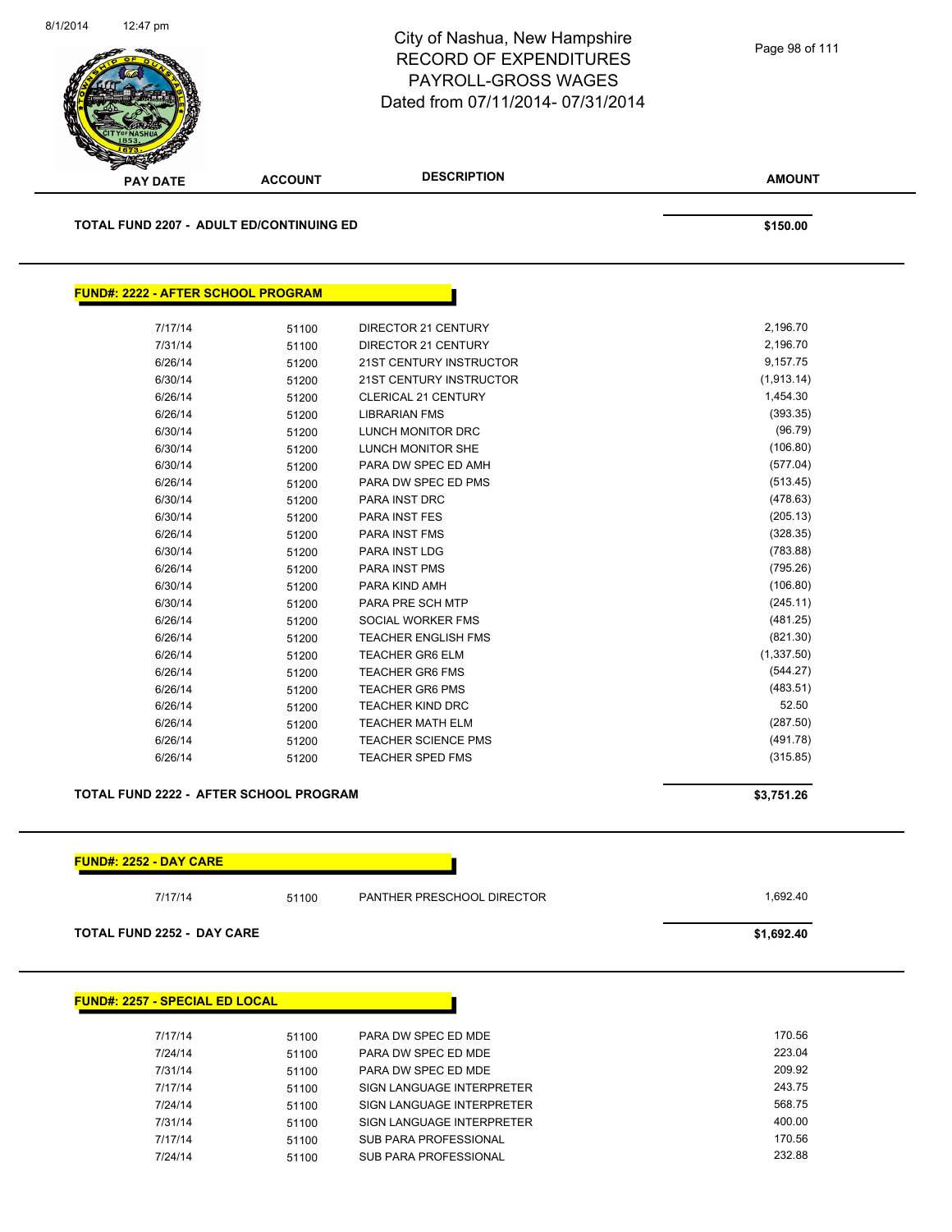

| <u> FUND#: 2222 - AFTER SCHOOL PROGRAM</u> |       |                                |            |
|--------------------------------------------|-------|--------------------------------|------------|
| 7/17/14                                    | 51100 | <b>DIRECTOR 21 CENTURY</b>     | 2,196.70   |
| 7/31/14                                    | 51100 | DIRECTOR 21 CENTURY            | 2,196.70   |
| 6/26/14                                    | 51200 | <b>21ST CENTURY INSTRUCTOR</b> | 9,157.75   |
| 6/30/14                                    | 51200 | 21ST CENTURY INSTRUCTOR        | (1,913.14) |
| 6/26/14                                    | 51200 | <b>CLERICAL 21 CENTURY</b>     | 1,454.30   |
| 6/26/14                                    | 51200 | <b>LIBRARIAN FMS</b>           | (393.35)   |
| 6/30/14                                    | 51200 | <b>LUNCH MONITOR DRC</b>       | (96.79)    |
| 6/30/14                                    | 51200 | LUNCH MONITOR SHE              | (106.80)   |
| 6/30/14                                    | 51200 | PARA DW SPEC ED AMH            | (577.04)   |
| 6/26/14                                    | 51200 | PARA DW SPEC ED PMS            | (513.45)   |
| 6/30/14                                    | 51200 | PARA INST DRC                  | (478.63)   |
| 6/30/14                                    | 51200 | PARA INST FES                  | (205.13)   |
| 6/26/14                                    | 51200 | PARA INST FMS                  | (328.35)   |
| 6/30/14                                    | 51200 | <b>PARA INST LDG</b>           | (783.88)   |
| 6/26/14                                    | 51200 | <b>PARA INST PMS</b>           | (795.26)   |
| 6/30/14                                    | 51200 | PARA KIND AMH                  | (106.80)   |
| 6/30/14                                    | 51200 | PARA PRE SCH MTP               | (245.11)   |
| 6/26/14                                    | 51200 | <b>SOCIAL WORKER FMS</b>       | (481.25)   |
| 6/26/14                                    | 51200 | <b>TEACHER ENGLISH FMS</b>     | (821.30)   |
| 6/26/14                                    | 51200 | <b>TEACHER GR6 ELM</b>         | (1,337.50) |
| 6/26/14                                    | 51200 | <b>TEACHER GR6 FMS</b>         | (544.27)   |
| 6/26/14                                    | 51200 | <b>TEACHER GR6 PMS</b>         | (483.51)   |
| 6/26/14                                    | 51200 | <b>TEACHER KIND DRC</b>        | 52.50      |
| 6/26/14                                    | 51200 | <b>TEACHER MATH ELM</b>        | (287.50)   |
| 6/26/14                                    | 51200 | <b>TEACHER SCIENCE PMS</b>     | (491.78)   |
| 6/26/14                                    | 51200 | <b>TEACHER SPED FMS</b>        | (315.85)   |

#### **TOTAL FUND 2222 - AFTER SCHOOL PROGRAM \$3,751.26**



7/31/14 51100 SIGN LANGUAGE INTERPRETER 400.00 7/17/14 51100 SUB PARA PROFESSIONAL 170.56 7/24/14 51100 SUB PARA PROFESSIONAL 232.88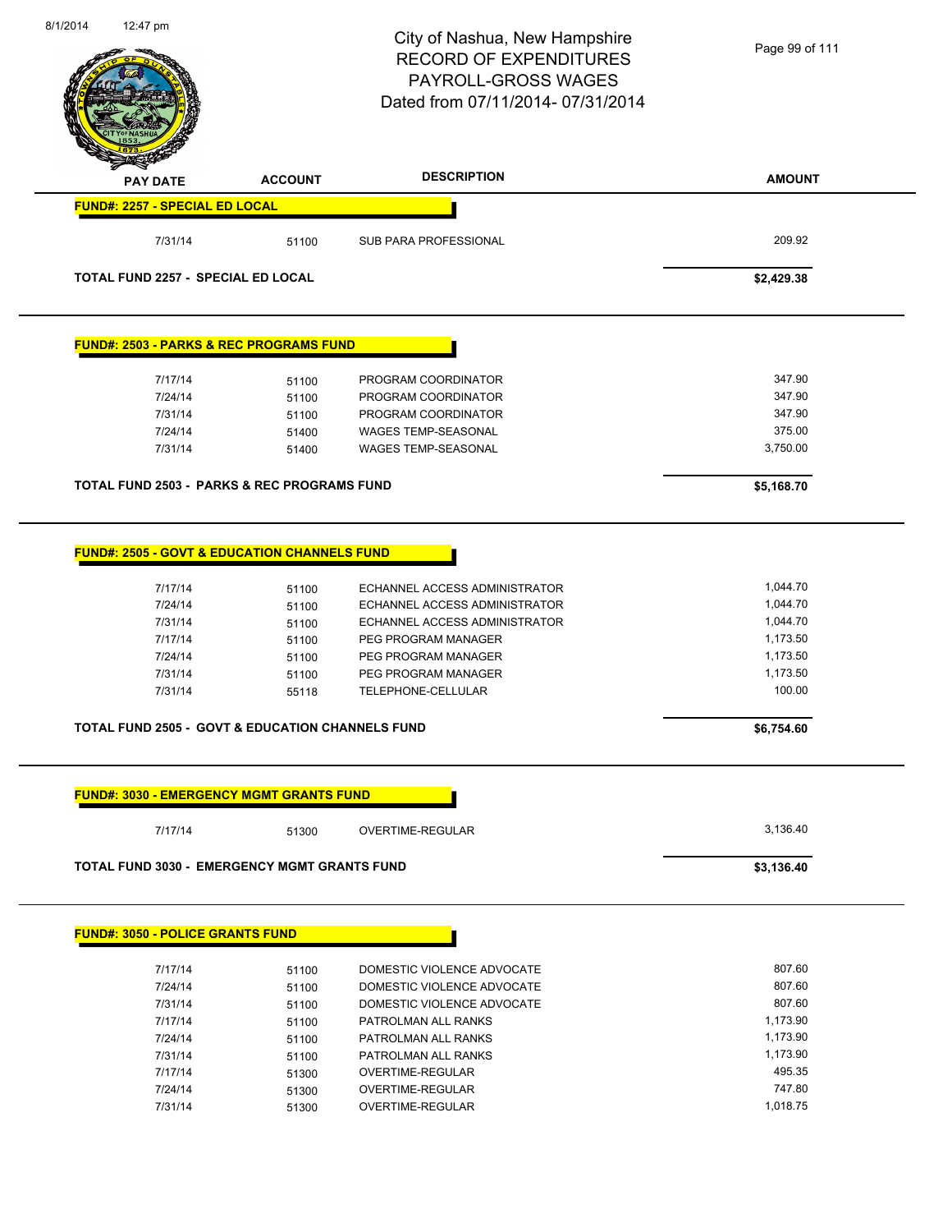|                                                                                                           |                                  | Dated from 07/11/2014-07/31/2014                                                                                       |                                              |
|-----------------------------------------------------------------------------------------------------------|----------------------------------|------------------------------------------------------------------------------------------------------------------------|----------------------------------------------|
| <b>PAY DATE</b>                                                                                           | <b>ACCOUNT</b>                   | <b>DESCRIPTION</b>                                                                                                     | <b>AMOUNT</b>                                |
| FUND#: 2257 - SPECIAL ED LOCAL                                                                            |                                  |                                                                                                                        |                                              |
| 7/31/14                                                                                                   | 51100                            | <b>SUB PARA PROFESSIONAL</b>                                                                                           | 209.92                                       |
| TOTAL FUND 2257 - SPECIAL ED LOCAL                                                                        |                                  |                                                                                                                        | \$2,429.38                                   |
| <b>FUND#: 2503 - PARKS &amp; REC PROGRAMS FUND</b>                                                        |                                  |                                                                                                                        |                                              |
| 7/17/14                                                                                                   | 51100                            | PROGRAM COORDINATOR                                                                                                    | 347.90                                       |
| 7/24/14                                                                                                   | 51100                            | PROGRAM COORDINATOR                                                                                                    | 347.90                                       |
| 7/31/14                                                                                                   | 51100                            | PROGRAM COORDINATOR                                                                                                    | 347.90                                       |
| 7/24/14                                                                                                   | 51400                            | WAGES TEMP-SEASONAL                                                                                                    | 375.00                                       |
| 7/31/14                                                                                                   | 51400                            | <b>WAGES TEMP-SEASONAL</b>                                                                                             | 3,750.00                                     |
| <b>TOTAL FUND 2503 - PARKS &amp; REC PROGRAMS FUND</b>                                                    |                                  |                                                                                                                        | \$5,168.70                                   |
| 7/17/14<br>7/24/14<br>7/31/14                                                                             | 51100<br>51100<br>51100<br>51100 | ECHANNEL ACCESS ADMINISTRATOR<br>ECHANNEL ACCESS ADMINISTRATOR<br>ECHANNEL ACCESS ADMINISTRATOR<br>PEG PROGRAM MANAGER | 1,044.70<br>1,044.70<br>1,044.70<br>1,173.50 |
| 7/17/14<br>7/24/14<br>7/31/14<br>7/31/14<br><b>TOTAL FUND 2505 - GOVT &amp; EDUCATION CHANNELS FUND</b>   | 51100<br>51100<br>55118          | PEG PROGRAM MANAGER<br>PEG PROGRAM MANAGER<br>TELEPHONE-CELLULAR                                                       | 1,173.50<br>1,173.50<br>100.00<br>\$6,754.60 |
| <b>FUND#: 3030 - EMERGENCY MGMT GRANTS FUND</b>                                                           |                                  |                                                                                                                        |                                              |
| 7/17/14                                                                                                   | 51300                            | OVERTIME-REGULAR                                                                                                       | 3,136.40                                     |
|                                                                                                           |                                  |                                                                                                                        | \$3,136.40                                   |
|                                                                                                           |                                  |                                                                                                                        |                                              |
|                                                                                                           |                                  |                                                                                                                        |                                              |
| 7/17/14                                                                                                   | 51100                            | DOMESTIC VIOLENCE ADVOCATE                                                                                             | 807.60                                       |
| 7/24/14                                                                                                   | 51100                            | DOMESTIC VIOLENCE ADVOCATE                                                                                             | 807.60                                       |
| 7/31/14                                                                                                   | 51100                            | DOMESTIC VIOLENCE ADVOCATE                                                                                             | 807.60                                       |
| 7/17/14<br>7/24/14                                                                                        | 51100                            | PATROLMAN ALL RANKS<br>PATROLMAN ALL RANKS                                                                             | 1,173.90<br>1,173.90                         |
| 7/31/14                                                                                                   | 51100                            | PATROLMAN ALL RANKS                                                                                                    | 1,173.90                                     |
| <b>TOTAL FUND 3030 - EMERGENCY MGMT GRANTS FUND</b><br><b>FUND#: 3050 - POLICE GRANTS FUND</b><br>7/17/14 | 51100<br>51300                   | OVERTIME-REGULAR                                                                                                       | 495.35                                       |
| 7/24/14                                                                                                   | 51300                            | OVERTIME-REGULAR                                                                                                       | 747.80                                       |

8/1/2014 12:47 pm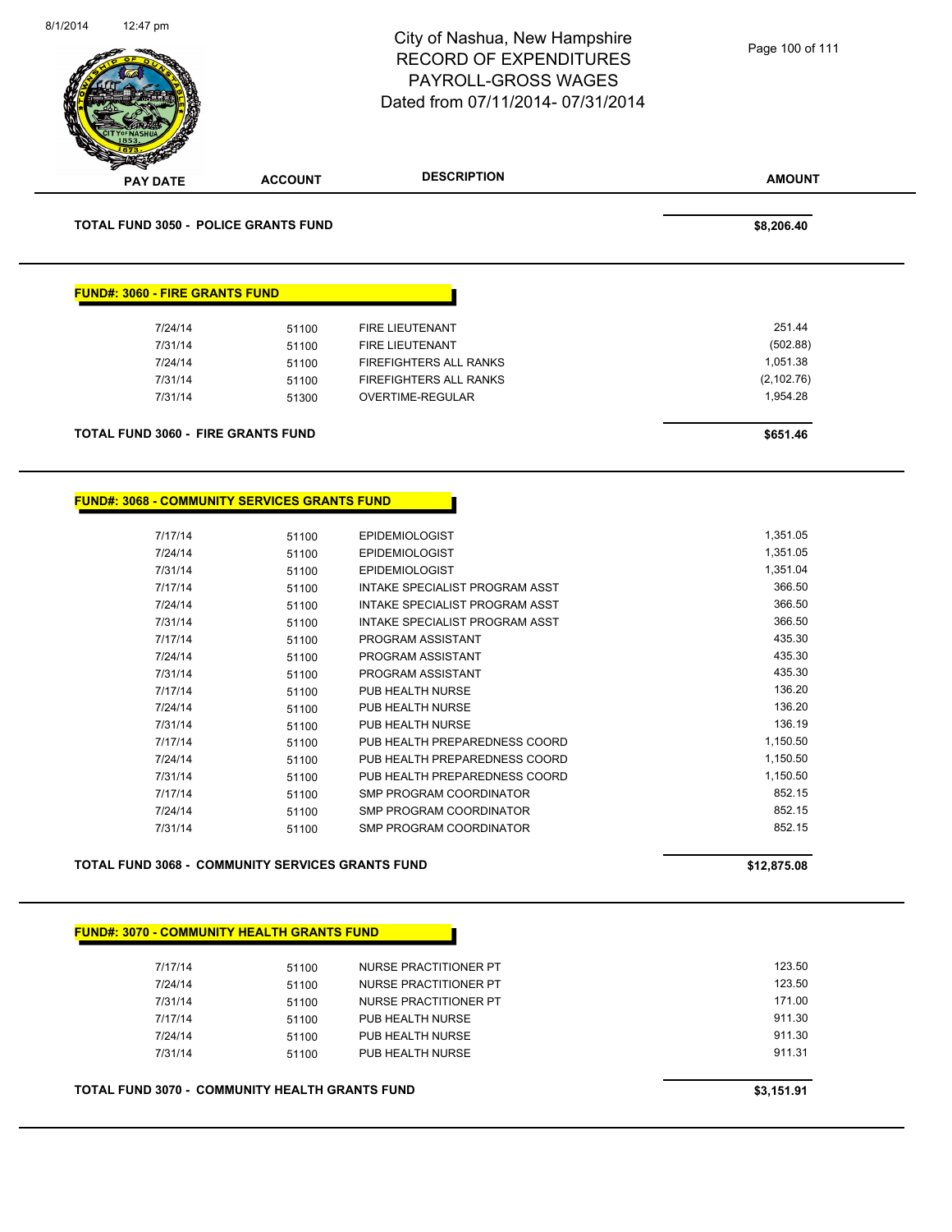| 12:47 pm                              |                                                         | City of Nashua, New Hampshire<br><b>RECORD OF EXPENDITURES</b><br><b>PAYROLL-GROSS WAGES</b><br>Dated from 07/11/2014-07/31/2014 | Page 100 of 111 |
|---------------------------------------|---------------------------------------------------------|----------------------------------------------------------------------------------------------------------------------------------|-----------------|
| <b>PAY DATE</b>                       | <b>ACCOUNT</b>                                          | <b>DESCRIPTION</b>                                                                                                               | <b>AMOUNT</b>   |
|                                       | <b>TOTAL FUND 3050 - POLICE GRANTS FUND</b>             |                                                                                                                                  | \$8,206.40      |
| <b>FUND#: 3060 - FIRE GRANTS FUND</b> |                                                         |                                                                                                                                  |                 |
| 7/24/14                               | 51100                                                   | FIRE LIEUTENANT                                                                                                                  | 251.44          |
| 7/31/14                               | 51100                                                   | FIRE LIEUTENANT                                                                                                                  | (502.88)        |
| 7/24/14                               | 51100                                                   | FIREFIGHTERS ALL RANKS                                                                                                           | 1,051.38        |
| 7/31/14                               | 51100                                                   | <b>FIREFIGHTERS ALL RANKS</b>                                                                                                    | (2, 102.76)     |
| 7/31/14                               | 51300                                                   | OVERTIME-REGULAR                                                                                                                 | 1,954.28        |
|                                       |                                                         |                                                                                                                                  |                 |
|                                       | <b>TOTAL FUND 3060 - FIRE GRANTS FUND</b>               |                                                                                                                                  | \$651.46        |
|                                       | <b>FUND#: 3068 - COMMUNITY SERVICES GRANTS FUND</b>     |                                                                                                                                  |                 |
| 7/17/14                               | 51100                                                   | <b>EPIDEMIOLOGIST</b>                                                                                                            | 1,351.05        |
| 7/24/14                               | 51100                                                   | <b>EPIDEMIOLOGIST</b>                                                                                                            | 1,351.05        |
| 7/31/14                               | 51100                                                   | <b>EPIDEMIOLOGIST</b>                                                                                                            | 1,351.04        |
| 7/17/14                               | 51100                                                   | INTAKE SPECIALIST PROGRAM ASST                                                                                                   | 366.50          |
| 7/24/14                               | 51100                                                   | INTAKE SPECIALIST PROGRAM ASST                                                                                                   | 366.50          |
| 7/31/14                               | 51100                                                   | INTAKE SPECIALIST PROGRAM ASST                                                                                                   | 366.50          |
| 7/17/14                               | 51100                                                   | PROGRAM ASSISTANT                                                                                                                | 435.30          |
| 7/24/14                               | 51100                                                   | PROGRAM ASSISTANT                                                                                                                | 435.30          |
| 7/31/14                               | 51100                                                   | PROGRAM ASSISTANT                                                                                                                | 435.30          |
| 7/17/14                               | 51100                                                   | PUB HEALTH NURSE                                                                                                                 | 136.20          |
| 7/24/14                               | 51100                                                   | PUB HEALTH NURSE                                                                                                                 | 136.20          |
| 7/31/14                               | 51100                                                   | PUB HEALTH NURSE                                                                                                                 | 136.19          |
| 7/17/14                               | 51100                                                   | PUB HEALTH PREPAREDNESS COORD                                                                                                    | 1,150.50        |
| 7/24/14                               | 51100                                                   | PUB HEALTH PREPAREDNESS COORD                                                                                                    | 1,150.50        |
| 7/31/14                               | 51100                                                   | PUB HEALTH PREPAREDNESS COORD                                                                                                    | 1,150.50        |
| 7/17/14                               | 51100                                                   | SMP PROGRAM COORDINATOR                                                                                                          | 852.15          |
| 7/24/14                               | 51100                                                   | SMP PROGRAM COORDINATOR                                                                                                          | 852.15          |
| 7/31/14                               | 51100                                                   | SMP PROGRAM COORDINATOR                                                                                                          | 852.15          |
|                                       | <b>TOTAL FUND 3068 - COMMUNITY SERVICES GRANTS FUND</b> |                                                                                                                                  | \$12,875.08     |
|                                       |                                                         |                                                                                                                                  |                 |
|                                       | <b>FUND#: 3070 - COMMUNITY HEALTH GRANTS FUND</b>       |                                                                                                                                  |                 |
| 7/17/14                               | 51100                                                   | NURSE PRACTITIONER PT                                                                                                            | 123.50          |
| 7/24/14                               | 51100                                                   | NURSE PRACTITIONER PT                                                                                                            | 123.50          |
| 7/31/14                               | 51100                                                   | NURSE PRACTITIONER PT                                                                                                            | 171.00          |
| 7/17/14                               | 51100                                                   | PUB HEALTH NURSE                                                                                                                 | 911.30          |
|                                       | 51100                                                   | PUB HEALTH NURSE                                                                                                                 | 911.30          |
| 7/24/14                               |                                                         |                                                                                                                                  |                 |
| 7/31/14                               | 51100                                                   | PUB HEALTH NURSE                                                                                                                 | 911.31          |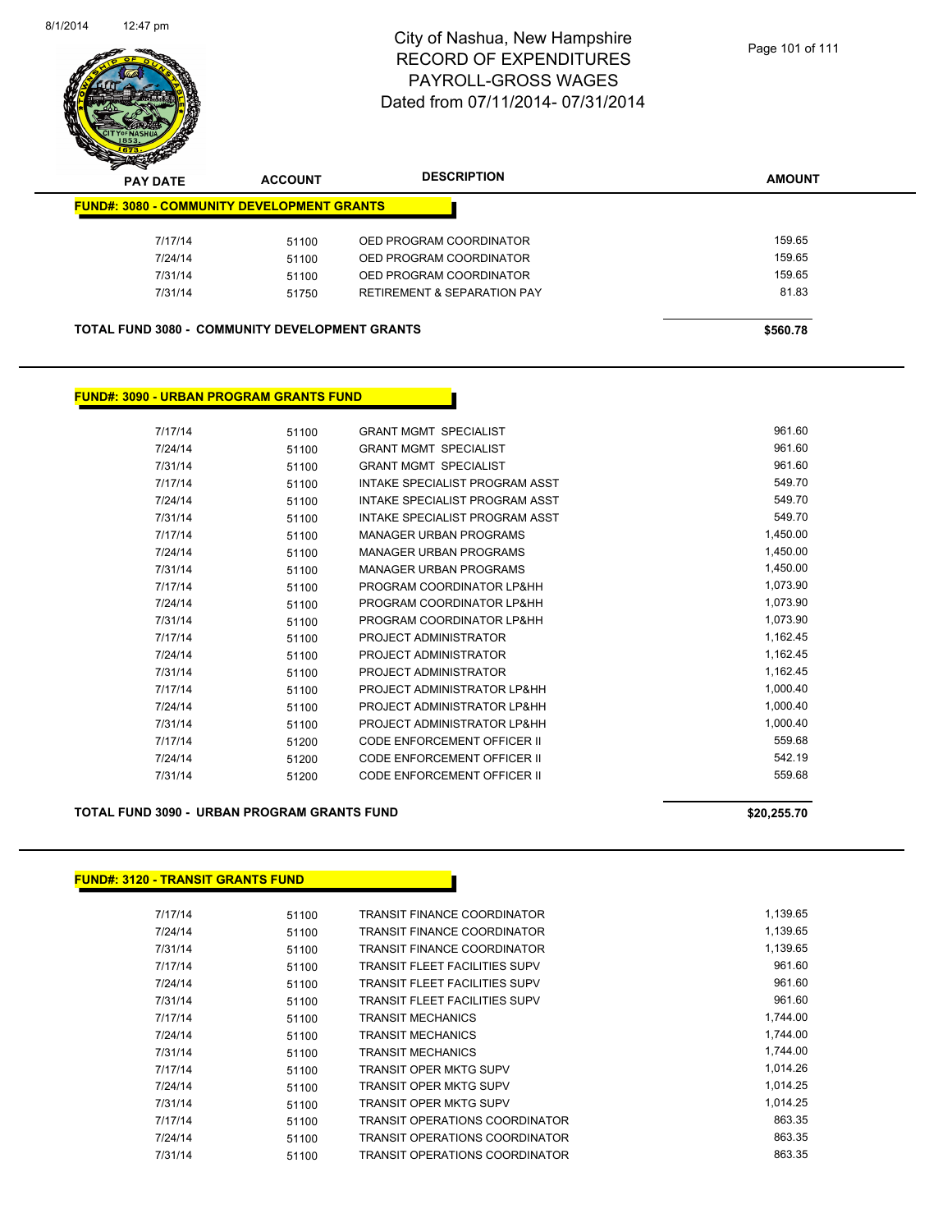

| s<br>$\tilde{\phantom{a}}$<br><b>PAY DATE</b>         | <b>ACCOUNT</b> | <b>DESCRIPTION</b>                     | <b>AMOUNT</b> |
|-------------------------------------------------------|----------------|----------------------------------------|---------------|
| <b>FUND#: 3080 - COMMUNITY DEVELOPMENT GRANTS</b>     |                |                                        |               |
| 7/17/14                                               | 51100          | OED PROGRAM COORDINATOR                | 159.65        |
| 7/24/14                                               | 51100          | OED PROGRAM COORDINATOR                | 159.65        |
| 7/31/14                                               | 51100          | OED PROGRAM COORDINATOR                | 159.65        |
| 7/31/14                                               | 51750          | <b>RETIREMENT &amp; SEPARATION PAY</b> | 81.83         |
| <b>TOTAL FUND 3080 - COMMUNITY DEVELOPMENT GRANTS</b> |                |                                        | \$560.78      |

#### **FUND#: 3090 - URBAN PROGRAM GRANTS FUND**

| 7/17/14 | 51100 | <b>GRANT MGMT SPECIALIST</b>       | 961.60   |
|---------|-------|------------------------------------|----------|
| 7/24/14 | 51100 | <b>GRANT MGMT SPECIALIST</b>       | 961.60   |
| 7/31/14 | 51100 | <b>GRANT MGMT SPECIALIST</b>       | 961.60   |
| 7/17/14 | 51100 | INTAKE SPECIALIST PROGRAM ASST     | 549.70   |
| 7/24/14 | 51100 | INTAKE SPECIALIST PROGRAM ASST     | 549.70   |
| 7/31/14 | 51100 | INTAKE SPECIALIST PROGRAM ASST     | 549.70   |
| 7/17/14 | 51100 | <b>MANAGER URBAN PROGRAMS</b>      | 1,450.00 |
| 7/24/14 | 51100 | <b>MANAGER URBAN PROGRAMS</b>      | 1,450.00 |
| 7/31/14 | 51100 | <b>MANAGER URBAN PROGRAMS</b>      | 1,450.00 |
| 7/17/14 | 51100 | PROGRAM COORDINATOR LP&HH          | 1,073.90 |
| 7/24/14 | 51100 | PROGRAM COORDINATOR LP&HH          | 1,073.90 |
| 7/31/14 | 51100 | PROGRAM COORDINATOR LP&HH          | 1,073.90 |
| 7/17/14 | 51100 | PROJECT ADMINISTRATOR              | 1,162.45 |
| 7/24/14 | 51100 | PROJECT ADMINISTRATOR              | 1,162.45 |
| 7/31/14 | 51100 | PROJECT ADMINISTRATOR              | 1,162.45 |
| 7/17/14 | 51100 | PROJECT ADMINISTRATOR LP&HH        | 1,000.40 |
| 7/24/14 | 51100 | PROJECT ADMINISTRATOR LP&HH        | 1,000.40 |
| 7/31/14 | 51100 | PROJECT ADMINISTRATOR LP&HH        | 1,000.40 |
| 7/17/14 | 51200 | CODE ENFORCEMENT OFFICER II        | 559.68   |
| 7/24/14 | 51200 | CODE ENFORCEMENT OFFICER II        | 542.19   |
| 7/31/14 | 51200 | <b>CODE ENFORCEMENT OFFICER II</b> | 559.68   |

#### **TOTAL FUND 3090 - URBAN PROGRAM GRANTS FUND \$20,255.70** \$20,255.70

#### **FUND#: 3120 - TRANSIT GRANTS FUND**

| 7/17/14 | 51100 | TRANSIT FINANCE COORDINATOR          | 1,139.65 |
|---------|-------|--------------------------------------|----------|
| 7/24/14 | 51100 | TRANSIT FINANCE COORDINATOR          | 1.139.65 |
| 7/31/14 | 51100 | TRANSIT FINANCE COORDINATOR          | 1,139.65 |
| 7/17/14 | 51100 | TRANSIT FLEET FACILITIES SUPV        | 961.60   |
| 7/24/14 | 51100 | TRANSIT FLEET FACILITIES SUPV        | 961.60   |
| 7/31/14 | 51100 | <b>TRANSIT FLEET FACILITIES SUPV</b> | 961.60   |
| 7/17/14 | 51100 | TRANSIT MECHANICS                    | 1.744.00 |
| 7/24/14 | 51100 | TRANSIT MECHANICS                    | 1,744.00 |
| 7/31/14 | 51100 | <b>TRANSIT MECHANICS</b>             | 1,744.00 |
| 7/17/14 | 51100 | TRANSIT OPER MKTG SUPV               | 1,014.26 |
| 7/24/14 | 51100 | <b>TRANSIT OPER MKTG SUPV</b>        | 1,014.25 |
| 7/31/14 | 51100 | <b>TRANSIT OPER MKTG SUPV</b>        | 1.014.25 |
| 7/17/14 | 51100 | TRANSIT OPERATIONS COORDINATOR       | 863.35   |
| 7/24/14 | 51100 | TRANSIT OPERATIONS COORDINATOR       | 863.35   |
| 7/31/14 | 51100 | TRANSIT OPERATIONS COORDINATOR       | 863.35   |
|         |       |                                      |          |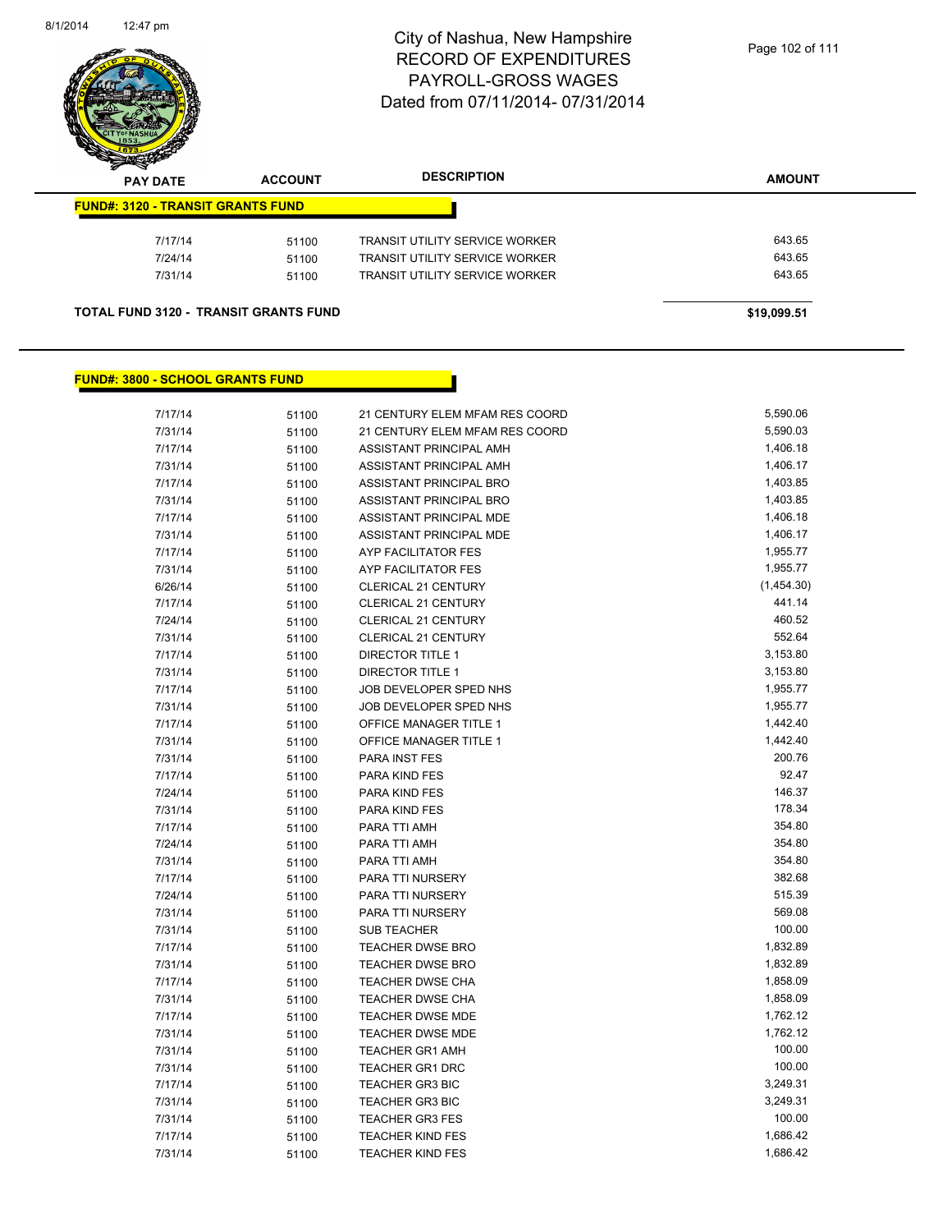

| z<br>$\tilde{\phantom{a}}$<br><b>PAY DATE</b> | <b>ACCOUNT</b> | <b>DESCRIPTION</b>                    | <b>AMOUNT</b> |
|-----------------------------------------------|----------------|---------------------------------------|---------------|
| <b>FUND#: 3120 - TRANSIT GRANTS FUND</b>      |                |                                       |               |
| 7/17/14                                       | 51100          | <b>TRANSIT UTILITY SERVICE WORKER</b> | 643.65        |
| 7/24/14                                       | 51100          | TRANSIT UTILITY SERVICE WORKER        | 643.65        |
| 7/31/14                                       | 51100          | <b>TRANSIT UTILITY SERVICE WORKER</b> | 643.65        |
| <b>TOTAL FUND 3120 - TRANSIT GRANTS FUND</b>  |                |                                       | \$19,099.51   |

### **FUND#: 3800 - SCHOOL GRANTS FUND**

| 7/17/14 | 51100 | 21 CENTURY ELEM MFAM RES COORD | 5,590.06   |
|---------|-------|--------------------------------|------------|
| 7/31/14 | 51100 | 21 CENTURY ELEM MFAM RES COORD | 5,590.03   |
| 7/17/14 | 51100 | ASSISTANT PRINCIPAL AMH        | 1,406.18   |
| 7/31/14 | 51100 | ASSISTANT PRINCIPAL AMH        | 1,406.17   |
| 7/17/14 | 51100 | ASSISTANT PRINCIPAL BRO        | 1,403.85   |
| 7/31/14 | 51100 | ASSISTANT PRINCIPAL BRO        | 1,403.85   |
| 7/17/14 | 51100 | ASSISTANT PRINCIPAL MDE        | 1,406.18   |
| 7/31/14 | 51100 | ASSISTANT PRINCIPAL MDE        | 1,406.17   |
| 7/17/14 | 51100 | AYP FACILITATOR FES            | 1,955.77   |
| 7/31/14 | 51100 | AYP FACILITATOR FES            | 1,955.77   |
| 6/26/14 | 51100 | CLERICAL 21 CENTURY            | (1,454.30) |
| 7/17/14 | 51100 | CLERICAL 21 CENTURY            | 441.14     |
| 7/24/14 | 51100 | CLERICAL 21 CENTURY            | 460.52     |
| 7/31/14 | 51100 | CLERICAL 21 CENTURY            | 552.64     |
| 7/17/14 | 51100 | <b>DIRECTOR TITLE 1</b>        | 3,153.80   |
| 7/31/14 | 51100 | <b>DIRECTOR TITLE 1</b>        | 3,153.80   |
| 7/17/14 | 51100 | JOB DEVELOPER SPED NHS         | 1,955.77   |
| 7/31/14 | 51100 | JOB DEVELOPER SPED NHS         | 1,955.77   |
| 7/17/14 | 51100 | OFFICE MANAGER TITLE 1         | 1,442.40   |
| 7/31/14 | 51100 | OFFICE MANAGER TITLE 1         | 1,442.40   |
| 7/31/14 | 51100 | PARA INST FES                  | 200.76     |
| 7/17/14 | 51100 | PARA KIND FES                  | 92.47      |
| 7/24/14 | 51100 | PARA KIND FES                  | 146.37     |
| 7/31/14 | 51100 | PARA KIND FES                  | 178.34     |
| 7/17/14 | 51100 | PARA TTI AMH                   | 354.80     |
| 7/24/14 | 51100 | PARA TTI AMH                   | 354.80     |
| 7/31/14 | 51100 | PARA TTI AMH                   | 354.80     |
| 7/17/14 | 51100 | PARA TTI NURSERY               | 382.68     |
| 7/24/14 | 51100 | PARA TTI NURSERY               | 515.39     |
| 7/31/14 | 51100 | PARA TTI NURSERY               | 569.08     |
| 7/31/14 | 51100 | <b>SUB TEACHER</b>             | 100.00     |
| 7/17/14 | 51100 | <b>TEACHER DWSE BRO</b>        | 1,832.89   |
| 7/31/14 | 51100 | <b>TEACHER DWSE BRO</b>        | 1,832.89   |
| 7/17/14 | 51100 | <b>TEACHER DWSE CHA</b>        | 1,858.09   |
| 7/31/14 | 51100 | <b>TEACHER DWSE CHA</b>        | 1,858.09   |
| 7/17/14 | 51100 | <b>TEACHER DWSE MDE</b>        | 1,762.12   |
| 7/31/14 | 51100 | <b>TEACHER DWSE MDE</b>        | 1,762.12   |
| 7/31/14 | 51100 | <b>TEACHER GR1 AMH</b>         | 100.00     |
| 7/31/14 | 51100 | <b>TEACHER GR1 DRC</b>         | 100.00     |
| 7/17/14 | 51100 | <b>TEACHER GR3 BIC</b>         | 3,249.31   |
| 7/31/14 | 51100 | <b>TEACHER GR3 BIC</b>         | 3,249.31   |
| 7/31/14 | 51100 | <b>TEACHER GR3 FES</b>         | 100.00     |
| 7/17/14 | 51100 | <b>TEACHER KIND FES</b>        | 1,686.42   |
| 7/31/14 | 51100 | <b>TEACHER KIND FES</b>        | 1,686.42   |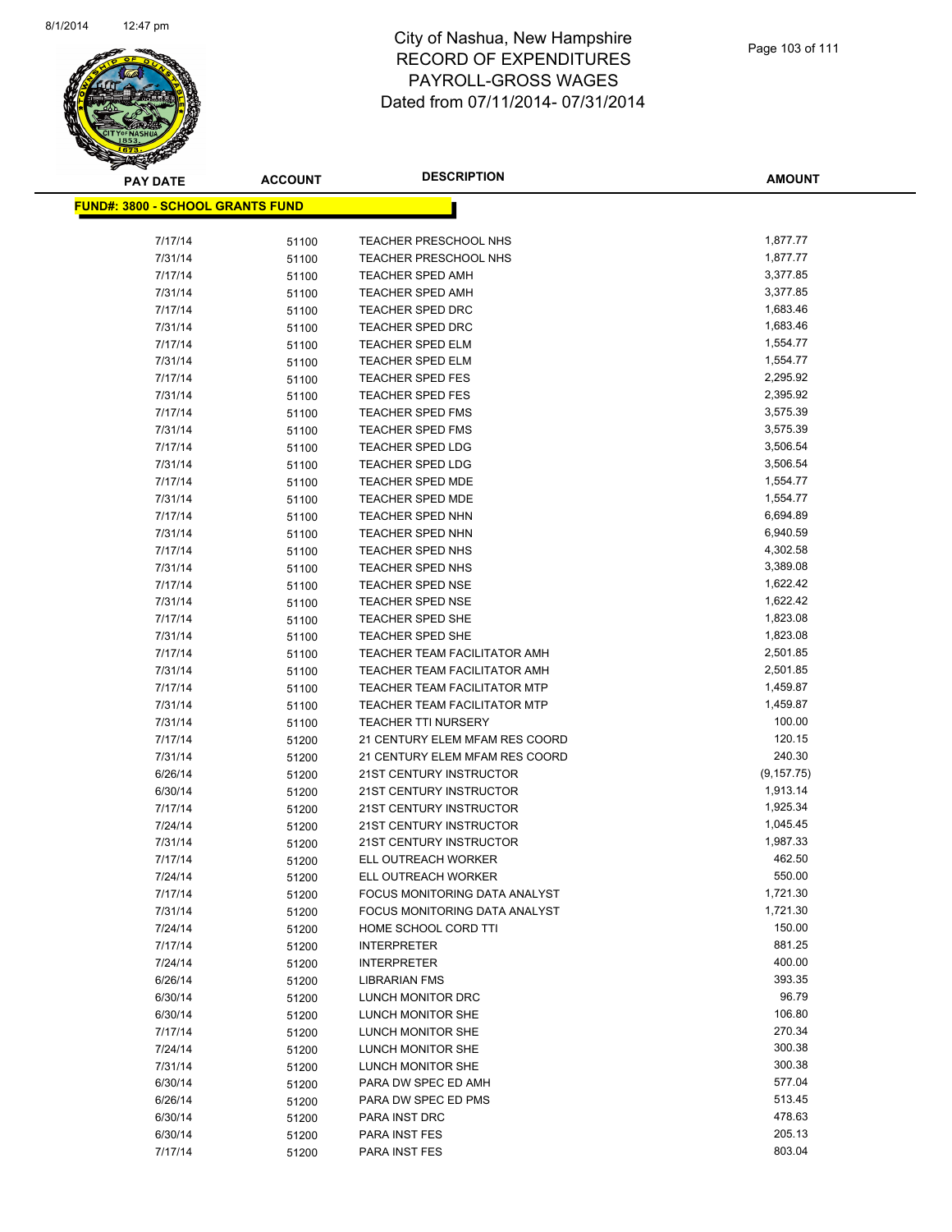

**AMOUNT**

| <b>FUND#: 3800 - SCHOOL GRANTS FUND</b> |       |                                      |             |
|-----------------------------------------|-------|--------------------------------------|-------------|
| 7/17/14                                 | 51100 | <b>TEACHER PRESCHOOL NHS</b>         | 1,877.77    |
| 7/31/14                                 | 51100 | <b>TEACHER PRESCHOOL NHS</b>         | 1,877.77    |
| 7/17/14                                 | 51100 | <b>TEACHER SPED AMH</b>              | 3,377.85    |
| 7/31/14                                 | 51100 | <b>TEACHER SPED AMH</b>              | 3,377.85    |
| 7/17/14                                 | 51100 | <b>TEACHER SPED DRC</b>              | 1,683.46    |
| 7/31/14                                 | 51100 | <b>TEACHER SPED DRC</b>              | 1,683.46    |
| 7/17/14                                 | 51100 | <b>TEACHER SPED ELM</b>              | 1,554.77    |
| 7/31/14                                 | 51100 | <b>TEACHER SPED ELM</b>              | 1,554.77    |
| 7/17/14                                 | 51100 | <b>TEACHER SPED FES</b>              | 2,295.92    |
| 7/31/14                                 | 51100 | <b>TEACHER SPED FES</b>              | 2,395.92    |
| 7/17/14                                 | 51100 | <b>TEACHER SPED FMS</b>              | 3,575.39    |
| 7/31/14                                 | 51100 | <b>TEACHER SPED FMS</b>              | 3,575.39    |
| 7/17/14                                 | 51100 | <b>TEACHER SPED LDG</b>              | 3,506.54    |
| 7/31/14                                 | 51100 | <b>TEACHER SPED LDG</b>              | 3,506.54    |
| 7/17/14                                 | 51100 | TEACHER SPED MDE                     | 1,554.77    |
| 7/31/14                                 | 51100 | <b>TEACHER SPED MDE</b>              | 1,554.77    |
| 7/17/14                                 | 51100 | <b>TEACHER SPED NHN</b>              | 6,694.89    |
| 7/31/14                                 | 51100 | <b>TEACHER SPED NHN</b>              | 6,940.59    |
| 7/17/14                                 | 51100 | <b>TEACHER SPED NHS</b>              | 4,302.58    |
| 7/31/14                                 | 51100 | <b>TEACHER SPED NHS</b>              | 3,389.08    |
| 7/17/14                                 | 51100 | <b>TEACHER SPED NSE</b>              | 1,622.42    |
| 7/31/14                                 | 51100 | <b>TEACHER SPED NSE</b>              | 1,622.42    |
| 7/17/14                                 | 51100 | <b>TEACHER SPED SHE</b>              | 1,823.08    |
| 7/31/14                                 | 51100 | <b>TEACHER SPED SHE</b>              | 1,823.08    |
| 7/17/14                                 | 51100 | TEACHER TEAM FACILITATOR AMH         | 2,501.85    |
| 7/31/14                                 | 51100 | TEACHER TEAM FACILITATOR AMH         | 2,501.85    |
| 7/17/14                                 | 51100 | <b>TEACHER TEAM FACILITATOR MTP</b>  | 1,459.87    |
| 7/31/14                                 | 51100 | <b>TEACHER TEAM FACILITATOR MTP</b>  | 1,459.87    |
| 7/31/14                                 | 51100 | <b>TEACHER TTI NURSERY</b>           | 100.00      |
| 7/17/14                                 | 51200 | 21 CENTURY ELEM MFAM RES COORD       | 120.15      |
| 7/31/14                                 | 51200 | 21 CENTURY ELEM MFAM RES COORD       | 240.30      |
| 6/26/14                                 | 51200 | 21ST CENTURY INSTRUCTOR              | (9, 157.75) |
| 6/30/14                                 | 51200 | 21ST CENTURY INSTRUCTOR              | 1,913.14    |
| 7/17/14                                 | 51200 | 21ST CENTURY INSTRUCTOR              | 1,925.34    |
| 7/24/14                                 | 51200 | 21ST CENTURY INSTRUCTOR              | 1,045.45    |
| 7/31/14                                 | 51200 | 21ST CENTURY INSTRUCTOR              | 1,987.33    |
| 7/17/14                                 | 51200 | ELL OUTREACH WORKER                  | 462.50      |
| 7/24/14                                 | 51200 | ELL OUTREACH WORKER                  | 550.00      |
| 7/17/14                                 | 51200 | <b>FOCUS MONITORING DATA ANALYST</b> | 1,721.30    |
| 7/31/14                                 | 51200 | FOCUS MONITORING DATA ANALYST        | 1,721.30    |
| 7/24/14                                 | 51200 | HOME SCHOOL CORD TTI                 | 150.00      |
| 7/17/14                                 | 51200 | <b>INTERPRETER</b>                   | 881.25      |
| 7/24/14                                 | 51200 | <b>INTERPRETER</b>                   | 400.00      |
| 6/26/14                                 | 51200 | <b>LIBRARIAN FMS</b>                 | 393.35      |
| 6/30/14                                 | 51200 | LUNCH MONITOR DRC                    | 96.79       |
| 6/30/14                                 | 51200 | LUNCH MONITOR SHE                    | 106.80      |
| 7/17/14                                 | 51200 | LUNCH MONITOR SHE                    | 270.34      |
| 7/24/14                                 | 51200 | LUNCH MONITOR SHE                    | 300.38      |
| 7/31/14                                 | 51200 | LUNCH MONITOR SHE                    | 300.38      |
| 6/30/14                                 | 51200 | PARA DW SPEC ED AMH                  | 577.04      |
| 6/26/14                                 | 51200 | PARA DW SPEC ED PMS                  | 513.45      |
| 6/30/14                                 | 51200 | PARA INST DRC                        | 478.63      |
| 6/30/14                                 | 51200 | PARA INST FES                        | 205.13      |
| 7/17/14                                 | 51200 | PARA INST FES                        | 803.04      |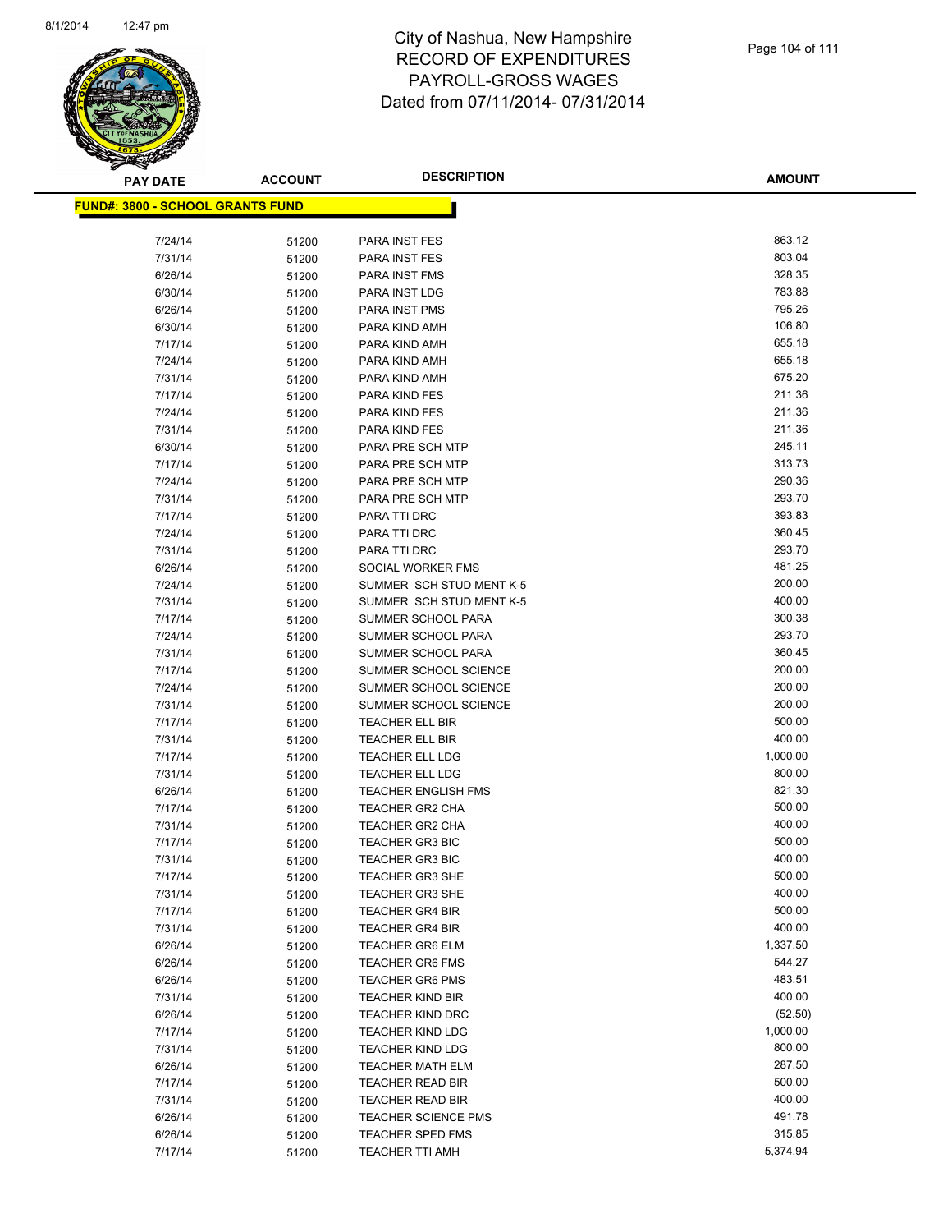

**AMOUNT**

| <b>FUND#: 3800 - SCHOOL GRANTS FUND</b> |                |                                           |                  |
|-----------------------------------------|----------------|-------------------------------------------|------------------|
|                                         |                |                                           |                  |
| 7/24/14                                 | 51200          | PARA INST FES                             | 863.12           |
| 7/31/14                                 | 51200          | PARA INST FES                             | 803.04           |
| 6/26/14                                 | 51200          | PARA INST FMS                             | 328.35           |
| 6/30/14                                 | 51200          | PARA INST LDG                             | 783.88           |
| 6/26/14                                 | 51200          | <b>PARA INST PMS</b>                      | 795.26           |
| 6/30/14                                 | 51200          | PARA KIND AMH                             | 106.80           |
| 7/17/14                                 | 51200          | PARA KIND AMH                             | 655.18           |
| 7/24/14                                 | 51200          | PARA KIND AMH                             | 655.18           |
| 7/31/14                                 | 51200          | PARA KIND AMH                             | 675.20           |
| 7/17/14                                 | 51200          | PARA KIND FES                             | 211.36           |
| 7/24/14                                 | 51200          | PARA KIND FES                             | 211.36           |
| 7/31/14                                 | 51200          | PARA KIND FES                             | 211.36           |
| 6/30/14                                 | 51200          | PARA PRE SCH MTP                          | 245.11           |
| 7/17/14                                 | 51200          | PARA PRE SCH MTP                          | 313.73           |
| 7/24/14                                 | 51200          | PARA PRE SCH MTP                          | 290.36           |
| 7/31/14                                 | 51200          | PARA PRE SCH MTP                          | 293.70           |
| 7/17/14                                 | 51200          | PARA TTI DRC                              | 393.83           |
| 7/24/14                                 | 51200          | PARA TTI DRC                              | 360.45           |
| 7/31/14                                 | 51200          | PARA TTI DRC                              | 293.70           |
| 6/26/14                                 | 51200          | SOCIAL WORKER FMS                         | 481.25           |
| 7/24/14                                 | 51200          | SUMMER SCH STUD MENT K-5                  | 200.00           |
| 7/31/14                                 | 51200          | SUMMER SCH STUD MENT K-5                  | 400.00           |
| 7/17/14                                 | 51200          | SUMMER SCHOOL PARA                        | 300.38           |
| 7/24/14                                 | 51200          | SUMMER SCHOOL PARA                        | 293.70           |
| 7/31/14                                 | 51200          | SUMMER SCHOOL PARA                        | 360.45           |
| 7/17/14                                 | 51200          | SUMMER SCHOOL SCIENCE                     | 200.00           |
| 7/24/14                                 | 51200          | SUMMER SCHOOL SCIENCE                     | 200.00<br>200.00 |
| 7/31/14                                 | 51200          | SUMMER SCHOOL SCIENCE                     | 500.00           |
| 7/17/14                                 | 51200          | <b>TEACHER ELL BIR</b>                    | 400.00           |
| 7/31/14<br>7/17/14                      | 51200          | TEACHER ELL BIR<br><b>TEACHER ELL LDG</b> | 1,000.00         |
| 7/31/14                                 | 51200          | <b>TEACHER ELL LDG</b>                    | 800.00           |
| 6/26/14                                 | 51200          | <b>TEACHER ENGLISH FMS</b>                | 821.30           |
| 7/17/14                                 | 51200<br>51200 | <b>TEACHER GR2 CHA</b>                    | 500.00           |
| 7/31/14                                 | 51200          | <b>TEACHER GR2 CHA</b>                    | 400.00           |
| 7/17/14                                 | 51200          | <b>TEACHER GR3 BIC</b>                    | 500.00           |
| 7/31/14                                 | 51200          | <b>TEACHER GR3 BIC</b>                    | 400.00           |
| 7/17/14                                 | 51200          | <b>TEACHER GR3 SHE</b>                    | 500.00           |
| 7/31/14                                 | 51200          | <b>TEACHER GR3 SHE</b>                    | 400.00           |
| 7/17/14                                 | 51200          | <b>TEACHER GR4 BIR</b>                    | 500.00           |
| 7/31/14                                 | 51200          | <b>TEACHER GR4 BIR</b>                    | 400.00           |
| 6/26/14                                 | 51200          | <b>TEACHER GR6 ELM</b>                    | 1,337.50         |
| 6/26/14                                 | 51200          | <b>TEACHER GR6 FMS</b>                    | 544.27           |
| 6/26/14                                 | 51200          | <b>TEACHER GR6 PMS</b>                    | 483.51           |
| 7/31/14                                 | 51200          | <b>TEACHER KIND BIR</b>                   | 400.00           |
| 6/26/14                                 | 51200          | <b>TEACHER KIND DRC</b>                   | (52.50)          |
| 7/17/14                                 | 51200          | <b>TEACHER KIND LDG</b>                   | 1,000.00         |
| 7/31/14                                 | 51200          | <b>TEACHER KIND LDG</b>                   | 800.00           |
| 6/26/14                                 | 51200          | <b>TEACHER MATH ELM</b>                   | 287.50           |
| 7/17/14                                 | 51200          | <b>TEACHER READ BIR</b>                   | 500.00           |
| 7/31/14                                 | 51200          | TEACHER READ BIR                          | 400.00           |
| 6/26/14                                 | 51200          | <b>TEACHER SCIENCE PMS</b>                | 491.78           |
| 6/26/14                                 | 51200          | TEACHER SPED FMS                          | 315.85           |
| 7/17/14                                 | 51200          | TEACHER TTI AMH                           | 5,374.94         |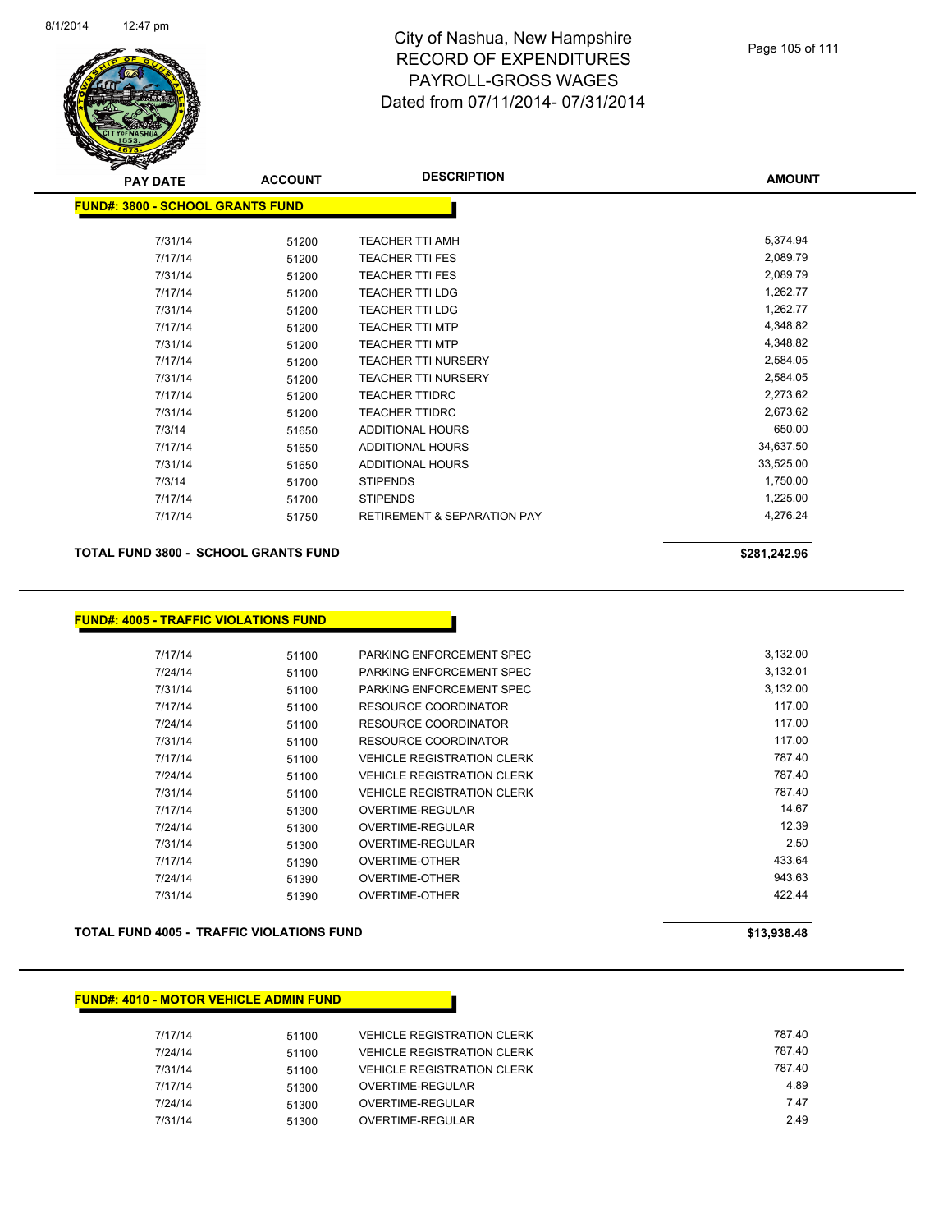

| <b>PAY DATE</b>                   | <b>ACCOUNT</b> | <b>DESCRIPTION</b>                     | <b>AMOUNT</b> |
|-----------------------------------|----------------|----------------------------------------|---------------|
| FUND#: 3800 - SCHOOL GRANTS FUND_ |                |                                        |               |
| 7/31/14                           | 51200          | TEACHER TTI AMH                        | 5,374.94      |
| 7/17/14                           | 51200          | <b>TEACHER TTI FES</b>                 | 2,089.79      |
| 7/31/14                           |                | <b>TEACHER TTI FES</b>                 | 2,089.79      |
| 7/17/14                           | 51200          | <b>TEACHER TTI LDG</b>                 | 1,262.77      |
| 7/31/14                           | 51200          | <b>TEACHER TTI LDG</b>                 | 1,262.77      |
|                                   | 51200          |                                        |               |
| 7/17/14                           | 51200          | <b>TEACHER TTI MTP</b>                 | 4,348.82      |
| 7/31/14                           | 51200          | <b>TEACHER TTI MTP</b>                 | 4,348.82      |
| 7/17/14                           | 51200          | <b>TEACHER TTI NURSERY</b>             | 2,584.05      |
| 7/31/14                           | 51200          | <b>TEACHER TTI NURSERY</b>             | 2,584.05      |
| 7/17/14                           | 51200          | <b>TEACHER TTIDRC</b>                  | 2,273.62      |
| 7/31/14                           | 51200          | <b>TEACHER TTIDRC</b>                  | 2,673.62      |
| 7/3/14                            | 51650          | ADDITIONAL HOURS                       | 650.00        |
| 7/17/14                           | 51650          | ADDITIONAL HOURS                       | 34,637.50     |
| 7/31/14                           | 51650          | <b>ADDITIONAL HOURS</b>                | 33,525.00     |
| 7/3/14                            | 51700          | <b>STIPENDS</b>                        | 1,750.00      |
| 7/17/14                           | 51700          | <b>STIPENDS</b>                        | 1,225.00      |
| 7/17/14                           | 51750          | <b>RETIREMENT &amp; SEPARATION PAY</b> | 4,276.24      |
|                                   |                |                                        |               |

#### **TOTAL FUND 3800 - SCHOOL GRANTS FUND \$281,242.96**

#### **FUND#: 4005 - TRAFFIC VIOLATIONS FUND**

| 7/17/14 | 51100 | PARKING ENFORCEMENT SPEC          | 3,132.00 |
|---------|-------|-----------------------------------|----------|
| 7/24/14 | 51100 | PARKING ENFORCEMENT SPEC          | 3,132.01 |
| 7/31/14 | 51100 | PARKING ENFORCEMENT SPEC          | 3,132.00 |
| 7/17/14 | 51100 | RESOURCE COORDINATOR              | 117.00   |
| 7/24/14 | 51100 | RESOURCE COORDINATOR              | 117.00   |
| 7/31/14 | 51100 | RESOURCE COORDINATOR              | 117.00   |
| 7/17/14 | 51100 | <b>VEHICLE REGISTRATION CLERK</b> | 787.40   |
| 7/24/14 | 51100 | <b>VEHICLE REGISTRATION CLERK</b> | 787.40   |
| 7/31/14 | 51100 | <b>VEHICLE REGISTRATION CLERK</b> | 787.40   |
| 7/17/14 | 51300 | OVERTIME-REGULAR                  | 14.67    |
| 7/24/14 | 51300 | OVERTIME-REGULAR                  | 12.39    |
| 7/31/14 | 51300 | OVERTIME-REGULAR                  | 2.50     |
| 7/17/14 | 51390 | <b>OVERTIME-OTHER</b>             | 433.64   |
| 7/24/14 | 51390 | OVERTIME-OTHER                    | 943.63   |
| 7/31/14 | 51390 | OVERTIME-OTHER                    | 422.44   |

#### **TOTAL FUND 4005 - TRAFFIC VIOLATIONS FUND \$13,938.48**

#### **FUND#: 4010 - MOTOR VEHICLE ADMIN FUND**

| 7/17/14 | 51100 | <b>VEHICLE REGISTRATION CLERK</b> | 787.40 |
|---------|-------|-----------------------------------|--------|
| 7/24/14 | 51100 | <b>VEHICLE REGISTRATION CLERK</b> | 787.40 |
| 7/31/14 | 51100 | <b>VEHICLE REGISTRATION CLERK</b> | 787.40 |
| 7/17/14 | 51300 | OVERTIME-REGULAR                  | 4.89   |
| 7/24/14 | 51300 | OVERTIME-REGULAR                  | 7.47   |
| 7/31/14 | 51300 | OVERTIME-REGULAR                  | 2.49   |
|         |       |                                   |        |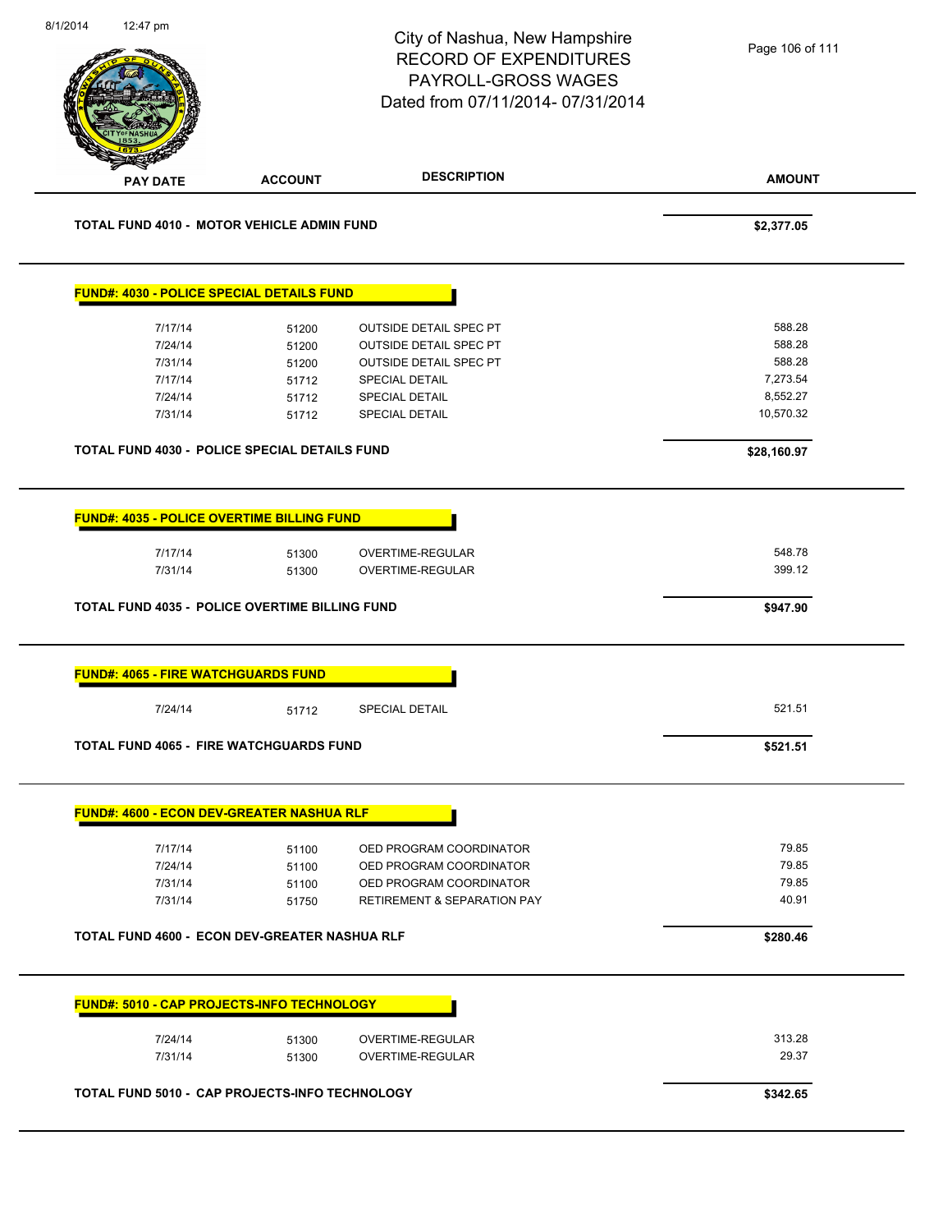|                                                                                                                                                                                                                                |                | City of Nashua, New Hampshire<br><b>RECORD OF EXPENDITURES</b><br>PAYROLL-GROSS WAGES<br>Dated from 07/11/2014-07/31/2014 | Page 106 of 111  |
|--------------------------------------------------------------------------------------------------------------------------------------------------------------------------------------------------------------------------------|----------------|---------------------------------------------------------------------------------------------------------------------------|------------------|
| <b>PAY DATE</b>                                                                                                                                                                                                                | <b>ACCOUNT</b> | <b>DESCRIPTION</b>                                                                                                        | <b>AMOUNT</b>    |
| TOTAL FUND 4010 - MOTOR VEHICLE ADMIN FUND                                                                                                                                                                                     |                |                                                                                                                           | \$2,377.05       |
| FUND#: 4030 - POLICE SPECIAL DETAILS FUND                                                                                                                                                                                      |                |                                                                                                                           |                  |
| 7/17/14                                                                                                                                                                                                                        | 51200          | <b>OUTSIDE DETAIL SPEC PT</b>                                                                                             | 588.28           |
| 7/24/14                                                                                                                                                                                                                        | 51200          | OUTSIDE DETAIL SPEC PT                                                                                                    | 588.28           |
| 7/31/14                                                                                                                                                                                                                        | 51200          | <b>OUTSIDE DETAIL SPEC PT</b>                                                                                             | 588.28           |
| 7/17/14                                                                                                                                                                                                                        | 51712          | SPECIAL DETAIL                                                                                                            | 7,273.54         |
| 7/24/14                                                                                                                                                                                                                        | 51712          | <b>SPECIAL DETAIL</b>                                                                                                     | 8,552.27         |
| 7/31/14                                                                                                                                                                                                                        | 51712          | SPECIAL DETAIL                                                                                                            | 10,570.32        |
| TOTAL FUND 4030 - POLICE SPECIAL DETAILS FUND                                                                                                                                                                                  |                |                                                                                                                           | \$28,160.97      |
| 7/17/14<br>7/31/14                                                                                                                                                                                                             | 51300<br>51300 | OVERTIME-REGULAR<br>OVERTIME-REGULAR                                                                                      | 548.78<br>399.12 |
|                                                                                                                                                                                                                                |                |                                                                                                                           | \$947.90         |
|                                                                                                                                                                                                                                |                |                                                                                                                           |                  |
| TOTAL FUND 4035 - POLICE OVERTIME BILLING FUND<br><b>FUND#: 4065 - FIRE WATCHGUARDS FUND</b><br>7/24/14                                                                                                                        | 51712          | SPECIAL DETAIL                                                                                                            | 521.51           |
|                                                                                                                                                                                                                                |                |                                                                                                                           | \$521.51         |
|                                                                                                                                                                                                                                |                |                                                                                                                           |                  |
| 7/17/14                                                                                                                                                                                                                        | 51100          | OED PROGRAM COORDINATOR                                                                                                   | 79.85            |
| 7/24/14                                                                                                                                                                                                                        | 51100          | OED PROGRAM COORDINATOR                                                                                                   | 79.85            |
| 7/31/14<br>7/31/14                                                                                                                                                                                                             | 51100<br>51750 | OED PROGRAM COORDINATOR<br>RETIREMENT & SEPARATION PAY                                                                    | 79.85<br>40.91   |
|                                                                                                                                                                                                                                |                |                                                                                                                           | \$280.46         |
|                                                                                                                                                                                                                                |                |                                                                                                                           |                  |
|                                                                                                                                                                                                                                |                |                                                                                                                           |                  |
| TOTAL FUND 4065 - FIRE WATCHGUARDS FUND<br><b>FUND#: 4600 - ECON DEV-GREATER NASHUA RLF</b><br><b>TOTAL FUND 4600 - ECON DEV-GREATER NASHUA RLF</b><br><b>FUND#: 5010 - CAP PROJECTS-INFO TECHNOLOGY</b><br>7/24/14<br>7/31/14 | 51300<br>51300 | OVERTIME-REGULAR<br>OVERTIME-REGULAR                                                                                      | 313.28<br>29.37  |
| <b>TOTAL FUND 5010 - CAP PROJECTS-INFO TECHNOLOGY</b>                                                                                                                                                                          |                |                                                                                                                           |                  |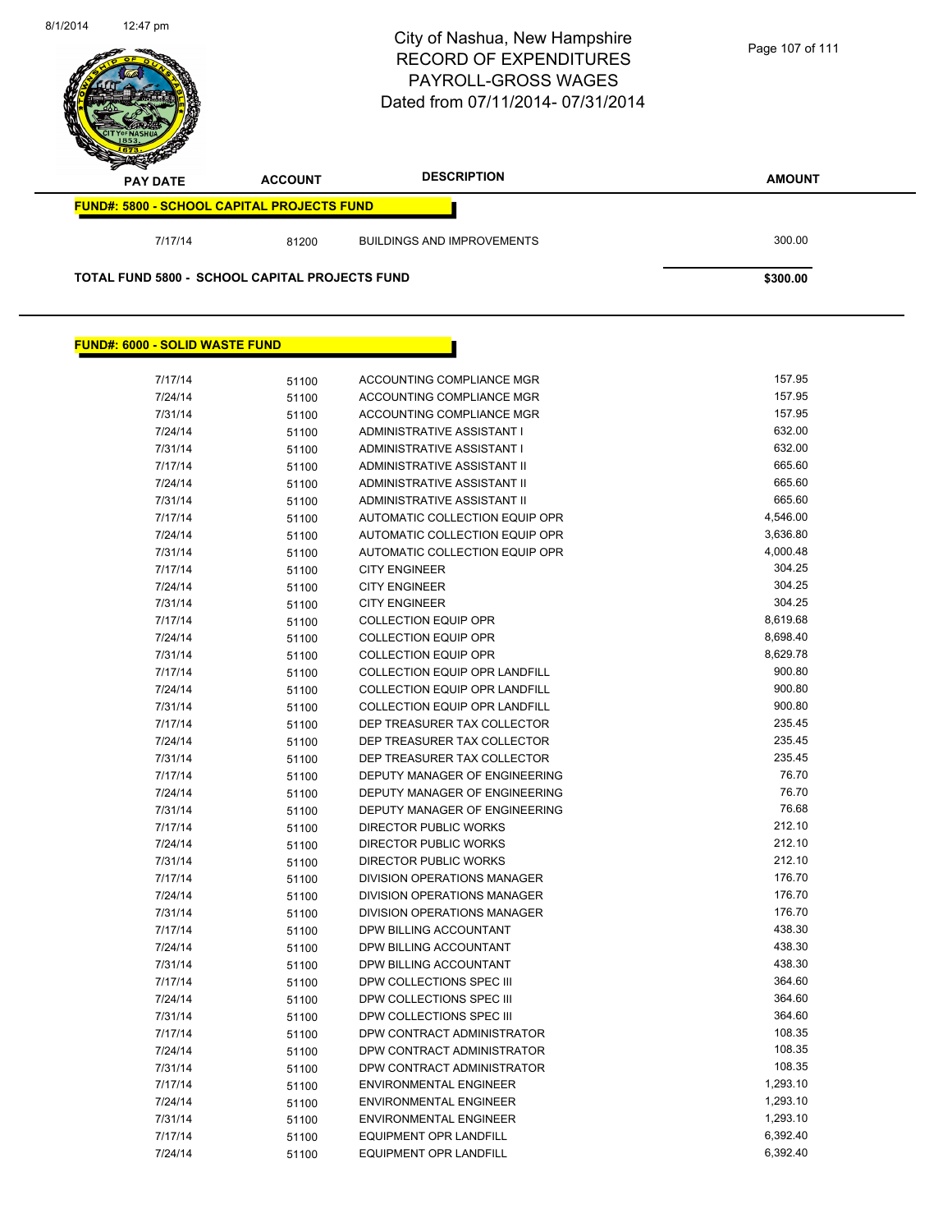

#### **FUND#: 6000 - SOLID WASTE FUND**

| 7/17/14 | 51100 | ACCOUNTING COMPLIANCE MGR            | 157.95   |
|---------|-------|--------------------------------------|----------|
| 7/24/14 | 51100 | <b>ACCOUNTING COMPLIANCE MGR</b>     | 157.95   |
| 7/31/14 | 51100 | ACCOUNTING COMPLIANCE MGR            | 157.95   |
| 7/24/14 | 51100 | <b>ADMINISTRATIVE ASSISTANT I</b>    | 632.00   |
| 7/31/14 | 51100 | ADMINISTRATIVE ASSISTANT I           | 632.00   |
| 7/17/14 | 51100 | ADMINISTRATIVE ASSISTANT II          | 665.60   |
| 7/24/14 | 51100 | ADMINISTRATIVE ASSISTANT II          | 665.60   |
| 7/31/14 | 51100 | ADMINISTRATIVE ASSISTANT II          | 665.60   |
| 7/17/14 | 51100 | AUTOMATIC COLLECTION EQUIP OPR       | 4,546.00 |
| 7/24/14 | 51100 | AUTOMATIC COLLECTION EQUIP OPR       | 3,636.80 |
| 7/31/14 | 51100 | AUTOMATIC COLLECTION EQUIP OPR       | 4,000.48 |
| 7/17/14 | 51100 | <b>CITY ENGINEER</b>                 | 304.25   |
| 7/24/14 | 51100 | <b>CITY ENGINEER</b>                 | 304.25   |
| 7/31/14 | 51100 | <b>CITY ENGINEER</b>                 | 304.25   |
| 7/17/14 | 51100 | <b>COLLECTION EQUIP OPR</b>          | 8,619.68 |
| 7/24/14 | 51100 | <b>COLLECTION EQUIP OPR</b>          | 8,698.40 |
| 7/31/14 | 51100 | <b>COLLECTION EQUIP OPR</b>          | 8,629.78 |
| 7/17/14 | 51100 | <b>COLLECTION EQUIP OPR LANDFILL</b> | 900.80   |
| 7/24/14 | 51100 | <b>COLLECTION EQUIP OPR LANDFILL</b> | 900.80   |
| 7/31/14 | 51100 | COLLECTION EQUIP OPR LANDFILL        | 900.80   |
| 7/17/14 | 51100 | DEP TREASURER TAX COLLECTOR          | 235.45   |
| 7/24/14 | 51100 | DEP TREASURER TAX COLLECTOR          | 235.45   |
| 7/31/14 | 51100 | DEP TREASURER TAX COLLECTOR          | 235.45   |
| 7/17/14 | 51100 | <b>DEPUTY MANAGER OF ENGINEERING</b> | 76.70    |
| 7/24/14 | 51100 | DEPUTY MANAGER OF ENGINEERING        | 76.70    |
| 7/31/14 | 51100 | DEPUTY MANAGER OF ENGINEERING        | 76.68    |
| 7/17/14 | 51100 | <b>DIRECTOR PUBLIC WORKS</b>         | 212.10   |
| 7/24/14 | 51100 | <b>DIRECTOR PUBLIC WORKS</b>         | 212.10   |
| 7/31/14 | 51100 | <b>DIRECTOR PUBLIC WORKS</b>         | 212.10   |
| 7/17/14 | 51100 | DIVISION OPERATIONS MANAGER          | 176.70   |
| 7/24/14 | 51100 | <b>DIVISION OPERATIONS MANAGER</b>   | 176.70   |
| 7/31/14 | 51100 | <b>DIVISION OPERATIONS MANAGER</b>   | 176.70   |
| 7/17/14 | 51100 | DPW BILLING ACCOUNTANT               | 438.30   |
| 7/24/14 | 51100 | DPW BILLING ACCOUNTANT               | 438.30   |
| 7/31/14 | 51100 | DPW BILLING ACCOUNTANT               | 438.30   |
| 7/17/14 | 51100 | DPW COLLECTIONS SPEC III             | 364.60   |
| 7/24/14 | 51100 | DPW COLLECTIONS SPEC III             | 364.60   |
| 7/31/14 | 51100 | DPW COLLECTIONS SPEC III             | 364.60   |
| 7/17/14 | 51100 | DPW CONTRACT ADMINISTRATOR           | 108.35   |
| 7/24/14 | 51100 | DPW CONTRACT ADMINISTRATOR           | 108.35   |
| 7/31/14 | 51100 | DPW CONTRACT ADMINISTRATOR           | 108.35   |
| 7/17/14 | 51100 | <b>ENVIRONMENTAL ENGINEER</b>        | 1,293.10 |
| 7/24/14 | 51100 | <b>ENVIRONMENTAL ENGINEER</b>        | 1,293.10 |
| 7/31/14 | 51100 | <b>ENVIRONMENTAL ENGINEER</b>        | 1,293.10 |
| 7/17/14 | 51100 | <b>EQUIPMENT OPR LANDFILL</b>        | 6,392.40 |
| 7/24/14 | 51100 | <b>EQUIPMENT OPR LANDFILL</b>        | 6,392.40 |
|         |       |                                      |          |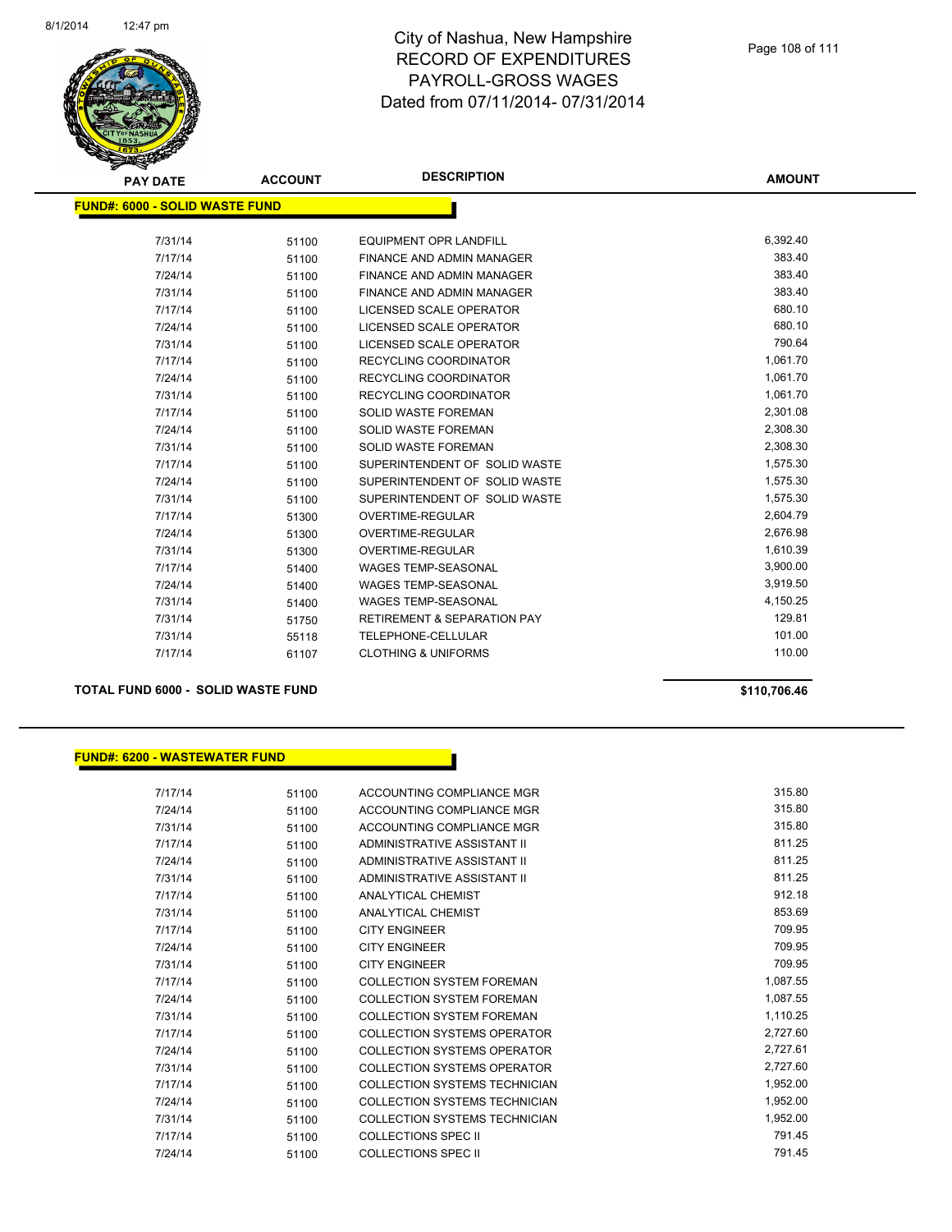

| <b>PAY DATE</b>                       | <b>ACCOUNT</b> | <b>DESCRIPTION</b>                     | <b>AMOUNT</b> |
|---------------------------------------|----------------|----------------------------------------|---------------|
| <b>FUND#: 6000 - SOLID WASTE FUND</b> |                |                                        |               |
| 7/31/14                               | 51100          | <b>EQUIPMENT OPR LANDFILL</b>          | 6,392.40      |
| 7/17/14                               | 51100          | FINANCE AND ADMIN MANAGER              | 383.40        |
| 7/24/14                               | 51100          | FINANCE AND ADMIN MANAGER              | 383.40        |
| 7/31/14                               | 51100          | FINANCE AND ADMIN MANAGER              | 383.40        |
| 7/17/14                               | 51100          | LICENSED SCALE OPERATOR                | 680.10        |
| 7/24/14                               | 51100          | LICENSED SCALE OPERATOR                | 680.10        |
| 7/31/14                               | 51100          | LICENSED SCALE OPERATOR                | 790.64        |
| 7/17/14                               | 51100          | <b>RECYCLING COORDINATOR</b>           | 1,061.70      |
| 7/24/14                               | 51100          | RECYCLING COORDINATOR                  | 1,061.70      |
| 7/31/14                               | 51100          | RECYCLING COORDINATOR                  | 1,061.70      |
| 7/17/14                               | 51100          | <b>SOLID WASTE FOREMAN</b>             | 2,301.08      |
| 7/24/14                               | 51100          | <b>SOLID WASTE FOREMAN</b>             | 2,308.30      |
| 7/31/14                               | 51100          | <b>SOLID WASTE FOREMAN</b>             | 2,308.30      |
| 7/17/14                               | 51100          | SUPERINTENDENT OF SOLID WASTE          | 1,575.30      |
| 7/24/14                               | 51100          | SUPERINTENDENT OF SOLID WASTE          | 1,575.30      |
| 7/31/14                               | 51100          | SUPERINTENDENT OF SOLID WASTE          | 1,575.30      |
| 7/17/14                               | 51300          | <b>OVERTIME-REGULAR</b>                | 2,604.79      |
| 7/24/14                               | 51300          | <b>OVERTIME-REGULAR</b>                | 2,676.98      |
| 7/31/14                               | 51300          | <b>OVERTIME-REGULAR</b>                | 1,610.39      |
| 7/17/14                               | 51400          | <b>WAGES TEMP-SEASONAL</b>             | 3,900.00      |
| 7/24/14                               | 51400          | <b>WAGES TEMP-SEASONAL</b>             | 3,919.50      |
| 7/31/14                               | 51400          | <b>WAGES TEMP-SEASONAL</b>             | 4,150.25      |
| 7/31/14                               | 51750          | <b>RETIREMENT &amp; SEPARATION PAY</b> | 129.81        |
| 7/31/14                               | 55118          | TELEPHONE-CELLULAR                     | 101.00        |
| 7/17/14                               | 61107          | <b>CLOTHING &amp; UNIFORMS</b>         | 110.00        |
|                                       |                |                                        |               |

### **TOTAL FUND 6000 - SOLID WASTE FUND \$110,706.46**

## **FUND#: 6200 - WASTEWATER FUND**

| 7/17/14 | 51100 | ACCOUNTING COMPLIANCE MGR            | 315.80   |
|---------|-------|--------------------------------------|----------|
| 7/24/14 | 51100 | ACCOUNTING COMPLIANCE MGR            | 315.80   |
| 7/31/14 | 51100 | ACCOUNTING COMPLIANCE MGR            | 315.80   |
| 7/17/14 | 51100 | ADMINISTRATIVE ASSISTANT II          | 811.25   |
| 7/24/14 | 51100 | ADMINISTRATIVE ASSISTANT II          | 811.25   |
| 7/31/14 | 51100 | ADMINISTRATIVE ASSISTANT II          | 811.25   |
| 7/17/14 | 51100 | <b>ANALYTICAL CHEMIST</b>            | 912.18   |
| 7/31/14 | 51100 | <b>ANALYTICAL CHEMIST</b>            | 853.69   |
| 7/17/14 | 51100 | <b>CITY ENGINEER</b>                 | 709.95   |
| 7/24/14 | 51100 | <b>CITY ENGINEER</b>                 | 709.95   |
| 7/31/14 | 51100 | <b>CITY ENGINEER</b>                 | 709.95   |
| 7/17/14 | 51100 | <b>COLLECTION SYSTEM FOREMAN</b>     | 1,087.55 |
| 7/24/14 | 51100 | <b>COLLECTION SYSTEM FOREMAN</b>     | 1,087.55 |
| 7/31/14 | 51100 | <b>COLLECTION SYSTEM FOREMAN</b>     | 1,110.25 |
| 7/17/14 | 51100 | <b>COLLECTION SYSTEMS OPERATOR</b>   | 2,727.60 |
| 7/24/14 | 51100 | <b>COLLECTION SYSTEMS OPERATOR</b>   | 2,727.61 |
| 7/31/14 | 51100 | <b>COLLECTION SYSTEMS OPERATOR</b>   | 2,727.60 |
| 7/17/14 | 51100 | COLLECTION SYSTEMS TECHNICIAN        | 1,952.00 |
| 7/24/14 | 51100 | <b>COLLECTION SYSTEMS TECHNICIAN</b> | 1,952.00 |
| 7/31/14 | 51100 | COLLECTION SYSTEMS TECHNICIAN        | 1,952.00 |
| 7/17/14 | 51100 | <b>COLLECTIONS SPEC II</b>           | 791.45   |
| 7/24/14 | 51100 | <b>COLLECTIONS SPEC II</b>           | 791.45   |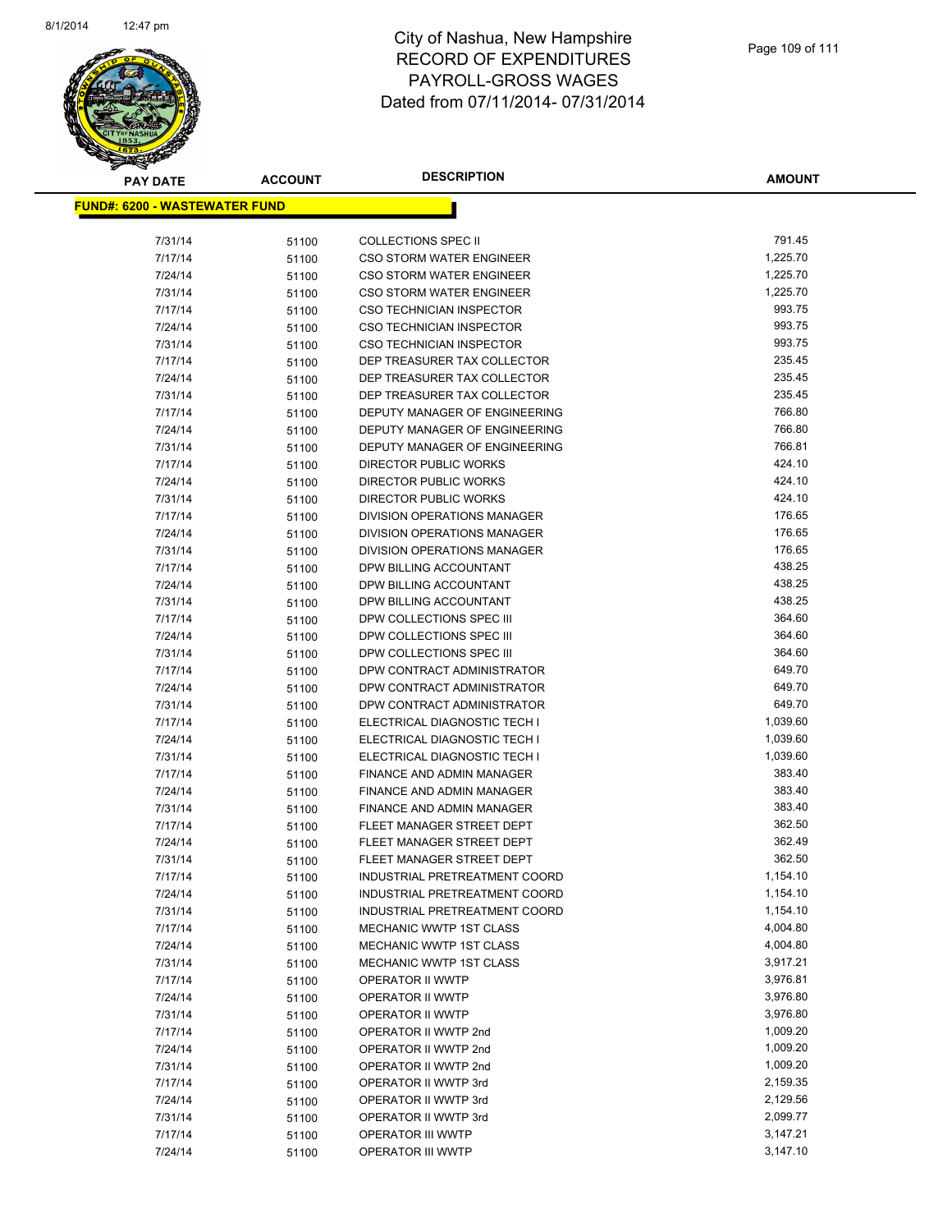

## City of Nashua, New Hampshire RECORD OF EXPENDITURES PAYROLL-GROSS WAGES Dated from 07/11/2014- 07/31/2014

| <b>PAY DATE</b>                      | <b>ACCOUNT</b> | <b>DESCRIPTION</b>                                         | <b>AMOUNT</b>    |
|--------------------------------------|----------------|------------------------------------------------------------|------------------|
| <b>FUND#: 6200 - WASTEWATER FUND</b> |                |                                                            |                  |
|                                      |                |                                                            |                  |
| 7/31/14                              | 51100          | <b>COLLECTIONS SPEC II</b>                                 | 791.45           |
| 7/17/14                              | 51100          | <b>CSO STORM WATER ENGINEER</b>                            | 1,225.70         |
| 7/24/14                              | 51100          | <b>CSO STORM WATER ENGINEER</b>                            | 1,225.70         |
| 7/31/14                              | 51100          | <b>CSO STORM WATER ENGINEER</b>                            | 1,225.70         |
| 7/17/14                              | 51100          | <b>CSO TECHNICIAN INSPECTOR</b>                            | 993.75           |
| 7/24/14                              | 51100          | CSO TECHNICIAN INSPECTOR                                   | 993.75           |
| 7/31/14                              | 51100          | CSO TECHNICIAN INSPECTOR                                   | 993.75           |
| 7/17/14                              | 51100          | DEP TREASURER TAX COLLECTOR                                | 235.45           |
| 7/24/14                              | 51100          | DEP TREASURER TAX COLLECTOR                                | 235.45           |
| 7/31/14                              | 51100          | DEP TREASURER TAX COLLECTOR                                | 235.45           |
| 7/17/14                              | 51100          | DEPUTY MANAGER OF ENGINEERING                              | 766.80           |
| 7/24/14                              | 51100          | DEPUTY MANAGER OF ENGINEERING                              | 766.80           |
| 7/31/14                              | 51100          | DEPUTY MANAGER OF ENGINEERING                              | 766.81           |
| 7/17/14                              | 51100          | DIRECTOR PUBLIC WORKS                                      | 424.10           |
| 7/24/14                              | 51100          | DIRECTOR PUBLIC WORKS                                      | 424.10           |
| 7/31/14                              | 51100          | <b>DIRECTOR PUBLIC WORKS</b>                               | 424.10           |
| 7/17/14                              | 51100          | <b>DIVISION OPERATIONS MANAGER</b>                         | 176.65           |
| 7/24/14                              | 51100          | DIVISION OPERATIONS MANAGER                                | 176.65           |
| 7/31/14                              | 51100          | DIVISION OPERATIONS MANAGER                                | 176.65           |
| 7/17/14                              | 51100          | DPW BILLING ACCOUNTANT                                     | 438.25           |
| 7/24/14                              | 51100          | DPW BILLING ACCOUNTANT                                     | 438.25           |
| 7/31/14                              | 51100          | DPW BILLING ACCOUNTANT                                     | 438.25           |
| 7/17/14                              | 51100          | DPW COLLECTIONS SPEC III                                   | 364.60<br>364.60 |
| 7/24/14                              | 51100          | DPW COLLECTIONS SPEC III                                   |                  |
| 7/31/14                              | 51100          | DPW COLLECTIONS SPEC III                                   | 364.60<br>649.70 |
| 7/17/14                              | 51100          | DPW CONTRACT ADMINISTRATOR                                 |                  |
| 7/24/14                              | 51100          | DPW CONTRACT ADMINISTRATOR                                 | 649.70<br>649.70 |
| 7/31/14<br>7/17/14                   | 51100          | DPW CONTRACT ADMINISTRATOR<br>ELECTRICAL DIAGNOSTIC TECH I | 1,039.60         |
| 7/24/14                              | 51100<br>51100 | ELECTRICAL DIAGNOSTIC TECH I                               | 1,039.60         |
| 7/31/14                              |                | ELECTRICAL DIAGNOSTIC TECH I                               | 1,039.60         |
| 7/17/14                              | 51100<br>51100 | FINANCE AND ADMIN MANAGER                                  | 383.40           |
| 7/24/14                              | 51100          | FINANCE AND ADMIN MANAGER                                  | 383.40           |
| 7/31/14                              | 51100          | <b>FINANCE AND ADMIN MANAGER</b>                           | 383.40           |
| 7/17/14                              | 51100          | FLEET MANAGER STREET DEPT                                  | 362.50           |
| 7/24/14                              | 51100          | FLEET MANAGER STREET DEPT                                  | 362.49           |
| 7/31/14                              | 51100          | FLEET MANAGER STREET DEPT                                  | 362.50           |
| 7/17/14                              | 51100          | INDUSTRIAL PRETREATMENT COORD                              | 1,154.10         |
| 7/24/14                              | 51100          | INDUSTRIAL PRETREATMENT COORD                              | 1,154.10         |
| 7/31/14                              | 51100          | INDUSTRIAL PRETREATMENT COORD                              | 1,154.10         |
| 7/17/14                              | 51100          | MECHANIC WWTP 1ST CLASS                                    | 4,004.80         |
| 7/24/14                              | 51100          | MECHANIC WWTP 1ST CLASS                                    | 4,004.80         |
| 7/31/14                              | 51100          | MECHANIC WWTP 1ST CLASS                                    | 3,917.21         |
| 7/17/14                              | 51100          | OPERATOR II WWTP                                           | 3,976.81         |
| 7/24/14                              | 51100          | OPERATOR II WWTP                                           | 3,976.80         |
| 7/31/14                              | 51100          | OPERATOR II WWTP                                           | 3,976.80         |
| 7/17/14                              | 51100          | OPERATOR II WWTP 2nd                                       | 1,009.20         |
| 7/24/14                              | 51100          | OPERATOR II WWTP 2nd                                       | 1,009.20         |
| 7/31/14                              | 51100          | OPERATOR II WWTP 2nd                                       | 1,009.20         |
| 7/17/14                              | 51100          | OPERATOR II WWTP 3rd                                       | 2,159.35         |
| 7/24/14                              | 51100          | OPERATOR II WWTP 3rd                                       | 2,129.56         |
| 7/31/14                              | 51100          | OPERATOR II WWTP 3rd                                       | 2,099.77         |
| 7/17/14                              | 51100          | OPERATOR III WWTP                                          | 3,147.21         |
| 7/24/14                              | 51100          | OPERATOR III WWTP                                          | 3,147.10         |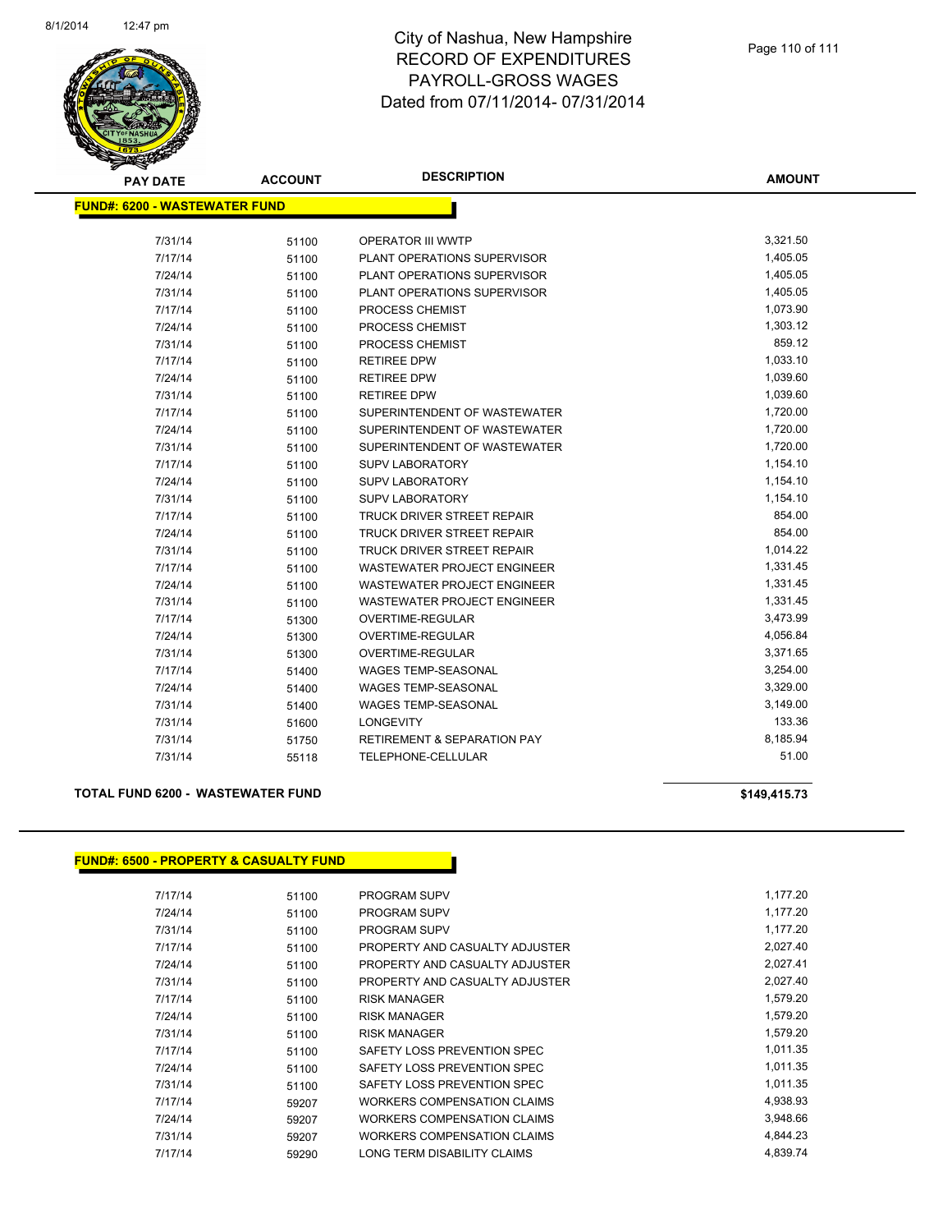

## City of Nashua, New Hampshire RECORD OF EXPENDITURES PAYROLL-GROSS WAGES Dated from 07/11/2014- 07/31/2014

| <b>PAY DATE</b>                      | <b>ACCOUNT</b> | <b>DESCRIPTION</b>                     | <b>AMOUNT</b> |
|--------------------------------------|----------------|----------------------------------------|---------------|
| <b>FUND#: 6200 - WASTEWATER FUND</b> |                |                                        |               |
|                                      |                |                                        |               |
| 7/31/14                              | 51100          | <b>OPERATOR III WWTP</b>               | 3,321.50      |
| 7/17/14                              | 51100          | PLANT OPERATIONS SUPERVISOR            | 1,405.05      |
| 7/24/14                              | 51100          | PLANT OPERATIONS SUPERVISOR            | 1,405.05      |
| 7/31/14                              | 51100          | PLANT OPERATIONS SUPERVISOR            | 1,405.05      |
| 7/17/14                              | 51100          | PROCESS CHEMIST                        | 1,073.90      |
| 7/24/14                              | 51100          | PROCESS CHEMIST                        | 1,303.12      |
| 7/31/14                              | 51100          | PROCESS CHEMIST                        | 859.12        |
| 7/17/14                              | 51100          | <b>RETIREE DPW</b>                     | 1,033.10      |
| 7/24/14                              | 51100          | <b>RETIREE DPW</b>                     | 1,039.60      |
| 7/31/14                              | 51100          | <b>RETIREE DPW</b>                     | 1,039.60      |
| 7/17/14                              | 51100          | SUPERINTENDENT OF WASTEWATER           | 1,720.00      |
| 7/24/14                              | 51100          | SUPERINTENDENT OF WASTEWATER           | 1,720.00      |
| 7/31/14                              | 51100          | SUPERINTENDENT OF WASTEWATER           | 1,720.00      |
| 7/17/14                              | 51100          | <b>SUPV LABORATORY</b>                 | 1,154.10      |
| 7/24/14                              | 51100          | <b>SUPV LABORATORY</b>                 | 1,154.10      |
| 7/31/14                              | 51100          | <b>SUPV LABORATORY</b>                 | 1,154.10      |
| 7/17/14                              | 51100          | TRUCK DRIVER STREET REPAIR             | 854.00        |
| 7/24/14                              | 51100          | TRUCK DRIVER STREET REPAIR             | 854.00        |
| 7/31/14                              | 51100          | <b>TRUCK DRIVER STREET REPAIR</b>      | 1,014.22      |
| 7/17/14                              | 51100          | WASTEWATER PROJECT ENGINEER            | 1,331.45      |
| 7/24/14                              | 51100          | <b>WASTEWATER PROJECT ENGINEER</b>     | 1,331.45      |
| 7/31/14                              | 51100          | <b>WASTEWATER PROJECT ENGINEER</b>     | 1,331.45      |
| 7/17/14                              | 51300          | <b>OVERTIME-REGULAR</b>                | 3,473.99      |
| 7/24/14                              | 51300          | OVERTIME-REGULAR                       | 4,056.84      |
| 7/31/14                              | 51300          | OVERTIME-REGULAR                       | 3,371.65      |
| 7/17/14                              | 51400          | <b>WAGES TEMP-SEASONAL</b>             | 3,254.00      |
| 7/24/14                              | 51400          | <b>WAGES TEMP-SEASONAL</b>             | 3,329.00      |
| 7/31/14                              | 51400          | <b>WAGES TEMP-SEASONAL</b>             | 3,149.00      |
| 7/31/14                              | 51600          | <b>LONGEVITY</b>                       | 133.36        |
| 7/31/14                              | 51750          | <b>RETIREMENT &amp; SEPARATION PAY</b> | 8,185.94      |
| 7/31/14                              | 55118          | TELEPHONE-CELLULAR                     | 51.00         |
|                                      |                |                                        |               |

## **TOTAL FUND 6200 - WASTEWATER FUND \$149,415.73**

## **FUND#: 6500 - PROPERTY & CASUALTY FUND**

| 7/17/14 | 51100 | <b>PROGRAM SUPV</b>                | 1,177.20 |
|---------|-------|------------------------------------|----------|
| 7/24/14 | 51100 | <b>PROGRAM SUPV</b>                | 1,177.20 |
| 7/31/14 | 51100 | PROGRAM SUPV                       | 1,177.20 |
| 7/17/14 | 51100 | PROPERTY AND CASUALTY ADJUSTER     | 2,027.40 |
| 7/24/14 | 51100 | PROPERTY AND CASUALTY ADJUSTER     | 2,027.41 |
| 7/31/14 | 51100 | PROPERTY AND CASUALTY ADJUSTER     | 2,027.40 |
| 7/17/14 | 51100 | <b>RISK MANAGER</b>                | 1,579.20 |
| 7/24/14 | 51100 | <b>RISK MANAGER</b>                | 1,579.20 |
| 7/31/14 | 51100 | <b>RISK MANAGER</b>                | 1,579.20 |
| 7/17/14 | 51100 | SAFETY LOSS PREVENTION SPEC        | 1,011.35 |
| 7/24/14 | 51100 | SAFETY LOSS PREVENTION SPEC        | 1,011.35 |
| 7/31/14 | 51100 | SAFETY LOSS PREVENTION SPEC        | 1,011.35 |
| 7/17/14 | 59207 | <b>WORKERS COMPENSATION CLAIMS</b> | 4,938.93 |
| 7/24/14 | 59207 | WORKERS COMPENSATION CLAIMS        | 3,948.66 |
| 7/31/14 | 59207 | <b>WORKERS COMPENSATION CLAIMS</b> | 4,844.23 |
| 7/17/14 | 59290 | LONG TERM DISABILITY CLAIMS        | 4,839.74 |